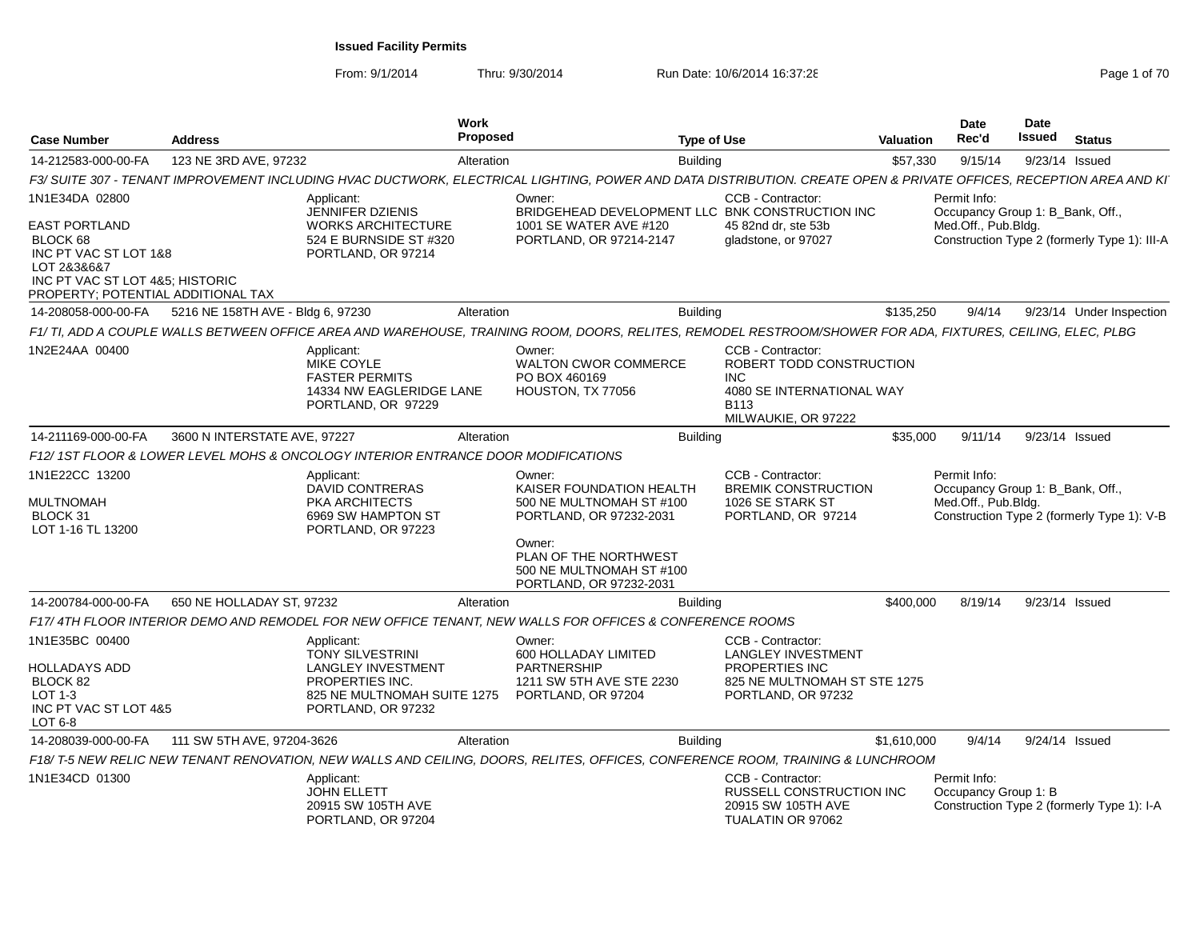From: 9/1/2014

| <b>Case Number</b>                                                                                                            | <b>Address</b>                    | <b>Work</b><br><b>Proposed</b>                                                                                                                                           |                                                                                                                                                                                     | <b>Type of Use</b>                                                                                                                  | <b>Valuation</b> | <b>Date</b><br>Rec'd                                                    | <b>Date</b><br>Issued | <b>Status</b>                                |
|-------------------------------------------------------------------------------------------------------------------------------|-----------------------------------|--------------------------------------------------------------------------------------------------------------------------------------------------------------------------|-------------------------------------------------------------------------------------------------------------------------------------------------------------------------------------|-------------------------------------------------------------------------------------------------------------------------------------|------------------|-------------------------------------------------------------------------|-----------------------|----------------------------------------------|
| 14-212583-000-00-FA                                                                                                           | 123 NE 3RD AVE, 97232             | Alteration                                                                                                                                                               | <b>Building</b>                                                                                                                                                                     |                                                                                                                                     | \$57,330         | 9/15/14                                                                 | 9/23/14 Issued        |                                              |
|                                                                                                                               |                                   | F3/ SUITE 307 - TENANT IMPROVEMENT INCLUDING HVAC DUCTWORK, ELECTRICAL LIGHTING, POWER AND DATA DISTRIBUTION. CREATE OPEN & PRIVATE OFFICES, RECEPTION AREA AND KI       |                                                                                                                                                                                     |                                                                                                                                     |                  |                                                                         |                       |                                              |
| 1N1E34DA 02800<br><b>EAST PORTLAND</b><br>BLOCK 68<br>INC PT VAC ST LOT 1&8<br>LOT 2&3&6&7<br>INC PT VAC ST LOT 4&5: HISTORIC |                                   | Applicant:<br><b>JENNIFER DZIENIS</b><br><b>WORKS ARCHITECTURE</b><br>524 E BURNSIDE ST #320<br>PORTLAND, OR 97214                                                       | Owner:<br>BRIDGEHEAD DEVELOPMENT LLC BNK CONSTRUCTION INC<br>1001 SE WATER AVE #120<br>PORTLAND, OR 97214-2147                                                                      | CCB - Contractor:<br>45 82nd dr. ste 53b<br>gladstone, or 97027                                                                     |                  | Permit Info:<br>Occupancy Group 1: B_Bank, Off.,<br>Med.Off., Pub.Bldg. |                       | Construction Type 2 (formerly Type 1): III-A |
| PROPERTY; POTENTIAL ADDITIONAL TAX                                                                                            | 5216 NE 158TH AVE - Bldg 6, 97230 |                                                                                                                                                                          |                                                                                                                                                                                     |                                                                                                                                     |                  |                                                                         |                       |                                              |
| 14-208058-000-00-FA                                                                                                           |                                   | Alteration<br>F1/TI, ADD A COUPLE WALLS BETWEEN OFFICE AREA AND WAREHOUSE, TRAINING ROOM, DOORS, RELITES, REMODEL RESTROOM/SHOWER FOR ADA, FIXTURES, CEILING, ELEC, PLBG | <b>Building</b>                                                                                                                                                                     |                                                                                                                                     | \$135,250        | 9/4/14                                                                  |                       | 9/23/14 Under Inspection                     |
| 1N2E24AA 00400                                                                                                                |                                   | Applicant:<br>MIKE COYLE<br><b>FASTER PERMITS</b><br>14334 NW EAGLERIDGE LANE<br>PORTLAND, OR 97229                                                                      | Owner:<br><b>WALTON CWOR COMMERCE</b><br>PO BOX 460169<br>HOUSTON, TX 77056                                                                                                         | CCB - Contractor:<br>ROBERT TODD CONSTRUCTION<br><b>INC</b><br>4080 SE INTERNATIONAL WAY<br>B <sub>113</sub><br>MILWAUKIE, OR 97222 |                  |                                                                         |                       |                                              |
| 14-211169-000-00-FA                                                                                                           | 3600 N INTERSTATE AVE, 97227      | Alteration                                                                                                                                                               | <b>Building</b>                                                                                                                                                                     |                                                                                                                                     | \$35,000         | 9/11/14                                                                 | 9/23/14 Issued        |                                              |
|                                                                                                                               |                                   | F12/ 1ST FLOOR & LOWER LEVEL MOHS & ONCOLOGY INTERIOR ENTRANCE DOOR MODIFICATIONS                                                                                        |                                                                                                                                                                                     |                                                                                                                                     |                  |                                                                         |                       |                                              |
| 1N1E22CC 13200<br>MULTNOMAH<br>BLOCK 31<br>LOT 1-16 TL 13200                                                                  |                                   | Applicant:<br>DAVID CONTRERAS<br>PKA ARCHITECTS<br>6969 SW HAMPTON ST<br>PORTLAND, OR 97223                                                                              | Owner:<br>KAISER FOUNDATION HEALTH<br>500 NE MULTNOMAH ST #100<br>PORTLAND, OR 97232-2031<br>Owner:<br>PLAN OF THE NORTHWEST<br>500 NE MULTNOMAH ST #100<br>PORTLAND, OR 97232-2031 | CCB - Contractor:<br><b>BREMIK CONSTRUCTION</b><br>1026 SE STARK ST<br>PORTLAND, OR 97214                                           |                  | Permit Info:<br>Occupancy Group 1: B_Bank, Off.,<br>Med.Off., Pub.Bldg. |                       | Construction Type 2 (formerly Type 1): V-B   |
| 14-200784-000-00-FA                                                                                                           | 650 NE HOLLADAY ST, 97232         | Alteration                                                                                                                                                               | <b>Building</b>                                                                                                                                                                     |                                                                                                                                     | \$400,000        | 8/19/14                                                                 | 9/23/14 Issued        |                                              |
|                                                                                                                               |                                   | F17/4TH FLOOR INTERIOR DEMO AND REMODEL FOR NEW OFFICE TENANT, NEW WALLS FOR OFFICES & CONFERENCE ROOMS                                                                  |                                                                                                                                                                                     |                                                                                                                                     |                  |                                                                         |                       |                                              |
| 1N1E35BC 00400<br>HOLLADAYS ADD<br>BLOCK 82<br>LOT 1-3<br>INC PT VAC ST LOT 4&5<br>LOT 6-8                                    |                                   | Applicant:<br><b>TONY SILVESTRINI</b><br><b>LANGLEY INVESTMENT</b><br>PROPERTIES INC.<br>825 NE MULTNOMAH SUITE 1275<br>PORTLAND, OR 97232                               | Owner:<br>600 HOLLADAY LIMITED<br><b>PARTNERSHIP</b><br>1211 SW 5TH AVE STE 2230<br>PORTLAND, OR 97204                                                                              | CCB - Contractor:<br><b>LANGLEY INVESTMENT</b><br><b>PROPERTIES INC</b><br>825 NE MULTNOMAH ST STE 1275<br>PORTLAND, OR 97232       |                  |                                                                         |                       |                                              |
| 14-208039-000-00-FA                                                                                                           | 111 SW 5TH AVE, 97204-3626        | Alteration                                                                                                                                                               | <b>Building</b>                                                                                                                                                                     |                                                                                                                                     | \$1,610,000      | 9/4/14                                                                  | 9/24/14 Issued        |                                              |
|                                                                                                                               |                                   | F18/T-5 NEW RELIC NEW TENANT RENOVATION, NEW WALLS AND CEILING, DOORS, RELITES, OFFICES, CONFERENCE ROOM, TRAINING & LUNCHROOM                                           |                                                                                                                                                                                     |                                                                                                                                     |                  |                                                                         |                       |                                              |
| 1N1E34CD 01300                                                                                                                |                                   | Applicant:<br><b>JOHN ELLETT</b><br>20915 SW 105TH AVE<br>PORTLAND, OR 97204                                                                                             |                                                                                                                                                                                     | CCB - Contractor:<br>RUSSELL CONSTRUCTION INC<br>20915 SW 105TH AVE<br>TUALATIN OR 97062                                            |                  | Permit Info:<br>Occupancy Group 1: B                                    |                       | Construction Type 2 (formerly Type 1): I-A   |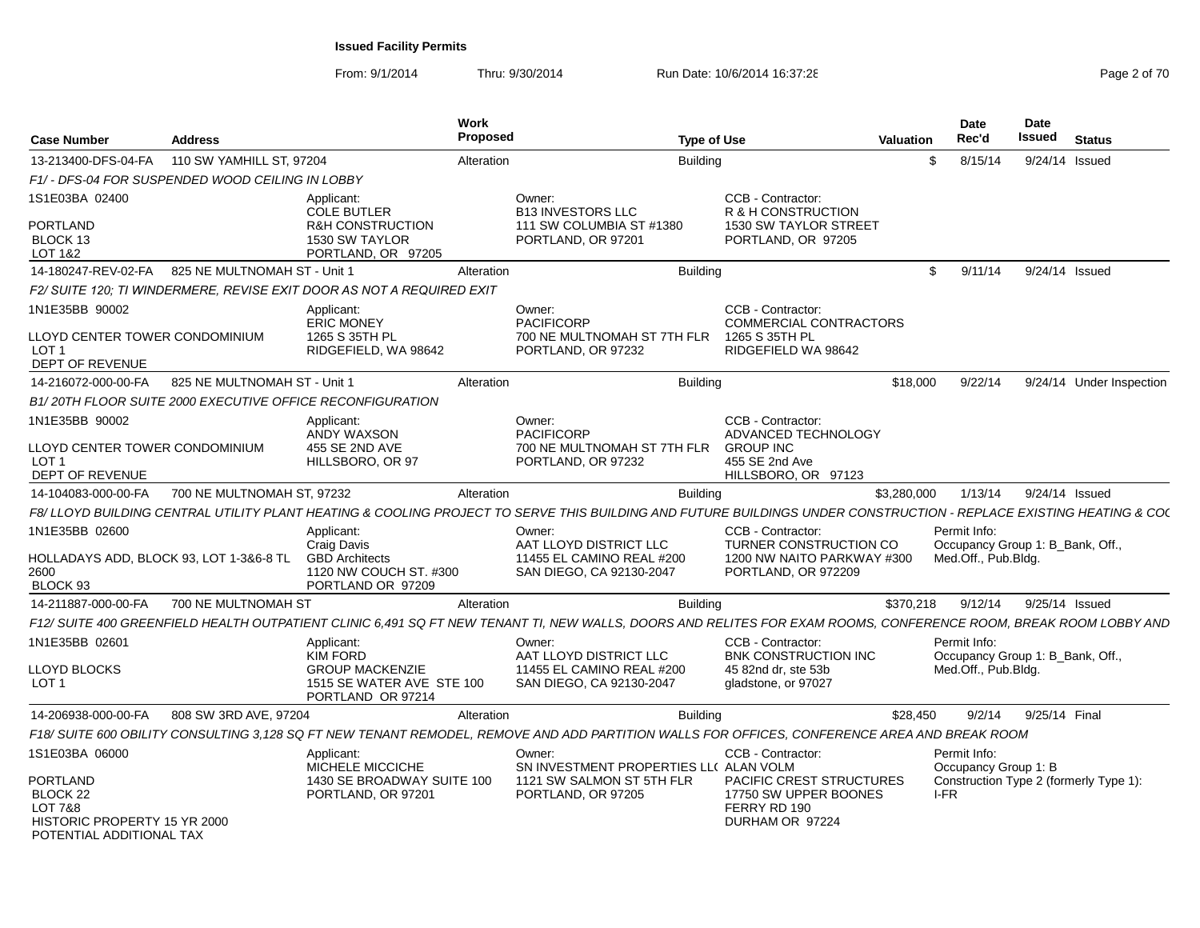From: 9/1/2014

| <b>Case Number</b>                                                     | <b>Address</b>                                  |                                                                                     | Work<br><b>Proposed</b> |                                                                                                                                                                    | <b>Type of Use</b> |                                                                                             | <b>Valuation</b> | Date<br>Rec'd                                           | <b>Date</b><br>Issued | <b>Status</b>                          |
|------------------------------------------------------------------------|-------------------------------------------------|-------------------------------------------------------------------------------------|-------------------------|--------------------------------------------------------------------------------------------------------------------------------------------------------------------|--------------------|---------------------------------------------------------------------------------------------|------------------|---------------------------------------------------------|-----------------------|----------------------------------------|
| 13-213400-DFS-04-FA                                                    | 110 SW YAMHILL ST, 97204                        |                                                                                     | Alteration              |                                                                                                                                                                    | <b>Building</b>    |                                                                                             | \$               | 8/15/14                                                 |                       | 9/24/14 Issued                         |
|                                                                        | F1/- DFS-04 FOR SUSPENDED WOOD CEILING IN LOBBY |                                                                                     |                         |                                                                                                                                                                    |                    |                                                                                             |                  |                                                         |                       |                                        |
| 1S1E03BA 02400                                                         |                                                 | Applicant:<br><b>COLE BUTLER</b>                                                    |                         | Owner:<br><b>B13 INVESTORS LLC</b>                                                                                                                                 |                    | CCB - Contractor:<br>R & H CONSTRUCTION                                                     |                  |                                                         |                       |                                        |
| PORTLAND<br>BLOCK 13<br>LOT 1&2                                        |                                                 | R&H CONSTRUCTION<br>1530 SW TAYLOR<br>PORTLAND, OR 97205                            |                         | 111 SW COLUMBIA ST #1380<br>PORTLAND, OR 97201                                                                                                                     |                    | 1530 SW TAYLOR STREET<br>PORTLAND, OR 97205                                                 |                  |                                                         |                       |                                        |
| 14-180247-REV-02-FA                                                    | 825 NE MULTNOMAH ST - Unit 1                    |                                                                                     | Alteration              |                                                                                                                                                                    | <b>Building</b>    |                                                                                             | \$               | 9/11/14                                                 |                       | 9/24/14 Issued                         |
|                                                                        |                                                 | F2/ SUITE 120; TI WINDERMERE, REVISE EXIT DOOR AS NOT A REQUIRED EXIT               |                         |                                                                                                                                                                    |                    |                                                                                             |                  |                                                         |                       |                                        |
| 1N1E35BB 90002                                                         |                                                 | Applicant:<br><b>ERIC MONEY</b>                                                     |                         | Owner:<br>PACIFICORP                                                                                                                                               |                    | CCB - Contractor:<br><b>COMMERCIAL CONTRACTORS</b>                                          |                  |                                                         |                       |                                        |
| LLOYD CENTER TOWER CONDOMINIUM<br>LOT <sub>1</sub><br>DEPT OF REVENUE  |                                                 | 1265 S 35TH PL<br>RIDGEFIELD, WA 98642                                              |                         | 700 NE MULTNOMAH ST 7TH FLR<br>PORTLAND, OR 97232                                                                                                                  |                    | 1265 S 35TH PL<br>RIDGEFIELD WA 98642                                                       |                  |                                                         |                       |                                        |
| 14-216072-000-00-FA                                                    | 825 NE MULTNOMAH ST - Unit 1                    |                                                                                     | Alteration              |                                                                                                                                                                    | <b>Building</b>    |                                                                                             | \$18,000         | 9/22/14                                                 |                       | 9/24/14 Under Inspection               |
|                                                                        |                                                 | B1/20TH FLOOR SUITE 2000 EXECUTIVE OFFICE RECONFIGURATION                           |                         |                                                                                                                                                                    |                    |                                                                                             |                  |                                                         |                       |                                        |
| 1N1E35BB 90002                                                         |                                                 | Applicant:<br>ANDY WAXSON                                                           |                         | Owner:<br><b>PACIFICORP</b>                                                                                                                                        |                    | CCB - Contractor:<br>ADVANCED TECHNOLOGY                                                    |                  |                                                         |                       |                                        |
| LLOYD CENTER TOWER CONDOMINIUM<br>LOT 1<br>DEPT OF REVENUE             |                                                 | 455 SE 2ND AVE<br>HILLSBORO, OR 97                                                  |                         | 700 NE MULTNOMAH ST 7TH FLR<br>PORTLAND, OR 97232                                                                                                                  |                    | <b>GROUP INC</b><br>455 SE 2nd Ave<br>HILLSBORO, OR 97123                                   |                  |                                                         |                       |                                        |
| 14-104083-000-00-FA                                                    | 700 NE MULTNOMAH ST. 97232                      |                                                                                     | Alteration              |                                                                                                                                                                    | <b>Building</b>    |                                                                                             | \$3,280,000      | 1/13/14                                                 | 9/24/14 Issued        |                                        |
|                                                                        |                                                 |                                                                                     |                         | F8/ LLOYD BUILDING CENTRAL UTILITY PLANT HEATING & COOLING PROJECT TO SERVE THIS BUILDING AND FUTURE BUILDINGS UNDER CONSTRUCTION - REPLACE EXISTING HEATING & CO( |                    |                                                                                             |                  |                                                         |                       |                                        |
| 1N1E35BB 02600                                                         |                                                 | Applicant:                                                                          |                         | Owner:                                                                                                                                                             |                    | CCB - Contractor:                                                                           |                  | Permit Info:                                            |                       |                                        |
| 2600<br>BLOCK 93                                                       | HOLLADAYS ADD. BLOCK 93. LOT 1-3&6-8 TL         | Craig Davis<br><b>GBD Architects</b><br>1120 NW COUCH ST. #300<br>PORTLAND OR 97209 |                         | AAT LLOYD DISTRICT LLC<br>11455 EL CAMINO REAL #200<br>SAN DIEGO, CA 92130-2047                                                                                    |                    | TURNER CONSTRUCTION CO<br>1200 NW NAITO PARKWAY #300<br>PORTLAND, OR 972209                 |                  | Occupancy Group 1: B_Bank, Off.,<br>Med.Off., Pub.Bldg. |                       |                                        |
| 14-211887-000-00-FA                                                    | 700 NE MULTNOMAH ST                             |                                                                                     | Alteration              |                                                                                                                                                                    | <b>Building</b>    |                                                                                             | \$370,218        | 9/12/14                                                 | 9/25/14 Issued        |                                        |
|                                                                        |                                                 |                                                                                     |                         | F12/ SUITE 400 GREENFIELD HEALTH OUTPATIENT CLINIC 6,491 SQ FT NEW TENANT TI, NEW WALLS, DOORS AND RELITES FOR EXAM ROOMS, CONFERENCE ROOM, BREAK ROOM LOBBY AND   |                    |                                                                                             |                  |                                                         |                       |                                        |
| 1N1E35BB 02601                                                         |                                                 | Applicant:<br><b>KIM FORD</b>                                                       |                         | Owner:<br>AAT LLOYD DISTRICT LLC                                                                                                                                   |                    | CCB - Contractor:<br><b>BNK CONSTRUCTION INC</b>                                            |                  | Permit Info:<br>Occupancy Group 1: B_Bank, Off.,        |                       |                                        |
| LLOYD BLOCKS<br>LOT <sub>1</sub>                                       |                                                 | <b>GROUP MACKENZIE</b><br>1515 SE WATER AVE STE 100<br>PORTLAND OR 97214            |                         | 11455 EL CAMINO REAL #200<br>SAN DIEGO, CA 92130-2047                                                                                                              |                    | 45 82nd dr, ste 53b<br>gladstone, or 97027                                                  |                  | Med.Off., Pub.Bldg.                                     |                       |                                        |
| 14-206938-000-00-FA                                                    | 808 SW 3RD AVE, 97204                           |                                                                                     | Alteration              |                                                                                                                                                                    | <b>Building</b>    |                                                                                             | \$28,450         | 9/2/14                                                  | 9/25/14 Final         |                                        |
|                                                                        |                                                 |                                                                                     |                         | F18/ SUITE 600 OBILITY CONSULTING 3,128 SQ FT NEW TENANT REMODEL, REMOVE AND ADD PARTITION WALLS FOR OFFICES, CONFERENCE AREA AND BREAK ROOM                       |                    |                                                                                             |                  |                                                         |                       |                                        |
| 1S1E03BA 06000                                                         |                                                 | Applicant:<br>MICHELE MICCICHE                                                      |                         | Owner:<br>SN INVESTMENT PROPERTIES LL( ALAN VOLM                                                                                                                   |                    | CCB - Contractor:                                                                           |                  | Permit Info:<br>Occupancy Group 1: B                    |                       |                                        |
| PORTLAND<br><b>BLOCK 22</b><br>LOT 7&8<br>HISTORIC PROPERTY 15 YR 2000 |                                                 | 1430 SE BROADWAY SUITE 100<br>PORTLAND, OR 97201                                    |                         | 1121 SW SALMON ST 5TH FLR<br>PORTLAND, OR 97205                                                                                                                    |                    | <b>PACIFIC CREST STRUCTURES</b><br>17750 SW UPPER BOONES<br>FERRY RD 190<br>DURHAM OR 97224 |                  | I-FR                                                    |                       | Construction Type 2 (formerly Type 1): |
| POTENTIAL ADDITIONAL TAX                                               |                                                 |                                                                                     |                         |                                                                                                                                                                    |                    |                                                                                             |                  |                                                         |                       |                                        |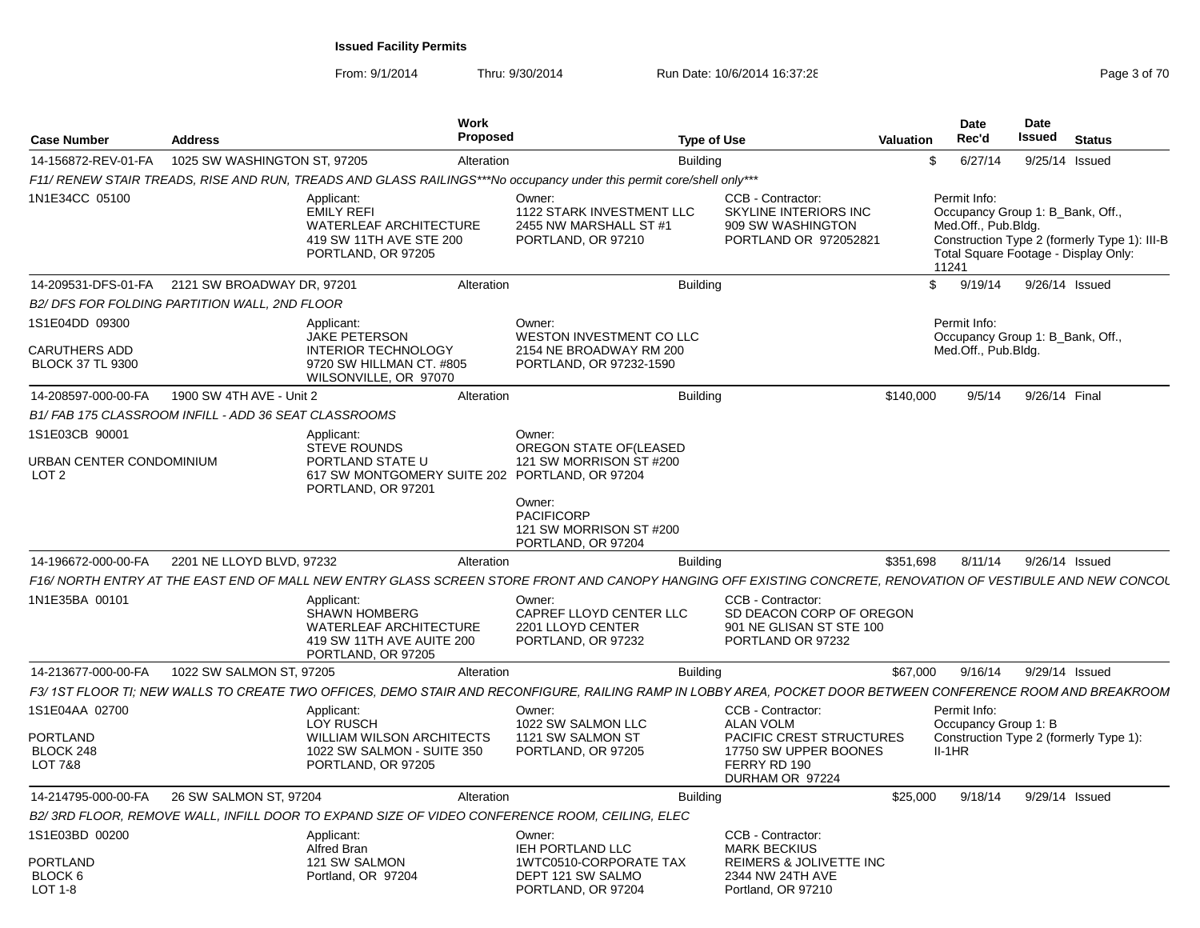| <b>Case Number</b>                           | <b>Address</b>                                        |                                                                                                                        | Work<br>Proposed |                                                                                                                                                              | <b>Type of Use</b> |                                                                                                 | <b>Valuation</b> | <b>Date</b><br>Rec'd                                                                                                     | <b>Date</b><br><b>Issued</b> | <b>Status</b>                                |
|----------------------------------------------|-------------------------------------------------------|------------------------------------------------------------------------------------------------------------------------|------------------|--------------------------------------------------------------------------------------------------------------------------------------------------------------|--------------------|-------------------------------------------------------------------------------------------------|------------------|--------------------------------------------------------------------------------------------------------------------------|------------------------------|----------------------------------------------|
| 14-156872-REV-01-FA                          | 1025 SW WASHINGTON ST, 97205                          |                                                                                                                        | Alteration       |                                                                                                                                                              | <b>Building</b>    |                                                                                                 | \$               | 6/27/14                                                                                                                  |                              | 9/25/14 Issued                               |
|                                              |                                                       |                                                                                                                        |                  | F11/ RENEW STAIR TREADS, RISE AND RUN, TREADS AND GLASS RAILINGS***No occupancy under this permit core/shell only***                                         |                    |                                                                                                 |                  |                                                                                                                          |                              |                                              |
| 1N1E34CC 05100                               |                                                       | Applicant:<br><b>EMILY REFI</b><br><b>WATERLEAF ARCHITECTURE</b><br>419 SW 11TH AVE STE 200<br>PORTLAND, OR 97205      |                  | Owner:<br>1122 STARK INVESTMENT LLC<br>2455 NW MARSHALL ST #1<br>PORTLAND, OR 97210                                                                          |                    | <b>CCB - Contractor:</b><br>SKYLINE INTERIORS INC<br>909 SW WASHINGTON<br>PORTLAND OR 972052821 |                  | Permit Info:<br>Occupancy Group 1: B_Bank, Off.,<br>Med.Off., Pub.Bldg.<br>Total Square Footage - Display Only:<br>11241 |                              | Construction Type 2 (formerly Type 1): III-B |
| 14-209531-DFS-01-FA                          | 2121 SW BROADWAY DR, 97201                            |                                                                                                                        | Alteration       |                                                                                                                                                              | <b>Building</b>    |                                                                                                 | \$               | 9/19/14                                                                                                                  |                              | 9/26/14 Issued                               |
|                                              | B2/ DFS FOR FOLDING PARTITION WALL, 2ND FLOOR         |                                                                                                                        |                  |                                                                                                                                                              |                    |                                                                                                 |                  |                                                                                                                          |                              |                                              |
| 1S1E04DD 09300<br><b>CARUTHERS ADD</b>       |                                                       | Applicant:<br>JAKE PETERSON<br><b>INTERIOR TECHNOLOGY</b>                                                              |                  | Owner:<br>WESTON INVESTMENT CO LLC<br>2154 NE BROADWAY RM 200                                                                                                |                    |                                                                                                 |                  | Permit Info:<br>Occupancy Group 1: B Bank, Off.,<br>Med.Off., Pub.Bldg.                                                  |                              |                                              |
| <b>BLOCK 37 TL 9300</b>                      |                                                       | 9720 SW HILLMAN CT. #805<br>WILSONVILLE, OR 97070                                                                      |                  | PORTLAND, OR 97232-1590                                                                                                                                      |                    |                                                                                                 |                  |                                                                                                                          |                              |                                              |
| 14-208597-000-00-FA                          | 1900 SW 4TH AVE - Unit 2                              |                                                                                                                        | Alteration       |                                                                                                                                                              | <b>Building</b>    |                                                                                                 | \$140,000        | 9/5/14                                                                                                                   | 9/26/14 Final                |                                              |
|                                              | B1/ FAB 175 CLASSROOM INFILL - ADD 36 SEAT CLASSROOMS |                                                                                                                        |                  |                                                                                                                                                              |                    |                                                                                                 |                  |                                                                                                                          |                              |                                              |
| 1S1E03CB 90001                               |                                                       | Applicant:<br><b>STEVE ROUNDS</b>                                                                                      |                  | Owner:<br>OREGON STATE OF (LEASED                                                                                                                            |                    |                                                                                                 |                  |                                                                                                                          |                              |                                              |
| URBAN CENTER CONDOMINIUM<br>LOT <sub>2</sub> |                                                       | PORTLAND STATE U<br>617 SW MONTGOMERY SUITE 202 PORTLAND, OR 97204<br>PORTLAND, OR 97201                               |                  | 121 SW MORRISON ST #200                                                                                                                                      |                    |                                                                                                 |                  |                                                                                                                          |                              |                                              |
|                                              |                                                       |                                                                                                                        |                  | Owner:<br><b>PACIFICORP</b><br>121 SW MORRISON ST #200<br>PORTLAND, OR 97204                                                                                 |                    |                                                                                                 |                  |                                                                                                                          |                              |                                              |
| 14-196672-000-00-FA                          | 2201 NE LLOYD BLVD, 97232                             |                                                                                                                        | Alteration       |                                                                                                                                                              | <b>Building</b>    |                                                                                                 | \$351,698        | 8/11/14                                                                                                                  |                              | 9/26/14 Issued                               |
|                                              |                                                       |                                                                                                                        |                  | F16/ NORTH ENTRY AT THE EAST END OF MALL NEW ENTRY GLASS SCREEN STORE FRONT AND CANOPY HANGING OFF EXISTING CONCRETE, RENOVATION OF VESTIBULE AND NEW CONCOL |                    |                                                                                                 |                  |                                                                                                                          |                              |                                              |
| 1N1E35BA 00101                               |                                                       | Applicant:<br><b>SHAWN HOMBERG</b><br><b>WATERLEAF ARCHITECTURE</b><br>419 SW 11TH AVE AUITE 200<br>PORTLAND, OR 97205 |                  | Owner:<br>CAPREF LLOYD CENTER LLC<br>2201 LLOYD CENTER<br>PORTLAND, OR 97232                                                                                 |                    | CCB - Contractor:<br>SD DEACON CORP OF OREGON<br>901 NE GLISAN ST STE 100<br>PORTLAND OR 97232  |                  |                                                                                                                          |                              |                                              |
| 14-213677-000-00-FA                          | 1022 SW SALMON ST, 97205                              |                                                                                                                        | Alteration       |                                                                                                                                                              | <b>Building</b>    |                                                                                                 | \$67,000         | 9/16/14                                                                                                                  |                              | 9/29/14 Issued                               |
|                                              |                                                       |                                                                                                                        |                  | F3/ 1ST FLOOR TI: NEW WALLS TO CREATE TWO OFFICES. DEMO STAIR AND RECONFIGURE. RAILING RAMP IN LOBBY AREA. POCKET DOOR BETWEEN CONFERENCE ROOM AND BREAKROOM |                    |                                                                                                 |                  |                                                                                                                          |                              |                                              |
| 1S1E04AA 02700                               |                                                       | Applicant:<br>LOY RUSCH                                                                                                |                  | Owner:<br>1022 SW SALMON LLC                                                                                                                                 |                    | CCB - Contractor:<br><b>ALAN VOLM</b>                                                           |                  | Permit Info:<br>Occupancy Group 1: B                                                                                     |                              |                                              |
| <b>PORTLAND</b><br>BLOCK 248                 |                                                       | <b>WILLIAM WILSON ARCHITECTS</b><br>1022 SW SALMON - SUITE 350                                                         |                  | 1121 SW SALMON ST<br>PORTLAND, OR 97205                                                                                                                      |                    | <b>PACIFIC CREST STRUCTURES</b><br>17750 SW UPPER BOONES                                        |                  | $II-1HR$                                                                                                                 |                              | Construction Type 2 (formerly Type 1):       |
| LOT 7&8                                      |                                                       | PORTLAND, OR 97205                                                                                                     |                  |                                                                                                                                                              |                    | FERRY RD 190<br>DURHAM OR 97224                                                                 |                  |                                                                                                                          |                              |                                              |
| 14-214795-000-00-FA                          | 26 SW SALMON ST, 97204                                |                                                                                                                        | Alteration       |                                                                                                                                                              | <b>Building</b>    |                                                                                                 | \$25,000         | 9/18/14                                                                                                                  |                              | 9/29/14 Issued                               |
|                                              |                                                       |                                                                                                                        |                  | B2/3RD FLOOR, REMOVE WALL, INFILL DOOR TO EXPAND SIZE OF VIDEO CONFERENCE ROOM, CEILING, ELEC                                                                |                    |                                                                                                 |                  |                                                                                                                          |                              |                                              |
| 1S1E03BD 00200                               |                                                       | Applicant:<br>Alfred Bran                                                                                              |                  | Owner:<br><b>IEH PORTLAND LLC</b>                                                                                                                            |                    | CCB - Contractor:<br><b>MARK BECKIUS</b>                                                        |                  |                                                                                                                          |                              |                                              |
| PORTLAND<br>BLOCK 6                          |                                                       | 121 SW SALMON<br>Portland, OR 97204                                                                                    |                  | 1WTC0510-CORPORATE TAX<br>DEPT 121 SW SALMO                                                                                                                  |                    | REIMERS & JOLIVETTE INC<br>2344 NW 24TH AVE                                                     |                  |                                                                                                                          |                              |                                              |
| LOT 1-8                                      |                                                       |                                                                                                                        |                  | PORTLAND, OR 97204                                                                                                                                           |                    | Portland, OR 97210                                                                              |                  |                                                                                                                          |                              |                                              |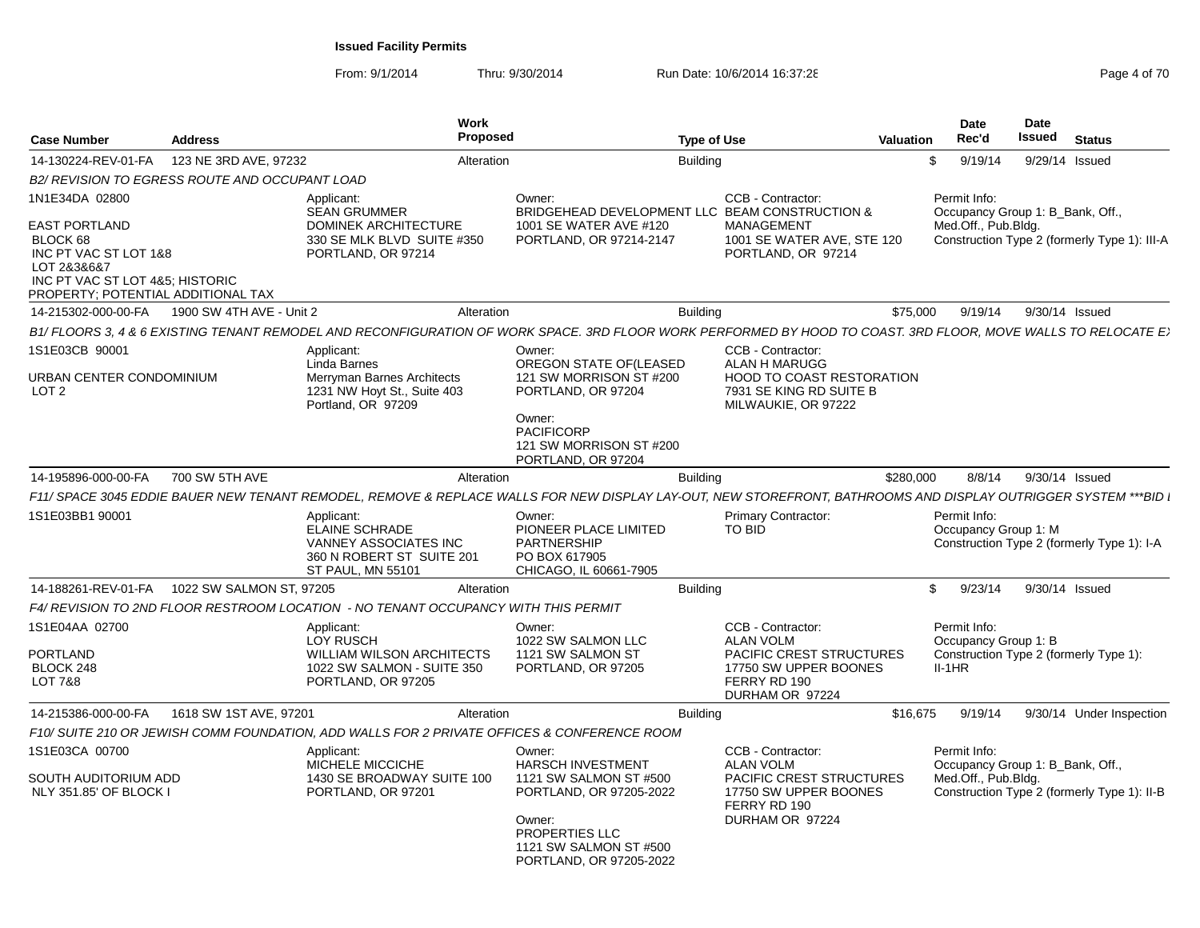From: 9/1/2014

|                                                                                                                                            |                                                |                                                                                                                        | <b>Work</b>                                                                                                                                                   |                                                                                                                                      |           | Date                                                                                       | <b>Date</b>    |                                              |
|--------------------------------------------------------------------------------------------------------------------------------------------|------------------------------------------------|------------------------------------------------------------------------------------------------------------------------|---------------------------------------------------------------------------------------------------------------------------------------------------------------|--------------------------------------------------------------------------------------------------------------------------------------|-----------|--------------------------------------------------------------------------------------------|----------------|----------------------------------------------|
| Case Number                                                                                                                                | <b>Address</b>                                 |                                                                                                                        | <b>Proposed</b>                                                                                                                                               | <b>Type of Use</b>                                                                                                                   | Valuation | Rec'd                                                                                      | Issued         | <b>Status</b>                                |
| 14-130224-REV-01-FA                                                                                                                        | 123 NE 3RD AVE, 97232                          |                                                                                                                        | Alteration                                                                                                                                                    | <b>Building</b>                                                                                                                      |           | 9/19/14<br>- SS                                                                            | 9/29/14 Issued |                                              |
|                                                                                                                                            | B2/ REVISION TO EGRESS ROUTE AND OCCUPANT LOAD |                                                                                                                        |                                                                                                                                                               |                                                                                                                                      |           |                                                                                            |                |                                              |
| 1N1E34DA 02800                                                                                                                             |                                                | Applicant:<br><b>SEAN GRUMMER</b>                                                                                      | Owner:                                                                                                                                                        | CCB - Contractor:<br>BRIDGEHEAD DEVELOPMENT LLC BEAM CONSTRUCTION &                                                                  |           | Permit Info:<br>Occupancy Group 1: B_Bank, Off.,                                           |                |                                              |
| EAST PORTLAND<br>BLOCK 68<br>INC PT VAC ST LOT 1&8<br>LOT 2&3&6&7<br>INC PT VAC ST LOT 4&5; HISTORIC<br>PROPERTY; POTENTIAL ADDITIONAL TAX |                                                | DOMINEK ARCHITECTURE<br>330 SE MLK BLVD SUITE #350<br>PORTLAND, OR 97214                                               | 1001 SE WATER AVE #120<br>PORTLAND, OR 97214-2147                                                                                                             | <b>MANAGEMENT</b><br>1001 SE WATER AVE, STE 120<br>PORTLAND, OR 97214                                                                |           | Med.Off., Pub.Bldg.                                                                        |                | Construction Type 2 (formerly Type 1): III-A |
| 14-215302-000-00-FA                                                                                                                        | 1900 SW 4TH AVE - Unit 2                       |                                                                                                                        | Alteration                                                                                                                                                    | <b>Building</b>                                                                                                                      | \$75.000  | 9/19/14                                                                                    | 9/30/14 Issued |                                              |
|                                                                                                                                            |                                                |                                                                                                                        | B1/FLOORS 3, 4 & 6 EXISTING TENANT REMODEL AND RECONFIGURATION OF WORK SPACE. 3RD FLOOR WORK PERFORMED BY HOOD TO COAST. 3RD FLOOR, MOVE WALLS TO RELOCATE E  |                                                                                                                                      |           |                                                                                            |                |                                              |
| 1S1E03CB 90001<br>URBAN CENTER CONDOMINIUM<br>LOT <sub>2</sub>                                                                             |                                                | Applicant:<br>Linda Barnes<br>Merryman Barnes Architects<br>1231 NW Hoyt St., Suite 403<br>Portland, OR 97209          | Owner:<br>OREGON STATE OF(LEASED<br>121 SW MORRISON ST #200<br>PORTLAND, OR 97204                                                                             | CCB - Contractor:<br>ALAN H MARUGG<br>HOOD TO COAST RESTORATION<br>7931 SE KING RD SUITE B<br>MILWAUKIE, OR 97222                    |           |                                                                                            |                |                                              |
|                                                                                                                                            |                                                |                                                                                                                        | Owner:<br><b>PACIFICORP</b><br>121 SW MORRISON ST #200<br>PORTLAND, OR 97204                                                                                  |                                                                                                                                      |           |                                                                                            |                |                                              |
| 14-195896-000-00-FA                                                                                                                        | 700 SW 5TH AVE                                 |                                                                                                                        | Alteration                                                                                                                                                    | <b>Building</b>                                                                                                                      | \$280,000 | 8/8/14                                                                                     | 9/30/14 Issued |                                              |
|                                                                                                                                            |                                                |                                                                                                                        | F11/ SPACE 3045 EDDIE BAUER NEW TENANT REMODEL, REMOVE & REPLACE WALLS FOR NEW DISPLAY LAY-OUT, NEW STOREFRONT, BATHROOMS AND DISPLAY OUTRIGGER SYSTEM ***BID |                                                                                                                                      |           |                                                                                            |                |                                              |
| 1S1E03BB1 90001                                                                                                                            |                                                | Applicant:<br>ELAINE SCHRADE<br>VANNEY ASSOCIATES INC<br>360 N ROBERT ST SUITE 201<br><b>ST PAUL. MN 55101</b>         | Owner:<br>PIONEER PLACE LIMITED<br>PARTNERSHIP<br>PO BOX 617905<br>CHICAGO, IL 60661-7905                                                                     | <b>Primary Contractor:</b><br>TO BID                                                                                                 |           | Permit Info:<br>Occupancy Group 1: M                                                       |                | Construction Type 2 (formerly Type 1): I-A   |
| 14-188261-REV-01-FA                                                                                                                        | 1022 SW SALMON ST, 97205                       |                                                                                                                        | Alteration                                                                                                                                                    | <b>Building</b>                                                                                                                      |           | 9/23/14<br>S.                                                                              | 9/30/14 Issued |                                              |
|                                                                                                                                            |                                                | F4/ REVISION TO 2ND FLOOR RESTROOM LOCATION - NO TENANT OCCUPANCY WITH THIS PERMIT                                     |                                                                                                                                                               |                                                                                                                                      |           |                                                                                            |                |                                              |
| 1S1E04AA 02700<br>PORTLAND<br>BLOCK 248<br><b>LOT 7&amp;8</b>                                                                              |                                                | Applicant:<br><b>LOY RUSCH</b><br><b>WILLIAM WILSON ARCHITECTS</b><br>1022 SW SALMON - SUITE 350<br>PORTLAND, OR 97205 | Owner:<br>1022 SW SALMON LLC<br>1121 SW SALMON ST<br>PORTLAND, OR 97205                                                                                       | CCB - Contractor:<br><b>ALAN VOLM</b><br><b>PACIFIC CREST STRUCTURES</b><br>17750 SW UPPER BOONES<br>FERRY RD 190<br>DURHAM OR 97224 |           | Permit Info:<br>Occupancy Group 1: B<br>Construction Type 2 (formerly Type 1):<br>$II-1HR$ |                |                                              |
| 14-215386-000-00-FA                                                                                                                        | 1618 SW 1ST AVE, 97201                         |                                                                                                                        | Alteration                                                                                                                                                    | Building                                                                                                                             | \$16,675  | 9/19/14                                                                                    |                | 9/30/14 Under Inspection                     |
|                                                                                                                                            |                                                |                                                                                                                        | F10/ SUITE 210 OR JEWISH COMM FOUNDATION, ADD WALLS FOR 2 PRIVATE OFFICES & CONFERENCE ROOM                                                                   |                                                                                                                                      |           |                                                                                            |                |                                              |
| 1S1E03CA 00700                                                                                                                             |                                                | Applicant:                                                                                                             | Owner:                                                                                                                                                        | CCB - Contractor:                                                                                                                    |           | Permit Info:                                                                               |                |                                              |
| SOUTH AUDITORIUM ADD<br>NLY 351.85' OF BLOCK I                                                                                             |                                                | MICHELE MICCICHE<br>1430 SE BROADWAY SUITE 100<br>PORTLAND, OR 97201                                                   | <b>HARSCH INVESTMENT</b><br>1121 SW SALMON ST #500<br>PORTLAND, OR 97205-2022<br>Owner:                                                                       | <b>ALAN VOLM</b><br><b>PACIFIC CREST STRUCTURES</b><br>17750 SW UPPER BOONES<br>FERRY RD 190<br>DURHAM OR 97224                      |           | Occupancy Group 1: B_Bank, Off.,<br>Med.Off., Pub.Bldg.                                    |                | Construction Type 2 (formerly Type 1): II-B  |
|                                                                                                                                            |                                                |                                                                                                                        | PROPERTIES LLC<br>1121 SW SALMON ST #500<br>PORTLAND, OR 97205-2022                                                                                           |                                                                                                                                      |           |                                                                                            |                |                                              |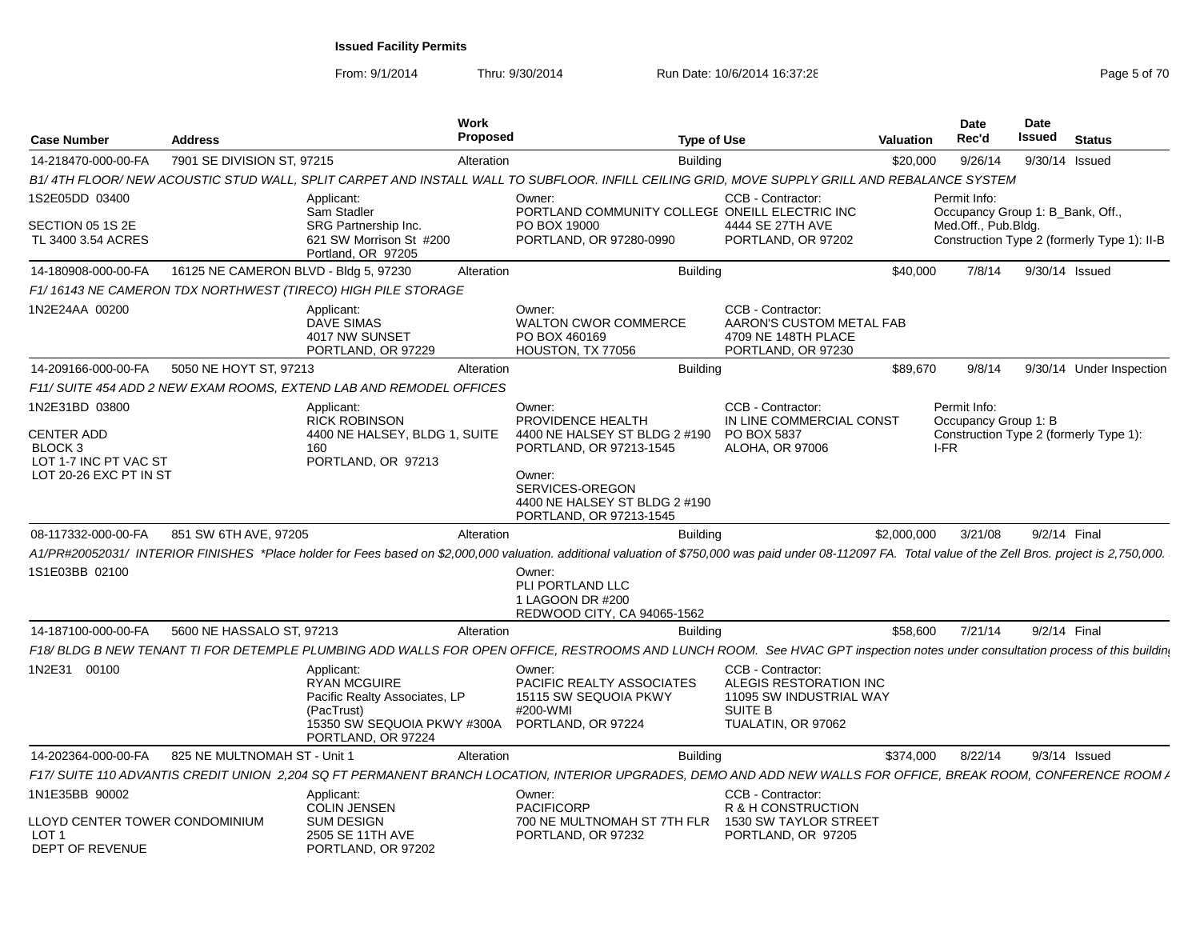| <b>Case Number</b>                                                              | <b>Address</b>                        |                                                                                                                                       | Work<br><b>Proposed</b> | <b>Type of Use</b>                                                                                                                                                                                          |                                                                                                                | <b>Valuation</b> | <b>Date</b><br>Rec'd                             | Date<br>Issued | <b>Status</b>                               |
|---------------------------------------------------------------------------------|---------------------------------------|---------------------------------------------------------------------------------------------------------------------------------------|-------------------------|-------------------------------------------------------------------------------------------------------------------------------------------------------------------------------------------------------------|----------------------------------------------------------------------------------------------------------------|------------------|--------------------------------------------------|----------------|---------------------------------------------|
| 14-218470-000-00-FA                                                             | 7901 SE DIVISION ST. 97215            |                                                                                                                                       | Alteration              | <b>Building</b>                                                                                                                                                                                             |                                                                                                                | \$20,000         | 9/26/14                                          |                | 9/30/14 Issued                              |
|                                                                                 |                                       |                                                                                                                                       |                         | B1/4TH FLOOR/ NEW ACOUSTIC STUD WALL. SPLIT CARPET AND INSTALL WALL TO SUBFLOOR. INFILL CEILING GRID. MOVE SUPPLY GRILL AND REBALANCE SYSTEM                                                                |                                                                                                                |                  |                                                  |                |                                             |
| 1S2E05DD 03400                                                                  |                                       | Applicant:<br>Sam Stadler                                                                                                             |                         | Owner:<br>PORTLAND COMMUNITY COLLEGE ONEILL ELECTRIC INC                                                                                                                                                    | CCB - Contractor:                                                                                              |                  | Permit Info:<br>Occupancy Group 1: B_Bank, Off., |                |                                             |
| SECTION 05 1S 2E<br>TL 3400 3.54 ACRES                                          |                                       | SRG Partnership Inc.<br>621 SW Morrison St #200<br>Portland, OR 97205                                                                 |                         | PO BOX 19000<br>PORTLAND, OR 97280-0990                                                                                                                                                                     | 4444 SE 27TH AVE<br>PORTLAND, OR 97202                                                                         |                  | Med.Off., Pub.Bldg.                              |                | Construction Type 2 (formerly Type 1): II-B |
| 14-180908-000-00-FA                                                             | 16125 NE CAMERON BLVD - Bldg 5, 97230 |                                                                                                                                       | Alteration              | <b>Building</b>                                                                                                                                                                                             |                                                                                                                | \$40,000         | 7/8/14                                           |                | 9/30/14 Issued                              |
|                                                                                 |                                       | F1/16143 NE CAMERON TDX NORTHWEST (TIRECO) HIGH PILE STORAGE                                                                          |                         |                                                                                                                                                                                                             |                                                                                                                |                  |                                                  |                |                                             |
| 1N2E24AA 00200                                                                  |                                       | Applicant:<br>DAVE SIMAS<br>4017 NW SUNSET<br>PORTLAND, OR 97229                                                                      |                         | Owner:<br><b>WALTON CWOR COMMERCE</b><br>PO BOX 460169<br>HOUSTON, TX 77056                                                                                                                                 | CCB - Contractor:<br>AARON'S CUSTOM METAL FAB<br>4709 NE 148TH PLACE<br>PORTLAND, OR 97230                     |                  |                                                  |                |                                             |
| 14-209166-000-00-FA                                                             | 5050 NE HOYT ST, 97213                |                                                                                                                                       | Alteration              | <b>Building</b>                                                                                                                                                                                             |                                                                                                                | \$89,670         | 9/8/14                                           |                | 9/30/14 Under Inspection                    |
|                                                                                 |                                       | F11/ SUITE 454 ADD 2 NEW EXAM ROOMS. EXTEND LAB AND REMODEL OFFICES                                                                   |                         |                                                                                                                                                                                                             |                                                                                                                |                  |                                                  |                |                                             |
| 1N2E31BD 03800                                                                  |                                       | Applicant:<br><b>RICK ROBINSON</b>                                                                                                    |                         | Owner:<br>PROVIDENCE HEALTH                                                                                                                                                                                 | CCB - Contractor:<br>IN LINE COMMERCIAL CONST                                                                  |                  | Permit Info:<br>Occupancy Group 1: B             |                |                                             |
| <b>CENTER ADD</b><br>BLOCK 3<br>LOT 1-7 INC PT VAC ST<br>LOT 20-26 EXC PT IN ST |                                       | 4400 NE HALSEY, BLDG 1, SUITE<br>160<br>PORTLAND, OR 97213                                                                            |                         | 4400 NE HALSEY ST BLDG 2 #190<br>PORTLAND, OR 97213-1545<br>Owner:<br>SERVICES-OREGON<br>4400 NE HALSEY ST BLDG 2 #190<br>PORTLAND, OR 97213-1545                                                           | PO BOX 5837<br>ALOHA, OR 97006                                                                                 |                  | I-FR                                             |                | Construction Type 2 (formerly Type 1):      |
| 08-117332-000-00-FA                                                             | 851 SW 6TH AVE, 97205                 |                                                                                                                                       | Alteration              | <b>Building</b>                                                                                                                                                                                             |                                                                                                                | \$2,000,000      | 3/21/08                                          | 9/2/14 Final   |                                             |
|                                                                                 |                                       |                                                                                                                                       |                         | A1/PR#20052031/ INTERIOR FINISHES *Place holder for Fees based on \$2,000,000 valuation. additional valuation of \$750,000 was paid under 08-112097 FA. Total value of the Zell Bros. project is 2,750,000. |                                                                                                                |                  |                                                  |                |                                             |
| 1S1E03BB 02100                                                                  |                                       |                                                                                                                                       |                         | Owner:<br>PLI PORTLAND LLC<br>1 LAGOON DR #200<br>REDWOOD CITY, CA 94065-1562                                                                                                                               |                                                                                                                |                  |                                                  |                |                                             |
| 14-187100-000-00-FA                                                             | 5600 NE HASSALO ST. 97213             |                                                                                                                                       | Alteration              | <b>Building</b>                                                                                                                                                                                             |                                                                                                                | \$58,600         | 7/21/14                                          | 9/2/14 Final   |                                             |
|                                                                                 |                                       |                                                                                                                                       |                         | F18/BLDG B NEW TENANT TI FOR DETEMPLE PLUMBING ADD WALLS FOR OPEN OFFICE, RESTROOMS AND LUNCH ROOM. See HVAC GPT inspection notes under consultation process of this buildin                                |                                                                                                                |                  |                                                  |                |                                             |
| 1N2E31 00100                                                                    |                                       | Applicant:<br><b>RYAN MCGUIRE</b><br>Pacific Realty Associates, LP<br>(PacTrust)<br>15350 SW SEQUOIA PKWY #300A<br>PORTLAND, OR 97224 |                         | Owner:<br>PACIFIC REALTY ASSOCIATES<br>15115 SW SEQUOIA PKWY<br>#200-WMI<br>PORTLAND, OR 97224                                                                                                              | CCB - Contractor:<br>ALEGIS RESTORATION INC<br>11095 SW INDUSTRIAL WAY<br><b>SUITE B</b><br>TUALATIN, OR 97062 |                  |                                                  |                |                                             |
| 14-202364-000-00-FA                                                             | 825 NE MULTNOMAH ST - Unit 1          |                                                                                                                                       | Alteration              | <b>Building</b>                                                                                                                                                                                             |                                                                                                                | \$374.000        | 8/22/14                                          |                | $9/3/14$ Issued                             |
|                                                                                 |                                       |                                                                                                                                       |                         | F17/ SUITE 110 ADVANTIS CREDIT UNION 2.204 SQ FT PERMANENT BRANCH LOCATION, INTERIOR UPGRADES, DEMO AND ADD NEW WALLS FOR OFFICE, BREAK ROOM, CONFERENCE ROOM /                                             |                                                                                                                |                  |                                                  |                |                                             |
| 1N1E35BB 90002                                                                  |                                       | Applicant:<br><b>COLIN JENSEN</b>                                                                                                     |                         | Owner:<br><b>PACIFICORP</b>                                                                                                                                                                                 | CCB - Contractor:<br>R & H CONSTRUCTION                                                                        |                  |                                                  |                |                                             |
| LLOYD CENTER TOWER CONDOMINIUM<br>LOT 1<br>DEPT OF REVENUE                      |                                       | <b>SUM DESIGN</b><br>2505 SE 11TH AVE<br>PORTLAND, OR 97202                                                                           |                         | 700 NE MULTNOMAH ST 7TH FLR<br>PORTLAND, OR 97232                                                                                                                                                           | 1530 SW TAYLOR STREET<br>PORTLAND, OR 97205                                                                    |                  |                                                  |                |                                             |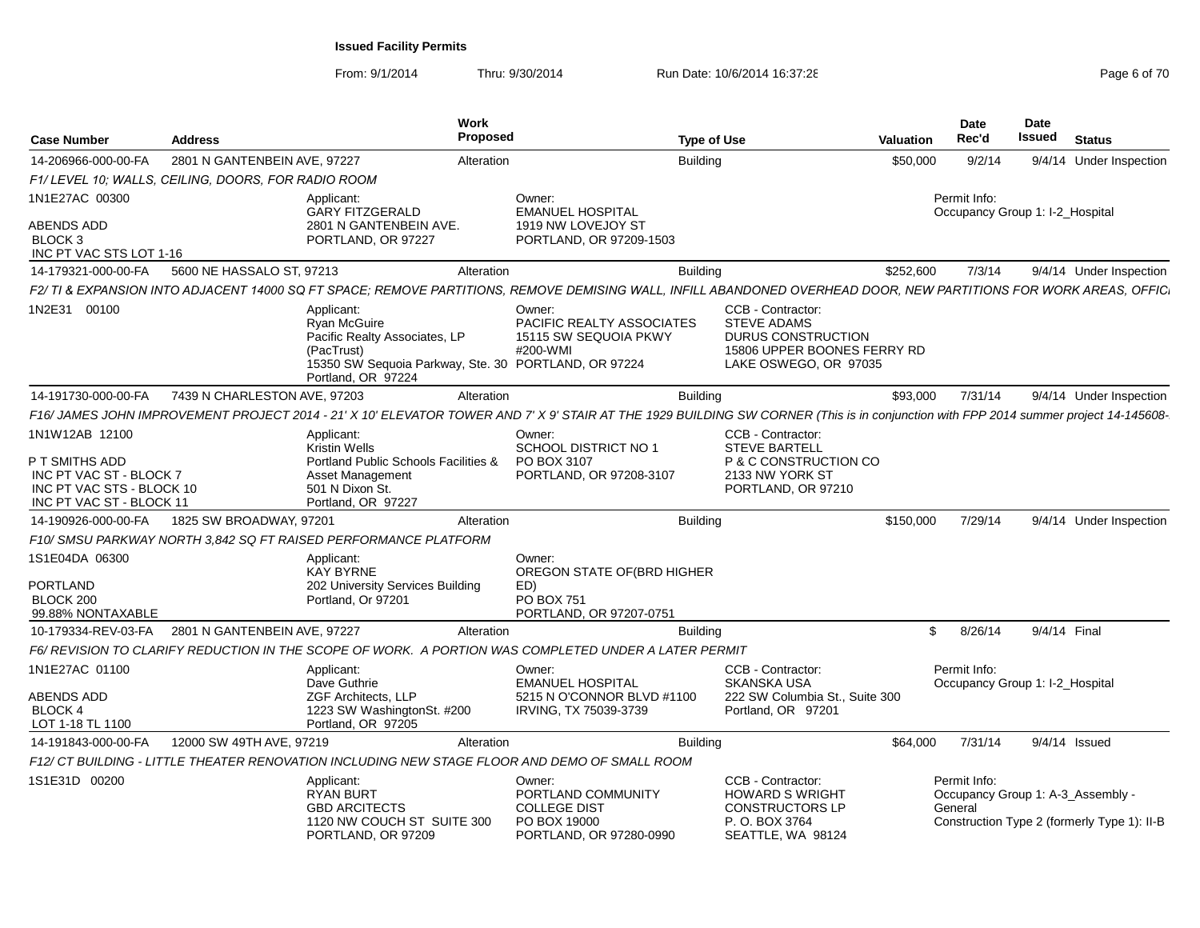From: 9/1/2014

| <b>Case Number</b>                                                                       | Address                                             |                                                                                                                                                | Work<br><b>Proposed</b>                                                                                                                                                              | <b>Type of Use</b>                                                                      | <b>Valuation</b>                                                           | Date<br>Rec'd           | <b>Date</b><br>Issued<br><b>Status</b>                                           |  |
|------------------------------------------------------------------------------------------|-----------------------------------------------------|------------------------------------------------------------------------------------------------------------------------------------------------|--------------------------------------------------------------------------------------------------------------------------------------------------------------------------------------|-----------------------------------------------------------------------------------------|----------------------------------------------------------------------------|-------------------------|----------------------------------------------------------------------------------|--|
| 14-206966-000-00-FA                                                                      | 2801 N GANTENBEIN AVE, 97227                        |                                                                                                                                                | Alteration                                                                                                                                                                           | <b>Building</b>                                                                         | \$50,000                                                                   | 9/2/14                  | 9/4/14 Under Inspection                                                          |  |
|                                                                                          | F1/ LEVEL 10; WALLS, CEILING, DOORS, FOR RADIO ROOM |                                                                                                                                                |                                                                                                                                                                                      |                                                                                         |                                                                            |                         |                                                                                  |  |
| 1N1E27AC 00300                                                                           |                                                     | Applicant:                                                                                                                                     | Owner:                                                                                                                                                                               |                                                                                         |                                                                            | Permit Info:            |                                                                                  |  |
| <b>ABENDS ADD</b><br>BLOCK 3<br>INC PT VAC STS LOT 1-16                                  |                                                     | <b>GARY FITZGERALD</b><br>2801 N GANTENBEIN AVE.<br>PORTLAND, OR 97227                                                                         | <b>EMANUEL HOSPITAL</b><br>1919 NW LOVEJOY ST<br>PORTLAND, OR 97209-1503                                                                                                             |                                                                                         |                                                                            |                         | Occupancy Group 1: I-2_Hospital                                                  |  |
| 14-179321-000-00-FA                                                                      | 5600 NE HASSALO ST. 97213                           |                                                                                                                                                | Alteration                                                                                                                                                                           | <b>Building</b>                                                                         | \$252.600                                                                  | 7/3/14                  | 9/4/14 Under Inspection                                                          |  |
|                                                                                          |                                                     |                                                                                                                                                | F2/ TI & EXPANSION INTO ADJACENT 14000 SQ FT SPACE: REMOVE PARTITIONS, REMOVE DEMISING WALL, INFILL ABANDONED OVERHEAD DOOR, NEW PARTITIONS FOR WORK AREAS, OFFIC                    |                                                                                         |                                                                            |                         |                                                                                  |  |
| 1N2E31 00100                                                                             |                                                     | Applicant:<br>Ryan McGuire<br>Pacific Realty Associates, LP<br>(PacTrust)<br>Portland, OR 97224                                                | Owner:<br>PACIFIC REALTY ASSOCIATES<br>15115 SW SEQUOIA PKWY<br>#200-WMI<br>15350 SW Sequoia Parkway, Ste. 30 PORTLAND, OR 97224                                                     | CCB - Contractor:<br><b>STEVE ADAMS</b>                                                 | DURUS CONSTRUCTION<br>15806 UPPER BOONES FERRY RD<br>LAKE OSWEGO, OR 97035 |                         |                                                                                  |  |
| 14-191730-000-00-FA                                                                      | 7439 N CHARLESTON AVE, 97203                        |                                                                                                                                                | Alteration                                                                                                                                                                           | Building                                                                                | \$93,000                                                                   | 7/31/14                 | 9/4/14 Under Inspection                                                          |  |
|                                                                                          |                                                     |                                                                                                                                                | F16/ JAMES JOHN IMPROVEMENT PROJECT 2014 - 21' X 10' ELEVATOR TOWER AND 7' X 9' STAIR AT THE 1929 BUILDING SW CORNER (This is in conjunction with FPP 2014 summer project 14-145608- |                                                                                         |                                                                            |                         |                                                                                  |  |
| 1N1W12AB 12100<br>P T SMITHS ADD<br>INC PT VAC ST - BLOCK 7<br>INC PT VAC STS - BLOCK 10 |                                                     | Applicant:<br><b>Kristin Wells</b><br>Portland Public Schools Facilities &<br><b>Asset Management</b><br>501 N Dixon St.<br>Portland, OR 97227 | Owner:<br>SCHOOL DISTRICT NO 1<br>PO BOX 3107<br>PORTLAND, OR 97208-3107                                                                                                             | CCB - Contractor:<br><b>STEVE BARTELL</b><br>2133 NW YORK ST                            | P & C CONSTRUCTION CO<br>PORTLAND, OR 97210                                |                         |                                                                                  |  |
| INC PT VAC ST - BLOCK 11                                                                 |                                                     |                                                                                                                                                |                                                                                                                                                                                      |                                                                                         |                                                                            |                         |                                                                                  |  |
| 14-190926-000-00-FA                                                                      | 1825 SW BROADWAY, 97201                             |                                                                                                                                                | Alteration                                                                                                                                                                           | Building                                                                                | \$150,000                                                                  | 7/29/14                 | 9/4/14 Under Inspection                                                          |  |
|                                                                                          |                                                     | F10/ SMSU PARKWAY NORTH 3.842 SQ FT RAISED PERFORMANCE PLATFORM                                                                                |                                                                                                                                                                                      |                                                                                         |                                                                            |                         |                                                                                  |  |
| 1S1E04DA 06300                                                                           |                                                     | Applicant:<br>KAY BYRNE                                                                                                                        | Owner:<br>OREGON STATE OF(BRD HIGHER                                                                                                                                                 |                                                                                         |                                                                            |                         |                                                                                  |  |
| <b>PORTLAND</b>                                                                          |                                                     | 202 University Services Building                                                                                                               | ED)                                                                                                                                                                                  |                                                                                         |                                                                            |                         |                                                                                  |  |
| BLOCK 200<br>99.88% NONTAXABLE                                                           |                                                     | Portland. Or 97201                                                                                                                             | PO BOX 751<br>PORTLAND, OR 97207-0751                                                                                                                                                |                                                                                         |                                                                            |                         |                                                                                  |  |
| 10-179334-REV-03-FA                                                                      | 2801 N GANTENBEIN AVE. 97227                        |                                                                                                                                                | Alteration                                                                                                                                                                           | Building                                                                                |                                                                            | \$8/26/14               | 9/4/14 Final                                                                     |  |
|                                                                                          |                                                     |                                                                                                                                                | F6/ REVISION TO CLARIFY REDUCTION IN THE SCOPE OF WORK. A PORTION WAS COMPLETED UNDER A LATER PERMIT                                                                                 |                                                                                         |                                                                            |                         |                                                                                  |  |
| 1N1E27AC 01100                                                                           |                                                     | Applicant:                                                                                                                                     | Owner:                                                                                                                                                                               | CCB - Contractor:                                                                       |                                                                            | Permit Info:            |                                                                                  |  |
| <b>ABENDS ADD</b><br>BLOCK 4<br>LOT 1-18 TL 1100                                         |                                                     | Dave Guthrie<br><b>ZGF Architects, LLP</b><br>1223 SW WashingtonSt. #200<br>Portland, OR 97205                                                 | <b>EMANUEL HOSPITAL</b><br>5215 N O'CONNOR BLVD #1100<br>IRVING, TX 75039-3739                                                                                                       | <b>SKANSKA USA</b><br>Portland, OR 97201                                                | 222 SW Columbia St., Suite 300                                             |                         | Occupancy Group 1: I-2_Hospital                                                  |  |
| 14-191843-000-00-FA                                                                      | 12000 SW 49TH AVE, 97219                            |                                                                                                                                                | Alteration                                                                                                                                                                           | Building                                                                                | \$64,000                                                                   | 7/31/14                 | 9/4/14 Issued                                                                    |  |
|                                                                                          |                                                     |                                                                                                                                                | F12/ CT BUILDING - LITTLE THEATER RENOVATION INCLUDING NEW STAGE FLOOR AND DEMO OF SMALL ROOM                                                                                        |                                                                                         |                                                                            |                         |                                                                                  |  |
| 1S1E31D 00200                                                                            |                                                     | Applicant:<br><b>RYAN BURT</b><br><b>GBD ARCITECTS</b><br>1120 NW COUCH ST SUITE 300<br>PORTLAND, OR 97209                                     | Owner:<br>PORTLAND COMMUNITY<br><b>COLLEGE DIST</b><br>PO BOX 19000<br>PORTLAND, OR 97280-0990                                                                                       | CCB - Contractor:<br><b>HOWARD S WRIGHT</b><br><b>CONSTRUCTORS LP</b><br>P. O. BOX 3764 | SEATTLE, WA 98124                                                          | Permit Info:<br>General | Occupancy Group 1: A-3_Assembly -<br>Construction Type 2 (formerly Type 1): II-B |  |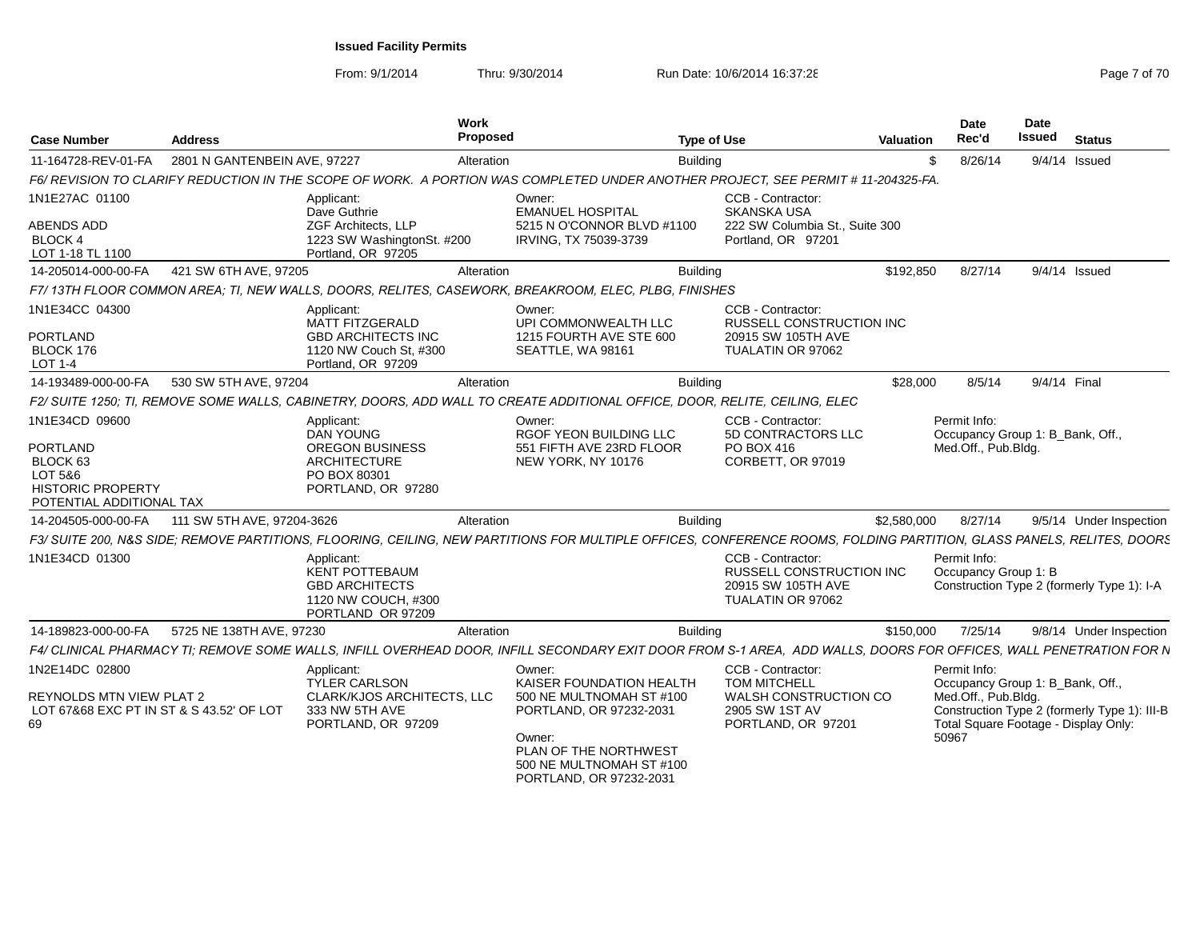| <b>Case Number</b>                                                                                                   | <b>Address</b>               |                                                                                                                   | Work<br>Proposed | <b>Type of Use</b>                                                                                                                                                    |                                                                                                           | Valuation   | Date<br>Rec'd                                                                    | <b>Date</b><br><b>Issued</b> | <b>Status</b>                                                                        |
|----------------------------------------------------------------------------------------------------------------------|------------------------------|-------------------------------------------------------------------------------------------------------------------|------------------|-----------------------------------------------------------------------------------------------------------------------------------------------------------------------|-----------------------------------------------------------------------------------------------------------|-------------|----------------------------------------------------------------------------------|------------------------------|--------------------------------------------------------------------------------------|
| 11-164728-REV-01-FA                                                                                                  | 2801 N GANTENBEIN AVE, 97227 |                                                                                                                   | Alteration       | <b>Building</b>                                                                                                                                                       |                                                                                                           | £.          | 8/26/14                                                                          |                              | 9/4/14 Issued                                                                        |
|                                                                                                                      |                              |                                                                                                                   |                  | F6/REVISION TO CLARIFY REDUCTION IN THE SCOPE OF WORK. A PORTION WAS COMPLETED UNDER ANOTHER PROJECT. SEE PERMIT # 11-204325-FA                                       |                                                                                                           |             |                                                                                  |                              |                                                                                      |
| 1N1E27AC 01100<br><b>ABENDS ADD</b><br><b>BLOCK 4</b><br>LOT 1-18 TL 1100                                            |                              | Applicant:<br>Dave Guthrie<br><b>ZGF Architects, LLP</b><br>1223 SW WashingtonSt. #200<br>Portland, OR 97205      |                  | Owner:<br><b>EMANUEL HOSPITAL</b><br>5215 N O'CONNOR BLVD #1100<br>IRVING, TX 75039-3739                                                                              | CCB - Contractor:<br><b>SKANSKA USA</b><br>222 SW Columbia St., Suite 300<br>Portland, OR 97201           |             |                                                                                  |                              |                                                                                      |
| 14-205014-000-00-FA                                                                                                  | 421 SW 6TH AVE, 97205        |                                                                                                                   | Alteration       | <b>Building</b>                                                                                                                                                       |                                                                                                           | \$192,850   | 8/27/14                                                                          |                              | 9/4/14 Issued                                                                        |
|                                                                                                                      |                              |                                                                                                                   |                  | F7/13TH FLOOR COMMON AREA; TI, NEW WALLS, DOORS, RELITES, CASEWORK, BREAKROOM, ELEC, PLBG, FINISHES                                                                   |                                                                                                           |             |                                                                                  |                              |                                                                                      |
| 1N1E34CC 04300<br><b>PORTLAND</b><br>BLOCK 176<br>$LOT 1-4$                                                          |                              | Applicant:<br><b>MATT FITZGERALD</b><br><b>GBD ARCHITECTS INC</b><br>1120 NW Couch St. #300<br>Portland, OR 97209 |                  | Owner:<br>UPI COMMONWEALTH LLC<br>1215 FOURTH AVE STE 600<br>SEATTLE, WA 98161                                                                                        | CCB - Contractor:<br>RUSSELL CONSTRUCTION INC<br>20915 SW 105TH AVE<br>TUALATIN OR 97062                  |             |                                                                                  |                              |                                                                                      |
| 14-193489-000-00-FA                                                                                                  | 530 SW 5TH AVE, 97204        |                                                                                                                   | Alteration       | <b>Building</b>                                                                                                                                                       |                                                                                                           | \$28,000    | 8/5/14                                                                           | 9/4/14 Final                 |                                                                                      |
|                                                                                                                      |                              |                                                                                                                   |                  | F2/ SUITE 1250; TI, REMOVE SOME WALLS, CABINETRY, DOORS, ADD WALL TO CREATE ADDITIONAL OFFICE, DOOR, RELITE, CEILING, ELEC                                            |                                                                                                           |             |                                                                                  |                              |                                                                                      |
| 1N1E34CD 09600<br>PORTLAND<br>BLOCK <sub>63</sub><br>LOT 5&6<br><b>HISTORIC PROPERTY</b><br>POTENTIAL ADDITIONAL TAX |                              | Applicant:<br><b>DAN YOUNG</b><br>OREGON BUSINESS<br>ARCHITECTURE<br>PO BOX 80301<br>PORTLAND, OR 97280           |                  | Owner:<br>RGOF YEON BUILDING LLC<br>551 FIFTH AVE 23RD FLOOR<br>NEW YORK, NY 10176                                                                                    | CCB - Contractor:<br>5D CONTRACTORS LLC<br>PO BOX 416<br>CORBETT, OR 97019                                |             | Permit Info:<br>Occupancy Group 1: B_Bank, Off.,<br>Med.Off., Pub.Bldg.          |                              |                                                                                      |
| 14-204505-000-00-FA                                                                                                  | 111 SW 5TH AVE, 97204-3626   |                                                                                                                   | Alteration       | <b>Building</b>                                                                                                                                                       |                                                                                                           | \$2,580,000 | 8/27/14                                                                          |                              | 9/5/14 Under Inspection                                                              |
|                                                                                                                      |                              |                                                                                                                   |                  | F3/ SUITE 200, N&S SIDE; REMOVE PARTITIONS, FLOORING, CEILING, NEW PARTITIONS FOR MULTIPLE OFFICES, CONFERENCE ROOMS, FOLDING PARTITION, GLASS PANELS, RELITES, DOORS |                                                                                                           |             |                                                                                  |                              |                                                                                      |
| 1N1E34CD 01300                                                                                                       |                              | Applicant:<br><b>KENT POTTEBAUM</b><br><b>GBD ARCHITECTS</b><br>1120 NW COUCH, #300<br>PORTLAND OR 97209          |                  |                                                                                                                                                                       | CCB - Contractor:<br><b>RUSSELL CONSTRUCTION INC</b><br>20915 SW 105TH AVE<br>TUALATIN OR 97062           |             | Permit Info:<br>Occupancy Group 1: B                                             |                              | Construction Type 2 (formerly Type 1): I-A                                           |
| 14-189823-000-00-FA                                                                                                  | 5725 NE 138TH AVE, 97230     |                                                                                                                   | Alteration       | <b>Building</b>                                                                                                                                                       |                                                                                                           | \$150,000   | 7/25/14                                                                          |                              | 9/8/14 Under Inspection                                                              |
|                                                                                                                      |                              |                                                                                                                   |                  | F4/ CLINICAL PHARMACY TI: REMOVE SOME WALLS. INFILL OVERHEAD DOOR. INFILL SECONDARY EXIT DOOR FROM S-1 AREA. ADD WALLS, DOORS FOR OFFICES, WALL PENETRATION FOR N     |                                                                                                           |             |                                                                                  |                              |                                                                                      |
| 1N2E14DC 02800<br>REYNOLDS MTN VIEW PLAT 2<br>LOT 67&68 EXC PT IN ST & S 43.52' OF LOT<br>69                         |                              | Applicant:<br><b>TYLER CARLSON</b><br>CLARK/KJOS ARCHITECTS. LLC<br>333 NW 5TH AVE<br>PORTLAND, OR 97209          |                  | Owner:<br>KAISER FOUNDATION HEALTH<br>500 NE MULTNOMAH ST #100<br>PORTLAND, OR 97232-2031<br>Owner:                                                                   | CCB - Contractor:<br><b>TOM MITCHELL</b><br>WALSH CONSTRUCTION CO<br>2905 SW 1ST AV<br>PORTLAND, OR 97201 |             | Permit Info:<br>Occupancy Group 1: B_Bank, Off.,<br>Med.Off., Pub.Bldg.<br>50967 |                              | Construction Type 2 (formerly Type 1): III-B<br>Total Square Footage - Display Only: |
|                                                                                                                      |                              |                                                                                                                   |                  | PLAN OF THE NORTHWEST<br>500 NE MULTNOMAH ST #100<br>PORTLAND, OR 97232-2031                                                                                          |                                                                                                           |             |                                                                                  |                              |                                                                                      |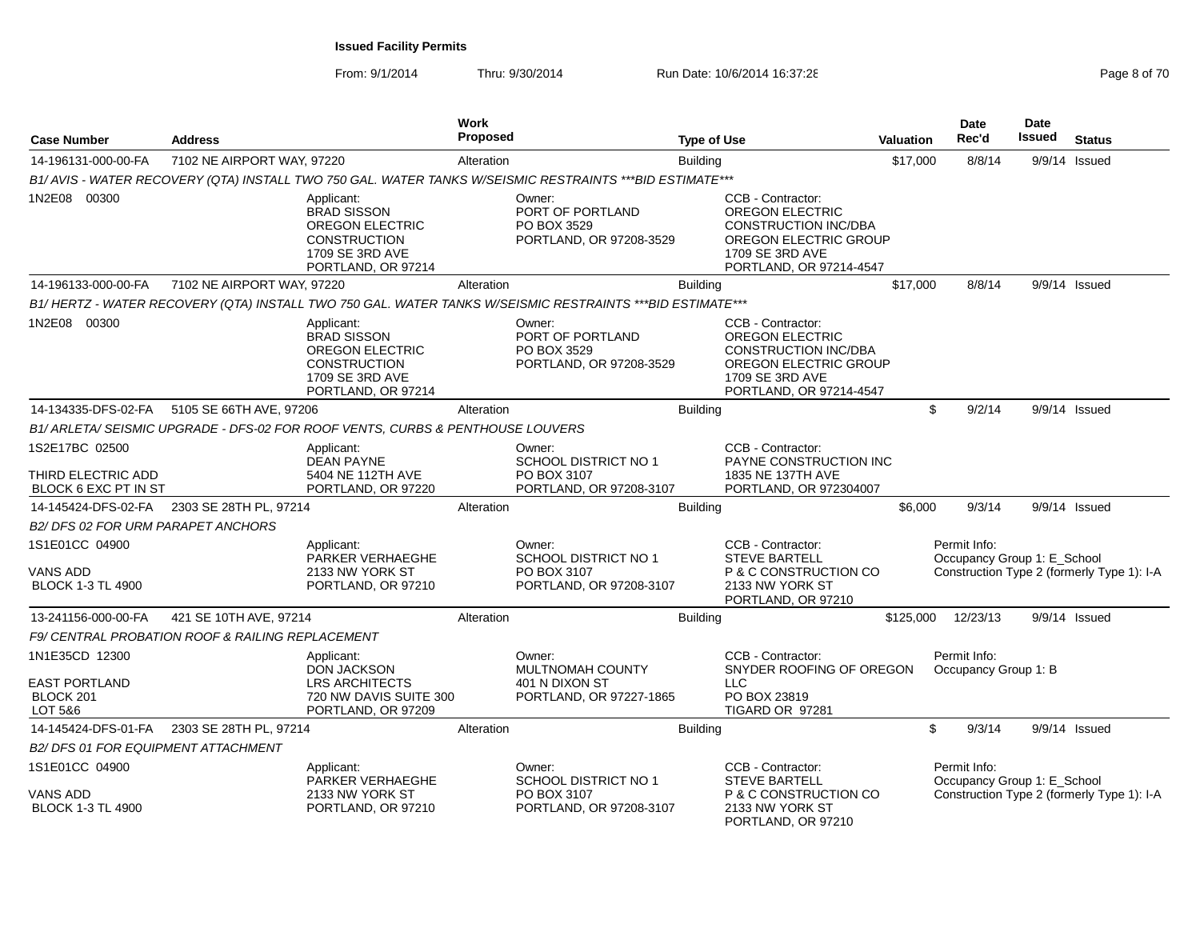| <b>Case Number</b>                                             | <b>Address</b>                                   |                                                                                                                            | <b>Work</b><br>Proposed |                                                                                                           | <b>Type of Use</b> |                                                                                                                                                   | <b>Valuation</b> | Date<br>Rec'd                        | Date<br><b>Issued</b>       | <b>Status</b>                              |
|----------------------------------------------------------------|--------------------------------------------------|----------------------------------------------------------------------------------------------------------------------------|-------------------------|-----------------------------------------------------------------------------------------------------------|--------------------|---------------------------------------------------------------------------------------------------------------------------------------------------|------------------|--------------------------------------|-----------------------------|--------------------------------------------|
| 14-196131-000-00-FA                                            | 7102 NE AIRPORT WAY, 97220                       |                                                                                                                            | Alteration              |                                                                                                           | <b>Building</b>    |                                                                                                                                                   | \$17,000         | 8/8/14                               | 9/9/14 Issued               |                                            |
|                                                                |                                                  |                                                                                                                            |                         | B1/AVIS - WATER RECOVERY (QTA) INSTALL TWO 750 GAL. WATER TANKS W/SEISMIC RESTRAINTS *** BID ESTIMATE***  |                    |                                                                                                                                                   |                  |                                      |                             |                                            |
| 1N2E08 00300                                                   |                                                  | Applicant:<br><b>BRAD SISSON</b><br><b>OREGON ELECTRIC</b><br><b>CONSTRUCTION</b><br>1709 SE 3RD AVE<br>PORTLAND, OR 97214 |                         | Owner:<br>PORT OF PORTLAND<br>PO BOX 3529<br>PORTLAND, OR 97208-3529                                      |                    | CCB - Contractor:<br><b>OREGON ELECTRIC</b><br><b>CONSTRUCTION INC/DBA</b><br>OREGON ELECTRIC GROUP<br>1709 SE 3RD AVE<br>PORTLAND, OR 97214-4547 |                  |                                      |                             |                                            |
| 14-196133-000-00-FA                                            | 7102 NE AIRPORT WAY, 97220                       |                                                                                                                            | Alteration              |                                                                                                           | <b>Building</b>    |                                                                                                                                                   | \$17,000         | 8/8/14                               |                             | 9/9/14 Issued                              |
|                                                                |                                                  |                                                                                                                            |                         | B1/HERTZ - WATER RECOVERY (QTA) INSTALL TWO 750 GAL. WATER TANKS W/SEISMIC RESTRAINTS *** BID ESTIMATE*** |                    |                                                                                                                                                   |                  |                                      |                             |                                            |
| 1N2E08 00300                                                   |                                                  | Applicant:<br><b>BRAD SISSON</b><br><b>OREGON ELECTRIC</b><br><b>CONSTRUCTION</b><br>1709 SE 3RD AVE<br>PORTLAND, OR 97214 |                         | Owner:<br>PORT OF PORTLAND<br>PO BOX 3529<br>PORTLAND, OR 97208-3529                                      |                    | CCB - Contractor:<br>OREGON ELECTRIC<br><b>CONSTRUCTION INC/DBA</b><br>OREGON ELECTRIC GROUP<br>1709 SE 3RD AVE<br>PORTLAND, OR 97214-4547        |                  |                                      |                             |                                            |
| 14-134335-DFS-02-FA                                            | 5105 SE 66TH AVE, 97206                          |                                                                                                                            | Alteration              |                                                                                                           | <b>Building</b>    |                                                                                                                                                   |                  | \$<br>9/2/14                         |                             | $9/9/14$ Issued                            |
|                                                                |                                                  | B1/ ARLETA/ SEISMIC UPGRADE - DFS-02 FOR ROOF VENTS, CURBS & PENTHOUSE LOUVERS                                             |                         |                                                                                                           |                    |                                                                                                                                                   |                  |                                      |                             |                                            |
| 1S2E17BC 02500<br>THIRD ELECTRIC ADD<br>BLOCK 6 EXC PT IN ST   |                                                  | Applicant:<br><b>DEAN PAYNE</b><br>5404 NE 112TH AVE<br>PORTLAND, OR 97220                                                 |                         | Owner:<br>SCHOOL DISTRICT NO 1<br>PO BOX 3107<br>PORTLAND, OR 97208-3107                                  |                    | CCB - Contractor:<br>PAYNE CONSTRUCTION INC<br>1835 NE 137TH AVE<br>PORTLAND, OR 972304007                                                        |                  |                                      |                             |                                            |
| 14-145424-DFS-02-FA                                            | 2303 SE 28TH PL, 97214                           |                                                                                                                            | Alteration              |                                                                                                           | <b>Building</b>    |                                                                                                                                                   | \$6,000          | 9/3/14                               |                             | 9/9/14 Issued                              |
| B2/DFS 02 FOR URM PARAPET ANCHORS                              |                                                  |                                                                                                                            |                         |                                                                                                           |                    |                                                                                                                                                   |                  |                                      |                             |                                            |
| 1S1E01CC 04900<br>VANS ADD<br><b>BLOCK 1-3 TL 4900</b>         |                                                  | Applicant:<br>PARKER VERHAEGHE<br>2133 NW YORK ST<br>PORTLAND, OR 97210                                                    |                         | Owner:<br>SCHOOL DISTRICT NO 1<br>PO BOX 3107<br>PORTLAND, OR 97208-3107                                  |                    | CCB - Contractor:<br><b>STEVE BARTELL</b><br>P & C CONSTRUCTION CO<br>2133 NW YORK ST<br>PORTLAND, OR 97210                                       |                  | Permit Info:                         | Occupancy Group 1: E_School | Construction Type 2 (formerly Type 1): I-A |
| 13-241156-000-00-FA                                            | 421 SE 10TH AVE, 97214                           |                                                                                                                            | Alteration              |                                                                                                           | <b>Building</b>    |                                                                                                                                                   | \$125,000        | 12/23/13                             |                             | $9/9/14$ Issued                            |
|                                                                | F9/ CENTRAL PROBATION ROOF & RAILING REPLACEMENT |                                                                                                                            |                         |                                                                                                           |                    |                                                                                                                                                   |                  |                                      |                             |                                            |
| 1N1E35CD 12300<br><b>EAST PORTLAND</b><br>BLOCK 201<br>LOT 5&6 |                                                  | Applicant:<br><b>DON JACKSON</b><br><b>LRS ARCHITECTS</b><br>720 NW DAVIS SUITE 300<br>PORTLAND, OR 97209                  |                         | Owner:<br>MULTNOMAH COUNTY<br>401 N DIXON ST<br>PORTLAND, OR 97227-1865                                   |                    | CCB - Contractor:<br>SNYDER ROOFING OF OREGON<br><b>LLC</b><br>PO BOX 23819<br>TIGARD OR 97281                                                    |                  | Permit Info:<br>Occupancy Group 1: B |                             |                                            |
|                                                                | 14-145424-DFS-01-FA 2303 SE 28TH PL, 97214       |                                                                                                                            | Alteration              |                                                                                                           | <b>Building</b>    |                                                                                                                                                   |                  | \$<br>9/3/14                         |                             | 9/9/14 Issued                              |
| <b>B2/DFS 01 FOR EQUIPMENT ATTACHMENT</b>                      |                                                  |                                                                                                                            |                         |                                                                                                           |                    |                                                                                                                                                   |                  |                                      |                             |                                            |
| 1S1E01CC 04900<br>VANS ADD<br><b>BLOCK 1-3 TL 4900</b>         |                                                  | Applicant:<br>PARKER VERHAEGHE<br>2133 NW YORK ST<br>PORTLAND, OR 97210                                                    |                         | Owner:<br>SCHOOL DISTRICT NO 1<br>PO BOX 3107<br>PORTLAND, OR 97208-3107                                  |                    | CCB - Contractor:<br><b>STEVE BARTELL</b><br>P & C CONSTRUCTION CO<br>2133 NW YORK ST<br>PORTLAND, OR 97210                                       |                  | Permit Info:                         | Occupancy Group 1: E_School | Construction Type 2 (formerly Type 1): I-A |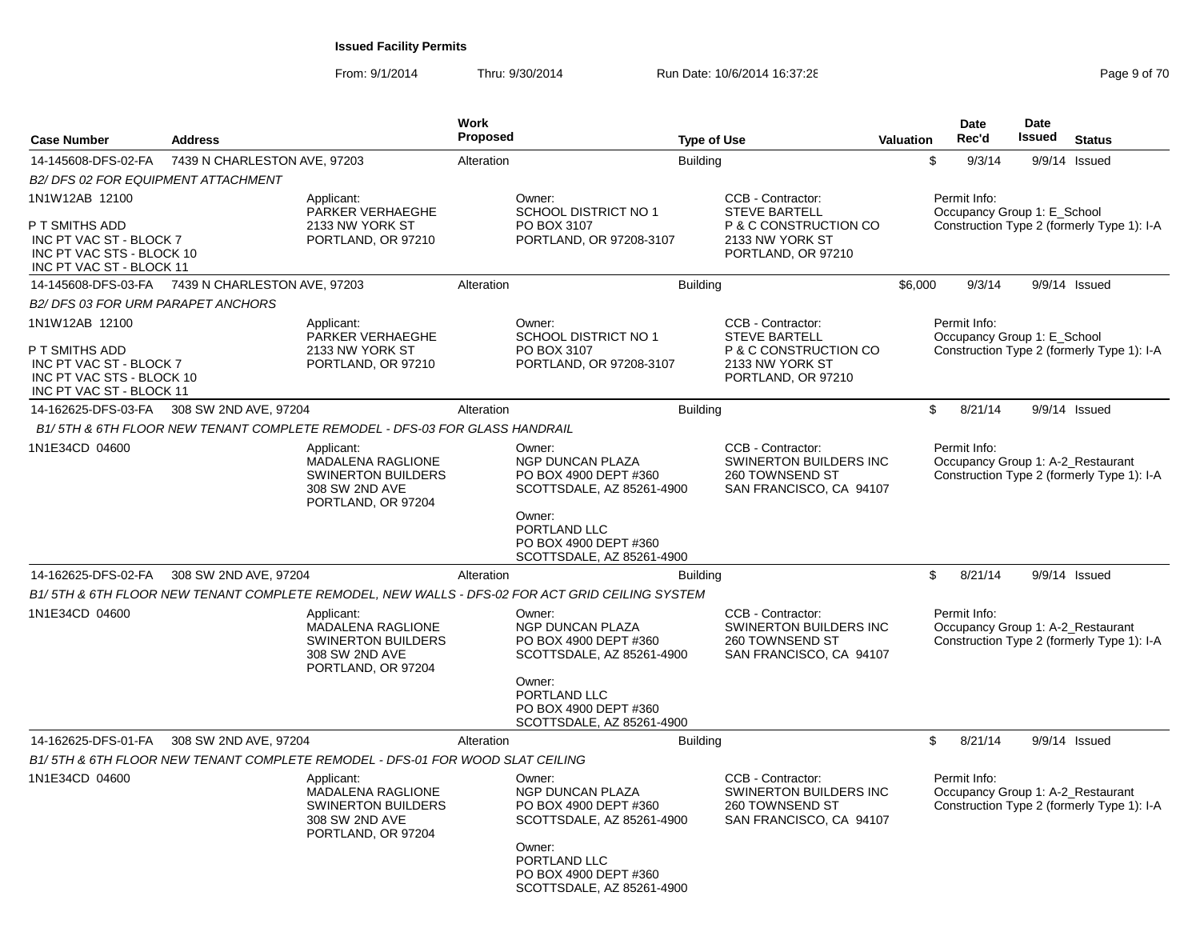| <b>Case Number</b>                                                                                                   | <b>Address</b>               |                                                                                                      | <b>Work</b><br><b>Proposed</b> |                                                                                                 | <b>Type of Use</b> |                                                                                                             | <b>Valuation</b> | Date<br>Rec'd                               | Date<br><b>Issued</b> | <b>Status</b>                                                                   |
|----------------------------------------------------------------------------------------------------------------------|------------------------------|------------------------------------------------------------------------------------------------------|--------------------------------|-------------------------------------------------------------------------------------------------|--------------------|-------------------------------------------------------------------------------------------------------------|------------------|---------------------------------------------|-----------------------|---------------------------------------------------------------------------------|
| 14-145608-DFS-02-FA                                                                                                  | 7439 N CHARLESTON AVE, 97203 |                                                                                                      | Alteration                     |                                                                                                 | <b>Building</b>    |                                                                                                             |                  | $\sqrt[6]{\frac{1}{2}}$<br>9/3/14           |                       | 9/9/14 Issued                                                                   |
| B2/ DFS 02 FOR EQUIPMENT ATTACHMENT                                                                                  |                              |                                                                                                      |                                |                                                                                                 |                    |                                                                                                             |                  |                                             |                       |                                                                                 |
| 1N1W12AB 12100                                                                                                       |                              | Applicant:<br>PARKER VERHAEGHE                                                                       |                                | Owner:<br><b>SCHOOL DISTRICT NO 1</b>                                                           |                    | CCB - Contractor:<br><b>STEVE BARTELL</b>                                                                   |                  | Permit Info:<br>Occupancy Group 1: E School |                       |                                                                                 |
| P T SMITHS ADD<br>INC PT VAC ST - BLOCK 7<br>INC PT VAC STS - BLOCK 10<br>INC PT VAC ST - BLOCK 11                   |                              | 2133 NW YORK ST<br>PORTLAND, OR 97210                                                                |                                | PO BOX 3107<br>PORTLAND, OR 97208-3107                                                          |                    | P & C CONSTRUCTION CO<br>2133 NW YORK ST<br>PORTLAND, OR 97210                                              |                  |                                             |                       | Construction Type 2 (formerly Type 1): I-A                                      |
| 14-145608-DFS-03-FA                                                                                                  | 7439 N CHARLESTON AVE, 97203 |                                                                                                      | Alteration                     |                                                                                                 | <b>Building</b>    |                                                                                                             | \$6,000          | 9/3/14                                      |                       | 9/9/14 Issued                                                                   |
| B2/DFS 03 FOR URM PARAPET ANCHORS                                                                                    |                              |                                                                                                      |                                |                                                                                                 |                    |                                                                                                             |                  |                                             |                       |                                                                                 |
| 1N1W12AB 12100<br>P T SMITHS ADD<br>INC PT VAC ST - BLOCK 7<br>INC PT VAC STS - BLOCK 10<br>INC PT VAC ST - BLOCK 11 |                              | Applicant:<br>PARKER VERHAEGHE<br>2133 NW YORK ST<br>PORTLAND, OR 97210                              |                                | Owner:<br><b>SCHOOL DISTRICT NO 1</b><br>PO BOX 3107<br>PORTLAND, OR 97208-3107                 |                    | CCB - Contractor:<br><b>STEVE BARTELL</b><br>P & C CONSTRUCTION CO<br>2133 NW YORK ST<br>PORTLAND, OR 97210 |                  | Permit Info:<br>Occupancy Group 1: E_School |                       | Construction Type 2 (formerly Type 1): I-A                                      |
| 14-162625-DFS-03-FA                                                                                                  | 308 SW 2ND AVE, 97204        |                                                                                                      | Alteration                     |                                                                                                 | <b>Building</b>    |                                                                                                             |                  | \$<br>8/21/14                               |                       | 9/9/14 Issued                                                                   |
|                                                                                                                      |                              | B1/5TH & 6TH FLOOR NEW TENANT COMPLETE REMODEL - DFS-03 FOR GLASS HANDRAIL                           |                                |                                                                                                 |                    |                                                                                                             |                  |                                             |                       |                                                                                 |
| 1N1E34CD 04600                                                                                                       |                              | Applicant:<br>MADALENA RAGLIONE<br><b>SWINERTON BUILDERS</b><br>308 SW 2ND AVE<br>PORTLAND, OR 97204 |                                | Owner:<br>NGP DUNCAN PLAZA<br>PO BOX 4900 DEPT #360<br>SCOTTSDALE, AZ 85261-4900                |                    | CCB - Contractor:<br>SWINERTON BUILDERS INC<br>260 TOWNSEND ST<br>SAN FRANCISCO, CA 94107                   |                  | Permit Info:                                |                       | Occupancy Group 1: A-2_Restaurant<br>Construction Type 2 (formerly Type 1): I-A |
|                                                                                                                      |                              |                                                                                                      |                                | Owner:<br>PORTLAND LLC<br>PO BOX 4900 DEPT #360<br>SCOTTSDALE, AZ 85261-4900                    |                    |                                                                                                             |                  |                                             |                       |                                                                                 |
| 14-162625-DFS-02-FA                                                                                                  | 308 SW 2ND AVE, 97204        |                                                                                                      | Alteration                     |                                                                                                 | <b>Building</b>    |                                                                                                             |                  | \$<br>8/21/14                               |                       | $9/9/14$ Issued                                                                 |
|                                                                                                                      |                              |                                                                                                      |                                | B1/ 5TH & 6TH FLOOR NEW TENANT COMPLETE REMODEL. NEW WALLS - DFS-02 FOR ACT GRID CEILING SYSTEM |                    |                                                                                                             |                  |                                             |                       |                                                                                 |
| 1N1E34CD 04600                                                                                                       |                              | Applicant:<br>MADALENA RAGLIONE<br><b>SWINERTON BUILDERS</b><br>308 SW 2ND AVE<br>PORTLAND, OR 97204 |                                | Owner:<br>NGP DUNCAN PLAZA<br>PO BOX 4900 DEPT #360<br>SCOTTSDALE, AZ 85261-4900<br>Owner:      |                    | CCB - Contractor:<br>SWINERTON BUILDERS INC<br>260 TOWNSEND ST<br>SAN FRANCISCO, CA 94107                   |                  | Permit Info:                                |                       | Occupancy Group 1: A-2 Restaurant<br>Construction Type 2 (formerly Type 1): I-A |
|                                                                                                                      |                              |                                                                                                      |                                | PORTLAND LLC<br>PO BOX 4900 DEPT #360<br>SCOTTSDALE, AZ 85261-4900                              |                    |                                                                                                             |                  |                                             |                       |                                                                                 |
| 14-162625-DFS-01-FA                                                                                                  | 308 SW 2ND AVE, 97204        |                                                                                                      | Alteration                     |                                                                                                 | <b>Building</b>    |                                                                                                             |                  | \$<br>8/21/14                               |                       | 9/9/14 Issued                                                                   |
|                                                                                                                      |                              | B1/ 5TH & 6TH FLOOR NEW TENANT COMPLETE REMODEL - DFS-01 FOR WOOD SLAT CEILING                       |                                |                                                                                                 |                    |                                                                                                             |                  |                                             |                       |                                                                                 |
| 1N1E34CD 04600                                                                                                       |                              | Applicant:<br>MADALENA RAGLIONE<br><b>SWINERTON BUILDERS</b><br>308 SW 2ND AVE<br>PORTLAND, OR 97204 |                                | Owner:<br><b>NGP DUNCAN PLAZA</b><br>PO BOX 4900 DEPT #360<br>SCOTTSDALE, AZ 85261-4900         |                    | CCB - Contractor:<br>SWINERTON BUILDERS INC<br>260 TOWNSEND ST<br>SAN FRANCISCO, CA 94107                   |                  | Permit Info:                                |                       | Occupancy Group 1: A-2 Restaurant<br>Construction Type 2 (formerly Type 1): I-A |
|                                                                                                                      |                              |                                                                                                      |                                | Owner:<br>PORTLAND LLC<br>PO BOX 4900 DEPT #360<br>SCOTTSDALE, AZ 85261-4900                    |                    |                                                                                                             |                  |                                             |                       |                                                                                 |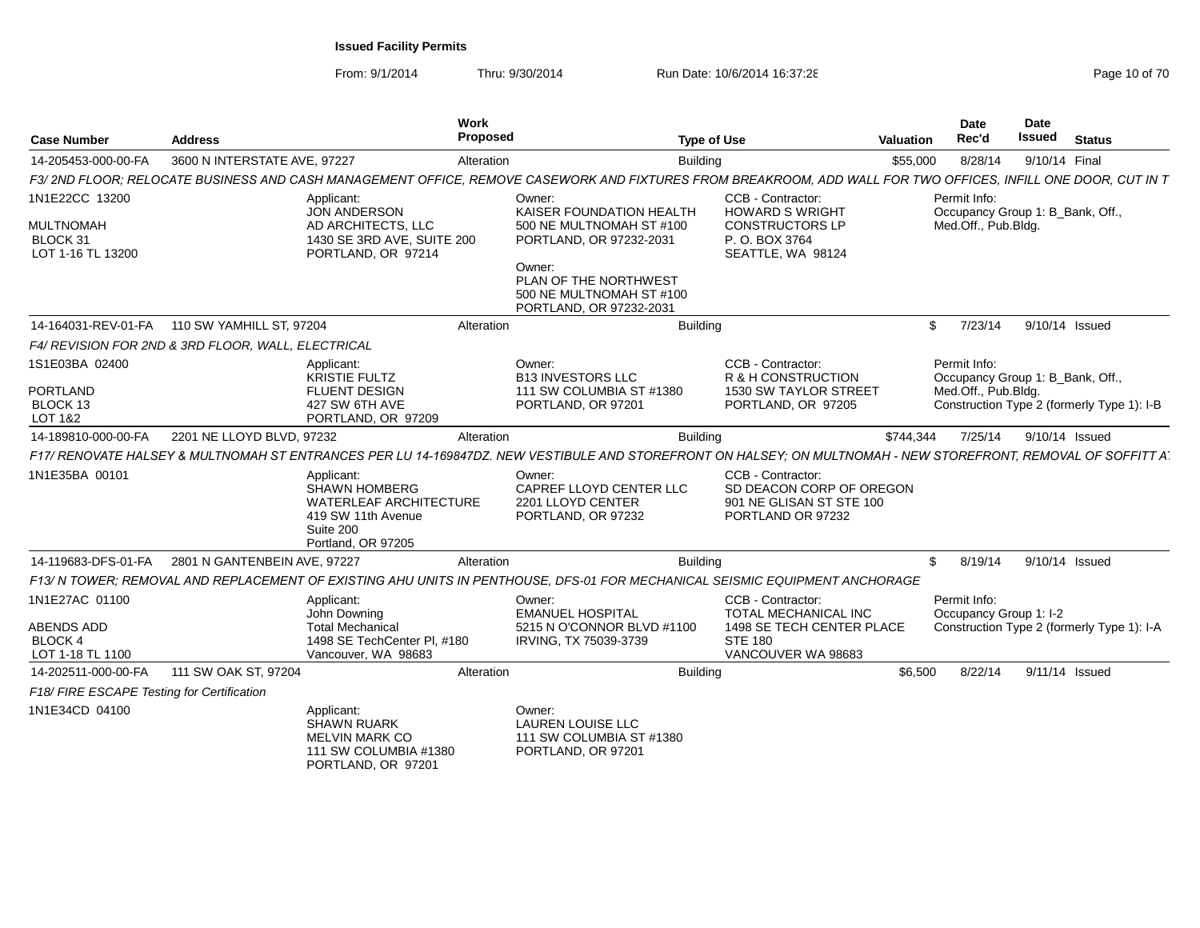| <b>Case Number</b>                                      | <b>Address</b>                                                                                                                                                 | Work<br>Proposed | <b>Type of Use</b>                                                              | <b>Valuation</b>                                                                               | <b>Date</b><br>Rec'd                                                    | Date<br><b>Issued</b> | <b>Status</b> |                                            |
|---------------------------------------------------------|----------------------------------------------------------------------------------------------------------------------------------------------------------------|------------------|---------------------------------------------------------------------------------|------------------------------------------------------------------------------------------------|-------------------------------------------------------------------------|-----------------------|---------------|--------------------------------------------|
| 14-205453-000-00-FA                                     | 3600 N INTERSTATE AVE, 97227                                                                                                                                   | Alteration       | <b>Building</b>                                                                 | \$55,000                                                                                       | 8/28/14                                                                 | 9/10/14 Final         |               |                                            |
|                                                         | F3/ 2ND FLOOR; RELOCATE BUSINESS AND CASH MANAGEMENT OFFICE, REMOVE CASEWORK AND FIXTURES FROM BREAKROOM, ADD WALL FOR TWO OFFICES, INFILL ONE DOOR, CUT IN T  |                  |                                                                                 |                                                                                                |                                                                         |                       |               |                                            |
| 1N1E22CC 13200<br><b>MULTNOMAH</b><br>BLOCK 31          | Applicant:<br><b>JON ANDERSON</b><br>AD ARCHITECTS, LLC<br>1430 SE 3RD AVE, SUITE 200                                                                          | Owner:           | KAISER FOUNDATION HEALTH<br>500 NE MULTNOMAH ST #100<br>PORTLAND, OR 97232-2031 | CCB - Contractor:<br><b>HOWARD S WRIGHT</b><br><b>CONSTRUCTORS LP</b><br>P.O. BOX 3764         | Permit Info:<br>Occupancy Group 1: B Bank, Off.,<br>Med.Off., Pub.Bldg. |                       |               |                                            |
| LOT 1-16 TL 13200                                       | PORTLAND, OR 97214                                                                                                                                             | Owner:           | PLAN OF THE NORTHWEST<br>500 NE MULTNOMAH ST #100<br>PORTLAND, OR 97232-2031    | SEATTLE, WA 98124                                                                              |                                                                         |                       |               |                                            |
|                                                         | 14-164031-REV-01-FA   110 SW YAMHILL ST, 97204                                                                                                                 | Alteration       | <b>Building</b>                                                                 |                                                                                                | 7/23/14<br>\$                                                           | 9/10/14 Issued        |               |                                            |
|                                                         | F4/ REVISION FOR 2ND & 3RD FLOOR, WALL, ELECTRICAL                                                                                                             |                  |                                                                                 |                                                                                                |                                                                         |                       |               |                                            |
| 1S1E03BA 02400                                          | Applicant:<br><b>KRISTIE FULTZ</b>                                                                                                                             | Owner:           | <b>B13 INVESTORS LLC</b>                                                        | <b>CCB - Contractor:</b><br>R & H CONSTRUCTION                                                 | Permit Info:<br>Occupancy Group 1: B Bank, Off.,                        |                       |               |                                            |
| <b>PORTLAND</b><br>BLOCK 13<br>LOT 1&2                  | <b>FLUENT DESIGN</b><br>427 SW 6TH AVE<br>PORTLAND, OR 97209                                                                                                   |                  | 111 SW COLUMBIA ST #1380<br>PORTLAND, OR 97201                                  | 1530 SW TAYLOR STREET<br>PORTLAND, OR 97205                                                    | Med.Off., Pub.Bldg.                                                     |                       |               | Construction Type 2 (formerly Type 1): I-B |
| 14-189810-000-00-FA                                     | 2201 NE LLOYD BLVD, 97232                                                                                                                                      | Alteration       | <b>Building</b>                                                                 | \$744.344                                                                                      | 7/25/14                                                                 | 9/10/14 Issued        |               |                                            |
|                                                         | F17/ RENOVATE HALSEY & MULTNOMAH ST ENTRANCES PER LU 14-169847DZ. NEW VESTIBULE AND STOREFRONT ON HALSEY; ON MULTNOMAH - NEW STOREFRONT, REMOVAL OF SOFFITT AT |                  |                                                                                 |                                                                                                |                                                                         |                       |               |                                            |
| 1N1E35BA 00101                                          | Applicant:<br><b>SHAWN HOMBERG</b><br><b>WATERLEAF ARCHITECTURE</b><br>419 SW 11th Avenue<br>Suite 200<br>Portland, OR 97205                                   | Owner:           | CAPREF LLOYD CENTER LLC<br>2201 LLOYD CENTER<br>PORTLAND, OR 97232              | CCB - Contractor:<br>SD DEACON CORP OF OREGON<br>901 NE GLISAN ST STE 100<br>PORTLAND OR 97232 |                                                                         |                       |               |                                            |
| 14-119683-DFS-01-FA                                     | 2801 N GANTENBEIN AVE, 97227                                                                                                                                   | Alteration       | <b>Building</b>                                                                 |                                                                                                | 8/19/14<br>\$                                                           | 9/10/14 Issued        |               |                                            |
|                                                         | F13/ N TOWER; REMOVAL AND REPLACEMENT OF EXISTING AHU UNITS IN PENTHOUSE, DFS-01 FOR MECHANICAL SEISMIC EQUIPMENT ANCHORAGE                                    |                  |                                                                                 |                                                                                                |                                                                         |                       |               |                                            |
| 1N1E27AC 01100                                          | Applicant:<br>John Downing                                                                                                                                     | Owner:           | <b>EMANUEL HOSPITAL</b>                                                         | CCB - Contractor:<br><b>TOTAL MECHANICAL INC</b>                                               | Permit Info:<br>Occupancy Group 1: I-2                                  |                       |               |                                            |
| <b>ABENDS ADD</b><br><b>BLOCK 4</b><br>LOT 1-18 TL 1100 | <b>Total Mechanical</b><br>1498 SE TechCenter Pl. #180<br>Vancouver, WA 98683                                                                                  |                  | 5215 N O'CONNOR BLVD #1100<br>IRVING, TX 75039-3739<br><b>STE 180</b>           | 1498 SE TECH CENTER PLACE<br>VANCOUVER WA 98683                                                |                                                                         |                       |               | Construction Type 2 (formerly Type 1): I-A |
| 14-202511-000-00-FA                                     | 111 SW OAK ST, 97204                                                                                                                                           | Alteration       | <b>Building</b>                                                                 | \$6,500                                                                                        | 8/22/14                                                                 | 9/11/14 Issued        |               |                                            |
| F18/ FIRE ESCAPE Testing for Certification              |                                                                                                                                                                |                  |                                                                                 |                                                                                                |                                                                         |                       |               |                                            |
| 1N1E34CD 04100                                          | Applicant:<br><b>SHAWN RUARK</b><br><b>MELVIN MARK CO</b><br>111 SW COLUMBIA #1380<br>PORTLAND, OR 97201                                                       | Owner:           | <b>LAUREN LOUISE LLC</b><br>111 SW COLUMBIA ST #1380<br>PORTLAND, OR 97201      |                                                                                                |                                                                         |                       |               |                                            |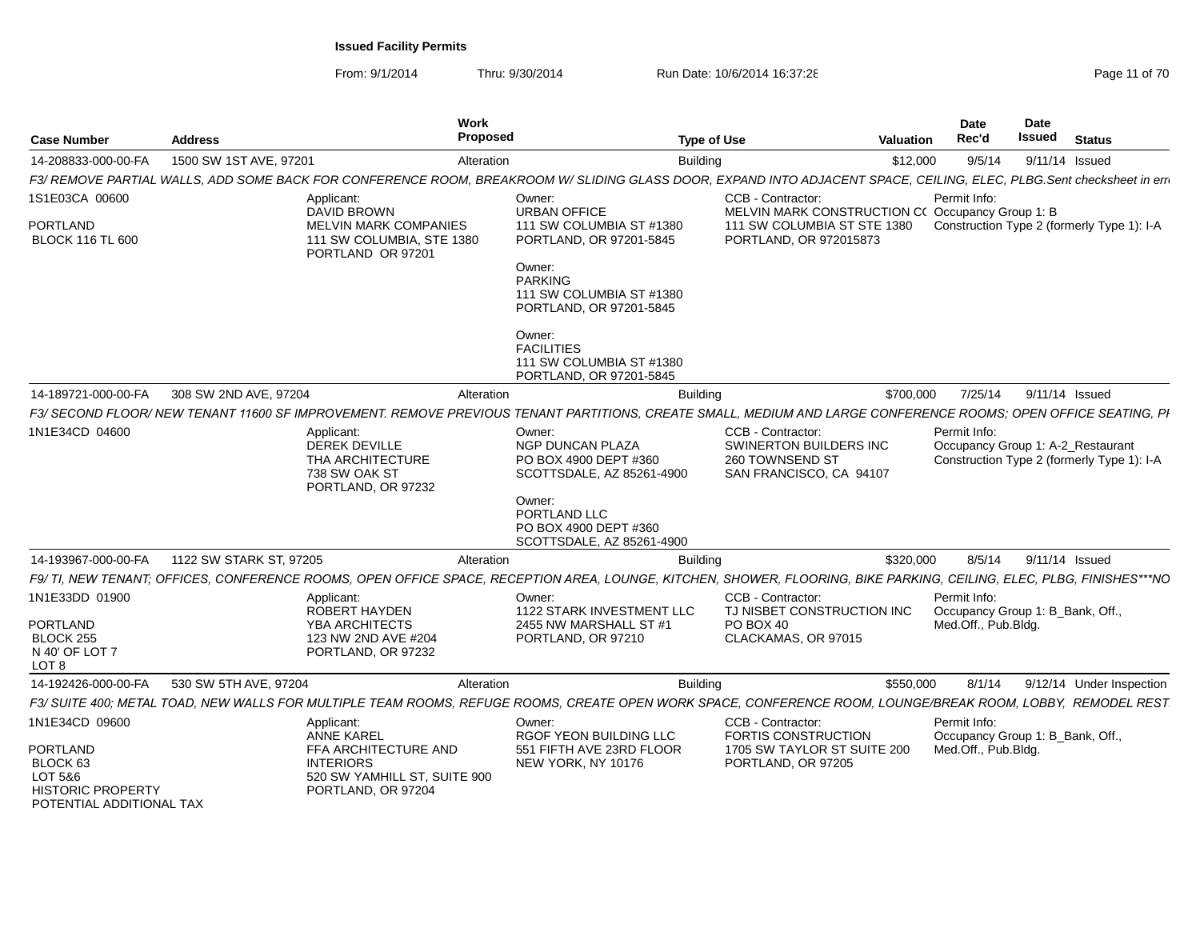| <b>Case Number</b>                                                                             | <b>Address</b>          | Work<br><b>Proposed</b>                                                                                                                                               |                                                                                    | <b>Type of Use</b>                                                                        | <b>Valuation</b> | <b>Date</b><br>Rec'd                             | Date<br><b>Issued</b> | <b>Status</b>                                                                   |
|------------------------------------------------------------------------------------------------|-------------------------|-----------------------------------------------------------------------------------------------------------------------------------------------------------------------|------------------------------------------------------------------------------------|-------------------------------------------------------------------------------------------|------------------|--------------------------------------------------|-----------------------|---------------------------------------------------------------------------------|
| 14-208833-000-00-FA                                                                            | 1500 SW 1ST AVE, 97201  | Alteration                                                                                                                                                            |                                                                                    | <b>Building</b>                                                                           | \$12,000         | 9/5/14                                           |                       | 9/11/14 Issued                                                                  |
|                                                                                                |                         | F3/ REMOVE PARTIAL WALLS, ADD SOME BACK FOR CONFERENCE ROOM, BREAKROOM W/ SLIDING GLASS DOOR, EXPAND INTO ADJACENT SPACE, CEILING, ELEC, PLBG.Sent checksheet in err  |                                                                                    |                                                                                           |                  |                                                  |                       |                                                                                 |
| 1S1E03CA 00600                                                                                 |                         | Applicant:<br><b>DAVID BROWN</b>                                                                                                                                      | Owner:<br><b>URBAN OFFICE</b>                                                      | CCB - Contractor:<br>MELVIN MARK CONSTRUCTION C(Occupancy Group 1: B                      |                  | Permit Info:                                     |                       |                                                                                 |
| <b>PORTLAND</b><br><b>BLOCK 116 TL 600</b>                                                     |                         | MELVIN MARK COMPANIES<br>111 SW COLUMBIA, STE 1380<br>PORTLAND OR 97201                                                                                               | 111 SW COLUMBIA ST #1380<br>PORTLAND, OR 97201-5845<br>Owner:                      | 111 SW COLUMBIA ST STE 1380<br>PORTLAND, OR 972015873                                     |                  |                                                  |                       | Construction Type 2 (formerly Type 1): I-A                                      |
|                                                                                                |                         |                                                                                                                                                                       | <b>PARKING</b><br>111 SW COLUMBIA ST #1380<br>PORTLAND, OR 97201-5845              |                                                                                           |                  |                                                  |                       |                                                                                 |
|                                                                                                |                         |                                                                                                                                                                       | Owner:<br><b>FACILITIES</b><br>111 SW COLUMBIA ST #1380<br>PORTLAND, OR 97201-5845 |                                                                                           |                  |                                                  |                       |                                                                                 |
| 14-189721-000-00-FA                                                                            | 308 SW 2ND AVE, 97204   | Alteration                                                                                                                                                            |                                                                                    | <b>Building</b>                                                                           | \$700,000        | 7/25/14                                          | 9/11/14 Issued        |                                                                                 |
|                                                                                                |                         | F3/ SECOND FLOOR/ NEW TENANT 11600 SF IMPROVEMENT. REMOVE PREVIOUS TENANT PARTITIONS, CREATE SMALL, MEDIUM AND LARGE CONFERENCE ROOMS; OPEN OFFICE SEATING, PI        |                                                                                    |                                                                                           |                  |                                                  |                       |                                                                                 |
| 1N1E34CD 04600                                                                                 |                         | Applicant:<br><b>DEREK DEVILLE</b><br>THA ARCHITECTURE<br>738 SW OAK ST<br>PORTLAND, OR 97232                                                                         | Owner:<br>NGP DUNCAN PLAZA<br>PO BOX 4900 DEPT #360<br>SCOTTSDALE, AZ 85261-4900   | CCB - Contractor:<br>SWINERTON BUILDERS INC<br>260 TOWNSEND ST<br>SAN FRANCISCO, CA 94107 |                  | Permit Info:                                     |                       | Occupancy Group 1: A-2_Restaurant<br>Construction Type 2 (formerly Type 1): I-A |
|                                                                                                |                         |                                                                                                                                                                       | Owner:<br>PORTLAND LLC<br>PO BOX 4900 DEPT #360<br>SCOTTSDALE, AZ 85261-4900       |                                                                                           |                  |                                                  |                       |                                                                                 |
| 14-193967-000-00-FA                                                                            | 1122 SW STARK ST, 97205 | Alteration                                                                                                                                                            |                                                                                    | <b>Building</b>                                                                           | \$320,000        | 8/5/14                                           | 9/11/14 Issued        |                                                                                 |
|                                                                                                |                         | F9/ TI, NEW TENANT; OFFICES, CONFERENCE ROOMS, OPEN OFFICE SPACE, RECEPTION AREA, LOUNGE, KITCHEN, SHOWER, FLOORING, BIKE PARKING, CEILING, ELEC, PLBG, FINISHES***NO |                                                                                    |                                                                                           |                  |                                                  |                       |                                                                                 |
| 1N1E33DD 01900                                                                                 |                         | Applicant:<br><b>ROBERT HAYDEN</b>                                                                                                                                    | Owner:<br><b>1122 STARK INVESTMENT LLC</b>                                         | CCB - Contractor:<br>TJ NISBET CONSTRUCTION INC                                           |                  | Permit Info:<br>Occupancy Group 1: B Bank, Off., |                       |                                                                                 |
| <b>PORTLAND</b><br>BLOCK 255<br>N 40' OF LOT 7<br>LOT 8                                        |                         | YBA ARCHITECTS<br>123 NW 2ND AVE #204<br>PORTLAND, OR 97232                                                                                                           | 2455 NW MARSHALL ST #1<br>PORTLAND, OR 97210                                       | PO BOX 40<br>CLACKAMAS, OR 97015                                                          |                  | Med.Off., Pub.Bldg.                              |                       |                                                                                 |
| 14-192426-000-00-FA                                                                            | 530 SW 5TH AVE, 97204   | Alteration                                                                                                                                                            |                                                                                    | <b>Building</b>                                                                           | \$550,000        | 8/1/14                                           |                       | 9/12/14 Under Inspection                                                        |
|                                                                                                |                         | F3/ SUITE 400; METAL TOAD, NEW WALLS FOR MULTIPLE TEAM ROOMS, REFUGE ROOMS, CREATE OPEN WORK SPACE, CONFERENCE ROOM, LOUNGE/BREAK ROOM, LOBBY, REMODEL REST           |                                                                                    |                                                                                           |                  |                                                  |                       |                                                                                 |
| 1N1E34CD 09600                                                                                 |                         | Applicant:<br><b>ANNE KAREL</b>                                                                                                                                       | Owner:<br>RGOF YEON BUILDING LLC                                                   | CCB - Contractor:<br><b>FORTIS CONSTRUCTION</b>                                           |                  | Permit Info:<br>Occupancy Group 1: B_Bank, Off., |                       |                                                                                 |
| <b>PORTLAND</b><br>BLOCK 63<br>LOT 5&6<br><b>HISTORIC PROPERTY</b><br>POTENTIAI ADDITIONAI TAX |                         | FFA ARCHITECTURE AND<br><b>INTERIORS</b><br>520 SW YAMHILL ST. SUITE 900<br>PORTLAND, OR 97204                                                                        | 551 FIFTH AVE 23RD FLOOR<br>NEW YORK, NY 10176                                     | 1705 SW TAYLOR ST SUITE 200<br>PORTLAND, OR 97205                                         |                  | Med.Off., Pub.Bldg.                              |                       |                                                                                 |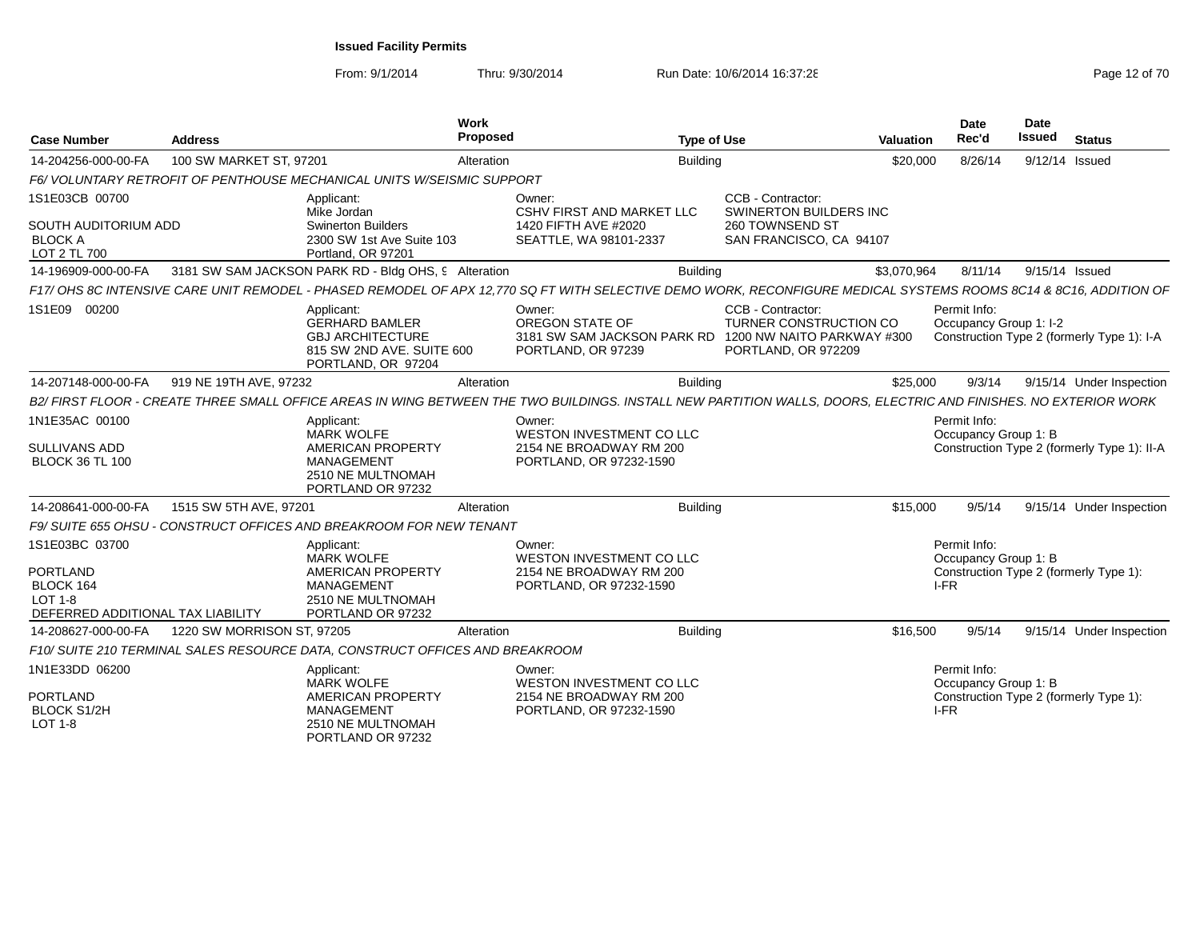| <b>Case Number</b>                                 | <b>Address</b>             |                                                                                                                                                                   | Work<br>Proposed                                   |                                  | <b>Type of Use</b>                                                                               | <b>Valuation</b> | Date<br>Rec'd                          | <b>Date</b><br><b>Issued</b> | <b>Status</b>                               |
|----------------------------------------------------|----------------------------|-------------------------------------------------------------------------------------------------------------------------------------------------------------------|----------------------------------------------------|----------------------------------|--------------------------------------------------------------------------------------------------|------------------|----------------------------------------|------------------------------|---------------------------------------------|
| 14-204256-000-00-FA                                | 100 SW MARKET ST. 97201    |                                                                                                                                                                   | Alteration                                         | <b>Building</b>                  |                                                                                                  | \$20,000         | 8/26/14                                | 9/12/14 Issued               |                                             |
|                                                    |                            | F6/VOLUNTARY RETROFIT OF PENTHOUSE MECHANICAL UNITS W/SEISMIC SUPPORT                                                                                             |                                                    |                                  |                                                                                                  |                  |                                        |                              |                                             |
| 1S1E03CB 00700<br><b>SOUTH AUDITORIUM ADD</b>      |                            | Applicant:<br>Mike Jordan<br><b>Swinerton Builders</b>                                                                                                            | Owner:<br>1420 FIFTH AVE #2020                     | <b>CSHV FIRST AND MARKET LLC</b> | CCB - Contractor:<br><b>SWINERTON BUILDERS INC</b><br>260 TOWNSEND ST                            |                  |                                        |                              |                                             |
| <b>BLOCK A</b><br>LOT 2 TL 700                     |                            | 2300 SW 1st Ave Suite 103<br>Portland, OR 97201                                                                                                                   | SEATTLE, WA 98101-2337                             |                                  | SAN FRANCISCO, CA 94107                                                                          |                  |                                        |                              |                                             |
| 14-196909-000-00-FA                                |                            | 3181 SW SAM JACKSON PARK RD - Bldg OHS, 9 Alteration                                                                                                              |                                                    | <b>Building</b>                  |                                                                                                  | \$3,070,964      | 8/11/14                                | 9/15/14 Issued               |                                             |
|                                                    |                            | F17/ OHS 8C INTENSIVE CARE UNIT REMODEL - PHASED REMODEL OF APX 12.770 SQ FT WITH SELECTIVE DEMO WORK. RECONFIGURE MEDICAL SYSTEMS ROOMS 8C14 & 8C16. ADDITION OF |                                                    |                                  |                                                                                                  |                  |                                        |                              |                                             |
| 1S1E09 00200                                       |                            | Applicant:<br><b>GERHARD BAMLER</b><br><b>GBJ ARCHITECTURE</b><br>815 SW 2ND AVE, SUITE 600<br>PORTLAND, OR 97204                                                 | Owner:<br>OREGON STATE OF<br>PORTLAND, OR 97239    | 3181 SW SAM JACKSON PARK RD      | CCB - Contractor:<br>TURNER CONSTRUCTION CO<br>1200 NW NAITO PARKWAY #300<br>PORTLAND, OR 972209 |                  | Permit Info:<br>Occupancy Group 1: I-2 |                              | Construction Type 2 (formerly Type 1): I-A  |
| 14-207148-000-00-FA                                | 919 NE 19TH AVE, 97232     |                                                                                                                                                                   | Alteration                                         | <b>Building</b>                  |                                                                                                  | \$25,000         | 9/3/14                                 |                              | 9/15/14 Under Inspection                    |
|                                                    |                            | B2/FIRST FLOOR - CREATE THREE SMALL OFFICE AREAS IN WING BETWEEN THE TWO BUILDINGS. INSTALL NEW PARTITION WALLS. DOORS. ELECTRIC AND FINISHES. NO EXTERIOR WORK   |                                                    |                                  |                                                                                                  |                  |                                        |                              |                                             |
| 1N1E35AC 00100                                     |                            | Applicant:<br><b>MARK WOLFE</b>                                                                                                                                   | Owner:                                             | WESTON INVESTMENT CO LLC         |                                                                                                  |                  | Permit Info:<br>Occupancy Group 1: B   |                              |                                             |
| <b>SULLIVANS ADD</b><br><b>BLOCK 36 TL 100</b>     |                            | <b>AMERICAN PROPERTY</b><br><b>MANAGEMENT</b><br>2510 NE MULTNOMAH<br>PORTLAND OR 97232                                                                           | 2154 NE BROADWAY RM 200<br>PORTLAND, OR 97232-1590 |                                  |                                                                                                  |                  |                                        |                              | Construction Type 2 (formerly Type 1): II-A |
| 14-208641-000-00-FA                                | 1515 SW 5TH AVE, 97201     |                                                                                                                                                                   | Alteration                                         | <b>Building</b>                  |                                                                                                  | \$15,000         | 9/5/14                                 |                              | 9/15/14 Under Inspection                    |
|                                                    |                            | F9/ SUITE 655 OHSU - CONSTRUCT OFFICES AND BREAKROOM FOR NEW TENANT                                                                                               |                                                    |                                  |                                                                                                  |                  |                                        |                              |                                             |
| 1S1E03BC 03700                                     |                            | Applicant:<br><b>MARK WOLFE</b>                                                                                                                                   | Owner:                                             | WESTON INVESTMENT CO LLC         |                                                                                                  |                  | Permit Info:<br>Occupancy Group 1: B   |                              |                                             |
| <b>PORTLAND</b>                                    |                            | AMERICAN PROPERTY                                                                                                                                                 | 2154 NE BROADWAY RM 200                            |                                  |                                                                                                  |                  |                                        |                              | Construction Type 2 (formerly Type 1):      |
| BLOCK 164<br>$LOT 1-8$                             |                            | <b>MANAGEMENT</b><br>2510 NE MULTNOMAH                                                                                                                            | PORTLAND, OR 97232-1590                            |                                  |                                                                                                  |                  | I-FR                                   |                              |                                             |
| DEFERRED ADDITIONAL TAX LIABILITY                  |                            | PORTLAND OR 97232                                                                                                                                                 |                                                    |                                  |                                                                                                  |                  |                                        |                              |                                             |
| 14-208627-000-00-FA                                | 1220 SW MORRISON ST, 97205 |                                                                                                                                                                   | Alteration                                         | <b>Building</b>                  |                                                                                                  | \$16,500         | 9/5/14                                 |                              | 9/15/14 Under Inspection                    |
|                                                    |                            | F10/ SUITE 210 TERMINAL SALES RESOURCE DATA, CONSTRUCT OFFICES AND BREAKROOM                                                                                      |                                                    |                                  |                                                                                                  |                  |                                        |                              |                                             |
| 1N1E33DD 06200                                     |                            | Applicant:<br><b>MARK WOLFE</b>                                                                                                                                   | Owner:                                             | WESTON INVESTMENT CO LLC         |                                                                                                  |                  | Permit Info:<br>Occupancy Group 1: B   |                              |                                             |
| <b>PORTLAND</b><br><b>BLOCK S1/2H</b><br>$LOT 1-8$ |                            | AMERICAN PROPERTY<br><b>MANAGEMENT</b><br>2510 NE MULTNOMAH                                                                                                       | 2154 NE BROADWAY RM 200<br>PORTLAND, OR 97232-1590 |                                  |                                                                                                  |                  | I-FR                                   |                              | Construction Type 2 (formerly Type 1):      |
|                                                    |                            | PORTLAND OR 97232                                                                                                                                                 |                                                    |                                  |                                                                                                  |                  |                                        |                              |                                             |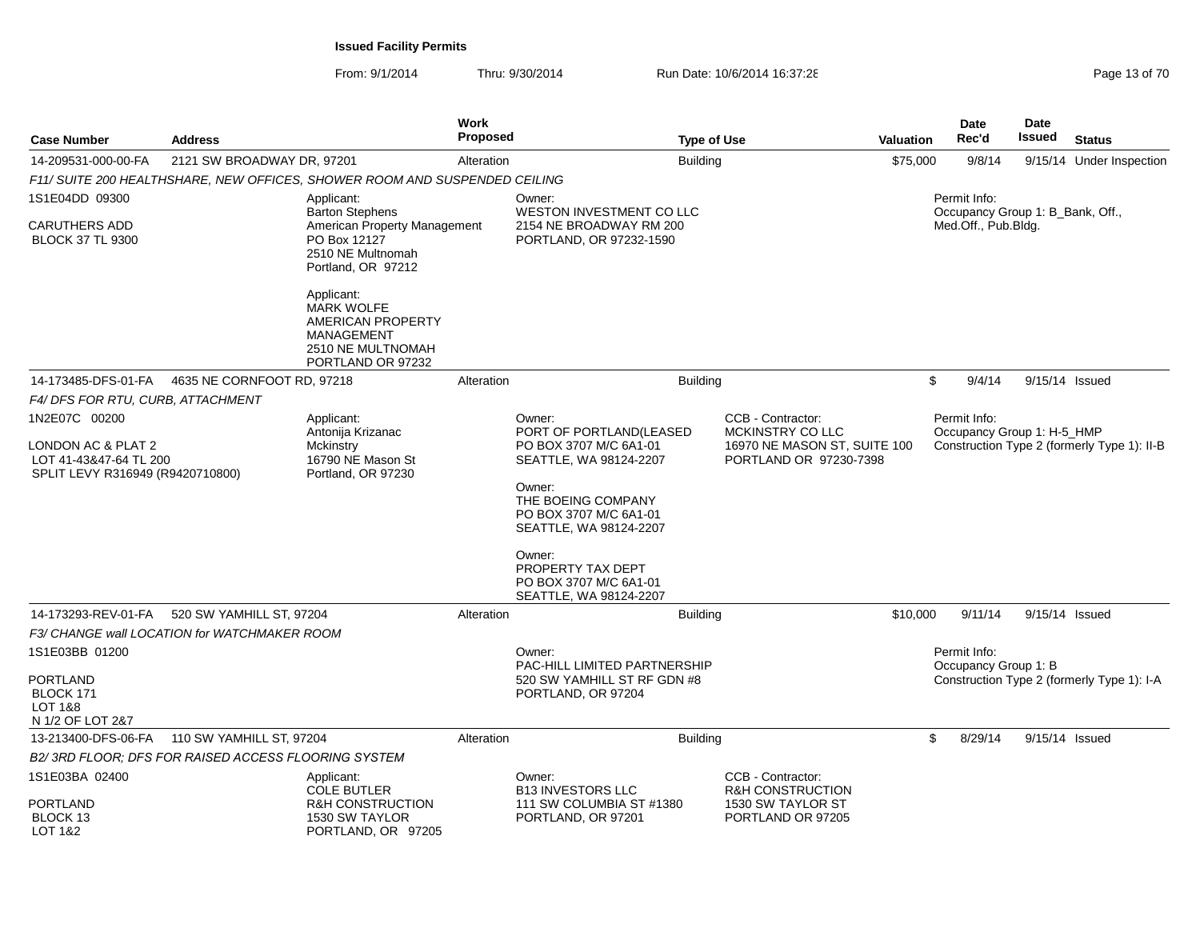|                                                                                  |                                                      |                                                                                                                   | Work            |                                                                                   |                    |                                                                       |           | <b>Date</b>          |         | Date                             |                                             |
|----------------------------------------------------------------------------------|------------------------------------------------------|-------------------------------------------------------------------------------------------------------------------|-----------------|-----------------------------------------------------------------------------------|--------------------|-----------------------------------------------------------------------|-----------|----------------------|---------|----------------------------------|---------------------------------------------|
| <b>Case Number</b>                                                               | <b>Address</b>                                       |                                                                                                                   | <b>Proposed</b> |                                                                                   | <b>Type of Use</b> |                                                                       | Valuation | Rec'd                |         | Issued                           | <b>Status</b>                               |
| 14-209531-000-00-FA                                                              | 2121 SW BROADWAY DR, 97201                           |                                                                                                                   | Alteration      |                                                                                   | <b>Building</b>    |                                                                       | \$75,000  |                      | 9/8/14  |                                  | 9/15/14 Under Inspection                    |
|                                                                                  |                                                      | F11/ SUITE 200 HEALTHSHARE, NEW OFFICES, SHOWER ROOM AND SUSPENDED CEILING                                        |                 |                                                                                   |                    |                                                                       |           |                      |         |                                  |                                             |
| 1S1E04DD 09300                                                                   |                                                      | Applicant:                                                                                                        |                 | Owner:                                                                            |                    |                                                                       |           | Permit Info:         |         |                                  |                                             |
| <b>CARUTHERS ADD</b><br><b>BLOCK 37 TL 9300</b>                                  |                                                      | <b>Barton Stephens</b><br>American Property Management<br>PO Box 12127<br>2510 NE Multnomah<br>Portland, OR 97212 |                 | WESTON INVESTMENT CO LLC<br>2154 NE BROADWAY RM 200<br>PORTLAND, OR 97232-1590    |                    |                                                                       |           | Med.Off., Pub.Bldg.  |         | Occupancy Group 1: B_Bank, Off., |                                             |
|                                                                                  |                                                      | Applicant:<br><b>MARK WOLFE</b><br>AMERICAN PROPERTY<br>MANAGEMENT<br>2510 NE MULTNOMAH<br>PORTLAND OR 97232      |                 |                                                                                   |                    |                                                                       |           |                      |         |                                  |                                             |
| 14-173485-DFS-01-FA                                                              | 4635 NE CORNFOOT RD, 97218                           |                                                                                                                   | Alteration      |                                                                                   | <b>Building</b>    |                                                                       |           | \$                   | 9/4/14  | 9/15/14 Issued                   |                                             |
| F4/DFS FOR RTU, CURB, ATTACHMENT                                                 |                                                      |                                                                                                                   |                 |                                                                                   |                    |                                                                       |           |                      |         |                                  |                                             |
| 1N2E07C 00200                                                                    |                                                      | Applicant:<br>Antonija Krizanac                                                                                   |                 | Owner:<br>PORT OF PORTLAND(LEASED                                                 |                    | CCB - Contractor:<br>MCKINSTRY CO LLC                                 |           | Permit Info:         |         | Occupancy Group 1: H-5 HMP       |                                             |
| LONDON AC & PLAT 2<br>LOT 41-43&47-64 TL 200<br>SPLIT LEVY R316949 (R9420710800) |                                                      | Mckinstry<br>16790 NE Mason St<br>Portland, OR 97230                                                              |                 | PO BOX 3707 M/C 6A1-01<br>SEATTLE, WA 98124-2207                                  |                    | 16970 NE MASON ST, SUITE 100<br>PORTLAND OR 97230-7398                |           |                      |         |                                  | Construction Type 2 (formerly Type 1): II-B |
|                                                                                  |                                                      |                                                                                                                   |                 | Owner:<br>THE BOEING COMPANY<br>PO BOX 3707 M/C 6A1-01<br>SEATTLE, WA 98124-2207  |                    |                                                                       |           |                      |         |                                  |                                             |
|                                                                                  |                                                      |                                                                                                                   |                 | Owner:<br>PROPERTY TAX DEPT<br>PO BOX 3707 M/C 6A1-01<br>SEATTLE, WA 98124-2207   |                    |                                                                       |           |                      |         |                                  |                                             |
| 14-173293-REV-01-FA                                                              | 520 SW YAMHILL ST, 97204                             |                                                                                                                   | Alteration      |                                                                                   | <b>Building</b>    |                                                                       | \$10,000  |                      | 9/11/14 | 9/15/14 Issued                   |                                             |
|                                                                                  | F3/ CHANGE wall LOCATION for WATCHMAKER ROOM         |                                                                                                                   |                 |                                                                                   |                    |                                                                       |           |                      |         |                                  |                                             |
| 1S1E03BB 01200                                                                   |                                                      |                                                                                                                   |                 | Owner:                                                                            |                    |                                                                       |           | Permit Info:         |         |                                  |                                             |
| PORTLAND<br>BLOCK 171                                                            |                                                      |                                                                                                                   |                 | PAC-HILL LIMITED PARTNERSHIP<br>520 SW YAMHILL ST RF GDN #8<br>PORTLAND, OR 97204 |                    |                                                                       |           | Occupancy Group 1: B |         |                                  | Construction Type 2 (formerly Type 1): I-A  |
| <b>LOT 1&amp;8</b><br>N 1/2 OF LOT 2&7                                           |                                                      |                                                                                                                   |                 |                                                                                   |                    |                                                                       |           |                      |         |                                  |                                             |
|                                                                                  | 13-213400-DFS-06-FA 110 SW YAMHILL ST, 97204         |                                                                                                                   | Alteration      |                                                                                   | <b>Building</b>    |                                                                       |           | \$<br>8/29/14        |         | 9/15/14 Issued                   |                                             |
|                                                                                  | B2/ 3RD FLOOR: DFS FOR RAISED ACCESS FLOORING SYSTEM |                                                                                                                   |                 |                                                                                   |                    |                                                                       |           |                      |         |                                  |                                             |
| 1S1E03BA 02400                                                                   |                                                      | Applicant:                                                                                                        |                 | Owner:                                                                            |                    | CCB - Contractor:                                                     |           |                      |         |                                  |                                             |
| PORTLAND<br>BLOCK 13<br>LOT 1&2                                                  |                                                      | <b>COLE BUTLER</b><br><b>R&amp;H CONSTRUCTION</b><br>1530 SW TAYLOR<br>PORTLAND, OR 97205                         |                 | <b>B13 INVESTORS LLC</b><br>111 SW COLUMBIA ST #1380<br>PORTLAND, OR 97201        |                    | <b>R&amp;H CONSTRUCTION</b><br>1530 SW TAYLOR ST<br>PORTLAND OR 97205 |           |                      |         |                                  |                                             |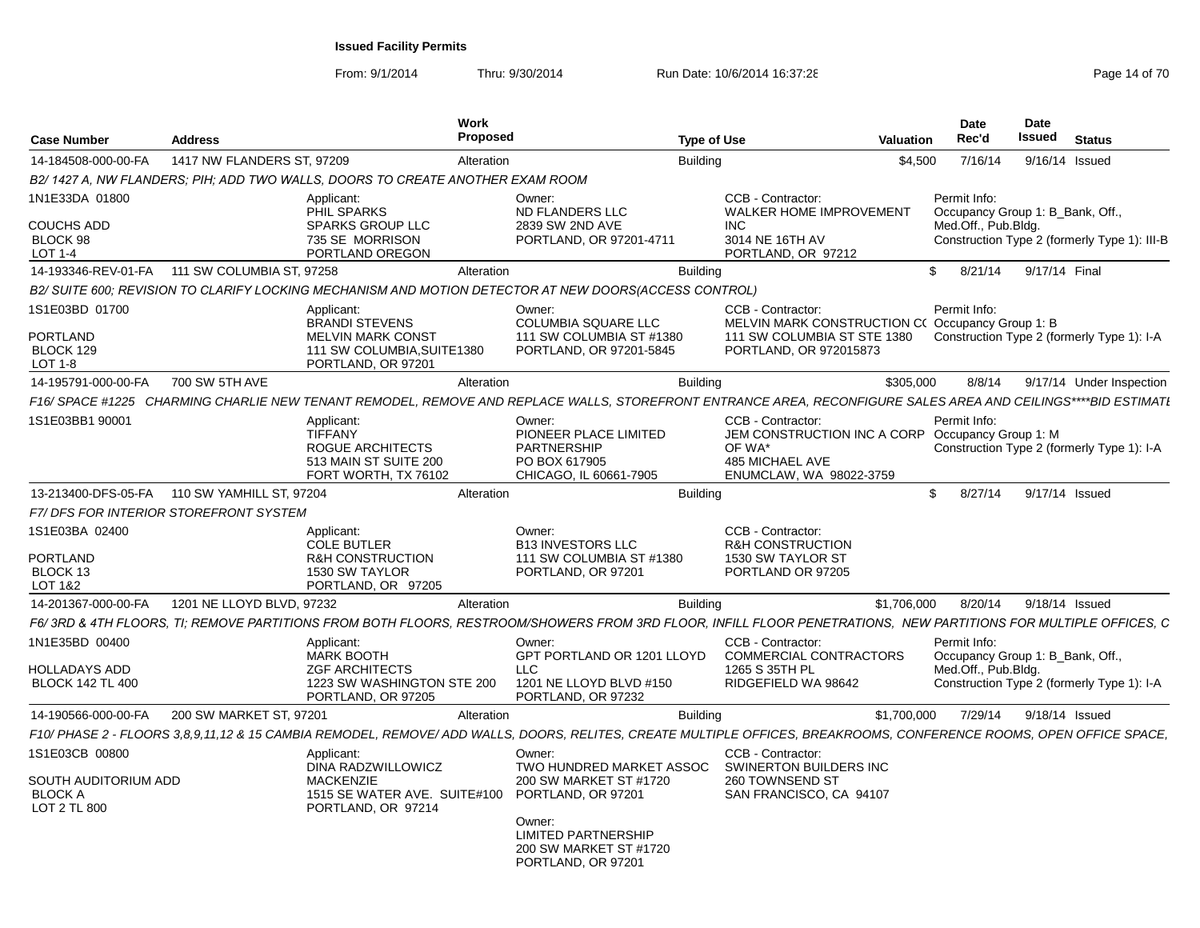From: 9/1/2014

| <b>Case Number</b>                                     | <b>Address</b>                               |                                                                                                   | Work<br>Proposed |                                                                                                       | <b>Type of Use</b>                                                                                                                                                  | <b>Valuation</b> | Date<br>Rec'd                                    | <b>Date</b><br>Issued | <b>Status</b>                                |
|--------------------------------------------------------|----------------------------------------------|---------------------------------------------------------------------------------------------------|------------------|-------------------------------------------------------------------------------------------------------|---------------------------------------------------------------------------------------------------------------------------------------------------------------------|------------------|--------------------------------------------------|-----------------------|----------------------------------------------|
| 14-184508-000-00-FA                                    | 1417 NW FLANDERS ST, 97209                   |                                                                                                   | Alteration       |                                                                                                       | <b>Building</b>                                                                                                                                                     | \$4,500          | 7/16/14                                          |                       | 9/16/14 Issued                               |
|                                                        |                                              | B2/1427 A, NW FLANDERS; PIH; ADD TWO WALLS, DOORS TO CREATE ANOTHER EXAM ROOM                     |                  |                                                                                                       |                                                                                                                                                                     |                  |                                                  |                       |                                              |
| 1N1E33DA 01800                                         |                                              | Applicant:<br>PHIL SPARKS                                                                         |                  | Owner:<br>ND FLANDERS LLC                                                                             | CCB - Contractor:<br><b>WALKER HOME IMPROVEMENT</b>                                                                                                                 |                  | Permit Info:<br>Occupancy Group 1: B_Bank, Off., |                       |                                              |
| <b>COUCHS ADD</b><br>BLOCK 98<br>LOT 1-4               |                                              | <b>SPARKS GROUP LLC</b><br>735 SE MORRISON<br>PORTLAND OREGON                                     |                  | 2839 SW 2ND AVE<br>PORTLAND, OR 97201-4711                                                            | <b>INC</b><br>3014 NE 16TH AV<br>PORTLAND, OR 97212                                                                                                                 |                  | Med.Off., Pub.Bldg.                              |                       | Construction Type 2 (formerly Type 1): III-B |
| 14-193346-REV-01-FA                                    | 111 SW COLUMBIA ST, 97258                    |                                                                                                   | Alteration       |                                                                                                       | <b>Building</b>                                                                                                                                                     |                  | \$<br>8/21/14                                    | 9/17/14 Final         |                                              |
|                                                        |                                              |                                                                                                   |                  | B2/ SUITE 600; REVISION TO CLARIFY LOCKING MECHANISM AND MOTION DETECTOR AT NEW DOORS(ACCESS CONTROL) |                                                                                                                                                                     |                  |                                                  |                       |                                              |
| 1S1E03BD 01700                                         |                                              | Applicant:<br><b>BRANDI STEVENS</b>                                                               |                  | Owner:<br>COLUMBIA SQUARE LLC                                                                         | CCB - Contractor:<br>MELVIN MARK CONSTRUCTION C(Occupancy Group 1: B)                                                                                               |                  | Permit Info:                                     |                       |                                              |
| <b>PORTLAND</b><br>BLOCK 129<br>LOT 1-8                |                                              | <b>MELVIN MARK CONST</b><br>111 SW COLUMBIA, SUITE1380<br>PORTLAND, OR 97201                      |                  | 111 SW COLUMBIA ST #1380<br>PORTLAND, OR 97201-5845                                                   | 111 SW COLUMBIA ST STE 1380<br>PORTLAND, OR 972015873                                                                                                               |                  |                                                  |                       | Construction Type 2 (formerly Type 1): I-A   |
| 14-195791-000-00-FA                                    | 700 SW 5TH AVE                               |                                                                                                   | Alteration       |                                                                                                       | <b>Building</b>                                                                                                                                                     | \$305,000        | 8/8/14                                           |                       | 9/17/14 Under Inspection                     |
|                                                        |                                              |                                                                                                   |                  |                                                                                                       | F16/ SPACE #1225   CHARMING CHARLIE NEW TENANT REMODEL. REMOVE AND REPLACE WALLS. STOREFRONT ENTRANCE AREA. RECONFIGURE SALES AREA AND CEILINGS****BID ESTIMATI     |                  |                                                  |                       |                                              |
| 1S1E03BB1 90001                                        |                                              | Applicant:<br><b>TIFFANY</b><br>ROGUE ARCHITECTS<br>513 MAIN ST SUITE 200<br>FORT WORTH, TX 76102 |                  | Owner:<br>PIONEER PLACE LIMITED<br><b>PARTNERSHIP</b><br>PO BOX 617905<br>CHICAGO, IL 60661-7905      | CCB - Contractor:<br>JEM CONSTRUCTION INC A CORP Occupancy Group 1: M<br>OF WA*<br><b>485 MICHAEL AVE</b><br>ENUMCLAW, WA 98022-3759                                |                  | Permit Info:                                     |                       | Construction Type 2 (formerly Type 1): I-A   |
|                                                        | 13-213400-DFS-05-FA 110 SW YAMHILL ST, 97204 |                                                                                                   | Alteration       |                                                                                                       | <b>Building</b>                                                                                                                                                     |                  | 8/27/14<br>\$.                                   |                       | 9/17/14 Issued                               |
|                                                        | F7/DFS FOR INTERIOR STOREFRONT SYSTEM        |                                                                                                   |                  |                                                                                                       |                                                                                                                                                                     |                  |                                                  |                       |                                              |
| 1S1E03BA 02400                                         |                                              | Applicant:<br><b>COLE BUTLER</b>                                                                  |                  | Owner:<br><b>B13 INVESTORS LLC</b>                                                                    | CCB - Contractor:<br><b>R&amp;H CONSTRUCTION</b>                                                                                                                    |                  |                                                  |                       |                                              |
| PORTLAND<br>BLOCK 13<br>LOT 1&2                        |                                              | <b>R&amp;H CONSTRUCTION</b><br><b>1530 SW TAYLOR</b><br>PORTLAND, OR 97205                        |                  | 111 SW COLUMBIA ST #1380<br>PORTLAND, OR 97201                                                        | 1530 SW TAYLOR ST<br>PORTLAND OR 97205                                                                                                                              |                  |                                                  |                       |                                              |
| 14-201367-000-00-FA                                    | 1201 NE LLOYD BLVD, 97232                    |                                                                                                   | Alteration       |                                                                                                       | <b>Building</b>                                                                                                                                                     | \$1,706,000      | 8/20/14                                          |                       | 9/18/14 Issued                               |
|                                                        |                                              |                                                                                                   |                  |                                                                                                       | F6/3RD & 4TH FLOORS, TI; REMOVE PARTITIONS FROM BOTH FLOORS, RESTROOM/SHOWERS FROM 3RD FLOOR, INFILL FLOOR PENETRATIONS, NEW PARTITIONS FOR MULTIPLE OFFICES, C     |                  |                                                  |                       |                                              |
| 1N1E35BD 00400                                         |                                              | Applicant:<br><b>MARK BOOTH</b>                                                                   |                  | Owner:<br>GPT PORTLAND OR 1201 LLOYD                                                                  | CCB - Contractor:<br><b>COMMERCIAL CONTRACTORS</b>                                                                                                                  |                  | Permit Info:<br>Occupancy Group 1: B_Bank, Off., |                       |                                              |
| HOLLADAYS ADD<br><b>BLOCK 142 TL 400</b>               |                                              | <b>ZGF ARCHITECTS</b><br>1223 SW WASHINGTON STE 200<br>PORTLAND, OR 97205                         |                  | LLC<br>1201 NE LLOYD BLVD #150<br>PORTLAND, OR 97232                                                  | 1265 S 35TH PL<br>RIDGEFIELD WA 98642                                                                                                                               |                  | Med.Off., Pub.Bldg.                              |                       | Construction Type 2 (formerly Type 1): I-A   |
| 14-190566-000-00-FA                                    | 200 SW MARKET ST, 97201                      |                                                                                                   | Alteration       |                                                                                                       | <b>Building</b>                                                                                                                                                     | \$1,700,000      | 7/29/14                                          |                       | 9/18/14 Issued                               |
|                                                        |                                              |                                                                                                   |                  |                                                                                                       | F10/ PHASE 2 - FLOORS 3.8.9.11.12 & 15 CAMBIA REMODEL, REMOVE/ ADD WALLS, DOORS, RELITES, CREATE MULTIPLE OFFICES, BREAKROOMS, CONFERENCE ROOMS, OPEN OFFICE SPACE, |                  |                                                  |                       |                                              |
| 1S1E03CB 00800                                         |                                              | Applicant:<br>DINA RADZWILLOWICZ                                                                  |                  | Owner:<br>TWO HUNDRED MARKET ASSOC                                                                    | CCB - Contractor:<br>SWINERTON BUILDERS INC                                                                                                                         |                  |                                                  |                       |                                              |
| SOUTH AUDITORIUM ADD<br><b>BLOCK A</b><br>LOT 2 TL 800 |                                              | <b>MACKENZIE</b><br>1515 SE WATER AVE. SUITE#100<br>PORTLAND, OR 97214                            |                  | 200 SW MARKET ST #1720<br>PORTLAND, OR 97201                                                          | 260 TOWNSEND ST<br>SAN FRANCISCO, CA 94107                                                                                                                          |                  |                                                  |                       |                                              |
|                                                        |                                              |                                                                                                   |                  | Owner:<br><b>LIMITED PARTNERSHIP</b><br>200 SW MARKET ST #1720<br>PORTLAND, OR 97201                  |                                                                                                                                                                     |                  |                                                  |                       |                                              |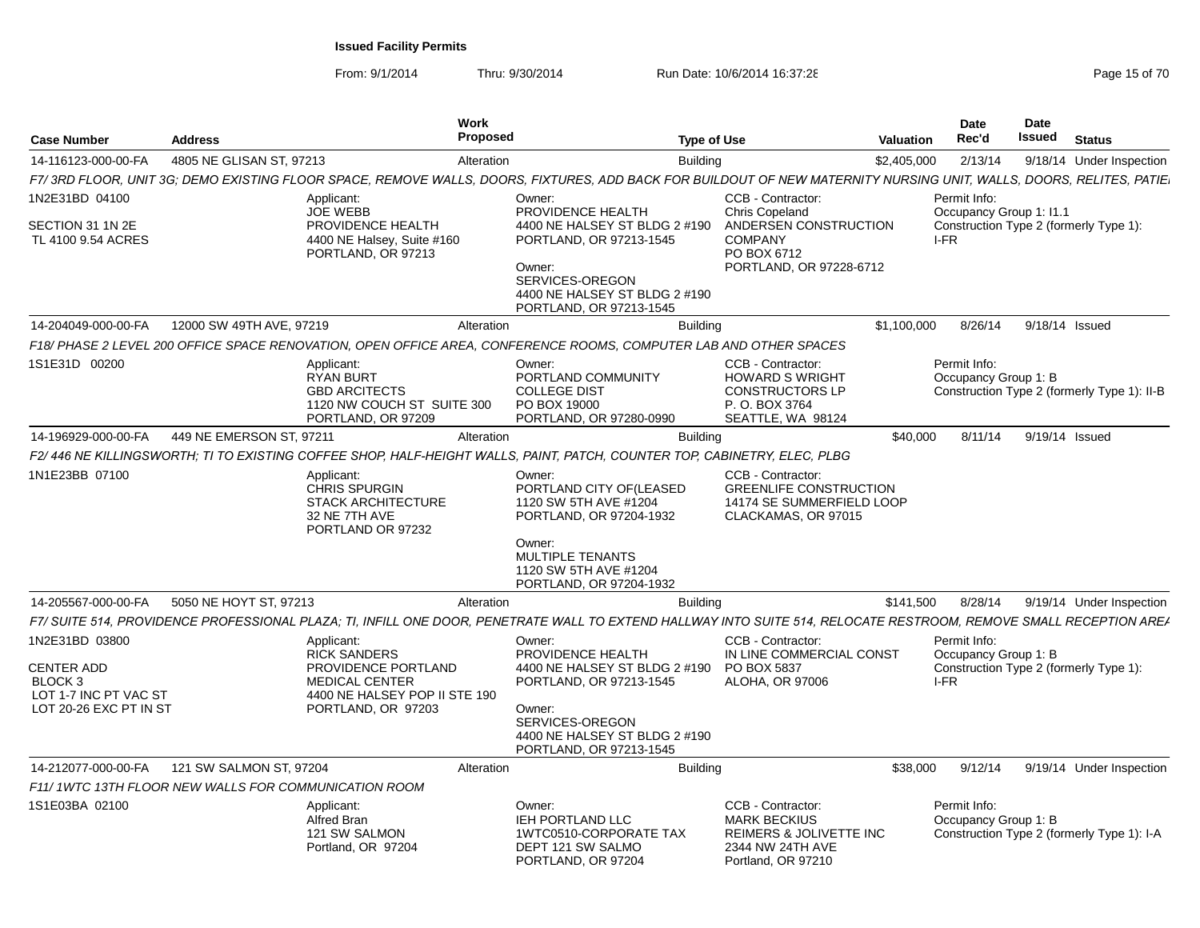From: 9/1/2014

| <b>Case Number</b>                                                                                | <b>Address</b>                                       | Work                                                                                                                                     | Proposed                                                                                                                                                                         | <b>Type of Use</b>                                                                                                       | Valuation   | <b>Date</b><br>Rec'd                                                                   | <b>Date</b><br><b>Issued</b> | <b>Status</b>                               |
|---------------------------------------------------------------------------------------------------|------------------------------------------------------|------------------------------------------------------------------------------------------------------------------------------------------|----------------------------------------------------------------------------------------------------------------------------------------------------------------------------------|--------------------------------------------------------------------------------------------------------------------------|-------------|----------------------------------------------------------------------------------------|------------------------------|---------------------------------------------|
| 14-116123-000-00-FA                                                                               | 4805 NE GLISAN ST. 97213                             | Alteration                                                                                                                               |                                                                                                                                                                                  | <b>Building</b>                                                                                                          | \$2,405,000 | 2/13/14                                                                                |                              | 9/18/14 Under Inspection                    |
|                                                                                                   |                                                      |                                                                                                                                          | F7/3RD FLOOR, UNIT 3G; DEMO EXISTING FLOOR SPACE, REMOVE WALLS, DOORS, FIXTURES, ADD BACK FOR BUILDOUT OF NEW MATERNITY NURSING UNIT, WALLS, DOORS, RELITES, PATIE               |                                                                                                                          |             |                                                                                        |                              |                                             |
| 1N2E31BD 04100                                                                                    |                                                      | Applicant:<br><b>JOE WEBB</b>                                                                                                            | Owner:<br>PROVIDENCE HEALTH                                                                                                                                                      | CCB - Contractor:<br><b>Chris Copeland</b>                                                                               |             | Permit Info:<br>Occupancy Group 1: 11.1                                                |                              |                                             |
| SECTION 31 1N 2E<br>TL 4100 9.54 ACRES                                                            |                                                      | PROVIDENCE HEALTH<br>4400 NE Halsey, Suite #160<br>PORTLAND, OR 97213                                                                    | 4400 NE HALSEY ST BLDG 2 #190<br>PORTLAND, OR 97213-1545<br>Owner:<br>SERVICES-OREGON<br>4400 NE HALSEY ST BLDG 2 #190<br>PORTLAND, OR 97213-1545                                | ANDERSEN CONSTRUCTION<br><b>COMPANY</b><br>PO BOX 6712<br>PORTLAND, OR 97228-6712                                        |             | Construction Type 2 (formerly Type 1):<br>I-FR                                         |                              |                                             |
| 14-204049-000-00-FA                                                                               | 12000 SW 49TH AVE, 97219                             | Alteration                                                                                                                               |                                                                                                                                                                                  | <b>Building</b>                                                                                                          | \$1,100,000 | 8/26/14 9/18/14 Issued                                                                 |                              |                                             |
|                                                                                                   |                                                      |                                                                                                                                          | F18/ PHASE 2 LEVEL 200 OFFICE SPACE RENOVATION, OPEN OFFICE AREA, CONFERENCE ROOMS, COMPUTER LAB AND OTHER SPACES                                                                |                                                                                                                          |             |                                                                                        |                              |                                             |
| 1S1E31D 00200                                                                                     |                                                      | Applicant:<br><b>RYAN BURT</b><br><b>GBD ARCITECTS</b><br>1120 NW COUCH ST SUITE 300<br>PORTLAND, OR 97209                               | Owner:<br>PORTLAND COMMUNITY<br><b>COLLEGE DIST</b><br>PO BOX 19000<br>PORTLAND, OR 97280-0990                                                                                   | CCB - Contractor:<br><b>HOWARD S WRIGHT</b><br><b>CONSTRUCTORS LP</b><br>P. O. BOX 3764<br>SEATTLE, WA 98124             |             | Permit Info:<br>Occupancy Group 1: B                                                   |                              | Construction Type 2 (formerly Type 1): II-B |
| 14-196929-000-00-FA                                                                               | 449 NE EMERSON ST, 97211                             | Alteration                                                                                                                               |                                                                                                                                                                                  | <b>Building</b>                                                                                                          | \$40,000    | 8/11/14                                                                                | 9/19/14 Issued               |                                             |
|                                                                                                   |                                                      |                                                                                                                                          | F2/446 NE KILLINGSWORTH; TI TO EXISTING COFFEE SHOP, HALF-HEIGHT WALLS, PAINT, PATCH, COUNTER TOP, CABINETRY, ELEC, PLBG                                                         |                                                                                                                          |             |                                                                                        |                              |                                             |
| 1N1E23BB 07100                                                                                    |                                                      | Applicant:<br><b>CHRIS SPURGIN</b><br><b>STACK ARCHITECTURE</b><br>32 NE 7TH AVE<br>PORTLAND OR 97232                                    | Owner:<br>PORTLAND CITY OF(LEASED<br>1120 SW 5TH AVE #1204<br>PORTLAND, OR 97204-1932                                                                                            | CCB - Contractor:<br><b>GREENLIFE CONSTRUCTION</b><br>14174 SE SUMMERFIELD LOOP<br>CLACKAMAS, OR 97015                   |             |                                                                                        |                              |                                             |
|                                                                                                   |                                                      |                                                                                                                                          | Owner:<br><b>MULTIPLE TENANTS</b><br>1120 SW 5TH AVE #1204<br>PORTLAND, OR 97204-1932                                                                                            |                                                                                                                          |             |                                                                                        |                              |                                             |
| 14-205567-000-00-FA                                                                               | 5050 NE HOYT ST, 97213                               | Alteration                                                                                                                               |                                                                                                                                                                                  | <b>Building</b>                                                                                                          | \$141,500   | 8/28/14                                                                                |                              | 9/19/14 Under Inspection                    |
|                                                                                                   |                                                      |                                                                                                                                          | F7/ SUITE 514, PROVIDENCE PROFESSIONAL PLAZA: TI, INFILL ONE DOOR, PENETRATE WALL TO EXTEND HALLWAY INTO SUITE 514, RELOCATE RESTROOM, REMOVE SMALL RECEPTION AREA               |                                                                                                                          |             |                                                                                        |                              |                                             |
| 1N2E31BD 03800<br><b>CENTER ADD</b><br>BLOCK 3<br>LOT 1-7 INC PT VAC ST<br>LOT 20-26 EXC PT IN ST |                                                      | Applicant:<br><b>RICK SANDERS</b><br>PROVIDENCE PORTLAND<br><b>MEDICAL CENTER</b><br>4400 NE HALSEY POP II STE 190<br>PORTLAND, OR 97203 | Owner:<br>PROVIDENCE HEALTH<br>4400 NE HALSEY ST BLDG 2 #190<br>PORTLAND, OR 97213-1545<br>Owner:<br>SERVICES-OREGON<br>4400 NE HALSEY ST BLDG 2 #190<br>PORTLAND, OR 97213-1545 | CCB - Contractor:<br>IN LINE COMMERCIAL CONST<br>PO BOX 5837<br>ALOHA, OR 97006                                          |             | Permit Info:<br>Occupancy Group 1: B<br>Construction Type 2 (formerly Type 1):<br>I-FR |                              |                                             |
| 14-212077-000-00-FA                                                                               | 121 SW SALMON ST, 97204                              | Alteration                                                                                                                               |                                                                                                                                                                                  | <b>Building</b>                                                                                                          | \$38,000    | 9/12/14                                                                                |                              | 9/19/14 Under Inspection                    |
|                                                                                                   | F11/1WTC 13TH FLOOR NEW WALLS FOR COMMUNICATION ROOM |                                                                                                                                          |                                                                                                                                                                                  |                                                                                                                          |             |                                                                                        |                              |                                             |
| 1S1E03BA 02100                                                                                    |                                                      | Applicant:<br><b>Alfred Bran</b><br>121 SW SALMON<br>Portland, OR 97204                                                                  | Owner:<br>IEH PORTLAND LLC<br>1WTC0510-CORPORATE TAX<br>DEPT 121 SW SALMO<br>PORTLAND, OR 97204                                                                                  | CCB - Contractor:<br><b>MARK BECKIUS</b><br><b>REIMERS &amp; JOLIVETTE INC</b><br>2344 NW 24TH AVE<br>Portland, OR 97210 |             | Permit Info:<br>Occupancy Group 1: B<br>Construction Type 2 (formerly Type 1): I-A     |                              |                                             |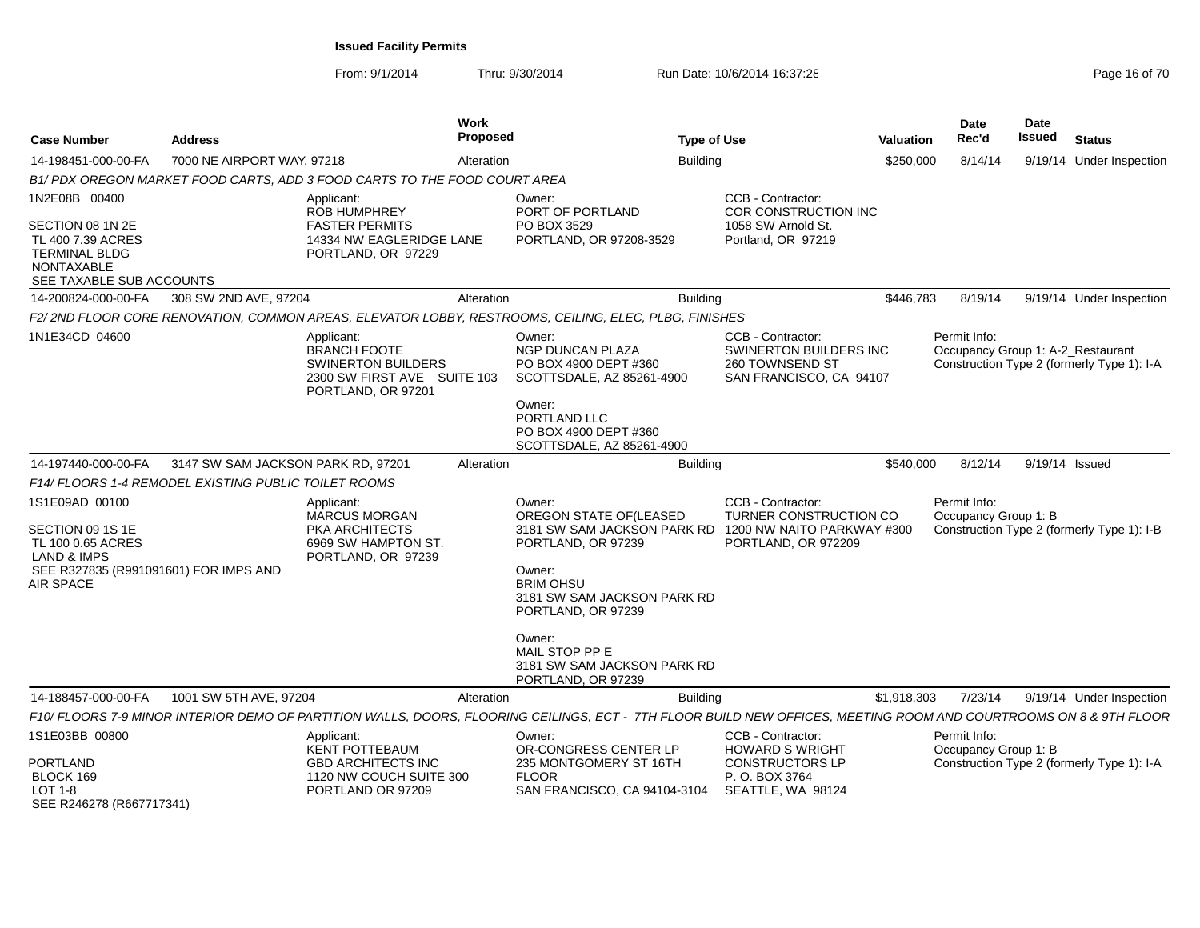| <b>Case Number</b>                                                                                                           | <b>Address</b>                                      | Work<br><b>Proposed</b>                                                                                                                                           |                                                                                                                                                                                                                                                           | <b>Type of Use</b>                                                                                      | Valuation   | <b>Date</b><br>Rec'd                              | Date<br><b>Issued</b> | <b>Status</b>                              |
|------------------------------------------------------------------------------------------------------------------------------|-----------------------------------------------------|-------------------------------------------------------------------------------------------------------------------------------------------------------------------|-----------------------------------------------------------------------------------------------------------------------------------------------------------------------------------------------------------------------------------------------------------|---------------------------------------------------------------------------------------------------------|-------------|---------------------------------------------------|-----------------------|--------------------------------------------|
| 14-198451-000-00-FA                                                                                                          | 7000 NE AIRPORT WAY, 97218                          | Alteration                                                                                                                                                        |                                                                                                                                                                                                                                                           | <b>Building</b>                                                                                         | \$250,000   | 8/14/14                                           |                       | 9/19/14 Under Inspection                   |
|                                                                                                                              |                                                     | B1/ PDX OREGON MARKET FOOD CARTS, ADD 3 FOOD CARTS TO THE FOOD COURT AREA                                                                                         |                                                                                                                                                                                                                                                           |                                                                                                         |             |                                                   |                       |                                            |
| 1N2E08B 00400<br>SECTION 08 1N 2E<br>TL 400 7.39 ACRES<br><b>TERMINAL BLDG</b><br>NONTAXABLE<br>SEE TAXABLE SUB ACCOUNTS     |                                                     | Applicant:<br><b>ROB HUMPHREY</b><br><b>FASTER PERMITS</b><br>14334 NW EAGLERIDGE LANE<br>PORTLAND, OR 97229                                                      | Owner:<br>PORT OF PORTLAND<br>PO BOX 3529<br>PORTLAND, OR 97208-3529                                                                                                                                                                                      | CCB - Contractor:<br>COR CONSTRUCTION INC<br>1058 SW Arnold St.<br>Portland, OR 97219                   |             |                                                   |                       |                                            |
| 14-200824-000-00-FA                                                                                                          | 308 SW 2ND AVE, 97204                               | Alteration                                                                                                                                                        |                                                                                                                                                                                                                                                           | <b>Building</b>                                                                                         | \$446.783   | 8/19/14                                           |                       | 9/19/14 Under Inspection                   |
|                                                                                                                              |                                                     | F2/2ND FLOOR CORE RENOVATION, COMMON AREAS, ELEVATOR LOBBY, RESTROOMS, CEILING, ELEC, PLBG, FINISHES                                                              |                                                                                                                                                                                                                                                           |                                                                                                         |             |                                                   |                       |                                            |
| 1N1E34CD 04600                                                                                                               |                                                     | Applicant:<br><b>BRANCH FOOTE</b><br><b>SWINERTON BUILDERS</b><br>2300 SW FIRST AVE SUITE 103<br>PORTLAND, OR 97201                                               | Owner:<br><b>NGP DUNCAN PLAZA</b><br>PO BOX 4900 DEPT #360<br>SCOTTSDALE, AZ 85261-4900<br>Owner:<br>PORTLAND LLC<br>PO BOX 4900 DEPT #360<br>SCOTTSDALE, AZ 85261-4900                                                                                   | <b>CCB - Contractor:</b><br><b>SWINERTON BUILDERS INC</b><br>260 TOWNSEND ST<br>SAN FRANCISCO, CA 94107 |             | Permit Info:<br>Occupancy Group 1: A-2 Restaurant |                       | Construction Type 2 (formerly Type 1): I-A |
| 14-197440-000-00-FA                                                                                                          | 3147 SW SAM JACKSON PARK RD, 97201                  | Alteration                                                                                                                                                        |                                                                                                                                                                                                                                                           | <b>Building</b>                                                                                         | \$540,000   | 8/12/14                                           |                       | 9/19/14 Issued                             |
|                                                                                                                              | F14/FLOORS 1-4 REMODEL EXISTING PUBLIC TOILET ROOMS |                                                                                                                                                                   |                                                                                                                                                                                                                                                           |                                                                                                         |             |                                                   |                       |                                            |
| 1S1E09AD 00100<br>SECTION 09 1S 1E<br>TL 100 0.65 ACRES<br>LAND & IMPS<br>SEE R327835 (R991091601) FOR IMPS AND<br>AIR SPACE |                                                     | Applicant:<br>MARCUS MORGAN<br><b>PKA ARCHITECTS</b><br>6969 SW HAMPTON ST.<br>PORTLAND, OR 97239                                                                 | Owner:<br>OREGON STATE OF(LEASED<br>3181 SW SAM JACKSON PARK RD<br>PORTLAND, OR 97239<br>Owner:<br><b>BRIM OHSU</b><br>3181 SW SAM JACKSON PARK RD<br>PORTLAND, OR 97239<br>Owner:<br>MAIL STOP PP E<br>3181 SW SAM JACKSON PARK RD<br>PORTLAND, OR 97239 | CCB - Contractor:<br>TURNER CONSTRUCTION CO<br>1200 NW NAITO PARKWAY #300<br>PORTLAND, OR 972209        |             | Permit Info:<br>Occupancy Group 1: B              |                       | Construction Type 2 (formerly Type 1): I-B |
| 14-188457-000-00-FA                                                                                                          | 1001 SW 5TH AVE, 97204                              | Alteration                                                                                                                                                        |                                                                                                                                                                                                                                                           | <b>Building</b>                                                                                         | \$1,918,303 | 7/23/14                                           |                       | 9/19/14 Under Inspection                   |
|                                                                                                                              |                                                     | F10/ FLOORS 7-9 MINOR INTERIOR DEMO OF PARTITION WALLS, DOORS, FLOORING CEILINGS, ECT - 7TH FLOOR BUILD NEW OFFICES, MEETING ROOM AND COURTROOMS ON 8 & 9TH FLOOR |                                                                                                                                                                                                                                                           |                                                                                                         |             |                                                   |                       |                                            |
| 1S1E03BB 00800<br><b>PORTLAND</b><br>BLOCK 169                                                                               |                                                     | Applicant:<br>KENT POTTEBAUM<br><b>GBD ARCHITECTS INC</b><br>1120 NW COUCH SUITE 300                                                                              | Owner:<br>OR-CONGRESS CENTER LP<br>235 MONTGOMERY ST 16TH<br><b>FLOOR</b>                                                                                                                                                                                 | CCB - Contractor:<br><b>HOWARD S WRIGHT</b><br><b>CONSTRUCTORS LP</b><br>P. O. BOX 3764                 |             | Permit Info:<br>Occupancy Group 1: B              |                       | Construction Type 2 (formerly Type 1): I-A |
| LOT 1-8<br>SEE R246278 (R667717341)                                                                                          |                                                     | PORTLAND OR 97209                                                                                                                                                 | SAN FRANCISCO, CA 94104-3104                                                                                                                                                                                                                              | SEATTLE, WA 98124                                                                                       |             |                                                   |                       |                                            |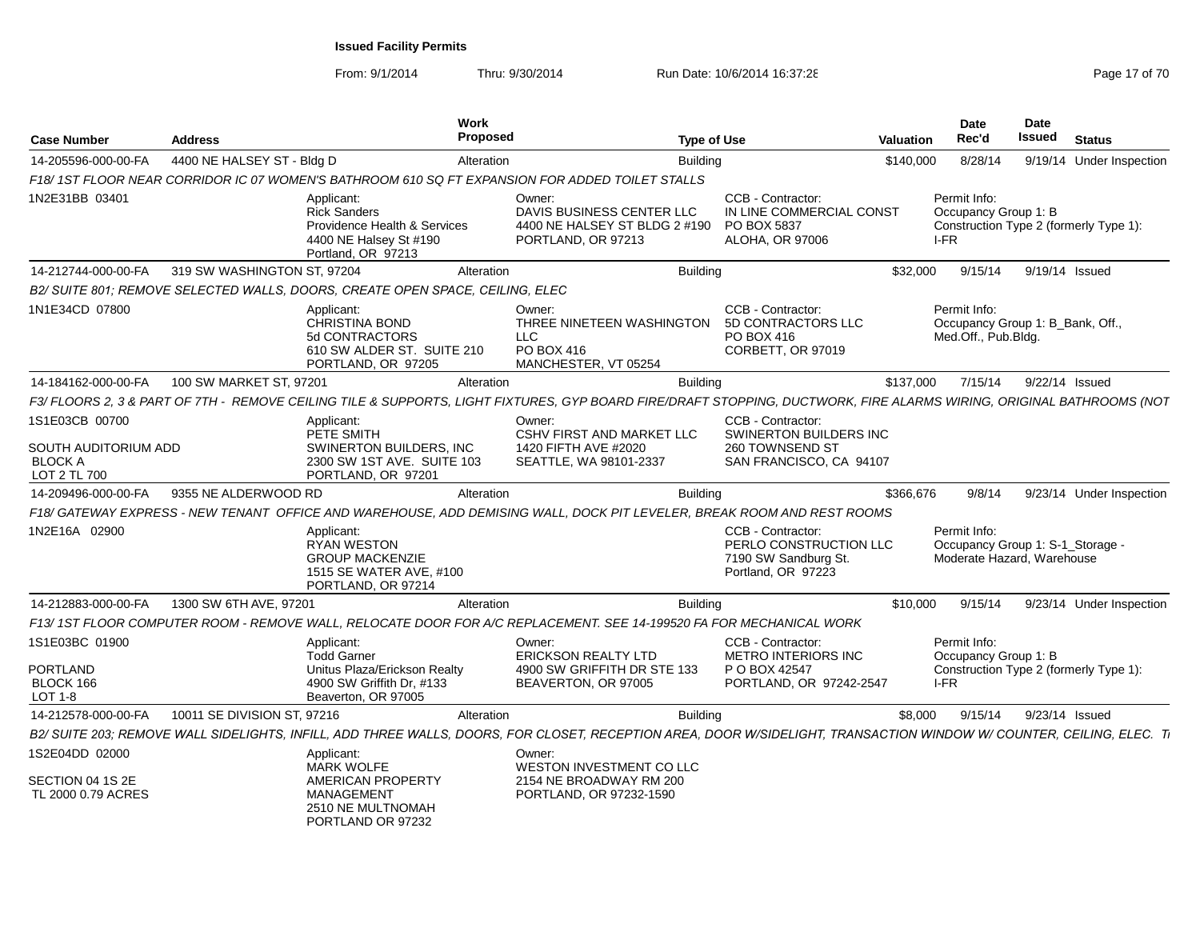| Case Number                                              | <b>Address</b>              | <b>Work</b><br><b>Proposed</b>                                                                                       |                                                                                                                                                                       | <b>Type of Use</b>                                                                          | Valuation | Date<br>Rec'd                                                                  | Date<br>Issued | <b>Status</b>                          |
|----------------------------------------------------------|-----------------------------|----------------------------------------------------------------------------------------------------------------------|-----------------------------------------------------------------------------------------------------------------------------------------------------------------------|---------------------------------------------------------------------------------------------|-----------|--------------------------------------------------------------------------------|----------------|----------------------------------------|
| 14-205596-000-00-FA                                      | 4400 NE HALSEY ST - Bldg D  | Alteration                                                                                                           | <b>Building</b>                                                                                                                                                       |                                                                                             | \$140,000 | 8/28/14                                                                        |                | 9/19/14 Under Inspection               |
|                                                          |                             |                                                                                                                      | F18/1ST FLOOR NEAR CORRIDOR IC 07 WOMEN'S BATHROOM 610 SQ FT EXPANSION FOR ADDED TOILET STALLS                                                                        |                                                                                             |           |                                                                                |                |                                        |
| 1N2E31BB 03401                                           |                             | Applicant:<br><b>Rick Sanders</b><br>Providence Health & Services<br>4400 NE Halsey St #190<br>Portland, OR 97213    | Owner:<br>DAVIS BUSINESS CENTER LLC<br>4400 NE HALSEY ST BLDG 2 #190<br>PORTLAND, OR 97213                                                                            | CCB - Contractor:<br>IN LINE COMMERCIAL CONST<br>PO BOX 5837<br>ALOHA, OR 97006             |           | Permit Info:<br>Occupancy Group 1: B<br>I-FR                                   |                | Construction Type 2 (formerly Type 1): |
| 14-212744-000-00-FA                                      | 319 SW WASHINGTON ST, 97204 | Alteration                                                                                                           | <b>Building</b>                                                                                                                                                       |                                                                                             | \$32,000  | 9/15/14                                                                        |                | 9/19/14 Issued                         |
|                                                          |                             | B2/ SUITE 801; REMOVE SELECTED WALLS, DOORS, CREATE OPEN SPACE, CEILING, ELEC                                        |                                                                                                                                                                       |                                                                                             |           |                                                                                |                |                                        |
| 1N1E34CD 07800                                           |                             | Applicant:<br><b>CHRISTINA BOND</b><br>5d CONTRACTORS<br>610 SW ALDER ST. SUITE 210<br>PORTLAND, OR 97205            | Owner:<br>THREE NINETEEN WASHINGTON<br><b>LLC</b><br>PO BOX 416<br>MANCHESTER, VT 05254                                                                               | CCB - Contractor:<br>5D CONTRACTORS LLC<br>PO BOX 416<br>CORBETT, OR 97019                  |           | Permit Info:<br>Occupancy Group 1: B Bank, Off.,<br>Med.Off., Pub.Bldg.        |                |                                        |
| 14-184162-000-00-FA                                      | 100 SW MARKET ST, 97201     | Alteration                                                                                                           | <b>Building</b>                                                                                                                                                       |                                                                                             | \$137,000 | 7/15/14                                                                        |                | 9/22/14 Issued                         |
|                                                          |                             |                                                                                                                      | F3/ FLOORS 2, 3 & PART OF 7TH - REMOVE CEILING TILE & SUPPORTS, LIGHT FIXTURES, GYP BOARD FIRE/DRAFT STOPPING, DUCTWORK, FIRE ALARMS WIRING, ORIGINAL BATHROOMS (NOT  |                                                                                             |           |                                                                                |                |                                        |
| 1S1E03CB 00700                                           |                             | Applicant:                                                                                                           | Owner:                                                                                                                                                                | CCB - Contractor:                                                                           |           |                                                                                |                |                                        |
| SOUTH AUDITORIUM ADD<br><b>BLOCK A</b><br>LOT 2 TL 700   |                             | PETE SMITH<br>SWINERTON BUILDERS, INC.<br>2300 SW 1ST AVE. SUITE 103<br>PORTLAND, OR 97201                           | <b>CSHV FIRST AND MARKET LLC</b><br>1420 FIFTH AVE #2020<br>SEATTLE, WA 98101-2337                                                                                    | SWINERTON BUILDERS INC<br>260 TOWNSEND ST<br>SAN FRANCISCO, CA 94107                        |           |                                                                                |                |                                        |
| 14-209496-000-00-FA                                      | 9355 NE ALDERWOOD RD        | Alteration                                                                                                           | <b>Building</b>                                                                                                                                                       |                                                                                             | \$366,676 | 9/8/14                                                                         |                | 9/23/14 Under Inspection               |
|                                                          |                             |                                                                                                                      | F18/ GATEWAY EXPRESS - NEW TENANT OFFICE AND WAREHOUSE, ADD DEMISING WALL, DOCK PIT LEVELER, BREAK ROOM AND REST ROOMS                                                |                                                                                             |           |                                                                                |                |                                        |
| 1N2E16A 02900                                            |                             | Applicant:<br><b>RYAN WESTON</b><br><b>GROUP MACKENZIE</b><br>1515 SE WATER AVE, #100<br>PORTLAND, OR 97214          |                                                                                                                                                                       | CCB - Contractor:<br>PERLO CONSTRUCTION LLC<br>7190 SW Sandburg St.<br>Portland, OR 97223   |           | Permit Info:<br>Occupancy Group 1: S-1_Storage -<br>Moderate Hazard, Warehouse |                |                                        |
| 14-212883-000-00-FA                                      | 1300 SW 6TH AVE, 97201      | Alteration                                                                                                           | <b>Building</b>                                                                                                                                                       |                                                                                             | \$10,000  | 9/15/14                                                                        |                | 9/23/14 Under Inspection               |
|                                                          |                             |                                                                                                                      | F13/1ST FLOOR COMPUTER ROOM - REMOVE WALL, RELOCATE DOOR FOR A/C REPLACEMENT. SEE 14-199520 FA FOR MECHANICAL WORK                                                    |                                                                                             |           |                                                                                |                |                                        |
| 1S1E03BC 01900<br>PORTLAND<br>BLOCK 166<br>LOT 1-8       |                             | Applicant:<br><b>Todd Garner</b><br>Unitus Plaza/Erickson Realty<br>4900 SW Griffith Dr. #133<br>Beaverton, OR 97005 | Owner:<br><b>ERICKSON REALTY LTD</b><br>4900 SW GRIFFITH DR STE 133<br>BEAVERTON, OR 97005                                                                            | CCB - Contractor:<br><b>METRO INTERIORS INC</b><br>P O BOX 42547<br>PORTLAND, OR 97242-2547 |           | Permit Info:<br>Occupancy Group 1: B<br>I-FR                                   |                | Construction Type 2 (formerly Type 1): |
| 14-212578-000-00-FA                                      | 10011 SE DIVISION ST, 97216 | Alteration                                                                                                           | <b>Building</b>                                                                                                                                                       |                                                                                             | \$8,000   | 9/15/14                                                                        | 9/23/14 Issued |                                        |
|                                                          |                             |                                                                                                                      | B2/ SUITE 203; REMOVE WALL SIDELIGHTS, INFILL, ADD THREE WALLS, DOORS, FOR CLOSET, RECEPTION AREA, DOOR W/SIDELIGHT, TRANSACTION WINDOW W/ COUNTER, CEILING, ELEC. Ti |                                                                                             |           |                                                                                |                |                                        |
| 1S2E04DD 02000<br>SECTION 04 1S 2E<br>TL 2000 0.79 ACRES |                             | Applicant:<br><b>MARK WOLFE</b><br>AMERICAN PROPERTY<br><b>MANAGEMENT</b>                                            | Owner:<br>WESTON INVESTMENT CO LLC<br>2154 NE BROADWAY RM 200<br>PORTLAND, OR 97232-1590                                                                              |                                                                                             |           |                                                                                |                |                                        |
|                                                          |                             | 2510 NE MULTNOMAH<br>PORTLAND OR 97232                                                                               |                                                                                                                                                                       |                                                                                             |           |                                                                                |                |                                        |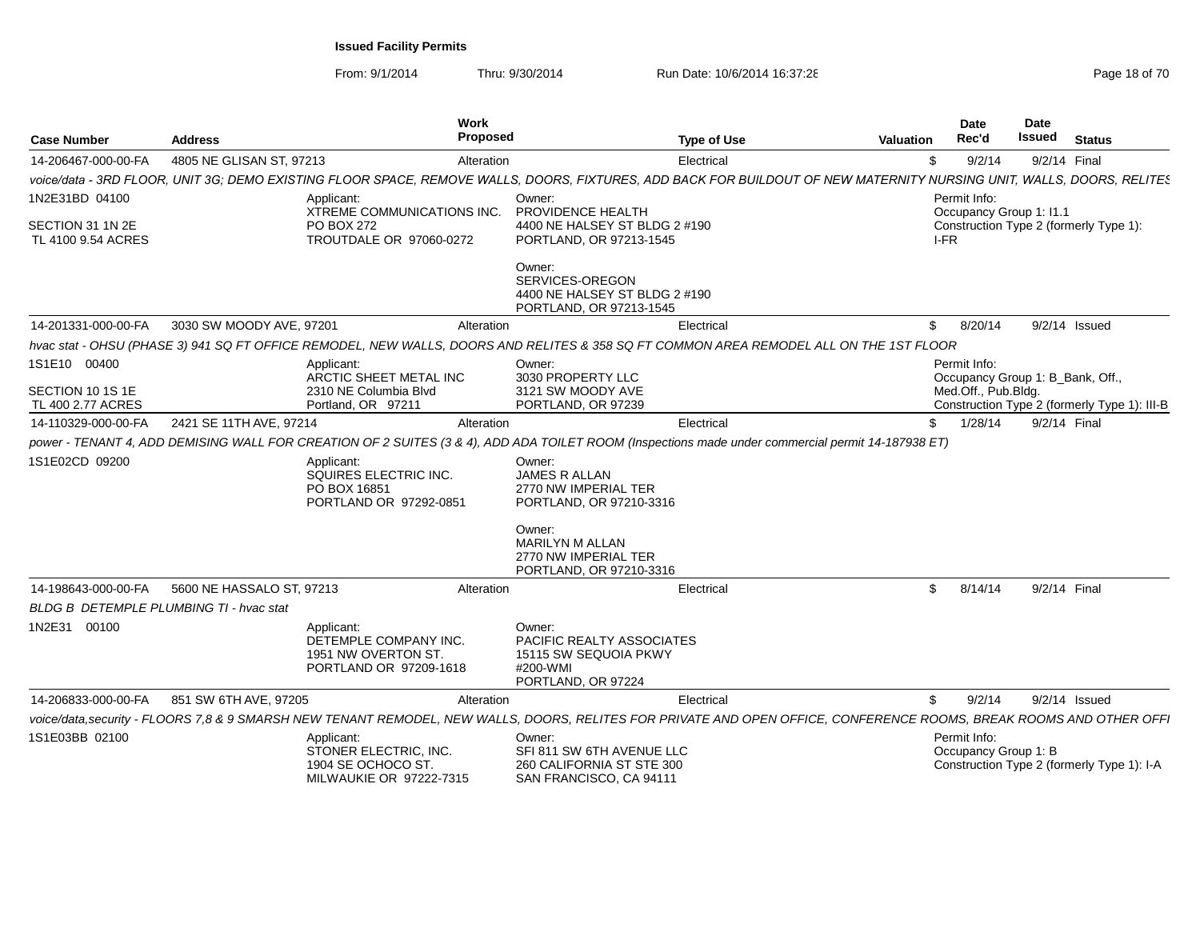| <b>Case Number</b>                                       | <b>Address</b>            | <b>Work</b>                                                                          | Proposed                                                                                       | <b>Type of Use</b>                                                                                                                                                    | <b>Valuation</b> | Date<br>Rec'd                                                           | Date<br>Issued | <b>Status</b>                                |
|----------------------------------------------------------|---------------------------|--------------------------------------------------------------------------------------|------------------------------------------------------------------------------------------------|-----------------------------------------------------------------------------------------------------------------------------------------------------------------------|------------------|-------------------------------------------------------------------------|----------------|----------------------------------------------|
| 14-206467-000-00-FA                                      | 4805 NE GLISAN ST, 97213  |                                                                                      | Alteration                                                                                     | Electrical                                                                                                                                                            |                  | 9/2/14                                                                  | 9/2/14 Final   |                                              |
|                                                          |                           |                                                                                      |                                                                                                | voice/data - 3RD FLOOR, UNIT 3G; DEMO EXISTING FLOOR SPACE, REMOVE WALLS, DOORS, FIXTURES, ADD BACK FOR BUILDOUT OF NEW MATERNITY NURSING UNIT, WALLS, DOORS, RELITES |                  |                                                                         |                |                                              |
| 1N2E31BD 04100<br>SECTION 31 1N 2E<br>TL 4100 9.54 ACRES |                           | Applicant<br>XTREME COMMUNICATIONS INC.<br>PO BOX 272<br>TROUTDALE OR 97060-0272     | Owner:<br>PROVIDENCE HEALTH<br>4400 NE HALSEY ST BLDG 2 #190<br>PORTLAND, OR 97213-1545        |                                                                                                                                                                       |                  | Permit Info:<br>Occupancy Group 1: I1.1<br>I-FR                         |                | Construction Type 2 (formerly Type 1):       |
|                                                          |                           |                                                                                      | Owner:<br>SERVICES-OREGON<br>4400 NE HALSEY ST BLDG 2 #190<br>PORTLAND, OR 97213-1545          |                                                                                                                                                                       |                  |                                                                         |                |                                              |
| 14-201331-000-00-FA                                      | 3030 SW MOODY AVE, 97201  | Alteration                                                                           |                                                                                                | Electrical                                                                                                                                                            |                  | \$8/20/14                                                               | 9/2/14 Issued  |                                              |
|                                                          |                           |                                                                                      |                                                                                                | hvac stat - OHSU (PHASE 3) 941 SQ FT OFFICE REMODEL, NEW WALLS, DOORS AND RELITES & 358 SQ FT COMMON AREA REMODEL ALL ON THE 1ST FLOOR                                |                  |                                                                         |                |                                              |
| 1S1E10 00400<br>SECTION 10 1S 1E<br>TL 400 2.77 ACRES    |                           | Applicant:<br>ARCTIC SHEET METAL INC<br>2310 NE Columbia Blvd<br>Portland, OR 97211  | Owner:<br>3030 PROPERTY LLC<br>3121 SW MOODY AVE<br>PORTLAND, OR 97239                         |                                                                                                                                                                       |                  | Permit Info:<br>Occupancy Group 1: B_Bank, Off.,<br>Med.Off., Pub.Bldg. |                | Construction Type 2 (formerly Type 1): III-B |
| 14-110329-000-00-FA                                      | 2421 SE 11TH AVE, 97214   | Alteration                                                                           |                                                                                                | Electrical                                                                                                                                                            |                  | \$1/28/14                                                               | 9/2/14 Final   |                                              |
|                                                          |                           |                                                                                      |                                                                                                | power - TENANT 4, ADD DEMISING WALL FOR CREATION OF 2 SUITES (3 & 4), ADD ADA TOILET ROOM (Inspections made under commercial permit 14-187938 ET)                     |                  |                                                                         |                |                                              |
| 1S1E02CD 09200                                           |                           | Applicant:<br>SQUIRES ELECTRIC INC.<br>PO BOX 16851<br>PORTLAND OR 97292-0851        | Owner:<br>JAMES R ALLAN<br>2770 NW IMPERIAL TER<br>PORTLAND, OR 97210-3316                     |                                                                                                                                                                       |                  |                                                                         |                |                                              |
|                                                          |                           |                                                                                      | Owner:<br><b>MARILYN M ALLAN</b><br>2770 NW IMPERIAL TER<br>PORTLAND, OR 97210-3316            |                                                                                                                                                                       |                  |                                                                         |                |                                              |
| 14-198643-000-00-FA                                      | 5600 NE HASSALO ST, 97213 |                                                                                      | Alteration                                                                                     | Electrical                                                                                                                                                            |                  | \$8/14/14                                                               | 9/2/14 Final   |                                              |
| <b>BLDG B DETEMPLE PLUMBING TI - hvac stat</b>           |                           |                                                                                      |                                                                                                |                                                                                                                                                                       |                  |                                                                         |                |                                              |
| 1N2E31 00100                                             |                           | Applicant:<br>DETEMPLE COMPANY INC.<br>1951 NW OVERTON ST.<br>PORTLAND OR 97209-1618 | Owner:<br>PACIFIC REALTY ASSOCIATES<br>15115 SW SEQUOIA PKWY<br>#200-WMI<br>PORTLAND, OR 97224 |                                                                                                                                                                       |                  |                                                                         |                |                                              |
| 14-206833-000-00-FA                                      | 851 SW 6TH AVE, 97205     | Alteration                                                                           |                                                                                                | Electrical                                                                                                                                                            | \$               | 9/2/14                                                                  |                | 9/2/14 Issued                                |
|                                                          |                           |                                                                                      |                                                                                                | voice/data,security - FLOORS 7,8 & 9 SMARSH NEW TENANT REMODEL, NEW WALLS, DOORS, RELITES FOR PRIVATE AND OPEN OFFICE, CONFERENCE ROOMS, BREAK ROOMS AND OTHER OFFI   |                  |                                                                         |                |                                              |
| 1S1E03BB 02100                                           |                           | Applicant:<br>STONER ELECTRIC, INC.<br>1904 SE OCHOCO ST.<br>MILWAUKIE OR 97222-7315 | Owner:<br>SFI 811 SW 6TH AVENUE LLC<br>260 CALIFORNIA ST STE 300<br>SAN FRANCISCO, CA 94111    |                                                                                                                                                                       |                  | Permit Info:<br>Occupancy Group 1: B                                    |                | Construction Type 2 (formerly Type 1): I-A   |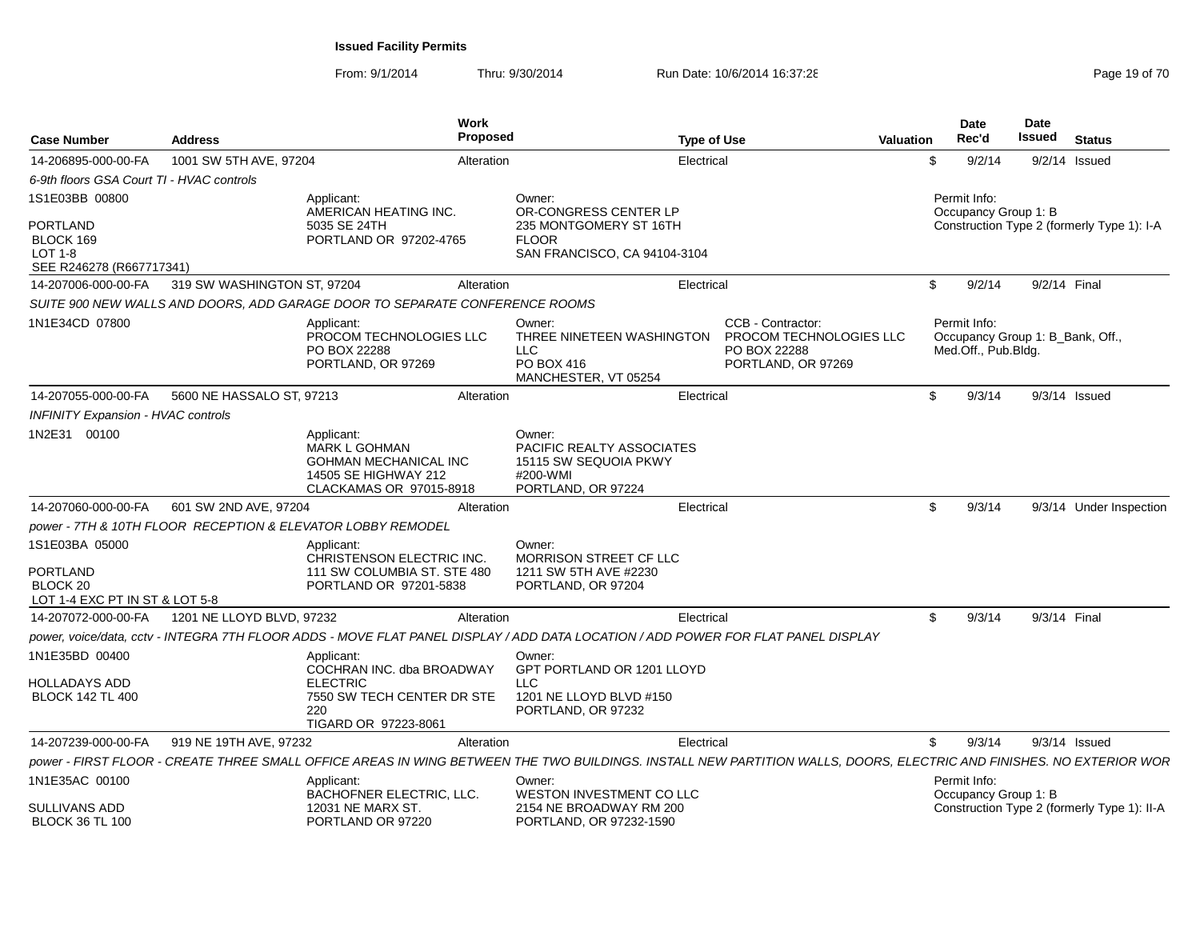| <b>Case Number</b>                                                                           | <b>Address</b>              | <b>Work</b>                                                                                                             | <b>Proposed</b> | <b>Type of Use</b>                                                                                                                                                  |                                                                                    | <b>Valuation</b> | <b>Date</b><br>Rec'd                                                    | <b>Date</b><br><b>Issued</b> | <b>Status</b>                               |
|----------------------------------------------------------------------------------------------|-----------------------------|-------------------------------------------------------------------------------------------------------------------------|-----------------|---------------------------------------------------------------------------------------------------------------------------------------------------------------------|------------------------------------------------------------------------------------|------------------|-------------------------------------------------------------------------|------------------------------|---------------------------------------------|
| 14-206895-000-00-FA                                                                          | 1001 SW 5TH AVE, 97204      |                                                                                                                         | Alteration      | Electrical                                                                                                                                                          |                                                                                    |                  | \$<br>9/2/14                                                            |                              | $9/2/14$ Issued                             |
| 6-9th floors GSA Court TI - HVAC controls                                                    |                             |                                                                                                                         |                 |                                                                                                                                                                     |                                                                                    |                  |                                                                         |                              |                                             |
| 1S1E03BB 00800<br><b>PORTLAND</b><br>BLOCK 169<br><b>LOT 1-8</b><br>SEE R246278 (R667717341) |                             | Applicant:<br>AMERICAN HEATING INC.<br>5035 SE 24TH<br>PORTLAND OR 97202-4765                                           |                 | Owner:<br>OR-CONGRESS CENTER LP<br>235 MONTGOMERY ST 16TH<br><b>FLOOR</b><br>SAN FRANCISCO, CA 94104-3104                                                           |                                                                                    |                  | Permit Info:<br>Occupancy Group 1: B                                    |                              | Construction Type 2 (formerly Type 1): I-A  |
| 14-207006-000-00-FA                                                                          | 319 SW WASHINGTON ST, 97204 |                                                                                                                         | Alteration      | Electrical                                                                                                                                                          |                                                                                    |                  | \$<br>9/2/14                                                            | 9/2/14 Final                 |                                             |
|                                                                                              |                             | SUITE 900 NEW WALLS AND DOORS, ADD GARAGE DOOR TO SEPARATE CONFERENCE ROOMS                                             |                 |                                                                                                                                                                     |                                                                                    |                  |                                                                         |                              |                                             |
| 1N1E34CD 07800                                                                               |                             | Applicant:<br>PROCOM TECHNOLOGIES LLC<br>PO BOX 22288<br>PORTLAND, OR 97269                                             |                 | Owner:<br>THREE NINETEEN WASHINGTON<br><b>LLC</b><br>PO BOX 416<br>MANCHESTER, VT 05254                                                                             | CCB - Contractor:<br>PROCOM TECHNOLOGIES LLC<br>PO BOX 22288<br>PORTLAND, OR 97269 |                  | Permit Info:<br>Occupancy Group 1: B_Bank, Off.,<br>Med.Off., Pub.Bldg. |                              |                                             |
| 14-207055-000-00-FA                                                                          | 5600 NE HASSALO ST, 97213   |                                                                                                                         | Alteration      | Electrical                                                                                                                                                          |                                                                                    |                  | \$<br>9/3/14                                                            |                              | $9/3/14$ Issued                             |
| <b>INFINITY Expansion - HVAC controls</b>                                                    |                             |                                                                                                                         |                 |                                                                                                                                                                     |                                                                                    |                  |                                                                         |                              |                                             |
| 1N2E31 00100                                                                                 |                             | Applicant:<br>MARK L GOHMAN<br><b>GOHMAN MECHANICAL INC</b><br>14505 SE HIGHWAY 212<br>CLACKAMAS OR 97015-8918          |                 | Owner:<br>PACIFIC REALTY ASSOCIATES<br>15115 SW SEQUOIA PKWY<br>#200-WMI<br>PORTLAND, OR 97224                                                                      |                                                                                    |                  |                                                                         |                              |                                             |
| 14-207060-000-00-FA                                                                          | 601 SW 2ND AVE, 97204       |                                                                                                                         | Alteration      | Electrical                                                                                                                                                          |                                                                                    |                  | \$<br>9/3/14                                                            |                              | 9/3/14 Under Inspection                     |
|                                                                                              |                             | power - 7TH & 10TH FLOOR RECEPTION & ELEVATOR LOBBY REMODEL                                                             |                 |                                                                                                                                                                     |                                                                                    |                  |                                                                         |                              |                                             |
| 1S1E03BA 05000<br>PORTLAND<br>BLOCK <sub>20</sub><br>LOT 1-4 EXC PT IN ST & LOT 5-8          |                             | Applicant:<br>CHRISTENSON ELECTRIC INC.<br>111 SW COLUMBIA ST. STE 480<br>PORTLAND OR 97201-5838                        |                 | Owner:<br>MORRISON STREET CF LLC<br>1211 SW 5TH AVE #2230<br>PORTLAND, OR 97204                                                                                     |                                                                                    |                  |                                                                         |                              |                                             |
| 14-207072-000-00-FA                                                                          | 1201 NE LLOYD BLVD, 97232   |                                                                                                                         | Alteration      | Electrical                                                                                                                                                          |                                                                                    |                  | \$<br>9/3/14                                                            | 9/3/14 Final                 |                                             |
|                                                                                              |                             |                                                                                                                         |                 | power, voice/data, cctv - INTEGRA 7TH FLOOR ADDS - MOVE FLAT PANEL DISPLAY / ADD DATA LOCATION / ADD POWER FOR FLAT PANEL DISPLAY                                   |                                                                                    |                  |                                                                         |                              |                                             |
| 1N1E35BD 00400<br>HOLLADAYS ADD<br><b>BLOCK 142 TL 400</b>                                   |                             | Applicant:<br>COCHRAN INC. dba BROADWAY<br><b>ELECTRIC</b><br>7550 SW TECH CENTER DR STE<br>220<br>TIGARD OR 97223-8061 |                 | Owner:<br>GPT PORTLAND OR 1201 LLOYD<br><b>LLC</b><br>1201 NE LLOYD BLVD #150<br>PORTLAND, OR 97232                                                                 |                                                                                    |                  |                                                                         |                              |                                             |
| 14-207239-000-00-FA                                                                          | 919 NE 19TH AVE, 97232      |                                                                                                                         | Alteration      | Electrical                                                                                                                                                          |                                                                                    |                  | \$<br>9/3/14                                                            |                              | $9/3/14$ Issued                             |
|                                                                                              |                             |                                                                                                                         |                 | power - FIRST FLOOR - CREATE THREE SMALL OFFICE AREAS IN WING BETWEEN THE TWO BUILDINGS. INSTALL NEW PARTITION WALLS, DOORS, ELECTRIC AND FINISHES. NO EXTERIOR WOR |                                                                                    |                  |                                                                         |                              |                                             |
| 1N1E35AC 00100<br>SULLIVANS ADD<br><b>BLOCK 36 TL 100</b>                                    |                             | Applicant:<br>BACHOFNER ELECTRIC, LLC.<br>12031 NE MARX ST.<br>PORTLAND OR 97220                                        |                 | Owner:<br>WESTON INVESTMENT CO LLC<br>2154 NE BROADWAY RM 200<br>PORTLAND, OR 97232-1590                                                                            |                                                                                    |                  | Permit Info:<br>Occupancy Group 1: B                                    |                              | Construction Type 2 (formerly Type 1): II-A |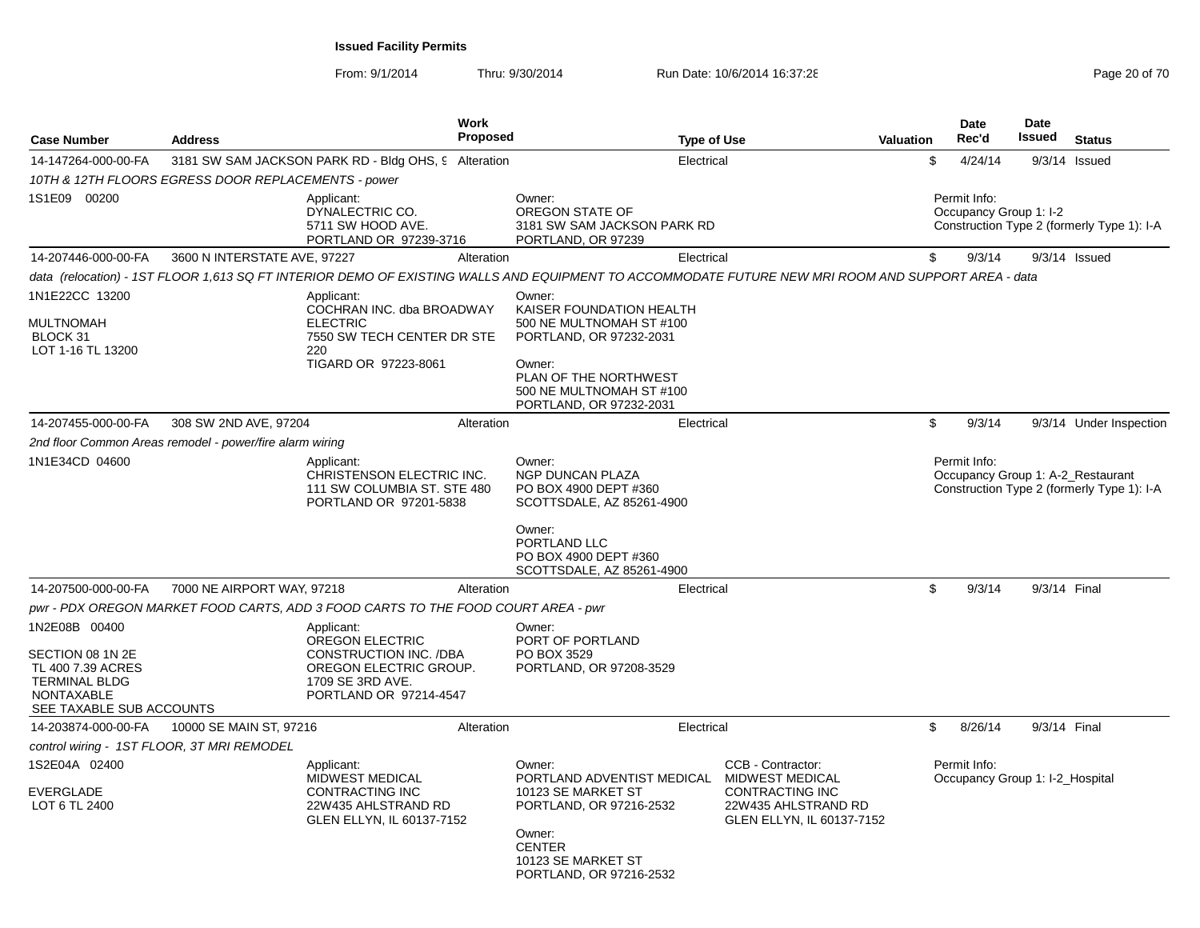| <b>Case Number</b>                                                                                                              | <b>Address</b>                                           | <b>Work</b><br><b>Proposed</b>                                                                                                                     |                                                                                                                                                                                     | <b>Type of Use</b>                                                                                                        | <b>Valuation</b> | <b>Date</b><br>Rec'd                              | Date<br>Issued | <b>Status</b>                              |
|---------------------------------------------------------------------------------------------------------------------------------|----------------------------------------------------------|----------------------------------------------------------------------------------------------------------------------------------------------------|-------------------------------------------------------------------------------------------------------------------------------------------------------------------------------------|---------------------------------------------------------------------------------------------------------------------------|------------------|---------------------------------------------------|----------------|--------------------------------------------|
| 14-147264-000-00-FA                                                                                                             |                                                          | 3181 SW SAM JACKSON PARK RD - Bldg OHS, 9 Alteration                                                                                               |                                                                                                                                                                                     | Electrical                                                                                                                | \$               | 4/24/14                                           |                | $9/3/14$ Issued                            |
|                                                                                                                                 | 10TH & 12TH FLOORS EGRESS DOOR REPLACEMENTS - power      |                                                                                                                                                    |                                                                                                                                                                                     |                                                                                                                           |                  |                                                   |                |                                            |
| 1S1E09 00200                                                                                                                    |                                                          | Applicant:<br>DYNALECTRIC CO.<br>5711 SW HOOD AVE.<br>PORTLAND OR 97239-3716                                                                       | Owner:<br>OREGON STATE OF<br>3181 SW SAM JACKSON PARK RD<br>PORTLAND, OR 97239                                                                                                      |                                                                                                                           |                  | Permit Info:<br>Occupancy Group 1: I-2            |                | Construction Type 2 (formerly Type 1): I-A |
| 14-207446-000-00-FA                                                                                                             | 3600 N INTERSTATE AVE, 97227                             | Alteration                                                                                                                                         |                                                                                                                                                                                     | Electrical                                                                                                                | \$               | 9/3/14                                            |                | $9/3/14$ Issued                            |
|                                                                                                                                 |                                                          | data (relocation) - 1ST FLOOR 1,613 SQ FT INTERIOR DEMO OF EXISTING WALLS AND EQUIPMENT TO ACCOMMODATE FUTURE NEW MRI ROOM AND SUPPORT AREA - data |                                                                                                                                                                                     |                                                                                                                           |                  |                                                   |                |                                            |
| 1N1E22CC 13200<br><b>MULTNOMAH</b><br>BLOCK 31<br>LOT 1-16 TL 13200                                                             |                                                          | Applicant:<br>COCHRAN INC. dba BROADWAY<br><b>ELECTRIC</b><br>7550 SW TECH CENTER DR STE<br>220<br>TIGARD OR 97223-8061                            | Owner:<br>KAISER FOUNDATION HEALTH<br>500 NE MULTNOMAH ST #100<br>PORTLAND, OR 97232-2031<br>Owner:<br>PLAN OF THE NORTHWEST<br>500 NE MULTNOMAH ST #100<br>PORTLAND, OR 97232-2031 |                                                                                                                           |                  |                                                   |                |                                            |
| 14-207455-000-00-FA                                                                                                             | 308 SW 2ND AVE, 97204                                    | Alteration                                                                                                                                         |                                                                                                                                                                                     | Electrical                                                                                                                | \$               | 9/3/14                                            |                | 9/3/14 Under Inspection                    |
|                                                                                                                                 | 2nd floor Common Areas remodel - power/fire alarm wiring |                                                                                                                                                    |                                                                                                                                                                                     |                                                                                                                           |                  |                                                   |                |                                            |
| 1N1E34CD 04600                                                                                                                  |                                                          | Applicant:<br>CHRISTENSON ELECTRIC INC.<br>111 SW COLUMBIA ST. STE 480<br>PORTLAND OR 97201-5838                                                   | Owner:<br><b>NGP DUNCAN PLAZA</b><br>PO BOX 4900 DEPT #360<br>SCOTTSDALE, AZ 85261-4900<br>Owner:<br>PORTLAND LLC                                                                   |                                                                                                                           |                  | Permit Info:<br>Occupancy Group 1: A-2_Restaurant |                | Construction Type 2 (formerly Type 1): I-A |
|                                                                                                                                 |                                                          |                                                                                                                                                    | PO BOX 4900 DEPT #360<br>SCOTTSDALE, AZ 85261-4900                                                                                                                                  |                                                                                                                           |                  |                                                   |                |                                            |
| 14-207500-000-00-FA                                                                                                             | 7000 NE AIRPORT WAY, 97218                               | Alteration                                                                                                                                         |                                                                                                                                                                                     | Electrical                                                                                                                | \$               | 9/3/14                                            | 9/3/14 Final   |                                            |
|                                                                                                                                 |                                                          | pwr - PDX OREGON MARKET FOOD CARTS, ADD 3 FOOD CARTS TO THE FOOD COURT AREA - pwr                                                                  |                                                                                                                                                                                     |                                                                                                                           |                  |                                                   |                |                                            |
| 1N2E08B 00400<br>SECTION 08 1N 2E<br>TL 400 7.39 ACRES<br><b>TERMINAL BLDG</b><br><b>NONTAXABLE</b><br>SEE TAXABLE SUB ACCOUNTS |                                                          | Applicant:<br>OREGON ELECTRIC<br>CONSTRUCTION INC. /DBA<br>OREGON ELECTRIC GROUP.<br>1709 SE 3RD AVE.<br>PORTLAND OR 97214-4547                    | Owner:<br>PORT OF PORTLAND<br>PO BOX 3529<br>PORTLAND, OR 97208-3529                                                                                                                |                                                                                                                           |                  |                                                   |                |                                            |
| 14-203874-000-00-FA                                                                                                             | 10000 SE MAIN ST, 97216                                  | Alteration                                                                                                                                         |                                                                                                                                                                                     | Electrical                                                                                                                | \$               | 8/26/14                                           | 9/3/14 Final   |                                            |
| control wiring - 1ST FLOOR, 3T MRI REMODEL                                                                                      |                                                          |                                                                                                                                                    |                                                                                                                                                                                     |                                                                                                                           |                  |                                                   |                |                                            |
| 1S2E04A 02400<br><b>EVERGLADE</b><br>LOT 6 TL 2400                                                                              |                                                          | Applicant:<br><b>MIDWEST MEDICAL</b><br>CONTRACTING INC<br>22W435 AHLSTRAND RD<br>GLEN ELLYN, IL 60137-7152                                        | Owner:<br>PORTLAND ADVENTIST MEDICAL<br>10123 SE MARKET ST<br>PORTLAND, OR 97216-2532<br>Owner:<br><b>CENTER</b><br>10123 SE MARKET ST<br>PORTLAND, OR 97216-2532                   | CCB - Contractor:<br><b>MIDWEST MEDICAL</b><br><b>CONTRACTING INC</b><br>22W435 AHLSTRAND RD<br>GLEN ELLYN, IL 60137-7152 |                  | Permit Info:<br>Occupancy Group 1: I-2 Hospital   |                |                                            |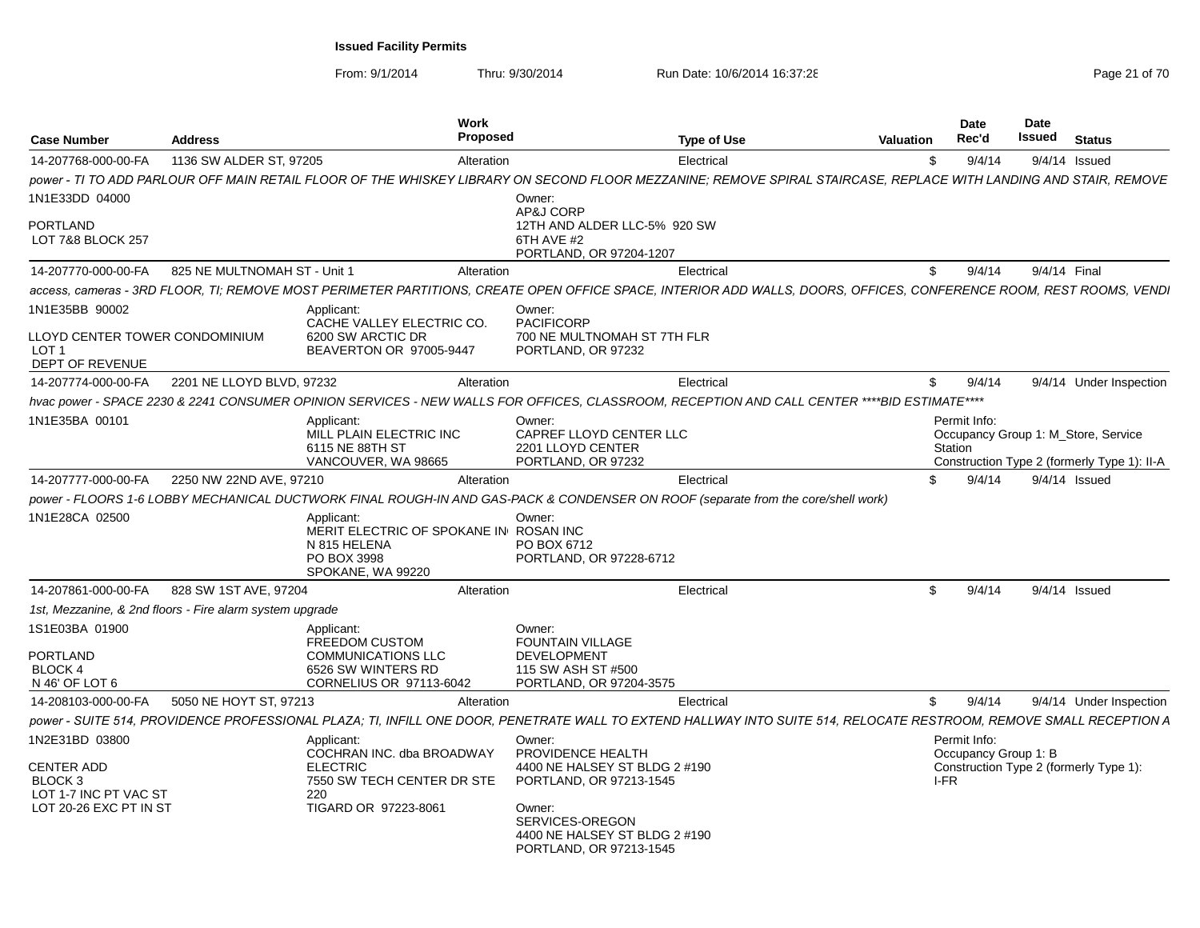| Case Number                                                           | <b>Address</b>                                           |                                                                      | Work<br><b>Proposed</b> |                                                                                                                                                                     | <b>Type of Use</b> | <b>Valuation</b> | Date<br>Rec'd                        | <b>Date</b><br>Issued | <b>Status</b>                               |
|-----------------------------------------------------------------------|----------------------------------------------------------|----------------------------------------------------------------------|-------------------------|---------------------------------------------------------------------------------------------------------------------------------------------------------------------|--------------------|------------------|--------------------------------------|-----------------------|---------------------------------------------|
| 14-207768-000-00-FA                                                   | 1136 SW ALDER ST, 97205                                  |                                                                      | Alteration              |                                                                                                                                                                     | Electrical         | \$.              | 9/4/14                               |                       | $9/4/14$ Issued                             |
|                                                                       |                                                          |                                                                      |                         | power - TI TO ADD PARLOUR OFF MAIN RETAIL FLOOR OF THE WHISKEY LIBRARY ON SECOND FLOOR MEZZANINE; REMOVE SPIRAL STAIRCASE, REPLACE WITH LANDING AND STAIR, REMOVE   |                    |                  |                                      |                       |                                             |
| 1N1E33DD 04000                                                        |                                                          |                                                                      |                         | Owner:<br>AP&J CORP                                                                                                                                                 |                    |                  |                                      |                       |                                             |
| <b>PORTLAND</b><br>LOT 7&8 BLOCK 257                                  |                                                          |                                                                      |                         | 12TH AND ALDER LLC-5% 920 SW<br>6TH AVE #2<br>PORTLAND, OR 97204-1207                                                                                               |                    |                  |                                      |                       |                                             |
| 14-207770-000-00-FA                                                   | 825 NE MULTNOMAH ST - Unit 1                             |                                                                      | Alteration              |                                                                                                                                                                     | Electrical         | \$               | 9/4/14                               | 9/4/14 Final          |                                             |
|                                                                       |                                                          |                                                                      |                         | access. cameras - 3RD FLOOR. TI: REMOVE MOST PERIMETER PARTITIONS. CREATE OPEN OFFICE SPACE. INTERIOR ADD WALLS. DOORS. OFFICES. CONFERENCE ROOM. REST ROOMS. VENDI |                    |                  |                                      |                       |                                             |
| 1N1E35BB 90002                                                        |                                                          | Applicant:<br>CACHE VALLEY ELECTRIC CO.                              |                         | Owner:<br><b>PACIFICORP</b>                                                                                                                                         |                    |                  |                                      |                       |                                             |
| LLOYD CENTER TOWER CONDOMINIUM<br>LOT <sub>1</sub><br>DEPT OF REVENUE |                                                          | 6200 SW ARCTIC DR<br>BEAVERTON OR 97005-9447                         |                         | 700 NE MULTNOMAH ST 7TH FLR<br>PORTLAND, OR 97232                                                                                                                   |                    |                  |                                      |                       |                                             |
| 14-207774-000-00-FA                                                   | 2201 NE LLOYD BLVD, 97232                                |                                                                      | Alteration              |                                                                                                                                                                     | Electrical         | \$               | 9/4/14                               |                       | 9/4/14 Under Inspection                     |
|                                                                       |                                                          |                                                                      |                         | hvac power - SPACE 2230 & 2241 CONSUMER OPINION SERVICES - NEW WALLS FOR OFFICES, CLASSROOM, RECEPTION AND CALL CENTER ****BID ESTIMATE****                         |                    |                  |                                      |                       |                                             |
| 1N1E35BA 00101                                                        |                                                          | Applicant:<br>MILL PLAIN ELECTRIC INC<br>6115 NE 88TH ST             |                         | Owner:<br>CAPREF LLOYD CENTER LLC<br>2201 LLOYD CENTER                                                                                                              |                    |                  | Permit Info:<br>Station              |                       | Occupancy Group 1: M_Store, Service         |
|                                                                       |                                                          | VANCOUVER, WA 98665                                                  |                         | PORTLAND, OR 97232                                                                                                                                                  |                    |                  |                                      |                       | Construction Type 2 (formerly Type 1): II-A |
| 14-207777-000-00-FA                                                   | 2250 NW 22ND AVE, 97210                                  |                                                                      | Alteration              |                                                                                                                                                                     | Electrical         | \$               | 9/4/14                               |                       | 9/4/14 Issued                               |
|                                                                       |                                                          |                                                                      |                         | power - FLOORS 1-6 LOBBY MECHANICAL DUCTWORK FINAL ROUGH-IN AND GAS-PACK & CONDENSER ON ROOF (separate from the core/shell work)                                    |                    |                  |                                      |                       |                                             |
| 1N1E28CA 02500                                                        |                                                          | Applicant:<br>MERIT ELECTRIC OF SPOKANE IN ROSAN INC<br>N 815 HELENA |                         | Owner:<br>PO BOX 6712                                                                                                                                               |                    |                  |                                      |                       |                                             |
|                                                                       |                                                          | PO BOX 3998<br>SPOKANE, WA 99220                                     |                         | PORTLAND, OR 97228-6712                                                                                                                                             |                    |                  |                                      |                       |                                             |
| 14-207861-000-00-FA                                                   | 828 SW 1ST AVE, 97204                                    |                                                                      | Alteration              |                                                                                                                                                                     | Electrical         | \$               | 9/4/14                               |                       | $9/4/14$ Issued                             |
|                                                                       | 1st, Mezzanine, & 2nd floors - Fire alarm system upgrade |                                                                      |                         |                                                                                                                                                                     |                    |                  |                                      |                       |                                             |
| 1S1E03BA 01900<br><b>PORTLAND</b>                                     |                                                          | Applicant:<br><b>FREEDOM CUSTOM</b><br><b>COMMUNICATIONS LLC</b>     |                         | Owner:<br><b>FOUNTAIN VILLAGE</b><br><b>DEVELOPMENT</b>                                                                                                             |                    |                  |                                      |                       |                                             |
| BLOCK 4                                                               |                                                          | 6526 SW WINTERS RD                                                   |                         | 115 SW ASH ST #500                                                                                                                                                  |                    |                  |                                      |                       |                                             |
| N 46' OF LOT 6                                                        |                                                          | CORNELIUS OR 97113-6042                                              |                         | PORTLAND, OR 97204-3575                                                                                                                                             |                    |                  |                                      |                       |                                             |
| 14-208103-000-00-FA                                                   | 5050 NE HOYT ST, 97213                                   |                                                                      | Alteration              |                                                                                                                                                                     | Electrical         | \$               | 9/4/14                               |                       | 9/4/14 Under Inspection                     |
|                                                                       |                                                          |                                                                      |                         | power - SUITE 514, PROVIDENCE PROFESSIONAL PLAZA; TI, INFILL ONE DOOR, PENETRATE WALL TO EXTEND HALLWAY INTO SUITE 514, RELOCATE RESTROOM, REMOVE SMALL RECEPTION A |                    |                  |                                      |                       |                                             |
| 1N2E31BD 03800                                                        |                                                          | Applicant:<br>COCHRAN INC. dba BROADWAY                              |                         | Owner:<br>PROVIDENCE HEALTH                                                                                                                                         |                    |                  | Permit Info:<br>Occupancy Group 1: B |                       |                                             |
| <b>CENTER ADD</b><br>BLOCK 3<br>LOT 1-7 INC PT VAC ST                 |                                                          | <b>ELECTRIC</b><br>7550 SW TECH CENTER DR STE<br>220                 |                         | 4400 NE HALSEY ST BLDG 2 #190<br>PORTLAND, OR 97213-1545                                                                                                            |                    |                  | I-FR                                 |                       | Construction Type 2 (formerly Type 1):      |
| LOT 20-26 EXC PT IN ST                                                |                                                          | TIGARD OR 97223-8061                                                 |                         | Owner:<br>SERVICES-OREGON<br>4400 NE HALSEY ST BLDG 2 #190<br>PORTLAND, OR 97213-1545                                                                               |                    |                  |                                      |                       |                                             |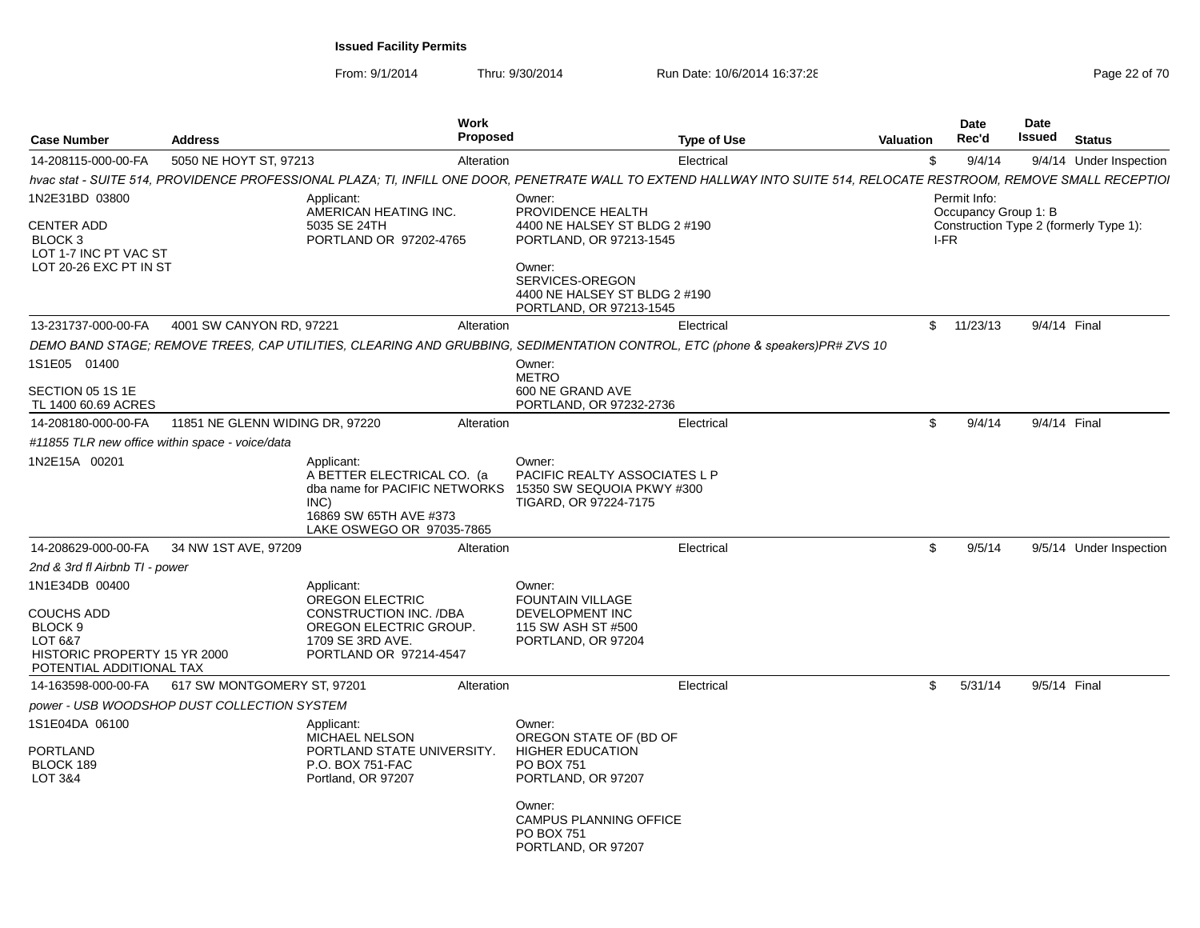| <b>Case Number</b>                                                                                             | <b>Address</b>                  | Work<br><b>Proposed</b>                                                                                                                                               |                                                                                                  | <b>Type of Use</b> | Valuation | <b>Date</b><br>Rec'd                 | Date<br>Issued | <b>Status</b>                          |
|----------------------------------------------------------------------------------------------------------------|---------------------------------|-----------------------------------------------------------------------------------------------------------------------------------------------------------------------|--------------------------------------------------------------------------------------------------|--------------------|-----------|--------------------------------------|----------------|----------------------------------------|
| 14-208115-000-00-FA                                                                                            | 5050 NE HOYT ST, 97213          | Alteration                                                                                                                                                            |                                                                                                  | Electrical         | \$        | 9/4/14                               |                | 9/4/14 Under Inspection                |
|                                                                                                                |                                 | hvac stat - SUITE 514, PROVIDENCE PROFESSIONAL PLAZA; TI, INFILL ONE DOOR, PENETRATE WALL TO EXTEND HALLWAY INTO SUITE 514, RELOCATE RESTROOM, REMOVE SMALL RECEPTIOI |                                                                                                  |                    |           |                                      |                |                                        |
| 1N2E31BD 03800                                                                                                 |                                 | Applicant:<br>AMERICAN HEATING INC.                                                                                                                                   | Owner:<br>PROVIDENCE HEALTH                                                                      |                    |           | Permit Info:<br>Occupancy Group 1: B |                |                                        |
| <b>CENTER ADD</b><br><b>BLOCK3</b><br>LOT 1-7 INC PT VAC ST<br>LOT 20-26 EXC PT IN ST                          |                                 | 5035 SE 24TH<br>PORTLAND OR 97202-4765                                                                                                                                | 4400 NE HALSEY ST BLDG 2 #190<br>PORTLAND, OR 97213-1545<br>Owner:                               |                    |           | I-FR                                 |                | Construction Type 2 (formerly Type 1): |
|                                                                                                                |                                 |                                                                                                                                                                       | SERVICES-OREGON<br>4400 NE HALSEY ST BLDG 2 #190<br>PORTLAND, OR 97213-1545                      |                    |           |                                      |                |                                        |
| 13-231737-000-00-FA                                                                                            | 4001 SW CANYON RD, 97221        | Alteration                                                                                                                                                            |                                                                                                  | Electrical         |           | \$11/23/13                           | 9/4/14 Final   |                                        |
|                                                                                                                |                                 | DEMO BAND STAGE; REMOVE TREES, CAP UTILITIES, CLEARING AND GRUBBING, SEDIMENTATION CONTROL, ETC (phone & speakers) PR# ZVS 10                                         |                                                                                                  |                    |           |                                      |                |                                        |
| 1S1E05 01400                                                                                                   |                                 |                                                                                                                                                                       | Owner:<br><b>METRO</b>                                                                           |                    |           |                                      |                |                                        |
| SECTION 05 1S 1E<br>TL 1400 60.69 ACRES                                                                        |                                 |                                                                                                                                                                       | 600 NE GRAND AVE<br>PORTLAND, OR 97232-2736                                                      |                    |           |                                      |                |                                        |
| 14-208180-000-00-FA                                                                                            | 11851 NE GLENN WIDING DR, 97220 | Alteration                                                                                                                                                            |                                                                                                  | Electrical         | \$        | 9/4/14                               | 9/4/14 Final   |                                        |
| #11855 TLR new office within space - voice/data                                                                |                                 |                                                                                                                                                                       |                                                                                                  |                    |           |                                      |                |                                        |
| 1N2E15A 00201                                                                                                  |                                 | Applicant:<br>A BETTER ELECTRICAL CO. (a<br>dba name for PACIFIC NETWORKS 15350 SW SEQUOIA PKWY #300<br>INC)<br>16869 SW 65TH AVE #373<br>LAKE OSWEGO OR 97035-7865   | Owner:<br><b>PACIFIC REALTY ASSOCIATES L P</b><br>TIGARD, OR 97224-7175                          |                    |           |                                      |                |                                        |
| 14-208629-000-00-FA                                                                                            | 34 NW 1ST AVE, 97209            | Alteration                                                                                                                                                            |                                                                                                  | Electrical         | \$        | 9/5/14                               |                | 9/5/14 Under Inspection                |
| 2nd & 3rd fl Airbnb TI - power                                                                                 |                                 |                                                                                                                                                                       |                                                                                                  |                    |           |                                      |                |                                        |
| 1N1E34DB 00400<br>COUCHS ADD<br>BLOCK 9<br>LOT 6&7<br>HISTORIC PROPERTY 15 YR 2000<br>POTENTIAL ADDITIONAL TAX |                                 | Applicant:<br><b>OREGON ELECTRIC</b><br>CONSTRUCTION INC. /DBA<br>OREGON ELECTRIC GROUP.<br>1709 SE 3RD AVE.<br>PORTLAND OR 97214-4547                                | Owner:<br><b>FOUNTAIN VILLAGE</b><br>DEVELOPMENT INC<br>115 SW ASH ST #500<br>PORTLAND, OR 97204 |                    |           |                                      |                |                                        |
| 14-163598-000-00-FA                                                                                            | 617 SW MONTGOMERY ST, 97201     | Alteration                                                                                                                                                            |                                                                                                  | Electrical         | \$        | 5/31/14                              | 9/5/14 Final   |                                        |
| power - USB WOODSHOP DUST COLLECTION SYSTEM                                                                    |                                 |                                                                                                                                                                       |                                                                                                  |                    |           |                                      |                |                                        |
| 1S1E04DA 06100<br>PORTLAND<br>BLOCK 189<br>LOT 3&4                                                             |                                 | Applicant:<br>MICHAEL NELSON<br>PORTLAND STATE UNIVERSITY.<br>P.O. BOX 751-FAC<br>Portland, OR 97207                                                                  | Owner:<br>OREGON STATE OF (BD OF<br><b>HIGHER EDUCATION</b><br>PO BOX 751<br>PORTLAND, OR 97207  |                    |           |                                      |                |                                        |
|                                                                                                                |                                 |                                                                                                                                                                       | Owner:<br><b>CAMPUS PLANNING OFFICE</b><br>PO BOX 751<br>PORTLAND, OR 97207                      |                    |           |                                      |                |                                        |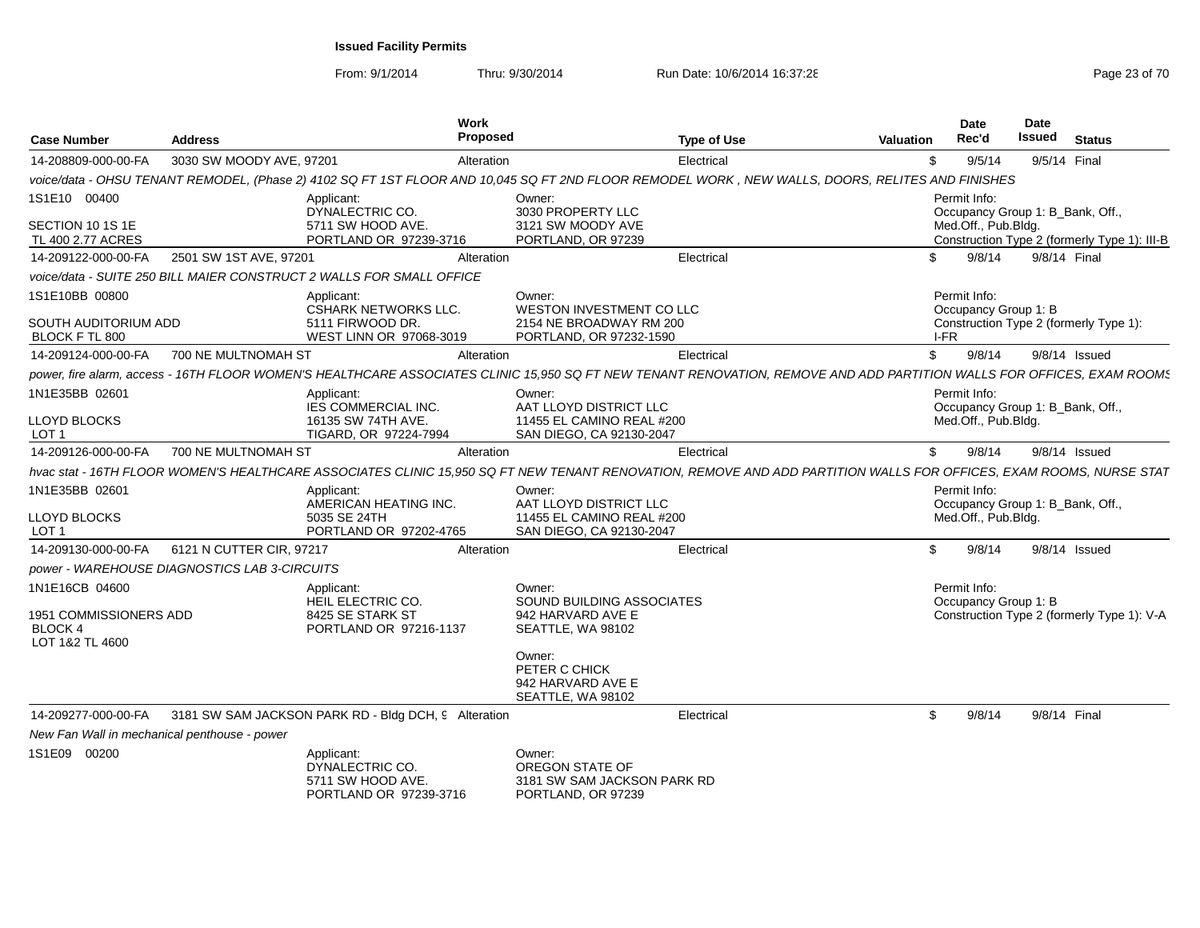| <b>Case Number</b>                           | <b>Address</b>                                                       | Work<br><b>Proposed</b>                     |                                                                                | <b>Type of Use</b><br><b>Valuation</b>                                                                                                                                 | Date<br>Rec'd                                    | Date<br>Issued |                 | <b>Status</b>                                |
|----------------------------------------------|----------------------------------------------------------------------|---------------------------------------------|--------------------------------------------------------------------------------|------------------------------------------------------------------------------------------------------------------------------------------------------------------------|--------------------------------------------------|----------------|-----------------|----------------------------------------------|
| 14-208809-000-00-FA                          | 3030 SW MOODY AVE, 97201                                             | Alteration                                  |                                                                                | -\$<br>Electrical                                                                                                                                                      | 9/5/14                                           |                | 9/5/14 Final    |                                              |
|                                              |                                                                      |                                             |                                                                                | voice/data - OHSU TENANT REMODEL, (Phase 2) 4102 SQ FT 1ST FLOOR AND 10,045 SQ FT 2ND FLOOR REMODEL WORK , NEW WALLS, DOORS, RELITES AND FINISHES                      |                                                  |                |                 |                                              |
| 1S1E10 00400                                 | Applicant:<br>DYNALECTRIC CO.                                        |                                             | Owner:<br>3030 PROPERTY LLC                                                    |                                                                                                                                                                        | Permit Info:<br>Occupancy Group 1: B Bank, Off., |                |                 |                                              |
| SECTION 10 1S 1E<br>TL 400 2.77 ACRES        |                                                                      | 5711 SW HOOD AVE.<br>PORTLAND OR 97239-3716 | 3121 SW MOODY AVE<br>PORTLAND, OR 97239                                        |                                                                                                                                                                        | Med.Off., Pub.Bldg.                              |                |                 | Construction Type 2 (formerly Type 1): III-B |
| 14-209122-000-00-FA                          | 2501 SW 1ST AVE, 97201                                               | Alteration                                  |                                                                                | Electrical<br>\$.                                                                                                                                                      | 9/8/14                                           |                | 9/8/14 Final    |                                              |
|                                              | voice/data - SUITE 250 BILL MAIER CONSTRUCT 2 WALLS FOR SMALL OFFICE |                                             |                                                                                |                                                                                                                                                                        |                                                  |                |                 |                                              |
| 1S1E10BB 00800                               | Applicant:                                                           | <b>CSHARK NETWORKS LLC.</b>                 | Owner:<br>WESTON INVESTMENT CO LLC                                             |                                                                                                                                                                        | Permit Info:<br>Occupancy Group 1: B             |                |                 |                                              |
| SOUTH AUDITORIUM ADD<br>BLOCK F TL 800       | 5111 FIRWOOD DR.                                                     | WEST LINN OR 97068-3019                     | 2154 NE BROADWAY RM 200<br>PORTLAND, OR 97232-1590                             |                                                                                                                                                                        | Construction Type 2 (formerly Type 1):<br>I-FR   |                |                 |                                              |
| 14-209124-000-00-FA                          | 700 NE MULTNOMAH ST                                                  | Alteration                                  |                                                                                | Electrical                                                                                                                                                             | \$<br>9/8/14                                     |                | $9/8/14$ Issued |                                              |
|                                              |                                                                      |                                             |                                                                                | power, fire alarm, access - 16TH FLOOR WOMEN'S HEALTHCARE ASSOCIATES CLINIC 15,950 SQ FT NEW TENANT RENOVATION, REMOVE AND ADD PARTITION WALLS FOR OFFICES, EXAM ROOMS |                                                  |                |                 |                                              |
| 1N1E35BB 02601                               | Applicant:                                                           | IES COMMERCIAL INC.                         | Owner:<br>AAT LLOYD DISTRICT LLC                                               |                                                                                                                                                                        | Permit Info:<br>Occupancy Group 1: B_Bank, Off., |                |                 |                                              |
| LLOYD BLOCKS<br>LOT 1                        |                                                                      | 16135 SW 74TH AVE.<br>TIGARD, OR 97224-7994 | 11455 EL CAMINO REAL #200<br>SAN DIEGO, CA 92130-2047                          |                                                                                                                                                                        | Med.Off., Pub.Bldg.                              |                |                 |                                              |
| 14-209126-000-00-FA                          | 700 NE MULTNOMAH ST                                                  | Alteration                                  |                                                                                | \$<br>Electrical                                                                                                                                                       | 9/8/14                                           |                | 9/8/14 Issued   |                                              |
|                                              |                                                                      |                                             |                                                                                | hvac stat - 16TH FLOOR WOMEN'S HEALTHCARE ASSOCIATES CLINIC 15,950 SQ FT NEW TENANT RENOVATION, REMOVE AND ADD PARTITION WALLS FOR OFFICES, EXAM ROOMS, NURSE STAT     |                                                  |                |                 |                                              |
| 1N1E35BB 02601                               | Applicant:                                                           | AMERICAN HEATING INC.                       | Owner:<br>AAT LLOYD DISTRICT LLC                                               |                                                                                                                                                                        | Permit Info:<br>Occupancy Group 1: B Bank, Off., |                |                 |                                              |
| LLOYD BLOCKS<br>LOT 1                        | 5035 SE 24TH                                                         | PORTLAND OR 97202-4765                      | 11455 EL CAMINO REAL #200<br>SAN DIEGO, CA 92130-2047                          |                                                                                                                                                                        | Med.Off., Pub.Bldg.                              |                |                 |                                              |
| 14-209130-000-00-FA                          | 6121 N CUTTER CIR, 97217                                             | Alteration                                  |                                                                                | Electrical                                                                                                                                                             | 9/8/14<br>\$                                     |                | 9/8/14 Issued   |                                              |
|                                              | power - WAREHOUSE DIAGNOSTICS LAB 3-CIRCUITS                         |                                             |                                                                                |                                                                                                                                                                        |                                                  |                |                 |                                              |
| 1N1E16CB 04600<br>1951 COMMISSIONERS ADD     | Applicant:<br>HEIL ELECTRIC CO.<br>8425 SE STARK ST                  |                                             | Owner:<br>SOUND BUILDING ASSOCIATES<br>942 HARVARD AVE E                       |                                                                                                                                                                        | Permit Info:<br>Occupancy Group 1: B             |                |                 | Construction Type 2 (formerly Type 1): V-A   |
| <b>BLOCK 4</b><br>LOT 1&2 TL 4600            |                                                                      | PORTLAND OR 97216-1137                      | SEATTLE, WA 98102                                                              |                                                                                                                                                                        |                                                  |                |                 |                                              |
|                                              |                                                                      |                                             | Owner:<br>PETER C CHICK<br>942 HARVARD AVE E<br>SEATTLE, WA 98102              |                                                                                                                                                                        |                                                  |                |                 |                                              |
| 14-209277-000-00-FA                          | 3181 SW SAM JACKSON PARK RD - Bldg DCH, 9 Alteration                 |                                             |                                                                                | Electrical                                                                                                                                                             | 9/8/14<br>\$                                     |                | 9/8/14 Final    |                                              |
| New Fan Wall in mechanical penthouse - power |                                                                      |                                             |                                                                                |                                                                                                                                                                        |                                                  |                |                 |                                              |
| 1S1E09 00200                                 | Applicant:<br>DYNALECTRIC CO.                                        | 5711 SW HOOD AVE.<br>PORTLAND OR 97239-3716 | Owner:<br>OREGON STATE OF<br>3181 SW SAM JACKSON PARK RD<br>PORTLAND, OR 97239 |                                                                                                                                                                        |                                                  |                |                 |                                              |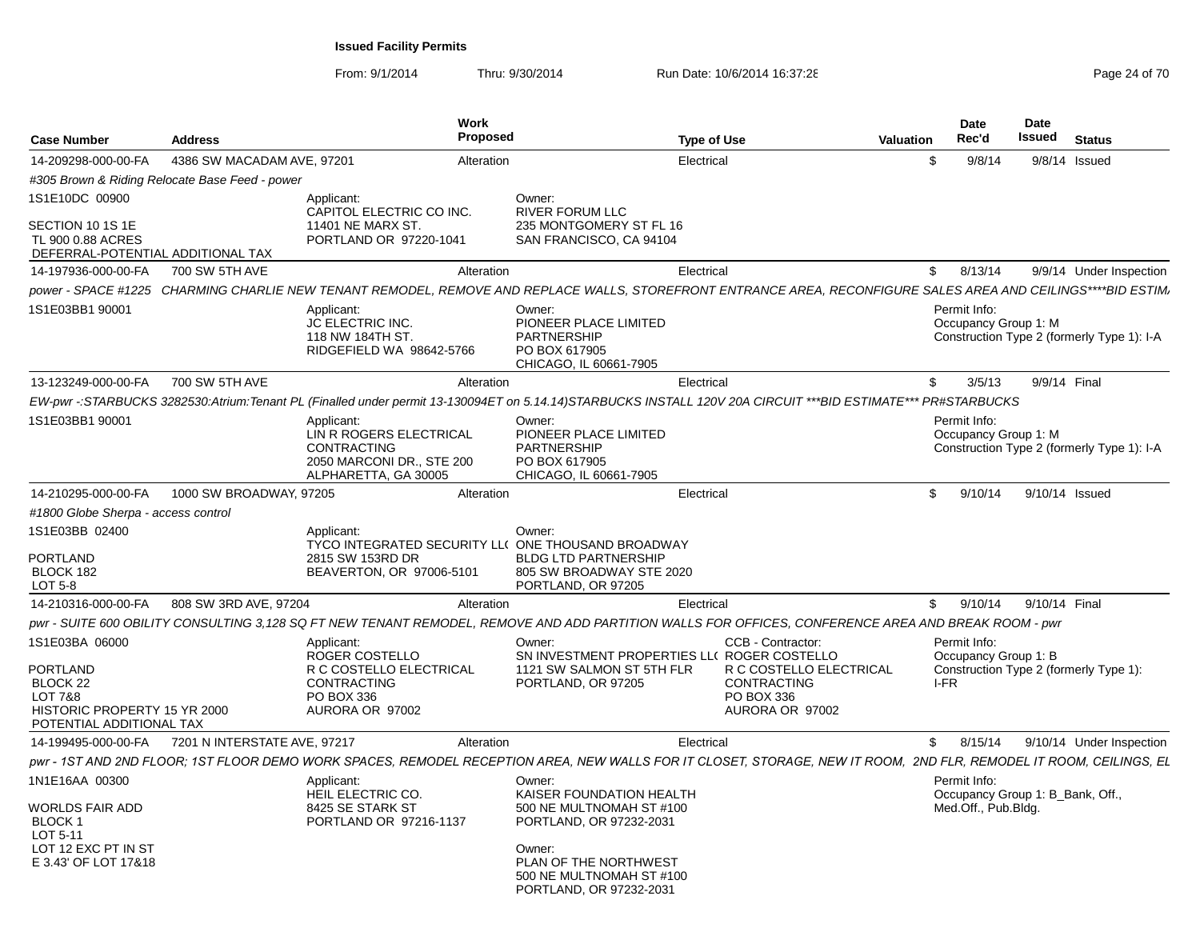| <b>Case Number</b>                                                                                                              | <b>Address</b>               | <b>Work</b><br>Proposed                                                                                                                                            |                                                                                                                                                          | <b>Type of Use</b> |                                                                                                     | <b>Valuation</b> | <b>Date</b><br>Rec'd                                                    | Date<br>Issued | <b>Status</b>                              |
|---------------------------------------------------------------------------------------------------------------------------------|------------------------------|--------------------------------------------------------------------------------------------------------------------------------------------------------------------|----------------------------------------------------------------------------------------------------------------------------------------------------------|--------------------|-----------------------------------------------------------------------------------------------------|------------------|-------------------------------------------------------------------------|----------------|--------------------------------------------|
| 14-209298-000-00-FA                                                                                                             | 4386 SW MACADAM AVE, 97201   | Alteration                                                                                                                                                         |                                                                                                                                                          | Electrical         |                                                                                                     | \$               | 9/8/14                                                                  | 9/8/14         | Issued                                     |
| #305 Brown & Riding Relocate Base Feed - power                                                                                  |                              |                                                                                                                                                                    |                                                                                                                                                          |                    |                                                                                                     |                  |                                                                         |                |                                            |
| 1S1E10DC 00900<br>SECTION 10 1S 1E                                                                                              |                              | Applicant:<br>CAPITOL ELECTRIC CO INC.<br>11401 NE MARX ST.                                                                                                        | Owner:<br><b>RIVER FORUM LLC</b><br>235 MONTGOMERY ST FL 16                                                                                              |                    |                                                                                                     |                  |                                                                         |                |                                            |
| TL 900 0.88 ACRES<br>DEFERRAL-POTENTIAL ADDITIONAL TAX                                                                          |                              | PORTLAND OR 97220-1041                                                                                                                                             | SAN FRANCISCO, CA 94104                                                                                                                                  |                    |                                                                                                     |                  |                                                                         |                |                                            |
| 14-197936-000-00-FA                                                                                                             | 700 SW 5TH AVE               | Alteration                                                                                                                                                         |                                                                                                                                                          | Electrical         |                                                                                                     | \$               | 8/13/14                                                                 |                | 9/9/14 Under Inspection                    |
|                                                                                                                                 |                              | power - SPACE #1225 CHARMING CHARLIE NEW TENANT REMODEL, REMOVE AND REPLACE WALLS, STOREFRONT ENTRANCE AREA, RECONFIGURE SALES AREA AND CEILINGS****BID ESTIM.     |                                                                                                                                                          |                    |                                                                                                     |                  |                                                                         |                |                                            |
| 1S1E03BB1 90001                                                                                                                 |                              | Applicant:<br><b>JC ELECTRIC INC.</b><br>118 NW 184TH ST.<br>RIDGEFIELD WA 98642-5766                                                                              | Owner:<br>PIONEER PLACE LIMITED<br><b>PARTNERSHIP</b><br>PO BOX 617905<br>CHICAGO, IL 60661-7905                                                         |                    |                                                                                                     |                  | Permit Info:<br>Occupancy Group 1: M                                    |                | Construction Type 2 (formerly Type 1): I-A |
| 13-123249-000-00-FA                                                                                                             | 700 SW 5TH AVE               | Alteration                                                                                                                                                         |                                                                                                                                                          | Electrical         |                                                                                                     | \$               | 3/5/13                                                                  | 9/9/14 Final   |                                            |
|                                                                                                                                 |                              | EW-pwr -: STARBUCKS 3282530:Atrium: Tenant PL (Finalled under permit 13-130094ET on 5.14.14)STARBUCKS INSTALL 120V 20A CIRCUIT ***BID ESTIMATE*** PR#STARBUCKS     |                                                                                                                                                          |                    |                                                                                                     |                  |                                                                         |                |                                            |
| 1S1E03BB1 90001                                                                                                                 |                              | Applicant:<br>LIN R ROGERS ELECTRICAL<br><b>CONTRACTING</b><br>2050 MARCONI DR., STE 200<br>ALPHARETTA, GA 30005                                                   | Owner:<br>PIONEER PLACE LIMITED<br><b>PARTNERSHIP</b><br>PO BOX 617905<br>CHICAGO, IL 60661-7905                                                         |                    |                                                                                                     |                  | Permit Info:<br>Occupancy Group 1: M                                    |                | Construction Type 2 (formerly Type 1): I-A |
| 14-210295-000-00-FA                                                                                                             | 1000 SW BROADWAY, 97205      | Alteration                                                                                                                                                         |                                                                                                                                                          | Electrical         |                                                                                                     | \$               | 9/10/14                                                                 |                | 9/10/14 Issued                             |
| #1800 Globe Sherpa - access control                                                                                             |                              |                                                                                                                                                                    |                                                                                                                                                          |                    |                                                                                                     |                  |                                                                         |                |                                            |
| 1S1E03BB 02400<br>PORTLAND<br>BLOCK 182<br>LOT 5-8                                                                              |                              | Applicant:<br>TYCO INTEGRATED SECURITY LL( ONE THOUSAND BROADWAY<br>2815 SW 153RD DR<br>BEAVERTON, OR 97006-5101                                                   | Owner:<br><b>BLDG LTD PARTNERSHIP</b><br>805 SW BROADWAY STE 2020<br>PORTLAND, OR 97205                                                                  |                    |                                                                                                     |                  |                                                                         |                |                                            |
| 14-210316-000-00-FA                                                                                                             | 808 SW 3RD AVE, 97204        | Alteration                                                                                                                                                         |                                                                                                                                                          | Electrical         |                                                                                                     | \$               | 9/10/14                                                                 | 9/10/14 Final  |                                            |
|                                                                                                                                 |                              | pwr - SUITE 600 OBILITY CONSULTING 3,128 SQ FT NEW TENANT REMODEL, REMOVE AND ADD PARTITION WALLS FOR OFFICES, CONFERENCE AREA AND BREAK ROOM - pwr                |                                                                                                                                                          |                    |                                                                                                     |                  |                                                                         |                |                                            |
| 1S1E03BA 06000<br><b>PORTLAND</b><br>BLOCK 22<br><b>LOT 7&amp;8</b><br>HISTORIC PROPERTY 15 YR 2000<br>POTENTIAL ADDITIONAL TAX |                              | Applicant:<br>ROGER COSTELLO<br>R C COSTELLO ELECTRICAL<br><b>CONTRACTING</b><br>PO BOX 336<br>AURORA OR 97002                                                     | Owner:<br>SN INVESTMENT PROPERTIES LL( ROGER COSTELLO<br>1121 SW SALMON ST 5TH FLR<br>PORTLAND, OR 97205                                                 |                    | CCB - Contractor:<br>R C COSTELLO ELECTRICAL<br><b>CONTRACTING</b><br>PO BOX 336<br>AURORA OR 97002 | I-FR             | Permit Info:<br>Occupancy Group 1: B                                    |                | Construction Type 2 (formerly Type 1):     |
| 14-199495-000-00-FA                                                                                                             | 7201 N INTERSTATE AVE, 97217 | Alteration                                                                                                                                                         |                                                                                                                                                          | Electrical         |                                                                                                     | \$               | 8/15/14                                                                 |                | 9/10/14 Under Inspection                   |
|                                                                                                                                 |                              | pwr - 1ST AND 2ND FLOOR; 1ST FLOOR DEMO WORK SPACES, REMODEL RECEPTION AREA, NEW WALLS FOR IT CLOSET, STORAGE, NEW IT ROOM, 2ND FLR, REMODEL IT ROOM, CEILINGS, EL |                                                                                                                                                          |                    |                                                                                                     |                  |                                                                         |                |                                            |
| 1N1E16AA 00300<br>WORLDS FAIR ADD<br>BLOCK <sub>1</sub><br>LOT 5-11<br>LOT 12 EXC PT IN ST<br>E 3.43' OF LOT 17&18              |                              | Applicant:<br>HEIL ELECTRIC CO.<br>8425 SE STARK ST<br>PORTLAND OR 97216-1137                                                                                      | Owner:<br>KAISER FOUNDATION HEALTH<br>500 NE MULTNOMAH ST #100<br>PORTLAND, OR 97232-2031<br>Owner:<br>PLAN OF THE NORTHWEST<br>500 NE MULTNOMAH ST #100 |                    |                                                                                                     |                  | Permit Info:<br>Occupancy Group 1: B_Bank, Off.,<br>Med.Off., Pub.Bldg. |                |                                            |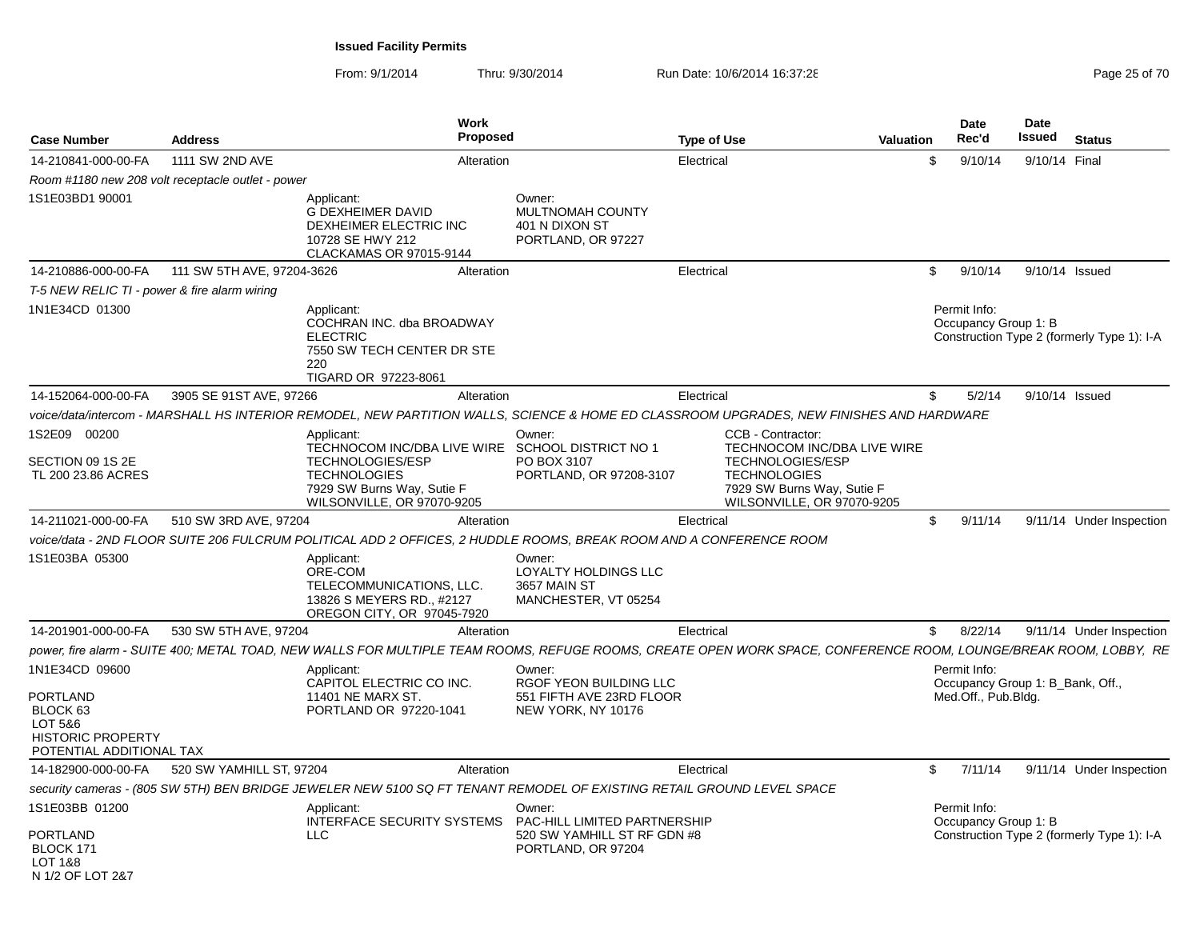| <b>Case Number</b>                                                                                               | <b>Address</b>                                    | Work<br>Proposed                                                                                                                                                  |                                                                                    | <b>Type of Use</b> | <b>Valuation</b>                                                                                                                          |              | <b>Date</b><br>Rec'd                 | Date<br>Issued | <b>Status</b>                              |
|------------------------------------------------------------------------------------------------------------------|---------------------------------------------------|-------------------------------------------------------------------------------------------------------------------------------------------------------------------|------------------------------------------------------------------------------------|--------------------|-------------------------------------------------------------------------------------------------------------------------------------------|--------------|--------------------------------------|----------------|--------------------------------------------|
| 14-210841-000-00-FA                                                                                              | 1111 SW 2ND AVE                                   | Alteration                                                                                                                                                        |                                                                                    | Electrical         |                                                                                                                                           | \$           | 9/10/14                              |                | 9/10/14 Final                              |
|                                                                                                                  | Room #1180 new 208 volt receptacle outlet - power |                                                                                                                                                                   |                                                                                    |                    |                                                                                                                                           |              |                                      |                |                                            |
| 1S1E03BD1 90001                                                                                                  |                                                   | Applicant:<br><b>G DEXHEIMER DAVID</b><br>DEXHEIMER ELECTRIC INC<br>10728 SE HWY 212<br>CLACKAMAS OR 97015-9144                                                   | Owner:<br>MULTNOMAH COUNTY<br>401 N DIXON ST<br>PORTLAND, OR 97227                 |                    |                                                                                                                                           |              |                                      |                |                                            |
| 14-210886-000-00-FA                                                                                              | 111 SW 5TH AVE, 97204-3626                        | Alteration                                                                                                                                                        |                                                                                    | Electrical         |                                                                                                                                           | $\mathbb{S}$ | 9/10/14                              |                | 9/10/14 Issued                             |
| T-5 NEW RELIC TI - power & fire alarm wiring                                                                     |                                                   |                                                                                                                                                                   |                                                                                    |                    |                                                                                                                                           |              |                                      |                |                                            |
| 1N1E34CD 01300                                                                                                   |                                                   | Applicant:<br>COCHRAN INC. dba BROADWAY<br><b>ELECTRIC</b><br>7550 SW TECH CENTER DR STE<br>220<br>TIGARD OR 97223-8061                                           |                                                                                    |                    |                                                                                                                                           |              | Permit Info:<br>Occupancy Group 1: B |                | Construction Type 2 (formerly Type 1): I-A |
| 14-152064-000-00-FA                                                                                              | 3905 SE 91ST AVE, 97266                           | Alteration                                                                                                                                                        |                                                                                    | Electrical         |                                                                                                                                           | \$           | 5/2/14                               |                | 9/10/14 Issued                             |
|                                                                                                                  |                                                   | voice/data/intercom - MARSHALL HS INTERIOR REMODEL, NEW PARTITION WALLS, SCIENCE & HOME ED CLASSROOM UPGRADES, NEW FINISHES AND HARDWARE                          |                                                                                    |                    |                                                                                                                                           |              |                                      |                |                                            |
| 1S2E09 00200                                                                                                     |                                                   | Applicant:                                                                                                                                                        | Owner:                                                                             |                    | CCB - Contractor:                                                                                                                         |              |                                      |                |                                            |
| SECTION 09 1S 2E<br>TL 200 23.86 ACRES                                                                           |                                                   | TECHNOCOM INC/DBA LIVE WIRE SCHOOL DISTRICT NO 1<br>TECHNOLOGIES/ESP<br><b>TECHNOLOGIES</b><br>7929 SW Burns Way, Sutie F<br>WILSONVILLE, OR 97070-9205           | PO BOX 3107<br>PORTLAND, OR 97208-3107                                             |                    | TECHNOCOM INC/DBA LIVE WIRE<br><b>TECHNOLOGIES/ESP</b><br><b>TECHNOLOGIES</b><br>7929 SW Burns Way, Sutie F<br>WILSONVILLE, OR 97070-9205 |              |                                      |                |                                            |
| 14-211021-000-00-FA                                                                                              | 510 SW 3RD AVE, 97204                             | Alteration                                                                                                                                                        |                                                                                    | Electrical         |                                                                                                                                           | \$           | 9/11/14                              |                | 9/11/14 Under Inspection                   |
|                                                                                                                  |                                                   | voice/data - 2ND FLOOR SUITE 206 FULCRUM POLITICAL ADD 2 OFFICES, 2 HUDDLE ROOMS, BREAK ROOM AND A CONFERENCE ROOM                                                |                                                                                    |                    |                                                                                                                                           |              |                                      |                |                                            |
| 1S1E03BA 05300                                                                                                   |                                                   | Applicant:<br>ORE-COM<br>TELECOMMUNICATIONS, LLC.<br>13826 S MEYERS RD., #2127<br>OREGON CITY, OR 97045-7920                                                      | Owner:<br>LOYALTY HOLDINGS LLC<br>3657 MAIN ST<br>MANCHESTER, VT 05254             |                    |                                                                                                                                           |              |                                      |                |                                            |
| 14-201901-000-00-FA                                                                                              | 530 SW 5TH AVE, 97204                             | Alteration                                                                                                                                                        |                                                                                    | Electrical         |                                                                                                                                           | $\mathbb{S}$ | 8/22/14                              |                | 9/11/14 Under Inspection                   |
|                                                                                                                  |                                                   | power, fire alarm - SUITE 400; METAL TOAD, NEW WALLS FOR MULTIPLE TEAM ROOMS, REFUGE ROOMS, CREATE OPEN WORK SPACE, CONFERENCE ROOM, LOUNGE/BREAK ROOM, LOBBY, RE |                                                                                    |                    |                                                                                                                                           |              |                                      |                |                                            |
| 1N1E34CD 09600<br><b>PORTLAND</b><br>BLOCK 63<br>LOT 5&6<br><b>HISTORIC PROPERTY</b><br>POTENTIAL ADDITIONAL TAX |                                                   | Applicant:<br>CAPITOL ELECTRIC CO INC.<br>11401 NE MARX ST.<br>PORTLAND OR 97220-1041                                                                             | Owner:<br>RGOF YEON BUILDING LLC<br>551 FIFTH AVE 23RD FLOOR<br>NEW YORK, NY 10176 |                    |                                                                                                                                           |              | Permit Info:<br>Med.Off., Pub.Bldg.  |                | Occupancy Group 1: B Bank, Off.,           |
| 14-182900-000-00-FA                                                                                              | 520 SW YAMHILL ST, 97204                          | Alteration                                                                                                                                                        |                                                                                    | Electrical         |                                                                                                                                           | \$           | 7/11/14                              |                | 9/11/14 Under Inspection                   |
|                                                                                                                  |                                                   | security cameras - (805 SW 5TH) BEN BRIDGE JEWELER NEW 5100 SQ FT TENANT REMODEL OF EXISTING RETAIL GROUND LEVEL SPACE                                            |                                                                                    |                    |                                                                                                                                           |              |                                      |                |                                            |
| 1S1E03BB 01200<br><b>PORTLAND</b>                                                                                |                                                   | Applicant:<br>INTERFACE SECURITY SYSTEMS  PAC-HILL LIMITED PARTNERSHIP<br><b>LLC</b>                                                                              | Owner:<br>520 SW YAMHILL ST RF GDN #8                                              |                    |                                                                                                                                           |              | Permit Info:<br>Occupancy Group 1: B |                | Construction Type 2 (formerly Type 1): I-A |
| BLOCK 171<br>LOT 1&8<br>N 1/2 OF LOT 2&7                                                                         |                                                   |                                                                                                                                                                   | PORTLAND, OR 97204                                                                 |                    |                                                                                                                                           |              |                                      |                |                                            |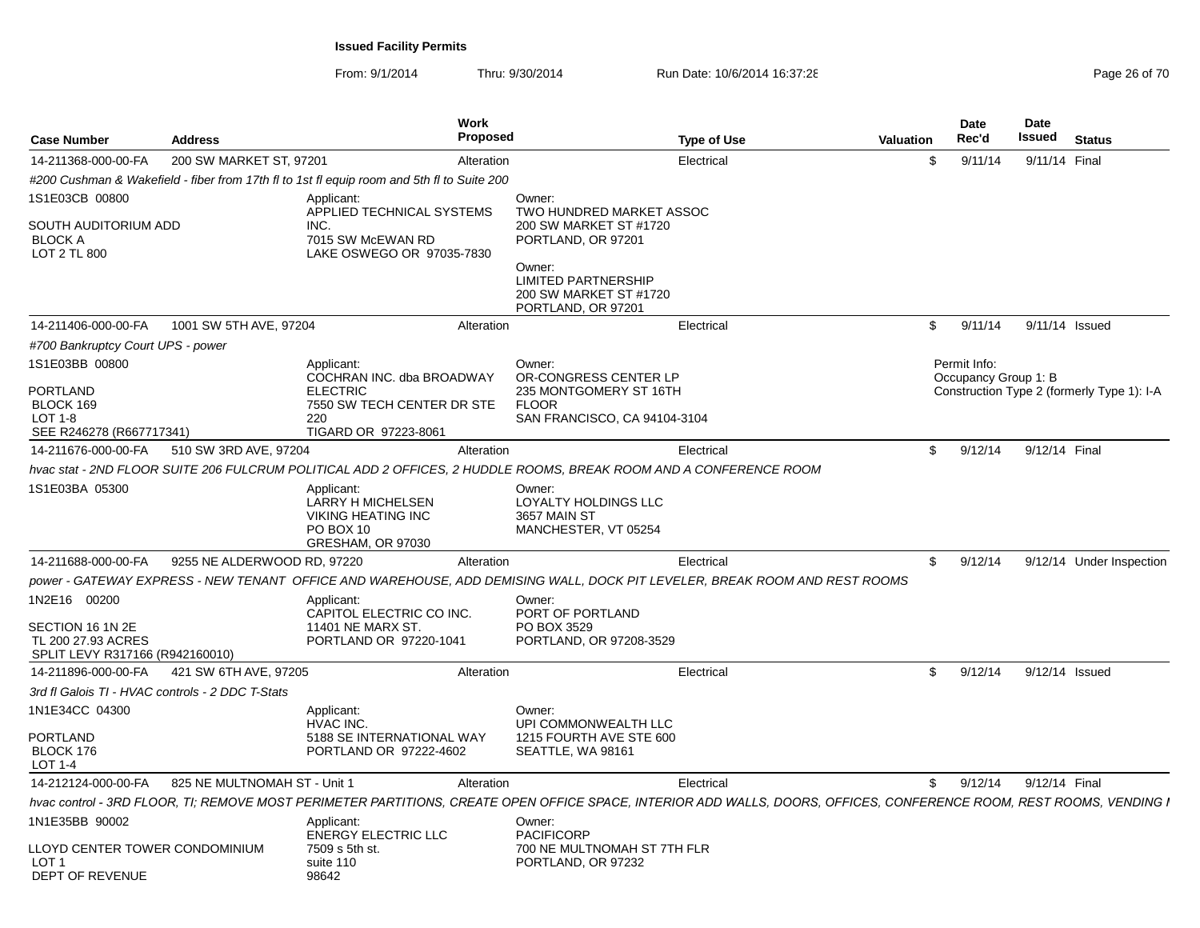| <b>Case Number</b>                                                                        | <b>Address</b>               |                                                                                                                         | Work<br>Proposed |                                                                                                                                                                            | <b>Type of Use</b>                                                                                                                                                   | <b>Valuation</b> | <b>Date</b><br>Rec'd |         | <b>Date</b><br><b>Issued</b> Status |                                            |
|-------------------------------------------------------------------------------------------|------------------------------|-------------------------------------------------------------------------------------------------------------------------|------------------|----------------------------------------------------------------------------------------------------------------------------------------------------------------------------|----------------------------------------------------------------------------------------------------------------------------------------------------------------------|------------------|----------------------|---------|-------------------------------------|--------------------------------------------|
| 14-211368-000-00-FA                                                                       | 200 SW MARKET ST, 97201      |                                                                                                                         | Alteration       |                                                                                                                                                                            | Electrical                                                                                                                                                           |                  |                      | 9/11/14 | 9/11/14 Final                       |                                            |
|                                                                                           |                              | #200 Cushman & Wakefield - fiber from 17th fl to 1st fl equip room and 5th fl to Suite 200                              |                  |                                                                                                                                                                            |                                                                                                                                                                      |                  |                      |         |                                     |                                            |
| 1S1E03CB 00800<br>SOUTH AUDITORIUM ADD<br><b>BLOCK A</b><br>LOT 2 TL 800                  |                              | Applicant:<br>APPLIED TECHNICAL SYSTEMS<br>INC.<br>7015 SW McEWAN RD<br>LAKE OSWEGO OR 97035-7830                       |                  | Owner:<br>TWO HUNDRED MARKET ASSOC<br>200 SW MARKET ST #1720<br>PORTLAND, OR 97201<br>Owner:<br><b>LIMITED PARTNERSHIP</b><br>200 SW MARKET ST #1720<br>PORTLAND, OR 97201 |                                                                                                                                                                      |                  |                      |         |                                     |                                            |
| 14-211406-000-00-FA                                                                       | 1001 SW 5TH AVE, 97204       |                                                                                                                         | Alteration       |                                                                                                                                                                            | Electrical                                                                                                                                                           | S.               |                      | 9/11/14 | 9/11/14 Issued                      |                                            |
| #700 Bankruptcy Court UPS - power                                                         |                              |                                                                                                                         |                  |                                                                                                                                                                            |                                                                                                                                                                      |                  |                      |         |                                     |                                            |
| 1S1E03BB 00800<br><b>PORTLAND</b><br>BLOCK 169<br>LOT 1-8<br>SEE R246278 (R667717341)     |                              | Applicant:<br>COCHRAN INC. dba BROADWAY<br><b>ELECTRIC</b><br>7550 SW TECH CENTER DR STE<br>220<br>TIGARD OR 97223-8061 |                  | Owner:<br>OR-CONGRESS CENTER LP<br>235 MONTGOMERY ST 16TH<br><b>FLOOR</b><br>SAN FRANCISCO, CA 94104-3104                                                                  |                                                                                                                                                                      |                  | Permit Info:         |         | Occupancy Group 1: B                | Construction Type 2 (formerly Type 1): I-A |
| 14-211676-000-00-FA                                                                       | 510 SW 3RD AVE, 97204        |                                                                                                                         | Alteration       |                                                                                                                                                                            | Electrical                                                                                                                                                           | S.               |                      | 9/12/14 | 9/12/14 Final                       |                                            |
|                                                                                           |                              | hvac stat - 2ND FLOOR SUITE 206 FULCRUM POLITICAL ADD 2 OFFICES, 2 HUDDLE ROOMS, BREAK ROOM AND A CONFERENCE ROOM       |                  |                                                                                                                                                                            |                                                                                                                                                                      |                  |                      |         |                                     |                                            |
| 1S1E03BA 05300                                                                            |                              | Applicant:<br><b>LARRY H MICHELSEN</b><br><b>VIKING HEATING INC</b><br>PO BOX 10<br>GRESHAM, OR 97030                   |                  | Owner:<br>LOYALTY HOLDINGS LLC<br>3657 MAIN ST<br>MANCHESTER, VT 05254                                                                                                     |                                                                                                                                                                      |                  |                      |         |                                     |                                            |
| 14-211688-000-00-FA                                                                       | 9255 NE ALDERWOOD RD, 97220  |                                                                                                                         | Alteration       |                                                                                                                                                                            | Electrical                                                                                                                                                           | - \$             |                      | 9/12/14 |                                     | 9/12/14 Under Inspection                   |
|                                                                                           |                              |                                                                                                                         |                  |                                                                                                                                                                            | power - GATEWAY EXPRESS - NEW TENANT OFFICE AND WAREHOUSE, ADD DEMISING WALL, DOCK PIT LEVELER, BREAK ROOM AND REST ROOMS                                            |                  |                      |         |                                     |                                            |
| 1N2E16 00200<br>SECTION 16 1N 2E<br>TL 200 27.93 ACRES<br>SPLIT LEVY R317166 (R942160010) |                              | Applicant:<br>CAPITOL ELECTRIC CO INC.<br>11401 NE MARX ST.<br>PORTLAND OR 97220-1041                                   |                  | Owner:<br>PORT OF PORTLAND<br>PO BOX 3529<br>PORTLAND, OR 97208-3529                                                                                                       |                                                                                                                                                                      |                  |                      |         |                                     |                                            |
| 14-211896-000-00-FA                                                                       | 421 SW 6TH AVE, 97205        |                                                                                                                         | Alteration       |                                                                                                                                                                            | Electrical                                                                                                                                                           | S.               |                      | 9/12/14 | 9/12/14 Issued                      |                                            |
| 3rd fl Galois TI - HVAC controls - 2 DDC T-Stats                                          |                              |                                                                                                                         |                  |                                                                                                                                                                            |                                                                                                                                                                      |                  |                      |         |                                     |                                            |
| 1N1E34CC 04300<br><b>PORTLAND</b><br>BLOCK 176<br>LOT 1-4                                 |                              | Applicant:<br>HVAC INC.<br>5188 SE INTERNATIONAL WAY<br>PORTLAND OR 97222-4602                                          |                  | Owner:<br>UPI COMMONWEALTH LLC<br>1215 FOURTH AVE STE 600<br>SEATTLE, WA 98161                                                                                             |                                                                                                                                                                      |                  |                      |         |                                     |                                            |
| 14-212124-000-00-FA                                                                       | 825 NE MULTNOMAH ST - Unit 1 |                                                                                                                         | Alteration       |                                                                                                                                                                            | Electrical                                                                                                                                                           |                  | \$9/12/14            |         | 9/12/14 Final                       |                                            |
|                                                                                           |                              |                                                                                                                         |                  |                                                                                                                                                                            | hvac control - 3RD FLOOR, TI; REMOVE MOST PERIMETER PARTITIONS, CREATE OPEN OFFICE SPACE, INTERIOR ADD WALLS, DOORS, OFFICES, CONFERENCE ROOM, REST ROOMS, VENDING I |                  |                      |         |                                     |                                            |
| 1N1E35BB 90002                                                                            |                              | Applicant:<br><b>ENERGY ELECTRIC LLC</b>                                                                                |                  | Owner:<br><b>PACIFICORP</b>                                                                                                                                                |                                                                                                                                                                      |                  |                      |         |                                     |                                            |
| LLOYD CENTER TOWER CONDOMINIUM<br>LOT 1<br>DEPT OF REVENUE                                |                              | 7509 s 5th st.<br>suite 110<br>98642                                                                                    |                  | 700 NE MULTNOMAH ST 7TH FLR<br>PORTLAND, OR 97232                                                                                                                          |                                                                                                                                                                      |                  |                      |         |                                     |                                            |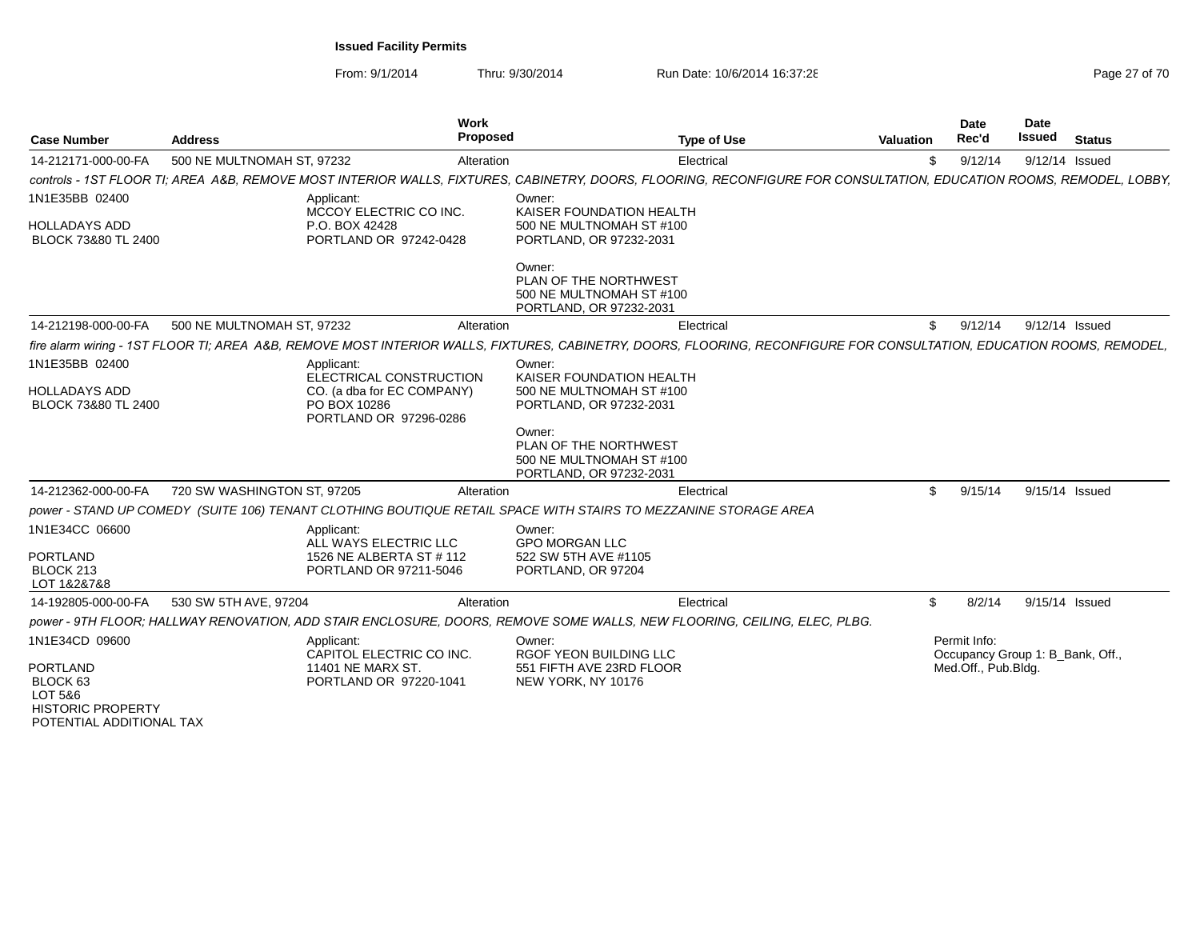| <b>Case Number</b>                                                                                        | <b>Address</b>              |                                                                      | Work<br>Proposed |                                                                                                                          | <b>Type of Use</b> | Valuation                                                                                                                                                             |                         | <b>Date</b><br>Rec'd | Date<br><b>Issued</b> | <b>Status</b>                    |
|-----------------------------------------------------------------------------------------------------------|-----------------------------|----------------------------------------------------------------------|------------------|--------------------------------------------------------------------------------------------------------------------------|--------------------|-----------------------------------------------------------------------------------------------------------------------------------------------------------------------|-------------------------|----------------------|-----------------------|----------------------------------|
| 14-212171-000-00-FA                                                                                       | 500 NE MULTNOMAH ST. 97232  |                                                                      | Alteration       |                                                                                                                          | Electrical         |                                                                                                                                                                       | \$.                     | 9/12/14              |                       | 9/12/14 Issued                   |
|                                                                                                           |                             |                                                                      |                  |                                                                                                                          |                    | controls - 1ST FLOOR TI: AREA A&B. REMOVE MOST INTERIOR WALLS. FIXTURES. CABINETRY. DOORS. FLOORING. RECONFIGURE FOR CONSULTATION. EDUCATION ROOMS. REMODEL. LOBBY.   |                         |                      |                       |                                  |
| 1N1E35BB 02400                                                                                            |                             | Applicant:<br>MCCOY ELECTRIC CO INC.                                 |                  | Owner:<br>KAISER FOUNDATION HEALTH                                                                                       |                    |                                                                                                                                                                       |                         |                      |                       |                                  |
| <b>HOLLADAYS ADD</b><br>BLOCK 73&80 TL 2400                                                               |                             | P.O. BOX 42428<br>PORTLAND OR 97242-0428                             |                  | 500 NE MULTNOMAH ST #100<br>PORTLAND, OR 97232-2031                                                                      |                    |                                                                                                                                                                       |                         |                      |                       |                                  |
|                                                                                                           |                             |                                                                      |                  | Owner:<br>PLAN OF THE NORTHWEST<br>500 NE MULTNOMAH ST #100<br>PORTLAND, OR 97232-2031                                   |                    |                                                                                                                                                                       |                         |                      |                       |                                  |
| 14-212198-000-00-FA                                                                                       | 500 NE MULTNOMAH ST, 97232  |                                                                      | Alteration       |                                                                                                                          | Electrical         |                                                                                                                                                                       | \$                      | 9/12/14              |                       | 9/12/14 Issued                   |
|                                                                                                           |                             |                                                                      |                  |                                                                                                                          |                    | fire alarm wiring - 1ST FLOOR TI; AREA A&B, REMOVE MOST INTERIOR WALLS, FIXTURES, CABINETRY, DOORS, FLOORING, RECONFIGURE FOR CONSULTATION, EDUCATION ROOMS, REMODEL, |                         |                      |                       |                                  |
| 1N1E35BB 02400                                                                                            |                             | Applicant:<br>ELECTRICAL CONSTRUCTION                                |                  | Owner:<br>KAISER FOUNDATION HEALTH                                                                                       |                    |                                                                                                                                                                       |                         |                      |                       |                                  |
| <b>HOLLADAYS ADD</b><br>BLOCK 73&80 TL 2400                                                               |                             | CO. (a dba for EC COMPANY)<br>PO BOX 10286<br>PORTLAND OR 97296-0286 |                  | 500 NE MULTNOMAH ST #100<br>PORTLAND, OR 97232-2031                                                                      |                    |                                                                                                                                                                       |                         |                      |                       |                                  |
|                                                                                                           |                             |                                                                      |                  | Owner:<br>PLAN OF THE NORTHWEST<br>500 NE MULTNOMAH ST #100<br>PORTLAND, OR 97232-2031                                   |                    |                                                                                                                                                                       |                         |                      |                       |                                  |
| 14-212362-000-00-FA                                                                                       | 720 SW WASHINGTON ST, 97205 |                                                                      | Alteration       |                                                                                                                          | Electrical         |                                                                                                                                                                       | $\mathbf{\mathfrak{L}}$ | 9/15/14              |                       | 9/15/14 Issued                   |
|                                                                                                           |                             |                                                                      |                  | power - STAND UP COMEDY (SUITE 106) TENANT CLOTHING BOUTIQUE RETAIL SPACE WITH STAIRS TO MEZZANINE STORAGE AREA          |                    |                                                                                                                                                                       |                         |                      |                       |                                  |
| 1N1E34CC 06600                                                                                            |                             | Applicant:<br>ALL WAYS ELECTRIC LLC                                  |                  | Owner:<br><b>GPO MORGAN LLC</b>                                                                                          |                    |                                                                                                                                                                       |                         |                      |                       |                                  |
| <b>PORTLAND</b><br>BLOCK 213<br>LOT 1&2&7&8                                                               |                             | 1526 NE ALBERTA ST # 112<br>PORTLAND OR 97211-5046                   |                  | 522 SW 5TH AVE #1105<br>PORTLAND, OR 97204                                                                               |                    |                                                                                                                                                                       |                         |                      |                       |                                  |
| 14-192805-000-00-FA                                                                                       | 530 SW 5TH AVE, 97204       |                                                                      | Alteration       |                                                                                                                          | Electrical         |                                                                                                                                                                       | \$                      | 8/2/14               |                       | 9/15/14 Issued                   |
|                                                                                                           |                             |                                                                      |                  | power - 9TH FLOOR; HALLWAY RENOVATION, ADD STAIR ENCLOSURE, DOORS, REMOVE SOME WALLS, NEW FLOORING, CEILING, ELEC, PLBG. |                    |                                                                                                                                                                       |                         |                      |                       |                                  |
| 1N1E34CD 09600                                                                                            |                             | Applicant:<br>CAPITOL ELECTRIC CO INC.                               |                  | Owner:<br><b>RGOF YEON BUILDING LLC</b>                                                                                  |                    |                                                                                                                                                                       |                         | Permit Info:         |                       | Occupancy Group 1: B Bank, Off., |
| <b>PORTLAND</b><br>BLOCK <sub>63</sub><br>LOT 5&6<br><b>HISTORIC PROPERTY</b><br>POTENTIAL ADDITIONAL TAX |                             | 11401 NE MARX ST.<br>PORTLAND OR 97220-1041                          |                  | 551 FIFTH AVE 23RD FLOOR<br>NEW YORK, NY 10176                                                                           |                    |                                                                                                                                                                       |                         | Med.Off., Pub.Bldg.  |                       |                                  |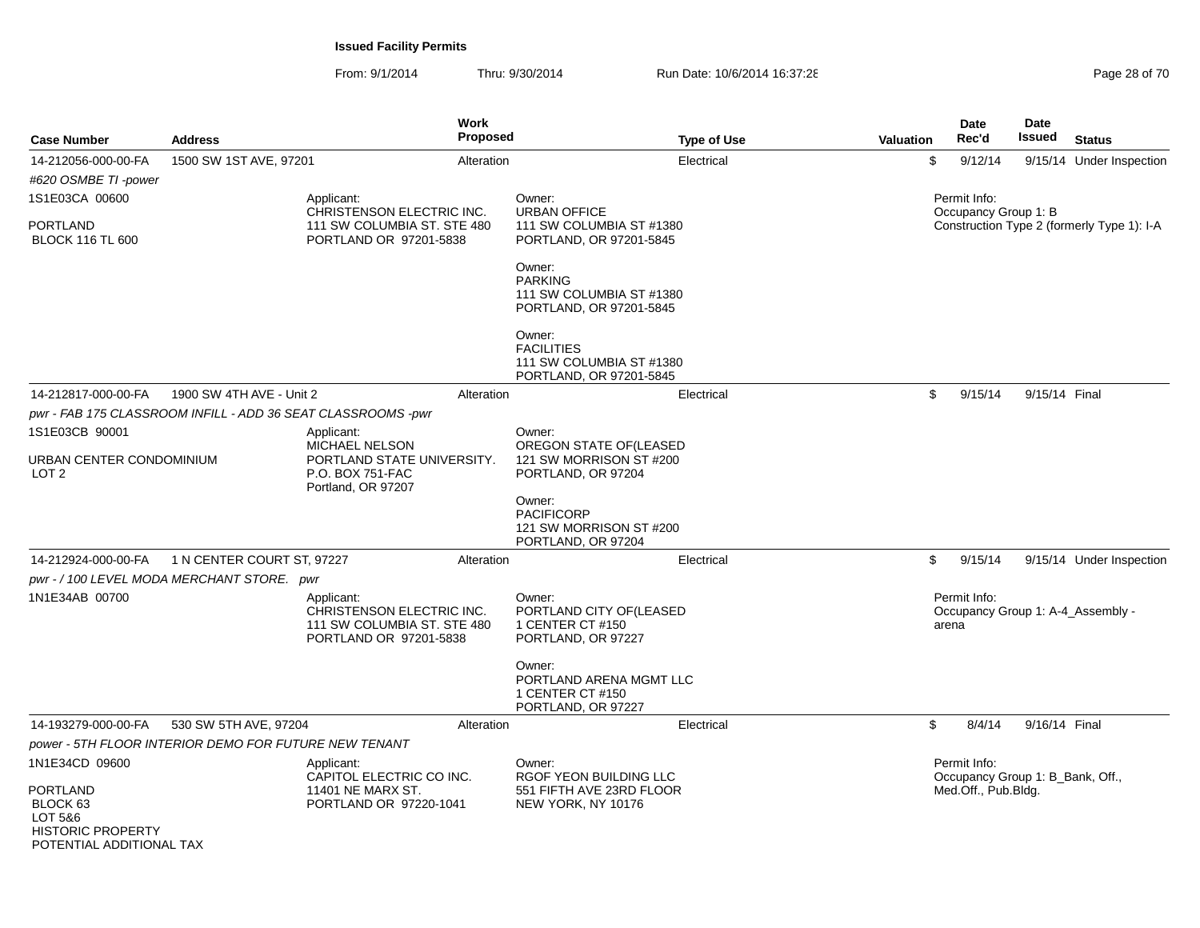From: 9/1/2014Thru: 9/30/2014 Run Date: 10/6/2014 16:37:28 Run Date: 10/6/2014 16:37:28

| <b>Case Number</b>                                                     | <b>Address</b>                                               | Work                                                                                             | Proposed                    | <b>Type of Use</b>                                                      | <b>Valuation</b> | <b>Date</b><br>Rec'd                             | <b>Date</b><br><b>Issued</b> | <b>Status</b>                              |
|------------------------------------------------------------------------|--------------------------------------------------------------|--------------------------------------------------------------------------------------------------|-----------------------------|-------------------------------------------------------------------------|------------------|--------------------------------------------------|------------------------------|--------------------------------------------|
| 14-212056-000-00-FA<br>#620 OSMBE TI -power                            | 1500 SW 1ST AVE, 97201                                       | Alteration                                                                                       |                             | Electrical                                                              | \$               | 9/12/14                                          |                              | 9/15/14 Under Inspection                   |
| 1S1E03CA 00600                                                         |                                                              | Applicant:<br>CHRISTENSON ELECTRIC INC.                                                          | Owner:                      | <b>URBAN OFFICE</b>                                                     |                  | Permit Info:<br>Occupancy Group 1: B             |                              |                                            |
| <b>PORTLAND</b><br><b>BLOCK 116 TL 600</b>                             |                                                              | 111 SW COLUMBIA ST. STE 480<br>PORTLAND OR 97201-5838                                            |                             | 111 SW COLUMBIA ST #1380<br>PORTLAND, OR 97201-5845                     |                  |                                                  |                              | Construction Type 2 (formerly Type 1): I-A |
|                                                                        |                                                              |                                                                                                  | Owner:<br><b>PARKING</b>    | 111 SW COLUMBIA ST #1380<br>PORTLAND, OR 97201-5845                     |                  |                                                  |                              |                                            |
|                                                                        |                                                              |                                                                                                  | Owner:<br><b>FACILITIES</b> | 111 SW COLUMBIA ST #1380<br>PORTLAND, OR 97201-5845                     |                  |                                                  |                              |                                            |
| 14-212817-000-00-FA                                                    | 1900 SW 4TH AVE - Unit 2                                     | Alteration                                                                                       |                             | Electrical                                                              | \$               | 9/15/14                                          | 9/15/14 Final                |                                            |
|                                                                        | pwr - FAB 175 CLASSROOM INFILL - ADD 36 SEAT CLASSROOMS -pwr |                                                                                                  |                             |                                                                         |                  |                                                  |                              |                                            |
| 1S1E03CB 90001                                                         |                                                              | Applicant:                                                                                       | Owner:                      |                                                                         |                  |                                                  |                              |                                            |
| URBAN CENTER CONDOMINIUM<br>LOT <sub>2</sub>                           |                                                              | <b>MICHAEL NELSON</b><br>PORTLAND STATE UNIVERSITY.<br>P.O. BOX 751-FAC<br>Portland, OR 97207    |                             | OREGON STATE OF(LEASED<br>121 SW MORRISON ST #200<br>PORTLAND, OR 97204 |                  |                                                  |                              |                                            |
|                                                                        |                                                              |                                                                                                  | Owner:                      | <b>PACIFICORP</b><br>121 SW MORRISON ST #200<br>PORTLAND, OR 97204      |                  |                                                  |                              |                                            |
| 14-212924-000-00-FA                                                    | 1 N CENTER COURT ST, 97227                                   | Alteration                                                                                       |                             | Electrical                                                              | \$               | 9/15/14                                          |                              | 9/15/14 Under Inspection                   |
|                                                                        | pwr - / 100 LEVEL MODA MERCHANT STORE. pwr                   |                                                                                                  |                             |                                                                         |                  |                                                  |                              |                                            |
| 1N1E34AB 00700                                                         |                                                              | Applicant:<br>CHRISTENSON ELECTRIC INC.<br>111 SW COLUMBIA ST. STE 480<br>PORTLAND OR 97201-5838 | Owner:                      | PORTLAND CITY OF (LEASED<br>1 CENTER CT #150<br>PORTLAND, OR 97227      |                  | Permit Info:<br>arena                            |                              | Occupancy Group 1: A-4 Assembly -          |
|                                                                        |                                                              |                                                                                                  | Owner:                      | PORTLAND ARENA MGMT LLC<br>1 CENTER CT #150<br>PORTLAND, OR 97227       |                  |                                                  |                              |                                            |
| 14-193279-000-00-FA                                                    | 530 SW 5TH AVE, 97204                                        | Alteration                                                                                       |                             | Electrical                                                              | \$               | 8/4/14                                           | 9/16/14 Final                |                                            |
|                                                                        | power - 5TH FLOOR INTERIOR DEMO FOR FUTURE NEW TENANT        |                                                                                                  |                             |                                                                         |                  |                                                  |                              |                                            |
| 1N1E34CD 09600                                                         |                                                              | Applicant:<br>CAPITOL ELECTRIC CO INC.                                                           | Owner:                      | <b>RGOF YEON BUILDING LLC</b>                                           |                  | Permit Info:<br>Occupancy Group 1: B_Bank, Off., |                              |                                            |
| PORTLAND<br>BLOCK <sub>63</sub><br>LOT 5&6<br><b>HISTORIC PROPERTY</b> | $T^*$                                                        | 11401 NE MARX ST.<br>PORTLAND OR 97220-1041                                                      |                             | 551 FIFTH AVE 23RD FLOOR<br>NEW YORK, NY 10176                          |                  | Med.Off., Pub.Bldg.                              |                              |                                            |

POTENTIAL ADDITIONAL TAX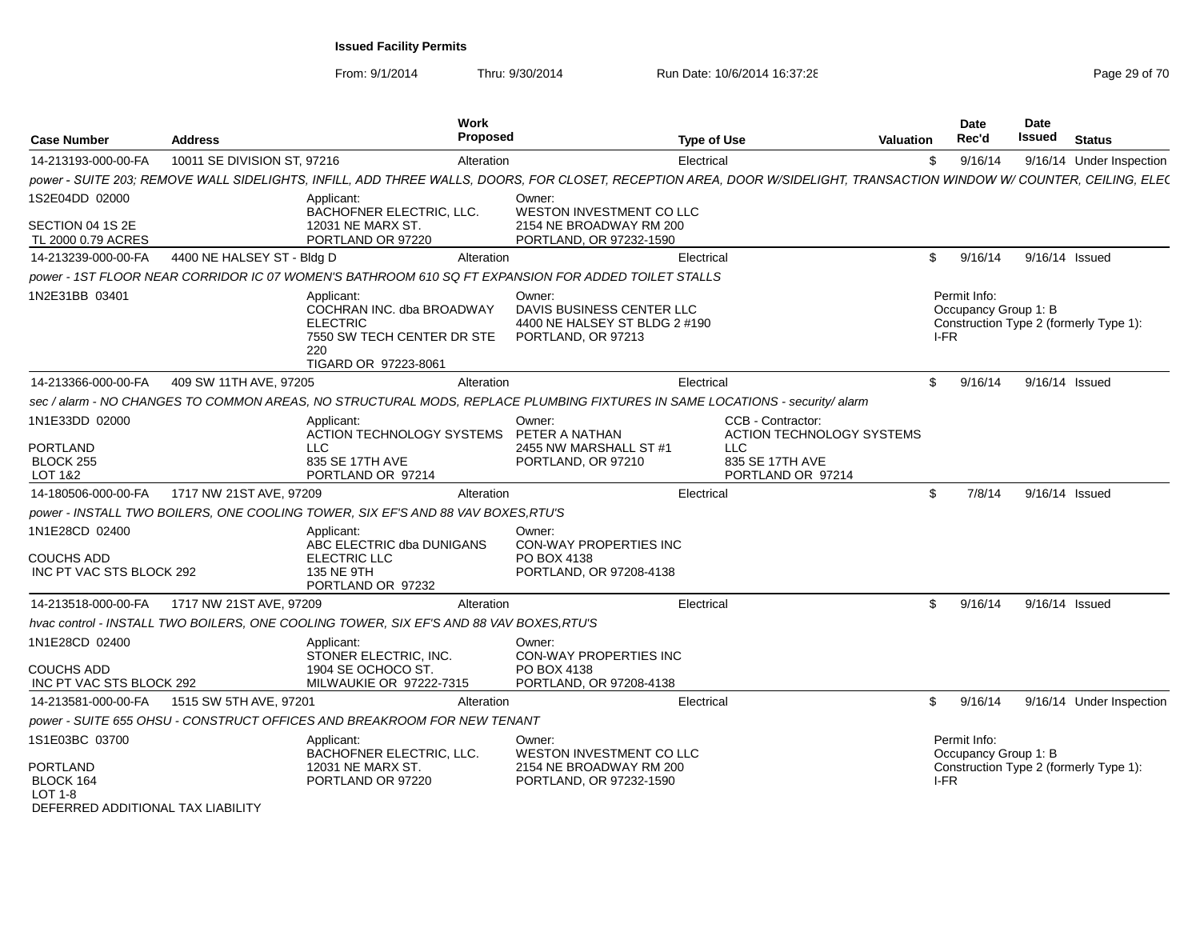From: 9/1/2014

| <b>Case Number</b>                             | <b>Address</b>              |                                                                                                                         | Work<br><b>Proposed</b> |                                                                                                                             | <b>Type of Use</b> |                                                                                                                                                                       | <b>Valuation</b> | <b>Date</b><br>Rec'd                 | Date<br>Issued | <b>Status</b>                          |
|------------------------------------------------|-----------------------------|-------------------------------------------------------------------------------------------------------------------------|-------------------------|-----------------------------------------------------------------------------------------------------------------------------|--------------------|-----------------------------------------------------------------------------------------------------------------------------------------------------------------------|------------------|--------------------------------------|----------------|----------------------------------------|
| 14-213193-000-00-FA                            | 10011 SE DIVISION ST, 97216 |                                                                                                                         | Alteration              |                                                                                                                             | Electrical         |                                                                                                                                                                       | \$               | 9/16/14                              |                | 9/16/14 Under Inspection               |
|                                                |                             |                                                                                                                         |                         |                                                                                                                             |                    | power - SUITE 203; REMOVE WALL SIDELIGHTS, INFILL, ADD THREE WALLS, DOORS, FOR CLOSET, RECEPTION AREA, DOOR W/SIDELIGHT, TRANSACTION WINDOW W/ COUNTER, CEILING, ELEC |                  |                                      |                |                                        |
| 1S2E04DD 02000                                 |                             | Applicant:<br>BACHOFNER ELECTRIC, LLC.                                                                                  |                         | Owner:<br>WESTON INVESTMENT CO LLC                                                                                          |                    |                                                                                                                                                                       |                  |                                      |                |                                        |
| SECTION 04 1S 2E<br>TL 2000 0.79 ACRES         |                             | 12031 NE MARX ST.<br>PORTLAND OR 97220                                                                                  |                         | 2154 NE BROADWAY RM 200<br>PORTLAND, OR 97232-1590                                                                          |                    |                                                                                                                                                                       |                  |                                      |                |                                        |
| 14-213239-000-00-FA                            | 4400 NE HALSEY ST - Bldg D  |                                                                                                                         | Alteration              |                                                                                                                             | Electrical         |                                                                                                                                                                       | \$               | 9/16/14                              | 9/16/14 Issued |                                        |
|                                                |                             |                                                                                                                         |                         | 000 power - 1ST FLOOR NEAR CORRIDOR IC 07 WOMEN'S BATHROOM 610 SQ FT EXPANSION FOR ADDED TOILET STALLS                      |                    |                                                                                                                                                                       |                  |                                      |                |                                        |
| 1N2E31BB 03401                                 |                             | Applicant:<br>COCHRAN INC. dba BROADWAY<br><b>ELECTRIC</b><br>7550 SW TECH CENTER DR STE<br>220<br>TIGARD OR 97223-8061 |                         | Owner:<br>DAVIS BUSINESS CENTER LLC<br>4400 NE HALSEY ST BLDG 2 #190<br>PORTLAND, OR 97213                                  |                    |                                                                                                                                                                       | I-FR             | Permit Info:<br>Occupancy Group 1: B |                | Construction Type 2 (formerly Type 1): |
| 14-213366-000-00-FA                            | 409 SW 11TH AVE, 97205      |                                                                                                                         | Alteration              |                                                                                                                             | Electrical         |                                                                                                                                                                       | \$               | 9/16/14                              | 9/16/14 Issued |                                        |
|                                                |                             |                                                                                                                         |                         | sec / alarm - NO CHANGES TO COMMON AREAS, NO STRUCTURAL MODS, REPLACE PLUMBING FIXTURES IN SAME LOCATIONS - security/ alarm |                    |                                                                                                                                                                       |                  |                                      |                |                                        |
| 1N1E33DD 02000<br><b>PORTLAND</b>              |                             | Applicant:<br>ACTION TECHNOLOGY SYSTEMS<br>LLC                                                                          |                         | Owner:<br>PETER A NATHAN<br>2455 NW MARSHALL ST #1                                                                          |                    | CCB - Contractor:<br><b>ACTION TECHNOLOGY SYSTEMS</b><br><b>LLC</b>                                                                                                   |                  |                                      |                |                                        |
| <b>BLOCK 255</b><br>LOT 1&2                    |                             | 835 SE 17TH AVE<br>PORTLAND OR 97214                                                                                    |                         | PORTLAND, OR 97210                                                                                                          |                    | 835 SE 17TH AVE<br>PORTLAND OR 97214                                                                                                                                  |                  |                                      |                |                                        |
| 14-180506-000-00-FA                            | 1717 NW 21ST AVE, 97209     |                                                                                                                         | Alteration              |                                                                                                                             | Electrical         |                                                                                                                                                                       | \$               | 7/8/14                               | 9/16/14 Issued |                                        |
|                                                |                             | power - INSTALL TWO BOILERS, ONE COOLING TOWER, SIX EF'S AND 88 VAV BOXES, RTU'S                                        |                         |                                                                                                                             |                    |                                                                                                                                                                       |                  |                                      |                |                                        |
| 1N1E28CD 02400                                 |                             | Applicant:<br>ABC ELECTRIC dba DUNIGANS                                                                                 |                         | Owner:<br>CON-WAY PROPERTIES INC                                                                                            |                    |                                                                                                                                                                       |                  |                                      |                |                                        |
| <b>COUCHS ADD</b><br>INC PT VAC STS BLOCK 292  |                             | ELECTRIC LLC<br>135 NE 9TH<br>PORTLAND OR 97232                                                                         |                         | PO BOX 4138<br>PORTLAND, OR 97208-4138                                                                                      |                    |                                                                                                                                                                       |                  |                                      |                |                                        |
| 14-213518-000-00-FA                            | 1717 NW 21ST AVE, 97209     |                                                                                                                         | Alteration              |                                                                                                                             | Electrical         |                                                                                                                                                                       | \$               | 9/16/14                              | 9/16/14 Issued |                                        |
|                                                |                             | hvac control - INSTALL TWO BOILERS, ONE COOLING TOWER, SIX EF'S AND 88 VAV BOXES, RTU'S                                 |                         |                                                                                                                             |                    |                                                                                                                                                                       |                  |                                      |                |                                        |
| 1N1E28CD 02400                                 |                             | Applicant:<br>STONER ELECTRIC, INC.                                                                                     |                         | Owner:<br>CON-WAY PROPERTIES INC                                                                                            |                    |                                                                                                                                                                       |                  |                                      |                |                                        |
| <b>COUCHS ADD</b><br>INC PT VAC STS BLOCK 292  |                             | 1904 SE OCHOCO ST.<br>MILWAUKIE OR 97222-7315                                                                           |                         | PO BOX 4138<br>PORTLAND, OR 97208-4138                                                                                      |                    |                                                                                                                                                                       |                  |                                      |                |                                        |
| 14-213581-000-00-FA                            | 1515 SW 5TH AVE, 97201      |                                                                                                                         | Alteration              |                                                                                                                             | Electrical         |                                                                                                                                                                       | \$               | 9/16/14                              |                | 9/16/14 Under Inspection               |
|                                                |                             | power - SUITE 655 OHSU - CONSTRUCT OFFICES AND BREAKROOM FOR NEW TENANT                                                 |                         |                                                                                                                             |                    |                                                                                                                                                                       |                  |                                      |                |                                        |
| 1S1E03BC 03700<br>PORTLAND<br>BLOCK 164        |                             | Applicant:<br>BACHOFNER ELECTRIC, LLC.<br>12031 NE MARX ST.<br>PORTLAND OR 97220                                        |                         | Owner:<br>WESTON INVESTMENT CO LLC<br>2154 NE BROADWAY RM 200<br>PORTLAND, OR 97232-1590                                    |                    |                                                                                                                                                                       | I-FR             | Permit Info:<br>Occupancy Group 1: B |                | Construction Type 2 (formerly Type 1): |
| $LOT 1-8$<br>DEFERRED ADDITIONAL TAX LIABILITY |                             |                                                                                                                         |                         |                                                                                                                             |                    |                                                                                                                                                                       |                  |                                      |                |                                        |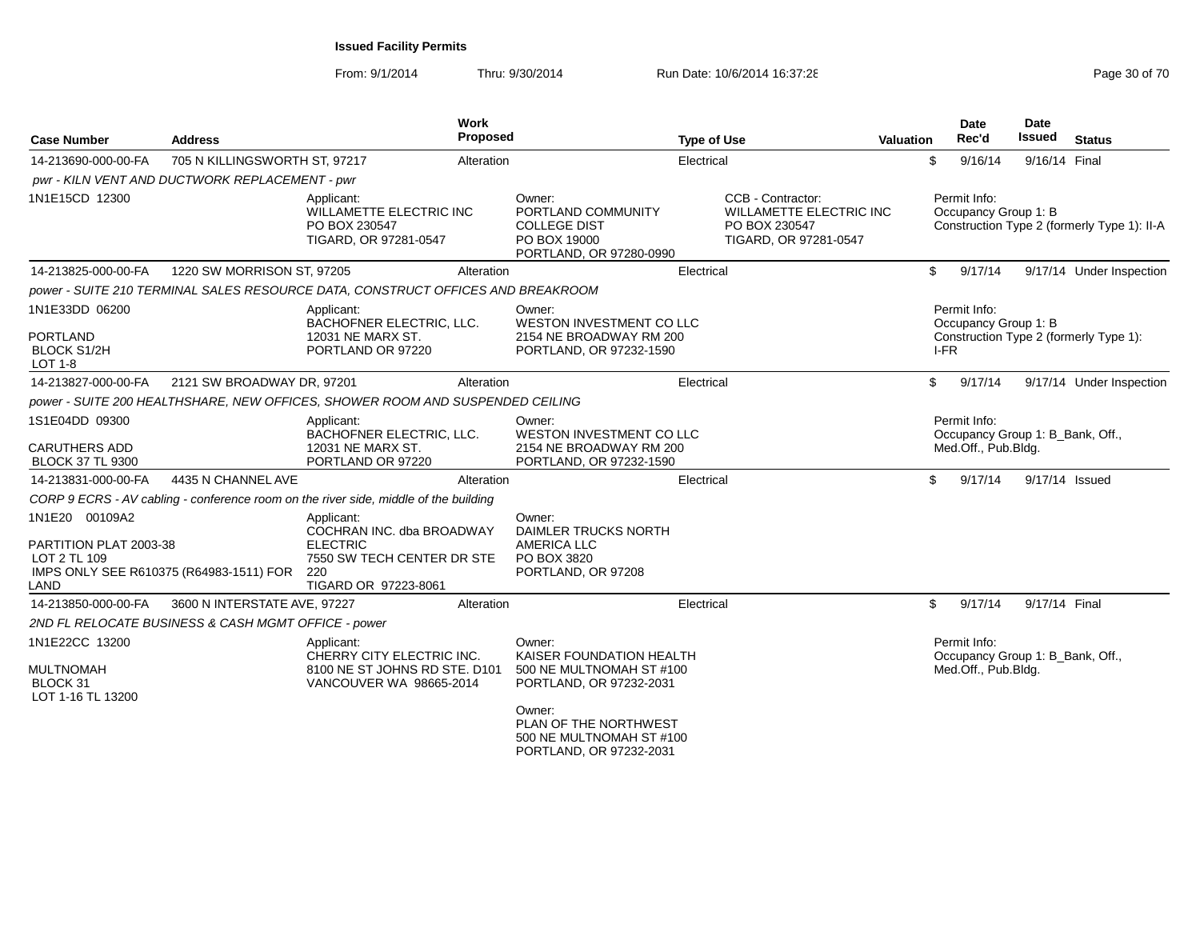| <b>Case Number</b>                                                  | <b>Address</b>                                      |                                                                                                                         | <b>Work</b><br>Proposed |                                                                                                                                                                                     | <b>Type of Use</b> |                                                                                        | <b>Valuation</b> |              | Date<br>Rec'd                        | <b>Date</b><br>Issued            | <b>Status</b>                               |
|---------------------------------------------------------------------|-----------------------------------------------------|-------------------------------------------------------------------------------------------------------------------------|-------------------------|-------------------------------------------------------------------------------------------------------------------------------------------------------------------------------------|--------------------|----------------------------------------------------------------------------------------|------------------|--------------|--------------------------------------|----------------------------------|---------------------------------------------|
| 14-213690-000-00-FA                                                 | 705 N KILLINGSWORTH ST, 97217                       |                                                                                                                         | Alteration              |                                                                                                                                                                                     | Electrical         |                                                                                        |                  | \$           | 9/16/14                              | 9/16/14 Final                    |                                             |
|                                                                     | pwr - KILN VENT AND DUCTWORK REPLACEMENT - pwr      |                                                                                                                         |                         |                                                                                                                                                                                     |                    |                                                                                        |                  |              |                                      |                                  |                                             |
| 1N1E15CD 12300                                                      |                                                     | Applicant:<br>WILLAMETTE ELECTRIC INC<br>PO BOX 230547<br>TIGARD, OR 97281-0547                                         |                         | Owner:<br>PORTLAND COMMUNITY<br><b>COLLEGE DIST</b><br>PO BOX 19000<br>PORTLAND, OR 97280-0990                                                                                      |                    | CCB - Contractor:<br>WILLAMETTE ELECTRIC INC<br>PO BOX 230547<br>TIGARD, OR 97281-0547 |                  |              | Permit Info:<br>Occupancy Group 1: B |                                  | Construction Type 2 (formerly Type 1): II-A |
| 14-213825-000-00-FA                                                 | 1220 SW MORRISON ST, 97205                          |                                                                                                                         | Alteration              |                                                                                                                                                                                     | Electrical         |                                                                                        |                  | \$           | 9/17/14                              |                                  | 9/17/14 Under Inspection                    |
|                                                                     |                                                     | power - SUITE 210 TERMINAL SALES RESOURCE DATA, CONSTRUCT OFFICES AND BREAKROOM                                         |                         |                                                                                                                                                                                     |                    |                                                                                        |                  |              |                                      |                                  |                                             |
| 1N1E33DD 06200<br><b>PORTLAND</b><br><b>BLOCK S1/2H</b><br>LOT 1-8  |                                                     | Applicant:<br>BACHOFNER ELECTRIC, LLC.<br>12031 NE MARX ST.<br>PORTLAND OR 97220                                        |                         | Owner:<br>WESTON INVESTMENT CO LLC<br>2154 NE BROADWAY RM 200<br>PORTLAND, OR 97232-1590                                                                                            |                    |                                                                                        |                  | I-FR         | Permit Info:<br>Occupancy Group 1: B |                                  | Construction Type 2 (formerly Type 1):      |
| 14-213827-000-00-FA                                                 | 2121 SW BROADWAY DR, 97201                          |                                                                                                                         | Alteration              |                                                                                                                                                                                     | Electrical         |                                                                                        |                  | \$           | 9/17/14                              |                                  | 9/17/14 Under Inspection                    |
|                                                                     |                                                     | power - SUITE 200 HEALTHSHARE, NEW OFFICES, SHOWER ROOM AND SUSPENDED CEILING                                           |                         |                                                                                                                                                                                     |                    |                                                                                        |                  |              |                                      |                                  |                                             |
| 1S1E04DD 09300<br><b>CARUTHERS ADD</b><br><b>BLOCK 37 TL 9300</b>   |                                                     | Applicant:<br>BACHOFNER ELECTRIC, LLC.<br>12031 NE MARX ST.<br>PORTLAND OR 97220                                        |                         | Owner:<br><b>WESTON INVESTMENT CO LLC</b><br>2154 NE BROADWAY RM 200<br>PORTLAND, OR 97232-1590                                                                                     |                    |                                                                                        |                  |              | Permit Info:<br>Med.Off., Pub.Bldg.  | Occupancy Group 1: B_Bank, Off., |                                             |
| 14-213831-000-00-FA                                                 | 4435 N CHANNEL AVE                                  |                                                                                                                         | Alteration              |                                                                                                                                                                                     | Electrical         |                                                                                        |                  | \$           | 9/17/14                              | 9/17/14 Issued                   |                                             |
|                                                                     |                                                     | CORP 9 ECRS - AV cabling - conference room on the river side, middle of the building                                    |                         |                                                                                                                                                                                     |                    |                                                                                        |                  |              |                                      |                                  |                                             |
| 1N1E20 00109A2<br>PARTITION PLAT 2003-38<br>LOT 2 TL 109<br>LAND    | IMPS ONLY SEE R610375 (R64983-1511) FOR             | Applicant:<br>COCHRAN INC. dba BROADWAY<br><b>ELECTRIC</b><br>7550 SW TECH CENTER DR STE<br>220<br>TIGARD OR 97223-8061 |                         | Owner:<br>DAIMLER TRUCKS NORTH<br>AMERICA LLC<br>PO BOX 3820<br>PORTLAND, OR 97208                                                                                                  |                    |                                                                                        |                  |              |                                      |                                  |                                             |
| 14-213850-000-00-FA                                                 | 3600 N INTERSTATE AVE, 97227                        |                                                                                                                         | Alteration              |                                                                                                                                                                                     | Electrical         |                                                                                        |                  | $\mathbb{S}$ | 9/17/14                              | 9/17/14 Final                    |                                             |
|                                                                     | 2ND FL RELOCATE BUSINESS & CASH MGMT OFFICE - power |                                                                                                                         |                         |                                                                                                                                                                                     |                    |                                                                                        |                  |              |                                      |                                  |                                             |
| 1N1E22CC 13200<br><b>MULTNOMAH</b><br>BLOCK 31<br>LOT 1-16 TL 13200 |                                                     | Applicant:<br>CHERRY CITY ELECTRIC INC.<br>8100 NE ST JOHNS RD STE. D101<br>VANCOUVER WA 98665-2014                     |                         | Owner:<br>KAISER FOUNDATION HEALTH<br>500 NE MULTNOMAH ST #100<br>PORTLAND, OR 97232-2031<br>Owner:<br>PLAN OF THE NORTHWEST<br>500 NE MULTNOMAH ST #100<br>PORTLAND, OR 97232-2031 |                    |                                                                                        |                  |              | Permit Info:<br>Med.Off., Pub.Bldg.  | Occupancy Group 1: B Bank, Off., |                                             |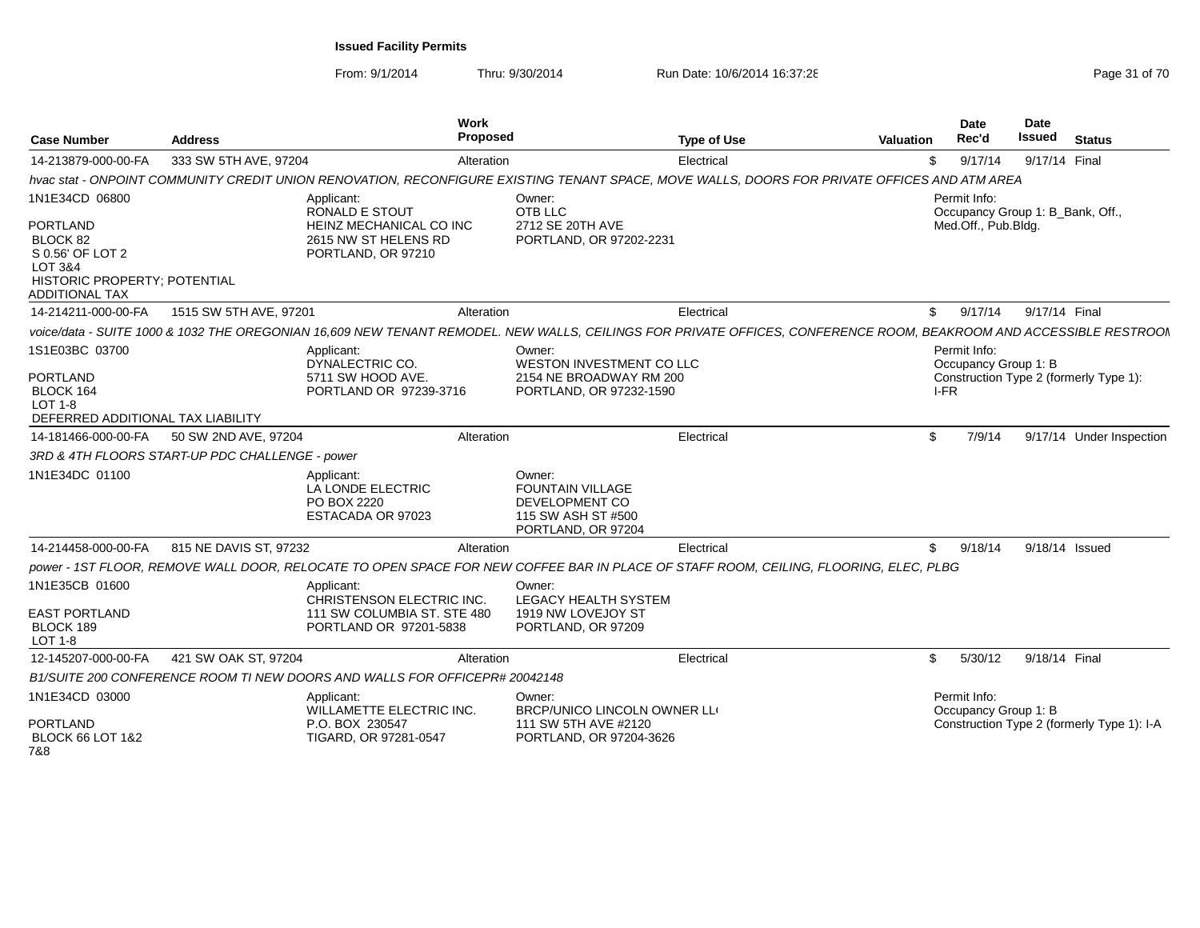From: 9/1/2014

| <b>Case Number</b>                                                                                                                    | <b>Address</b>                                  | Work<br>Proposed                                                                                                                                                   |                                                                                                 | <b>Type of Use</b> | Valuation | <b>Date</b><br>Rec'd                             | <b>Date</b><br><b>Issued</b> | <b>Status</b>                              |
|---------------------------------------------------------------------------------------------------------------------------------------|-------------------------------------------------|--------------------------------------------------------------------------------------------------------------------------------------------------------------------|-------------------------------------------------------------------------------------------------|--------------------|-----------|--------------------------------------------------|------------------------------|--------------------------------------------|
| 14-213879-000-00-FA                                                                                                                   | 333 SW 5TH AVE, 97204                           | Alteration                                                                                                                                                         |                                                                                                 | Electrical         | \$        | 9/17/14                                          | 9/17/14 Final                |                                            |
|                                                                                                                                       |                                                 | hvac stat - ONPOINT COMMUNITY CREDIT UNION RENOVATION, RECONFIGURE EXISTING TENANT SPACE, MOVE WALLS, DOORS FOR PRIVATE OFFICES AND ATM AREA                       |                                                                                                 |                    |           |                                                  |                              |                                            |
| 1N1E34CD 06800                                                                                                                        |                                                 | Applicant:<br><b>RONALD E STOUT</b>                                                                                                                                | Owner:<br>OTB LLC                                                                               |                    |           | Permit Info:<br>Occupancy Group 1: B Bank, Off., |                              |                                            |
| <b>PORTLAND</b><br>BLOCK 82<br>S 0.56' OF LOT 2<br><b>LOT 3&amp;4</b><br><b>HISTORIC PROPERTY: POTENTIAL</b><br><b>ADDITIONAL TAX</b> |                                                 | HEINZ MECHANICAL CO INC<br>2615 NW ST HELENS RD<br>PORTLAND, OR 97210                                                                                              | 2712 SE 20TH AVE<br>PORTLAND, OR 97202-2231                                                     |                    |           | Med.Off., Pub.Bldg.                              |                              |                                            |
| 14-214211-000-00-FA                                                                                                                   | 1515 SW 5TH AVE, 97201                          | Alteration                                                                                                                                                         |                                                                                                 | Electrical         | \$        | 9/17/14                                          | 9/17/14 Final                |                                            |
|                                                                                                                                       |                                                 | voice/data - SUITE 1000 & 1032 THE OREGONIAN 16,609 NEW TENANT REMODEL. NEW WALLS, CEILINGS FOR PRIVATE OFFICES, CONFERENCE ROOM, BEAKROOM AND ACCESSIBLE RESTROOM |                                                                                                 |                    |           |                                                  |                              |                                            |
| 1S1E03BC 03700                                                                                                                        |                                                 | Applicant:<br>DYNALECTRIC CO.                                                                                                                                      | Owner:<br>WESTON INVESTMENT CO LLC                                                              |                    |           | Permit Info:<br>Occupancy Group 1: B             |                              |                                            |
| <b>PORTLAND</b><br>BLOCK 164<br>LOT 1-8<br>DEFERRED ADDITIONAL TAX LIABILITY                                                          |                                                 | 5711 SW HOOD AVE.<br>PORTLAND OR 97239-3716                                                                                                                        | 2154 NE BROADWAY RM 200<br>PORTLAND, OR 97232-1590                                              |                    |           | IFR                                              |                              | Construction Type 2 (formerly Type 1):     |
| 14-181466-000-00-FA                                                                                                                   | 50 SW 2ND AVE, 97204                            | Alteration                                                                                                                                                         |                                                                                                 | Electrical         | \$        | 7/9/14                                           |                              | 9/17/14 Under Inspection                   |
|                                                                                                                                       | 3RD & 4TH FLOORS START-UP PDC CHALLENGE - power |                                                                                                                                                                    |                                                                                                 |                    |           |                                                  |                              |                                            |
| 1N1E34DC 01100                                                                                                                        |                                                 | Applicant:<br>LA LONDE ELECTRIC<br>PO BOX 2220<br>ESTACADA OR 97023                                                                                                | Owner:<br><b>FOUNTAIN VILLAGE</b><br>DEVELOPMENT CO<br>115 SW ASH ST #500<br>PORTLAND, OR 97204 |                    |           |                                                  |                              |                                            |
| 14-214458-000-00-FA                                                                                                                   | 815 NE DAVIS ST, 97232                          | Alteration                                                                                                                                                         |                                                                                                 | Electrical         | \$        | 9/18/14                                          |                              | 9/18/14 Issued                             |
|                                                                                                                                       |                                                 | power - 1ST FLOOR, REMOVE WALL DOOR, RELOCATE TO OPEN SPACE FOR NEW COFFEE BAR IN PLACE OF STAFF ROOM, CEILING, FLOORING, ELEC, PLBG                               |                                                                                                 |                    |           |                                                  |                              |                                            |
| 1N1E35CB 01600                                                                                                                        |                                                 | Applicant:<br>CHRISTENSON ELECTRIC INC.                                                                                                                            | Owner:<br><b>LEGACY HEALTH SYSTEM</b>                                                           |                    |           |                                                  |                              |                                            |
| <b>EAST PORTLAND</b><br>BLOCK 189<br>LOT 1-8                                                                                          |                                                 | 111 SW COLUMBIA ST. STE 480<br>PORTLAND OR 97201-5838                                                                                                              | 1919 NW LOVEJOY ST<br>PORTLAND, OR 97209                                                        |                    |           |                                                  |                              |                                            |
| 12-145207-000-00-FA                                                                                                                   | 421 SW OAK ST, 97204                            | Alteration                                                                                                                                                         |                                                                                                 | Electrical         | \$        | 5/30/12                                          | 9/18/14 Final                |                                            |
|                                                                                                                                       |                                                 | B1/SUITE 200 CONFERENCE ROOM TI NEW DOORS AND WALLS FOR OFFICEPR# 20042148                                                                                         |                                                                                                 |                    |           |                                                  |                              |                                            |
| 1N1E34CD 03000                                                                                                                        |                                                 | Applicant:<br>WILLAMETTE ELECTRIC INC.                                                                                                                             | Owner:<br>BRCP/UNICO LINCOLN OWNER LLI                                                          |                    |           | Permit Info:<br>Occupancy Group 1: B             |                              |                                            |
| <b>PORTLAND</b><br><b>BLOCK 66 LOT 1&amp;2</b><br>7&8                                                                                 |                                                 | P.O. BOX 230547<br>TIGARD, OR 97281-0547                                                                                                                           | 111 SW 5TH AVE #2120<br>PORTLAND, OR 97204-3626                                                 |                    |           |                                                  |                              | Construction Type 2 (formerly Type 1): I-A |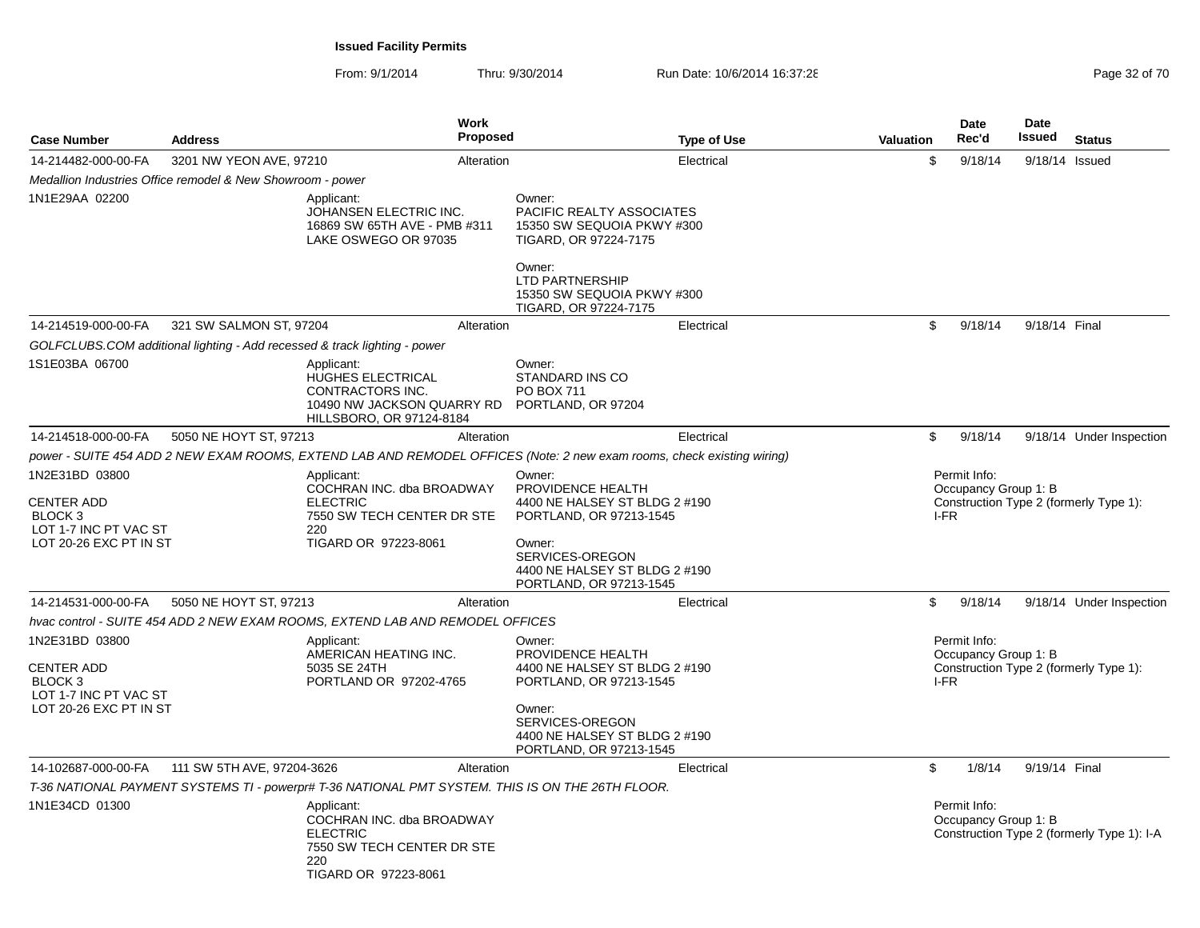| <b>Case Number</b>                                                                                | <b>Address</b>                                             |                                                                                                                         | <b>Work</b><br><b>Proposed</b> |                                                                                                                                                                                  | <b>Type of Use</b> | Valuation | <b>Date</b><br>Rec'd                         | <b>Date</b><br><b>Issued</b> | <b>Status</b>                              |
|---------------------------------------------------------------------------------------------------|------------------------------------------------------------|-------------------------------------------------------------------------------------------------------------------------|--------------------------------|----------------------------------------------------------------------------------------------------------------------------------------------------------------------------------|--------------------|-----------|----------------------------------------------|------------------------------|--------------------------------------------|
| 14-214482-000-00-FA                                                                               | 3201 NW YEON AVE, 97210                                    |                                                                                                                         | Alteration                     |                                                                                                                                                                                  | Electrical         | \$        | 9/18/14                                      | 9/18/14 Issued               |                                            |
|                                                                                                   | Medallion Industries Office remodel & New Showroom - power |                                                                                                                         |                                |                                                                                                                                                                                  |                    |           |                                              |                              |                                            |
| 1N1E29AA 02200                                                                                    |                                                            | Applicant:<br>JOHANSEN ELECTRIC INC.<br>16869 SW 65TH AVE - PMB #311<br>LAKE OSWEGO OR 97035                            |                                | Owner:<br>PACIFIC REALTY ASSOCIATES<br>15350 SW SEQUOIA PKWY #300<br>TIGARD, OR 97224-7175                                                                                       |                    |           |                                              |                              |                                            |
|                                                                                                   |                                                            |                                                                                                                         |                                | Owner:<br><b>LTD PARTNERSHIP</b><br>15350 SW SEQUOIA PKWY #300<br>TIGARD, OR 97224-7175                                                                                          |                    |           |                                              |                              |                                            |
| 14-214519-000-00-FA                                                                               | 321 SW SALMON ST, 97204                                    |                                                                                                                         | Alteration                     |                                                                                                                                                                                  | Electrical         | \$        | 9/18/14                                      | 9/18/14 Final                |                                            |
|                                                                                                   |                                                            | GOLFCLUBS.COM additional lighting - Add recessed & track lighting - power                                               |                                |                                                                                                                                                                                  |                    |           |                                              |                              |                                            |
| 1S1E03BA 06700                                                                                    |                                                            | Applicant:<br>HUGHES ELECTRICAL<br>CONTRACTORS INC.<br>10490 NW JACKSON QUARRY RD<br>HILLSBORO, OR 97124-8184           |                                | Owner:<br>STANDARD INS CO<br><b>PO BOX 711</b><br>PORTLAND, OR 97204                                                                                                             |                    |           |                                              |                              |                                            |
| 14-214518-000-00-FA                                                                               | 5050 NE HOYT ST, 97213                                     |                                                                                                                         | Alteration                     |                                                                                                                                                                                  | Electrical         | \$        | 9/18/14                                      |                              | 9/18/14 Under Inspection                   |
|                                                                                                   |                                                            | power - SUITE 454 ADD 2 NEW EXAM ROOMS, EXTEND LAB AND REMODEL OFFICES (Note: 2 new exam rooms, check existing wiring)  |                                |                                                                                                                                                                                  |                    |           |                                              |                              |                                            |
| 1N2E31BD 03800<br><b>CENTER ADD</b><br>BLOCK 3<br>LOT 1-7 INC PT VAC ST                           |                                                            | Applicant:<br>COCHRAN INC. dba BROADWAY<br><b>ELECTRIC</b><br>7550 SW TECH CENTER DR STE<br>220                         |                                | Owner:<br>PROVIDENCE HEALTH<br>4400 NE HALSEY ST BLDG 2 #190<br>PORTLAND, OR 97213-1545                                                                                          |                    |           | Permit Info:<br>Occupancy Group 1: B<br>I-FR |                              | Construction Type 2 (formerly Type 1):     |
| LOT 20-26 EXC PT IN ST                                                                            |                                                            | TIGARD OR 97223-8061                                                                                                    |                                | Owner:<br>SERVICES-OREGON<br>4400 NE HALSEY ST BLDG 2 #190<br>PORTLAND, OR 97213-1545                                                                                            |                    |           |                                              |                              |                                            |
| 14-214531-000-00-FA                                                                               | 5050 NE HOYT ST, 97213                                     |                                                                                                                         | Alteration                     |                                                                                                                                                                                  | Electrical         | \$        | 9/18/14                                      |                              | 9/18/14 Under Inspection                   |
|                                                                                                   |                                                            | hvac control - SUITE 454 ADD 2 NEW EXAM ROOMS, EXTEND LAB AND REMODEL OFFICES                                           |                                |                                                                                                                                                                                  |                    |           |                                              |                              |                                            |
| 1N2E31BD 03800<br><b>CENTER ADD</b><br>BLOCK 3<br>LOT 1-7 INC PT VAC ST<br>LOT 20-26 EXC PT IN ST |                                                            | Applicant:<br>AMERICAN HEATING INC.<br>5035 SE 24TH<br>PORTLAND OR 97202-4765                                           |                                | Owner:<br>PROVIDENCE HEALTH<br>4400 NE HALSEY ST BLDG 2 #190<br>PORTLAND, OR 97213-1545<br>Owner:<br>SERVICES-OREGON<br>4400 NE HALSEY ST BLDG 2 #190<br>PORTLAND, OR 97213-1545 |                    |           | Permit Info:<br>Occupancy Group 1: B<br>I-FR |                              | Construction Type 2 (formerly Type 1):     |
| 14-102687-000-00-FA                                                                               | 111 SW 5TH AVE, 97204-3626                                 |                                                                                                                         | Alteration                     |                                                                                                                                                                                  | Electrical         | \$        | 1/8/14                                       | 9/19/14 Final                |                                            |
|                                                                                                   |                                                            | T-36 NATIONAL PAYMENT SYSTEMS TI - powerpr# T-36 NATIONAL PMT SYSTEM. THIS IS ON THE 26TH FLOOR.                        |                                |                                                                                                                                                                                  |                    |           |                                              |                              |                                            |
| 1N1E34CD 01300                                                                                    |                                                            | Applicant:<br>COCHRAN INC. dba BROADWAY<br><b>ELECTRIC</b><br>7550 SW TECH CENTER DR STE<br>220<br>TIGARD OR 97223-8061 |                                |                                                                                                                                                                                  |                    |           | Permit Info:<br>Occupancy Group 1: B         |                              | Construction Type 2 (formerly Type 1): I-A |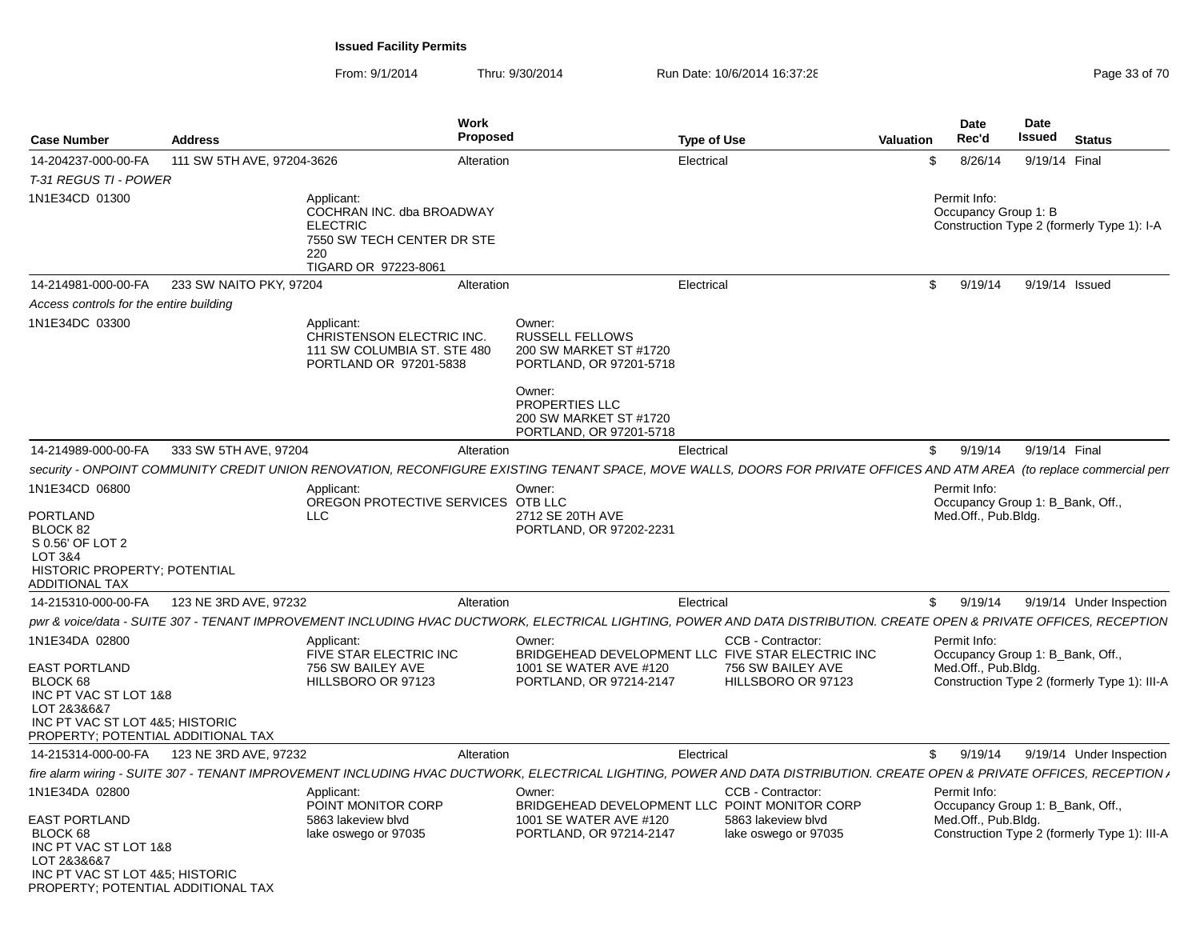| <b>Case Number</b>                                                                                                                                                  | <b>Address</b>             |                                                                                                                         | <b>Work</b><br><b>Proposed</b> |                                                                                                                                                                          | <b>Type of Use</b> |                                                                 | <b>Valuation</b> | Date<br>Rec'd                                                           | <b>Date</b><br>Issued |               | <b>Status</b>                                |
|---------------------------------------------------------------------------------------------------------------------------------------------------------------------|----------------------------|-------------------------------------------------------------------------------------------------------------------------|--------------------------------|--------------------------------------------------------------------------------------------------------------------------------------------------------------------------|--------------------|-----------------------------------------------------------------|------------------|-------------------------------------------------------------------------|-----------------------|---------------|----------------------------------------------|
| 14-204237-000-00-FA                                                                                                                                                 | 111 SW 5TH AVE, 97204-3626 |                                                                                                                         | Alteration                     |                                                                                                                                                                          | Electrical         |                                                                 |                  | \$<br>8/26/14                                                           |                       | 9/19/14 Final |                                              |
| T-31 REGUS TI - POWER                                                                                                                                               |                            |                                                                                                                         |                                |                                                                                                                                                                          |                    |                                                                 |                  |                                                                         |                       |               |                                              |
| 1N1E34CD 01300                                                                                                                                                      |                            | Applicant:<br>COCHRAN INC. dba BROADWAY<br><b>ELECTRIC</b><br>7550 SW TECH CENTER DR STE<br>220<br>TIGARD OR 97223-8061 |                                |                                                                                                                                                                          |                    |                                                                 |                  | Permit Info:<br>Occupancy Group 1: B                                    |                       |               | Construction Type 2 (formerly Type 1): I-A   |
| 14-214981-000-00-FA                                                                                                                                                 | 233 SW NAITO PKY, 97204    |                                                                                                                         | Alteration                     |                                                                                                                                                                          | Electrical         |                                                                 |                  | \$<br>9/19/14                                                           |                       |               | 9/19/14 Issued                               |
| Access controls for the entire building                                                                                                                             |                            |                                                                                                                         |                                |                                                                                                                                                                          |                    |                                                                 |                  |                                                                         |                       |               |                                              |
| 1N1E34DC 03300                                                                                                                                                      |                            | Applicant:<br>CHRISTENSON ELECTRIC INC.<br>111 SW COLUMBIA ST. STE 480<br>PORTLAND OR 97201-5838                        |                                | Owner:<br><b>RUSSELL FELLOWS</b><br>200 SW MARKET ST #1720<br>PORTLAND, OR 97201-5718<br>Owner:<br>PROPERTIES LLC<br>200 SW MARKET ST #1720<br>PORTLAND, OR 97201-5718   |                    |                                                                 |                  |                                                                         |                       |               |                                              |
| 14-214989-000-00-FA                                                                                                                                                 | 333 SW 5TH AVE, 97204      |                                                                                                                         | Alteration                     |                                                                                                                                                                          | Electrical         |                                                                 |                  | \$<br>9/19/14                                                           |                       | 9/19/14 Final |                                              |
|                                                                                                                                                                     |                            |                                                                                                                         |                                | security - ONPOINT COMMUNITY CREDIT UNION RENOVATION, RECONFIGURE EXISTING TENANT SPACE, MOVE WALLS, DOORS FOR PRIVATE OFFICES AND ATM AREA (to replace commercial perr  |                    |                                                                 |                  |                                                                         |                       |               |                                              |
| 1N1E34CD 06800<br><b>PORTLAND</b><br>BLOCK 82<br>S 0.56' OF LOT 2<br>LOT 3&4<br>HISTORIC PROPERTY; POTENTIAL<br><b>ADDITIONAL TAX</b>                               |                            | Applicant:<br>OREGON PROTECTIVE SERVICES OTB LLC<br><b>LLC</b>                                                          |                                | Owner:<br>2712 SE 20TH AVE<br>PORTLAND, OR 97202-2231                                                                                                                    |                    |                                                                 |                  | Permit Info:<br>Occupancy Group 1: B_Bank, Off.,<br>Med.Off., Pub.Bldg. |                       |               |                                              |
| 14-215310-000-00-FA                                                                                                                                                 | 123 NE 3RD AVE, 97232      |                                                                                                                         | Alteration                     |                                                                                                                                                                          | Electrical         |                                                                 |                  | \$<br>9/19/14                                                           |                       |               | 9/19/14 Under Inspection                     |
|                                                                                                                                                                     |                            |                                                                                                                         |                                | pwr & voice/data - SUITE 307 - TENANT IMPROVEMENT INCLUDING HVAC DUCTWORK, ELECTRICAL LIGHTING, POWER AND DATA DISTRIBUTION. CREATE OPEN & PRIVATE OFFICES, RECEPTION    |                    |                                                                 |                  |                                                                         |                       |               |                                              |
| 1N1E34DA 02800<br><b>EAST PORTLAND</b><br>BLOCK 68<br>INC PT VAC ST LOT 1&8<br>LOT 2&3&6&7<br>INC PT VAC ST LOT 4&5; HISTORIC<br>PROPERTY; POTENTIAL ADDITIONAL TAX |                            | Applicant:<br>FIVE STAR ELECTRIC INC<br>756 SW BAILEY AVE<br>HILLSBORO OR 97123                                         |                                | Owner:<br>BRIDGEHEAD DEVELOPMENT LLC FIVE STAR ELECTRIC INC<br>1001 SE WATER AVE #120<br>PORTLAND, OR 97214-2147                                                         |                    | CCB - Contractor:<br>756 SW BAILEY AVE<br>HILLSBORO OR 97123    |                  | Permit Info:<br>Occupancy Group 1: B_Bank, Off.,<br>Med.Off., Pub.Bldg. |                       |               | Construction Type 2 (formerly Type 1): III-A |
| 14-215314-000-00-FA                                                                                                                                                 | 123 NE 3RD AVE, 97232      |                                                                                                                         | Alteration                     |                                                                                                                                                                          | Electrical         |                                                                 |                  | \$<br>9/19/14                                                           |                       |               | 9/19/14 Under Inspection                     |
|                                                                                                                                                                     |                            |                                                                                                                         |                                | fire alarm wiring - SUITE 307 - TENANT IMPROVEMENT INCLUDING HVAC DUCTWORK, ELECTRICAL LIGHTING, POWER AND DATA DISTRIBUTION. CREATE OPEN & PRIVATE OFFICES, RECEPTION , |                    |                                                                 |                  |                                                                         |                       |               |                                              |
| 1N1E34DA 02800<br><b>EAST PORTLAND</b><br>BLOCK 68<br>INC PT VAC ST LOT 1&8<br>LOT 2&3&6&7<br>INC PT VAC ST LOT 4&5; HISTORIC<br>PROPERTY; POTENTIAL ADDITIONAL TAX |                            | Applicant:<br>POINT MONITOR CORP<br>5863 lakeview blvd<br>lake oswego or 97035                                          |                                | Owner:<br>BRIDGEHEAD DEVELOPMENT LLC POINT MONITOR CORP<br>1001 SE WATER AVE #120<br>PORTLAND, OR 97214-2147                                                             |                    | CCB - Contractor:<br>5863 lakeview blvd<br>lake oswego or 97035 |                  | Permit Info:<br>Occupancy Group 1: B_Bank, Off.,<br>Med.Off., Pub.Bldg. |                       |               | Construction Type 2 (formerly Type 1): III-A |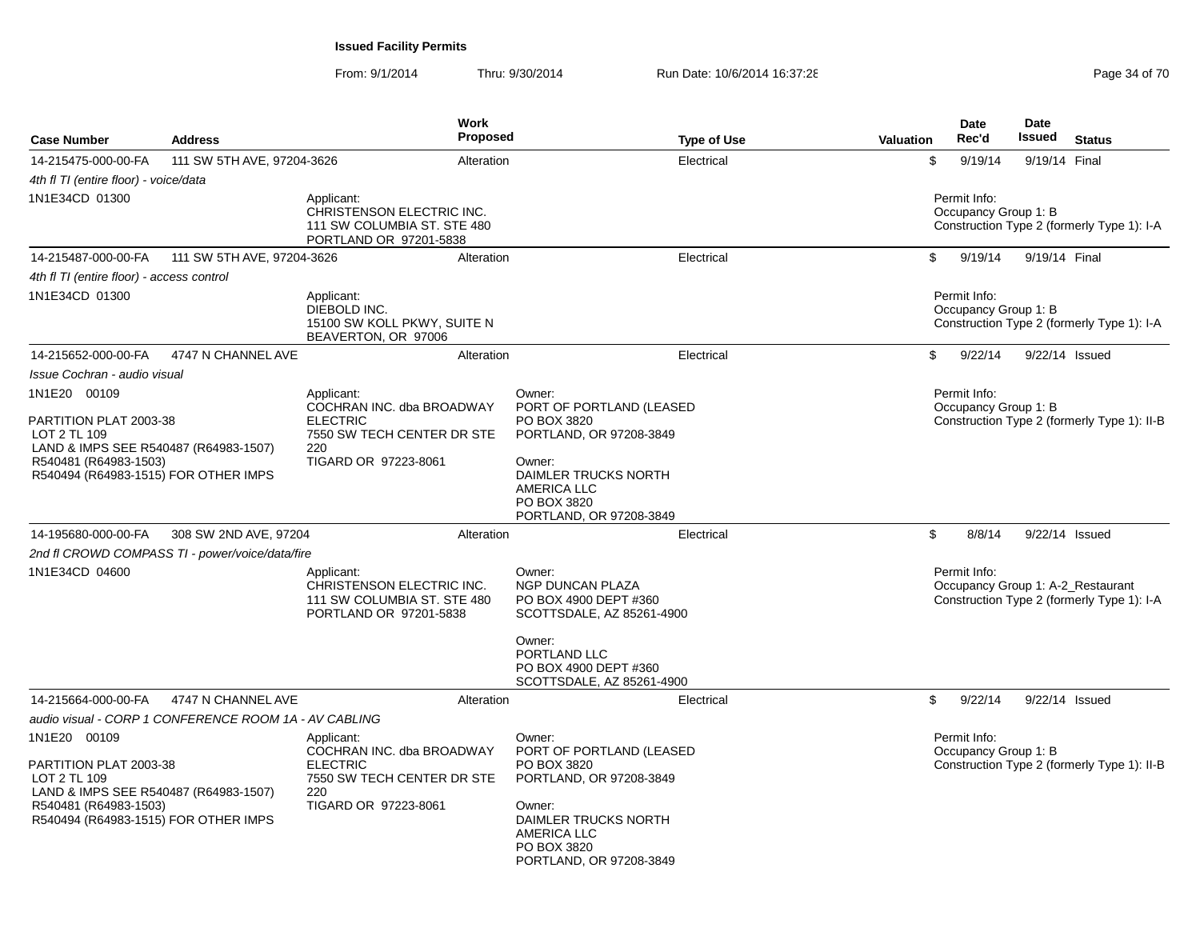| <b>Case Number</b>                                                                                                                                               | <b>Address</b>                                        | <b>Work</b><br><b>Proposed</b>                                                                                          | <b>Type of Use</b>                                                                                                                                                             | Valuation | <b>Date</b><br>Rec'd                 | <b>Date</b><br>Issued | <b>Status</b>                                                                   |
|------------------------------------------------------------------------------------------------------------------------------------------------------------------|-------------------------------------------------------|-------------------------------------------------------------------------------------------------------------------------|--------------------------------------------------------------------------------------------------------------------------------------------------------------------------------|-----------|--------------------------------------|-----------------------|---------------------------------------------------------------------------------|
| 14-215475-000-00-FA                                                                                                                                              | 111 SW 5TH AVE, 97204-3626                            | Alteration                                                                                                              | Electrical                                                                                                                                                                     | \$        | 9/19/14                              | 9/19/14 Final         |                                                                                 |
| 4th fl TI (entire floor) - voice/data                                                                                                                            |                                                       |                                                                                                                         |                                                                                                                                                                                |           |                                      |                       |                                                                                 |
| 1N1E34CD 01300                                                                                                                                                   |                                                       | Applicant:<br>CHRISTENSON ELECTRIC INC.<br>111 SW COLUMBIA ST. STE 480<br>PORTLAND OR 97201-5838                        |                                                                                                                                                                                |           | Permit Info:<br>Occupancy Group 1: B |                       | Construction Type 2 (formerly Type 1): I-A                                      |
| 14-215487-000-00-FA                                                                                                                                              | 111 SW 5TH AVE, 97204-3626                            | Alteration                                                                                                              | Electrical                                                                                                                                                                     | \$        | 9/19/14                              | 9/19/14 Final         |                                                                                 |
| 4th fl TI (entire floor) - access control                                                                                                                        |                                                       |                                                                                                                         |                                                                                                                                                                                |           |                                      |                       |                                                                                 |
| 1N1E34CD 01300                                                                                                                                                   |                                                       | Applicant:<br>DIEBOLD INC.<br>15100 SW KOLL PKWY, SUITE N<br>BEAVERTON, OR 97006                                        |                                                                                                                                                                                |           | Permit Info:<br>Occupancy Group 1: B |                       | Construction Type 2 (formerly Type 1): I-A                                      |
| 14-215652-000-00-FA                                                                                                                                              | 4747 N CHANNEL AVE                                    | Alteration                                                                                                              | Electrical                                                                                                                                                                     | \$        | 9/22/14                              |                       | 9/22/14 Issued                                                                  |
| Issue Cochran - audio visual                                                                                                                                     |                                                       |                                                                                                                         |                                                                                                                                                                                |           |                                      |                       |                                                                                 |
| 1N1E20 00109                                                                                                                                                     |                                                       | Applicant:                                                                                                              | Owner:                                                                                                                                                                         |           | Permit Info:                         |                       |                                                                                 |
| PARTITION PLAT 2003-38<br>LOT 2 TL 109<br>LAND & IMPS SEE R540487 (R64983-1507)<br>R540481 (R64983-1503)<br>R540494 (R64983-1515) FOR OTHER IMPS                 |                                                       | COCHRAN INC. dba BROADWAY<br><b>ELECTRIC</b><br>7550 SW TECH CENTER DR STE<br>220<br>TIGARD OR 97223-8061               | PORT OF PORTLAND (LEASED<br>PO BOX 3820<br>PORTLAND, OR 97208-3849<br>Owner:<br>DAIMLER TRUCKS NORTH<br><b>AMERICA LLC</b><br>PO BOX 3820<br>PORTLAND, OR 97208-3849           |           | Occupancy Group 1: B                 |                       | Construction Type 2 (formerly Type 1): II-B                                     |
| 14-195680-000-00-FA                                                                                                                                              | 308 SW 2ND AVE, 97204                                 | Alteration                                                                                                              | Electrical                                                                                                                                                                     | \$        | 8/8/14                               |                       | 9/22/14 Issued                                                                  |
|                                                                                                                                                                  | 2nd fl CROWD COMPASS TI - power/voice/data/fire       |                                                                                                                         |                                                                                                                                                                                |           |                                      |                       |                                                                                 |
| 1N1E34CD 04600                                                                                                                                                   |                                                       | Applicant:<br>CHRISTENSON ELECTRIC INC.<br>111 SW COLUMBIA ST. STE 480<br>PORTLAND OR 97201-5838                        | Owner:<br>NGP DUNCAN PLAZA<br>PO BOX 4900 DEPT #360<br>SCOTTSDALE, AZ 85261-4900<br>Owner:<br>PORTLAND LLC                                                                     |           | Permit Info:                         |                       | Occupancy Group 1: A-2_Restaurant<br>Construction Type 2 (formerly Type 1): I-A |
|                                                                                                                                                                  |                                                       |                                                                                                                         | PO BOX 4900 DEPT #360<br>SCOTTSDALE, AZ 85261-4900                                                                                                                             |           |                                      |                       |                                                                                 |
| 14-215664-000-00-FA                                                                                                                                              | 4747 N CHANNEL AVE                                    | Alteration                                                                                                              | Electrical                                                                                                                                                                     | \$        | 9/22/14                              |                       | 9/22/14 Issued                                                                  |
|                                                                                                                                                                  | audio visual - CORP 1 CONFERENCE ROOM 1A - AV CABLING |                                                                                                                         |                                                                                                                                                                                |           |                                      |                       |                                                                                 |
| 1N1E20 00109<br>PARTITION PLAT 2003-38<br>LOT 2 TL 109<br>LAND & IMPS SEE R540487 (R64983-1507)<br>R540481 (R64983-1503)<br>R540494 (R64983-1515) FOR OTHER IMPS |                                                       | Applicant:<br>COCHRAN INC. dba BROADWAY<br><b>ELECTRIC</b><br>7550 SW TECH CENTER DR STE<br>220<br>TIGARD OR 97223-8061 | Owner:<br>PORT OF PORTLAND (LEASED<br>PO BOX 3820<br>PORTLAND, OR 97208-3849<br>Owner:<br>DAIMLER TRUCKS NORTH<br><b>AMERICA LLC</b><br>PO BOX 3820<br>PORTLAND, OR 97208-3849 |           | Permit Info:<br>Occupancy Group 1: B |                       | Construction Type 2 (formerly Type 1): II-B                                     |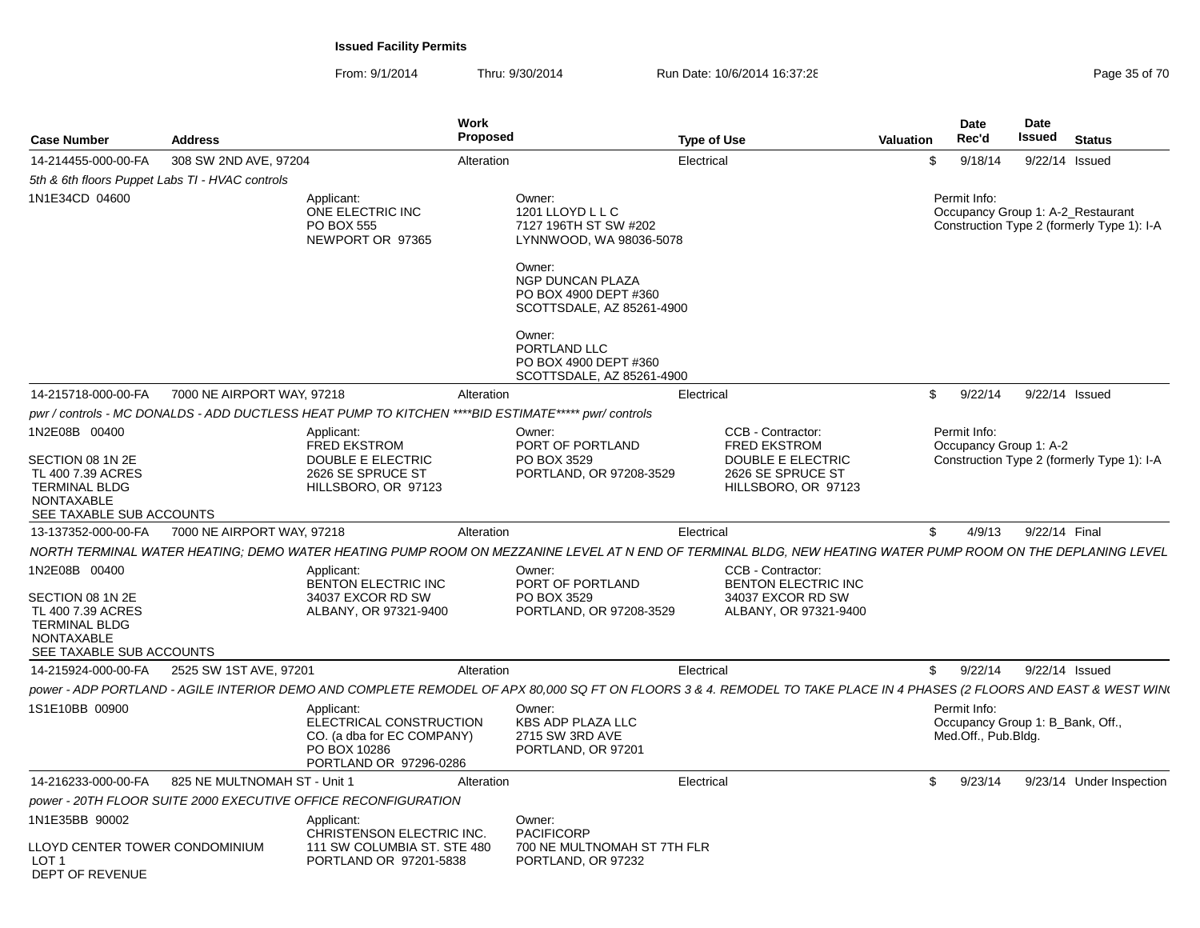| <b>Case Number</b>                                                                                             | <b>Address</b>                                  |                                                                                                               | Work<br><b>Proposed</b>                                                                             | <b>Type of Use</b>                                                                                                                                                   | <b>Valuation</b> |              | <b>Date</b><br>Rec'd | Date<br>Issued         | <b>Status</b>                                                                   |
|----------------------------------------------------------------------------------------------------------------|-------------------------------------------------|---------------------------------------------------------------------------------------------------------------|-----------------------------------------------------------------------------------------------------|----------------------------------------------------------------------------------------------------------------------------------------------------------------------|------------------|--------------|----------------------|------------------------|---------------------------------------------------------------------------------|
| 14-214455-000-00-FA                                                                                            | 308 SW 2ND AVE, 97204                           |                                                                                                               | Alteration                                                                                          | Electrical                                                                                                                                                           |                  | \$           | 9/18/14              |                        | 9/22/14 Issued                                                                  |
|                                                                                                                | 5th & 6th floors Puppet Labs TI - HVAC controls |                                                                                                               |                                                                                                     |                                                                                                                                                                      |                  |              |                      |                        |                                                                                 |
| 1N1E34CD 04600                                                                                                 |                                                 | Applicant:<br>ONE ELECTRIC INC<br>PO BOX 555<br>NEWPORT OR 97365                                              | Owner:<br>1201 LLOYD L L C<br>7127 196TH ST SW #202<br>LYNNWOOD, WA 98036-5078                      |                                                                                                                                                                      |                  | Permit Info: |                      |                        | Occupancy Group 1: A-2_Restaurant<br>Construction Type 2 (formerly Type 1): I-A |
|                                                                                                                |                                                 |                                                                                                               | Owner:<br><b>NGP DUNCAN PLAZA</b><br>PO BOX 4900 DEPT #360<br>SCOTTSDALE, AZ 85261-4900             |                                                                                                                                                                      |                  |              |                      |                        |                                                                                 |
|                                                                                                                |                                                 |                                                                                                               | Owner:<br>PORTLAND LLC<br>PO BOX 4900 DEPT #360<br>SCOTTSDALE, AZ 85261-4900                        |                                                                                                                                                                      |                  |              |                      |                        |                                                                                 |
| 14-215718-000-00-FA                                                                                            | 7000 NE AIRPORT WAY, 97218                      |                                                                                                               | Alteration                                                                                          | Electrical                                                                                                                                                           |                  | $\mathbb{S}$ | 9/22/14              |                        | 9/22/14 Issued                                                                  |
|                                                                                                                |                                                 |                                                                                                               | pwr / controls - MC DONALDS - ADD DUCTLESS HEAT PUMP TO KITCHEN ****BID ESTIMATE***** pwr/ controls |                                                                                                                                                                      |                  |              |                      |                        |                                                                                 |
| 1N2E08B 00400                                                                                                  |                                                 | Applicant:<br><b>FRED EKSTROM</b>                                                                             | Owner:<br>PORT OF PORTLAND                                                                          | CCB - Contractor:<br><b>FRED EKSTROM</b>                                                                                                                             |                  | Permit Info: |                      | Occupancy Group 1: A-2 |                                                                                 |
| SECTION 08 1N 2E<br>TL 400 7.39 ACRES<br><b>TERMINAL BLDG</b><br>NONTAXABLE<br>SEE TAXABLE SUB ACCOUNTS        |                                                 | DOUBLE E ELECTRIC<br>2626 SE SPRUCE ST<br>HILLSBORO, OR 97123                                                 | PO BOX 3529<br>PORTLAND, OR 97208-3529                                                              | DOUBLE E ELECTRIC<br>2626 SE SPRUCE ST<br>HILLSBORO, OR 97123                                                                                                        |                  |              |                      |                        | Construction Type 2 (formerly Type 1): I-A                                      |
| 13-137352-000-00-FA                                                                                            | 7000 NE AIRPORT WAY, 97218                      |                                                                                                               | Alteration                                                                                          | Electrica                                                                                                                                                            |                  | \$           | 4/9/13               |                        | 9/22/14 Final                                                                   |
|                                                                                                                |                                                 |                                                                                                               |                                                                                                     | NORTH TERMINAL WATER HEATING; DEMO WATER HEATING PUMP ROOM ON MEZZANINE LEVEL AT N END OF TERMINAL BLDG, NEW HEATING WATER PUMP ROOM ON THE DEPLANING LEVEL          |                  |              |                      |                        |                                                                                 |
| 1N2E08B 00400                                                                                                  |                                                 | Applicant:<br>BENTON ELECTRIC INC                                                                             | Owner:<br>PORT OF PORTLAND                                                                          | CCB - Contractor:<br><b>BENTON ELECTRIC INC</b>                                                                                                                      |                  |              |                      |                        |                                                                                 |
| SECTION 08 1N 2E<br>TL 400 7.39 ACRES<br><b>TERMINAL BLDG</b><br><b>NONTAXABLE</b><br>SEE TAXABLE SUB ACCOUNTS |                                                 | 34037 EXCOR RD SW<br>ALBANY, OR 97321-9400                                                                    | PO BOX 3529<br>PORTLAND, OR 97208-3529                                                              | 34037 EXCOR RD SW<br>ALBANY, OR 97321-9400                                                                                                                           |                  |              |                      |                        |                                                                                 |
| 14-215924-000-00-FA                                                                                            | 2525 SW 1ST AVE, 97201                          |                                                                                                               | Alteration                                                                                          | Electrica                                                                                                                                                            |                  | $\mathbb{S}$ | 9/22/14              |                        | 9/22/14 Issued                                                                  |
|                                                                                                                |                                                 |                                                                                                               |                                                                                                     | power - ADP PORTLAND - AGILE INTERIOR DEMO AND COMPLETE REMODEL OF APX 80,000 SQ FT ON FLOORS 3 & 4. REMODEL TO TAKE PLACE IN 4 PHASES (2 FLOORS AND EAST & WEST WIN |                  |              |                      |                        |                                                                                 |
| 1S1E10BB 00900                                                                                                 |                                                 | Applicant:<br>ELECTRICAL CONSTRUCTION<br>CO. (a dba for EC COMPANY)<br>PO BOX 10286<br>PORTLAND OR 97296-0286 | Owner:<br><b>KBS ADP PLAZA LLC</b><br>2715 SW 3RD AVE<br>PORTLAND, OR 97201                         |                                                                                                                                                                      |                  | Permit Info: | Med.Off., Pub.Bldg.  |                        | Occupancy Group 1: B_Bank, Off.,                                                |
| 14-216233-000-00-FA                                                                                            | 825 NE MULTNOMAH ST - Unit 1                    |                                                                                                               | Alteration                                                                                          | Electrical                                                                                                                                                           |                  | $\mathbb{S}$ | 9/23/14              |                        | 9/23/14 Under Inspection                                                        |
|                                                                                                                |                                                 | power - 20TH FLOOR SUITE 2000 EXECUTIVE OFFICE RECONFIGURATION                                                |                                                                                                     |                                                                                                                                                                      |                  |              |                      |                        |                                                                                 |
| 1N1E35BB 90002                                                                                                 |                                                 | Applicant:<br>CHRISTENSON ELECTRIC INC.                                                                       | Owner:<br><b>PACIFICORP</b>                                                                         |                                                                                                                                                                      |                  |              |                      |                        |                                                                                 |
| LLOYD CENTER TOWER CONDOMINIUM<br>LOT <sub>1</sub><br>DEPT OF REVENUE                                          |                                                 | 111 SW COLUMBIA ST. STE 480<br>PORTLAND OR 97201-5838                                                         | 700 NE MULTNOMAH ST 7TH FLR<br>PORTLAND, OR 97232                                                   |                                                                                                                                                                      |                  |              |                      |                        |                                                                                 |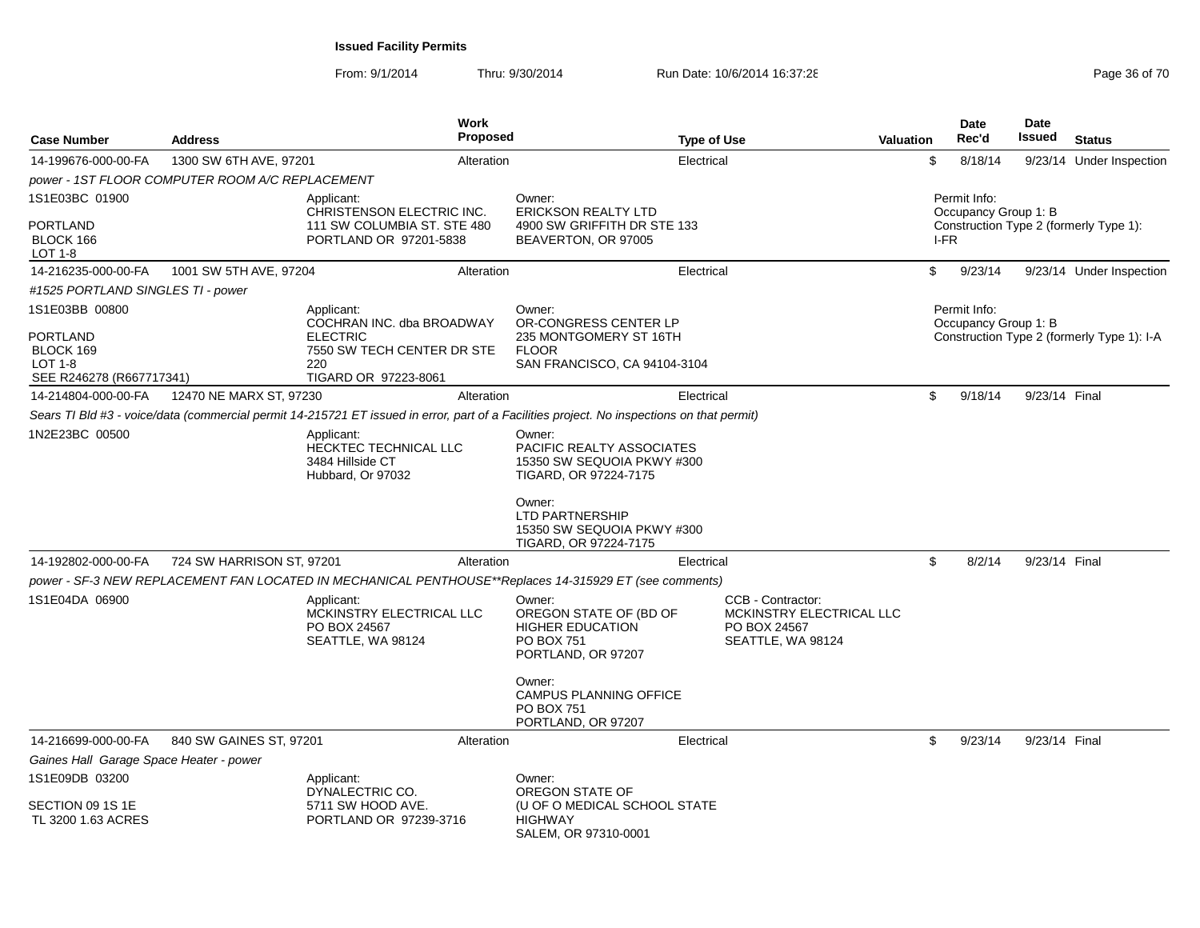| <b>Case Number</b>                                                                    | <b>Address</b>                                  | <b>Work</b><br><b>Proposed</b>                                                                                                             |                                                                                                                                                                                       | <b>Type of Use</b>                                                                 | <b>Valuation</b> |      | <b>Date</b><br>Rec'd                 | <b>Date</b><br>Issued | <b>Status</b>                              |
|---------------------------------------------------------------------------------------|-------------------------------------------------|--------------------------------------------------------------------------------------------------------------------------------------------|---------------------------------------------------------------------------------------------------------------------------------------------------------------------------------------|------------------------------------------------------------------------------------|------------------|------|--------------------------------------|-----------------------|--------------------------------------------|
| 14-199676-000-00-FA                                                                   | 1300 SW 6TH AVE, 97201                          | Alteration                                                                                                                                 |                                                                                                                                                                                       | Electrical                                                                         |                  | \$   | 8/18/14                              |                       | 9/23/14 Under Inspection                   |
|                                                                                       | power - 1ST FLOOR COMPUTER ROOM A/C REPLACEMENT |                                                                                                                                            |                                                                                                                                                                                       |                                                                                    |                  |      |                                      |                       |                                            |
| 1S1E03BC 01900                                                                        |                                                 | Applicant:<br>CHRISTENSON ELECTRIC INC.                                                                                                    | Owner:<br><b>ERICKSON REALTY LTD</b>                                                                                                                                                  |                                                                                    |                  |      | Permit Info:<br>Occupancy Group 1: B |                       |                                            |
| PORTLAND<br>BLOCK 166<br>LOT 1-8                                                      |                                                 | 111 SW COLUMBIA ST. STE 480<br>PORTLAND OR 97201-5838                                                                                      | 4900 SW GRIFFITH DR STE 133<br>BEAVERTON, OR 97005                                                                                                                                    |                                                                                    |                  | I-FR |                                      |                       | Construction Type 2 (formerly Type 1):     |
| 14-216235-000-00-FA                                                                   | 1001 SW 5TH AVE, 97204                          | Alteration                                                                                                                                 |                                                                                                                                                                                       | Electrical                                                                         |                  | \$   | 9/23/14                              |                       | 9/23/14 Under Inspection                   |
| #1525 PORTLAND SINGLES TI - power                                                     |                                                 |                                                                                                                                            |                                                                                                                                                                                       |                                                                                    |                  |      |                                      |                       |                                            |
| 1S1E03BB 00800<br>PORTLAND<br>BLOCK 169<br><b>LOT 1-8</b><br>SEE R246278 (R667717341) |                                                 | Applicant:<br>COCHRAN INC. dba BROADWAY<br><b>ELECTRIC</b><br>7550 SW TECH CENTER DR STE<br>220<br>TIGARD OR 97223-8061                    | Owner:<br>OR-CONGRESS CENTER LP<br>235 MONTGOMERY ST 16TH<br><b>FLOOR</b><br>SAN FRANCISCO, CA 94104-3104                                                                             |                                                                                    |                  |      | Permit Info:<br>Occupancy Group 1: B |                       | Construction Type 2 (formerly Type 1): I-A |
| 14-214804-000-00-FA                                                                   | 12470 NE MARX ST, 97230                         | Alteration                                                                                                                                 |                                                                                                                                                                                       | Electrical                                                                         |                  | \$   | 9/18/14                              | 9/23/14 Final         |                                            |
|                                                                                       |                                                 | Sears TI Bld #3 - voice/data (commercial permit 14-215721 ET issued in error, part of a Facilities project. No inspections on that permit) |                                                                                                                                                                                       |                                                                                    |                  |      |                                      |                       |                                            |
| 1N2E23BC 00500                                                                        |                                                 | Applicant:<br>HECKTEC TECHNICAL LLC<br>3484 Hillside CT<br>Hubbard, Or 97032                                                               | Owner:<br>PACIFIC REALTY ASSOCIATES<br>15350 SW SEQUOIA PKWY #300<br>TIGARD, OR 97224-7175<br>Owner:<br><b>LTD PARTNERSHIP</b><br>15350 SW SEQUOIA PKWY #300<br>TIGARD, OR 97224-7175 |                                                                                    |                  |      |                                      |                       |                                            |
| 14-192802-000-00-FA                                                                   | 724 SW HARRISON ST, 97201                       | Alteration                                                                                                                                 |                                                                                                                                                                                       | Electrical                                                                         |                  | \$   | 8/2/14                               | 9/23/14 Final         |                                            |
|                                                                                       |                                                 | power - SF-3 NEW REPLACEMENT FAN LOCATED IN MECHANICAL PENTHOUSE**Replaces 14-315929 ET (see comments)                                     |                                                                                                                                                                                       |                                                                                    |                  |      |                                      |                       |                                            |
| 1S1E04DA 06900                                                                        |                                                 | Applicant:<br>MCKINSTRY ELECTRICAL LLC<br>PO BOX 24567<br>SEATTLE, WA 98124                                                                | Owner:<br>OREGON STATE OF (BD OF<br><b>HIGHER EDUCATION</b><br><b>PO BOX 751</b><br>PORTLAND, OR 97207<br>Owner:<br>CAMPUS PLANNING OFFICE<br><b>PO BOX 751</b><br>PORTLAND, OR 97207 | CCB - Contractor:<br>MCKINSTRY ELECTRICAL LLC<br>PO BOX 24567<br>SEATTLE, WA 98124 |                  |      |                                      |                       |                                            |
| 14-216699-000-00-FA                                                                   | 840 SW GAINES ST, 97201                         | Alteration                                                                                                                                 |                                                                                                                                                                                       | Electrical                                                                         |                  | \$   | 9/23/14                              | 9/23/14 Final         |                                            |
| Gaines Hall Garage Space Heater - power                                               |                                                 |                                                                                                                                            |                                                                                                                                                                                       |                                                                                    |                  |      |                                      |                       |                                            |
| 1S1E09DB 03200                                                                        |                                                 | Applicant:<br>DYNALECTRIC CO.                                                                                                              | Owner:<br>OREGON STATE OF                                                                                                                                                             |                                                                                    |                  |      |                                      |                       |                                            |
| SECTION 09 1S 1E<br>TL 3200 1.63 ACRES                                                |                                                 | 5711 SW HOOD AVE.<br>PORTLAND OR 97239-3716                                                                                                | (U OF O MEDICAL SCHOOL STATE<br><b>HIGHWAY</b><br>SALEM, OR 97310-0001                                                                                                                |                                                                                    |                  |      |                                      |                       |                                            |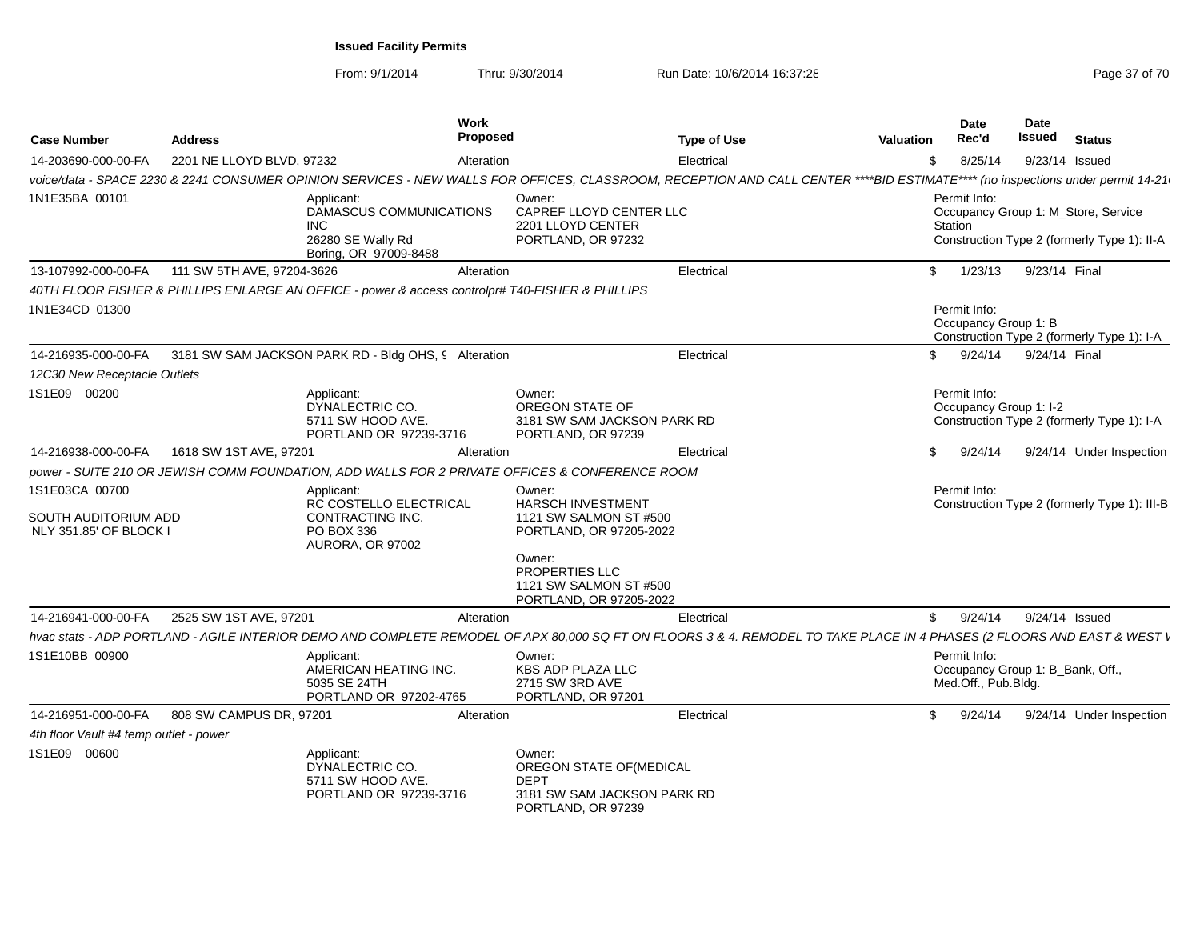| <b>Case Number</b>                                               | <b>Address</b>             |                                                                                                   | Work<br><b>Proposed</b> |                                                                                                                                                                                | <b>Type of Use</b> | <b>Valuation</b> | Date<br>Rec'd                                                           | Date<br>Issued | <b>Status</b>                                                                      |
|------------------------------------------------------------------|----------------------------|---------------------------------------------------------------------------------------------------|-------------------------|--------------------------------------------------------------------------------------------------------------------------------------------------------------------------------|--------------------|------------------|-------------------------------------------------------------------------|----------------|------------------------------------------------------------------------------------|
| 14-203690-000-00-FA                                              | 2201 NE LLOYD BLVD, 97232  |                                                                                                   | Alteration              |                                                                                                                                                                                | Electrical         |                  | 8/25/14<br>\$                                                           |                | 9/23/14 Issued                                                                     |
|                                                                  |                            |                                                                                                   |                         | voice/data - SPACE 2230 & 2241 CONSUMER OPINION SERVICES - NEW WALLS FOR OFFICES, CLASSROOM, RECEPTION AND CALL CENTER ****BID ESTIMATE**** (no inspections under permit 14-21 |                    |                  |                                                                         |                |                                                                                    |
| 1N1E35BA 00101                                                   |                            | Applicant:<br>DAMASCUS COMMUNICATIONS<br><b>INC</b><br>26280 SE Wally Rd<br>Boring, OR 97009-8488 |                         | Owner:<br>CAPREF LLOYD CENTER LLC<br>2201 LLOYD CENTER<br>PORTLAND, OR 97232                                                                                                   |                    |                  | Permit Info:<br>Station                                                 |                | Occupancy Group 1: M_Store, Service<br>Construction Type 2 (formerly Type 1): II-A |
| 13-107992-000-00-FA                                              | 111 SW 5TH AVE, 97204-3626 |                                                                                                   | Alteration              |                                                                                                                                                                                | Electrical         |                  | \$<br>1/23/13                                                           | 9/23/14 Final  |                                                                                    |
|                                                                  |                            | 40TH FLOOR FISHER & PHILLIPS ENLARGE AN OFFICE - power & access controlpr# T40-FISHER & PHILLIPS  |                         |                                                                                                                                                                                |                    |                  |                                                                         |                |                                                                                    |
| 1N1E34CD 01300                                                   |                            |                                                                                                   |                         |                                                                                                                                                                                |                    |                  | Permit Info:<br>Occupancy Group 1: B                                    |                | Construction Type 2 (formerly Type 1): I-A                                         |
| 14-216935-000-00-FA                                              |                            | 3181 SW SAM JACKSON PARK RD - Bldg OHS, 9 Alteration                                              |                         |                                                                                                                                                                                | Electrical         |                  | \$.<br>9/24/14                                                          | 9/24/14 Final  |                                                                                    |
| 12C30 New Receptacle Outlets                                     |                            |                                                                                                   |                         |                                                                                                                                                                                |                    |                  |                                                                         |                |                                                                                    |
| 1S1E09 00200                                                     |                            | Applicant:<br>DYNALECTRIC CO.<br>5711 SW HOOD AVE.<br>PORTLAND OR 97239-3716                      |                         | Owner:<br>OREGON STATE OF<br>3181 SW SAM JACKSON PARK RD<br>PORTLAND, OR 97239                                                                                                 |                    |                  | Permit Info:<br>Occupancy Group 1: I-2                                  |                | Construction Type 2 (formerly Type 1): I-A                                         |
| 14-216938-000-00-FA                                              | 1618 SW 1ST AVE, 97201     |                                                                                                   | Alteration              |                                                                                                                                                                                | Electrical         |                  | 9/24/14<br>\$                                                           |                | 9/24/14 Under Inspection                                                           |
|                                                                  |                            |                                                                                                   |                         | power - SUITE 210 OR JEWISH COMM FOUNDATION, ADD WALLS FOR 2 PRIVATE OFFICES & CONFERENCE ROOM                                                                                 |                    |                  |                                                                         |                |                                                                                    |
| 1S1E03CA 00700<br>SOUTH AUDITORIUM ADD<br>NLY 351.85' OF BLOCK I |                            | Applicant:<br>RC COSTELLO ELECTRICAL<br>CONTRACTING INC.<br>PO BOX 336<br>AURORA, OR 97002        |                         | Owner:<br><b>HARSCH INVESTMENT</b><br>1121 SW SALMON ST #500<br>PORTLAND, OR 97205-2022<br>Owner:<br>PROPERTIES LLC<br>1121 SW SALMON ST #500<br>PORTLAND, OR 97205-2022       |                    |                  | Permit Info:                                                            |                | Construction Type 2 (formerly Type 1): III-B                                       |
| 14-216941-000-00-FA                                              | 2525 SW 1ST AVE, 97201     |                                                                                                   | Alteration              |                                                                                                                                                                                | Electrical         |                  | 9/24/14<br>\$                                                           |                | 9/24/14 Issued                                                                     |
|                                                                  |                            |                                                                                                   |                         | hvac stats - ADP PORTLAND - AGILE INTERIOR DEMO AND COMPLETE REMODEL OF APX 80,000 SQ FT ON FLOORS 3 & 4. REMODEL TO TAKE PLACE IN 4 PHASES (2 FLOORS AND EAST & WEST I        |                    |                  |                                                                         |                |                                                                                    |
| 1S1E10BB 00900                                                   |                            | Applicant:<br>AMERICAN HEATING INC.<br>5035 SE 24TH<br>PORTLAND OR 97202-4765                     |                         | Owner:<br>KBS ADP PLAZA LLC<br>2715 SW 3RD AVE<br>PORTLAND, OR 97201                                                                                                           |                    |                  | Permit Info:<br>Occupancy Group 1: B_Bank, Off.,<br>Med.Off., Pub.Bldg. |                |                                                                                    |
| 14-216951-000-00-FA                                              | 808 SW CAMPUS DR, 97201    |                                                                                                   | Alteration              |                                                                                                                                                                                | Electrical         |                  | 9/24/14<br>\$.                                                          |                | 9/24/14 Under Inspection                                                           |
| 4th floor Vault #4 temp outlet - power                           |                            |                                                                                                   |                         |                                                                                                                                                                                |                    |                  |                                                                         |                |                                                                                    |
| 1S1E09 00600                                                     |                            | Applicant:<br>DYNALECTRIC CO.<br>5711 SW HOOD AVE.<br>PORTLAND OR 97239-3716                      |                         | Owner:<br>OREGON STATE OF (MEDICAL<br><b>DEPT</b><br>3181 SW SAM JACKSON PARK RD<br>PORTLAND, OR 97239                                                                         |                    |                  |                                                                         |                |                                                                                    |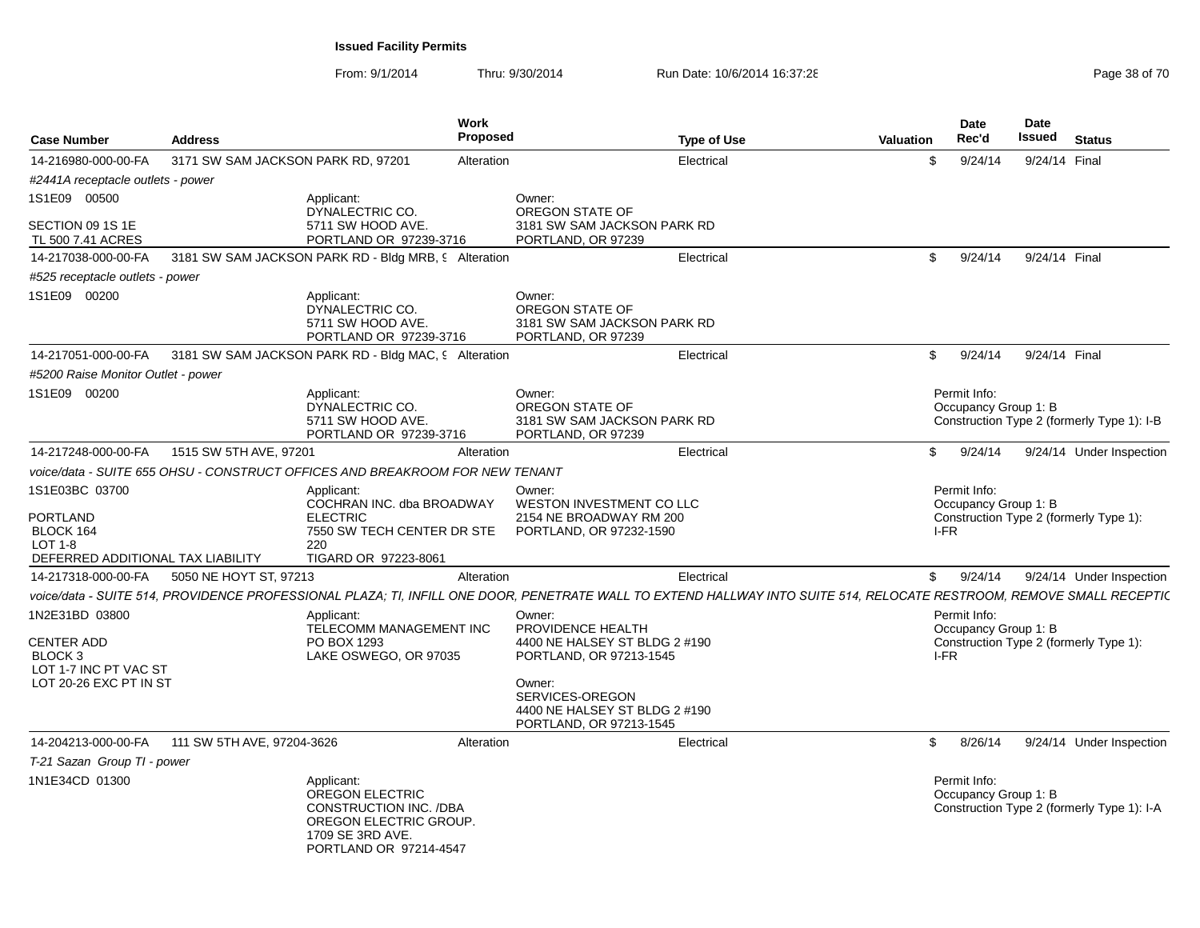| <b>Case Number</b>                                       | <b>Address</b>                                                                                                                                                        | Work<br>Proposed                                       | <b>Type of Use</b>            | Valuation     | <b>Date</b><br>Rec'd                         | <b>Date</b><br>Issued | <b>Status</b>                              |
|----------------------------------------------------------|-----------------------------------------------------------------------------------------------------------------------------------------------------------------------|--------------------------------------------------------|-------------------------------|---------------|----------------------------------------------|-----------------------|--------------------------------------------|
| 14-216980-000-00-FA                                      | 3171 SW SAM JACKSON PARK RD, 97201                                                                                                                                    | Alteration                                             | Electrical                    | \$            | 9/24/14                                      | 9/24/14 Final         |                                            |
| #2441A receptacle outlets - power                        |                                                                                                                                                                       |                                                        |                               |               |                                              |                       |                                            |
| 1S1E09 00500                                             | Applicant:<br>DYNALECTRIC CO.                                                                                                                                         | Owner:<br>OREGON STATE OF                              |                               |               |                                              |                       |                                            |
| SECTION 09 1S 1E<br>TL 500 7.41 ACRES                    | 5711 SW HOOD AVE.<br>PORTLAND OR 97239-3716                                                                                                                           | PORTLAND, OR 97239                                     | 3181 SW SAM JACKSON PARK RD   |               |                                              |                       |                                            |
| 14-217038-000-00-FA                                      | 3181 SW SAM JACKSON PARK RD - Bldg MRB, 9 Alteration                                                                                                                  |                                                        | Electrical                    | -S            | 9/24/14                                      | 9/24/14 Final         |                                            |
| #525 receptacle outlets - power                          |                                                                                                                                                                       |                                                        |                               |               |                                              |                       |                                            |
| 1S1E09 00200                                             | Applicant:<br>DYNALECTRIC CO.<br>5711 SW HOOD AVE.<br>PORTLAND OR 97239-3716                                                                                          | Owner:<br>OREGON STATE OF<br>PORTLAND, OR 97239        | 3181 SW SAM JACKSON PARK RD   |               |                                              |                       |                                            |
| 14-217051-000-00-FA                                      | 3181 SW SAM JACKSON PARK RD - Bldg MAC, 9 Alteration                                                                                                                  |                                                        | Electrical                    | \$            | 9/24/14                                      | 9/24/14 Final         |                                            |
| #5200 Raise Monitor Outlet - power                       |                                                                                                                                                                       |                                                        |                               |               |                                              |                       |                                            |
| 1S1E09 00200                                             | Applicant:<br>DYNALECTRIC CO.<br>5711 SW HOOD AVE.<br>PORTLAND OR 97239-3716                                                                                          | Owner:<br>OREGON STATE OF<br>PORTLAND, OR 97239        | 3181 SW SAM JACKSON PARK RD   |               | Permit Info:<br>Occupancy Group 1: B         |                       | Construction Type 2 (formerly Type 1): I-B |
| 14-217248-000-00-FA                                      | 1515 SW 5TH AVE, 97201                                                                                                                                                | Alteration                                             | Electrical                    | $\mathfrak s$ | 9/24/14                                      |                       | 9/24/14 Under Inspection                   |
|                                                          | voice/data - SUITE 655 OHSU - CONSTRUCT OFFICES AND BREAKROOM FOR NEW TENANT                                                                                          |                                                        |                               |               |                                              |                       |                                            |
| 1S1E03BC 03700<br><b>PORTLAND</b>                        | Applicant:<br>COCHRAN INC. dba BROADWAY<br><b>ELECTRIC</b>                                                                                                            | Owner:<br>2154 NE BROADWAY RM 200                      | WESTON INVESTMENT CO LLC      |               | Permit Info:<br>Occupancy Group 1: B         |                       | Construction Type 2 (formerly Type 1):     |
| BLOCK 164<br>LOT 1-8                                     | 7550 SW TECH CENTER DR STE<br>220                                                                                                                                     | PORTLAND, OR 97232-1590                                |                               |               | I-FR                                         |                       |                                            |
| DEFERRED ADDITIONAL TAX LIABILITY<br>14-217318-000-00-FA | TIGARD OR 97223-8061<br>5050 NE HOYT ST, 97213                                                                                                                        | Alteration                                             | Electrical                    | $\mathbb{S}$  | 9/24/14                                      |                       | 9/24/14 Under Inspection                   |
|                                                          | voice/data - SUITE 514, PROVIDENCE PROFESSIONAL PLAZA; TI, INFILL ONE DOOR, PENETRATE WALL TO EXTEND HALLWAY INTO SUITE 514, RELOCATE RESTROOM, REMOVE SMALL RECEPTIC |                                                        |                               |               |                                              |                       |                                            |
| 1N2E31BD 03800<br><b>CENTER ADD</b><br>BLOCK 3           | Applicant:<br>TELECOMM MANAGEMENT INC<br>PO BOX 1293<br>LAKE OSWEGO, OR 97035                                                                                         | Owner:<br>PROVIDENCE HEALTH<br>PORTLAND, OR 97213-1545 | 4400 NE HALSEY ST BLDG 2 #190 |               | Permit Info:<br>Occupancy Group 1: B<br>I-FR |                       | Construction Type 2 (formerly Type 1):     |
| LOT 1-7 INC PT VAC ST<br>LOT 20-26 EXC PT IN ST          |                                                                                                                                                                       | Owner:<br>SERVICES-OREGON<br>PORTLAND, OR 97213-1545   | 4400 NE HALSEY ST BLDG 2 #190 |               |                                              |                       |                                            |
| 14-204213-000-00-FA                                      | 111 SW 5TH AVE, 97204-3626                                                                                                                                            | Alteration                                             | Electrical                    | \$            | 8/26/14                                      |                       | 9/24/14 Under Inspection                   |
| T-21 Sazan Group TI - power                              |                                                                                                                                                                       |                                                        |                               |               |                                              |                       |                                            |
| 1N1E34CD 01300                                           | Applicant:<br><b>OREGON ELECTRIC</b><br>CONSTRUCTION INC. /DBA<br>OREGON ELECTRIC GROUP.<br>1709 SE 3RD AVE.<br>PORTLAND OR 97214-4547                                |                                                        |                               |               | Permit Info:<br>Occupancy Group 1: B         |                       | Construction Type 2 (formerly Type 1): I-A |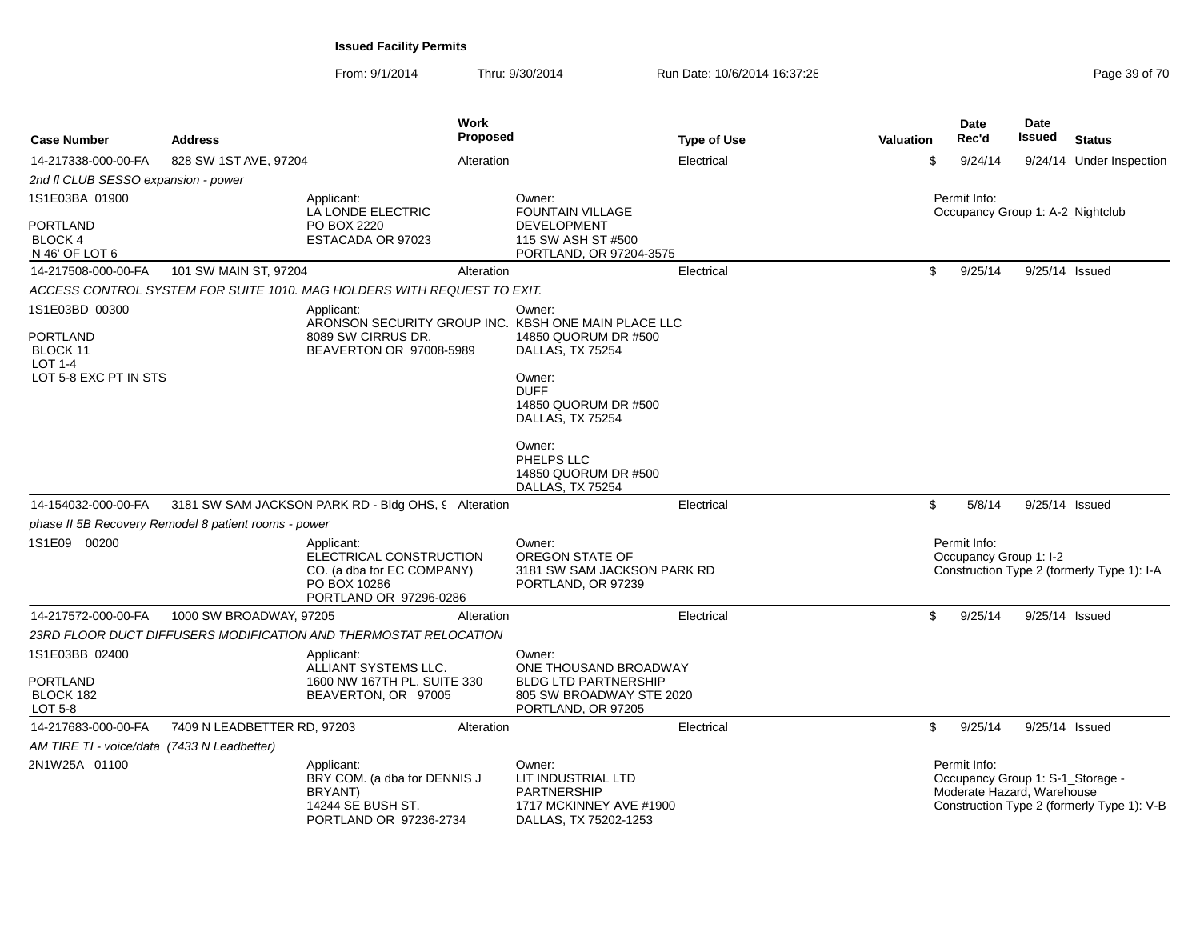| <b>Case Number</b>                                                                | <b>Address</b>                                       | <b>Work</b><br><b>Proposed</b>                                                                                     |                                                                                                                                                                         | <b>Type of Use</b> | <b>Valuation</b> | Date<br>Rec'd                                                                  | <b>Date</b><br><b>Issued</b> | <b>Status</b>                              |
|-----------------------------------------------------------------------------------|------------------------------------------------------|--------------------------------------------------------------------------------------------------------------------|-------------------------------------------------------------------------------------------------------------------------------------------------------------------------|--------------------|------------------|--------------------------------------------------------------------------------|------------------------------|--------------------------------------------|
| 14-217338-000-00-FA                                                               | 828 SW 1ST AVE, 97204                                | Alteration                                                                                                         |                                                                                                                                                                         | Electrical         |                  | \$<br>9/24/14                                                                  |                              | 9/24/14 Under Inspection                   |
| 2nd fl CLUB SESSO expansion - power                                               |                                                      |                                                                                                                    |                                                                                                                                                                         |                    |                  |                                                                                |                              |                                            |
| 1S1E03BA 01900                                                                    |                                                      | Applicant:<br>LA LONDE ELECTRIC                                                                                    | Owner:<br>FOUNTAIN VILLAGE                                                                                                                                              |                    |                  | Permit Info:<br>Occupancy Group 1: A-2_Nightclub                               |                              |                                            |
| <b>PORTLAND</b><br><b>BLOCK 4</b><br>N 46' OF LOT 6                               |                                                      | PO BOX 2220<br>ESTACADA OR 97023                                                                                   | <b>DEVELOPMENT</b><br>115 SW ASH ST #500<br>PORTLAND, OR 97204-3575                                                                                                     |                    |                  |                                                                                |                              |                                            |
| 14-217508-000-00-FA                                                               | 101 SW MAIN ST, 97204                                | Alteration                                                                                                         |                                                                                                                                                                         | Electrical         |                  | \$<br>9/25/14                                                                  | 9/25/14 Issued               |                                            |
|                                                                                   |                                                      | ACCESS CONTROL SYSTEM FOR SUITE 1010. MAG HOLDERS WITH REQUEST TO EXIT.                                            |                                                                                                                                                                         |                    |                  |                                                                                |                              |                                            |
| 1S1E03BD 00300<br>PORTLAND<br>BLOCK 11<br><b>LOT 1-4</b><br>LOT 5-8 EXC PT IN STS |                                                      | Applicant:<br>ARONSON SECURITY GROUP INC. KBSH ONE MAIN PLACE LLC<br>8089 SW CIRRUS DR.<br>BEAVERTON OR 97008-5989 | Owner:<br>14850 QUORUM DR #500<br>DALLAS, TX 75254<br>Owner:<br><b>DUFF</b><br>14850 QUORUM DR #500<br>DALLAS, TX 75254<br>Owner:<br>PHELPS LLC<br>14850 QUORUM DR #500 |                    |                  |                                                                                |                              |                                            |
| 14-154032-000-00-FA                                                               |                                                      | 3181 SW SAM JACKSON PARK RD - Bldg OHS, 9 Alteration                                                               | DALLAS, TX 75254                                                                                                                                                        | Electrical         |                  | 5/8/14<br>\$                                                                   | 9/25/14 Issued               |                                            |
|                                                                                   | phase II 5B Recovery Remodel 8 patient rooms - power |                                                                                                                    |                                                                                                                                                                         |                    |                  |                                                                                |                              |                                            |
| 1S1E09 00200                                                                      |                                                      | Applicant:<br>ELECTRICAL CONSTRUCTION<br>CO. (a dba for EC COMPANY)<br>PO BOX 10286<br>PORTLAND OR 97296-0286      | Owner:<br>OREGON STATE OF<br>3181 SW SAM JACKSON PARK RD<br>PORTLAND, OR 97239                                                                                          |                    |                  | Permit Info:<br>Occupancy Group 1: I-2                                         |                              | Construction Type 2 (formerly Type 1): I-A |
| 14-217572-000-00-FA                                                               | 1000 SW BROADWAY, 97205                              | Alteration                                                                                                         |                                                                                                                                                                         | Electrical         |                  | \$<br>9/25/14                                                                  | 9/25/14 Issued               |                                            |
|                                                                                   |                                                      | 23RD FLOOR DUCT DIFFUSERS MODIFICATION AND THERMOSTAT RELOCATION                                                   |                                                                                                                                                                         |                    |                  |                                                                                |                              |                                            |
| 1S1E03BB 02400<br><b>PORTLAND</b><br>BLOCK 182<br><b>LOT 5-8</b>                  |                                                      | Applicant:<br>ALLIANT SYSTEMS LLC.<br>1600 NW 167TH PL, SUITE 330<br>BEAVERTON, OR 97005                           | Owner:<br>ONE THOUSAND BROADWAY<br><b>BLDG LTD PARTNERSHIP</b><br>805 SW BROADWAY STE 2020<br>PORTLAND, OR 97205                                                        |                    |                  |                                                                                |                              |                                            |
| 14-217683-000-00-FA                                                               | 7409 N LEADBETTER RD, 97203                          | Alteration                                                                                                         |                                                                                                                                                                         | Electrical         |                  | \$<br>9/25/14                                                                  | 9/25/14 Issued               |                                            |
| AM TIRE TI - voice/data (7433 N Leadbetter)                                       |                                                      |                                                                                                                    |                                                                                                                                                                         |                    |                  |                                                                                |                              |                                            |
| 2N1W25A 01100                                                                     |                                                      | Applicant:<br>BRY COM. (a dba for DENNIS J<br>BRYANT)<br>14244 SE BUSH ST.<br>PORTLAND OR 97236-2734               | Owner:<br>LIT INDUSTRIAL LTD<br><b>PARTNERSHIP</b><br>1717 MCKINNEY AVE #1900<br>DALLAS, TX 75202-1253                                                                  |                    |                  | Permit Info:<br>Occupancy Group 1: S-1_Storage -<br>Moderate Hazard, Warehouse |                              | Construction Type 2 (formerly Type 1): V-B |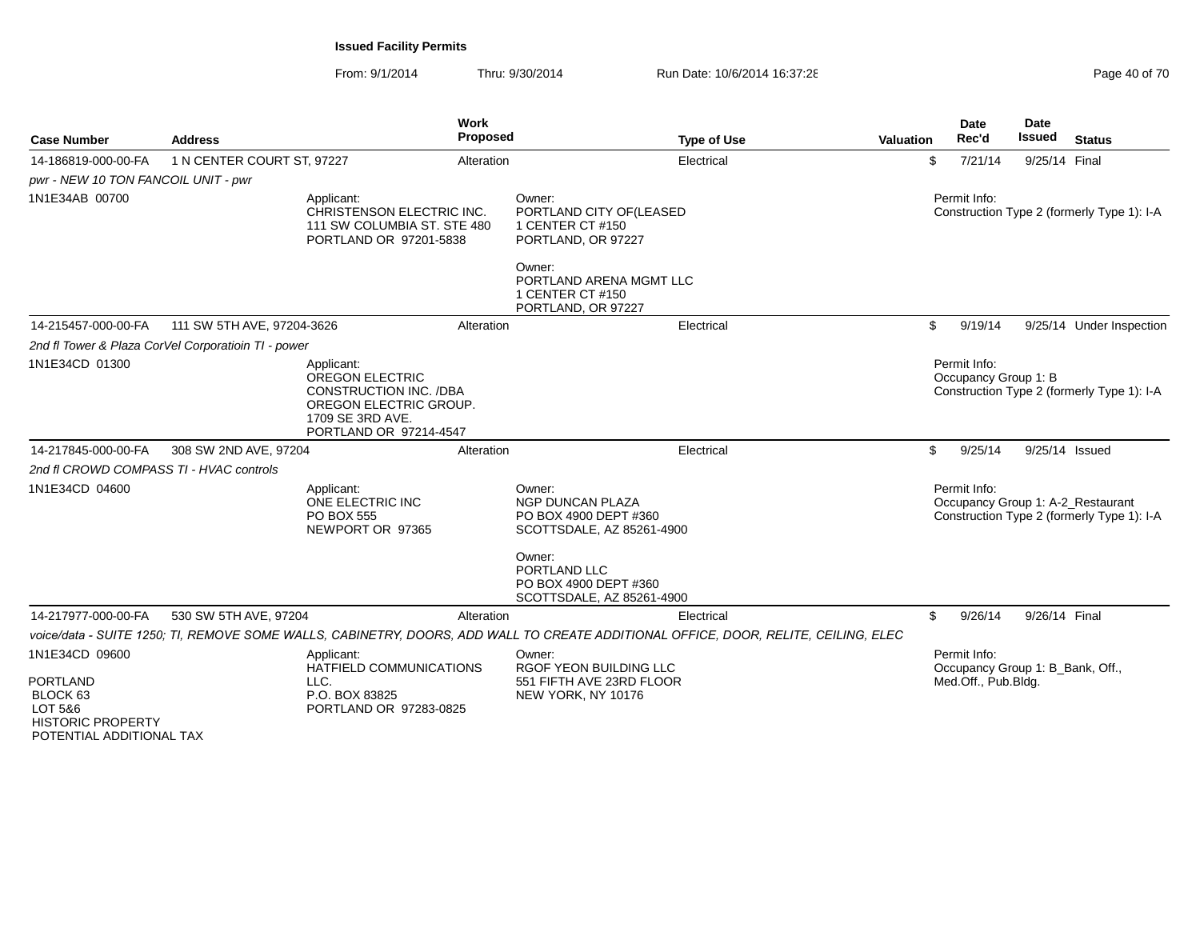| <b>Case Number</b>                                                                                                          | <b>Address</b>                                      | Work<br><b>Proposed</b>                                                                                                                       |                                                                                                                   | <b>Type of Use</b>                                                                                                                  | <b>Valuation</b> | <b>Date</b><br>Rec'd                                                    | Date<br><b>Issued</b> | <b>Status</b>                                                                   |
|-----------------------------------------------------------------------------------------------------------------------------|-----------------------------------------------------|-----------------------------------------------------------------------------------------------------------------------------------------------|-------------------------------------------------------------------------------------------------------------------|-------------------------------------------------------------------------------------------------------------------------------------|------------------|-------------------------------------------------------------------------|-----------------------|---------------------------------------------------------------------------------|
| 14-186819-000-00-FA                                                                                                         | 1 N CENTER COURT ST, 97227                          | Alteration                                                                                                                                    |                                                                                                                   | Electrical                                                                                                                          | \$               | 7/21/14                                                                 | 9/25/14 Final         |                                                                                 |
| pwr - NEW 10 TON FANCOIL UNIT - pwr                                                                                         |                                                     |                                                                                                                                               |                                                                                                                   |                                                                                                                                     |                  |                                                                         |                       |                                                                                 |
| 1N1E34AB 00700                                                                                                              |                                                     | Applicant:<br>CHRISTENSON ELECTRIC INC.<br>111 SW COLUMBIA ST. STE 480<br>PORTLAND OR 97201-5838                                              | Owner:<br>PORTLAND CITY OF (LEASED<br>1 CENTER CT #150<br>PORTLAND, OR 97227<br>Owner:<br>PORTLAND ARENA MGMT LLC |                                                                                                                                     |                  | Permit Info:                                                            |                       | Construction Type 2 (formerly Type 1): I-A                                      |
|                                                                                                                             |                                                     |                                                                                                                                               | 1 CENTER CT #150<br>PORTLAND, OR 97227                                                                            |                                                                                                                                     |                  |                                                                         |                       |                                                                                 |
| 14-215457-000-00-FA                                                                                                         | 111 SW 5TH AVE, 97204-3626                          | Alteration                                                                                                                                    |                                                                                                                   | Electrical                                                                                                                          | \$               | 9/19/14                                                                 |                       | 9/25/14 Under Inspection                                                        |
|                                                                                                                             | 2nd fl Tower & Plaza CorVel Corporatioin TI - power |                                                                                                                                               |                                                                                                                   |                                                                                                                                     |                  |                                                                         |                       |                                                                                 |
| 1N1E34CD 01300                                                                                                              |                                                     | Applicant:<br><b>OREGON ELECTRIC</b><br><b>CONSTRUCTION INC. /DBA</b><br>OREGON ELECTRIC GROUP.<br>1709 SE 3RD AVE.<br>PORTLAND OR 97214-4547 |                                                                                                                   |                                                                                                                                     |                  | Permit Info:<br>Occupancy Group 1: B                                    |                       | Construction Type 2 (formerly Type 1): I-A                                      |
| 14-217845-000-00-FA                                                                                                         | 308 SW 2ND AVE, 97204                               | Alteration                                                                                                                                    |                                                                                                                   | Electrical                                                                                                                          | \$               | 9/25/14                                                                 | 9/25/14 Issued        |                                                                                 |
| 2nd fl CROWD COMPASS TI - HVAC controls                                                                                     |                                                     |                                                                                                                                               |                                                                                                                   |                                                                                                                                     |                  |                                                                         |                       |                                                                                 |
| 1N1E34CD 04600                                                                                                              |                                                     | Applicant:<br>ONE ELECTRIC INC<br><b>PO BOX 555</b><br>NEWPORT OR 97365                                                                       | Owner:<br><b>NGP DUNCAN PLAZA</b><br>PO BOX 4900 DEPT #360<br>SCOTTSDALE, AZ 85261-4900<br>Owner:                 |                                                                                                                                     |                  | Permit Info:                                                            |                       | Occupancy Group 1: A-2_Restaurant<br>Construction Type 2 (formerly Type 1): I-A |
|                                                                                                                             |                                                     |                                                                                                                                               | PORTLAND LLC<br>PO BOX 4900 DEPT #360<br>SCOTTSDALE, AZ 85261-4900                                                |                                                                                                                                     |                  |                                                                         |                       |                                                                                 |
| 14-217977-000-00-FA                                                                                                         | 530 SW 5TH AVE, 97204                               | Alteration                                                                                                                                    |                                                                                                                   | Electrical                                                                                                                          | \$               | 9/26/14                                                                 | 9/26/14 Final         |                                                                                 |
|                                                                                                                             |                                                     |                                                                                                                                               |                                                                                                                   | voice/data - SUITE 1250; TI, REMOVE SOME WALLS, CABINETRY, DOORS, ADD WALL TO CREATE ADDITIONAL OFFICE, DOOR, RELITE, CEILING, ELEC |                  |                                                                         |                       |                                                                                 |
| 1N1E34CD 09600<br><b>PORTLAND</b><br>BLOCK <sub>63</sub><br>LOT 5&6<br><b>HISTORIC PROPERTY</b><br>POTENTIAL ADDITIONAL TAX | LLC.                                                | Applicant:<br>HATFIELD COMMUNICATIONS<br>P.O. BOX 83825<br>PORTLAND OR 97283-0825                                                             | Owner:<br><b>RGOF YEON BUILDING LLC</b><br>551 FIFTH AVE 23RD FLOOR<br>NEW YORK, NY 10176                         |                                                                                                                                     |                  | Permit Info:<br>Occupancy Group 1: B Bank, Off.,<br>Med.Off., Pub.Bldg. |                       |                                                                                 |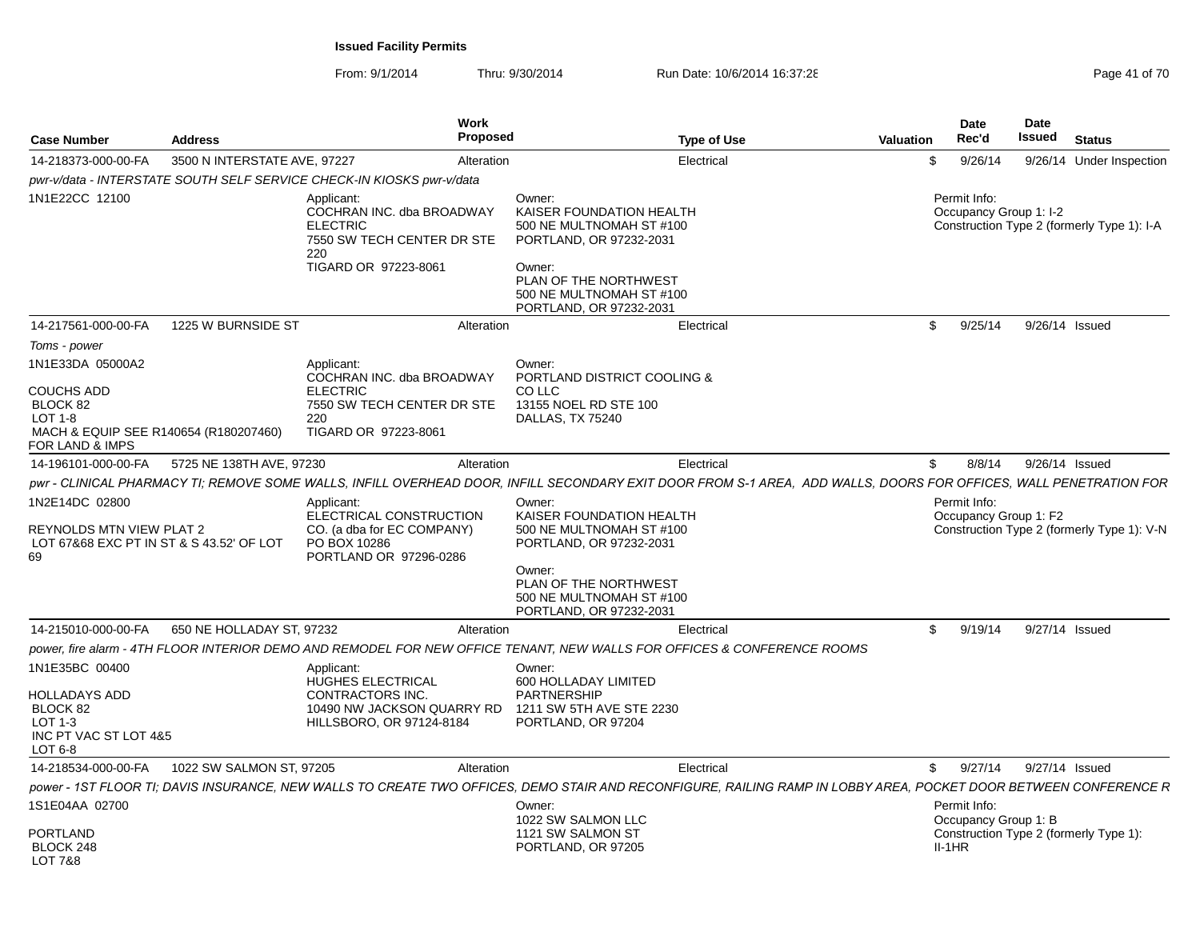| <b>Case Number</b>                                                                                                         | <b>Address</b>               | Work<br>Proposed                                                                                                                                                  |                                                                                                                                                                                     | <b>Type of Use</b> | <b>Valuation</b> | Date<br>Rec'd                          | <b>Date</b><br><b>Issued</b> | <b>Status</b>                              |
|----------------------------------------------------------------------------------------------------------------------------|------------------------------|-------------------------------------------------------------------------------------------------------------------------------------------------------------------|-------------------------------------------------------------------------------------------------------------------------------------------------------------------------------------|--------------------|------------------|----------------------------------------|------------------------------|--------------------------------------------|
| 14-218373-000-00-FA                                                                                                        | 3500 N INTERSTATE AVE, 97227 | Alteration                                                                                                                                                        |                                                                                                                                                                                     | Electrical         | \$               | 9/26/14                                |                              | 9/26/14 Under Inspection                   |
|                                                                                                                            |                              | pwr-v/data - INTERSTATE SOUTH SELF SERVICE CHECK-IN KIOSKS pwr-v/data                                                                                             |                                                                                                                                                                                     |                    |                  |                                        |                              |                                            |
| 1N1E22CC 12100                                                                                                             |                              | Applicant:<br>COCHRAN INC. dba BROADWAY<br><b>ELECTRIC</b><br>7550 SW TECH CENTER DR STE<br>220<br>TIGARD OR 97223-8061                                           | Owner:<br>KAISER FOUNDATION HEALTH<br>500 NE MULTNOMAH ST #100<br>PORTLAND, OR 97232-2031<br>Owner:<br>PLAN OF THE NORTHWEST<br>500 NE MULTNOMAH ST #100<br>PORTLAND, OR 97232-2031 |                    |                  | Permit Info:<br>Occupancy Group 1: I-2 |                              | Construction Type 2 (formerly Type 1): I-A |
| 14-217561-000-00-FA                                                                                                        | 1225 W BURNSIDE ST           | Alteration                                                                                                                                                        |                                                                                                                                                                                     | Electrical         | \$               | 9/25/14                                | 9/26/14 Issued               |                                            |
| Toms - power                                                                                                               |                              |                                                                                                                                                                   |                                                                                                                                                                                     |                    |                  |                                        |                              |                                            |
| 1N1E33DA 05000A2<br><b>COUCHS ADD</b><br>BLOCK 82<br>LOT $1-8$<br>MACH & EQUIP SEE R140654 (R180207460)<br>FOR LAND & IMPS |                              | Applicant:<br>COCHRAN INC. dba BROADWAY<br><b>ELECTRIC</b><br>7550 SW TECH CENTER DR STE<br>220<br>TIGARD OR 97223-8061                                           | Owner:<br>PORTLAND DISTRICT COOLING &<br>CO LLC<br>13155 NOEL RD STE 100<br>DALLAS, TX 75240                                                                                        |                    |                  |                                        |                              |                                            |
| 14-196101-000-00-FA                                                                                                        | 5725 NE 138TH AVE, 97230     | Alteration                                                                                                                                                        |                                                                                                                                                                                     | Electrical         | \$               | 8/8/14                                 | 9/26/14 Issued               |                                            |
|                                                                                                                            |                              | pwr - CLINICAL PHARMACY TI; REMOVE SOME WALLS, INFILL OVERHEAD DOOR, INFILL SECONDARY EXIT DOOR FROM S-1 AREA, ADD WALLS, DOORS FOR OFFICES, WALL PENETRATION FOR |                                                                                                                                                                                     |                    |                  |                                        |                              |                                            |
| 1N2E14DC 02800<br><b>REYNOLDS MTN VIEW PLAT 2</b><br>LOT 67&68 EXC PT IN ST & S 43.52' OF LOT<br>69                        |                              | Applicant:<br>ELECTRICAL CONSTRUCTION<br>CO. (a dba for EC COMPANY)<br>PO BOX 10286<br>PORTLAND OR 97296-0286                                                     | Owner:<br>KAISER FOUNDATION HEALTH<br>500 NE MULTNOMAH ST #100<br>PORTLAND, OR 97232-2031<br>Owner:<br>PLAN OF THE NORTHWEST<br>500 NE MULTNOMAH ST #100<br>PORTLAND, OR 97232-2031 |                    |                  | Permit Info:<br>Occupancy Group 1: F2  |                              | Construction Type 2 (formerly Type 1): V-N |
| 14-215010-000-00-FA                                                                                                        | 650 NE HOLLADAY ST, 97232    | Alteration                                                                                                                                                        |                                                                                                                                                                                     | Electrical         | \$               | 9/19/14                                | 9/27/14 Issued               |                                            |
|                                                                                                                            |                              | power, fire alarm - 4TH FLOOR INTERIOR DEMO AND REMODEL FOR NEW OFFICE TENANT, NEW WALLS FOR OFFICES & CONFERENCE ROOMS                                           |                                                                                                                                                                                     |                    |                  |                                        |                              |                                            |
| 1N1E35BC 00400<br><b>HOLLADAYS ADD</b><br>BLOCK 82<br>LOT $1-3$<br>INC PT VAC ST LOT 4&5<br>LOT 6-8                        |                              | Applicant:<br><b>HUGHES ELECTRICAL</b><br>CONTRACTORS INC.<br>10490 NW JACKSON QUARRY RD<br>HILLSBORO, OR 97124-8184                                              | Owner:<br>600 HOLLADAY LIMITED<br><b>PARTNERSHIP</b><br>1211 SW 5TH AVE STE 2230<br>PORTLAND, OR 97204                                                                              |                    |                  |                                        |                              |                                            |
| 14-218534-000-00-FA                                                                                                        | 1022 SW SALMON ST, 97205     | Alteration                                                                                                                                                        |                                                                                                                                                                                     | Electrical         | $\mathbb{S}$     | 9/27/14                                | 9/27/14 Issued               |                                            |
|                                                                                                                            |                              | power - 1ST FLOOR TI: DAVIS INSURANCE. NEW WALLS TO CREATE TWO OFFICES. DEMO STAIR AND RECONFIGURE. RAILING RAMP IN LOBBY AREA. POCKET DOOR BETWEEN CONFERENCE R  |                                                                                                                                                                                     |                    |                  |                                        |                              |                                            |
| 1S1E04AA 02700                                                                                                             |                              |                                                                                                                                                                   | Owner:<br>1022 SW SALMON LLC                                                                                                                                                        |                    |                  | Permit Info:<br>Occupancy Group 1: B   |                              |                                            |
| <b>PORTLAND</b><br>BLOCK 248<br>LOT 7&8                                                                                    |                              |                                                                                                                                                                   | 1121 SW SALMON ST<br>PORTLAND, OR 97205                                                                                                                                             |                    |                  | $II-1HR$                               |                              | Construction Type 2 (formerly Type 1):     |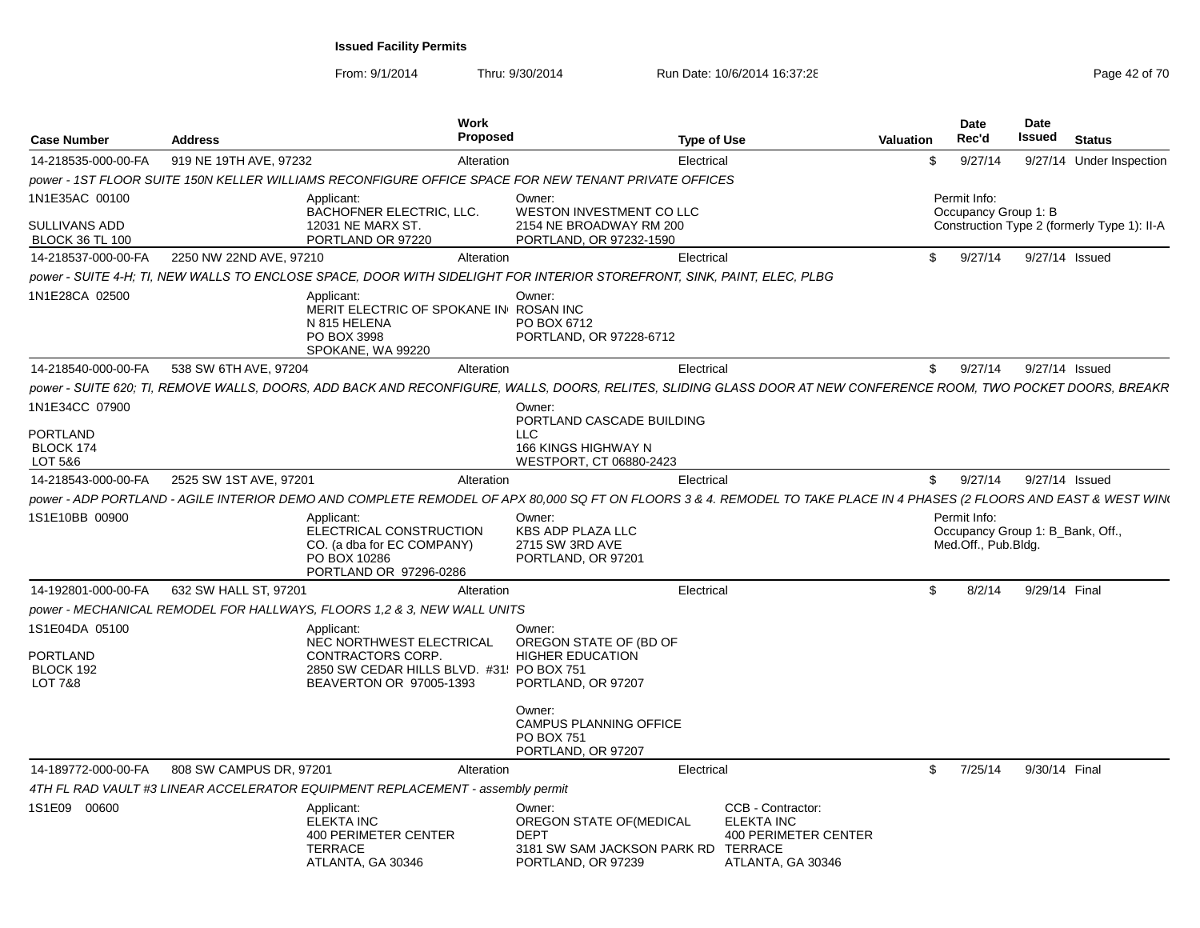| <b>Case Number</b>                             | <b>Address</b>                                                                 | Work<br>Proposed                                                                           |                                                                                                                                                                      | <b>Type of Use</b>                                                                                    | <b>Valuation</b> | <b>Date</b><br>Rec'd                                    | Date<br>Issued | <b>Status</b>                               |
|------------------------------------------------|--------------------------------------------------------------------------------|--------------------------------------------------------------------------------------------|----------------------------------------------------------------------------------------------------------------------------------------------------------------------|-------------------------------------------------------------------------------------------------------|------------------|---------------------------------------------------------|----------------|---------------------------------------------|
| 14-218535-000-00-FA                            | 919 NE 19TH AVE, 97232                                                         | Alteration                                                                                 |                                                                                                                                                                      | Electrical                                                                                            | \$               | 9/27/14                                                 |                | 9/27/14 Under Inspection                    |
|                                                |                                                                                |                                                                                            | power - 1ST FLOOR SUITE 150N KELLER WILLIAMS RECONFIGURE OFFICE SPACE FOR NEW TENANT PRIVATE OFFICES                                                                 |                                                                                                       |                  |                                                         |                |                                             |
| 1N1E35AC 00100                                 | Applicant:                                                                     | <b>BACHOFNER ELECTRIC, LLC.</b>                                                            | Owner:<br>WESTON INVESTMENT CO LLC                                                                                                                                   |                                                                                                       |                  | Permit Info:<br>Occupancy Group 1: B                    |                |                                             |
| SULLIVANS ADD<br><b>BLOCK 36 TL 100</b>        |                                                                                | 12031 NE MARX ST.<br>PORTLAND OR 97220                                                     | 2154 NE BROADWAY RM 200<br>PORTLAND, OR 97232-1590                                                                                                                   |                                                                                                       |                  |                                                         |                | Construction Type 2 (formerly Type 1): II-A |
| 14-218537-000-00-FA                            | 2250 NW 22ND AVE, 97210                                                        | Alteration                                                                                 |                                                                                                                                                                      | Electrical                                                                                            | \$               | 9/27/14                                                 | 9/27/14 Issued |                                             |
|                                                |                                                                                |                                                                                            | power - SUITE 4-H; TI, NEW WALLS TO ENCLOSE SPACE, DOOR WITH SIDELIGHT FOR INTERIOR STOREFRONT, SINK, PAINT, ELEC, PLBG                                              |                                                                                                       |                  |                                                         |                |                                             |
| 1N1E28CA 02500                                 | Applicant:<br>N 815 HELENA<br>PO BOX 3998                                      | MERIT ELECTRIC OF SPOKANE IN ROSAN INC<br>SPOKANE, WA 99220                                | Owner:<br>PO BOX 6712<br>PORTLAND, OR 97228-6712                                                                                                                     |                                                                                                       |                  |                                                         |                |                                             |
| 14-218540-000-00-FA                            | 538 SW 6TH AVE, 97204                                                          | Alteration                                                                                 |                                                                                                                                                                      | Electrical                                                                                            | \$               | 9/27/14                                                 | 9/27/14 Issued |                                             |
|                                                |                                                                                |                                                                                            | power - SUITE 620; TI, REMOVE WALLS, DOORS, ADD BACK AND RECONFIGURE, WALLS, DOORS, RELITES, SLIDING GLASS DOOR AT NEW CONFERENCE ROOM, TWO POCKET DOORS, BREAKR     |                                                                                                       |                  |                                                         |                |                                             |
| 1N1E34CC 07900                                 |                                                                                |                                                                                            | Owner:<br>PORTLAND CASCADE BUILDING                                                                                                                                  |                                                                                                       |                  |                                                         |                |                                             |
| PORTLAND<br>BLOCK 174<br>LOT 5&6               |                                                                                |                                                                                            | <b>LLC</b><br>166 KINGS HIGHWAY N<br>WESTPORT, CT 06880-2423                                                                                                         |                                                                                                       |                  |                                                         |                |                                             |
| 14-218543-000-00-FA                            | 2525 SW 1ST AVE, 97201                                                         | Alteration                                                                                 |                                                                                                                                                                      | Electrical                                                                                            | $\mathfrak{L}$   | 9/27/14                                                 | 9/27/14 Issued |                                             |
|                                                |                                                                                |                                                                                            | power - ADP PORTLAND - AGILE INTERIOR DEMO AND COMPLETE REMODEL OF APX 80,000 SQ FT ON FLOORS 3 & 4. REMODEL TO TAKE PLACE IN 4 PHASES (2 FLOORS AND EAST & WEST WIN |                                                                                                       |                  |                                                         |                |                                             |
| 1S1E10BB 00900                                 | Applicant:                                                                     |                                                                                            | Owner:                                                                                                                                                               |                                                                                                       |                  | Permit Info:                                            |                |                                             |
|                                                | PO BOX 10286                                                                   | ELECTRICAL CONSTRUCTION<br>CO. (a dba for EC COMPANY)<br>PORTLAND OR 97296-0286            | <b>KBS ADP PLAZA LLC</b><br>2715 SW 3RD AVE<br>PORTLAND, OR 97201                                                                                                    |                                                                                                       |                  | Occupancy Group 1: B_Bank, Off.,<br>Med.Off., Pub.Bldg. |                |                                             |
| 14-192801-000-00-FA                            | 632 SW HALL ST, 97201                                                          | Alteration                                                                                 |                                                                                                                                                                      | Electrical                                                                                            | \$               | 8/2/14                                                  | 9/29/14 Final  |                                             |
|                                                | power - MECHANICAL REMODEL FOR HALLWAYS, FLOORS 1,2 & 3, NEW WALL UNITS        |                                                                                            |                                                                                                                                                                      |                                                                                                       |                  |                                                         |                |                                             |
| 1S1E04DA 05100<br><b>PORTLAND</b><br>BLOCK 192 | Applicant:                                                                     | NEC NORTHWEST ELECTRICAL<br>CONTRACTORS CORP.<br>2850 SW CEDAR HILLS BLVD. #31! PO BOX 751 | Owner:<br>OREGON STATE OF (BD OF<br><b>HIGHER EDUCATION</b>                                                                                                          |                                                                                                       |                  |                                                         |                |                                             |
| <b>LOT 7&amp;8</b>                             |                                                                                | BEAVERTON OR 97005-1393                                                                    | PORTLAND, OR 97207<br>Owner:<br>CAMPUS PLANNING OFFICE<br>PO BOX 751                                                                                                 |                                                                                                       |                  |                                                         |                |                                             |
|                                                |                                                                                |                                                                                            | PORTLAND, OR 97207                                                                                                                                                   |                                                                                                       |                  |                                                         |                |                                             |
| 14-189772-000-00-FA                            | 808 SW CAMPUS DR, 97201                                                        | Alteration                                                                                 |                                                                                                                                                                      | Electrical                                                                                            | \$               | 7/25/14                                                 | 9/30/14 Final  |                                             |
|                                                | 4TH FL RAD VAULT #3 LINEAR ACCELERATOR EQUIPMENT REPLACEMENT - assembly permit |                                                                                            |                                                                                                                                                                      |                                                                                                       |                  |                                                         |                |                                             |
| 1S1E09 00600                                   | Applicant:<br><b>ELEKTA INC</b><br>TERRACE                                     | <b>400 PERIMETER CENTER</b><br>ATLANTA, GA 30346                                           | Owner:<br>OREGON STATE OF (MEDICAL<br><b>DEPT</b><br>3181 SW SAM JACKSON PARK RD<br>PORTLAND, OR 97239                                                               | CCB - Contractor:<br>ELEKTA INC<br><b>400 PERIMETER CENTER</b><br><b>TERRACE</b><br>ATLANTA, GA 30346 |                  |                                                         |                |                                             |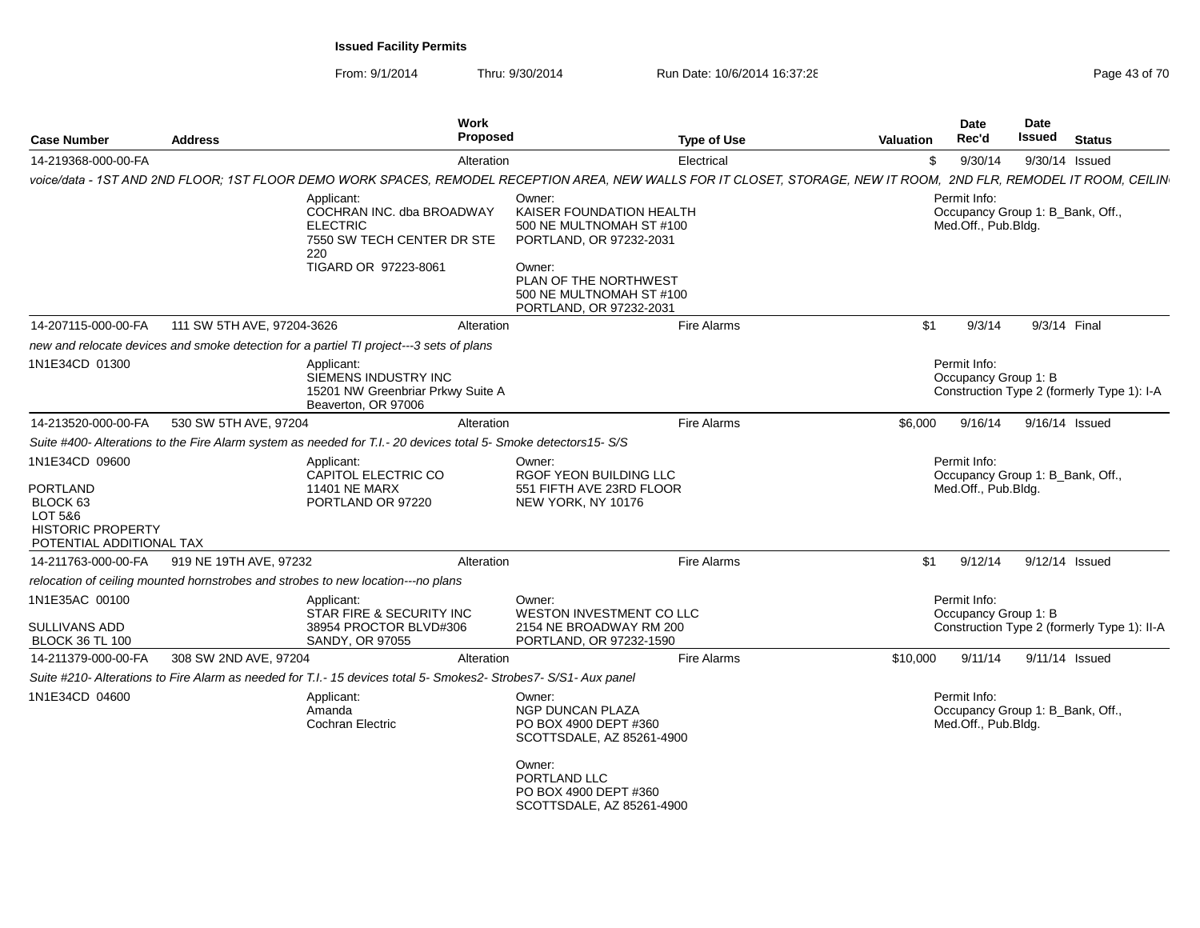| <b>Case Number</b>                                                                                               | <b>Address</b>             | Work<br><b>Proposed</b>                                                                                                                                             |                                                                                                                                                                                     | <b>Type of Use</b> | <b>Valuation</b> | Date<br>Rec'd                                                           | Date<br>Issued | <b>Status</b>                               |
|------------------------------------------------------------------------------------------------------------------|----------------------------|---------------------------------------------------------------------------------------------------------------------------------------------------------------------|-------------------------------------------------------------------------------------------------------------------------------------------------------------------------------------|--------------------|------------------|-------------------------------------------------------------------------|----------------|---------------------------------------------|
| 14-219368-000-00-FA                                                                                              |                            | Alteration                                                                                                                                                          |                                                                                                                                                                                     | Electrical         | \$               | 9/30/14                                                                 |                | 9/30/14 Issued                              |
|                                                                                                                  |                            | voice/data - 1ST AND 2ND FLOOR; 1ST FLOOR DEMO WORK SPACES, REMODEL RECEPTION AREA, NEW WALLS FOR IT CLOSET, STORAGE, NEW IT ROOM, 2ND FLR, REMODEL IT ROOM, CEILIN |                                                                                                                                                                                     |                    |                  |                                                                         |                |                                             |
|                                                                                                                  |                            | Applicant:<br>COCHRAN INC. dba BROADWAY<br><b>ELECTRIC</b><br>7550 SW TECH CENTER DR STE<br>220<br>TIGARD OR 97223-8061                                             | Owner:<br>KAISER FOUNDATION HEALTH<br>500 NE MULTNOMAH ST #100<br>PORTLAND, OR 97232-2031<br>Owner:<br>PLAN OF THE NORTHWEST<br>500 NE MULTNOMAH ST #100<br>PORTLAND, OR 97232-2031 |                    |                  | Permit Info:<br>Occupancy Group 1: B_Bank, Off.,<br>Med.Off., Pub.Bldg. |                |                                             |
| 14-207115-000-00-FA                                                                                              | 111 SW 5TH AVE, 97204-3626 | Alteration                                                                                                                                                          |                                                                                                                                                                                     | Fire Alarms        | \$1              | 9/3/14                                                                  |                | 9/3/14 Final                                |
|                                                                                                                  |                            | new and relocate devices and smoke detection for a partiel TI project---3 sets of plans                                                                             |                                                                                                                                                                                     |                    |                  |                                                                         |                |                                             |
| 1N1E34CD 01300                                                                                                   |                            | Applicant:<br>SIEMENS INDUSTRY INC<br>15201 NW Greenbriar Prkwy Suite A<br>Beaverton, OR 97006                                                                      |                                                                                                                                                                                     |                    |                  | Permit Info:<br>Occupancy Group 1: B                                    |                | Construction Type 2 (formerly Type 1): I-A  |
| 14-213520-000-00-FA                                                                                              | 530 SW 5TH AVE, 97204      | Alteration                                                                                                                                                          |                                                                                                                                                                                     | Fire Alarms        | \$6,000          | 9/16/14                                                                 |                | 9/16/14 Issued                              |
|                                                                                                                  |                            | Suite #400- Alterations to the Fire Alarm system as needed for T.I.- 20 devices total 5- Smoke detectors15- S/S                                                     |                                                                                                                                                                                     |                    |                  |                                                                         |                |                                             |
| 1N1E34CD 09600<br><b>PORTLAND</b><br>BLOCK 63<br>LOT 5&6<br><b>HISTORIC PROPERTY</b><br>POTENTIAL ADDITIONAL TAX |                            | Applicant:<br>CAPITOL ELECTRIC CO<br><b>11401 NE MARX</b><br>PORTLAND OR 97220                                                                                      | Owner:<br>RGOF YEON BUILDING LLC<br>551 FIFTH AVE 23RD FLOOR<br>NEW YORK, NY 10176                                                                                                  |                    |                  | Permit Info:<br>Occupancy Group 1: B Bank, Off.,<br>Med.Off., Pub.Bldg. |                |                                             |
| 14-211763-000-00-FA                                                                                              | 919 NE 19TH AVE, 97232     | Alteration                                                                                                                                                          |                                                                                                                                                                                     | Fire Alarms        | \$1              | 9/12/14                                                                 |                | 9/12/14 Issued                              |
|                                                                                                                  |                            | relocation of ceiling mounted hornstrobes and strobes to new location---no plans                                                                                    |                                                                                                                                                                                     |                    |                  |                                                                         |                |                                             |
| 1N1E35AC 00100<br><b>SULLIVANS ADD</b><br><b>BLOCK 36 TL 100</b>                                                 |                            | Applicant:<br>STAR FIRE & SECURITY INC<br>38954 PROCTOR BLVD#306<br>SANDY, OR 97055                                                                                 | Owner:<br>WESTON INVESTMENT CO LLC<br>2154 NE BROADWAY RM 200<br>PORTLAND, OR 97232-1590                                                                                            |                    |                  | Permit Info:<br>Occupancy Group 1: B                                    |                | Construction Type 2 (formerly Type 1): II-A |
| 14-211379-000-00-FA                                                                                              | 308 SW 2ND AVE, 97204      | Alteration                                                                                                                                                          |                                                                                                                                                                                     | Fire Alarms        | \$10,000         | 9/11/14                                                                 |                | 9/11/14 Issued                              |
|                                                                                                                  |                            | Suite #210- Alterations to Fire Alarm as needed for T.I.- 15 devices total 5- Smokes2- Strobes7- S/S1- Aux panel                                                    |                                                                                                                                                                                     |                    |                  |                                                                         |                |                                             |
| 1N1E34CD 04600                                                                                                   |                            | Applicant:<br>Amanda<br>Cochran Electric                                                                                                                            | Owner:<br><b>NGP DUNCAN PLAZA</b><br>PO BOX 4900 DEPT #360<br>SCOTTSDALE, AZ 85261-4900                                                                                             |                    |                  | Permit Info:<br>Occupancy Group 1: B_Bank, Off.,<br>Med.Off., Pub.Bldg. |                |                                             |
|                                                                                                                  |                            |                                                                                                                                                                     | Owner:<br>PORTLAND LLC<br>PO BOX 4900 DEPT #360<br>SCOTTSDALE, AZ 85261-4900                                                                                                        |                    |                  |                                                                         |                |                                             |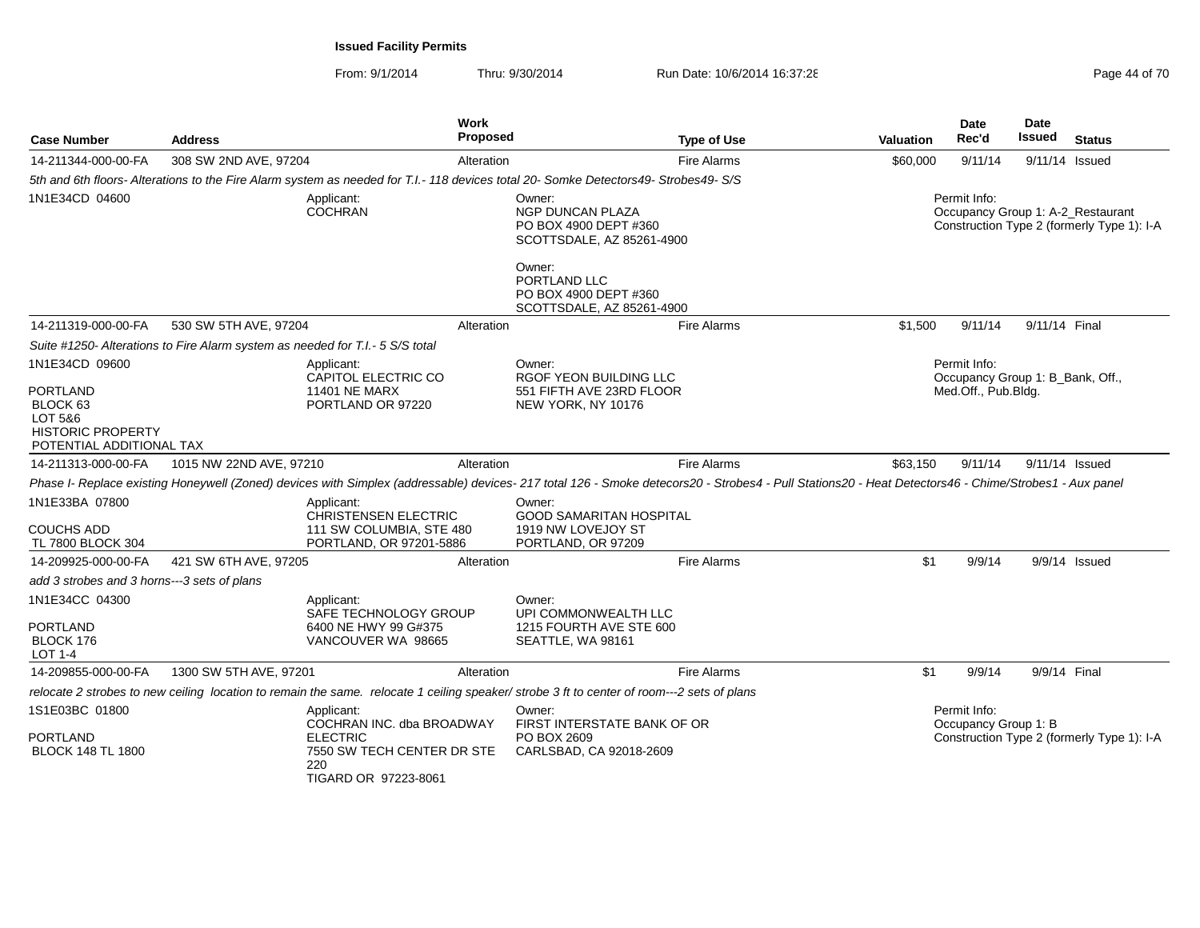| <b>Case Number</b>                                                                             | <b>Address</b>                                                                |                                                                                                  | <b>Work</b><br>Proposed |                                                                                                                                                                                                       | <b>Type of Use</b> | Valuation                                                                                       | <b>Date</b><br>Rec'd                             | <b>Date</b><br><b>Issued</b> | <b>Status</b>                              |
|------------------------------------------------------------------------------------------------|-------------------------------------------------------------------------------|--------------------------------------------------------------------------------------------------|-------------------------|-------------------------------------------------------------------------------------------------------------------------------------------------------------------------------------------------------|--------------------|-------------------------------------------------------------------------------------------------|--------------------------------------------------|------------------------------|--------------------------------------------|
| 14-211344-000-00-FA                                                                            | 308 SW 2ND AVE, 97204                                                         |                                                                                                  | Alteration              |                                                                                                                                                                                                       | <b>Fire Alarms</b> | \$60,000                                                                                        | 9/11/14                                          | 9/11/14 Issued               |                                            |
|                                                                                                |                                                                               |                                                                                                  |                         | 5th and 6th floors-Alterations to the Fire Alarm system as needed for T.I.- 118 devices total 20- Somke Detectors49- Strobes49- S/S                                                                   |                    |                                                                                                 |                                                  |                              |                                            |
| 1N1E34CD 04600                                                                                 |                                                                               | Applicant:<br><b>COCHRAN</b>                                                                     |                         | Owner:<br><b>NGP DUNCAN PLAZA</b><br>PO BOX 4900 DEPT #360<br>SCOTTSDALE, AZ 85261-4900<br>Owner:                                                                                                     |                    | Permit Info:<br>Occupancy Group 1: A-2 Restaurant<br>Construction Type 2 (formerly Type 1): I-A |                                                  |                              |                                            |
|                                                                                                |                                                                               |                                                                                                  |                         | PORTLAND LLC<br>PO BOX 4900 DEPT #360<br>SCOTTSDALE, AZ 85261-4900                                                                                                                                    |                    |                                                                                                 |                                                  |                              |                                            |
| 14-211319-000-00-FA                                                                            | 530 SW 5TH AVE, 97204                                                         |                                                                                                  | Alteration              |                                                                                                                                                                                                       | <b>Fire Alarms</b> | \$1,500                                                                                         | 9/11/14                                          | 9/11/14 Final                |                                            |
|                                                                                                | Suite #1250- Alterations to Fire Alarm system as needed for T.I.- 5 S/S total |                                                                                                  |                         |                                                                                                                                                                                                       |                    |                                                                                                 |                                                  |                              |                                            |
| 1N1E34CD 09600                                                                                 | Applicant:<br>CAPITOL ELECTRIC CO                                             |                                                                                                  |                         | Owner:<br><b>RGOF YEON BUILDING LLC</b>                                                                                                                                                               |                    |                                                                                                 | Permit Info:<br>Occupancy Group 1: B Bank, Off., |                              |                                            |
| <b>PORTLAND</b><br>BLOCK 63<br>LOT 5&6<br><b>HISTORIC PROPERTY</b><br>POTENTIAL ADDITIONAL TAX |                                                                               | <b>11401 NE MARX</b><br>PORTLAND OR 97220                                                        |                         | 551 FIFTH AVE 23RD FLOOR<br>NEW YORK, NY 10176                                                                                                                                                        |                    |                                                                                                 | Med.Off., Pub.Bldg.                              |                              |                                            |
| 14-211313-000-00-FA                                                                            | 1015 NW 22ND AVE, 97210                                                       |                                                                                                  | Alteration              |                                                                                                                                                                                                       | Fire Alarms        | \$63,150                                                                                        | 9/11/14                                          |                              | 9/11/14 Issued                             |
|                                                                                                |                                                                               |                                                                                                  |                         | Phase I- Replace existing Honeywell (Zoned) devices with Simplex (addressable) devices- 217 total 126 - Smoke detecors20 - Strobes4 - Pull Stations20 - Heat Detectors46 - Chime/Strobes1 - Aux panel |                    |                                                                                                 |                                                  |                              |                                            |
| 1N1E33BA 07800<br><b>COUCHS ADD</b><br>TL 7800 BLOCK 304                                       |                                                                               | Applicant:<br><b>CHRISTENSEN ELECTRIC</b><br>111 SW COLUMBIA, STE 480<br>PORTLAND, OR 97201-5886 |                         | Owner:<br><b>GOOD SAMARITAN HOSPITAL</b><br>1919 NW LOVEJOY ST<br>PORTLAND, OR 97209                                                                                                                  |                    |                                                                                                 |                                                  |                              |                                            |
| 14-209925-000-00-FA                                                                            | 421 SW 6TH AVE, 97205                                                         |                                                                                                  | Alteration              |                                                                                                                                                                                                       | <b>Fire Alarms</b> | \$1                                                                                             | 9/9/14                                           |                              | 9/9/14 Issued                              |
| add 3 strobes and 3 horns---3 sets of plans                                                    |                                                                               |                                                                                                  |                         |                                                                                                                                                                                                       |                    |                                                                                                 |                                                  |                              |                                            |
| 1N1E34CC 04300                                                                                 |                                                                               | Applicant:<br>SAFE TECHNOLOGY GROUP                                                              |                         | Owner:<br>UPI COMMONWEALTH LLC                                                                                                                                                                        |                    |                                                                                                 |                                                  |                              |                                            |
| <b>PORTLAND</b><br>BLOCK 176<br>LOT 1-4                                                        |                                                                               | 6400 NE HWY 99 G#375<br>VANCOUVER WA 98665                                                       |                         | 1215 FOURTH AVE STE 600<br>SEATTLE, WA 98161                                                                                                                                                          |                    |                                                                                                 |                                                  |                              |                                            |
| 14-209855-000-00-FA                                                                            | 1300 SW 5TH AVE, 97201                                                        |                                                                                                  | Alteration              |                                                                                                                                                                                                       | <b>Fire Alarms</b> | \$1                                                                                             | 9/9/14                                           | 9/9/14 Final                 |                                            |
|                                                                                                |                                                                               |                                                                                                  |                         | relocate 2 strobes to new ceiling location to remain the same. relocate 1 ceiling speaker/strobe 3 ft to center of room---2 sets of plans                                                             |                    |                                                                                                 |                                                  |                              |                                            |
| 1S1E03BC 01800                                                                                 |                                                                               | Applicant:<br>COCHRAN INC. dba BROADWAY                                                          |                         | Owner:<br>FIRST INTERSTATE BANK OF OR                                                                                                                                                                 |                    |                                                                                                 | Permit Info:<br>Occupancy Group 1: B             |                              |                                            |
| <b>PORTLAND</b><br><b>BLOCK 148 TL 1800</b>                                                    |                                                                               | <b>ELECTRIC</b><br>7550 SW TECH CENTER DR STE<br>220<br>TIGARD OR 97223-8061                     |                         | PO BOX 2609<br>CARLSBAD, CA 92018-2609                                                                                                                                                                |                    |                                                                                                 |                                                  |                              | Construction Type 2 (formerly Type 1): I-A |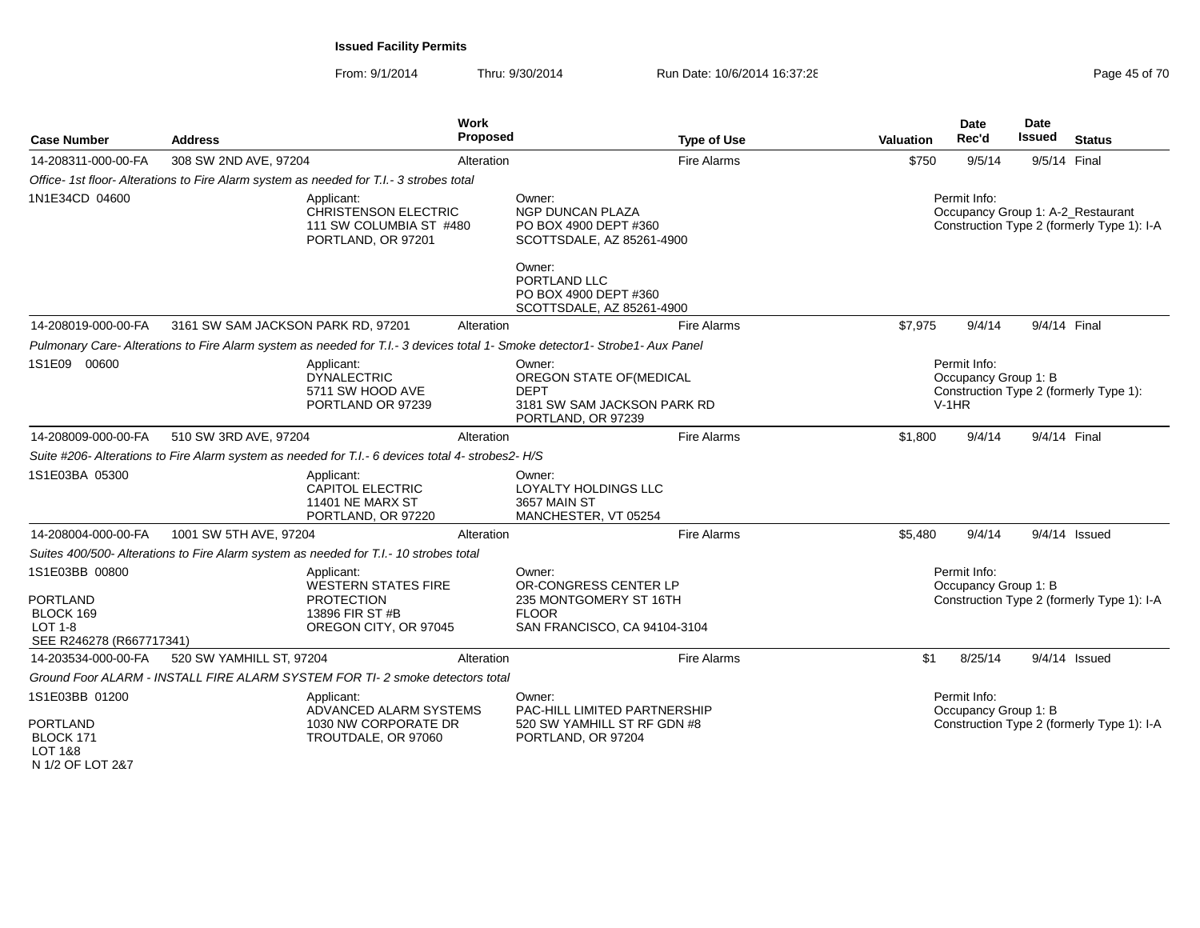From: 9/1/2014Thru: 9/30/2014 Run Date: 10/6/2014 16:37:28 Run Date: 10/6/2014 16:37:28

| <b>Case Number</b>                                                                        | <b>Address</b>                     | <b>Work</b><br><b>Proposed</b>                                                                                              |                                                                                                           | <b>Type of Use</b> | Valuation                                                                                 | Date<br>Rec'd                        | Date<br><b>Issued</b>                                                           | <b>Status</b>                              |  |
|-------------------------------------------------------------------------------------------|------------------------------------|-----------------------------------------------------------------------------------------------------------------------------|-----------------------------------------------------------------------------------------------------------|--------------------|-------------------------------------------------------------------------------------------|--------------------------------------|---------------------------------------------------------------------------------|--------------------------------------------|--|
| 14-208311-000-00-FA                                                                       | 308 SW 2ND AVE, 97204              | Alteration                                                                                                                  |                                                                                                           | <b>Fire Alarms</b> | \$750                                                                                     | 9/5/14                               | 9/5/14 Final                                                                    |                                            |  |
|                                                                                           |                                    | Office- 1st floor- Alterations to Fire Alarm system as needed for T.I.- 3 strobes total                                     |                                                                                                           |                    |                                                                                           |                                      |                                                                                 |                                            |  |
| 1N1E34CD 04600                                                                            |                                    | Applicant:<br>CHRISTENSON ELECTRIC<br>111 SW COLUMBIA ST #480<br>PORTLAND, OR 97201                                         | Owner:<br><b>NGP DUNCAN PLAZA</b><br>PO BOX 4900 DEPT #360<br>SCOTTSDALE, AZ 85261-4900                   |                    | Permit Info:                                                                              |                                      | Occupancy Group 1: A-2 Restaurant<br>Construction Type 2 (formerly Type 1): I-A |                                            |  |
|                                                                                           |                                    |                                                                                                                             | Owner:<br>PORTLAND LLC<br>PO BOX 4900 DEPT #360<br>SCOTTSDALE, AZ 85261-4900                              |                    |                                                                                           |                                      |                                                                                 |                                            |  |
| 14-208019-000-00-FA                                                                       | 3161 SW SAM JACKSON PARK RD, 97201 | Alteration                                                                                                                  |                                                                                                           | <b>Fire Alarms</b> | \$7,975                                                                                   | 9/4/14                               | 9/4/14 Final                                                                    |                                            |  |
|                                                                                           |                                    | Pulmonary Care- Alterations to Fire Alarm system as needed for T.I.- 3 devices total 1- Smoke detector1- Strobe1- Aux Panel |                                                                                                           |                    |                                                                                           |                                      |                                                                                 |                                            |  |
| 1S1E09 00600<br>Applicant:<br><b>DYNALECTRIC</b><br>5711 SW HOOD AVE<br>PORTLAND OR 97239 |                                    |                                                                                                                             | Owner:<br>OREGON STATE OF (MEDICAL<br><b>DEPT</b><br>3181 SW SAM JACKSON PARK RD<br>PORTLAND, OR 97239    |                    | Permit Info:<br>Occupancy Group 1: B<br>Construction Type 2 (formerly Type 1):<br>$V-1HR$ |                                      |                                                                                 |                                            |  |
| 14-208009-000-00-FA                                                                       | 510 SW 3RD AVE, 97204              | Alteration                                                                                                                  |                                                                                                           | <b>Fire Alarms</b> | \$1,800                                                                                   | 9/4/14                               | 9/4/14 Final                                                                    |                                            |  |
|                                                                                           |                                    | Suite #206- Alterations to Fire Alarm system as needed for T.I.- 6 devices total 4- strobes2- H/S                           |                                                                                                           |                    |                                                                                           |                                      |                                                                                 |                                            |  |
| 1S1E03BA 05300                                                                            |                                    | Applicant:<br><b>CAPITOL ELECTRIC</b><br><b>11401 NE MARX ST</b><br>PORTLAND, OR 97220                                      | Owner:<br>LOYALTY HOLDINGS LLC<br>3657 MAIN ST<br>MANCHESTER, VT 05254                                    |                    |                                                                                           |                                      |                                                                                 |                                            |  |
| 14-208004-000-00-FA                                                                       | 1001 SW 5TH AVE, 97204             | Alteration                                                                                                                  |                                                                                                           | <b>Fire Alarms</b> | \$5,480                                                                                   | 9/4/14                               |                                                                                 | 9/4/14 Issued                              |  |
|                                                                                           |                                    | Suites 400/500- Alterations to Fire Alarm system as needed for T.I.- 10 strobes total                                       |                                                                                                           |                    |                                                                                           |                                      |                                                                                 |                                            |  |
| 1S1E03BB 00800<br><b>PORTLAND</b><br>BLOCK 169<br>$LOT 1-8$                               |                                    | Applicant:<br><b>WESTERN STATES FIRE</b><br><b>PROTECTION</b><br>13896 FIR ST #B<br>OREGON CITY, OR 97045                   | Owner:<br>OR-CONGRESS CENTER LP<br>235 MONTGOMERY ST 16TH<br><b>FLOOR</b><br>SAN FRANCISCO, CA 94104-3104 |                    |                                                                                           | Permit Info:<br>Occupancy Group 1: B |                                                                                 | Construction Type 2 (formerly Type 1): I-A |  |
| SEE R246278 (R667717341)                                                                  |                                    |                                                                                                                             |                                                                                                           |                    |                                                                                           |                                      |                                                                                 |                                            |  |
| 14-203534-000-00-FA                                                                       | 520 SW YAMHILL ST, 97204           | Alteration                                                                                                                  |                                                                                                           | <b>Fire Alarms</b> | \$1                                                                                       | 8/25/14                              |                                                                                 | $9/4/14$ Issued                            |  |
|                                                                                           |                                    | Ground Foor ALARM - INSTALL FIRE ALARM SYSTEM FOR TI-2 smoke detectors total                                                |                                                                                                           |                    |                                                                                           |                                      |                                                                                 |                                            |  |
| 1S1E03BB 01200                                                                            |                                    | Applicant:<br>ADVANCED ALARM SYSTEMS                                                                                        | Owner:<br>PAC-HILL LIMITED PARTNERSHIP                                                                    |                    |                                                                                           | Permit Info:<br>Occupancy Group 1: B |                                                                                 |                                            |  |
| <b>PORTLAND</b><br>BLOCK 171<br>LOT 1&8                                                   |                                    | 1030 NW CORPORATE DR<br>TROUTDALE, OR 97060                                                                                 | 520 SW YAMHILL ST RF GDN #8<br>PORTLAND, OR 97204                                                         |                    |                                                                                           |                                      |                                                                                 | Construction Type 2 (formerly Type 1): I-A |  |

LOT 1&8 N 1/2 OF LOT 2&7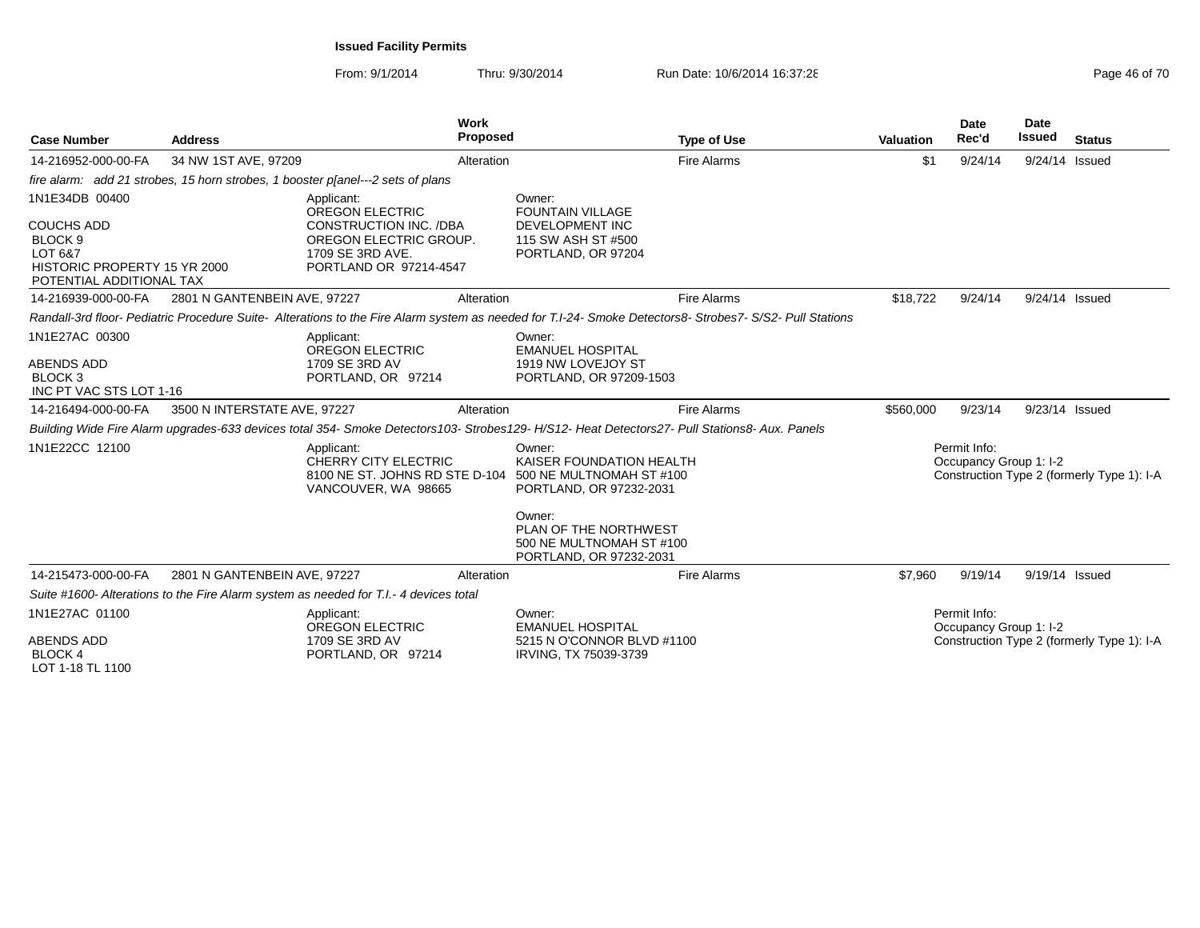| <b>Case Number</b>                                                                                                               | <b>Address</b>               |                                                                                                                                                                                                                                              | <b>Work</b><br><b>Proposed</b> |                                                                                                                                                                                     | <b>Type of Use</b> | <b>Valuation</b> | Date<br>Rec'd                          | <b>Date</b><br>Issued | <b>Status</b>                              |
|----------------------------------------------------------------------------------------------------------------------------------|------------------------------|----------------------------------------------------------------------------------------------------------------------------------------------------------------------------------------------------------------------------------------------|--------------------------------|-------------------------------------------------------------------------------------------------------------------------------------------------------------------------------------|--------------------|------------------|----------------------------------------|-----------------------|--------------------------------------------|
| 14-216952-000-00-FA                                                                                                              | 34 NW 1ST AVE, 97209         |                                                                                                                                                                                                                                              | Alteration                     |                                                                                                                                                                                     | <b>Fire Alarms</b> | \$1              | 9/24/14                                | 9/24/14 Issued        |                                            |
|                                                                                                                                  |                              | fire alarm: add 21 strobes, 15 horn strobes, 1 booster p[anel---2 sets of plans                                                                                                                                                              |                                |                                                                                                                                                                                     |                    |                  |                                        |                       |                                            |
| 1N1E34DB 00400<br><b>COUCHS ADD</b><br>BLOCK <sub>9</sub><br>LOT 6&7<br>HISTORIC PROPERTY 15 YR 2000<br>POTENTIAL ADDITIONAL TAX |                              | Applicant:<br><b>OREGON ELECTRIC</b><br>CONSTRUCTION INC. /DBA<br>OREGON ELECTRIC GROUP.<br>1709 SE 3RD AVE.<br>PORTLAND OR 97214-4547                                                                                                       |                                | Owner:<br><b>FOUNTAIN VILLAGE</b><br>DEVELOPMENT INC<br>115 SW ASH ST #500<br>PORTLAND, OR 97204                                                                                    |                    |                  |                                        |                       |                                            |
| 14-216939-000-00-FA                                                                                                              | 2801 N GANTENBEIN AVE, 97227 |                                                                                                                                                                                                                                              | Alteration                     |                                                                                                                                                                                     | <b>Fire Alarms</b> | \$18,722         | 9/24/14                                | 9/24/14 Issued        |                                            |
|                                                                                                                                  |                              | Randall-3rd floor-Pediatric Procedure Suite-Alterations to the Fire Alarm system as needed for T.I-24- Smoke Detectors8-Strobes7-S/S2- Pull Stations                                                                                         |                                |                                                                                                                                                                                     |                    |                  |                                        |                       |                                            |
| 1N1E27AC 00300<br><b>ABENDS ADD</b><br><b>BLOCK3</b><br>INC PT VAC STS LOT 1-16                                                  |                              | Applicant:<br>OREGON ELECTRIC<br>1709 SE 3RD AV<br>PORTLAND, OR 97214                                                                                                                                                                        |                                | Owner:<br><b>EMANUEL HOSPITAL</b><br>1919 NW LOVEJOY ST<br>PORTLAND, OR 97209-1503                                                                                                  |                    |                  |                                        |                       |                                            |
| 14-216494-000-00-FA                                                                                                              | 3500 N INTERSTATE AVE, 97227 |                                                                                                                                                                                                                                              | Alteration                     |                                                                                                                                                                                     | <b>Fire Alarms</b> | \$560,000        | 9/23/14                                | 9/23/14 Issued        |                                            |
| 1N1E22CC 12100                                                                                                                   |                              | Building Wide Fire Alarm upgrades-633 devices total 354- Smoke Detectors103- Strobes129- H/S12- Heat Detectors27- Pull Stations8- Aux. Panels<br>Applicant:<br>CHERRY CITY ELECTRIC<br>8100 NE ST. JOHNS RD STE D-104<br>VANCOUVER, WA 98665 |                                | Owner:<br>KAISER FOUNDATION HEALTH<br>500 NE MULTNOMAH ST #100<br>PORTLAND, OR 97232-2031<br>Owner:<br>PLAN OF THE NORTHWEST<br>500 NE MULTNOMAH ST #100<br>PORTLAND, OR 97232-2031 |                    |                  | Permit Info:<br>Occupancy Group 1: I-2 |                       | Construction Type 2 (formerly Type 1): I-A |
| 14-215473-000-00-FA                                                                                                              | 2801 N GANTENBEIN AVE, 97227 |                                                                                                                                                                                                                                              | Alteration                     |                                                                                                                                                                                     | <b>Fire Alarms</b> | \$7,960          | 9/19/14                                | 9/19/14 Issued        |                                            |
|                                                                                                                                  |                              | Suite #1600- Alterations to the Fire Alarm system as needed for T.I.-4 devices total                                                                                                                                                         |                                |                                                                                                                                                                                     |                    |                  |                                        |                       |                                            |
| 1N1E27AC 01100<br><b>ABENDS ADD</b><br><b>BLOCK4</b><br>LOT 1-18 TL 1100                                                         |                              | Applicant:<br>OREGON ELECTRIC<br>1709 SE 3RD AV<br>PORTLAND, OR 97214                                                                                                                                                                        |                                | Owner:<br><b>EMANUEL HOSPITAL</b><br>5215 N O'CONNOR BLVD #1100<br>IRVING, TX 75039-3739                                                                                            |                    |                  | Permit Info:<br>Occupancy Group 1: I-2 |                       | Construction Type 2 (formerly Type 1): I-A |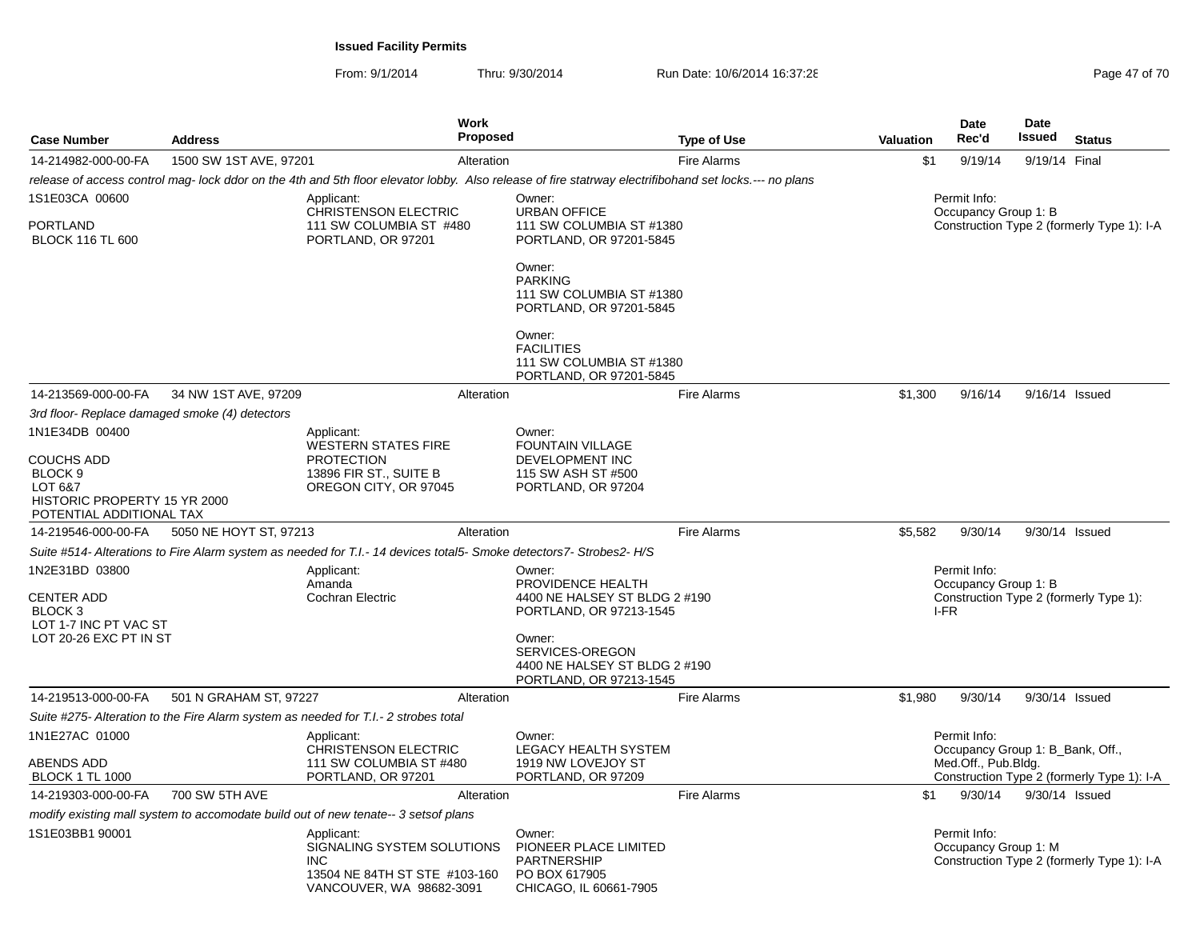| <b>Case Number</b>                                                                                             | <b>Address</b>                                 |                                                                                                                     | Work<br><b>Proposed</b> |                                                                                                                                                                                  | <b>Type of Use</b> | Valuation                                                                          | <b>Date</b><br>Rec'd                             | <b>Date</b><br>Issued | <b>Status</b>                              |  |
|----------------------------------------------------------------------------------------------------------------|------------------------------------------------|---------------------------------------------------------------------------------------------------------------------|-------------------------|----------------------------------------------------------------------------------------------------------------------------------------------------------------------------------|--------------------|------------------------------------------------------------------------------------|--------------------------------------------------|-----------------------|--------------------------------------------|--|
| 14-214982-000-00-FA                                                                                            | 1500 SW 1ST AVE, 97201                         |                                                                                                                     | Alteration              |                                                                                                                                                                                  | <b>Fire Alarms</b> | \$1                                                                                | 9/19/14                                          | 9/19/14 Final         |                                            |  |
|                                                                                                                |                                                |                                                                                                                     |                         | release of access control mag- lock ddor on the 4th and 5th floor elevator lobby. Also release of fire statrway electrifibohand set locks.--- no plans                           |                    |                                                                                    |                                                  |                       |                                            |  |
| 1S1E03CA 00600<br><b>PORTLAND</b><br><b>BLOCK 116 TL 600</b>                                                   |                                                | Applicant:<br>CHRISTENSON ELECTRIC<br>111 SW COLUMBIA ST #480<br>PORTLAND, OR 97201                                 |                         | Owner:<br><b>URBAN OFFICE</b><br>111 SW COLUMBIA ST #1380<br>PORTLAND, OR 97201-5845                                                                                             |                    | Permit Info:<br>Occupancy Group 1: B<br>Construction Type 2 (formerly Type 1): I-A |                                                  |                       |                                            |  |
|                                                                                                                |                                                |                                                                                                                     |                         | Owner:<br><b>PARKING</b><br>111 SW COLUMBIA ST #1380<br>PORTLAND, OR 97201-5845<br>Owner:<br><b>FACILITIES</b><br>111 SW COLUMBIA ST #1380<br>PORTLAND, OR 97201-5845            |                    |                                                                                    |                                                  |                       |                                            |  |
| 14-213569-000-00-FA                                                                                            | 34 NW 1ST AVE, 97209                           |                                                                                                                     | Alteration              |                                                                                                                                                                                  | <b>Fire Alarms</b> | \$1,300                                                                            | 9/16/14                                          | 9/16/14 Issued        |                                            |  |
|                                                                                                                | 3rd floor- Replace damaged smoke (4) detectors |                                                                                                                     |                         |                                                                                                                                                                                  |                    |                                                                                    |                                                  |                       |                                            |  |
| 1N1E34DB 00400                                                                                                 |                                                | Applicant:<br><b>WESTERN STATES FIRE</b>                                                                            |                         | Owner:<br><b>FOUNTAIN VILLAGE</b>                                                                                                                                                |                    |                                                                                    |                                                  |                       |                                            |  |
| <b>COUCHS ADD</b><br>BLOCK <sub>9</sub><br>LOT 6&7<br>HISTORIC PROPERTY 15 YR 2000<br>POTENTIAL ADDITIONAL TAX |                                                | <b>PROTECTION</b><br>13896 FIR ST., SUITE B<br>OREGON CITY, OR 97045                                                |                         | DEVELOPMENT INC<br>115 SW ASH ST #500<br>PORTLAND, OR 97204                                                                                                                      |                    |                                                                                    |                                                  |                       |                                            |  |
| 14-219546-000-00-FA                                                                                            | 5050 NE HOYT ST, 97213                         |                                                                                                                     | Alteration              |                                                                                                                                                                                  | <b>Fire Alarms</b> | \$5,582                                                                            | 9/30/14                                          | 9/30/14 Issued        |                                            |  |
|                                                                                                                |                                                | Suite #514- Alterations to Fire Alarm system as needed for T.I.- 14 devices total5- Smoke detectors7- Strobes2- H/S |                         |                                                                                                                                                                                  |                    |                                                                                    |                                                  |                       |                                            |  |
| 1N2E31BD 03800<br>CENTER ADD<br>BLOCK <sub>3</sub><br>LOT 1-7 INC PT VAC ST<br>LOT 20-26 EXC PT IN ST          |                                                | Applicant:<br>Amanda<br><b>Cochran Electric</b>                                                                     |                         | Owner:<br>PROVIDENCE HEALTH<br>4400 NE HALSEY ST BLDG 2 #190<br>PORTLAND, OR 97213-1545<br>Owner:<br>SERVICES-OREGON<br>4400 NE HALSEY ST BLDG 2 #190<br>PORTLAND, OR 97213-1545 |                    |                                                                                    | Permit Info:<br>Occupancy Group 1: B<br>I-FR     |                       | Construction Type 2 (formerly Type 1):     |  |
| 14-219513-000-00-FA                                                                                            | 501 N GRAHAM ST, 97227                         |                                                                                                                     | Alteration              |                                                                                                                                                                                  | <b>Fire Alarms</b> | \$1,980                                                                            | 9/30/14                                          | 9/30/14 Issued        |                                            |  |
|                                                                                                                |                                                | Suite #275- Alteration to the Fire Alarm system as needed for T.I.- 2 strobes total                                 |                         |                                                                                                                                                                                  |                    |                                                                                    |                                                  |                       |                                            |  |
| 1N1E27AC 01000                                                                                                 |                                                | Applicant:<br><b>CHRISTENSON ELECTRIC</b>                                                                           |                         | Owner:<br>LEGACY HEALTH SYSTEM                                                                                                                                                   |                    |                                                                                    | Permit Info:<br>Occupancy Group 1: B_Bank, Off., |                       |                                            |  |
| ABENDS ADD<br><b>BLOCK 1 TL 1000</b>                                                                           |                                                | 111 SW COLUMBIA ST #480<br>PORTLAND, OR 97201                                                                       |                         | 1919 NW LOVEJOY ST<br>PORTLAND, OR 97209                                                                                                                                         |                    |                                                                                    | Med.Off., Pub.Bldg.                              |                       | Construction Type 2 (formerly Type 1): I-A |  |
| 14-219303-000-00-FA                                                                                            | 700 SW 5TH AVE                                 |                                                                                                                     | Alteration              |                                                                                                                                                                                  | <b>Fire Alarms</b> | \$1                                                                                | 9/30/14                                          | 9/30/14 Issued        |                                            |  |
|                                                                                                                |                                                | modify existing mall system to accomodate build out of new tenate-- 3 setsof plans                                  |                         |                                                                                                                                                                                  |                    |                                                                                    |                                                  |                       |                                            |  |
| 1S1E03BB1 90001                                                                                                |                                                | Applicant:<br>SIGNALING SYSTEM SOLUTIONS<br><b>INC</b><br>13504 NE 84TH ST STE #103-160<br>VANCOUVER, WA 98682-3091 |                         | Owner:<br>PIONEER PLACE LIMITED<br><b>PARTNERSHIP</b><br>PO BOX 617905<br>CHICAGO, IL 60661-7905                                                                                 |                    |                                                                                    | Permit Info:<br>Occupancy Group 1: M             |                       | Construction Type 2 (formerly Type 1): I-A |  |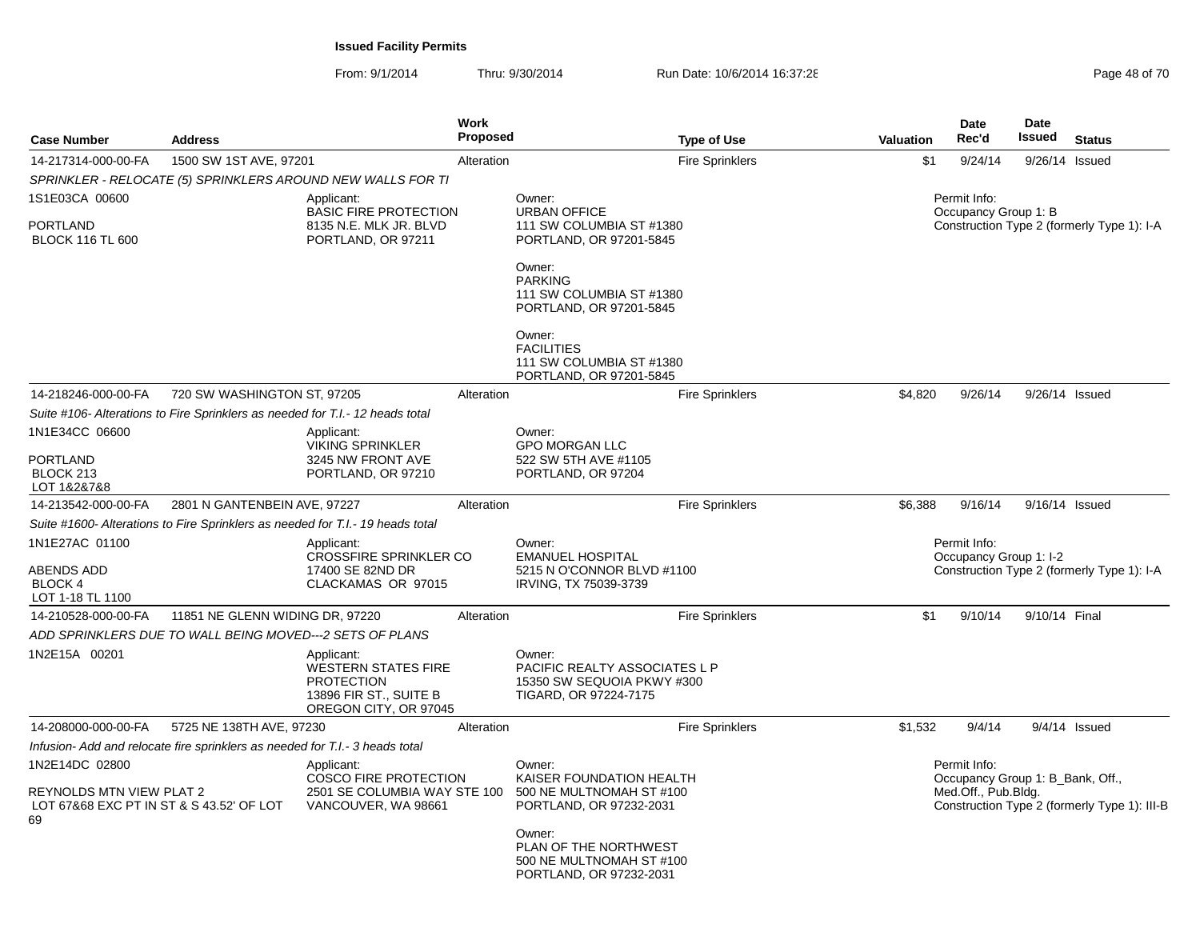| <b>Case Number</b>                                                                                  | <b>Address</b>                                                                                    |                                                                                                                  | Work<br>Proposed                                                                          |                                                                                                | <b>Type of Use</b>     | <b>Valuation</b>                                                                   | Date<br>Rec'd                                                           | <b>Date</b><br>Issued | <b>Status</b>                                |
|-----------------------------------------------------------------------------------------------------|---------------------------------------------------------------------------------------------------|------------------------------------------------------------------------------------------------------------------|-------------------------------------------------------------------------------------------|------------------------------------------------------------------------------------------------|------------------------|------------------------------------------------------------------------------------|-------------------------------------------------------------------------|-----------------------|----------------------------------------------|
| 14-217314-000-00-FA                                                                                 | 1500 SW 1ST AVE, 97201                                                                            |                                                                                                                  | Alteration                                                                                |                                                                                                | <b>Fire Sprinklers</b> | \$1                                                                                | 9/24/14                                                                 |                       | 9/26/14 Issued                               |
|                                                                                                     |                                                                                                   | SPRINKLER - RELOCATE (5) SPRINKLERS AROUND NEW WALLS FOR TI                                                      |                                                                                           |                                                                                                |                        |                                                                                    |                                                                         |                       |                                              |
| 1S1E03CA 00600<br><b>PORTLAND</b><br><b>BLOCK 116 TL 600</b>                                        |                                                                                                   | Applicant:<br><b>BASIC FIRE PROTECTION</b><br>8135 N.E. MLK JR. BLVD<br>PORTLAND, OR 97211                       |                                                                                           | Owner:<br><b>URBAN OFFICE</b><br>111 SW COLUMBIA ST #1380<br>PORTLAND, OR 97201-5845           |                        | Permit Info:<br>Occupancy Group 1: B<br>Construction Type 2 (formerly Type 1): I-A |                                                                         |                       |                                              |
|                                                                                                     |                                                                                                   |                                                                                                                  |                                                                                           | Owner:<br><b>PARKING</b><br>111 SW COLUMBIA ST #1380<br>PORTLAND, OR 97201-5845                |                        |                                                                                    |                                                                         |                       |                                              |
|                                                                                                     |                                                                                                   |                                                                                                                  |                                                                                           | Owner:<br><b>FACILITIES</b><br>111 SW COLUMBIA ST #1380<br>PORTLAND, OR 97201-5845             |                        |                                                                                    |                                                                         |                       |                                              |
| 14-218246-000-00-FA                                                                                 | 720 SW WASHINGTON ST, 97205                                                                       |                                                                                                                  | Alteration                                                                                |                                                                                                | <b>Fire Sprinklers</b> | \$4,820                                                                            | 9/26/14                                                                 |                       | 9/26/14 Issued                               |
|                                                                                                     |                                                                                                   | Suite #106- Alterations to Fire Sprinklers as needed for T.I.- 12 heads total                                    |                                                                                           |                                                                                                |                        |                                                                                    |                                                                         |                       |                                              |
| 1N1E34CC 06600                                                                                      |                                                                                                   | Applicant:<br><b>VIKING SPRINKLER</b>                                                                            |                                                                                           | Owner:<br><b>GPO MORGAN LLC</b>                                                                |                        |                                                                                    |                                                                         |                       |                                              |
| <b>PORTLAND</b><br>BLOCK 213<br>LOT 1&2&7&8                                                         |                                                                                                   | 3245 NW FRONT AVE<br>PORTLAND, OR 97210                                                                          |                                                                                           | 522 SW 5TH AVE #1105<br>PORTLAND, OR 97204                                                     |                        |                                                                                    |                                                                         |                       |                                              |
| 14-213542-000-00-FA                                                                                 | 2801 N GANTENBEIN AVE, 97227                                                                      |                                                                                                                  | Alteration                                                                                |                                                                                                | <b>Fire Sprinklers</b> | \$6,388                                                                            | 9/16/14                                                                 |                       | 9/16/14 Issued                               |
|                                                                                                     |                                                                                                   | Suite #1600- Alterations to Fire Sprinklers as needed for T.I.- 19 heads total                                   |                                                                                           |                                                                                                |                        |                                                                                    |                                                                         |                       |                                              |
| 1N1E27AC 01100<br>ABENDS ADD<br><b>BLOCK 4</b><br>LOT 1-18 TL 1100                                  |                                                                                                   | Applicant:<br><b>CROSSFIRE SPRINKLER CO</b><br>17400 SE 82ND DR<br>CLACKAMAS OR 97015                            |                                                                                           | Owner:<br><b>EMANUEL HOSPITAL</b><br>5215 N O'CONNOR BLVD #1100<br>IRVING, TX 75039-3739       |                        |                                                                                    | Permit Info:<br>Occupancy Group 1: I-2                                  |                       | Construction Type 2 (formerly Type 1): I-A   |
| 14-210528-000-00-FA                                                                                 | 11851 NE GLENN WIDING DR, 97220                                                                   |                                                                                                                  | Alteration                                                                                |                                                                                                | <b>Fire Sprinklers</b> | \$1                                                                                | 9/10/14                                                                 | 9/10/14 Final         |                                              |
|                                                                                                     |                                                                                                   | ADD SPRINKLERS DUE TO WALL BEING MOVED---2 SETS OF PLANS                                                         |                                                                                           |                                                                                                |                        |                                                                                    |                                                                         |                       |                                              |
| 1N2E15A 00201                                                                                       |                                                                                                   | Applicant:<br><b>WESTERN STATES FIRE</b><br><b>PROTECTION</b><br>13896 FIR ST., SUITE B<br>OREGON CITY, OR 97045 |                                                                                           | Owner:<br>PACIFIC REALTY ASSOCIATES L P<br>15350 SW SEQUOIA PKWY #300<br>TIGARD, OR 97224-7175 |                        |                                                                                    |                                                                         |                       |                                              |
| 14-208000-000-00-FA                                                                                 | 5725 NE 138TH AVE, 97230                                                                          |                                                                                                                  | Alteration                                                                                |                                                                                                | <b>Fire Sprinklers</b> | \$1,532                                                                            | 9/4/14                                                                  |                       | $9/4/14$ Issued                              |
|                                                                                                     | Infusion- Add and relocate fire sprinklers as needed for T.I.- 3 heads total                      |                                                                                                                  |                                                                                           |                                                                                                |                        |                                                                                    |                                                                         |                       |                                              |
| 1N2E14DC 02800<br><b>REYNOLDS MTN VIEW PLAT 2</b><br>LOT 67&68 EXC PT IN ST & S 43.52' OF LOT<br>69 | Applicant:<br><b>COSCO FIRE PROTECTION</b><br>2501 SE COLUMBIA WAY STE 100<br>VANCOUVER, WA 98661 |                                                                                                                  | Owner:<br>KAISER FOUNDATION HEALTH<br>500 NE MULTNOMAH ST #100<br>PORTLAND, OR 97232-2031 |                                                                                                |                        |                                                                                    | Permit Info:<br>Occupancy Group 1: B Bank, Off.,<br>Med.Off., Pub.Bldg. |                       | Construction Type 2 (formerly Type 1): III-B |
|                                                                                                     |                                                                                                   |                                                                                                                  |                                                                                           | Owner:<br>PLAN OF THE NORTHWEST<br>500 NE MULTNOMAH ST #100<br>PORTLAND, OR 97232-2031         |                        |                                                                                    |                                                                         |                       |                                              |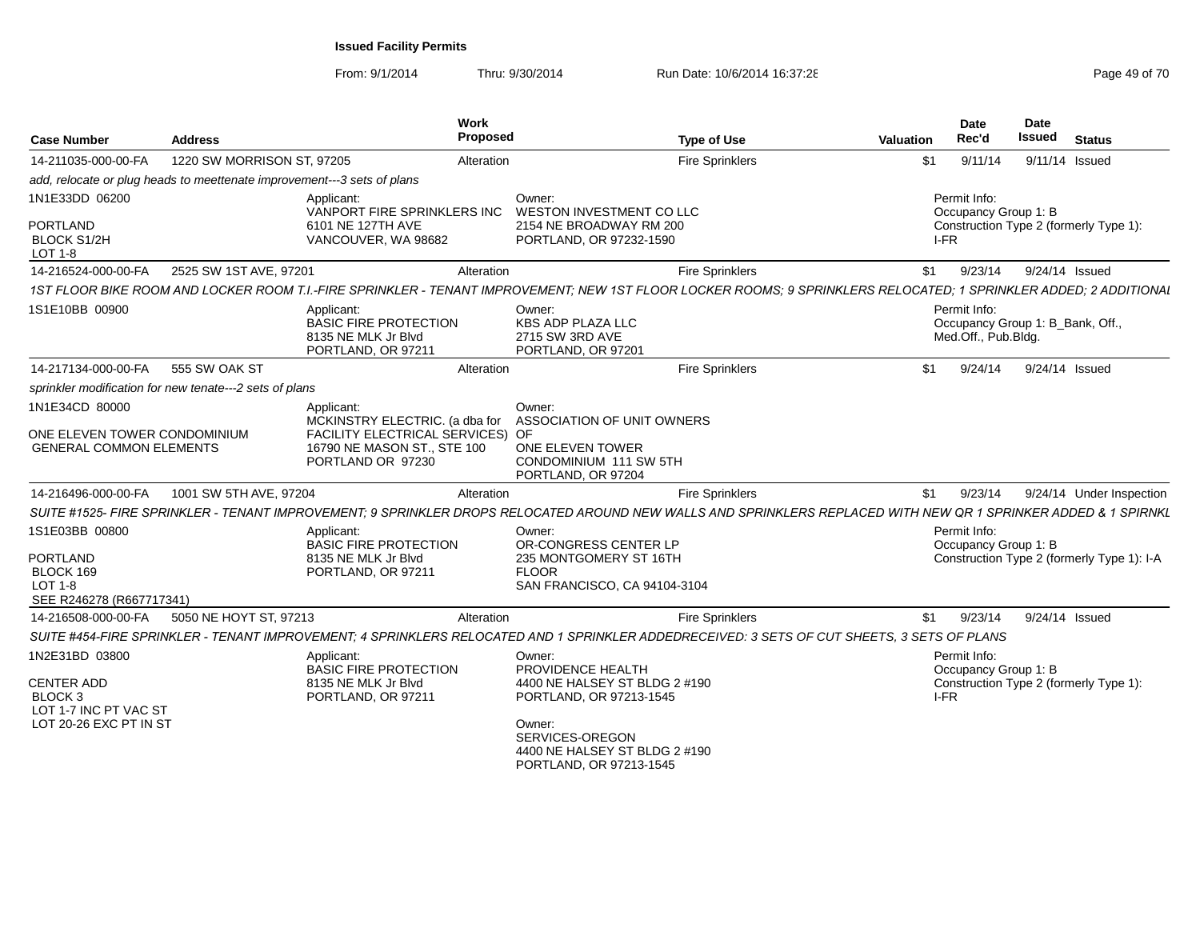| <b>Case Number</b>                                               | <b>Address</b>                                                          | <b>Work</b><br><b>Proposed</b>                                                                                                                                    |                                                                                                           | <b>Type of Use</b>     | <b>Valuation</b> | Date<br>Rec'd                                                           | <b>Date</b><br>Issued | <b>Status</b>                              |
|------------------------------------------------------------------|-------------------------------------------------------------------------|-------------------------------------------------------------------------------------------------------------------------------------------------------------------|-----------------------------------------------------------------------------------------------------------|------------------------|------------------|-------------------------------------------------------------------------|-----------------------|--------------------------------------------|
| 14-211035-000-00-FA                                              | 1220 SW MORRISON ST, 97205                                              | Alteration                                                                                                                                                        |                                                                                                           | <b>Fire Sprinklers</b> | \$1              | 9/11/14                                                                 | 9/11/14 Issued        |                                            |
|                                                                  | add, relocate or plug heads to meettenate improvement---3 sets of plans |                                                                                                                                                                   |                                                                                                           |                        |                  |                                                                         |                       |                                            |
| 1N1E33DD 06200<br>PORTLAND<br><b>BLOCK S1/2H</b>                 |                                                                         | Applicant:<br>VANPORT FIRE SPRINKLERS INC<br>6101 NE 127TH AVE<br>VANCOUVER, WA 98682                                                                             | Owner:<br>WESTON INVESTMENT CO LLC<br>2154 NE BROADWAY RM 200<br>PORTLAND, OR 97232-1590                  |                        | I-FR             | Permit Info:<br>Occupancy Group 1: B                                    |                       | Construction Type 2 (formerly Type 1):     |
| LOT 1-8                                                          |                                                                         |                                                                                                                                                                   |                                                                                                           |                        |                  |                                                                         |                       |                                            |
| 14-216524-000-00-FA                                              | 2525 SW 1ST AVE, 97201                                                  | Alteration                                                                                                                                                        |                                                                                                           | <b>Fire Sprinklers</b> | \$1              | 9/23/14                                                                 | 9/24/14 Issued        |                                            |
|                                                                  |                                                                         | 1ST FLOOR BIKE ROOM AND LOCKER ROOM T.I.-FIRE SPRINKLER - TENANT IMPROVEMENT: NEW 1ST FLOOR LOCKER ROOMS: 9 SPRINKLERS RELOCATED: 1 SPRINKLER ADDED: 2 ADDITIONAL |                                                                                                           |                        |                  |                                                                         |                       |                                            |
| 1S1E10BB 00900                                                   |                                                                         | Applicant:<br><b>BASIC FIRE PROTECTION</b><br>8135 NE MLK Jr Blvd<br>PORTLAND, OR 97211                                                                           | Owner:<br><b>KBS ADP PLAZA LLC</b><br>2715 SW 3RD AVE<br>PORTLAND, OR 97201                               |                        |                  | Permit Info:<br>Occupancy Group 1: B_Bank, Off.,<br>Med.Off., Pub.Bldg. |                       |                                            |
| 14-217134-000-00-FA                                              | 555 SW OAK ST                                                           | Alteration                                                                                                                                                        |                                                                                                           | <b>Fire Sprinklers</b> | \$1              | 9/24/14                                                                 | 9/24/14 Issued        |                                            |
|                                                                  | sprinkler modification for new tenate---2 sets of plans                 |                                                                                                                                                                   |                                                                                                           |                        |                  |                                                                         |                       |                                            |
| 1N1E34CD 80000                                                   |                                                                         | Applicant:<br>MCKINSTRY ELECTRIC. (a dba for ASSOCIATION OF UNIT OWNERS                                                                                           | Owner:                                                                                                    |                        |                  |                                                                         |                       |                                            |
| ONE ELEVEN TOWER CONDOMINIUM<br><b>GENERAL COMMON ELEMENTS</b>   |                                                                         | FACILITY ELECTRICAL SERVICES) OF<br>16790 NE MASON ST., STE 100<br>PORTLAND OR 97230                                                                              | ONE ELEVEN TOWER<br>CONDOMINIUM 111 SW 5TH<br>PORTLAND, OR 97204                                          |                        |                  |                                                                         |                       |                                            |
| 14-216496-000-00-FA                                              | 1001 SW 5TH AVE, 97204                                                  | Alteration                                                                                                                                                        |                                                                                                           | <b>Fire Sprinklers</b> | \$1              | 9/23/14                                                                 |                       | 9/24/14 Under Inspection                   |
|                                                                  |                                                                         | SUITE #1525- FIRE SPRINKLER - TENANT IMPROVEMENT: 9 SPRINKLER DROPS RELOCATED AROUND NEW WALLS AND SPRINKLERS REPLACED WITH NEW OR 1 SPRINKER ADDED & 1 SPIRNKL   |                                                                                                           |                        |                  |                                                                         |                       |                                            |
| 1S1E03BB 00800<br><b>PORTLAND</b><br>BLOCK 169<br>LOT 1-8        |                                                                         | Applicant:<br><b>BASIC FIRE PROTECTION</b><br>8135 NE MLK Jr Blvd<br>PORTLAND, OR 97211                                                                           | Owner:<br>OR-CONGRESS CENTER LP<br>235 MONTGOMERY ST 16TH<br><b>FLOOR</b><br>SAN FRANCISCO, CA 94104-3104 |                        |                  | Permit Info:<br>Occupancy Group 1: B                                    |                       | Construction Type 2 (formerly Type 1): I-A |
| SEE R246278 (R667717341)<br>14-216508-000-00-FA                  | 5050 NE HOYT ST, 97213                                                  | Alteration                                                                                                                                                        |                                                                                                           | <b>Fire Sprinklers</b> | \$1              | 9/23/14                                                                 | 9/24/14 Issued        |                                            |
|                                                                  |                                                                         | SUITE #454-FIRE SPRINKLER - TENANT IMPROVEMENT: 4 SPRINKLERS RELOCATED AND 1 SPRINKLER ADDEDRECEIVED: 3 SETS OF CUT SHEETS. 3 SETS OF PLANS                       |                                                                                                           |                        |                  |                                                                         |                       |                                            |
| 1N2E31BD 03800                                                   |                                                                         | Applicant:<br><b>BASIC FIRE PROTECTION</b>                                                                                                                        | Owner:<br>PROVIDENCE HEALTH                                                                               |                        |                  | Permit Info:<br>Occupancy Group 1: B                                    |                       |                                            |
| <b>CENTER ADD</b><br>BLOCK <sub>3</sub><br>LOT 1-7 INC PT VAC ST |                                                                         | 8135 NE MLK Jr Blvd<br>PORTLAND, OR 97211                                                                                                                         | 4400 NE HALSEY ST BLDG 2 #190<br>PORTLAND, OR 97213-1545                                                  |                        | I-FR             |                                                                         |                       | Construction Type 2 (formerly Type 1):     |
| LOT 20-26 EXC PT IN ST                                           |                                                                         |                                                                                                                                                                   | Owner:<br>SERVICES-OREGON<br>4400 NE HALSEY ST BLDG 2 #190<br>PORTLAND, OR 97213-1545                     |                        |                  |                                                                         |                       |                                            |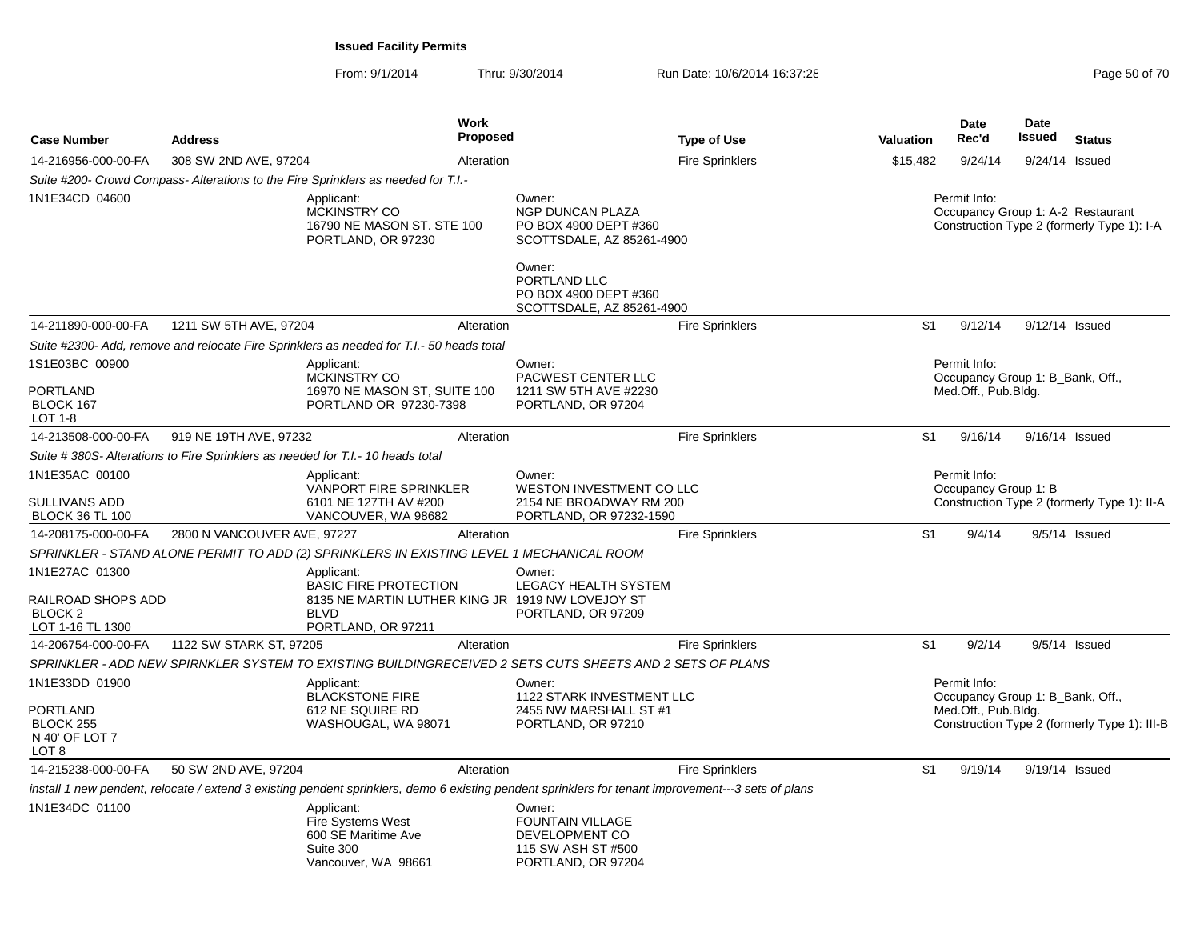| <b>Case Number</b>                                                             | <b>Address</b>              | <b>Work</b><br><b>Proposed</b>                                                                                                                      |                                                                                                                                                                  | <b>Type of Use</b>     | <b>Valuation</b> | Date<br>Rec'd                                                           | <b>Date</b><br><b>Issued</b> | <b>Status</b>                                                                   |
|--------------------------------------------------------------------------------|-----------------------------|-----------------------------------------------------------------------------------------------------------------------------------------------------|------------------------------------------------------------------------------------------------------------------------------------------------------------------|------------------------|------------------|-------------------------------------------------------------------------|------------------------------|---------------------------------------------------------------------------------|
| 14-216956-000-00-FA                                                            | 308 SW 2ND AVE, 97204       | Alteration                                                                                                                                          |                                                                                                                                                                  | <b>Fire Sprinklers</b> | \$15,482         | 9/24/14                                                                 |                              | 9/24/14 Issued                                                                  |
|                                                                                |                             | Suite #200- Crowd Compass- Alterations to the Fire Sprinklers as needed for T.I.-                                                                   |                                                                                                                                                                  |                        |                  |                                                                         |                              |                                                                                 |
| 1N1E34CD 04600                                                                 |                             | Applicant:<br><b>MCKINSTRY CO</b><br>16790 NE MASON ST. STE 100<br>PORTLAND, OR 97230                                                               | Owner:<br>NGP DUNCAN PLAZA<br>PO BOX 4900 DEPT #360<br>SCOTTSDALE, AZ 85261-4900<br>Owner:<br>PORTLAND LLC<br>PO BOX 4900 DEPT #360<br>SCOTTSDALE, AZ 85261-4900 |                        |                  | Permit Info:                                                            |                              | Occupancy Group 1: A-2 Restaurant<br>Construction Type 2 (formerly Type 1): I-A |
| 14-211890-000-00-FA                                                            | 1211 SW 5TH AVE, 97204      | Alteration                                                                                                                                          |                                                                                                                                                                  | <b>Fire Sprinklers</b> | \$1              | 9/12/14                                                                 | 9/12/14 Issued               |                                                                                 |
|                                                                                |                             | Suite #2300- Add, remove and relocate Fire Sprinklers as needed for T.I.- 50 heads total                                                            |                                                                                                                                                                  |                        |                  |                                                                         |                              |                                                                                 |
| 1S1E03BC 00900<br>PORTLAND<br>BLOCK 167<br>LOT 1-8                             |                             | Applicant:<br><b>MCKINSTRY CO</b><br>16970 NE MASON ST, SUITE 100<br>PORTLAND OR 97230-7398                                                         | Owner:<br>PACWEST CENTER LLC<br>1211 SW 5TH AVE #2230<br>PORTLAND, OR 97204                                                                                      |                        |                  | Permit Info:<br>Occupancy Group 1: B_Bank, Off.,<br>Med.Off., Pub.Bldg. |                              |                                                                                 |
| 14-213508-000-00-FA                                                            | 919 NE 19TH AVE, 97232      | Alteration                                                                                                                                          |                                                                                                                                                                  | <b>Fire Sprinklers</b> | \$1              | 9/16/14                                                                 | 9/16/14 Issued               |                                                                                 |
|                                                                                |                             | Suite # 380S- Alterations to Fire Sprinklers as needed for T.I.- 10 heads total                                                                     |                                                                                                                                                                  |                        |                  |                                                                         |                              |                                                                                 |
| 1N1E35AC 00100<br>SULLIVANS ADD<br><b>BLOCK 36 TL 100</b>                      |                             | Applicant:<br><b>VANPORT FIRE SPRINKLER</b><br>6101 NE 127TH AV #200<br>VANCOUVER, WA 98682                                                         | Owner:<br>WESTON INVESTMENT CO LLC<br>2154 NE BROADWAY RM 200<br>PORTLAND, OR 97232-1590                                                                         |                        |                  | Permit Info:<br>Occupancy Group 1: B                                    |                              | Construction Type 2 (formerly Type 1): II-A                                     |
| 14-208175-000-00-FA                                                            | 2800 N VANCOUVER AVE, 97227 | Alteration                                                                                                                                          |                                                                                                                                                                  | <b>Fire Sprinklers</b> | \$1              | 9/4/14                                                                  |                              | 9/5/14 Issued                                                                   |
|                                                                                |                             | SPRINKLER - STAND ALONE PERMIT TO ADD (2) SPRINKLERS IN EXISTING LEVEL 1 MECHANICAL ROOM                                                            |                                                                                                                                                                  |                        |                  |                                                                         |                              |                                                                                 |
| 1N1E27AC 01300<br>RAILROAD SHOPS ADD<br>BLOCK <sub>2</sub><br>LOT 1-16 TL 1300 |                             | Applicant:<br><b>BASIC FIRE PROTECTION</b><br>8135 NE MARTIN LUTHER KING JR 1919 NW LOVEJOY ST<br><b>BLVD</b><br>PORTLAND, OR 97211                 | Owner:<br><b>LEGACY HEALTH SYSTEM</b><br>PORTLAND, OR 97209                                                                                                      |                        |                  |                                                                         |                              |                                                                                 |
| 14-206754-000-00-FA                                                            | 1122 SW STARK ST, 97205     | Alteration                                                                                                                                          |                                                                                                                                                                  | <b>Fire Sprinklers</b> | \$1              | 9/2/14                                                                  |                              | 9/5/14 Issued                                                                   |
|                                                                                |                             | SPRINKLER - ADD NEW SPIRNKLER SYSTEM TO EXISTING BUILDINGRECEIVED 2 SETS CUTS SHEETS AND 2 SETS OF PLANS                                            |                                                                                                                                                                  |                        |                  |                                                                         |                              |                                                                                 |
| 1N1E33DD 01900<br>PORTLAND<br><b>BLOCK 255</b><br>N 40' OF LOT 7<br>LOT 8      |                             | Applicant:<br><b>BLACKSTONE FIRE</b><br>612 NE SQUIRE RD<br>WASHOUGAL, WA 98071                                                                     | Owner:<br>1122 STARK INVESTMENT LLC<br>2455 NW MARSHALL ST #1<br>PORTLAND, OR 97210                                                                              |                        |                  | Permit Info:<br>Occupancy Group 1: B_Bank, Off.,<br>Med.Off., Pub.Bldg. |                              | Construction Type 2 (formerly Type 1): III-B                                    |
| 14-215238-000-00-FA                                                            | 50 SW 2ND AVE, 97204        | Alteration                                                                                                                                          |                                                                                                                                                                  | <b>Fire Sprinklers</b> | \$1              | 9/19/14                                                                 | 9/19/14 Issued               |                                                                                 |
|                                                                                |                             | install 1 new pendent, relocate / extend 3 existing pendent sprinklers, demo 6 existing pendent sprinklers for tenant improvement---3 sets of plans |                                                                                                                                                                  |                        |                  |                                                                         |                              |                                                                                 |
| 1N1E34DC 01100                                                                 |                             | Applicant:<br><b>Fire Systems West</b><br>600 SE Maritime Ave<br>Suite 300<br>Vancouver, WA 98661                                                   | Owner:<br><b>FOUNTAIN VILLAGE</b><br>DEVELOPMENT CO<br>115 SW ASH ST #500<br>PORTLAND, OR 97204                                                                  |                        |                  |                                                                         |                              |                                                                                 |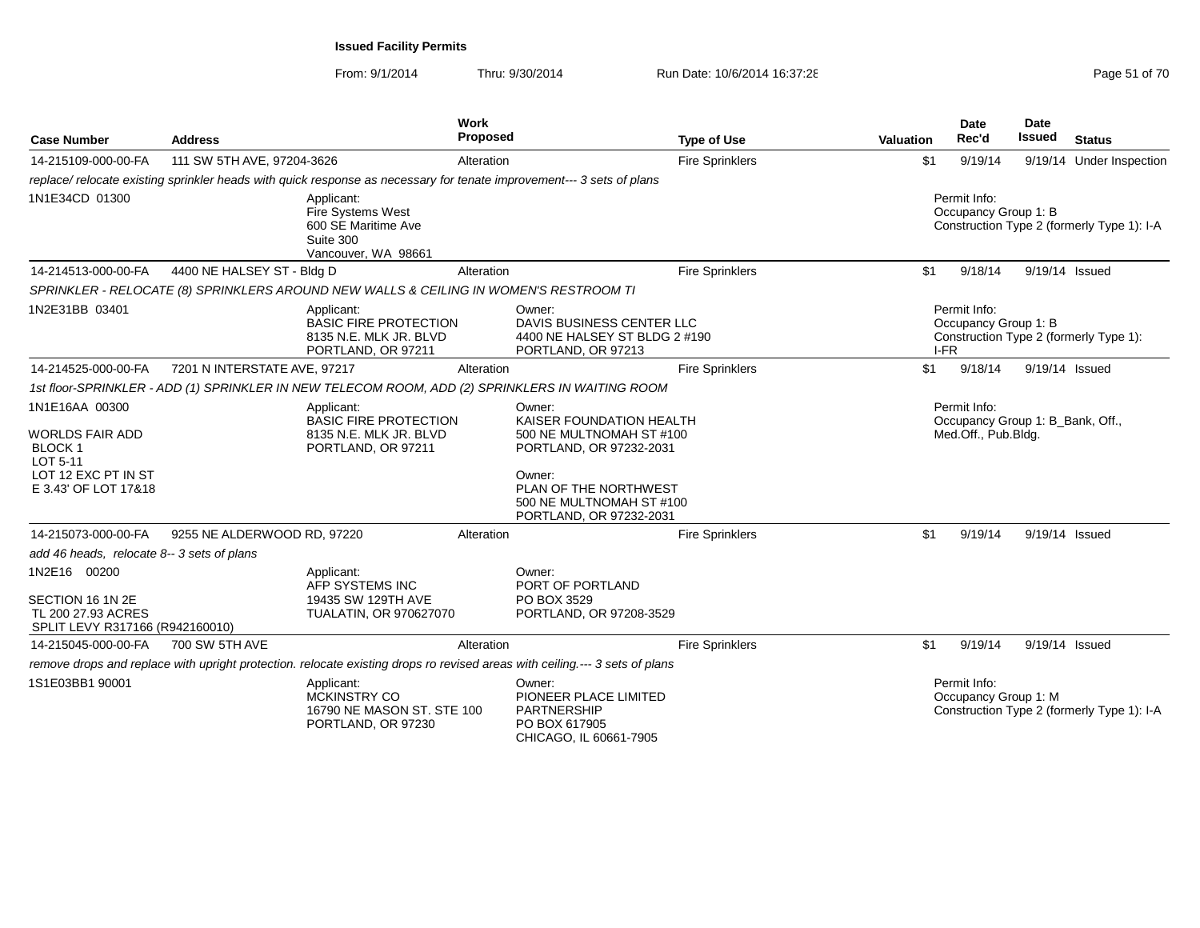| <b>Case Number</b>                                                        | <b>Address</b>               |                                                                                                                      | Work<br>Proposed |                                                                                                                             | <b>Type of Use</b>     | <b>Valuation</b> | <b>Date</b><br>Rec'd                             | <b>Date</b><br>Issued | <b>Status</b>                              |
|---------------------------------------------------------------------------|------------------------------|----------------------------------------------------------------------------------------------------------------------|------------------|-----------------------------------------------------------------------------------------------------------------------------|------------------------|------------------|--------------------------------------------------|-----------------------|--------------------------------------------|
| 14-215109-000-00-FA                                                       | 111 SW 5TH AVE, 97204-3626   |                                                                                                                      | Alteration       |                                                                                                                             | <b>Fire Sprinklers</b> | \$1              | 9/19/14                                          |                       | 9/19/14 Under Inspection                   |
|                                                                           |                              | replace/relocate existing sprinkler heads with quick response as necessary for tenate improvement--- 3 sets of plans |                  |                                                                                                                             |                        |                  |                                                  |                       |                                            |
| 1N1E34CD 01300                                                            |                              | Applicant:<br>Fire Systems West<br>600 SE Maritime Ave<br>Suite 300<br>Vancouver, WA 98661                           |                  |                                                                                                                             |                        |                  | Permit Info:<br>Occupancy Group 1: B             |                       | Construction Type 2 (formerly Type 1): I-A |
| 14-214513-000-00-FA                                                       | 4400 NE HALSEY ST - Bldg D   |                                                                                                                      | Alteration       |                                                                                                                             | <b>Fire Sprinklers</b> | \$1              | 9/18/14                                          |                       | 9/19/14 Issued                             |
|                                                                           |                              | SPRINKLER - RELOCATE (8) SPRINKLERS AROUND NEW WALLS & CEILING IN WOMEN'S RESTROOM TI                                |                  |                                                                                                                             |                        |                  |                                                  |                       |                                            |
| 1N2E31BB 03401                                                            |                              | Applicant:<br><b>BASIC FIRE PROTECTION</b><br>8135 N.E. MLK JR. BLVD<br>PORTLAND, OR 97211                           |                  | Owner:<br>DAVIS BUSINESS CENTER LLC<br>4400 NE HALSEY ST BLDG 2 #190<br>PORTLAND, OR 97213                                  |                        | I-FR             | Permit Info:<br>Occupancy Group 1: B             |                       | Construction Type 2 (formerly Type 1):     |
| 14-214525-000-00-FA                                                       | 7201 N INTERSTATE AVE, 97217 |                                                                                                                      | Alteration       |                                                                                                                             | <b>Fire Sprinklers</b> | \$1              | 9/18/14                                          |                       | 9/19/14 Issued                             |
|                                                                           |                              |                                                                                                                      |                  | 1st floor-SPRINKLER - ADD (1) SPRINKLER IN NEW TELECOM ROOM, ADD (2) SPRINKLERS IN WAITING ROOM                             |                        |                  |                                                  |                       |                                            |
| 1N1E16AA 00300                                                            |                              | Applicant:<br><b>BASIC FIRE PROTECTION</b>                                                                           |                  | Owner:<br>KAISER FOUNDATION HEALTH                                                                                          |                        |                  | Permit Info:<br>Occupancy Group 1: B_Bank, Off., |                       |                                            |
| <b>WORLDS FAIR ADD</b><br><b>BLOCK1</b><br>LOT 5-11                       |                              | 8135 N.E. MLK JR. BLVD<br>PORTLAND, OR 97211                                                                         |                  | 500 NE MULTNOMAH ST #100<br>PORTLAND, OR 97232-2031                                                                         |                        |                  | Med.Off., Pub.Bldg.                              |                       |                                            |
| LOT 12 EXC PT IN ST<br>E 3.43' OF LOT 17&18                               |                              |                                                                                                                      |                  | Owner:<br>PLAN OF THE NORTHWEST<br>500 NE MULTNOMAH ST #100<br>PORTLAND, OR 97232-2031                                      |                        |                  |                                                  |                       |                                            |
| 14-215073-000-00-FA                                                       | 9255 NE ALDERWOOD RD, 97220  |                                                                                                                      | Alteration       |                                                                                                                             | <b>Fire Sprinklers</b> | \$1              | 9/19/14                                          | 9/19/14 Issued        |                                            |
| add 46 heads, relocate 8-- 3 sets of plans                                |                              |                                                                                                                      |                  |                                                                                                                             |                        |                  |                                                  |                       |                                            |
| 1N2E16 00200                                                              |                              | Applicant:<br>AFP SYSTEMS INC                                                                                        |                  | Owner:<br>PORT OF PORTLAND                                                                                                  |                        |                  |                                                  |                       |                                            |
| SECTION 16 1N 2E<br>TL 200 27.93 ACRES<br>SPLIT LEVY R317166 (R942160010) |                              | 19435 SW 129TH AVE<br>TUALATIN, OR 970627070                                                                         |                  | PO BOX 3529<br>PORTLAND, OR 97208-3529                                                                                      |                        |                  |                                                  |                       |                                            |
| 14-215045-000-00-FA                                                       | 700 SW 5TH AVE               |                                                                                                                      | Alteration       |                                                                                                                             | <b>Fire Sprinklers</b> | \$1              | 9/19/14                                          |                       | 9/19/14 Issued                             |
|                                                                           |                              |                                                                                                                      |                  | remove drops and replace with upright protection. relocate existing drops ro revised areas with ceiling.--- 3 sets of plans |                        |                  |                                                  |                       |                                            |
| 1S1E03BB1 90001                                                           |                              | Applicant:<br><b>MCKINSTRY CO</b><br>16790 NE MASON ST. STE 100<br>PORTLAND, OR 97230                                |                  | Owner:<br>PIONEER PLACE LIMITED<br>PARTNERSHIP<br>PO BOX 617905<br>CHICAGO, IL 60661-7905                                   |                        |                  | Permit Info:<br>Occupancy Group 1: M             |                       | Construction Type 2 (formerly Type 1): I-A |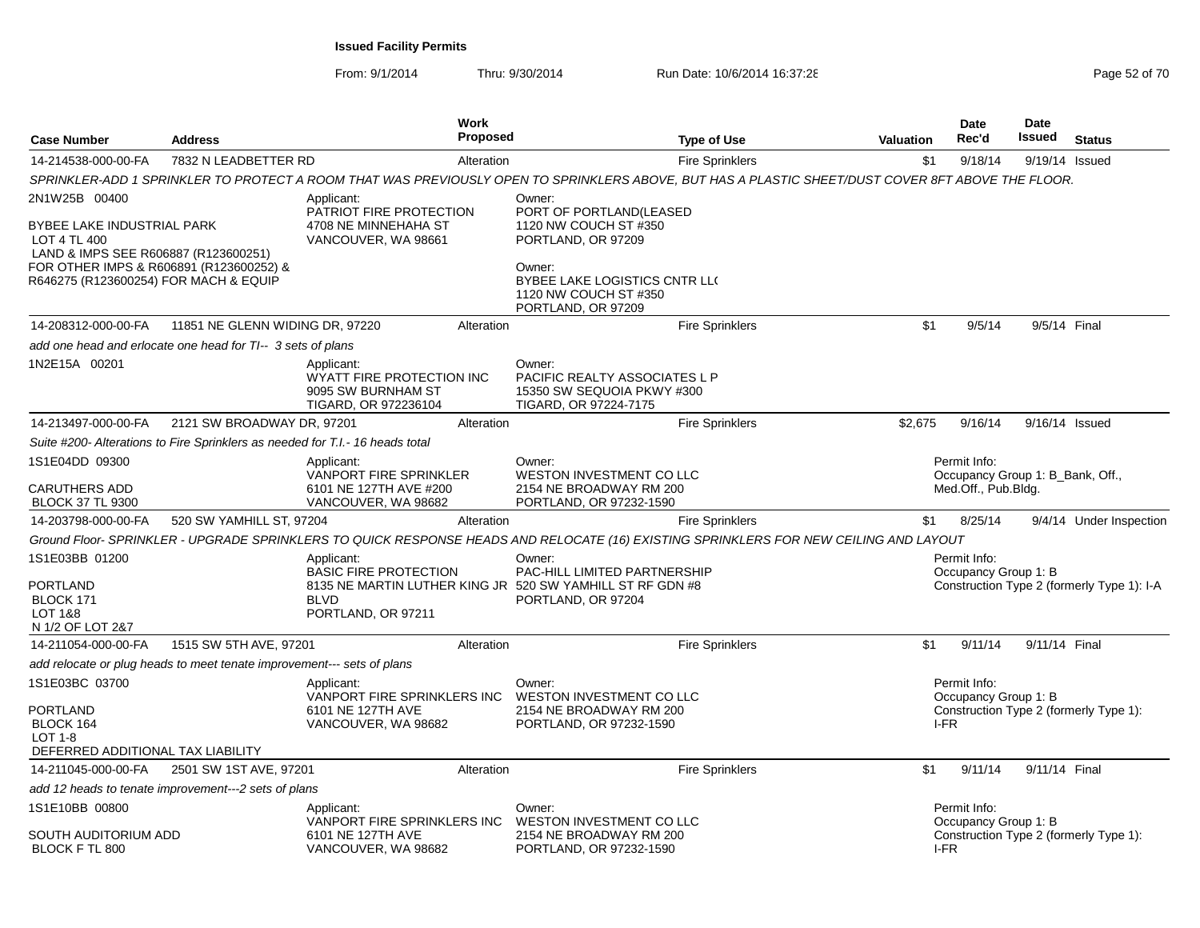| <b>Case Number</b>                                                                                                                             | <b>Address</b>                                                                | <b>Work</b><br><b>Proposed</b>                                                                                                               | <b>Type of Use</b>                                                                                                                                | <b>Valuation</b> | Date<br>Rec'd                                    | Date<br>Issued | <b>Status</b>                              |
|------------------------------------------------------------------------------------------------------------------------------------------------|-------------------------------------------------------------------------------|----------------------------------------------------------------------------------------------------------------------------------------------|---------------------------------------------------------------------------------------------------------------------------------------------------|------------------|--------------------------------------------------|----------------|--------------------------------------------|
| 14-214538-000-00-FA                                                                                                                            | 7832 N LEADBETTER RD                                                          | Alteration                                                                                                                                   | <b>Fire Sprinklers</b>                                                                                                                            | \$1              | 9/18/14                                          |                | 9/19/14 Issued                             |
|                                                                                                                                                |                                                                               |                                                                                                                                              | SPRINKLER-ADD 1 SPRINKLER TO PROTECT A ROOM THAT WAS PREVIOUSLY OPEN TO SPRINKLERS ABOVE, BUT HAS A PLASTIC SHEET/DUST COVER 8FT ABOVE THE FLOOR. |                  |                                                  |                |                                            |
| 2N1W25B 00400<br>BYBEE LAKE INDUSTRIAL PARK<br>LOT 4 TL 400<br>LAND & IMPS SEE R606887 (R123600251)<br>FOR OTHER IMPS & R606891 (R123600252) & |                                                                               | Applicant:<br>PATRIOT FIRE PROTECTION<br>4708 NE MINNEHAHA ST<br>VANCOUVER, WA 98661                                                         | Owner:<br>PORT OF PORTLAND(LEASED<br>1120 NW COUCH ST #350<br>PORTLAND, OR 97209<br>Owner:                                                        |                  |                                                  |                |                                            |
| R646275 (R123600254) FOR MACH & EQUIP                                                                                                          |                                                                               |                                                                                                                                              | BYBEE LAKE LOGISTICS CNTR LL(<br>1120 NW COUCH ST #350<br>PORTLAND, OR 97209                                                                      |                  |                                                  |                |                                            |
| 14-208312-000-00-FA                                                                                                                            | 11851 NE GLENN WIDING DR, 97220                                               | Alteration                                                                                                                                   | <b>Fire Sprinklers</b>                                                                                                                            | \$1              | 9/5/14                                           | 9/5/14 Final   |                                            |
|                                                                                                                                                | add one head and erlocate one head for TI-- 3 sets of plans                   |                                                                                                                                              |                                                                                                                                                   |                  |                                                  |                |                                            |
| 1N2E15A 00201                                                                                                                                  |                                                                               | Applicant:<br>WYATT FIRE PROTECTION INC<br>9095 SW BURNHAM ST<br>TIGARD, OR 972236104                                                        | Owner:<br>PACIFIC REALTY ASSOCIATES L P<br>15350 SW SEQUOIA PKWY #300<br>TIGARD, OR 97224-7175                                                    |                  |                                                  |                |                                            |
| 14-213497-000-00-FA                                                                                                                            | 2121 SW BROADWAY DR, 97201                                                    | Alteration                                                                                                                                   | <b>Fire Sprinklers</b>                                                                                                                            | \$2,675          | 9/16/14                                          |                | 9/16/14 Issued                             |
|                                                                                                                                                | Suite #200- Alterations to Fire Sprinklers as needed for T.I.- 16 heads total |                                                                                                                                              |                                                                                                                                                   |                  |                                                  |                |                                            |
| 1S1E04DD 09300                                                                                                                                 |                                                                               | Applicant:<br><b>VANPORT FIRE SPRINKLER</b>                                                                                                  | Owner:<br>WESTON INVESTMENT CO LLC                                                                                                                |                  | Permit Info:<br>Occupancy Group 1: B_Bank, Off., |                |                                            |
| <b>CARUTHERS ADD</b><br><b>BLOCK 37 TL 9300</b>                                                                                                |                                                                               | 6101 NE 127TH AVE #200<br>VANCOUVER, WA 98682                                                                                                | 2154 NE BROADWAY RM 200<br>PORTLAND, OR 97232-1590                                                                                                |                  | Med.Off., Pub.Bldg.                              |                |                                            |
| 14-203798-000-00-FA                                                                                                                            | 520 SW YAMHILL ST, 97204                                                      | Alteration                                                                                                                                   | <b>Fire Sprinklers</b>                                                                                                                            | \$1              | 8/25/14                                          |                | 9/4/14 Under Inspection                    |
|                                                                                                                                                |                                                                               |                                                                                                                                              | Ground Floor-SPRINKLER - UPGRADE SPRINKLERS TO QUICK RESPONSE HEADS AND RELOCATE (16) EXISTING SPRINKLERS FOR NEW CEILING AND LAYOUT              |                  |                                                  |                |                                            |
| 1S1E03BB 01200<br><b>PORTLAND</b><br>BLOCK 171<br>LOT 1&8<br>N 1/2 OF LOT 2&7                                                                  |                                                                               | Applicant:<br><b>BASIC FIRE PROTECTION</b><br>8135 NE MARTIN LUTHER KING JR 520 SW YAMHILL ST RF GDN #8<br><b>BLVD</b><br>PORTLAND, OR 97211 | Owner:<br>PAC-HILL LIMITED PARTNERSHIP<br>PORTLAND, OR 97204                                                                                      |                  | Permit Info:<br>Occupancy Group 1: B             |                | Construction Type 2 (formerly Type 1): I-A |
| 14-211054-000-00-FA                                                                                                                            | 1515 SW 5TH AVE, 97201                                                        | Alteration                                                                                                                                   | <b>Fire Sprinklers</b>                                                                                                                            | \$1              | 9/11/14                                          | 9/11/14 Final  |                                            |
|                                                                                                                                                | add relocate or plug heads to meet tenate improvement--- sets of plans        |                                                                                                                                              |                                                                                                                                                   |                  |                                                  |                |                                            |
| 1S1E03BC 03700                                                                                                                                 |                                                                               | Applicant:<br>VANPORT FIRE SPRINKLERS INC                                                                                                    | Owner:<br>WESTON INVESTMENT CO LLC                                                                                                                |                  | Permit Info:<br>Occupancy Group 1: B             |                |                                            |
| <b>PORTLAND</b><br>BLOCK 164<br>LOT 1-8<br>DEFERRED ADDITIONAL TAX LIABILITY                                                                   |                                                                               | 6101 NE 127TH AVE<br>VANCOUVER, WA 98682                                                                                                     | 2154 NE BROADWAY RM 200<br>PORTLAND, OR 97232-1590                                                                                                |                  | I-FR                                             |                | Construction Type 2 (formerly Type 1):     |
| 14-211045-000-00-FA                                                                                                                            | 2501 SW 1ST AVE, 97201                                                        | Alteration                                                                                                                                   | Fire Sprinklers                                                                                                                                   | \$1              | 9/11/14                                          | 9/11/14 Final  |                                            |
|                                                                                                                                                | add 12 heads to tenate improvement---2 sets of plans                          |                                                                                                                                              |                                                                                                                                                   |                  |                                                  |                |                                            |
| 1S1E10BB 00800                                                                                                                                 |                                                                               | Applicant:                                                                                                                                   | Owner:                                                                                                                                            |                  | Permit Info:                                     |                |                                            |
| SOUTH AUDITORIUM ADD<br>BLOCK F TL 800                                                                                                         |                                                                               | VANPORT FIRE SPRINKLERS INC<br>6101 NE 127TH AVE<br>VANCOUVER, WA 98682                                                                      | WESTON INVESTMENT CO LLC<br>2154 NE BROADWAY RM 200<br>PORTLAND, OR 97232-1590                                                                    |                  | Occupancy Group 1: B<br>I-FR                     |                | Construction Type 2 (formerly Type 1):     |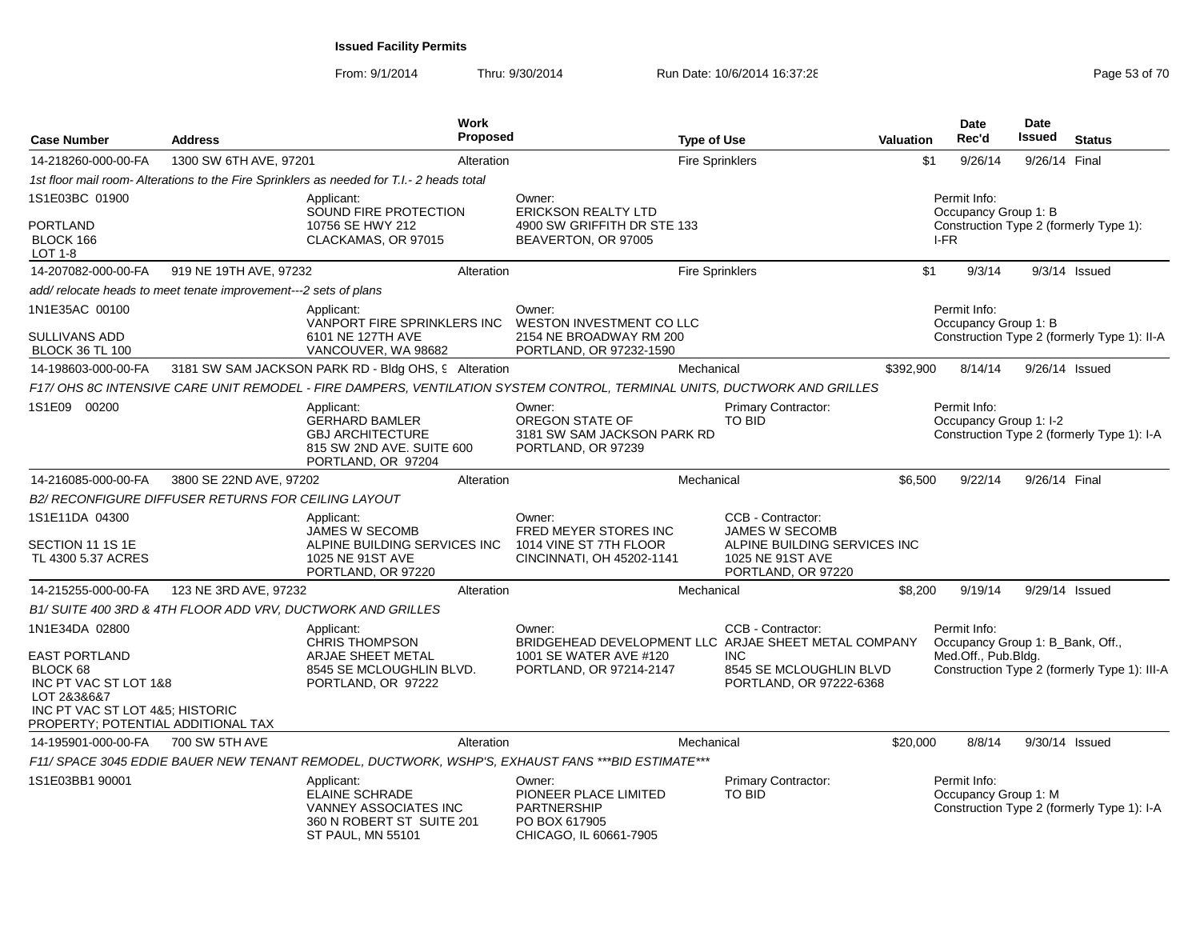| <b>Case Number</b>                                                                                                                                | <b>Address</b>                                      |                                                                                                                       | <b>Work</b><br>Proposed |                                                                                                                          | <b>Type of Use</b> |                                                                        | <b>Valuation</b> | <b>Date</b><br>Rec'd                             | <b>Date</b><br>Issued | <b>Status</b>                                |
|---------------------------------------------------------------------------------------------------------------------------------------------------|-----------------------------------------------------|-----------------------------------------------------------------------------------------------------------------------|-------------------------|--------------------------------------------------------------------------------------------------------------------------|--------------------|------------------------------------------------------------------------|------------------|--------------------------------------------------|-----------------------|----------------------------------------------|
| 14-218260-000-00-FA                                                                                                                               | 1300 SW 6TH AVE, 97201                              |                                                                                                                       | Alteration              |                                                                                                                          |                    | <b>Fire Sprinklers</b>                                                 | \$1              | 9/26/14                                          | 9/26/14 Final         |                                              |
|                                                                                                                                                   |                                                     | 1st floor mail room- Alterations to the Fire Sprinklers as needed for T.I.- 2 heads total                             |                         |                                                                                                                          |                    |                                                                        |                  |                                                  |                       |                                              |
| 1S1E03BC 01900                                                                                                                                    |                                                     | Applicant:<br>SOUND FIRE PROTECTION                                                                                   |                         | Owner:<br><b>ERICKSON REALTY LTD</b>                                                                                     |                    |                                                                        |                  | Permit Info:<br>Occupancy Group 1: B             |                       |                                              |
| <b>PORTLAND</b><br>BLOCK 166<br><b>LOT 1-8</b>                                                                                                    |                                                     | 10756 SE HWY 212<br>CLACKAMAS, OR 97015                                                                               |                         | 4900 SW GRIFFITH DR STE 133<br>BEAVERTON, OR 97005                                                                       |                    |                                                                        |                  | I-FR                                             |                       | Construction Type 2 (formerly Type 1):       |
| 14-207082-000-00-FA                                                                                                                               | 919 NE 19TH AVE, 97232                              |                                                                                                                       | Alteration              |                                                                                                                          |                    | Fire Sprinklers                                                        | \$1              | 9/3/14                                           |                       | $9/3/14$ Issued                              |
| add/relocate heads to meet tenate improvement---2 sets of plans                                                                                   |                                                     |                                                                                                                       |                         |                                                                                                                          |                    |                                                                        |                  |                                                  |                       |                                              |
| 1N1E35AC 00100                                                                                                                                    |                                                     | Applicant:<br>VANPORT FIRE SPRINKLERS INC                                                                             |                         | Owner:<br>WESTON INVESTMENT CO LLC                                                                                       |                    |                                                                        |                  | Permit Info:<br>Occupancy Group 1: B             |                       |                                              |
| SULLIVANS ADD<br><b>BLOCK 36 TL 100</b>                                                                                                           |                                                     | 6101 NE 127TH AVE<br>VANCOUVER, WA 98682                                                                              |                         | 2154 NE BROADWAY RM 200<br>PORTLAND, OR 97232-1590                                                                       |                    |                                                                        |                  |                                                  |                       | Construction Type 2 (formerly Type 1): II-A  |
| 14-198603-000-00-FA                                                                                                                               |                                                     | 3181 SW SAM JACKSON PARK RD - Bldg OHS, 9 Alteration                                                                  |                         |                                                                                                                          | Mechanical         |                                                                        | \$392,900        | 8/14/14                                          |                       | 9/26/14 Issued                               |
|                                                                                                                                                   |                                                     |                                                                                                                       |                         | F17/ OHS 8C INTENSIVE CARE UNIT REMODEL - FIRE DAMPERS, VENTILATION SYSTEM CONTROL, TERMINAL UNITS, DUCTWORK AND GRILLES |                    |                                                                        |                  |                                                  |                       |                                              |
| 1S1E09 00200                                                                                                                                      |                                                     | Applicant:<br><b>GERHARD BAMLER</b><br><b>GBJ ARCHITECTURE</b><br>815 SW 2ND AVE. SUITE 600<br>PORTLAND, OR 97204     |                         | Owner:<br>OREGON STATE OF<br>3181 SW SAM JACKSON PARK RD<br>PORTLAND, OR 97239                                           |                    | Primary Contractor:<br><b>TO BID</b>                                   |                  | Permit Info:<br>Occupancy Group 1: I-2           |                       | Construction Type 2 (formerly Type 1): I-A   |
| 14-216085-000-00-FA                                                                                                                               | 3800 SE 22ND AVE, 97202                             |                                                                                                                       | Alteration              |                                                                                                                          | Mechanical         |                                                                        | \$6,500          | 9/22/14                                          | 9/26/14 Final         |                                              |
|                                                                                                                                                   | B2/ RECONFIGURE DIFFUSER RETURNS FOR CEILING LAYOUT |                                                                                                                       |                         |                                                                                                                          |                    |                                                                        |                  |                                                  |                       |                                              |
| 1S1E11DA 04300                                                                                                                                    |                                                     | Applicant:<br><b>JAMES W SECOMB</b>                                                                                   |                         | Owner:<br>FRED MEYER STORES INC                                                                                          |                    | CCB - Contractor:<br><b>JAMES W SECOMB</b>                             |                  |                                                  |                       |                                              |
| SECTION 11 1S 1E<br>TL 4300 5.37 ACRES                                                                                                            |                                                     | ALPINE BUILDING SERVICES INC<br>1025 NE 91ST AVE<br>PORTLAND, OR 97220                                                |                         | 1014 VINE ST 7TH FLOOR<br>CINCINNATI, OH 45202-1141                                                                      |                    | ALPINE BUILDING SERVICES INC<br>1025 NE 91ST AVE<br>PORTLAND, OR 97220 |                  |                                                  |                       |                                              |
| 14-215255-000-00-FA                                                                                                                               | 123 NE 3RD AVE, 97232                               |                                                                                                                       | Alteration              |                                                                                                                          | Mechanical         |                                                                        | \$8.200          | 9/19/14                                          |                       | 9/29/14 Issued                               |
|                                                                                                                                                   |                                                     | B1/ SUITE 400 3RD & 4TH FLOOR ADD VRV, DUCTWORK AND GRILLES                                                           |                         |                                                                                                                          |                    |                                                                        |                  |                                                  |                       |                                              |
| 1N1E34DA 02800                                                                                                                                    |                                                     | Applicant:<br><b>CHRIS THOMPSON</b>                                                                                   |                         | Owner:<br>BRIDGEHEAD DEVELOPMENT LLC ARJAE SHEET METAL COMPANY                                                           |                    | CCB - Contractor:                                                      |                  | Permit Info:<br>Occupancy Group 1: B_Bank, Off., |                       |                                              |
| <b>EAST PORTLAND</b><br>BLOCK 68<br>INC PT VAC ST LOT 1&8<br>LOT 2&3&6&7<br>INC PT VAC ST LOT 4&5; HISTORIC<br>PROPERTY; POTENTIAL ADDITIONAL TAX |                                                     | ARJAE SHEET METAL<br>8545 SE MCLOUGHLIN BLVD.<br>PORTLAND, OR 97222                                                   |                         | 1001 SE WATER AVE #120<br>PORTLAND, OR 97214-2147                                                                        |                    | <b>INC</b><br>8545 SE MCLOUGHLIN BLVD<br>PORTLAND, OR 97222-6368       |                  | Med.Off., Pub.Bldg.                              |                       | Construction Type 2 (formerly Type 1): III-A |
| 14-195901-000-00-FA                                                                                                                               | 700 SW 5TH AVE                                      |                                                                                                                       | Alteration              |                                                                                                                          | Mechanical         |                                                                        | \$20,000         | 8/8/14                                           |                       | 9/30/14 Issued                               |
|                                                                                                                                                   |                                                     |                                                                                                                       |                         | F11/ SPACE 3045 EDDIE BAUER NEW TENANT REMODEL, DUCTWORK, WSHP'S, EXHAUST FANS *** BID ESTIMATE***                       |                    |                                                                        |                  |                                                  |                       |                                              |
| 1S1E03BB1 90001                                                                                                                                   |                                                     | Applicant:<br>ELAINE SCHRADE<br><b>VANNEY ASSOCIATES INC</b><br>360 N ROBERT ST SUITE 201<br><b>ST PAUL, MN 55101</b> |                         | Owner:<br>PIONEER PLACE LIMITED<br>PARTNERSHIP<br>PO BOX 617905<br>CHICAGO, IL 60661-7905                                |                    | Primary Contractor:<br>TO BID                                          |                  | Permit Info:<br>Occupancy Group 1: M             |                       | Construction Type 2 (formerly Type 1): I-A   |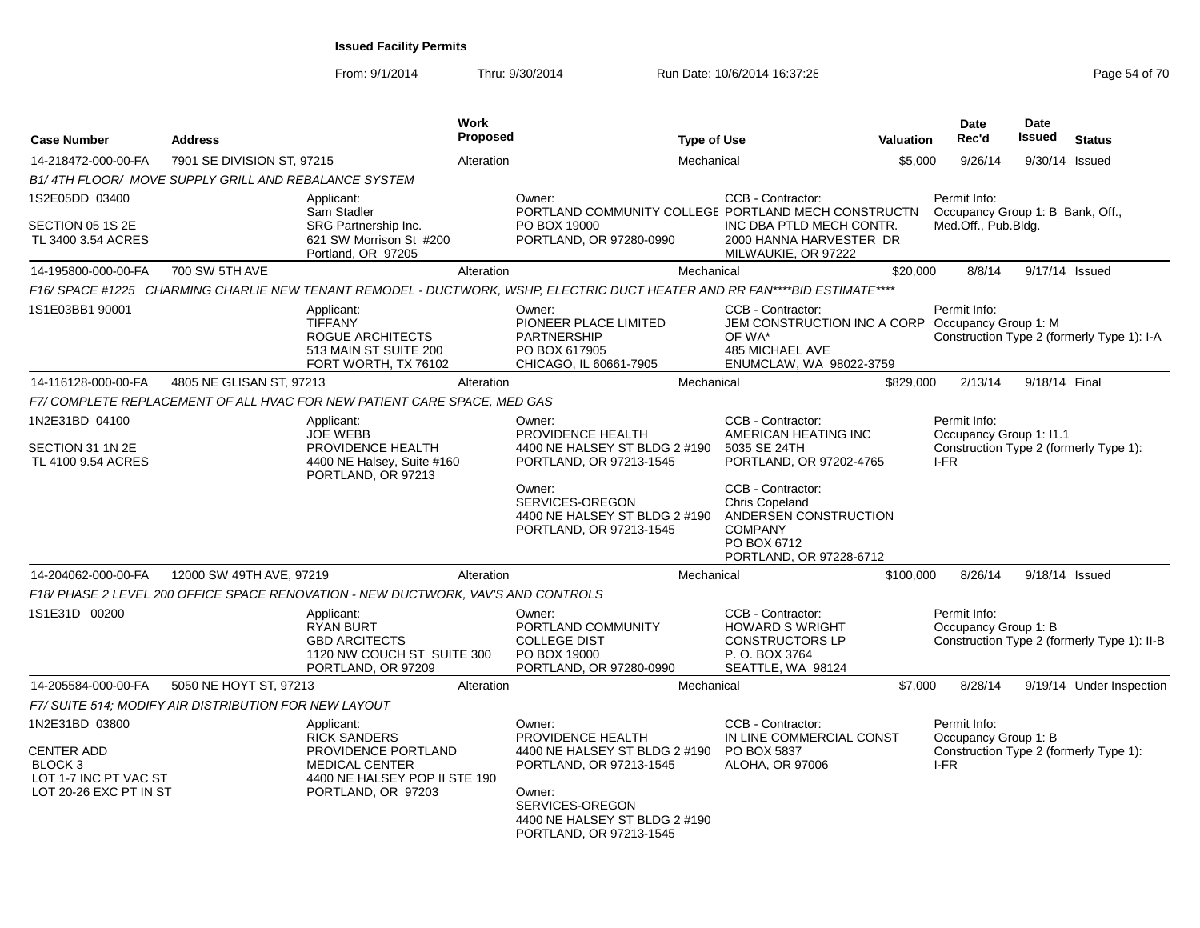| <b>Case Number</b>                                                                                           | <b>Address</b>                                        | Work                                                                                                                                     | <b>Proposed</b> | <b>Type of Use</b>                                                                                                                                                               |                                                                                                                               | <b>Valuation</b> | <b>Date</b><br>Rec'd                                    | <b>Date</b><br>Issued | <b>Status</b>                               |
|--------------------------------------------------------------------------------------------------------------|-------------------------------------------------------|------------------------------------------------------------------------------------------------------------------------------------------|-----------------|----------------------------------------------------------------------------------------------------------------------------------------------------------------------------------|-------------------------------------------------------------------------------------------------------------------------------|------------------|---------------------------------------------------------|-----------------------|---------------------------------------------|
| 14-218472-000-00-FA                                                                                          | 7901 SE DIVISION ST, 97215                            |                                                                                                                                          | Alteration      | Mechanical                                                                                                                                                                       |                                                                                                                               | \$5.000          | 9/26/14                                                 |                       | 9/30/14 Issued                              |
|                                                                                                              | B1/4TH FLOOR/ MOVE SUPPLY GRILL AND REBALANCE SYSTEM  |                                                                                                                                          |                 |                                                                                                                                                                                  |                                                                                                                               |                  |                                                         |                       |                                             |
| 1S2E05DD 03400                                                                                               |                                                       | Applicant:                                                                                                                               |                 | Owner:                                                                                                                                                                           | CCB - Contractor:                                                                                                             |                  | Permit Info:                                            |                       |                                             |
| SECTION 05 1S 2E<br>TL 3400 3.54 ACRES                                                                       |                                                       | Sam Stadler<br>SRG Partnership Inc.<br>621 SW Morrison St #200<br>Portland, OR 97205                                                     |                 | PORTLAND COMMUNITY COLLEGE PORTLAND MECH CONSTRUCTN<br>PO BOX 19000<br>PORTLAND, OR 97280-0990                                                                                   | INC DBA PTLD MECH CONTR.<br>2000 HANNA HARVESTER DR<br>MILWAUKIE, OR 97222                                                    |                  | Occupancy Group 1: B_Bank, Off.,<br>Med.Off., Pub.Bldg. |                       |                                             |
| 14-195800-000-00-FA                                                                                          | 700 SW 5TH AVE                                        |                                                                                                                                          | Alteration      | Mechanical                                                                                                                                                                       |                                                                                                                               | \$20,000         | 8/8/14                                                  |                       | 9/17/14 Issued                              |
|                                                                                                              |                                                       |                                                                                                                                          |                 | F16/ SPACE #1225 CHARMING CHARLIE NEW TENANT REMODEL - DUCTWORK, WSHP, ELECTRIC DUCT HEATER AND RR FAN****BID ESTIMATE****                                                       |                                                                                                                               |                  |                                                         |                       |                                             |
| 1S1E03BB1 90001                                                                                              |                                                       | Applicant:<br><b>TIFFANY</b><br>ROGUE ARCHITECTS<br>513 MAIN ST SUITE 200<br>FORT WORTH, TX 76102                                        |                 | Owner:<br>PIONEER PLACE LIMITED<br><b>PARTNERSHIP</b><br>PO BOX 617905<br>CHICAGO, IL 60661-7905                                                                                 | CCB - Contractor:<br>JEM CONSTRUCTION INC A CORP Occupancy Group 1: M<br>OF WA*<br>485 MICHAEL AVE<br>ENUMCLAW, WA 98022-3759 |                  | Permit Info:                                            |                       | Construction Type 2 (formerly Type 1): I-A  |
| 14-116128-000-00-FA                                                                                          | 4805 NE GLISAN ST, 97213                              |                                                                                                                                          | Alteration      | Mechanical                                                                                                                                                                       |                                                                                                                               | \$829,000        | 2/13/14                                                 | 9/18/14 Final         |                                             |
|                                                                                                              |                                                       | F7/COMPLETE REPLACEMENT OF ALL HVAC FOR NEW PATIENT CARE SPACE, MED GAS                                                                  |                 |                                                                                                                                                                                  |                                                                                                                               |                  |                                                         |                       |                                             |
| 1N2E31BD 04100<br>SECTION 31 1N 2E<br>TL 4100 9.54 ACRES                                                     |                                                       | Applicant:<br><b>JOE WEBB</b><br>PROVIDENCE HEALTH<br>4400 NE Halsey, Suite #160<br>PORTLAND, OR 97213                                   |                 | Owner:<br>PROVIDENCE HEALTH<br>4400 NE HALSEY ST BLDG 2 #190<br>PORTLAND, OR 97213-1545                                                                                          | CCB - Contractor:<br>AMERICAN HEATING INC<br>5035 SE 24TH<br>PORTLAND, OR 97202-4765                                          |                  | Permit Info:<br>Occupancy Group 1: I1.1<br>I-FR         |                       | Construction Type 2 (formerly Type 1):      |
|                                                                                                              |                                                       |                                                                                                                                          |                 | Owner:<br>SERVICES-OREGON<br>4400 NE HALSEY ST BLDG 2 #190<br>PORTLAND, OR 97213-1545                                                                                            | CCB - Contractor:<br>Chris Copeland<br>ANDERSEN CONSTRUCTION<br><b>COMPANY</b><br>PO BOX 6712<br>PORTLAND, OR 97228-6712      |                  |                                                         |                       |                                             |
| 14-204062-000-00-FA                                                                                          | 12000 SW 49TH AVE, 97219                              |                                                                                                                                          | Alteration      | Mechanical                                                                                                                                                                       |                                                                                                                               | \$100,000        | 8/26/14                                                 |                       | 9/18/14 Issued                              |
|                                                                                                              |                                                       | F18/ PHASE 2 LEVEL 200 OFFICE SPACE RENOVATION - NEW DUCTWORK, VAV'S AND CONTROLS                                                        |                 |                                                                                                                                                                                  |                                                                                                                               |                  |                                                         |                       |                                             |
| 1S1E31D 00200                                                                                                |                                                       | Applicant:<br><b>RYAN BURT</b><br><b>GBD ARCITECTS</b><br>1120 NW COUCH ST SUITE 300<br>PORTLAND, OR 97209                               |                 | Owner:<br>PORTLAND COMMUNITY<br><b>COLLEGE DIST</b><br>PO BOX 19000<br>PORTLAND, OR 97280-0990                                                                                   | CCB - Contractor:<br><b>HOWARD S WRIGHT</b><br><b>CONSTRUCTORS LP</b><br>P. O. BOX 3764<br>SEATTLE, WA 98124                  |                  | Permit Info:<br>Occupancy Group 1: B                    |                       | Construction Type 2 (formerly Type 1): II-B |
| 14-205584-000-00-FA                                                                                          | 5050 NE HOYT ST, 97213                                |                                                                                                                                          | Alteration      | Mechanical                                                                                                                                                                       |                                                                                                                               | \$7.000          | 8/28/14                                                 |                       | 9/19/14 Under Inspection                    |
|                                                                                                              | F7/ SUITE 514; MODIFY AIR DISTRIBUTION FOR NEW LAYOUT |                                                                                                                                          |                 |                                                                                                                                                                                  |                                                                                                                               |                  |                                                         |                       |                                             |
| 1N2E31BD 03800<br><b>CENTER ADD</b><br>BLOCK <sub>3</sub><br>LOT 1-7 INC PT VAC ST<br>LOT 20-26 EXC PT IN ST |                                                       | Applicant:<br><b>RICK SANDERS</b><br>PROVIDENCE PORTLAND<br><b>MEDICAL CENTER</b><br>4400 NE HALSEY POP II STE 190<br>PORTLAND, OR 97203 |                 | Owner:<br>PROVIDENCE HEALTH<br>4400 NE HALSEY ST BLDG 2 #190<br>PORTLAND, OR 97213-1545<br>Owner:<br>SERVICES-OREGON<br>4400 NE HALSEY ST BLDG 2 #190<br>PORTLAND, OR 97213-1545 | CCB - Contractor:<br>IN LINE COMMERCIAL CONST<br>PO BOX 5837<br>ALOHA, OR 97006                                               |                  | Permit Info:<br>Occupancy Group 1: B<br>$I-FR$          |                       | Construction Type 2 (formerly Type 1):      |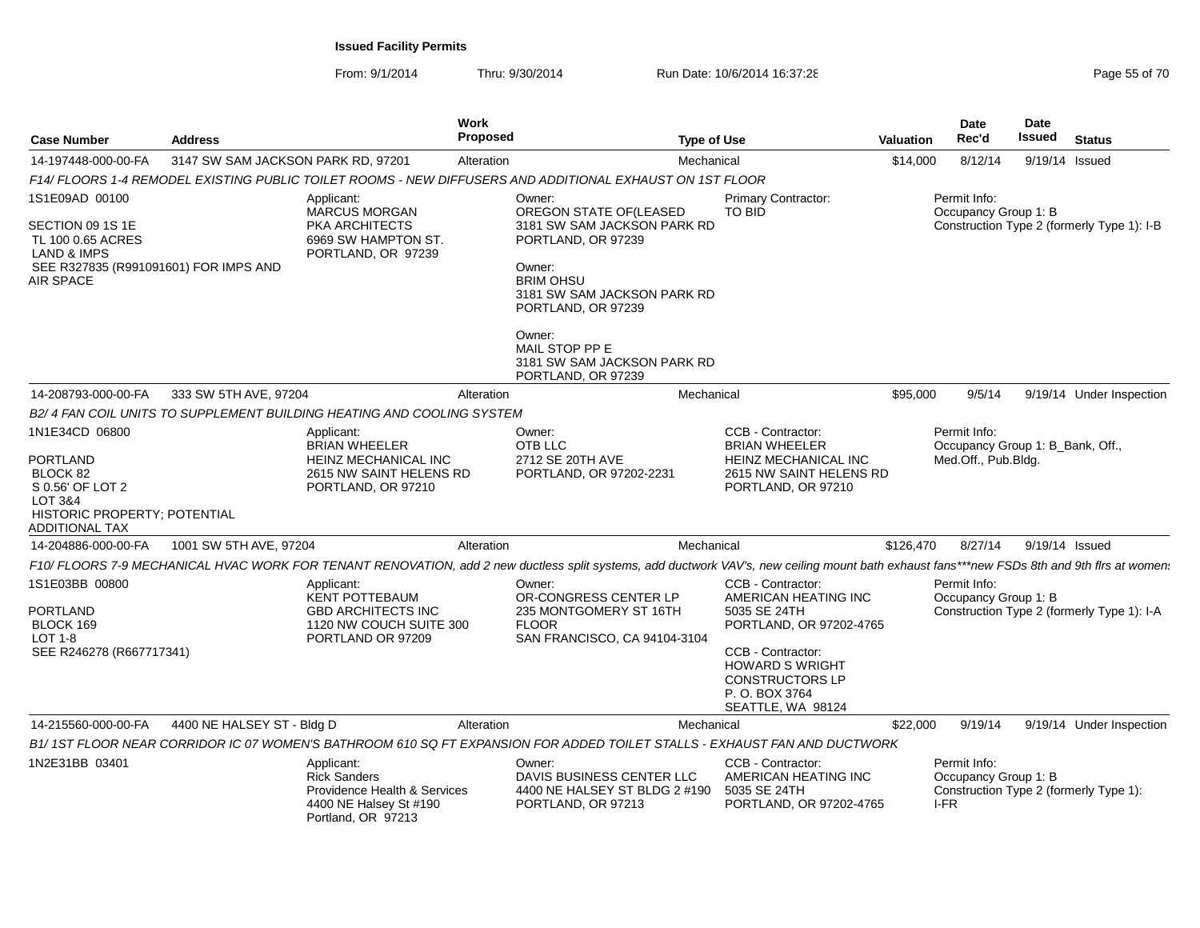| <b>Case Number</b>                                                                                                                      | <b>Address</b>                     |                                                                                                                   | Work<br>Proposed           |                                                                                                                                                                                                                             | <b>Type of Use</b> |                                                                                                                                                                                                      | <b>Valuation</b> | Date<br>Rec'd                                                           | <b>Date</b><br>Issued | <b>Status</b>                              |
|-----------------------------------------------------------------------------------------------------------------------------------------|------------------------------------|-------------------------------------------------------------------------------------------------------------------|----------------------------|-----------------------------------------------------------------------------------------------------------------------------------------------------------------------------------------------------------------------------|--------------------|------------------------------------------------------------------------------------------------------------------------------------------------------------------------------------------------------|------------------|-------------------------------------------------------------------------|-----------------------|--------------------------------------------|
| 14-197448-000-00-FA                                                                                                                     | 3147 SW SAM JACKSON PARK RD, 97201 |                                                                                                                   | Alteration                 |                                                                                                                                                                                                                             | Mechanical         |                                                                                                                                                                                                      | \$14,000         | 8/12/14                                                                 | 9/19/14 Issued        |                                            |
|                                                                                                                                         |                                    | F14/ FLOORS 1-4 REMODEL EXISTING PUBLIC TOILET ROOMS - NEW DIFFUSERS AND ADDITIONAL EXHAUST ON 1ST FLOOR          |                            |                                                                                                                                                                                                                             |                    |                                                                                                                                                                                                      |                  |                                                                         |                       |                                            |
| 1S1E09AD 00100<br>SECTION 09 1S 1E<br>TL 100 0.65 ACRES<br><b>LAND &amp; IMPS</b><br>SEE R327835 (R991091601) FOR IMPS AND<br>AIR SPACE |                                    | Applicant:<br><b>MARCUS MORGAN</b><br>PKA ARCHITECTS<br>6969 SW HAMPTON ST.<br>PORTLAND, OR 97239                 | Owner:<br>Owner:<br>Owner: | OREGON STATE OF(LEASED<br>3181 SW SAM JACKSON PARK RD<br>PORTLAND, OR 97239<br><b>BRIM OHSU</b><br>3181 SW SAM JACKSON PARK RD<br>PORTLAND, OR 97239<br>MAIL STOP PP E<br>3181 SW SAM JACKSON PARK RD<br>PORTLAND, OR 97239 |                    | Primary Contractor:<br><b>TO BID</b>                                                                                                                                                                 |                  | Permit Info:<br>Occupancy Group 1: B                                    |                       | Construction Type 2 (formerly Type 1): I-B |
| 14-208793-000-00-FA                                                                                                                     | 333 SW 5TH AVE, 97204              |                                                                                                                   | Alteration                 |                                                                                                                                                                                                                             | Mechanical         |                                                                                                                                                                                                      | \$95,000         | 9/5/14                                                                  |                       | 9/19/14 Under Inspection                   |
|                                                                                                                                         |                                    | B2/4 FAN COIL UNITS TO SUPPLEMENT BUILDING HEATING AND COOLING SYSTEM                                             |                            |                                                                                                                                                                                                                             |                    |                                                                                                                                                                                                      |                  |                                                                         |                       |                                            |
| 1N1E34CD 06800<br><b>PORTLAND</b><br>BLOCK 82<br>S 0.56' OF LOT 2<br>LOT 3&4<br>HISTORIC PROPERTY; POTENTIAL<br>ADDITIONAL TAX          |                                    | Applicant:<br><b>BRIAN WHEELER</b><br>HEINZ MECHANICAL INC<br>2615 NW SAINT HELENS RD<br>PORTLAND, OR 97210       | Owner:<br>OTB LLC          | 2712 SE 20TH AVE<br>PORTLAND, OR 97202-2231                                                                                                                                                                                 |                    | CCB - Contractor:<br><b>BRIAN WHEELER</b><br>HEINZ MECHANICAL INC<br>2615 NW SAINT HELENS RD<br>PORTLAND, OR 97210                                                                                   |                  | Permit Info:<br>Occupancy Group 1: B_Bank, Off.,<br>Med.Off., Pub.Bldg. |                       |                                            |
| 14-204886-000-00-FA                                                                                                                     | 1001 SW 5TH AVE, 97204             |                                                                                                                   | Alteration                 |                                                                                                                                                                                                                             | Mechanical         |                                                                                                                                                                                                      | \$126,470        | 8/27/14                                                                 | 9/19/14 Issued        |                                            |
|                                                                                                                                         |                                    |                                                                                                                   |                            |                                                                                                                                                                                                                             |                    | F10/ FLOORS 7-9 MECHANICAL HVAC WORK FOR TENANT RENOVATION, add 2 new ductless split systems, add ductwork VAV's, new ceiling mount bath exhaust fans***new FSDs 8th and 9th firs at women.          |                  |                                                                         |                       |                                            |
| 1S1E03BB 00800<br><b>PORTLAND</b><br>BLOCK 169<br><b>LOT 1-8</b><br>SEE R246278 (R667717341)                                            |                                    | Applicant:<br><b>KENT POTTEBAUM</b><br><b>GBD ARCHITECTS INC</b><br>1120 NW COUCH SUITE 300<br>PORTLAND OR 97209  | Owner:<br><b>FLOOR</b>     | OR-CONGRESS CENTER LP<br>235 MONTGOMERY ST 16TH<br>SAN FRANCISCO, CA 94104-3104                                                                                                                                             |                    | CCB - Contractor:<br>AMERICAN HEATING INC<br>5035 SE 24TH<br>PORTLAND, OR 97202-4765<br>CCB - Contractor:<br><b>HOWARD S WRIGHT</b><br><b>CONSTRUCTORS LP</b><br>P. O. BOX 3764<br>SEATTLE, WA 98124 |                  | Permit Info:<br>Occupancy Group 1: B                                    |                       | Construction Type 2 (formerly Type 1): I-A |
| 14-215560-000-00-FA                                                                                                                     | 4400 NE HALSEY ST - Bldg D         |                                                                                                                   | Alteration                 |                                                                                                                                                                                                                             | Mechanical         |                                                                                                                                                                                                      | \$22,000         | 9/19/14                                                                 |                       | 9/19/14 Under Inspection                   |
|                                                                                                                                         |                                    |                                                                                                                   |                            |                                                                                                                                                                                                                             |                    | B1/1ST FLOOR NEAR CORRIDOR IC 07 WOMEN'S BATHROOM 610 SQ FT EXPANSION FOR ADDED TOILET STALLS - EXHAUST FAN AND DUCTWORK                                                                             |                  |                                                                         |                       |                                            |
| 1N2E31BB 03401                                                                                                                          |                                    | Applicant:<br><b>Rick Sanders</b><br>Providence Health & Services<br>4400 NE Halsey St #190<br>Portland, OR 97213 | Owner:                     | DAVIS BUSINESS CENTER LLC<br>4400 NE HALSEY ST BLDG 2 #190<br>PORTLAND, OR 97213                                                                                                                                            |                    | CCB - Contractor:<br>AMERICAN HEATING INC<br>5035 SE 24TH<br>PORTLAND, OR 97202-4765                                                                                                                 | I-FR             | Permit Info:<br>Occupancy Group 1: B                                    |                       | Construction Type 2 (formerly Type 1):     |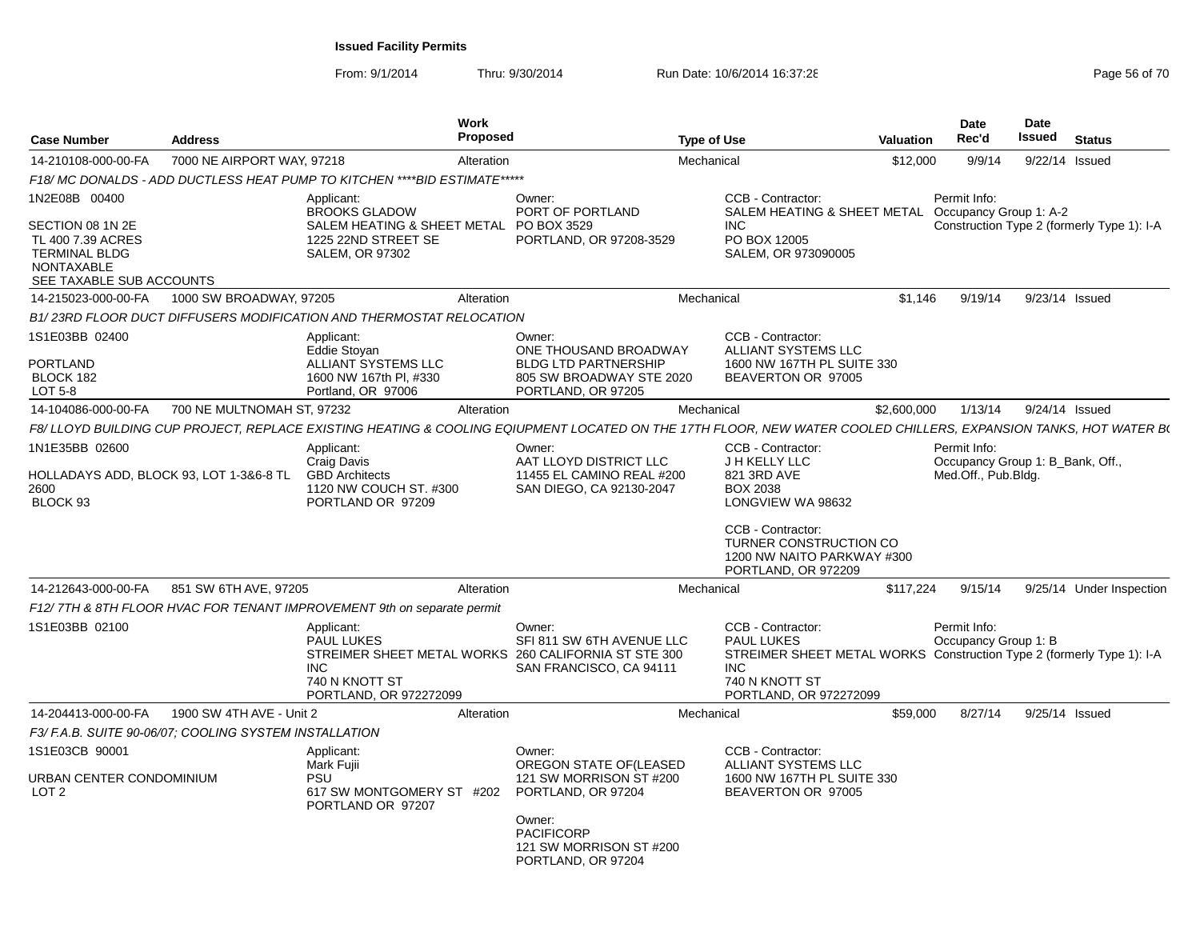From: 9/1/2014

| <b>Case Number</b>                                                                                      | <b>Address</b>             |                                                                                           | <b>Work</b><br>Proposed |                                                                                                                                                                  | <b>Type of Use</b>                                                                               | Valuation                                                             | Date<br>Rec'd                        |         | <b>Date</b><br>Issued            | <b>Status</b> |                                            |
|---------------------------------------------------------------------------------------------------------|----------------------------|-------------------------------------------------------------------------------------------|-------------------------|------------------------------------------------------------------------------------------------------------------------------------------------------------------|--------------------------------------------------------------------------------------------------|-----------------------------------------------------------------------|--------------------------------------|---------|----------------------------------|---------------|--------------------------------------------|
| 14-210108-000-00-FA                                                                                     | 7000 NE AIRPORT WAY, 97218 |                                                                                           | Alteration              |                                                                                                                                                                  | Mechanical                                                                                       | \$12,000                                                              |                                      | 9/9/14  | 9/22/14 Issued                   |               |                                            |
|                                                                                                         |                            | F18/ MC DONALDS - ADD DUCTLESS HEAT PUMP TO KITCHEN ****BID ESTIMATE*****                 |                         |                                                                                                                                                                  |                                                                                                  |                                                                       |                                      |         |                                  |               |                                            |
| 1N2E08B 00400                                                                                           |                            | Applicant:<br><b>BROOKS GLADOW</b>                                                        |                         | Owner:<br>PORT OF PORTLAND                                                                                                                                       | CCB - Contractor:                                                                                | SALEM HEATING & SHEET METAL Occupancy Group 1: A-2                    | Permit Info:                         |         |                                  |               |                                            |
| SECTION 08 1N 2E<br>TL 400 7.39 ACRES<br><b>TERMINAL BLDG</b><br>NONTAXABLE<br>SEE TAXABLE SUB ACCOUNTS |                            | SALEM HEATING & SHEET METAL<br>1225 22ND STREET SE<br><b>SALEM, OR 97302</b>              |                         | PO BOX 3529<br>PORTLAND, OR 97208-3529                                                                                                                           | <b>INC</b><br>PO BOX 12005<br>SALEM, OR 973090005                                                |                                                                       |                                      |         |                                  |               | Construction Type 2 (formerly Type 1): I-A |
| 14-215023-000-00-FA                                                                                     | 1000 SW BROADWAY, 97205    |                                                                                           | Alteration              |                                                                                                                                                                  | Mechanical                                                                                       | \$1,146                                                               |                                      | 9/19/14 | 9/23/14 Issued                   |               |                                            |
|                                                                                                         |                            | B1/23RD FLOOR DUCT DIFFUSERS MODIFICATION AND THERMOSTAT RELOCATION                       |                         |                                                                                                                                                                  |                                                                                                  |                                                                       |                                      |         |                                  |               |                                            |
| 1S1E03BB 02400                                                                                          |                            | Applicant:<br><b>Eddie Stovan</b>                                                         |                         | Owner:<br>ONE THOUSAND BROADWAY                                                                                                                                  | CCB - Contractor:<br>ALLIANT SYSTEMS LLC                                                         |                                                                       |                                      |         |                                  |               |                                            |
| <b>PORTLAND</b><br>BLOCK 182<br>LOT 5-8                                                                 |                            | ALLIANT SYSTEMS LLC<br>1600 NW 167th PI, #330<br>Portland, OR 97006                       |                         | <b>BLDG LTD PARTNERSHIP</b><br>805 SW BROADWAY STE 2020<br>PORTLAND, OR 97205                                                                                    | 1600 NW 167TH PL SUITE 330<br>BEAVERTON OR 97005                                                 |                                                                       |                                      |         |                                  |               |                                            |
| 14-104086-000-00-FA                                                                                     | 700 NE MULTNOMAH ST, 97232 |                                                                                           | Alteration              |                                                                                                                                                                  | Mechanical                                                                                       | \$2,600,000                                                           |                                      | 1/13/14 | 9/24/14 Issued                   |               |                                            |
|                                                                                                         |                            |                                                                                           |                         | F8/ LLOYD BUILDING CUP PROJECT, REPLACE EXISTING HEATING & COOLING EQIUPMENT LOCATED ON THE 17TH FLOOR, NEW WATER COOLED CHILLERS, EXPANSION TANKS, HOT WATER B( |                                                                                                  |                                                                       |                                      |         |                                  |               |                                            |
| 1N1E35BB 02600                                                                                          |                            | Applicant:                                                                                |                         | Owner:                                                                                                                                                           | CCB - Contractor:                                                                                |                                                                       | Permit Info:                         |         |                                  |               |                                            |
| HOLLADAYS ADD. BLOCK 93. LOT 1-3&6-8 TL<br>2600<br>BLOCK 93                                             |                            | Craig Davis<br><b>GBD Architects</b><br>1120 NW COUCH ST. #300<br>PORTLAND OR 97209       |                         | AAT LLOYD DISTRICT LLC<br>11455 EL CAMINO REAL #200<br>SAN DIEGO, CA 92130-2047                                                                                  | J H KELLY LLC<br>821 3RD AVE<br><b>BOX 2038</b><br>LONGVIEW WA 98632                             |                                                                       | Med.Off., Pub.Blda.                  |         | Occupancy Group 1: B_Bank, Off., |               |                                            |
|                                                                                                         |                            |                                                                                           |                         |                                                                                                                                                                  | CCB - Contractor:<br><b>TURNER CONSTRUCTION CO</b><br>PORTLAND, OR 972209                        | 1200 NW NAITO PARKWAY #300                                            |                                      |         |                                  |               |                                            |
| 14-212643-000-00-FA                                                                                     | 851 SW 6TH AVE, 97205      |                                                                                           | Alteration              |                                                                                                                                                                  | Mechanical                                                                                       | \$117,224                                                             |                                      | 9/15/14 |                                  |               | 9/25/14 Under Inspection                   |
|                                                                                                         |                            | F12/7TH & 8TH FLOOR HVAC FOR TENANT IMPROVEMENT 9th on separate permit                    |                         |                                                                                                                                                                  |                                                                                                  |                                                                       |                                      |         |                                  |               |                                            |
| 1S1E03BB 02100                                                                                          |                            | Applicant:<br><b>PAUL LUKES</b><br><b>INC</b><br>740 N KNOTT ST<br>PORTLAND, OR 972272099 |                         | Owner:<br>SFI 811 SW 6TH AVENUE LLC<br>STREIMER SHEET METAL WORKS 260 CALIFORNIA ST STE 300<br>SAN FRANCISCO, CA 94111                                           | CCB - Contractor:<br><b>PAUL LUKES</b><br><b>INC</b><br>740 N KNOTT ST<br>PORTLAND, OR 972272099 | STREIMER SHEET METAL WORKS Construction Type 2 (formerly Type 1): I-A | Permit Info:<br>Occupancy Group 1: B |         |                                  |               |                                            |
| 14-204413-000-00-FA                                                                                     | 1900 SW 4TH AVE - Unit 2   |                                                                                           | Alteration              |                                                                                                                                                                  | Mechanical                                                                                       | \$59,000                                                              |                                      | 8/27/14 | 9/25/14 Issued                   |               |                                            |
| F3/ F.A.B. SUITE 90-06/07: COOLING SYSTEM INSTALLATION                                                  |                            |                                                                                           |                         |                                                                                                                                                                  |                                                                                                  |                                                                       |                                      |         |                                  |               |                                            |
| 1S1E03CB 90001                                                                                          |                            | Applicant:<br>Mark Fujii                                                                  |                         | Owner:<br>OREGON STATE OF(LEASED                                                                                                                                 | CCB - Contractor:<br>ALLIANT SYSTEMS LLC                                                         |                                                                       |                                      |         |                                  |               |                                            |
| URBAN CENTER CONDOMINIUM<br>LOT <sub>2</sub>                                                            |                            | PSU<br>617 SW MONTGOMERY ST #202<br>PORTLAND OR 97207                                     |                         | 121 SW MORRISON ST #200<br>PORTLAND, OR 97204                                                                                                                    | 1600 NW 167TH PL SUITE 330<br>BEAVERTON OR 97005                                                 |                                                                       |                                      |         |                                  |               |                                            |
|                                                                                                         |                            |                                                                                           |                         | Owner:<br><b>PACIFICORP</b><br>121 SW MORRISON ST #200<br>PORTLAND, OR 97204                                                                                     |                                                                                                  |                                                                       |                                      |         |                                  |               |                                            |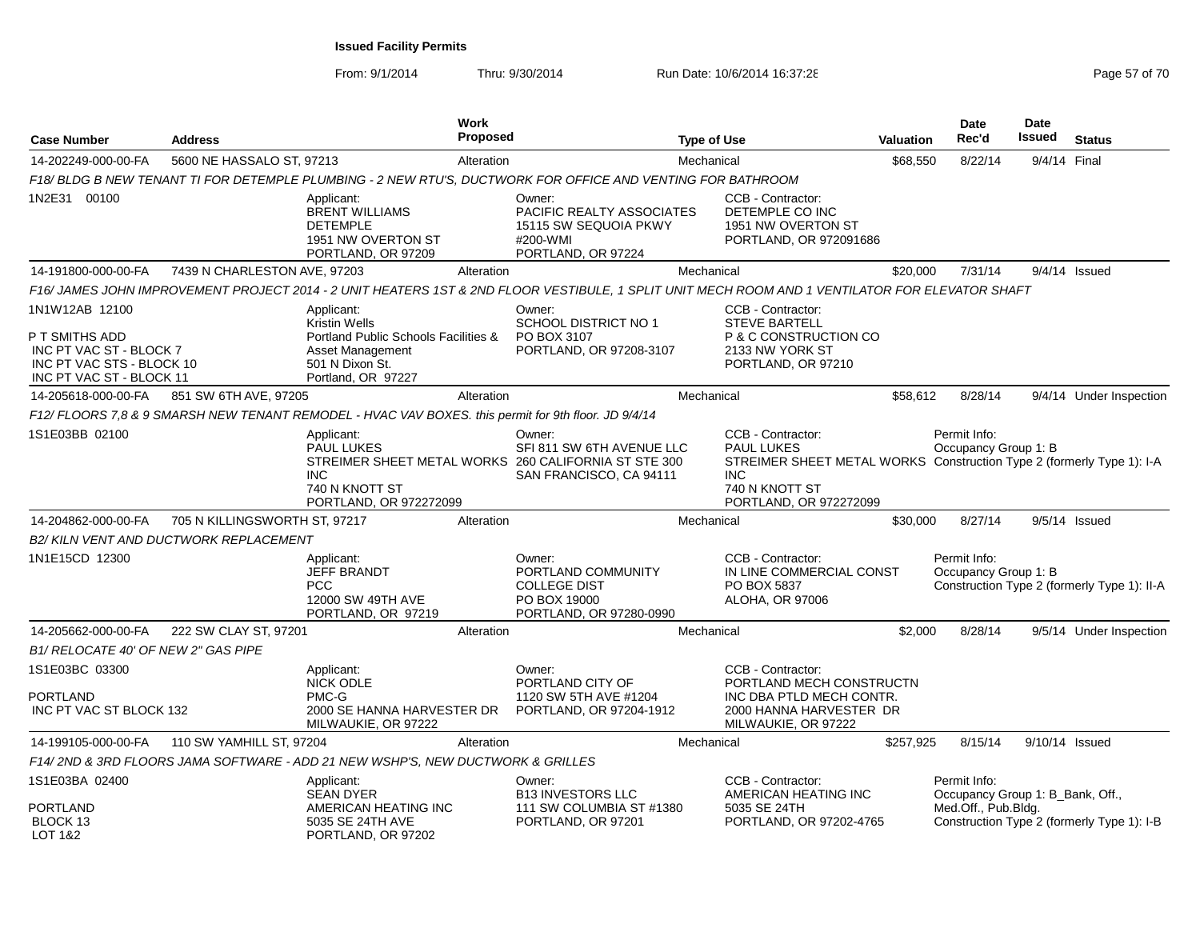|  | 10e 57 | ı  |  |
|--|--------|----|--|
|  |        | וו |  |

| <b>Case Number</b>                                                                                                   | <b>Address</b>                         |                                                                                                                                         | Work<br><b>Proposed</b> |                                                                                                                                                 | <b>Type of Use</b> |                                                                                                                                                                           | <b>Valuation</b> | <b>Date</b><br>Rec'd                                                    | <b>Date</b><br>Issued | <b>Status</b>                               |
|----------------------------------------------------------------------------------------------------------------------|----------------------------------------|-----------------------------------------------------------------------------------------------------------------------------------------|-------------------------|-------------------------------------------------------------------------------------------------------------------------------------------------|--------------------|---------------------------------------------------------------------------------------------------------------------------------------------------------------------------|------------------|-------------------------------------------------------------------------|-----------------------|---------------------------------------------|
| 14-202249-000-00-FA                                                                                                  | 5600 NE HASSALO ST, 97213              |                                                                                                                                         | Alteration              |                                                                                                                                                 | Mechanical         |                                                                                                                                                                           | \$68,550         | 8/22/14                                                                 | 9/4/14 Final          |                                             |
|                                                                                                                      |                                        |                                                                                                                                         |                         | F18/ BLDG B NEW TENANT TI FOR DETEMPLE PLUMBING - 2 NEW RTU'S, DUCTWORK FOR OFFICE AND VENTING FOR BATHROOM                                     |                    |                                                                                                                                                                           |                  |                                                                         |                       |                                             |
| 1N2E31 00100                                                                                                         |                                        | Applicant:<br><b>BRENT WILLIAMS</b><br><b>DETEMPLE</b><br>1951 NW OVERTON ST<br>PORTLAND, OR 97209                                      |                         | Owner:<br><b>PACIFIC REALTY ASSOCIATES</b><br>15115 SW SEQUOIA PKWY<br>#200-WMI<br>PORTLAND, OR 97224                                           |                    | CCB - Contractor:<br>DETEMPLE CO INC<br>1951 NW OVERTON ST<br>PORTLAND, OR 972091686                                                                                      |                  |                                                                         |                       |                                             |
| 14-191800-000-00-FA                                                                                                  | 7439 N CHARLESTON AVE, 97203           |                                                                                                                                         | Alteration              |                                                                                                                                                 | Mechanical         |                                                                                                                                                                           | \$20,000         | 7/31/14                                                                 |                       | $9/4/14$ Issued                             |
|                                                                                                                      |                                        |                                                                                                                                         |                         | F16/ JAMES JOHN IMPROVEMENT PROJECT 2014 - 2 UNIT HEATERS 1ST & 2ND FLOOR VESTIBULE, 1 SPLIT UNIT MECH ROOM AND 1 VENTILATOR FOR ELEVATOR SHAFT |                    |                                                                                                                                                                           |                  |                                                                         |                       |                                             |
| 1N1W12AB 12100<br>P T SMITHS ADD<br>INC PT VAC ST - BLOCK 7<br>INC PT VAC STS - BLOCK 10<br>INC PT VAC ST - BLOCK 11 |                                        | Applicant:<br><b>Kristin Wells</b><br>Portland Public Schools Facilities &<br>Asset Management<br>501 N Dixon St.<br>Portland, OR 97227 |                         | Owner:<br>SCHOOL DISTRICT NO 1<br>PO BOX 3107<br>PORTLAND, OR 97208-3107                                                                        |                    | CCB - Contractor:<br><b>STEVE BARTELL</b><br>P & C CONSTRUCTION CO<br>2133 NW YORK ST<br>PORTLAND, OR 97210                                                               |                  |                                                                         |                       |                                             |
| 14-205618-000-00-FA                                                                                                  | 851 SW 6TH AVE, 97205                  |                                                                                                                                         | Alteration              |                                                                                                                                                 | Mechanical         |                                                                                                                                                                           | \$58,612         | 8/28/14                                                                 |                       | 9/4/14 Under Inspection                     |
|                                                                                                                      |                                        | F12/ FLOORS 7,8 & 9 SMARSH NEW TENANT REMODEL - HVAC VAV BOXES. this permit for 9th floor. JD 9/4/14                                    |                         |                                                                                                                                                 |                    |                                                                                                                                                                           |                  |                                                                         |                       |                                             |
| 1S1E03BB 02100                                                                                                       |                                        | Applicant:<br><b>PAUL LUKES</b><br><b>INC</b><br>740 N KNOTT ST<br>PORTLAND, OR 972272099                                               |                         | Owner:<br>SFI 811 SW 6TH AVENUE LLC<br>STREIMER SHEET METAL WORKS 260 CALIFORNIA ST STE 300<br>SAN FRANCISCO, CA 94111                          |                    | CCB - Contractor:<br><b>PAUL LUKES</b><br>STREIMER SHEET METAL WORKS Construction Type 2 (formerly Type 1): I-A<br><b>INC</b><br>740 N KNOTT ST<br>PORTLAND, OR 972272099 |                  | Permit Info:<br>Occupancy Group 1: B                                    |                       |                                             |
| 14-204862-000-00-FA                                                                                                  | 705 N KILLINGSWORTH ST, 97217          |                                                                                                                                         | Alteration              |                                                                                                                                                 | Mechanical         |                                                                                                                                                                           | \$30,000         | 8/27/14                                                                 |                       | $9/5/14$ Issued                             |
|                                                                                                                      | B2/ KILN VENT AND DUCTWORK REPLACEMENT |                                                                                                                                         |                         |                                                                                                                                                 |                    |                                                                                                                                                                           |                  |                                                                         |                       |                                             |
| 1N1E15CD 12300                                                                                                       |                                        | Applicant:<br><b>JEFF BRANDT</b><br><b>PCC</b><br>12000 SW 49TH AVE<br>PORTLAND, OR 97219                                               |                         | Owner:<br>PORTLAND COMMUNITY<br><b>COLLEGE DIST</b><br>PO BOX 19000<br>PORTLAND, OR 97280-0990                                                  |                    | CCB - Contractor:<br>IN LINE COMMERCIAL CONST<br>PO BOX 5837<br>ALOHA, OR 97006                                                                                           |                  | Permit Info:<br>Occupancy Group 1: B                                    |                       | Construction Type 2 (formerly Type 1): II-A |
| 14-205662-000-00-FA                                                                                                  | 222 SW CLAY ST, 97201                  |                                                                                                                                         | Alteration              |                                                                                                                                                 | Mechanical         |                                                                                                                                                                           | \$2,000          | 8/28/14                                                                 |                       | 9/5/14 Under Inspection                     |
| B1/ RELOCATE 40' OF NEW 2" GAS PIPE                                                                                  |                                        |                                                                                                                                         |                         |                                                                                                                                                 |                    |                                                                                                                                                                           |                  |                                                                         |                       |                                             |
| 1S1E03BC 03300<br>PORTLAND<br>INC PT VAC ST BLOCK 132                                                                |                                        | Applicant:<br>NICK ODLE<br>PMC-G<br>2000 SE HANNA HARVESTER DR<br>MILWAUKIE, OR 97222                                                   |                         | Owner:<br>PORTLAND CITY OF<br>1120 SW 5TH AVE #1204<br>PORTLAND, OR 97204-1912                                                                  |                    | CCB - Contractor:<br>PORTLAND MECH CONSTRUCTN<br>INC DBA PTLD MECH CONTR.<br>2000 HANNA HARVESTER DR<br>MILWAUKIE, OR 97222                                               |                  |                                                                         |                       |                                             |
| 14-199105-000-00-FA                                                                                                  | 110 SW YAMHILL ST, 97204               |                                                                                                                                         | Alteration              |                                                                                                                                                 | Mechanical         |                                                                                                                                                                           | \$257,925        | 8/15/14                                                                 | 9/10/14 Issued        |                                             |
|                                                                                                                      |                                        | F14/2ND & 3RD FLOORS JAMA SOFTWARE - ADD 21 NEW WSHP'S, NEW DUCTWORK & GRILLES                                                          |                         |                                                                                                                                                 |                    |                                                                                                                                                                           |                  |                                                                         |                       |                                             |
| 1S1E03BA 02400<br><b>PORTLAND</b><br>BLOCK 13                                                                        |                                        | Applicant:<br><b>SEAN DYER</b><br>AMERICAN HEATING INC<br>5035 SE 24TH AVE                                                              |                         | Owner:<br><b>B13 INVESTORS LLC</b><br>111 SW COLUMBIA ST #1380<br>PORTLAND, OR 97201                                                            |                    | CCB - Contractor:<br>AMERICAN HEATING INC<br>5035 SE 24TH<br>PORTLAND, OR 97202-4765                                                                                      |                  | Permit Info:<br>Occupancy Group 1: B_Bank, Off.,<br>Med.Off., Pub.Bldg. |                       | Construction Type 2 (formerly Type 1): I-B  |
| LOT 1&2                                                                                                              |                                        | PORTLAND, OR 97202                                                                                                                      |                         |                                                                                                                                                 |                    |                                                                                                                                                                           |                  |                                                                         |                       |                                             |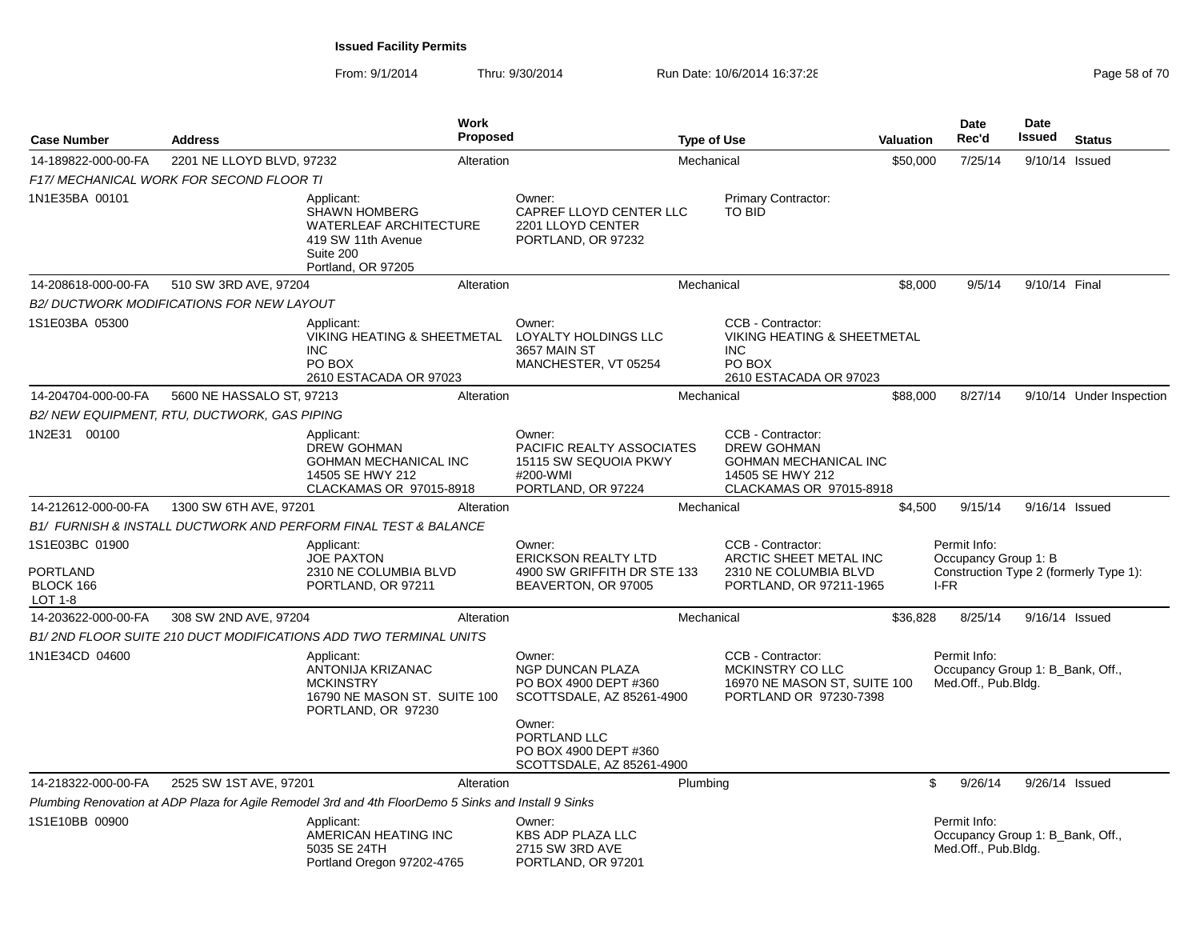| <b>Case Number</b>                                        | <b>Address</b>                               | Work<br>Proposed                                                                                                             |                                                                                                | <b>Type of Use</b> |                                                                                                                        | Valuation | Date<br>Rec'd                                                                          | Date<br>Issued | <b>Status</b>            |
|-----------------------------------------------------------|----------------------------------------------|------------------------------------------------------------------------------------------------------------------------------|------------------------------------------------------------------------------------------------|--------------------|------------------------------------------------------------------------------------------------------------------------|-----------|----------------------------------------------------------------------------------------|----------------|--------------------------|
| 14-189822-000-00-FA                                       | 2201 NE LLOYD BLVD, 97232                    | Alteration                                                                                                                   |                                                                                                | Mechanical         |                                                                                                                        | \$50,000  | 7/25/14                                                                                | 9/10/14 Issued |                          |
|                                                           | F17/ MECHANICAL WORK FOR SECOND FLOOR TI     |                                                                                                                              |                                                                                                |                    |                                                                                                                        |           |                                                                                        |                |                          |
| 1N1E35BA 00101                                            |                                              | Applicant:<br><b>SHAWN HOMBERG</b><br><b>WATERLEAF ARCHITECTURE</b><br>419 SW 11th Avenue<br>Suite 200<br>Portland, OR 97205 | Owner:<br>CAPREF LLOYD CENTER LLC<br>2201 LLOYD CENTER<br>PORTLAND, OR 97232                   |                    | Primary Contractor:<br><b>TO BID</b>                                                                                   |           |                                                                                        |                |                          |
| 14-208618-000-00-FA                                       | 510 SW 3RD AVE, 97204                        | Alteration                                                                                                                   |                                                                                                | Mechanical         |                                                                                                                        | \$8,000   | 9/5/14                                                                                 | 9/10/14 Final  |                          |
|                                                           | B2/DUCTWORK MODIFICATIONS FOR NEW LAYOUT     |                                                                                                                              |                                                                                                |                    |                                                                                                                        |           |                                                                                        |                |                          |
| 1S1E03BA 05300                                            |                                              | Applicant:<br>VIKING HEATING & SHEETMETAL<br><b>INC</b><br>PO BOX<br>2610 ESTACADA OR 97023                                  | Owner:<br>LOYALTY HOLDINGS LLC<br>3657 MAIN ST<br>MANCHESTER, VT 05254                         |                    | CCB - Contractor:<br><b>VIKING HEATING &amp; SHEETMETAL</b><br>INC.<br>PO BOX<br>2610 ESTACADA OR 97023                |           |                                                                                        |                |                          |
| 14-204704-000-00-FA                                       | 5600 NE HASSALO ST, 97213                    | Alteration                                                                                                                   |                                                                                                | Mechanical         |                                                                                                                        | \$88,000  | 8/27/14                                                                                |                | 9/10/14 Under Inspection |
|                                                           | B2/ NEW EQUIPMENT, RTU, DUCTWORK, GAS PIPING |                                                                                                                              |                                                                                                |                    |                                                                                                                        |           |                                                                                        |                |                          |
| 1N2E31 00100                                              |                                              | Applicant:<br><b>DREW GOHMAN</b><br><b>GOHMAN MECHANICAL INC</b><br>14505 SE HWY 212<br>CLACKAMAS OR 97015-8918              | Owner:<br>PACIFIC REALTY ASSOCIATES<br>15115 SW SEQUOIA PKWY<br>#200-WMI<br>PORTLAND, OR 97224 |                    | CCB - Contractor:<br><b>DREW GOHMAN</b><br><b>GOHMAN MECHANICAL INC</b><br>14505 SE HWY 212<br>CLACKAMAS OR 97015-8918 |           |                                                                                        |                |                          |
| 14-212612-000-00-FA                                       | 1300 SW 6TH AVE, 97201                       | Alteration                                                                                                                   |                                                                                                | Mechanical         |                                                                                                                        | \$4,500   | 9/15/14                                                                                | 9/16/14 Issued |                          |
|                                                           |                                              | <b>B1/ FURNISH &amp; INSTALL DUCTWORK AND PERFORM FINAL TEST &amp; BALANCE</b>                                               |                                                                                                |                    |                                                                                                                        |           |                                                                                        |                |                          |
| 1S1E03BC 01900<br><b>PORTLAND</b><br>BLOCK 166<br>LOT 1-8 |                                              | Applicant:<br><b>JOE PAXTON</b><br>2310 NE COLUMBIA BLVD<br>PORTLAND, OR 97211                                               | Owner:<br><b>ERICKSON REALTY LTD</b><br>4900 SW GRIFFITH DR STE 133<br>BEAVERTON, OR 97005     |                    | CCB - Contractor:<br>ARCTIC SHEET METAL INC<br>2310 NE COLUMBIA BLVD<br>PORTLAND, OR 97211-1965                        |           | Permit Info:<br>Occupancy Group 1: B<br>Construction Type 2 (formerly Type 1):<br>I-FR |                |                          |
| 14-203622-000-00-FA                                       | 308 SW 2ND AVE, 97204                        | Alteration                                                                                                                   |                                                                                                | Mechanical         |                                                                                                                        | \$36,828  | 8/25/14                                                                                | 9/16/14 Issued |                          |
|                                                           |                                              | B1/2ND FLOOR SUITE 210 DUCT MODIFICATIONS ADD TWO TERMINAL UNITS                                                             |                                                                                                |                    |                                                                                                                        |           |                                                                                        |                |                          |
| 1N1E34CD 04600                                            |                                              | Applicant:<br>ANTONIJA KRIZANAC<br><b>MCKINSTRY</b><br>16790 NE MASON ST. SUITE 100<br>PORTLAND, OR 97230                    | Owner:<br>NGP DUNCAN PLAZA<br>PO BOX 4900 DEPT #360<br>SCOTTSDALE, AZ 85261-4900<br>Owner:     |                    | CCB - Contractor:<br>MCKINSTRY CO LLC<br>16970 NE MASON ST, SUITE 100<br>PORTLAND OR 97230-7398                        |           | Permit Info:<br>Occupancy Group 1: B_Bank, Off.,<br>Med.Off., Pub.Bldg.                |                |                          |
|                                                           |                                              |                                                                                                                              | PORTLAND LLC<br>PO BOX 4900 DEPT #360<br>SCOTTSDALE, AZ 85261-4900                             |                    |                                                                                                                        |           |                                                                                        |                |                          |
| 14-218322-000-00-FA                                       | 2525 SW 1ST AVE, 97201                       | Alteration                                                                                                                   |                                                                                                | Plumbing           |                                                                                                                        | \$        | 9/26/14                                                                                | 9/26/14 Issued |                          |
|                                                           |                                              | Plumbing Renovation at ADP Plaza for Agile Remodel 3rd and 4th FloorDemo 5 Sinks and Install 9 Sinks                         |                                                                                                |                    |                                                                                                                        |           |                                                                                        |                |                          |
| 1S1E10BB 00900                                            |                                              | Applicant:<br>AMERICAN HEATING INC<br>5035 SE 24TH<br>Portland Oregon 97202-4765                                             | Owner:<br><b>KBS ADP PLAZA LLC</b><br>2715 SW 3RD AVE<br>PORTLAND, OR 97201                    |                    |                                                                                                                        |           | Permit Info:<br>Occupancy Group 1: B_Bank, Off.,<br>Med.Off., Pub.Bldg.                |                |                          |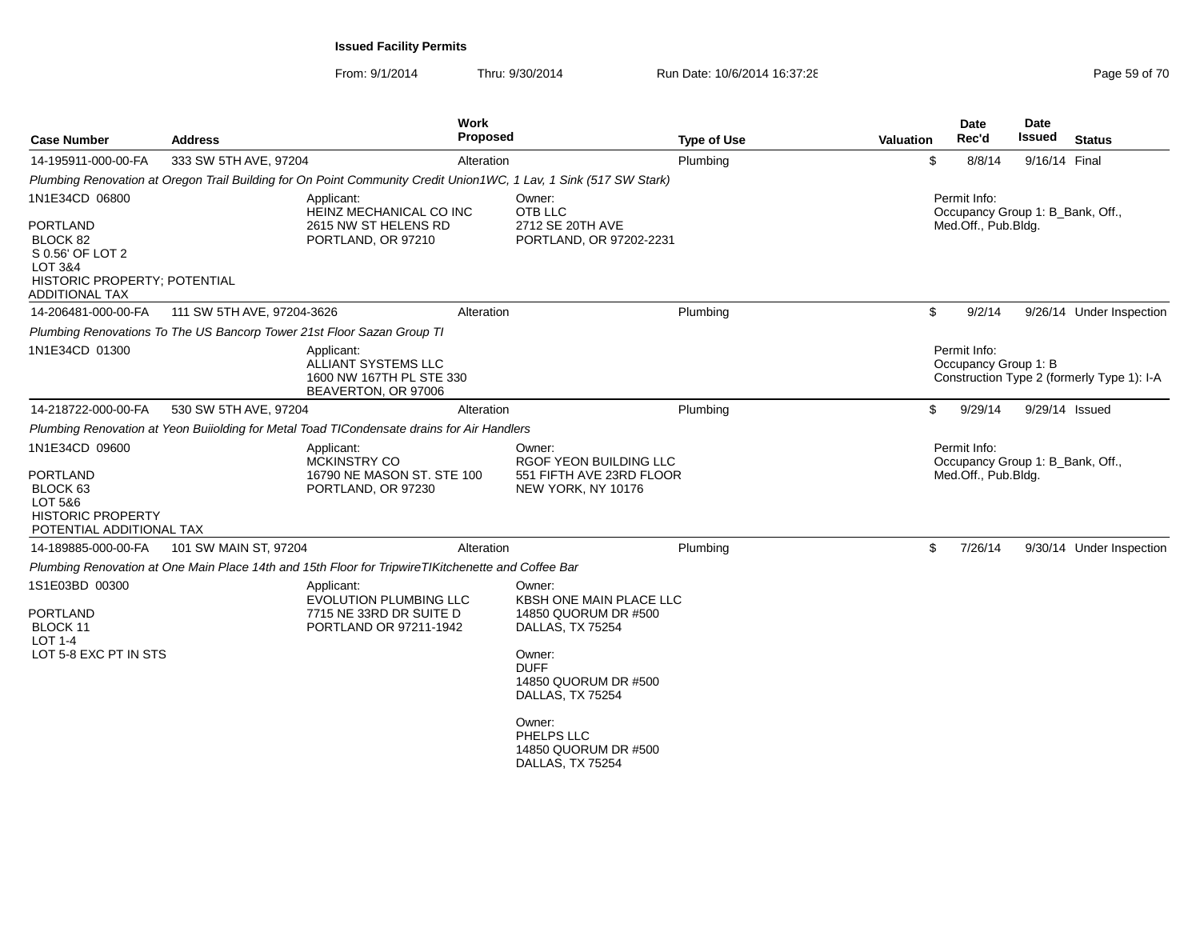| <b>Case Number</b>                                                                                                          | <b>Address</b>                                                                                                    | <b>Work</b><br><b>Proposed</b>                                                                    | <b>Type of Use</b>                                                                                                                                                 | <b>Valuation</b> | <b>Date</b><br>Rec'd                 | <b>Date</b><br>Issued<br><b>Status</b>     |
|-----------------------------------------------------------------------------------------------------------------------------|-------------------------------------------------------------------------------------------------------------------|---------------------------------------------------------------------------------------------------|--------------------------------------------------------------------------------------------------------------------------------------------------------------------|------------------|--------------------------------------|--------------------------------------------|
| 14-195911-000-00-FA                                                                                                         | 333 SW 5TH AVE, 97204                                                                                             | Alteration                                                                                        | Plumbing                                                                                                                                                           | \$               | 8/8/14                               | 9/16/14 Final                              |
|                                                                                                                             | Plumbing Renovation at Oregon Trail Building for On Point Community Credit Union1WC, 1 Lav, 1 Sink (517 SW Stark) |                                                                                                   |                                                                                                                                                                    |                  |                                      |                                            |
| 1N1E34CD 06800<br><b>PORTLAND</b><br>BLOCK 82                                                                               | Applicant:<br>PORTLAND, OR 97210                                                                                  | HEINZ MECHANICAL CO INC<br>2615 NW ST HELENS RD                                                   | Owner:<br>OTB LLC<br>2712 SE 20TH AVE<br>PORTLAND, OR 97202-2231                                                                                                   |                  | Permit Info:<br>Med.Off., Pub.Bldg.  | Occupancy Group 1: B_Bank, Off.,           |
| S 0.56' OF LOT 2<br>LOT 3&4<br>HISTORIC PROPERTY; POTENTIAL<br><b>ADDITIONAL TAX</b>                                        |                                                                                                                   |                                                                                                   |                                                                                                                                                                    |                  |                                      |                                            |
| 14-206481-000-00-FA                                                                                                         | 111 SW 5TH AVE, 97204-3626                                                                                        | Alteration                                                                                        | Plumbing                                                                                                                                                           | \$               | 9/2/14                               | 9/26/14 Under Inspection                   |
|                                                                                                                             | Plumbing Renovations To The US Bancorp Tower 21st Floor Sazan Group TI                                            |                                                                                                   |                                                                                                                                                                    |                  |                                      |                                            |
| 1N1E34CD 01300                                                                                                              | Applicant:                                                                                                        | <b>ALLIANT SYSTEMS LLC</b><br>1600 NW 167TH PL STE 330<br>BEAVERTON, OR 97006                     |                                                                                                                                                                    |                  | Permit Info:<br>Occupancy Group 1: B | Construction Type 2 (formerly Type 1): I-A |
| 14-218722-000-00-FA                                                                                                         | 530 SW 5TH AVE, 97204                                                                                             | Alteration                                                                                        | Plumbing                                                                                                                                                           | \$               | 9/29/14                              | 9/29/14 Issued                             |
|                                                                                                                             | Plumbing Renovation at Yeon Buiiolding for Metal Toad TICondensate drains for Air Handlers                        |                                                                                                   |                                                                                                                                                                    |                  |                                      |                                            |
| 1N1E34CD 09600<br><b>PORTLAND</b><br>BLOCK <sub>63</sub><br>LOT 5&6<br><b>HISTORIC PROPERTY</b><br>POTENTIAL ADDITIONAL TAX | Applicant:<br>MCKINSTRY CO<br>PORTLAND, OR 97230                                                                  | 16790 NE MASON ST, STE 100                                                                        | Owner:<br>RGOF YEON BUILDING LLC<br>551 FIFTH AVE 23RD FLOOR<br>NEW YORK, NY 10176                                                                                 |                  | Permit Info:<br>Med.Off., Pub.Bldg.  | Occupancy Group 1: B_Bank, Off.,           |
| 14-189885-000-00-FA                                                                                                         | 101 SW MAIN ST, 97204                                                                                             | Alteration                                                                                        | Plumbing                                                                                                                                                           | \$               | 7/26/14                              | 9/30/14 Under Inspection                   |
|                                                                                                                             | Plumbing Renovation at One Main Place 14th and 15th Floor for TripwireTIKitchenette and Coffee Bar                |                                                                                                   |                                                                                                                                                                    |                  |                                      |                                            |
| 1S1E03BD 00300<br><b>PORTLAND</b><br>BLOCK 11<br>LOT 1-4<br>LOT 5-8 EXC PT IN STS                                           | Applicant:                                                                                                        | <b>EVOLUTION PLUMBING LLC</b><br>7715 NE 33RD DR SUITE D<br>PORTLAND OR 97211-1942<br><b>DUFF</b> | Owner:<br><b>KBSH ONE MAIN PLACE LLC</b><br>14850 QUORUM DR #500<br>DALLAS, TX 75254<br>Owner:<br>14850 QUORUM DR #500<br>DALLAS, TX 75254<br>Owner:<br>PHELPS LLC |                  |                                      |                                            |
|                                                                                                                             |                                                                                                                   |                                                                                                   | 14850 QUORUM DR #500<br>DALLAS, TX 75254                                                                                                                           |                  |                                      |                                            |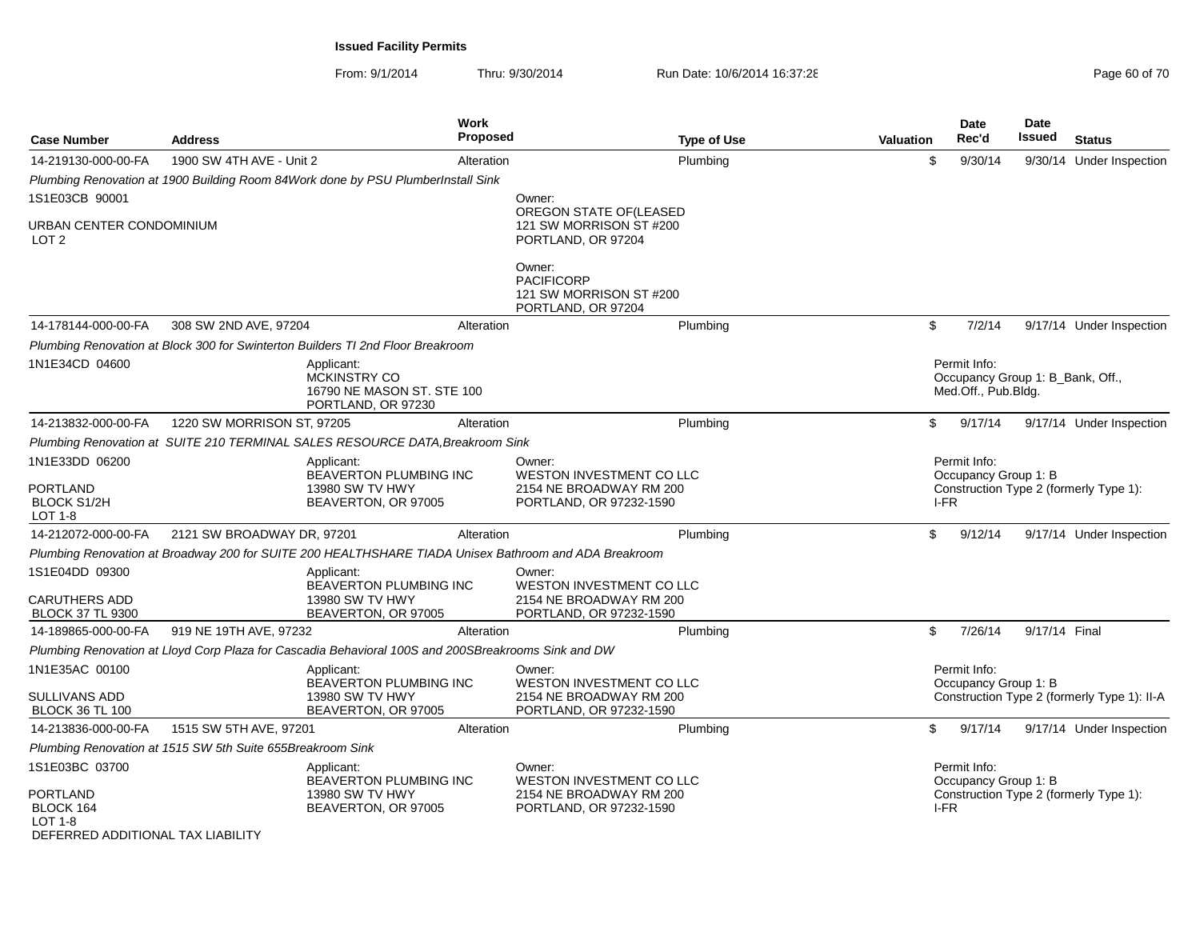| <b>Case Number</b>                                                                      | <b>Address</b>                                             | <b>Work</b><br>Proposed                                                                               |                                                   | <b>Type of Use</b>                                                             | Valuation | Date<br>Rec'd                                                           | <b>Date</b><br>Issued | <b>Status</b>                               |
|-----------------------------------------------------------------------------------------|------------------------------------------------------------|-------------------------------------------------------------------------------------------------------|---------------------------------------------------|--------------------------------------------------------------------------------|-----------|-------------------------------------------------------------------------|-----------------------|---------------------------------------------|
| 14-219130-000-00-FA                                                                     | 1900 SW 4TH AVE - Unit 2                                   | Alteration                                                                                            |                                                   | Plumbing                                                                       | \$        | 9/30/14                                                                 |                       | 9/30/14 Under Inspection                    |
|                                                                                         |                                                            | Plumbing Renovation at 1900 Building Room 84Work done by PSU PlumberInstall Sink                      |                                                   |                                                                                |           |                                                                         |                       |                                             |
| 1S1E03CB 90001                                                                          |                                                            |                                                                                                       | Owner:                                            |                                                                                |           |                                                                         |                       |                                             |
| URBAN CENTER CONDOMINIUM<br>LOT <sub>2</sub>                                            |                                                            |                                                                                                       | PORTLAND, OR 97204                                | OREGON STATE OF (LEASED<br>121 SW MORRISON ST #200                             |           |                                                                         |                       |                                             |
|                                                                                         |                                                            |                                                                                                       | Owner:<br><b>PACIFICORP</b><br>PORTLAND, OR 97204 | 121 SW MORRISON ST #200                                                        |           |                                                                         |                       |                                             |
| 14-178144-000-00-FA                                                                     | 308 SW 2ND AVE, 97204                                      | Alteration                                                                                            |                                                   | Plumbing                                                                       | \$        | 7/2/14                                                                  |                       | 9/17/14 Under Inspection                    |
|                                                                                         |                                                            | Plumbing Renovation at Block 300 for Swinterton Builders TI 2nd Floor Breakroom                       |                                                   |                                                                                |           |                                                                         |                       |                                             |
| 1N1E34CD 04600                                                                          |                                                            | Applicant:<br>MCKINSTRY CO<br>16790 NE MASON ST. STE 100<br>PORTLAND, OR 97230                        |                                                   |                                                                                |           | Permit Info:<br>Occupancy Group 1: B_Bank, Off.,<br>Med.Off., Pub.Bldg. |                       |                                             |
| 14-213832-000-00-FA                                                                     | 1220 SW MORRISON ST, 97205                                 | Alteration                                                                                            |                                                   | Plumbing                                                                       | \$        | 9/17/14                                                                 |                       | 9/17/14 Under Inspection                    |
|                                                                                         |                                                            | Plumbing Renovation at SUITE 210 TERMINAL SALES RESOURCE DATA, Breakroom Sink                         |                                                   |                                                                                |           |                                                                         |                       |                                             |
| 1N1E33DD 06200<br><b>PORTLAND</b><br><b>BLOCK S1/2H</b><br>LOT 1-8                      |                                                            | Applicant:<br>BEAVERTON PLUMBING INC<br>13980 SW TV HWY<br>BEAVERTON, OR 97005                        | Owner:                                            | WESTON INVESTMENT CO LLC<br>2154 NE BROADWAY RM 200<br>PORTLAND, OR 97232-1590 | I-FR      | Permit Info:<br>Occupancy Group 1: B                                    |                       | Construction Type 2 (formerly Type 1):      |
| 14-212072-000-00-FA                                                                     | 2121 SW BROADWAY DR, 97201                                 | Alteration                                                                                            |                                                   | Plumbing                                                                       | \$        | 9/12/14                                                                 |                       | 9/17/14 Under Inspection                    |
|                                                                                         |                                                            | Plumbing Renovation at Broadway 200 for SUITE 200 HEALTHSHARE TIADA Unisex Bathroom and ADA Breakroom |                                                   |                                                                                |           |                                                                         |                       |                                             |
| 1S1E04DD 09300<br>CARUTHERS ADD                                                         |                                                            | Applicant:<br>BEAVERTON PLUMBING INC<br>13980 SW TV HWY                                               | Owner:                                            | WESTON INVESTMENT CO LLC<br>2154 NE BROADWAY RM 200                            |           |                                                                         |                       |                                             |
| <b>BLOCK 37 TL 9300</b>                                                                 |                                                            | BEAVERTON, OR 97005                                                                                   |                                                   | PORTLAND, OR 97232-1590                                                        |           |                                                                         |                       |                                             |
| 14-189865-000-00-FA                                                                     | 919 NE 19TH AVE, 97232                                     | Alteration                                                                                            |                                                   | Plumbing                                                                       | \$        | 7/26/14                                                                 | 9/17/14 Final         |                                             |
|                                                                                         |                                                            | Plumbing Renovation at Lloyd Corp Plaza for Cascadia Behavioral 100S and 200SBreakrooms Sink and DW   |                                                   |                                                                                |           |                                                                         |                       |                                             |
| 1N1E35AC 00100<br>SULLIVANS ADD                                                         |                                                            | Applicant:<br>BEAVERTON PLUMBING INC<br>13980 SW TV HWY                                               | Owner:                                            | <b>WESTON INVESTMENT CO LLC</b><br>2154 NE BROADWAY RM 200                     |           | Permit Info:<br>Occupancy Group 1: B                                    |                       | Construction Type 2 (formerly Type 1): II-A |
| <b>BLOCK 36 TL 100</b>                                                                  |                                                            | BEAVERTON, OR 97005                                                                                   |                                                   | PORTLAND, OR 97232-1590                                                        |           |                                                                         |                       |                                             |
| 14-213836-000-00-FA                                                                     | 1515 SW 5TH AVE, 97201                                     | Alteration                                                                                            |                                                   | Plumbing                                                                       | \$        | 9/17/14                                                                 |                       | 9/17/14 Under Inspection                    |
|                                                                                         | Plumbing Renovation at 1515 SW 5th Suite 655Breakroom Sink |                                                                                                       |                                                   |                                                                                |           |                                                                         |                       |                                             |
| 1S1E03BC 03700<br>PORTLAND<br>BLOCK 164<br>LOT 1-8<br>DEFERRED ADDITIONAL TAX LIABILITY |                                                            | Applicant:<br>BEAVERTON PLUMBING INC<br>13980 SW TV HWY<br>BEAVERTON, OR 97005                        | Owner:                                            | WESTON INVESTMENT CO LLC<br>2154 NE BROADWAY RM 200<br>PORTLAND, OR 97232-1590 | I-FR      | Permit Info:<br>Occupancy Group 1: B                                    |                       | Construction Type 2 (formerly Type 1):      |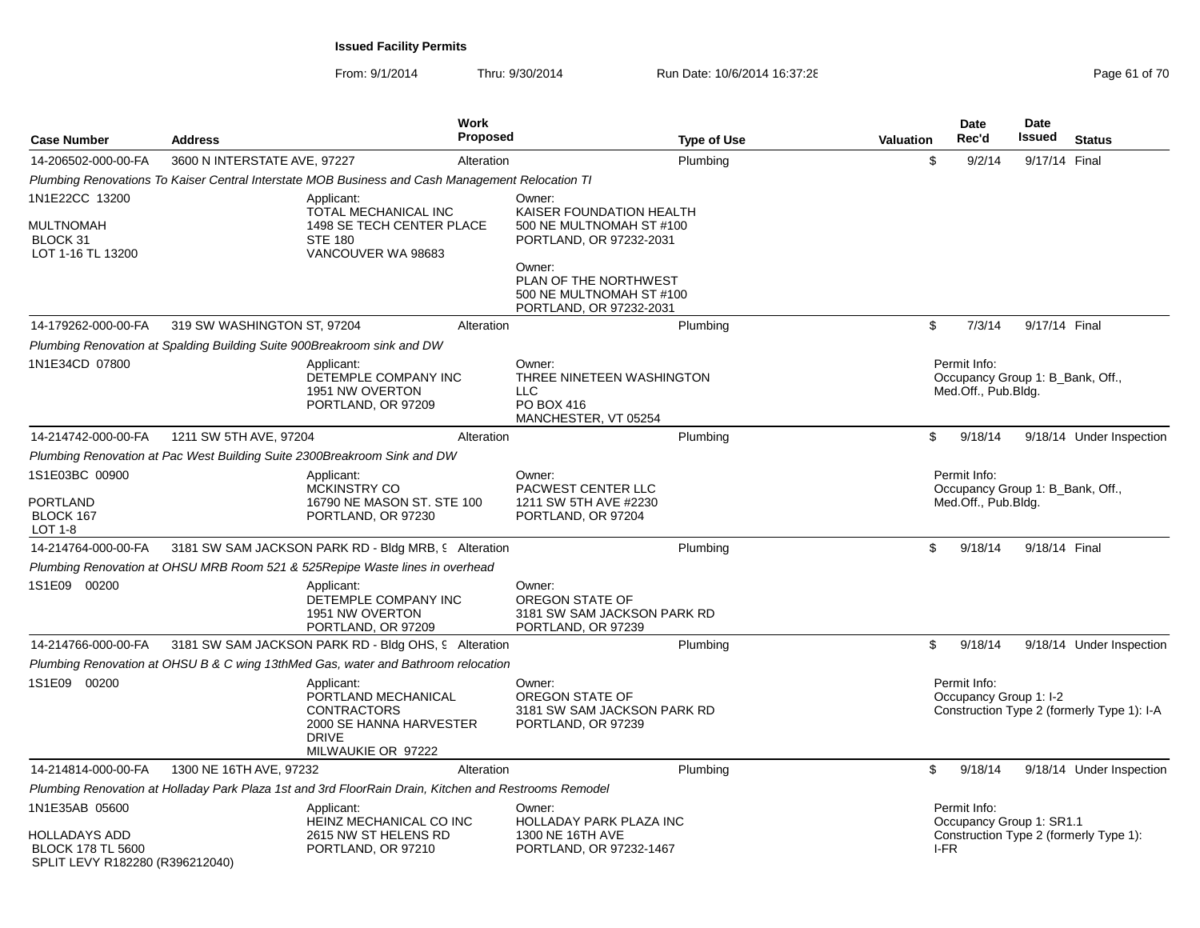| <b>Case Number</b>                                                                  | <b>Address</b>                                                           | <b>Work</b><br>Proposed                                                                                                  |                                                                                           | <b>Type of Use</b> | <b>Valuation</b> | Date<br>Rec'd                                                           | <b>Date</b><br>Issued | <b>Status</b>                              |
|-------------------------------------------------------------------------------------|--------------------------------------------------------------------------|--------------------------------------------------------------------------------------------------------------------------|-------------------------------------------------------------------------------------------|--------------------|------------------|-------------------------------------------------------------------------|-----------------------|--------------------------------------------|
| 14-206502-000-00-FA                                                                 | 3600 N INTERSTATE AVE, 97227                                             | Alteration                                                                                                               |                                                                                           | Plumbing           | \$               | 9/2/14                                                                  | 9/17/14 Final         |                                            |
|                                                                                     |                                                                          | Plumbing Renovations To Kaiser Central Interstate MOB Business and Cash Management Relocation TI                         |                                                                                           |                    |                  |                                                                         |                       |                                            |
| 1N1E22CC 13200<br><b>MULTNOMAH</b><br>BLOCK 31                                      |                                                                          | Applicant:<br>TOTAL MECHANICAL INC<br>1498 SE TECH CENTER PLACE<br><b>STE 180</b>                                        | Owner:<br>KAISER FOUNDATION HEALTH<br>500 NE MULTNOMAH ST #100<br>PORTLAND, OR 97232-2031 |                    |                  |                                                                         |                       |                                            |
| LOT 1-16 TL 13200                                                                   |                                                                          | VANCOUVER WA 98683                                                                                                       | Owner:<br>PLAN OF THE NORTHWEST<br>500 NE MULTNOMAH ST #100<br>PORTLAND, OR 97232-2031    |                    |                  |                                                                         |                       |                                            |
| 14-179262-000-00-FA                                                                 | 319 SW WASHINGTON ST, 97204                                              | Alteration                                                                                                               |                                                                                           | Plumbing           | \$               | 7/3/14                                                                  | 9/17/14 Final         |                                            |
|                                                                                     | Plumbing Renovation at Spalding Building Suite 900Breakroom sink and DW  |                                                                                                                          |                                                                                           |                    |                  |                                                                         |                       |                                            |
| 1N1E34CD 07800                                                                      |                                                                          | Applicant:<br>DETEMPLE COMPANY INC<br>1951 NW OVERTON<br>PORTLAND, OR 97209                                              | Owner:<br>THREE NINETEEN WASHINGTON<br><b>LLC</b><br>PO BOX 416<br>MANCHESTER, VT 05254   |                    |                  | Permit Info:<br>Occupancy Group 1: B_Bank, Off.,<br>Med.Off., Pub.Bldg. |                       |                                            |
| 14-214742-000-00-FA                                                                 | 1211 SW 5TH AVE, 97204                                                   | Alteration                                                                                                               |                                                                                           | Plumbing           | \$               | 9/18/14                                                                 |                       | 9/18/14 Under Inspection                   |
|                                                                                     | Plumbing Renovation at Pac West Building Suite 2300Breakroom Sink and DW |                                                                                                                          |                                                                                           |                    |                  |                                                                         |                       |                                            |
| 1S1E03BC 00900<br><b>PORTLAND</b><br>BLOCK 167<br>LOT 1-8                           |                                                                          | Applicant:<br>MCKINSTRY CO<br>16790 NE MASON ST, STE 100<br>PORTLAND, OR 97230                                           | Owner:<br>PACWEST CENTER LLC<br>1211 SW 5TH AVE #2230<br>PORTLAND, OR 97204               |                    |                  | Permit Info:<br>Occupancy Group 1: B_Bank, Off.,<br>Med.Off., Pub.Bldg. |                       |                                            |
| 14-214764-000-00-FA                                                                 |                                                                          | 3181 SW SAM JACKSON PARK RD - Bldg MRB, 9 Alteration                                                                     |                                                                                           | Plumbing           | \$               | 9/18/14                                                                 | 9/18/14 Final         |                                            |
|                                                                                     |                                                                          | Plumbing Renovation at OHSU MRB Room 521 & 525 Repipe Waste lines in overhead                                            |                                                                                           |                    |                  |                                                                         |                       |                                            |
| 1S1E09 00200                                                                        |                                                                          | Applicant:<br>DETEMPLE COMPANY INC<br>1951 NW OVERTON<br>PORTLAND, OR 97209                                              | Owner:<br>OREGON STATE OF<br>3181 SW SAM JACKSON PARK RD<br>PORTLAND, OR 97239            |                    |                  |                                                                         |                       |                                            |
| 14-214766-000-00-FA                                                                 |                                                                          | 3181 SW SAM JACKSON PARK RD - Bldg OHS, 9 Alteration                                                                     |                                                                                           | Plumbing           | \$               | 9/18/14                                                                 |                       | 9/18/14 Under Inspection                   |
|                                                                                     |                                                                          | Plumbing Renovation at OHSU B & C wing 13thMed Gas, water and Bathroom relocation                                        |                                                                                           |                    |                  |                                                                         |                       |                                            |
| 1S1E09 00200                                                                        |                                                                          | Applicant:<br>PORTLAND MECHANICAL<br><b>CONTRACTORS</b><br>2000 SE HANNA HARVESTER<br><b>DRIVE</b><br>MILWAUKIE OR 97222 | Owner:<br>OREGON STATE OF<br>3181 SW SAM JACKSON PARK RD<br>PORTLAND, OR 97239            |                    |                  | Permit Info:<br>Occupancy Group 1: I-2                                  |                       | Construction Type 2 (formerly Type 1): I-A |
| 14-214814-000-00-FA                                                                 | 1300 NE 16TH AVE, 97232                                                  | Alteration                                                                                                               |                                                                                           | Plumbing           | \$               | 9/18/14                                                                 |                       | 9/18/14 Under Inspection                   |
|                                                                                     |                                                                          | Plumbing Renovation at Holladay Park Plaza 1st and 3rd FloorRain Drain, Kitchen and Restrooms Remodel                    |                                                                                           |                    |                  |                                                                         |                       |                                            |
| 1N1E35AB 05600                                                                      |                                                                          | Applicant:<br>HEINZ MECHANICAL CO INC                                                                                    | Owner:<br>HOLLADAY PARK PLAZA INC                                                         |                    |                  | Permit Info:<br>Occupancy Group 1: SR1.1                                |                       |                                            |
| <b>HOLLADAYS ADD</b><br><b>BLOCK 178 TL 5600</b><br>SPLIT LEVY R182280 (R396212040) |                                                                          | 2615 NW ST HELENS RD<br>PORTLAND, OR 97210                                                                               | 1300 NE 16TH AVE<br>PORTLAND, OR 97232-1467                                               |                    | I-FR             |                                                                         |                       | Construction Type 2 (formerly Type 1):     |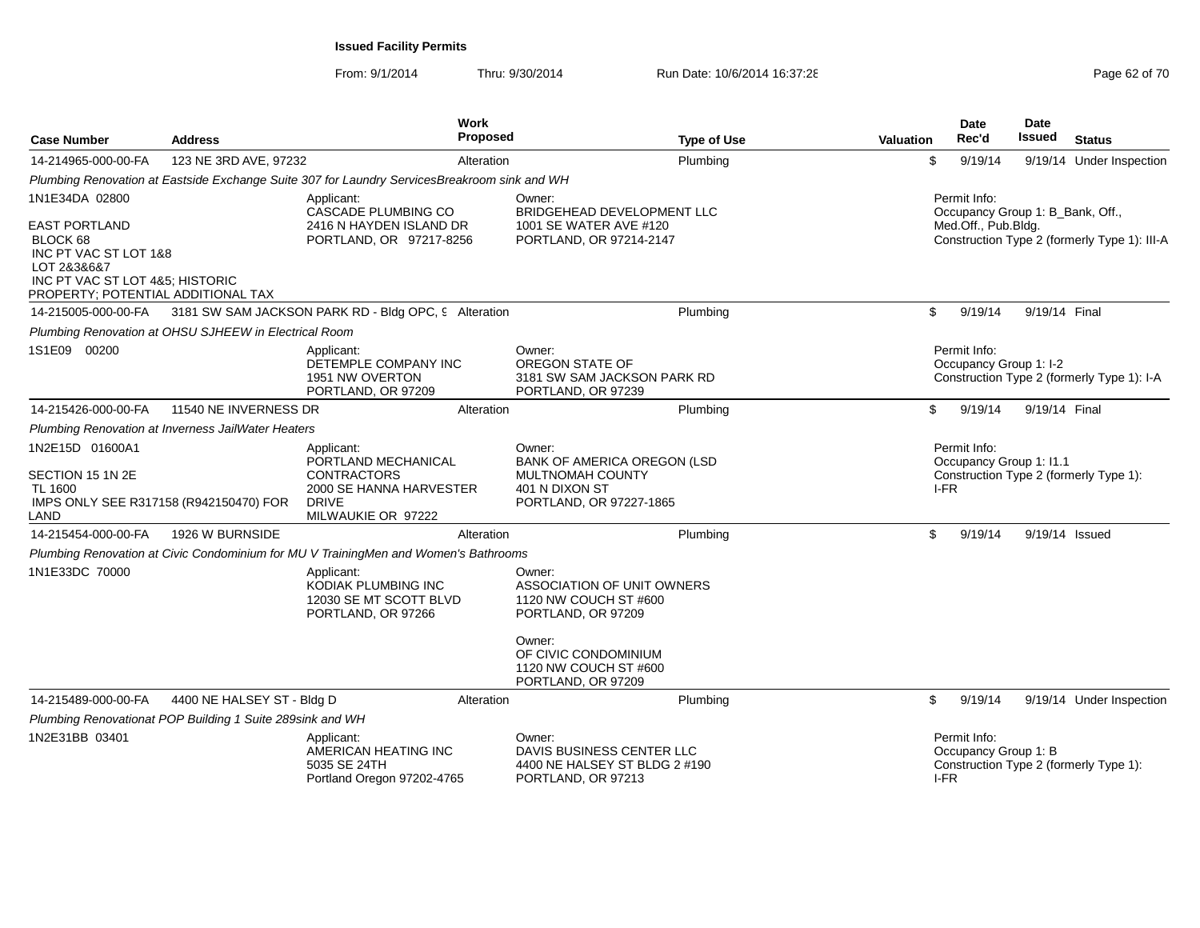| <b>Case Number</b>                                                                                                                                | <b>Address</b>                                            | <b>Work</b><br><b>Proposed</b>                                                                                           |                                                                                                        | <b>Type of Use</b> | <b>Valuation</b> | <b>Date</b><br>Rec'd                             | <b>Date</b><br>Issued | <b>Status</b>                                |
|---------------------------------------------------------------------------------------------------------------------------------------------------|-----------------------------------------------------------|--------------------------------------------------------------------------------------------------------------------------|--------------------------------------------------------------------------------------------------------|--------------------|------------------|--------------------------------------------------|-----------------------|----------------------------------------------|
| 14-214965-000-00-FA                                                                                                                               | 123 NE 3RD AVE, 97232                                     | Alteration                                                                                                               |                                                                                                        | Plumbing           | \$               | 9/19/14                                          |                       | 9/19/14 Under Inspection                     |
|                                                                                                                                                   |                                                           | Plumbing Renovation at Eastside Exchange Suite 307 for Laundry ServicesBreakroom sink and WH                             |                                                                                                        |                    |                  |                                                  |                       |                                              |
| 1N1E34DA 02800                                                                                                                                    |                                                           | Applicant:<br>CASCADE PLUMBING CO                                                                                        | Owner:<br>BRIDGEHEAD DEVELOPMENT LLC                                                                   |                    |                  | Permit Info:<br>Occupancy Group 1: B Bank, Off., |                       |                                              |
| <b>EAST PORTLAND</b><br>BLOCK 68<br>INC PT VAC ST LOT 1&8<br>LOT 2&3&6&7<br>INC PT VAC ST LOT 4&5; HISTORIC<br>PROPERTY; POTENTIAL ADDITIONAL TAX |                                                           | 2416 N HAYDEN ISLAND DR<br>PORTLAND, OR 97217-8256                                                                       | 1001 SE WATER AVE #120<br>PORTLAND, OR 97214-2147                                                      |                    |                  | Med.Off., Pub.Bldg.                              |                       | Construction Type 2 (formerly Type 1): III-A |
| 14-215005-000-00-FA                                                                                                                               |                                                           | 3181 SW SAM JACKSON PARK RD - Bldg OPC, 9 Alteration                                                                     |                                                                                                        | Plumbing           | \$               | 9/19/14                                          | 9/19/14 Final         |                                              |
|                                                                                                                                                   | Plumbing Renovation at OHSU SJHEEW in Electrical Room     |                                                                                                                          |                                                                                                        |                    |                  |                                                  |                       |                                              |
| 1S1E09 00200                                                                                                                                      |                                                           | Applicant:<br>DETEMPLE COMPANY INC<br>1951 NW OVERTON<br>PORTLAND, OR 97209                                              | Owner:<br>OREGON STATE OF<br>3181 SW SAM JACKSON PARK RD<br>PORTLAND, OR 97239                         |                    |                  | Permit Info:<br>Occupancy Group 1: I-2           |                       | Construction Type 2 (formerly Type 1): I-A   |
| 14-215426-000-00-FA                                                                                                                               | 11540 NE INVERNESS DR                                     | Alteration                                                                                                               |                                                                                                        | Plumbing           | \$               | 9/19/14                                          | 9/19/14 Final         |                                              |
|                                                                                                                                                   | Plumbing Renovation at Inverness JailWater Heaters        |                                                                                                                          |                                                                                                        |                    |                  |                                                  |                       |                                              |
| 1N2E15D 01600A1<br>SECTION 15 1N 2E<br>TL 1600<br>IMPS ONLY SEE R317158 (R942150470) FOR<br>LAND                                                  |                                                           | Applicant:<br>PORTLAND MECHANICAL<br><b>CONTRACTORS</b><br>2000 SE HANNA HARVESTER<br><b>DRIVE</b><br>MILWAUKIE OR 97222 | Owner:<br>BANK OF AMERICA OREGON (LSD<br>MULTNOMAH COUNTY<br>401 N DIXON ST<br>PORTLAND, OR 97227-1865 |                    |                  | Permit Info:<br>Occupancy Group 1: I1.1<br>I-FR  |                       | Construction Type 2 (formerly Type 1):       |
| 14-215454-000-00-FA                                                                                                                               | 1926 W BURNSIDE                                           | Alteration                                                                                                               |                                                                                                        | Plumbing           | \$               | 9/19/14                                          | 9/19/14 Issued        |                                              |
|                                                                                                                                                   |                                                           | Plumbing Renovation at Civic Condominium for MU V TrainingMen and Women's Bathrooms                                      |                                                                                                        |                    |                  |                                                  |                       |                                              |
| 1N1E33DC 70000                                                                                                                                    |                                                           | Applicant:<br>KODIAK PLUMBING INC<br>12030 SE MT SCOTT BLVD<br>PORTLAND, OR 97266                                        | Owner:<br>ASSOCIATION OF UNIT OWNERS<br>1120 NW COUCH ST #600<br>PORTLAND, OR 97209                    |                    |                  |                                                  |                       |                                              |
|                                                                                                                                                   |                                                           |                                                                                                                          | Owner:<br>OF CIVIC CONDOMINIUM<br>1120 NW COUCH ST #600<br>PORTLAND, OR 97209                          |                    |                  |                                                  |                       |                                              |
| 14-215489-000-00-FA                                                                                                                               | 4400 NE HALSEY ST - Bldg D                                | Alteration                                                                                                               |                                                                                                        | Plumbing           | \$               | 9/19/14                                          |                       | 9/19/14 Under Inspection                     |
|                                                                                                                                                   | Plumbing Renovationat POP Building 1 Suite 289sink and WH |                                                                                                                          |                                                                                                        |                    |                  |                                                  |                       |                                              |
| 1N2E31BB 03401                                                                                                                                    |                                                           | Applicant:<br>AMERICAN HEATING INC<br>5035 SE 24TH<br>Portland Oregon 97202-4765                                         | Owner:<br>DAVIS BUSINESS CENTER LLC<br>4400 NE HALSEY ST BLDG 2 #190<br>PORTLAND, OR 97213             |                    |                  | Permit Info:<br>Occupancy Group 1: B<br>I-FR     |                       | Construction Type 2 (formerly Type 1):       |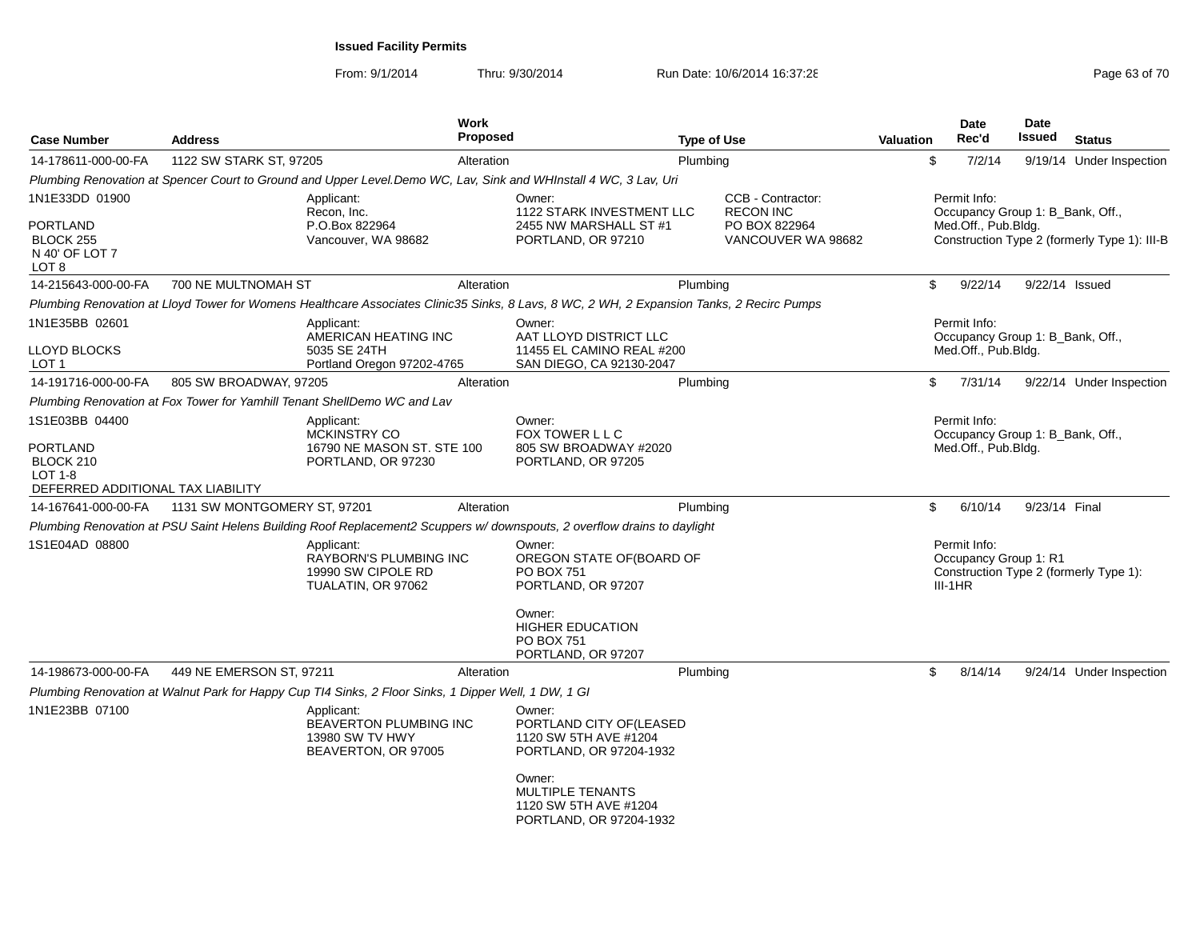| <b>Case Number</b>                                      | <b>Address</b>               |                                                                                                      | <b>Work</b><br>Proposed |                                                                                                                                           | <b>Type of Use</b> |                                       | <b>Valuation</b> |           | <b>Date</b><br>Rec'd | <b>Date</b><br>Issued            | <b>Status</b>                                |
|---------------------------------------------------------|------------------------------|------------------------------------------------------------------------------------------------------|-------------------------|-------------------------------------------------------------------------------------------------------------------------------------------|--------------------|---------------------------------------|------------------|-----------|----------------------|----------------------------------|----------------------------------------------|
| 14-178611-000-00-FA                                     | 1122 SW STARK ST, 97205      |                                                                                                      | Alteration              |                                                                                                                                           | Plumbing           |                                       |                  | \$        | 7/2/14               |                                  | 9/19/14 Under Inspection                     |
|                                                         |                              |                                                                                                      |                         | Plumbing Renovation at Spencer Court to Ground and Upper Level.Demo WC, Lav, Sink and WHInstall 4 WC, 3 Lav, Uri                          |                    |                                       |                  |           |                      |                                  |                                              |
| 1N1E33DD 01900                                          |                              | Applicant:<br>Recon, Inc.                                                                            |                         | Owner:<br><b>1122 STARK INVESTMENT LLC</b>                                                                                                |                    | CCB - Contractor:<br><b>RECON INC</b> |                  |           | Permit Info:         | Occupancy Group 1: B_Bank, Off., |                                              |
| PORTLAND<br><b>BLOCK 255</b><br>N 40' OF LOT 7<br>LOT 8 |                              | P.O.Box 822964<br>Vancouver, WA 98682                                                                |                         | 2455 NW MARSHALL ST #1<br>PORTLAND, OR 97210                                                                                              |                    | PO BOX 822964<br>VANCOUVER WA 98682   |                  |           | Med.Off., Pub.Bldg.  |                                  | Construction Type 2 (formerly Type 1): III-B |
| 14-215643-000-00-FA                                     | 700 NE MULTNOMAH ST          |                                                                                                      | Alteration              |                                                                                                                                           | Plumbing           |                                       |                  | \$        | 9/22/14              | 9/22/14 Issued                   |                                              |
|                                                         |                              |                                                                                                      |                         | Plumbing Renovation at Lloyd Tower for Womens Healthcare Associates Clinic35 Sinks, 8 Lavs, 8 WC, 2 WH, 2 Expansion Tanks, 2 Recirc Pumps |                    |                                       |                  |           |                      |                                  |                                              |
| 1N1E35BB 02601                                          |                              | Applicant:<br>AMERICAN HEATING INC                                                                   |                         | Owner:<br>AAT LLOYD DISTRICT LLC                                                                                                          |                    |                                       |                  |           | Permit Info:         | Occupancy Group 1: B Bank, Off., |                                              |
| LLOYD BLOCKS<br>LOT <sub>1</sub>                        |                              | 5035 SE 24TH<br>Portland Oregon 97202-4765                                                           |                         | 11455 EL CAMINO REAL #200<br>SAN DIEGO, CA 92130-2047                                                                                     |                    |                                       |                  |           | Med.Off., Pub.Bldg.  |                                  |                                              |
| 14-191716-000-00-FA                                     | 805 SW BROADWAY, 97205       |                                                                                                      | Alteration              |                                                                                                                                           | Plumbing           |                                       |                  | \$        | 7/31/14              |                                  | 9/22/14 Under Inspection                     |
|                                                         |                              | Plumbing Renovation at Fox Tower for Yamhill Tenant ShellDemo WC and Lav                             |                         |                                                                                                                                           |                    |                                       |                  |           |                      |                                  |                                              |
| 1S1E03BB 04400                                          |                              | Applicant:<br><b>MCKINSTRY CO</b>                                                                    |                         | Owner:<br>FOX TOWER L L C                                                                                                                 |                    |                                       |                  |           | Permit Info:         | Occupancy Group 1: B_Bank, Off., |                                              |
| <b>PORTLAND</b><br>BLOCK 210<br><b>LOT 1-8</b>          |                              | 16790 NE MASON ST. STE 100<br>PORTLAND, OR 97230                                                     |                         | 805 SW BROADWAY #2020<br>PORTLAND, OR 97205                                                                                               |                    |                                       |                  |           | Med.Off., Pub.Bldg.  |                                  |                                              |
| DEFERRED ADDITIONAL TAX LIABILITY                       |                              |                                                                                                      |                         |                                                                                                                                           |                    |                                       |                  |           |                      |                                  |                                              |
| 14-167641-000-00-FA                                     | 1131 SW MONTGOMERY ST, 97201 |                                                                                                      | Alteration              |                                                                                                                                           | Plumbing           |                                       |                  | \$        | 6/10/14              | 9/23/14 Final                    |                                              |
|                                                         |                              |                                                                                                      |                         | Plumbing Renovation at PSU Saint Helens Building Roof Replacement2 Scuppers w/downspouts, 2 overflow drains to daylight                   |                    |                                       |                  |           |                      |                                  |                                              |
| 1S1E04AD 08800                                          |                              | Applicant:<br>RAYBORN'S PLUMBING INC<br>19990 SW CIPOLE RD<br>TUALATIN, OR 97062                     |                         | Owner:<br>OREGON STATE OF(BOARD OF<br><b>PO BOX 751</b><br>PORTLAND, OR 97207                                                             |                    |                                       |                  | $III-1HR$ | Permit Info:         | Occupancy Group 1: R1            | Construction Type 2 (formerly Type 1):       |
|                                                         |                              |                                                                                                      |                         | Owner:<br><b>HIGHER EDUCATION</b><br><b>PO BOX 751</b><br>PORTLAND, OR 97207                                                              |                    |                                       |                  |           |                      |                                  |                                              |
| 14-198673-000-00-FA                                     | 449 NE EMERSON ST, 97211     |                                                                                                      | Alteration              |                                                                                                                                           | Plumbing           |                                       |                  | \$        | 8/14/14              |                                  | 9/24/14 Under Inspection                     |
|                                                         |                              | Plumbing Renovation at Walnut Park for Happy Cup TI4 Sinks, 2 Floor Sinks, 1 Dipper Well, 1 DW, 1 GI |                         |                                                                                                                                           |                    |                                       |                  |           |                      |                                  |                                              |
| 1N1E23BB 07100                                          |                              | Applicant:<br><b>BEAVERTON PLUMBING INC</b><br>13980 SW TV HWY<br>BEAVERTON, OR 97005                |                         | Owner:<br>PORTLAND CITY OF(LEASED<br>1120 SW 5TH AVE #1204<br>PORTLAND, OR 97204-1932                                                     |                    |                                       |                  |           |                      |                                  |                                              |
|                                                         |                              |                                                                                                      |                         | Owner:<br><b>MULTIPLE TENANTS</b><br>1120 SW 5TH AVE #1204<br>PORTLAND, OR 97204-1932                                                     |                    |                                       |                  |           |                      |                                  |                                              |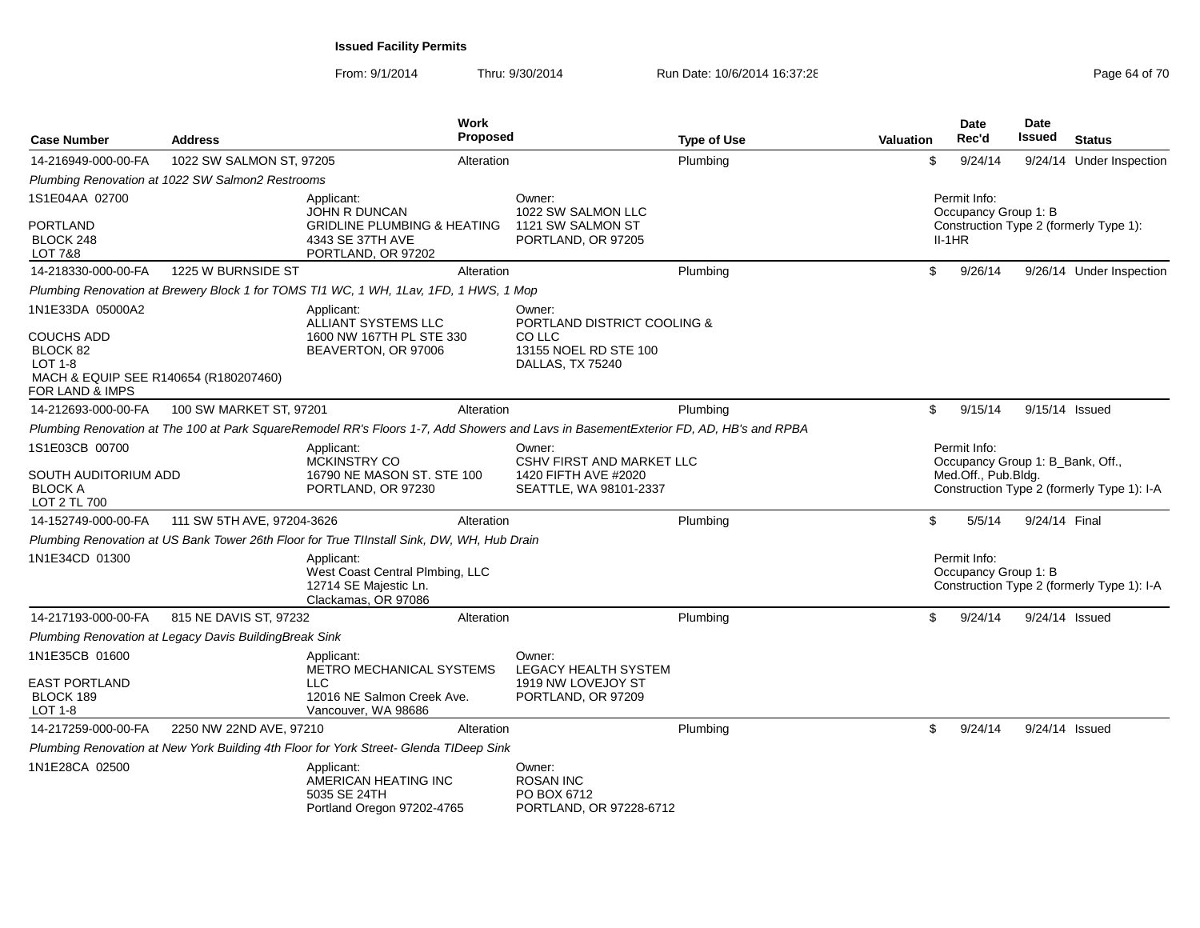| <b>Case Number</b>                                                                                          | <b>Address</b>                                         |                                                                                                                                      | Work<br><b>Proposed</b> |                                                                      | <b>Type of Use</b> | <b>Valuation</b> |          | Date<br>Rec'd                        | Date<br><b>Issued</b>            | <b>Status</b>                              |
|-------------------------------------------------------------------------------------------------------------|--------------------------------------------------------|--------------------------------------------------------------------------------------------------------------------------------------|-------------------------|----------------------------------------------------------------------|--------------------|------------------|----------|--------------------------------------|----------------------------------|--------------------------------------------|
| 14-216949-000-00-FA                                                                                         | 1022 SW SALMON ST, 97205                               |                                                                                                                                      | Alteration              |                                                                      | Plumbing           |                  | \$       | 9/24/14                              |                                  | 9/24/14 Under Inspection                   |
|                                                                                                             | Plumbing Renovation at 1022 SW Salmon2 Restrooms       |                                                                                                                                      |                         |                                                                      |                    |                  |          |                                      |                                  |                                            |
| 1S1E04AA 02700                                                                                              |                                                        | Applicant:<br><b>JOHN R DUNCAN</b>                                                                                                   |                         | Owner:<br>1022 SW SALMON LLC                                         |                    |                  |          | Permit Info:<br>Occupancy Group 1: B |                                  |                                            |
| <b>PORTLAND</b><br>BLOCK 248<br><b>LOT 7&amp;8</b>                                                          |                                                        | <b>GRIDLINE PLUMBING &amp; HEATING</b><br>4343 SE 37TH AVE<br>PORTLAND, OR 97202                                                     |                         | 1121 SW SALMON ST<br>PORTLAND, OR 97205                              |                    |                  | $II-1HR$ |                                      |                                  | Construction Type 2 (formerly Type 1):     |
| 14-218330-000-00-FA                                                                                         | 1225 W BURNSIDE ST                                     |                                                                                                                                      | Alteration              |                                                                      | Plumbing           |                  | \$       | 9/26/14                              |                                  | 9/26/14 Under Inspection                   |
|                                                                                                             |                                                        | Plumbing Renovation at Brewery Block 1 for TOMS TI1 WC, 1 WH, 1Lav, 1FD, 1 HWS, 1 Mop                                                |                         |                                                                      |                    |                  |          |                                      |                                  |                                            |
| 1N1E33DA 05000A2                                                                                            |                                                        | Applicant:<br><b>ALLIANT SYSTEMS LLC</b>                                                                                             |                         | Owner:<br><b>PORTLAND DISTRICT COOLING &amp;</b>                     |                    |                  |          |                                      |                                  |                                            |
| <b>COUCHS ADD</b><br>BLOCK 82<br><b>LOT 1-8</b><br>MACH & EQUIP SEE R140654 (R180207460)<br>FOR LAND & IMPS |                                                        | 1600 NW 167TH PL STE 330<br>BEAVERTON, OR 97006                                                                                      |                         | CO LLC<br>13155 NOEL RD STE 100<br>DALLAS, TX 75240                  |                    |                  |          |                                      |                                  |                                            |
| 14-212693-000-00-FA                                                                                         | 100 SW MARKET ST, 97201                                |                                                                                                                                      | Alteration              |                                                                      | Plumbing           |                  | \$       | 9/15/14                              | 9/15/14 Issued                   |                                            |
|                                                                                                             |                                                        | Plumbing Renovation at The 100 at Park SquareRemodel RR's Floors 1-7, Add Showers and Lavs in BasementExterior FD, AD, HB's and RPBA |                         |                                                                      |                    |                  |          |                                      |                                  |                                            |
| 1S1E03CB 00700<br>SOUTH AUDITORIUM ADD                                                                      |                                                        | Applicant:<br><b>MCKINSTRY CO</b><br>16790 NE MASON ST. STE 100                                                                      |                         | Owner:<br>CSHV FIRST AND MARKET LLC<br>1420 FIFTH AVE #2020          |                    |                  |          | Permit Info:<br>Med.Off., Pub.Bldg.  | Occupancy Group 1: B_Bank, Off., |                                            |
| <b>BLOCK A</b><br>LOT 2 TL 700                                                                              |                                                        | PORTLAND, OR 97230                                                                                                                   |                         | SEATTLE, WA 98101-2337                                               |                    |                  |          |                                      |                                  | Construction Type 2 (formerly Type 1): I-A |
| 14-152749-000-00-FA                                                                                         | 111 SW 5TH AVE, 97204-3626                             |                                                                                                                                      | Alteration              |                                                                      | Plumbing           |                  | \$       | 5/5/14                               | 9/24/14 Final                    |                                            |
|                                                                                                             |                                                        | Plumbing Renovation at US Bank Tower 26th Floor for True TIInstall Sink, DW, WH, Hub Drain                                           |                         |                                                                      |                    |                  |          |                                      |                                  |                                            |
| 1N1E34CD 01300                                                                                              |                                                        | Applicant:<br>West Coast Central Plmbing, LLC<br>12714 SE Majestic Ln.<br>Clackamas, OR 97086                                        |                         |                                                                      |                    |                  |          | Permit Info:<br>Occupancy Group 1: B |                                  | Construction Type 2 (formerly Type 1): I-A |
| 14-217193-000-00-FA                                                                                         | 815 NE DAVIS ST. 97232                                 |                                                                                                                                      | Alteration              |                                                                      | Plumbing           |                  | \$       | 9/24/14                              | 9/24/14 Issued                   |                                            |
|                                                                                                             | Plumbing Renovation at Legacy Davis BuildingBreak Sink |                                                                                                                                      |                         |                                                                      |                    |                  |          |                                      |                                  |                                            |
| 1N1E35CB 01600                                                                                              |                                                        | Applicant:<br>METRO MECHANICAL SYSTEMS                                                                                               |                         | Owner:<br><b>LEGACY HEALTH SYSTEM</b>                                |                    |                  |          |                                      |                                  |                                            |
| EAST PORTLAND<br>BLOCK 189<br><b>LOT 1-8</b>                                                                |                                                        | <b>LLC</b><br>12016 NE Salmon Creek Ave.<br>Vancouver, WA 98686                                                                      |                         | 1919 NW LOVEJOY ST<br>PORTLAND, OR 97209                             |                    |                  |          |                                      |                                  |                                            |
| 14-217259-000-00-FA                                                                                         | 2250 NW 22ND AVE, 97210                                |                                                                                                                                      | Alteration              |                                                                      | Plumbing           |                  | \$       | 9/24/14                              | 9/24/14 Issued                   |                                            |
|                                                                                                             |                                                        | Plumbing Renovation at New York Building 4th Floor for York Street- Glenda TIDeep Sink                                               |                         |                                                                      |                    |                  |          |                                      |                                  |                                            |
| 1N1E28CA 02500                                                                                              |                                                        | Applicant:<br>AMERICAN HEATING INC<br>5035 SE 24TH<br>Portland Oregon 97202-4765                                                     |                         | Owner:<br><b>ROSAN INC</b><br>PO BOX 6712<br>PORTLAND, OR 97228-6712 |                    |                  |          |                                      |                                  |                                            |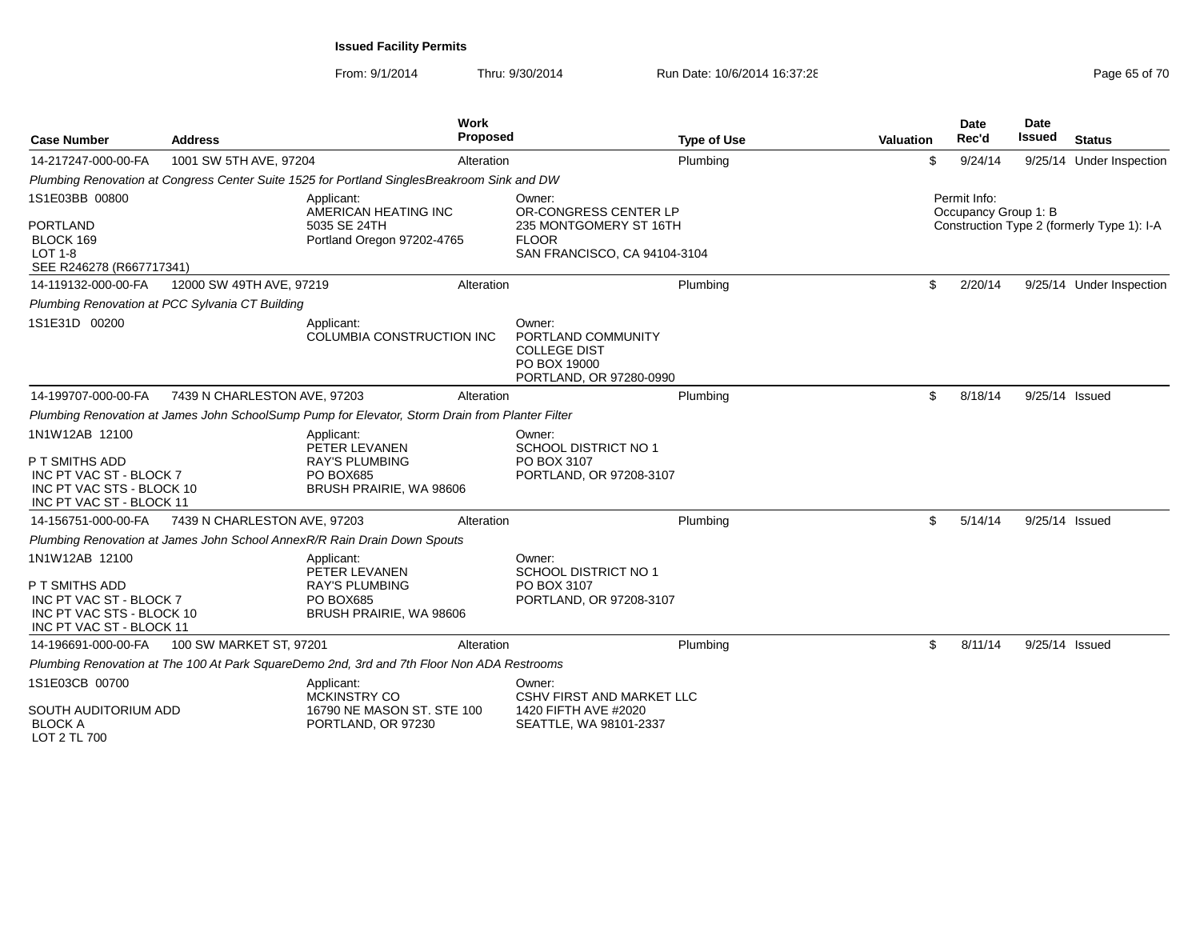| <b>Case Number</b>                                                                                                   | <b>Address</b>                                  | Work<br><b>Proposed</b>                                                                             |                                                                                                           | <b>Type of Use</b> | Valuation | Date<br>Rec'd                        | <b>Date</b><br>Issued | <b>Status</b>                              |
|----------------------------------------------------------------------------------------------------------------------|-------------------------------------------------|-----------------------------------------------------------------------------------------------------|-----------------------------------------------------------------------------------------------------------|--------------------|-----------|--------------------------------------|-----------------------|--------------------------------------------|
| 14-217247-000-00-FA                                                                                                  | 1001 SW 5TH AVE, 97204                          | Alteration                                                                                          |                                                                                                           | Plumbing           | \$        | 9/24/14                              |                       | 9/25/14 Under Inspection                   |
|                                                                                                                      |                                                 | Plumbing Renovation at Congress Center Suite 1525 for Portland SinglesBreakroom Sink and DW         |                                                                                                           |                    |           |                                      |                       |                                            |
| 1S1E03BB 00800<br><b>PORTLAND</b><br>BLOCK 169<br><b>LOT 1-8</b><br>SEE R246278 (R667717341)                         |                                                 | Applicant:<br>AMERICAN HEATING INC<br>5035 SE 24TH<br>Portland Oregon 97202-4765                    | Owner:<br>OR-CONGRESS CENTER LP<br>235 MONTGOMERY ST 16TH<br><b>FLOOR</b><br>SAN FRANCISCO, CA 94104-3104 |                    |           | Permit Info:<br>Occupancy Group 1: B |                       | Construction Type 2 (formerly Type 1): I-A |
| 14-119132-000-00-FA                                                                                                  | 12000 SW 49TH AVE, 97219                        | Alteration                                                                                          |                                                                                                           | Plumbing           | \$        | 2/20/14                              |                       | 9/25/14 Under Inspection                   |
|                                                                                                                      | Plumbing Renovation at PCC Sylvania CT Building |                                                                                                     |                                                                                                           |                    |           |                                      |                       |                                            |
| 1S1E31D 00200                                                                                                        |                                                 | Applicant:<br>COLUMBIA CONSTRUCTION INC                                                             | Owner:<br>PORTLAND COMMUNITY<br><b>COLLEGE DIST</b><br>PO BOX 19000<br>PORTLAND, OR 97280-0990            |                    |           |                                      |                       |                                            |
| 14-199707-000-00-FA                                                                                                  | 7439 N CHARLESTON AVE, 97203                    | Alteration                                                                                          |                                                                                                           | Plumbing           | \$        | 8/18/14                              | 9/25/14 Issued        |                                            |
|                                                                                                                      |                                                 | Plumbing Renovation at James John SchoolSump Pump for Elevator, Storm Drain from Planter Filter     |                                                                                                           |                    |           |                                      |                       |                                            |
| 1N1W12AB 12100<br>P T SMITHS ADD<br>INC PT VAC ST - BLOCK 7<br>INC PT VAC STS - BLOCK 10<br>INC PT VAC ST - BLOCK 11 |                                                 | Applicant:<br>PETER LEVANEN<br><b>RAY'S PLUMBING</b><br><b>PO BOX685</b><br>BRUSH PRAIRIE, WA 98606 | Owner:<br><b>SCHOOL DISTRICT NO 1</b><br>PO BOX 3107<br>PORTLAND, OR 97208-3107                           |                    |           |                                      |                       |                                            |
| 14-156751-000-00-FA                                                                                                  | 7439 N CHARLESTON AVE, 97203                    | Alteration                                                                                          |                                                                                                           | Plumbing           | \$        | 5/14/14                              | 9/25/14 Issued        |                                            |
|                                                                                                                      |                                                 | Plumbing Renovation at James John School AnnexR/R Rain Drain Down Spouts                            |                                                                                                           |                    |           |                                      |                       |                                            |
| 1N1W12AB 12100<br>P T SMITHS ADD<br>INC PT VAC ST - BLOCK 7<br>INC PT VAC STS - BLOCK 10<br>INC PT VAC ST - BLOCK 11 |                                                 | Applicant:<br>PETER LEVANEN<br><b>RAY'S PLUMBING</b><br>PO BOX685<br>BRUSH PRAIRIE, WA 98606        | Owner:<br>SCHOOL DISTRICT NO 1<br>PO BOX 3107<br>PORTLAND, OR 97208-3107                                  |                    |           |                                      |                       |                                            |
| 14-196691-000-00-FA                                                                                                  | 100 SW MARKET ST, 97201                         | Alteration                                                                                          |                                                                                                           | Plumbing           | \$        | 8/11/14                              | 9/25/14 Issued        |                                            |
|                                                                                                                      |                                                 | Plumbing Renovation at The 100 At Park SquareDemo 2nd, 3rd and 7th Floor Non ADA Restrooms          |                                                                                                           |                    |           |                                      |                       |                                            |
| 1S1E03CB 00700<br>SOUTH AUDITORIUM ADD                                                                               |                                                 | Applicant:<br><b>MCKINSTRY CO</b><br>16790 NE MASON ST. STE 100                                     | Owner:<br>CSHV FIRST AND MARKET LLC<br>1420 FIFTH AVE #2020                                               |                    |           |                                      |                       |                                            |
| <b>BLOCK A</b><br>LOT 2 TL 700                                                                                       |                                                 | PORTLAND, OR 97230                                                                                  | SEATTLE, WA 98101-2337                                                                                    |                    |           |                                      |                       |                                            |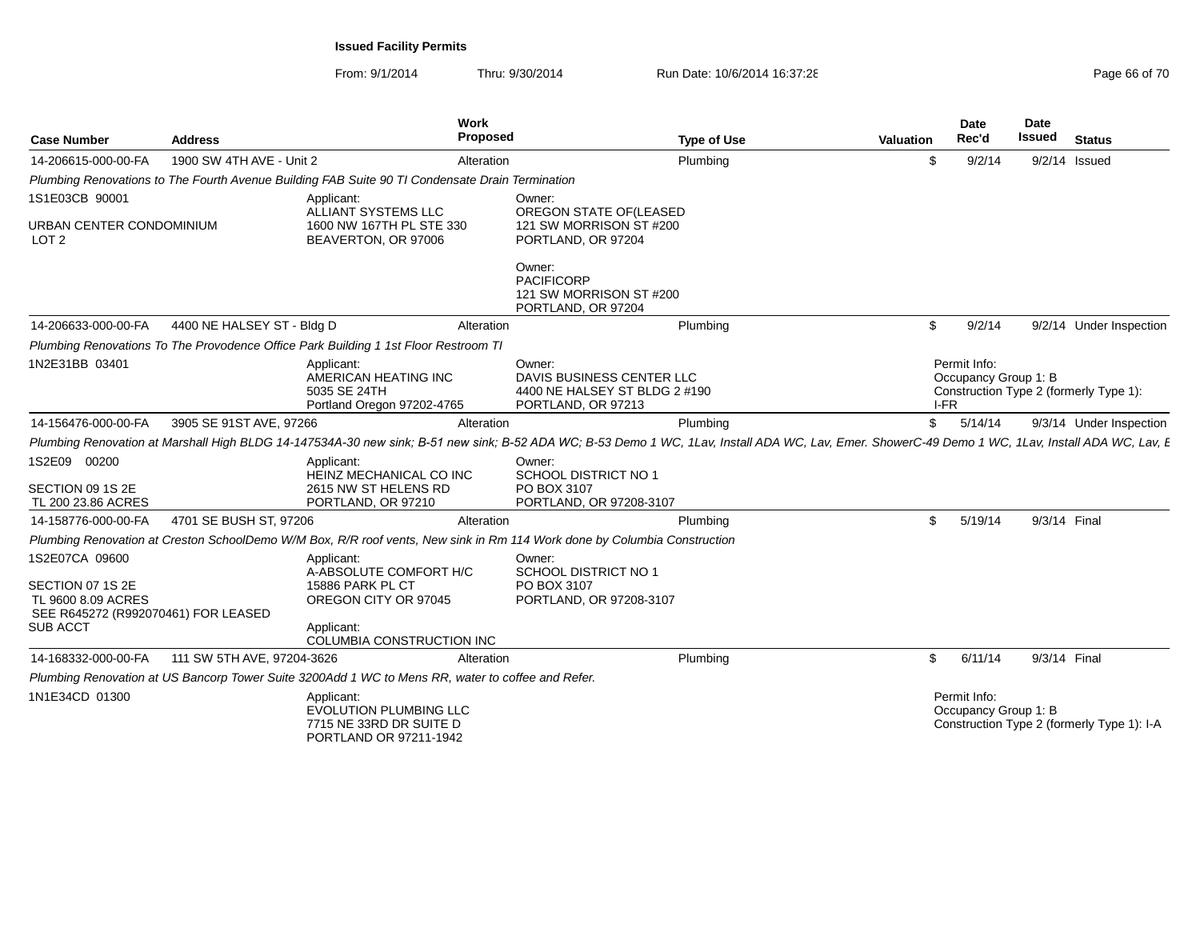| <b>Case Number</b>                                                                                          | <b>Address</b>             | Work<br><b>Proposed</b>                                                                                                                                                                            |                                                                                            | <b>Type of Use</b> | <b>Valuation</b> | <b>Date</b><br>Rec'd                 | Date<br><b>Issued</b> | <b>Status</b>                              |
|-------------------------------------------------------------------------------------------------------------|----------------------------|----------------------------------------------------------------------------------------------------------------------------------------------------------------------------------------------------|--------------------------------------------------------------------------------------------|--------------------|------------------|--------------------------------------|-----------------------|--------------------------------------------|
| 14-206615-000-00-FA                                                                                         | 1900 SW 4TH AVE - Unit 2   | Alteration                                                                                                                                                                                         |                                                                                            | Plumbing           | \$.              | 9/2/14                               |                       | $9/2/14$ Issued                            |
|                                                                                                             |                            | Plumbing Renovations to The Fourth Avenue Building FAB Suite 90 TI Condensate Drain Termination                                                                                                    |                                                                                            |                    |                  |                                      |                       |                                            |
| 1S1E03CB 90001<br>URBAN CENTER CONDOMINIUM<br>LOT <sub>2</sub>                                              |                            | Applicant:<br>ALLIANT SYSTEMS LLC<br>1600 NW 167TH PL STE 330<br>BEAVERTON, OR 97006                                                                                                               | Owner:<br>OREGON STATE OF(LEASED<br>121 SW MORRISON ST #200<br>PORTLAND, OR 97204          |                    |                  |                                      |                       |                                            |
|                                                                                                             |                            |                                                                                                                                                                                                    | Owner:<br><b>PACIFICORP</b><br>121 SW MORRISON ST #200<br>PORTLAND, OR 97204               |                    |                  |                                      |                       |                                            |
| 14-206633-000-00-FA                                                                                         | 4400 NE HALSEY ST - Bldg D | Alteration                                                                                                                                                                                         |                                                                                            | Plumbing           | \$               | 9/2/14                               |                       | 9/2/14 Under Inspection                    |
|                                                                                                             |                            | Plumbing Renovations To The Provodence Office Park Building 1 1st Floor Restroom TI                                                                                                                |                                                                                            |                    |                  |                                      |                       |                                            |
| 1N2E31BB 03401                                                                                              |                            | Applicant:<br>AMERICAN HEATING INC<br>5035 SE 24TH<br>Portland Oregon 97202-4765                                                                                                                   | Owner:<br>DAVIS BUSINESS CENTER LLC<br>4400 NE HALSEY ST BLDG 2 #190<br>PORTLAND, OR 97213 |                    | I-FR             | Permit Info:<br>Occupancy Group 1: B |                       | Construction Type 2 (formerly Type 1):     |
| 14-156476-000-00-FA                                                                                         | 3905 SE 91ST AVE, 97266    | Alteration                                                                                                                                                                                         |                                                                                            | Plumbing           | \$               | 5/14/14                              |                       | 9/3/14 Under Inspection                    |
|                                                                                                             |                            | Plumbing Renovation at Marshall High BLDG 14-147534A-30 new sink; B-51 new sink; B-52 ADA WC; B-53 Demo 1 WC, 1Lav, Install ADA WC, Lav, Emer. ShowerC-49 Demo 1 WC, 1Lav, Install ADA WC, Lav, E. |                                                                                            |                    |                  |                                      |                       |                                            |
| 1S2E09 00200<br>SECTION 09 1S 2E<br>TL 200 23.86 ACRES                                                      |                            | Applicant:<br>HEINZ MECHANICAL CO INC<br>2615 NW ST HELENS RD<br>PORTLAND, OR 97210                                                                                                                | Owner:<br><b>SCHOOL DISTRICT NO 1</b><br>PO BOX 3107<br>PORTLAND, OR 97208-3107            |                    |                  |                                      |                       |                                            |
| 14-158776-000-00-FA                                                                                         | 4701 SE BUSH ST, 97206     | Alteration                                                                                                                                                                                         |                                                                                            | Plumbing           | \$               | 5/19/14                              | 9/3/14 Final          |                                            |
|                                                                                                             |                            | Plumbing Renovation at Creston SchoolDemo W/M Box, R/R roof vents, New sink in Rm 114 Work done by Columbia Construction                                                                           |                                                                                            |                    |                  |                                      |                       |                                            |
| 1S2E07CA 09600<br>SECTION 07 1S 2E<br>TL 9600 8.09 ACRES<br>SEE R645272 (R992070461) FOR LEASED<br>SUB ACCT |                            | Applicant:<br>A-ABSOLUTE COMFORT H/C<br>15886 PARK PL CT<br>OREGON CITY OR 97045<br>Applicant:<br>COLUMBIA CONSTRUCTION INC                                                                        | Owner:<br><b>SCHOOL DISTRICT NO 1</b><br>PO BOX 3107<br>PORTLAND, OR 97208-3107            |                    |                  |                                      |                       |                                            |
| 14-168332-000-00-FA                                                                                         | 111 SW 5TH AVE, 97204-3626 | Alteration                                                                                                                                                                                         |                                                                                            | Plumbing           | \$               | 6/11/14                              | 9/3/14 Final          |                                            |
|                                                                                                             |                            | Plumbing Renovation at US Bancorp Tower Suite 3200Add 1 WC to Mens RR, water to coffee and Refer.                                                                                                  |                                                                                            |                    |                  |                                      |                       |                                            |
| 1N1E34CD 01300                                                                                              |                            | Applicant:<br>EVOLUTION PLUMBING LLC<br>7715 NE 33RD DR SUITE D<br>PORTLAND OR 97211-1942                                                                                                          |                                                                                            |                    |                  | Permit Info:<br>Occupancy Group 1: B |                       | Construction Type 2 (formerly Type 1): I-A |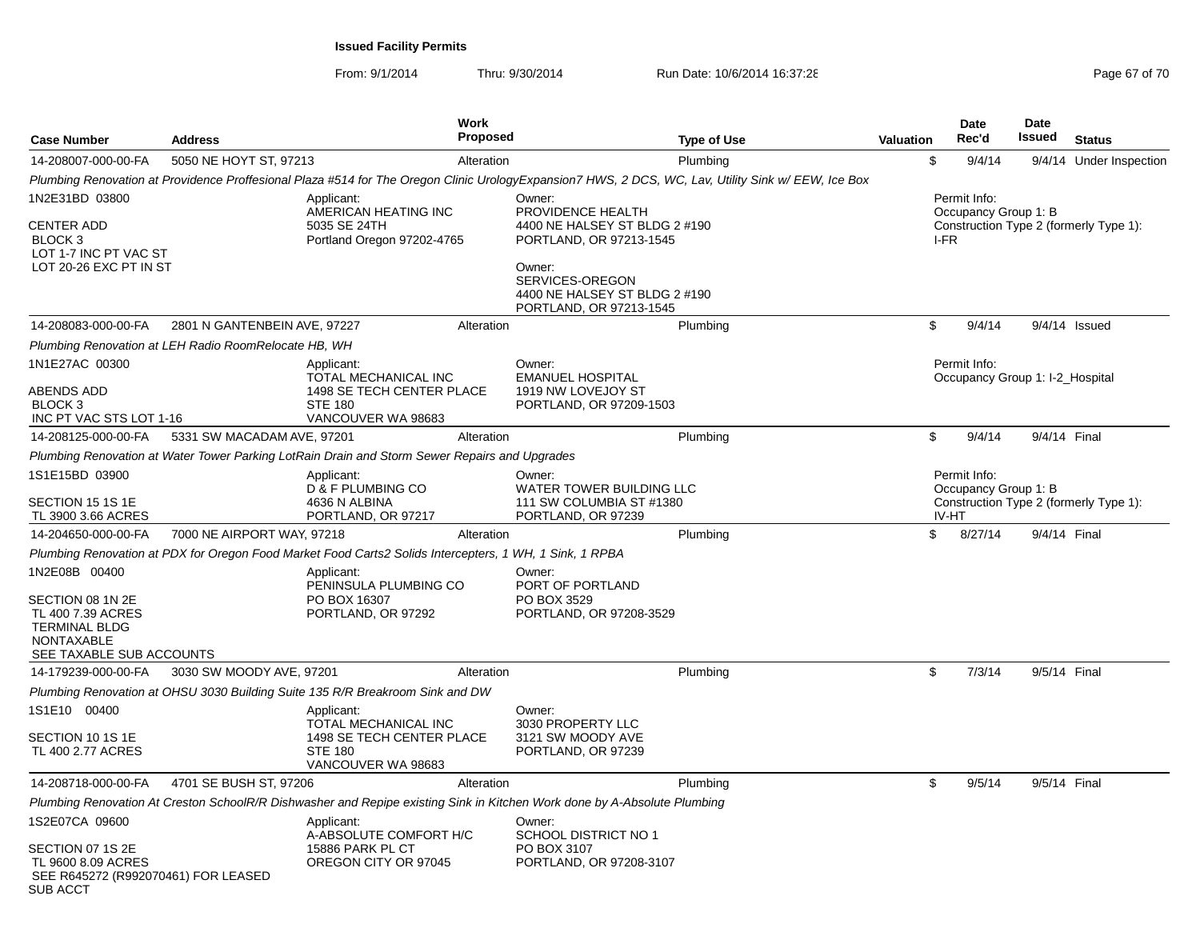| <b>Case Number</b>                                                                                                              | <b>Address</b>                                       | <b>Work</b><br><b>Proposed</b>                                                                                                                      |                                                                                                                                                                                  | Type of Use | Valuation | Date<br>Rec'd                                        | <b>Date</b><br><b>Issued</b> | <b>Status</b>                          |
|---------------------------------------------------------------------------------------------------------------------------------|------------------------------------------------------|-----------------------------------------------------------------------------------------------------------------------------------------------------|----------------------------------------------------------------------------------------------------------------------------------------------------------------------------------|-------------|-----------|------------------------------------------------------|------------------------------|----------------------------------------|
| 14-208007-000-00-FA                                                                                                             | 5050 NE HOYT ST, 97213                               | Alteration                                                                                                                                          |                                                                                                                                                                                  | Plumbing    | \$        | 9/4/14                                               |                              | 9/4/14 Under Inspection                |
|                                                                                                                                 |                                                      | Plumbing Renovation at Providence Proffesional Plaza #514 for The Oregon Clinic UrologyExpansion7 HWS, 2 DCS, WC, Lav, Utility Sink w/ EEW, Ice Box |                                                                                                                                                                                  |             |           |                                                      |                              |                                        |
| 1N2E31BD 03800<br><b>CENTER ADD</b><br>BLOCK <sub>3</sub><br>LOT 1-7 INC PT VAC ST<br>LOT 20-26 EXC PT IN ST                    |                                                      | Applicant:<br>AMERICAN HEATING INC<br>5035 SE 24TH<br>Portland Oregon 97202-4765                                                                    | Owner:<br>PROVIDENCE HEALTH<br>4400 NE HALSEY ST BLDG 2 #190<br>PORTLAND, OR 97213-1545<br>Owner:<br>SERVICES-OREGON<br>4400 NE HALSEY ST BLDG 2 #190<br>PORTLAND, OR 97213-1545 |             |           | Permit Info:<br>Occupancy Group 1: B<br>I-FR         |                              | Construction Type 2 (formerly Type 1): |
| 14-208083-000-00-FA                                                                                                             | 2801 N GANTENBEIN AVE, 97227                         | Alteration                                                                                                                                          |                                                                                                                                                                                  | Plumbing    | \$        | 9/4/14                                               |                              | $9/4/14$ Issued                        |
|                                                                                                                                 | Plumbing Renovation at LEH Radio RoomRelocate HB, WH |                                                                                                                                                     |                                                                                                                                                                                  |             |           |                                                      |                              |                                        |
| 1N1E27AC 00300<br>ABENDS ADD<br>BLOCK <sub>3</sub><br>INC PT VAC STS LOT 1-16                                                   |                                                      | Applicant:<br>TOTAL MECHANICAL INC<br>1498 SE TECH CENTER PLACE<br><b>STE 180</b><br>VANCOUVER WA 98683                                             | Owner:<br><b>EMANUEL HOSPITAL</b><br>1919 NW LOVEJOY ST<br>PORTLAND, OR 97209-1503                                                                                               |             |           | Permit Info:<br>Occupancy Group 1: I-2_Hospital      |                              |                                        |
| 14-208125-000-00-FA                                                                                                             | 5331 SW MACADAM AVE, 97201                           | Alteration                                                                                                                                          |                                                                                                                                                                                  | Plumbing    | \$        | 9/4/14                                               |                              | 9/4/14 Final                           |
|                                                                                                                                 |                                                      | Plumbing Renovation at Water Tower Parking LotRain Drain and Storm Sewer Repairs and Upgrades                                                       |                                                                                                                                                                                  |             |           |                                                      |                              |                                        |
| 1S1E15BD 03900<br>SECTION 15 1S 1E<br>TL 3900 3.66 ACRES                                                                        |                                                      | Applicant:<br>D & F PLUMBING CO<br>4636 N ALBINA<br>PORTLAND, OR 97217                                                                              | Owner:<br>WATER TOWER BUILDING LLC<br>111 SW COLUMBIA ST #1380<br>PORTLAND, OR 97239                                                                                             |             |           | Permit Info:<br>Occupancy Group 1: B<br><b>IV-HT</b> |                              | Construction Type 2 (formerly Type 1): |
| 14-204650-000-00-FA                                                                                                             | 7000 NE AIRPORT WAY, 97218                           | Alteration                                                                                                                                          |                                                                                                                                                                                  | Plumbing    | \$        | 8/27/14                                              |                              | 9/4/14 Final                           |
|                                                                                                                                 |                                                      | Plumbing Renovation at PDX for Oregon Food Market Food Carts2 Solids Intercepters, 1 WH, 1 Sink, 1 RPBA                                             |                                                                                                                                                                                  |             |           |                                                      |                              |                                        |
| 1N2E08B 00400<br>SECTION 08 1N 2E<br>TL 400 7.39 ACRES<br><b>TERMINAL BLDG</b><br><b>NONTAXABLE</b><br>SEE TAXABLE SUB ACCOUNTS |                                                      | Applicant:<br>PENINSULA PLUMBING CO<br>PO BOX 16307<br>PORTLAND, OR 97292                                                                           | Owner:<br>PORT OF PORTLAND<br>PO BOX 3529<br>PORTLAND, OR 97208-3529                                                                                                             |             |           |                                                      |                              |                                        |
| 14-179239-000-00-FA                                                                                                             | 3030 SW MOODY AVE, 97201                             | Alteration                                                                                                                                          |                                                                                                                                                                                  | Plumbing    | \$        | 7/3/14                                               |                              | 9/5/14 Final                           |
|                                                                                                                                 |                                                      | Plumbing Renovation at OHSU 3030 Building Suite 135 R/R Breakroom Sink and DW                                                                       |                                                                                                                                                                                  |             |           |                                                      |                              |                                        |
| 1S1E10 00400<br>SECTION 10 1S 1E<br>TL 400 2.77 ACRES                                                                           |                                                      | Applicant:<br>TOTAL MECHANICAL INC<br>1498 SE TECH CENTER PLACE<br><b>STE 180</b><br>VANCOUVER WA 98683                                             | Owner:<br>3030 PROPERTY LLC<br>3121 SW MOODY AVE<br>PORTLAND, OR 97239                                                                                                           |             |           |                                                      |                              |                                        |
| 14-208718-000-00-FA                                                                                                             | 4701 SE BUSH ST, 97206                               | Alteration                                                                                                                                          |                                                                                                                                                                                  | Plumbing    | \$        | 9/5/14                                               |                              | 9/5/14 Final                           |
|                                                                                                                                 |                                                      | Plumbing Renovation At Creston SchoolR/R Dishwasher and Repipe existing Sink in Kitchen Work done by A-Absolute Plumbing                            |                                                                                                                                                                                  |             |           |                                                      |                              |                                        |
| 1S2E07CA 09600<br>SECTION 07 1S 2E<br>TL 9600 8.09 ACRES<br>SEE R645272 (R992070461) FOR LEASED<br><b>SUB ACCT</b>              |                                                      | Applicant:<br>A-ABSOLUTE COMFORT H/C<br>15886 PARK PL CT<br>OREGON CITY OR 97045                                                                    | Owner:<br><b>SCHOOL DISTRICT NO 1</b><br>PO BOX 3107<br>PORTLAND, OR 97208-3107                                                                                                  |             |           |                                                      |                              |                                        |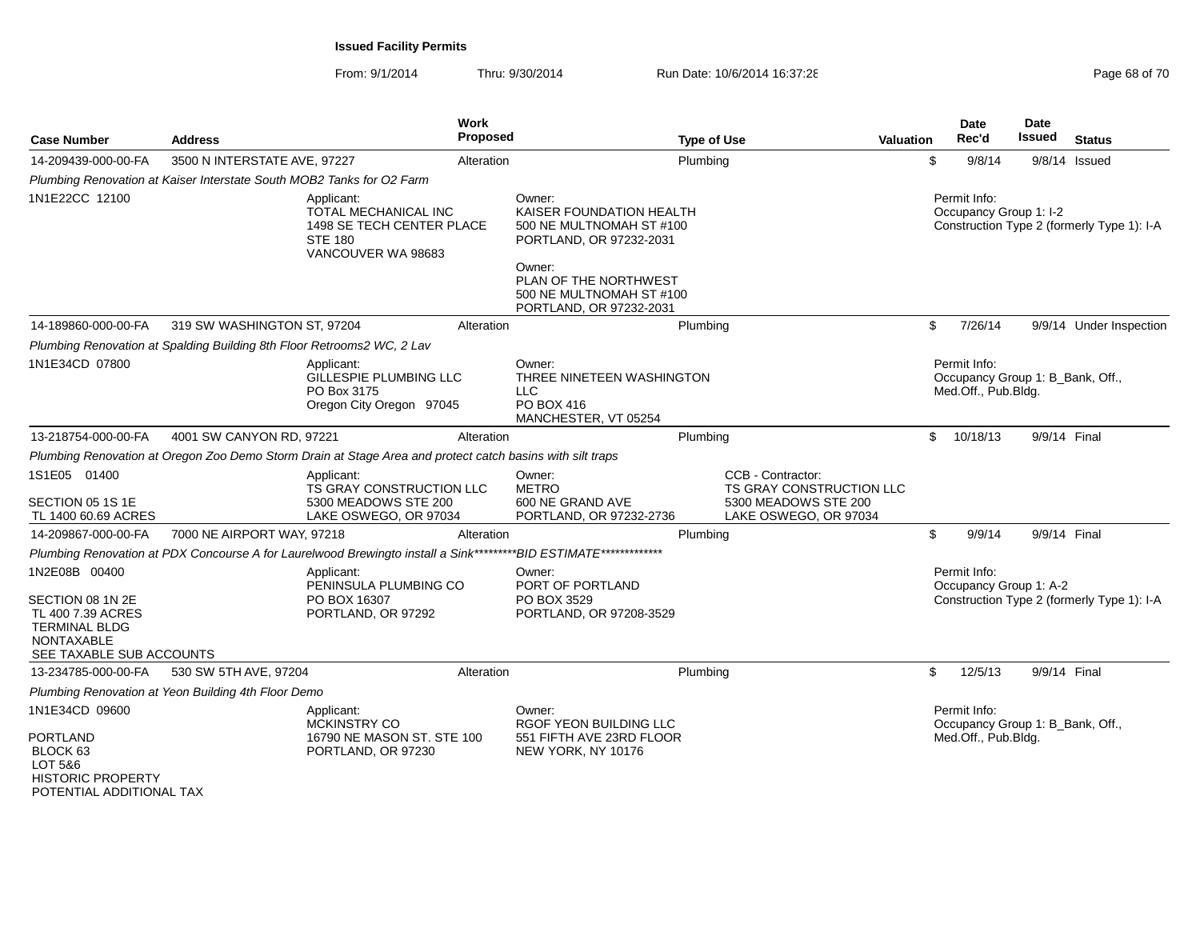From: 9/1/2014Thru: 9/30/2014 Run Date: 10/6/2014 16:37:28 Run Date: 10/6/2014 16:37:28

| <b>Case Number</b>                                                                                  | <b>Address</b>                                                               |                                                                                                                  | Work<br><b>Proposed</b> |                                                                                                     | <b>Type of Use</b> |                                                                       | <b>Valuation</b> |              | <b>Date</b><br>Rec'd                                                    | <b>Date</b><br>Issued | <b>Status</b>                              |
|-----------------------------------------------------------------------------------------------------|------------------------------------------------------------------------------|------------------------------------------------------------------------------------------------------------------|-------------------------|-----------------------------------------------------------------------------------------------------|--------------------|-----------------------------------------------------------------------|------------------|--------------|-------------------------------------------------------------------------|-----------------------|--------------------------------------------|
| 14-209439-000-00-FA                                                                                 | 3500 N INTERSTATE AVE, 97227                                                 |                                                                                                                  | Alteration              |                                                                                                     | Plumbing           |                                                                       |                  | \$           | 9/8/14                                                                  |                       | $9/8/14$ Issued                            |
|                                                                                                     | Plumbing Renovation at Kaiser Interstate South MOB2 Tanks for O2 Farm        |                                                                                                                  |                         |                                                                                                     |                    |                                                                       |                  |              |                                                                         |                       |                                            |
| 1N1E22CC 12100                                                                                      |                                                                              | Applicant:<br>TOTAL MECHANICAL INC<br>1498 SE TECH CENTER PLACE<br><b>STE 180</b><br>VANCOUVER WA 98683          |                         | Owner:<br>KAISER FOUNDATION HEALTH<br>500 NE MULTNOMAH ST #100<br>PORTLAND, OR 97232-2031<br>Owner: |                    |                                                                       |                  |              | Permit Info:<br>Occupancy Group 1: I-2                                  |                       | Construction Type 2 (formerly Type 1): I-A |
|                                                                                                     |                                                                              |                                                                                                                  |                         | PLAN OF THE NORTHWEST<br>500 NE MULTNOMAH ST #100<br>PORTLAND, OR 97232-2031                        |                    |                                                                       |                  |              |                                                                         |                       |                                            |
| 14-189860-000-00-FA                                                                                 | 319 SW WASHINGTON ST, 97204                                                  |                                                                                                                  | Alteration              |                                                                                                     | Plumbing           |                                                                       |                  | \$           | 7/26/14                                                                 |                       | 9/9/14 Under Inspection                    |
|                                                                                                     | Plumbing Renovation at Spalding Building 8th Floor Retrooms2 WC, 2 Lav       |                                                                                                                  |                         |                                                                                                     |                    |                                                                       |                  |              |                                                                         |                       |                                            |
| 1N1E34CD 07800                                                                                      |                                                                              | Applicant:<br>GILLESPIE PLUMBING LLC<br>PO Box 3175<br>Oregon City Oregon 97045                                  |                         | Owner:<br>THREE NINETEEN WASHINGTON<br><b>LLC</b><br>PO BOX 416<br>MANCHESTER, VT 05254             |                    |                                                                       |                  |              | Permit Info:<br>Occupancy Group 1: B_Bank, Off.,<br>Med.Off., Pub.Bldg. |                       |                                            |
| 13-218754-000-00-FA                                                                                 | 4001 SW CANYON RD, 97221                                                     |                                                                                                                  | Alteration              |                                                                                                     | Plumbing           |                                                                       |                  | $\mathbb{S}$ | 10/18/13                                                                | 9/9/14 Final          |                                            |
|                                                                                                     |                                                                              | Plumbing Renovation at Oregon Zoo Demo Storm Drain at Stage Area and protect catch basins with silt traps        |                         |                                                                                                     |                    |                                                                       |                  |              |                                                                         |                       |                                            |
| 1S1E05 01400<br>SECTION 05 1S 1E                                                                    |                                                                              | Applicant:<br><b>TS GRAY CONSTRUCTION LLC</b><br>5300 MEADOWS STE 200                                            |                         | Owner:<br><b>METRO</b><br>600 NE GRAND AVE                                                          |                    | CCB - Contractor:<br>TS GRAY CONSTRUCTION LLC<br>5300 MEADOWS STE 200 |                  |              |                                                                         |                       |                                            |
| TL 1400 60.69 ACRES<br>14-209867-000-00-FA                                                          | 7000 NE AIRPORT WAY, 97218                                                   | LAKE OSWEGO, OR 97034                                                                                            | Alteration              | PORTLAND, OR 97232-2736                                                                             | Plumbing           | LAKE OSWEGO, OR 97034                                                 |                  | \$           | 9/9/14                                                                  | 9/9/14 Final          |                                            |
|                                                                                                     |                                                                              | Plumbing Renovation at PDX Concourse A for Laurelwood Brewingto install a Sink*********BID ESTIMATE************* |                         |                                                                                                     |                    |                                                                       |                  |              |                                                                         |                       |                                            |
| 1N2E08B 00400<br>SECTION 08 1N 2E<br>TL 400 7.39 ACRES<br><b>TERMINAL BLDG</b><br><b>NONTAXABLE</b> |                                                                              | Applicant:<br>PENINSULA PLUMBING CO<br>PO BOX 16307<br>PORTLAND, OR 97292                                        |                         | Owner:<br>PORT OF PORTLAND<br>PO BOX 3529<br>PORTLAND, OR 97208-3529                                |                    |                                                                       |                  |              | Permit Info:<br>Occupancy Group 1: A-2                                  |                       | Construction Type 2 (formerly Type 1): I-A |
| SEE TAXABLE SUB ACCOUNTS<br>13-234785-000-00-FA                                                     |                                                                              |                                                                                                                  | Alteration              |                                                                                                     |                    |                                                                       |                  | \$           | 12/5/13                                                                 | 9/9/14 Final          |                                            |
|                                                                                                     | 530 SW 5TH AVE, 97204<br>Plumbing Renovation at Yeon Building 4th Floor Demo |                                                                                                                  |                         |                                                                                                     | Plumbing           |                                                                       |                  |              |                                                                         |                       |                                            |
| 1N1E34CD 09600                                                                                      |                                                                              | Applicant:                                                                                                       |                         | Owner:                                                                                              |                    |                                                                       |                  |              | Permit Info:                                                            |                       |                                            |
| <b>PORTLAND</b><br>BLOCK 63<br>LOT 5&6<br><b>HISTORIC PROPERTY</b>                                  |                                                                              | MCKINSTRY CO<br>16790 NE MASON ST. STE 100<br>PORTLAND, OR 97230                                                 |                         | RGOF YEON BUILDING LLC<br>551 FIFTH AVE 23RD FLOOR<br>NEW YORK, NY 10176                            |                    |                                                                       |                  |              | Occupancy Group 1: B_Bank, Off.,<br>Med.Off., Pub.Bldg.                 |                       |                                            |

POTENTIAL ADDITIONAL TAX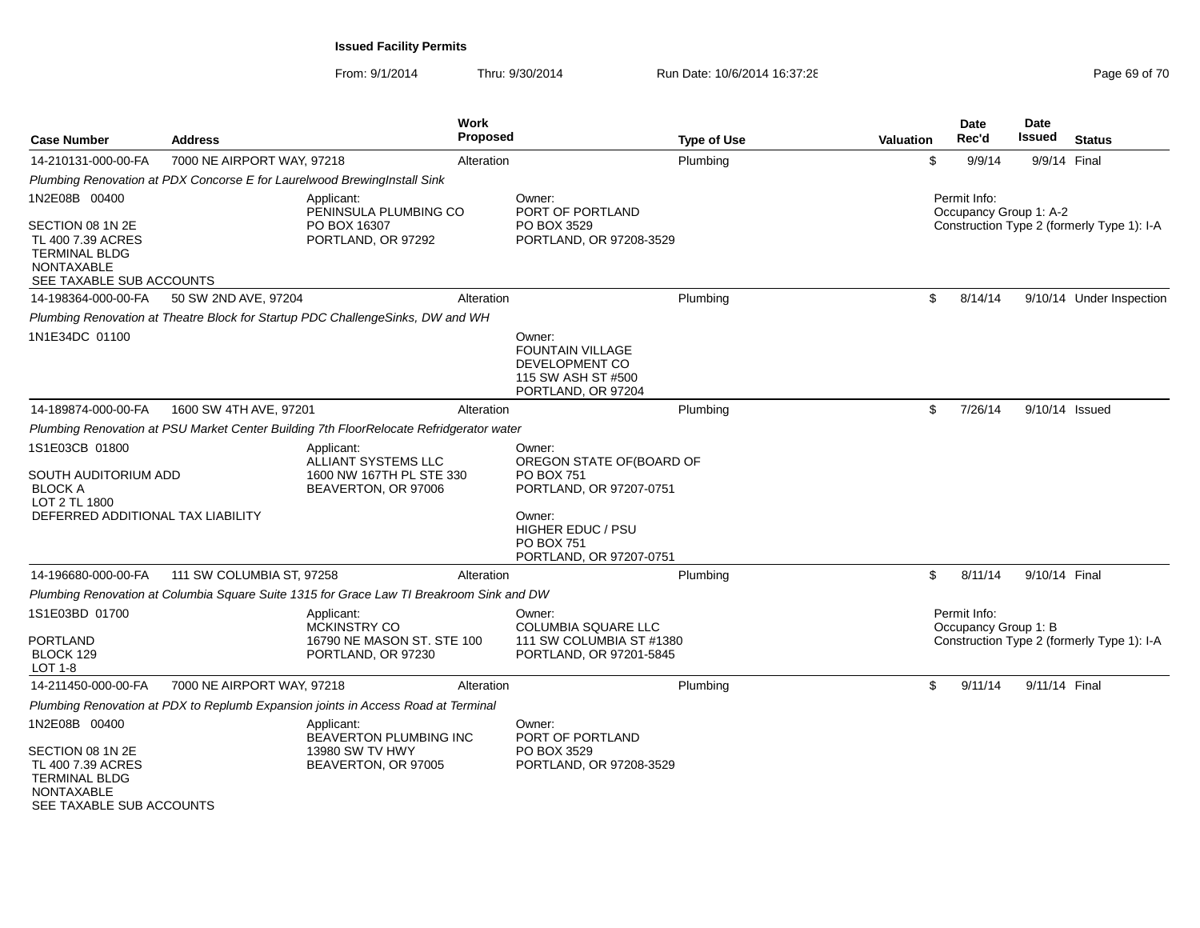From: 9/1/2014Thru: 9/30/2014 Run Date: 10/6/2014 16:37:28

|  | Page 69 of 70 |
|--|---------------|
|--|---------------|

| <b>Case Number</b>                                                                                             | <b>Address</b>             |                                                                                          | Work<br><b>Proposed</b> |                                                                                                                                                                   | <b>Type of Use</b> | <b>Valuation</b> | Date<br>Rec'd                          | Date<br><b>Issued</b> | <b>Status</b>                              |
|----------------------------------------------------------------------------------------------------------------|----------------------------|------------------------------------------------------------------------------------------|-------------------------|-------------------------------------------------------------------------------------------------------------------------------------------------------------------|--------------------|------------------|----------------------------------------|-----------------------|--------------------------------------------|
| 14-210131-000-00-FA                                                                                            | 7000 NE AIRPORT WAY, 97218 |                                                                                          | Alteration              |                                                                                                                                                                   | Plumbing           | \$               | 9/9/14                                 | 9/9/14 Final          |                                            |
|                                                                                                                |                            | Plumbing Renovation at PDX Concorse E for Laurelwood BrewingInstall Sink                 |                         |                                                                                                                                                                   |                    |                  |                                        |                       |                                            |
| 1N2E08B 00400                                                                                                  |                            | Applicant:<br>PENINSULA PLUMBING CO                                                      |                         | Owner:<br>PORT OF PORTLAND                                                                                                                                        |                    |                  | Permit Info:<br>Occupancy Group 1: A-2 |                       |                                            |
| SECTION 08 1N 2E<br>TL 400 7.39 ACRES<br><b>TERMINAL BLDG</b><br><b>NONTAXABLE</b><br>SEE TAXABLE SUB ACCOUNTS |                            | PO BOX 16307<br>PORTLAND, OR 97292                                                       |                         | PO BOX 3529<br>PORTLAND, OR 97208-3529                                                                                                                            |                    |                  |                                        |                       | Construction Type 2 (formerly Type 1): I-A |
| 14-198364-000-00-FA                                                                                            | 50 SW 2ND AVE, 97204       |                                                                                          | Alteration              |                                                                                                                                                                   | Plumbing           | \$               | 8/14/14                                |                       | 9/10/14 Under Inspection                   |
|                                                                                                                |                            | Plumbing Renovation at Theatre Block for Startup PDC ChallengeSinks, DW and WH           |                         |                                                                                                                                                                   |                    |                  |                                        |                       |                                            |
| 1N1E34DC 01100                                                                                                 |                            |                                                                                          |                         | Owner:<br><b>FOUNTAIN VILLAGE</b><br>DEVELOPMENT CO<br>115 SW ASH ST #500<br>PORTLAND, OR 97204                                                                   |                    |                  |                                        |                       |                                            |
| 14-189874-000-00-FA                                                                                            | 1600 SW 4TH AVE, 97201     |                                                                                          | Alteration              |                                                                                                                                                                   | Plumbing           | \$               | 7/26/14                                |                       | 9/10/14 Issued                             |
|                                                                                                                |                            | Plumbing Renovation at PSU Market Center Building 7th FloorRelocate Refridgerator water  |                         |                                                                                                                                                                   |                    |                  |                                        |                       |                                            |
| 1S1E03CB 01800<br>SOUTH AUDITORIUM ADD<br><b>BLOCK A</b><br>LOT 2 TL 1800<br>DEFERRED ADDITIONAL TAX LIABILITY |                            | Applicant:<br>ALLIANT SYSTEMS LLC<br>1600 NW 167TH PL STE 330<br>BEAVERTON, OR 97006     |                         | Owner:<br>OREGON STATE OF(BOARD OF<br>PO BOX 751<br>PORTLAND, OR 97207-0751<br>Owner:<br><b>HIGHER EDUC / PSU</b><br><b>PO BOX 751</b><br>PORTLAND, OR 97207-0751 |                    |                  |                                        |                       |                                            |
| 14-196680-000-00-FA                                                                                            | 111 SW COLUMBIA ST, 97258  |                                                                                          | Alteration              |                                                                                                                                                                   | Plumbing           | \$               | 8/11/14                                | 9/10/14 Final         |                                            |
|                                                                                                                |                            | Plumbing Renovation at Columbia Square Suite 1315 for Grace Law TI Breakroom Sink and DW |                         |                                                                                                                                                                   |                    |                  |                                        |                       |                                            |
| 1S1E03BD 01700<br>PORTLAND<br>BLOCK 129<br>LOT 1-8                                                             |                            | Applicant:<br><b>MCKINSTRY CO</b><br>16790 NE MASON ST. STE 100<br>PORTLAND, OR 97230    |                         | Owner:<br>COLUMBIA SQUARE LLC<br>111 SW COLUMBIA ST #1380<br>PORTLAND, OR 97201-5845                                                                              |                    |                  | Permit Info:<br>Occupancy Group 1: B   |                       | Construction Type 2 (formerly Type 1): I-A |
| 14-211450-000-00-FA                                                                                            | 7000 NE AIRPORT WAY, 97218 |                                                                                          | Alteration              |                                                                                                                                                                   | Plumbing           | \$               | 9/11/14                                | 9/11/14 Final         |                                            |
|                                                                                                                |                            | Plumbing Renovation at PDX to Replumb Expansion joints in Access Road at Terminal        |                         |                                                                                                                                                                   |                    |                  |                                        |                       |                                            |
| 1N2E08B 00400<br>SECTION 08 1N 2E                                                                              |                            | Applicant:<br>BEAVERTON PLUMBING INC<br>13980 SW TV HWY                                  |                         | Owner:<br>PORT OF PORTLAND<br>PO BOX 3529                                                                                                                         |                    |                  |                                        |                       |                                            |
| TL 400 7.39 ACRES<br><b>TERMINAL BLDG</b><br>NONTAXABLE<br>SEE TAXABLE SUB ACCOUNTS                            |                            | BEAVERTON, OR 97005                                                                      |                         | PORTLAND, OR 97208-3529                                                                                                                                           |                    |                  |                                        |                       |                                            |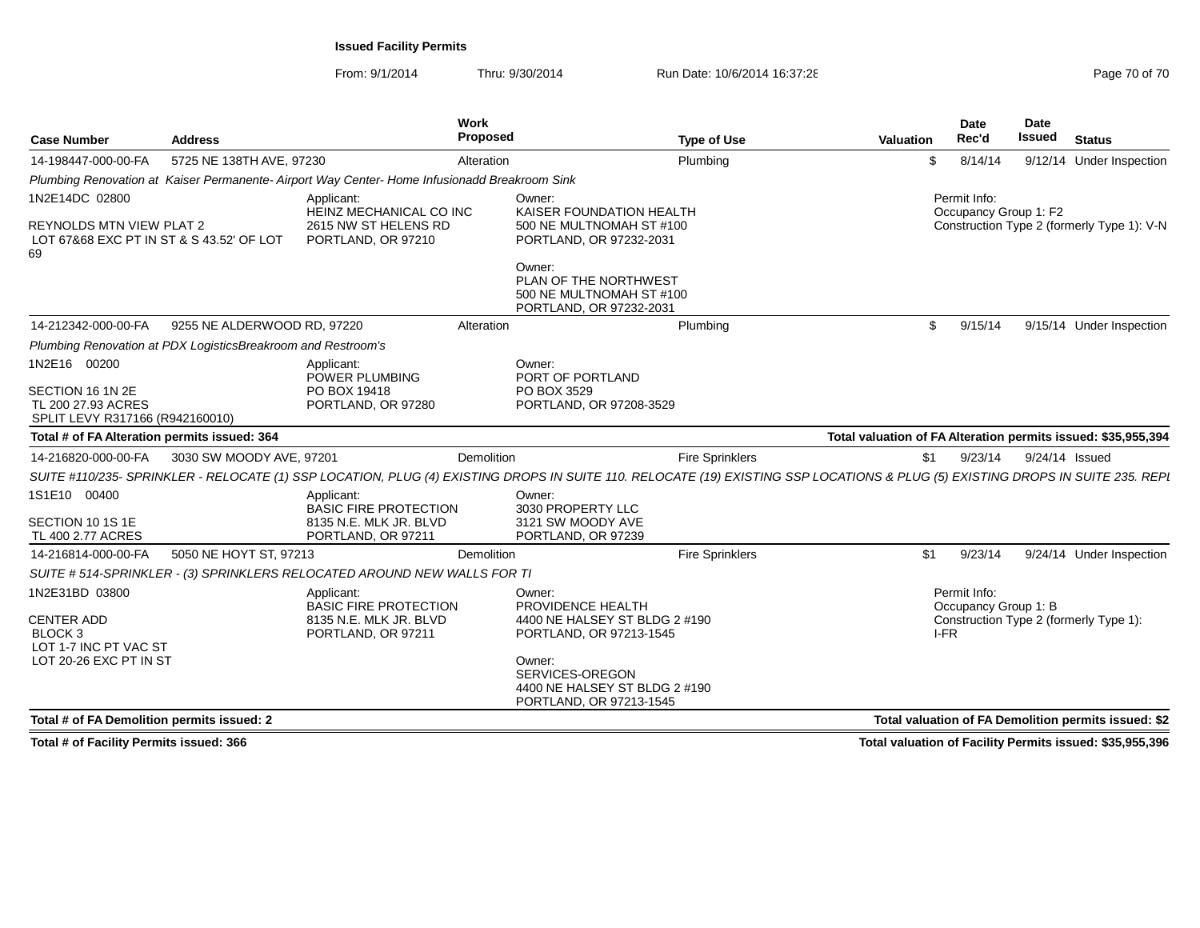From: 9/1/2014Thru: 9/30/2014 Run Date: 10/6/2014 16:37:28 Run Date: 10/6/2014 16:37:28

| 5725 NE 138TH AVE, 97230<br>Plumbing<br>8/14/14<br>Alteration<br>9/12/14 Under Inspection<br>\$.<br>Plumbing Renovation at Kaiser Permanente-Airport Way Center-Home Infusionadd Breakroom Sink<br>Permit Info:<br>1N2E14DC 02800<br>Applicant:<br>Owner:<br>HEINZ MECHANICAL CO INC<br>KAISER FOUNDATION HEALTH<br>Occupancy Group 1: F2<br>2615 NW ST HELENS RD<br>REYNOLDS MTN VIEW PLAT 2<br>500 NE MULTNOMAH ST #100<br>LOT 67&68 EXC PT IN ST & S 43.52' OF LOT<br>PORTLAND, OR 97232-2031<br>PORTLAND, OR 97210<br>Owner:<br>PLAN OF THE NORTHWEST<br>500 NE MULTNOMAH ST #100<br>PORTLAND, OR 97232-2031<br>9255 NE ALDERWOOD RD. 97220<br>9/15/14<br>Plumbing<br>\$<br>Alteration<br>Plumbing Renovation at PDX LogisticsBreakroom and Restroom's<br>Applicant:<br>Owner:<br>POWER PLUMBING<br>PORT OF PORTLAND<br>PO BOX 19418<br>PO BOX 3529<br>PORTLAND, OR 97280<br>PORTLAND, OR 97208-3529<br>SPLIT LEVY R317166 (R942160010)<br>Total # of FA Alteration permits issued: 364<br>3030 SW MOODY AVE, 97201<br>Demolition<br><b>Fire Sprinklers</b><br>9/24/14 Issued<br>\$1<br>9/23/14<br>Applicant:<br>Owner:<br><b>BASIC FIRE PROTECTION</b><br>3030 PROPERTY LLC<br>8135 N.E. MLK JR. BLVD<br>3121 SW MOODY AVE<br>PORTLAND, OR 97239<br>PORTLAND, OR 97211<br><b>Fire Sprinklers</b><br>5050 NE HOYT ST, 97213<br>9/23/14<br>Demolition<br>\$1<br>SUITE # 514-SPRINKLER - (3) SPRINKLERS RELOCATED AROUND NEW WALLS FOR TI<br>Permit Info:<br>Applicant:<br>Owner:<br><b>BASIC FIRE PROTECTION</b><br>PROVIDENCE HEALTH<br>Occupancy Group 1: B<br>4400 NE HALSEY ST BLDG 2 #190<br>Construction Type 2 (formerly Type 1):<br>8135 N.E. MLK JR. BLVD<br>BLOCK 3<br>PORTLAND, OR 97211<br>PORTLAND, OR 97213-1545<br>I-FR<br>LOT 1-7 INC PT VAC ST<br>LOT 20-26 EXC PT IN ST<br>Owner:<br>SERVICES-OREGON<br>4400 NE HALSEY ST BLDG 2 #190<br>PORTLAND, OR 97213-1545<br>Total # of FA Demolition permits issued: 2 | <b>Case Number</b>                     | <b>Address</b> | Work<br>Proposed | <b>Type of Use</b> | Valuation | <b>Date</b><br>Rec'd | <b>Date</b><br>Issued | <b>Status</b> |
|-------------------------------------------------------------------------------------------------------------------------------------------------------------------------------------------------------------------------------------------------------------------------------------------------------------------------------------------------------------------------------------------------------------------------------------------------------------------------------------------------------------------------------------------------------------------------------------------------------------------------------------------------------------------------------------------------------------------------------------------------------------------------------------------------------------------------------------------------------------------------------------------------------------------------------------------------------------------------------------------------------------------------------------------------------------------------------------------------------------------------------------------------------------------------------------------------------------------------------------------------------------------------------------------------------------------------------------------------------------------------------------------------------------------------------------------------------------------------------------------------------------------------------------------------------------------------------------------------------------------------------------------------------------------------------------------------------------------------------------------------------------------------------------------------------------------------------------------------------------------------------------------------------------------------------------|----------------------------------------|----------------|------------------|--------------------|-----------|----------------------|-----------------------|---------------|
| Construction Type 2 (formerly Type 1): V-N<br>9/15/14 Under Inspection<br>Total valuation of FA Alteration permits issued: \$35,955,394<br>SUITE #110/235- SPRINKLER - RELOCATE (1) SSP LOCATION, PLUG (4) EXISTING DROPS IN SUITE 110. RELOCATE (19) EXISTING SSP LOCATIONS & PLUG (5) EXISTING DROPS IN SUITE 235. REPI<br>9/24/14 Under Inspection<br>Total valuation of FA Demolition permits issued: \$2                                                                                                                                                                                                                                                                                                                                                                                                                                                                                                                                                                                                                                                                                                                                                                                                                                                                                                                                                                                                                                                                                                                                                                                                                                                                                                                                                                                                                                                                                                                       | 14-198447-000-00-FA                    |                |                  |                    |           |                      |                       |               |
|                                                                                                                                                                                                                                                                                                                                                                                                                                                                                                                                                                                                                                                                                                                                                                                                                                                                                                                                                                                                                                                                                                                                                                                                                                                                                                                                                                                                                                                                                                                                                                                                                                                                                                                                                                                                                                                                                                                                     |                                        |                |                  |                    |           |                      |                       |               |
|                                                                                                                                                                                                                                                                                                                                                                                                                                                                                                                                                                                                                                                                                                                                                                                                                                                                                                                                                                                                                                                                                                                                                                                                                                                                                                                                                                                                                                                                                                                                                                                                                                                                                                                                                                                                                                                                                                                                     |                                        |                |                  |                    |           |                      |                       |               |
|                                                                                                                                                                                                                                                                                                                                                                                                                                                                                                                                                                                                                                                                                                                                                                                                                                                                                                                                                                                                                                                                                                                                                                                                                                                                                                                                                                                                                                                                                                                                                                                                                                                                                                                                                                                                                                                                                                                                     | 69                                     |                |                  |                    |           |                      |                       |               |
|                                                                                                                                                                                                                                                                                                                                                                                                                                                                                                                                                                                                                                                                                                                                                                                                                                                                                                                                                                                                                                                                                                                                                                                                                                                                                                                                                                                                                                                                                                                                                                                                                                                                                                                                                                                                                                                                                                                                     |                                        |                |                  |                    |           |                      |                       |               |
|                                                                                                                                                                                                                                                                                                                                                                                                                                                                                                                                                                                                                                                                                                                                                                                                                                                                                                                                                                                                                                                                                                                                                                                                                                                                                                                                                                                                                                                                                                                                                                                                                                                                                                                                                                                                                                                                                                                                     | 14-212342-000-00-FA                    |                |                  |                    |           |                      |                       |               |
|                                                                                                                                                                                                                                                                                                                                                                                                                                                                                                                                                                                                                                                                                                                                                                                                                                                                                                                                                                                                                                                                                                                                                                                                                                                                                                                                                                                                                                                                                                                                                                                                                                                                                                                                                                                                                                                                                                                                     |                                        |                |                  |                    |           |                      |                       |               |
|                                                                                                                                                                                                                                                                                                                                                                                                                                                                                                                                                                                                                                                                                                                                                                                                                                                                                                                                                                                                                                                                                                                                                                                                                                                                                                                                                                                                                                                                                                                                                                                                                                                                                                                                                                                                                                                                                                                                     | 1N2E16 00200                           |                |                  |                    |           |                      |                       |               |
|                                                                                                                                                                                                                                                                                                                                                                                                                                                                                                                                                                                                                                                                                                                                                                                                                                                                                                                                                                                                                                                                                                                                                                                                                                                                                                                                                                                                                                                                                                                                                                                                                                                                                                                                                                                                                                                                                                                                     | SECTION 16 1N 2E<br>TL 200 27.93 ACRES |                |                  |                    |           |                      |                       |               |
|                                                                                                                                                                                                                                                                                                                                                                                                                                                                                                                                                                                                                                                                                                                                                                                                                                                                                                                                                                                                                                                                                                                                                                                                                                                                                                                                                                                                                                                                                                                                                                                                                                                                                                                                                                                                                                                                                                                                     |                                        |                |                  |                    |           |                      |                       |               |
|                                                                                                                                                                                                                                                                                                                                                                                                                                                                                                                                                                                                                                                                                                                                                                                                                                                                                                                                                                                                                                                                                                                                                                                                                                                                                                                                                                                                                                                                                                                                                                                                                                                                                                                                                                                                                                                                                                                                     | 14-216820-000-00-FA                    |                |                  |                    |           |                      |                       |               |
|                                                                                                                                                                                                                                                                                                                                                                                                                                                                                                                                                                                                                                                                                                                                                                                                                                                                                                                                                                                                                                                                                                                                                                                                                                                                                                                                                                                                                                                                                                                                                                                                                                                                                                                                                                                                                                                                                                                                     |                                        |                |                  |                    |           |                      |                       |               |
|                                                                                                                                                                                                                                                                                                                                                                                                                                                                                                                                                                                                                                                                                                                                                                                                                                                                                                                                                                                                                                                                                                                                                                                                                                                                                                                                                                                                                                                                                                                                                                                                                                                                                                                                                                                                                                                                                                                                     | 1S1E10 00400                           |                |                  |                    |           |                      |                       |               |
|                                                                                                                                                                                                                                                                                                                                                                                                                                                                                                                                                                                                                                                                                                                                                                                                                                                                                                                                                                                                                                                                                                                                                                                                                                                                                                                                                                                                                                                                                                                                                                                                                                                                                                                                                                                                                                                                                                                                     | SECTION 10 1S 1E<br>TL 400 2.77 ACRES  |                |                  |                    |           |                      |                       |               |
|                                                                                                                                                                                                                                                                                                                                                                                                                                                                                                                                                                                                                                                                                                                                                                                                                                                                                                                                                                                                                                                                                                                                                                                                                                                                                                                                                                                                                                                                                                                                                                                                                                                                                                                                                                                                                                                                                                                                     | 14-216814-000-00-FA                    |                |                  |                    |           |                      |                       |               |
|                                                                                                                                                                                                                                                                                                                                                                                                                                                                                                                                                                                                                                                                                                                                                                                                                                                                                                                                                                                                                                                                                                                                                                                                                                                                                                                                                                                                                                                                                                                                                                                                                                                                                                                                                                                                                                                                                                                                     |                                        |                |                  |                    |           |                      |                       |               |
|                                                                                                                                                                                                                                                                                                                                                                                                                                                                                                                                                                                                                                                                                                                                                                                                                                                                                                                                                                                                                                                                                                                                                                                                                                                                                                                                                                                                                                                                                                                                                                                                                                                                                                                                                                                                                                                                                                                                     | 1N2E31BD 03800                         |                |                  |                    |           |                      |                       |               |
|                                                                                                                                                                                                                                                                                                                                                                                                                                                                                                                                                                                                                                                                                                                                                                                                                                                                                                                                                                                                                                                                                                                                                                                                                                                                                                                                                                                                                                                                                                                                                                                                                                                                                                                                                                                                                                                                                                                                     | <b>CENTER ADD</b>                      |                |                  |                    |           |                      |                       |               |
|                                                                                                                                                                                                                                                                                                                                                                                                                                                                                                                                                                                                                                                                                                                                                                                                                                                                                                                                                                                                                                                                                                                                                                                                                                                                                                                                                                                                                                                                                                                                                                                                                                                                                                                                                                                                                                                                                                                                     |                                        |                |                  |                    |           |                      |                       |               |
|                                                                                                                                                                                                                                                                                                                                                                                                                                                                                                                                                                                                                                                                                                                                                                                                                                                                                                                                                                                                                                                                                                                                                                                                                                                                                                                                                                                                                                                                                                                                                                                                                                                                                                                                                                                                                                                                                                                                     |                                        |                |                  |                    |           |                      |                       |               |
|                                                                                                                                                                                                                                                                                                                                                                                                                                                                                                                                                                                                                                                                                                                                                                                                                                                                                                                                                                                                                                                                                                                                                                                                                                                                                                                                                                                                                                                                                                                                                                                                                                                                                                                                                                                                                                                                                                                                     |                                        |                |                  |                    |           |                      |                       |               |

**Total # of Facility Permits issued: 366**

**Total valuation of Facility Permits issued: \$35,955,396**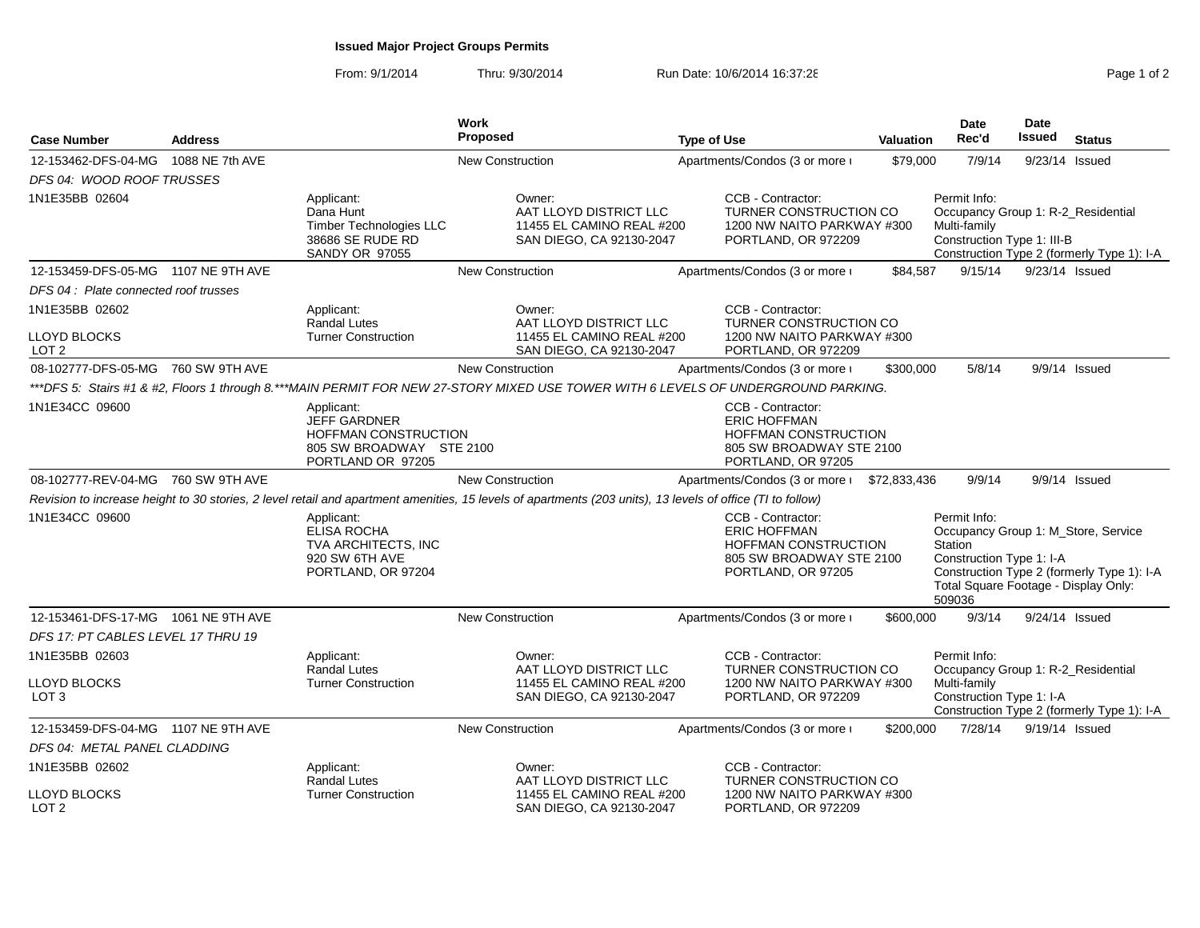# **Issued Major Project Groups Permits**

| <b>Address</b><br><b>Case Number</b>                                                                              |                 | Work<br><b>Proposed</b>                                                                             |                                                       | <b>Type of Use</b>                                                                                                                                         |                                                                             | Valuation                                                                                                                                                                                  | <b>Date</b><br>Rec'd | <b>Date</b><br><b>Issued</b>                                                                                                 | <b>Status</b> |                                            |
|-------------------------------------------------------------------------------------------------------------------|-----------------|-----------------------------------------------------------------------------------------------------|-------------------------------------------------------|------------------------------------------------------------------------------------------------------------------------------------------------------------|-----------------------------------------------------------------------------|--------------------------------------------------------------------------------------------------------------------------------------------------------------------------------------------|----------------------|------------------------------------------------------------------------------------------------------------------------------|---------------|--------------------------------------------|
| 12-153462-DFS-04-MG<br>DFS 04: WOOD ROOF TRUSSES                                                                  | 1088 NE 7th AVE |                                                                                                     | <b>New Construction</b>                               |                                                                                                                                                            |                                                                             | Apartments/Condos (3 or more i                                                                                                                                                             | \$79,000             | 7/9/14                                                                                                                       |               | 9/23/14 Issued                             |
| 1N1E35BB 02604                                                                                                    |                 | Applicant:<br>Dana Hunt<br><b>Timber Technologies LLC</b><br>38686 SE RUDE RD<br>SANDY OR 97055     |                                                       | Owner:<br>AAT LLOYD DISTRICT LLC<br>11455 EL CAMINO REAL #200<br>SAN DIEGO, CA 92130-2047                                                                  |                                                                             | CCB - Contractor:<br>TURNER CONSTRUCTION CO<br>1200 NW NAITO PARKWAY #300<br>PORTLAND, OR 972209                                                                                           |                      | Permit Info:<br>Occupancy Group 1: R-2_Residential<br>Multi-family<br>Construction Type 1: III-B                             |               | Construction Type 2 (formerly Type 1): I-A |
| 12-153459-DFS-05-MG 1107 NE 9TH AVE                                                                               |                 |                                                                                                     | <b>New Construction</b>                               |                                                                                                                                                            |                                                                             | Apartments/Condos (3 or more i                                                                                                                                                             | \$84,587             | 9/15/14                                                                                                                      |               | 9/23/14 Issued                             |
| DFS 04: Plate connected roof trusses                                                                              |                 |                                                                                                     |                                                       |                                                                                                                                                            |                                                                             |                                                                                                                                                                                            |                      |                                                                                                                              |               |                                            |
| 1N1E35BB 02602<br>LLOYD BLOCKS<br>LOT 2                                                                           |                 | Applicant:<br><b>Randal Lutes</b><br><b>Turner Construction</b>                                     |                                                       | Owner:<br>AAT LLOYD DISTRICT LLC<br>11455 EL CAMINO REAL #200<br>SAN DIEGO, CA 92130-2047                                                                  |                                                                             | CCB - Contractor:<br>TURNER CONSTRUCTION CO<br>1200 NW NAITO PARKWAY #300<br>PORTLAND, OR 972209                                                                                           |                      |                                                                                                                              |               |                                            |
| 08-102777-DFS-05-MG 760 SW 9TH AVE                                                                                |                 |                                                                                                     | <b>New Construction</b>                               |                                                                                                                                                            |                                                                             | Apartments/Condos (3 or more i                                                                                                                                                             | \$300,000            | 5/8/14                                                                                                                       |               | 9/9/14 Issued                              |
|                                                                                                                   |                 |                                                                                                     |                                                       | ***DFS 5: Stairs #1 & #2, Floors 1 through 8.***MAIN PERMIT FOR NEW 27-STORY MIXED USE TOWER WITH 6 LEVELS OF UNDERGROUND PARKING.                         |                                                                             |                                                                                                                                                                                            |                      |                                                                                                                              |               |                                            |
| 1N1E34CC 09600                                                                                                    |                 | Applicant:<br>JEFF GARDNER<br>HOFFMAN CONSTRUCTION<br>805 SW BROADWAY STE 2100<br>PORTLAND OR 97205 |                                                       |                                                                                                                                                            |                                                                             | CCB - Contractor:<br><b>ERIC HOFFMAN</b><br>HOFFMAN CONSTRUCTION<br>805 SW BROADWAY STE 2100<br>PORTLAND, OR 97205                                                                         |                      |                                                                                                                              |               |                                            |
| 08-102777-REV-04-MG 760 SW 9TH AVE                                                                                |                 |                                                                                                     | <b>New Construction</b>                               |                                                                                                                                                            |                                                                             | Apartments/Condos (3 or more i                                                                                                                                                             | \$72,833,436         | 9/9/14                                                                                                                       |               | 9/9/14 Issued                              |
|                                                                                                                   |                 |                                                                                                     |                                                       | Revision to increase height to 30 stories, 2 level retail and apartment amenities, 15 levels of apartments (203 units), 13 levels of office (TI to follow) |                                                                             |                                                                                                                                                                                            |                      |                                                                                                                              |               |                                            |
| 1N1E34CC 09600<br>Applicant:<br><b>ELISA ROCHA</b><br>TVA ARCHITECTS, INC<br>920 SW 6TH AVE<br>PORTLAND, OR 97204 |                 |                                                                                                     | CCB - Contractor:<br><b>ERIC HOFFMAN</b>              |                                                                                                                                                            | HOFFMAN CONSTRUCTION<br>805 SW BROADWAY STE 2100<br>PORTLAND, OR 97205      | Permit Info:<br>Occupancy Group 1: M_Store, Service<br>Station<br>Construction Type 1: I-A<br>Construction Type 2 (formerly Type 1): I-A<br>Total Square Footage - Display Only:<br>509036 |                      |                                                                                                                              |               |                                            |
| 12-153461-DFS-17-MG 1061 NE 9TH AVE                                                                               |                 |                                                                                                     | <b>New Construction</b>                               |                                                                                                                                                            |                                                                             | Apartments/Condos (3 or more i                                                                                                                                                             | \$600,000            | 9/3/14                                                                                                                       |               | 9/24/14 Issued                             |
| DFS 17: PT CABLES LEVEL 17 THRU 19                                                                                |                 |                                                                                                     |                                                       |                                                                                                                                                            |                                                                             |                                                                                                                                                                                            |                      |                                                                                                                              |               |                                            |
| 1N1E35BB 02603                                                                                                    |                 | Applicant:                                                                                          |                                                       | Owner:<br>AAT LLOYD DISTRICT LLC                                                                                                                           |                                                                             | CCB - Contractor:                                                                                                                                                                          |                      | Permit Info:                                                                                                                 |               |                                            |
| LLOYD BLOCKS<br>LOT <sub>3</sub>                                                                                  |                 | <b>Randal Lutes</b><br><b>Turner Construction</b>                                                   | 11455 EL CAMINO REAL #200<br>SAN DIEGO, CA 92130-2047 |                                                                                                                                                            | TURNER CONSTRUCTION CO<br>1200 NW NAITO PARKWAY #300<br>PORTLAND, OR 972209 |                                                                                                                                                                                            |                      | Occupancy Group 1: R-2 Residential<br>Multi-family<br>Construction Type 1: I-A<br>Construction Type 2 (formerly Type 1): I-A |               |                                            |
| 12-153459-DFS-04-MG 1107 NE 9TH AVE                                                                               |                 |                                                                                                     | <b>New Construction</b>                               |                                                                                                                                                            |                                                                             | Apartments/Condos (3 or more i                                                                                                                                                             | \$200,000            | 7/28/14                                                                                                                      |               | 9/19/14 Issued                             |
| DFS 04: METAL PANEL CLADDING                                                                                      |                 |                                                                                                     |                                                       |                                                                                                                                                            |                                                                             |                                                                                                                                                                                            |                      |                                                                                                                              |               |                                            |
| 1N1E35BB 02602<br>LLOYD BLOCKS<br>LOT <sub>2</sub>                                                                |                 | Applicant:<br><b>Randal Lutes</b><br><b>Turner Construction</b>                                     |                                                       | Owner:<br>AAT LLOYD DISTRICT LLC<br>11455 EL CAMINO REAL #200<br>SAN DIEGO, CA 92130-2047                                                                  |                                                                             | CCB - Contractor:<br>TURNER CONSTRUCTION CO<br>1200 NW NAITO PARKWAY #300<br>PORTLAND, OR 972209                                                                                           |                      |                                                                                                                              |               |                                            |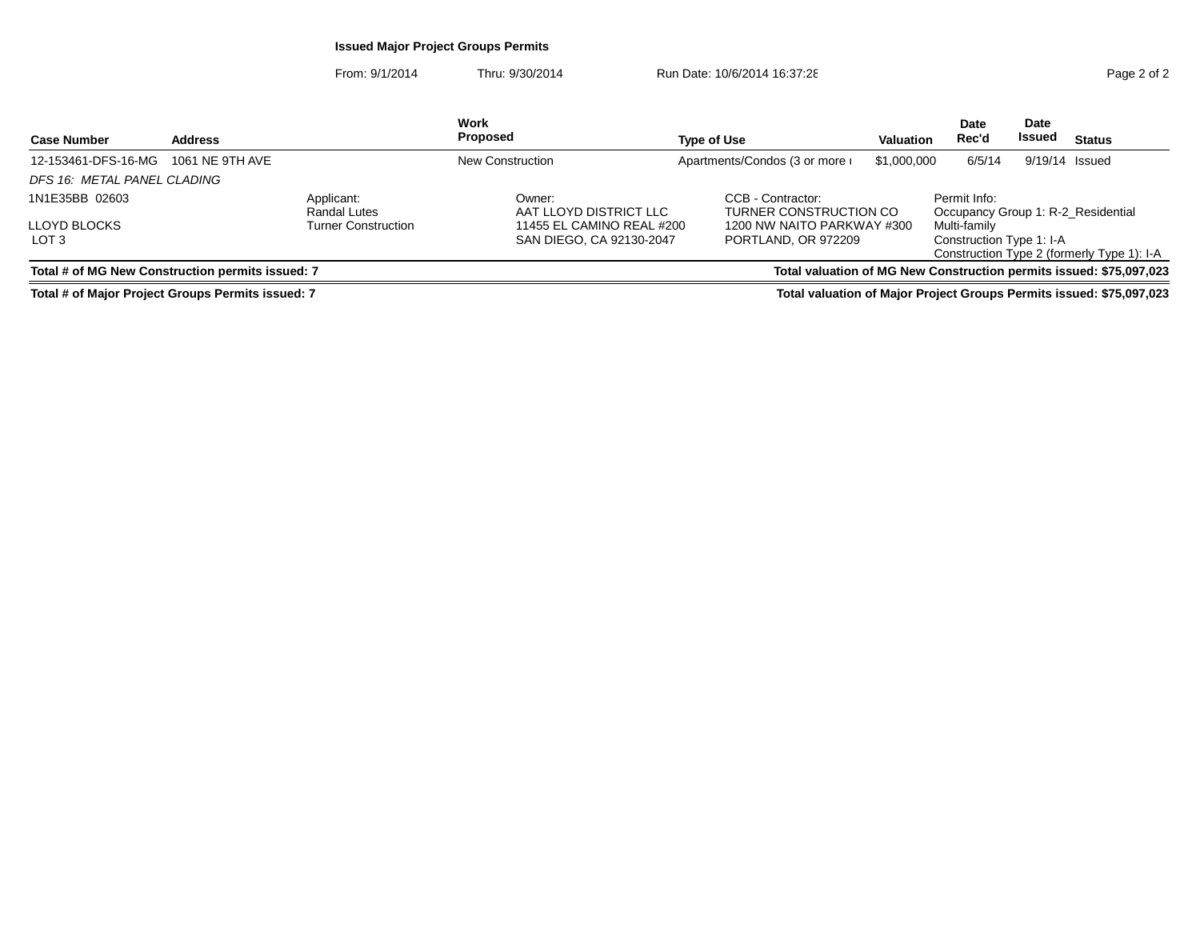# **Issued Major Project Groups Permits**

From: 9/1/2014Thru: 9/30/2014 Run Date: 10/6/2014 16:37:28 Run Date: 10/6/2014 16:37:28

| <b>Case Number</b>                               | <b>Address</b>  |                            | Work<br>Proposed                 | <b>Type of Use</b>                          | <b>Valuation</b> | Date<br>Rec'd                                      | Date<br>Issued | <b>Status</b>                                                       |
|--------------------------------------------------|-----------------|----------------------------|----------------------------------|---------------------------------------------|------------------|----------------------------------------------------|----------------|---------------------------------------------------------------------|
| 12-153461-DFS-16-MG                              | 1061 NE 9TH AVE |                            | New Construction                 | Apartments/Condos (3 or more i              | \$1,000,000      | 6/5/14                                             | 9/19/14 Issued |                                                                     |
| DFS 16: METAL PANEL CLADING                      |                 |                            |                                  |                                             |                  |                                                    |                |                                                                     |
| 1N1E35BB 02603                                   |                 | Applicant:<br>Randal Lutes | Owner:<br>AAT LLOYD DISTRICT LLC | CCB - Contractor:<br>TURNER CONSTRUCTION CO |                  | Permit Info:<br>Occupancy Group 1: R-2 Residential |                |                                                                     |
| <b>LLOYD BLOCKS</b>                              |                 | <b>Turner Construction</b> | 11455 EL CAMINO REAL #200        | 1200 NW NAITO PARKWAY #300                  |                  | Multi-family                                       |                |                                                                     |
| LOT <sub>3</sub>                                 |                 |                            | SAN DIEGO, CA 92130-2047         | PORTLAND, OR 972209                         |                  | Construction Type 1: I-A                           |                | Construction Type 2 (formerly Type 1): I-A                          |
| Total # of MG New Construction permits issued: 7 |                 |                            |                                  |                                             |                  |                                                    |                | Total valuation of MG New Construction permits issued: \$75,097,023 |

**Total # of Major Project Groups Permits issued: 7**

**Total valuation of Major Project Groups Permits issued: \$75,097,023**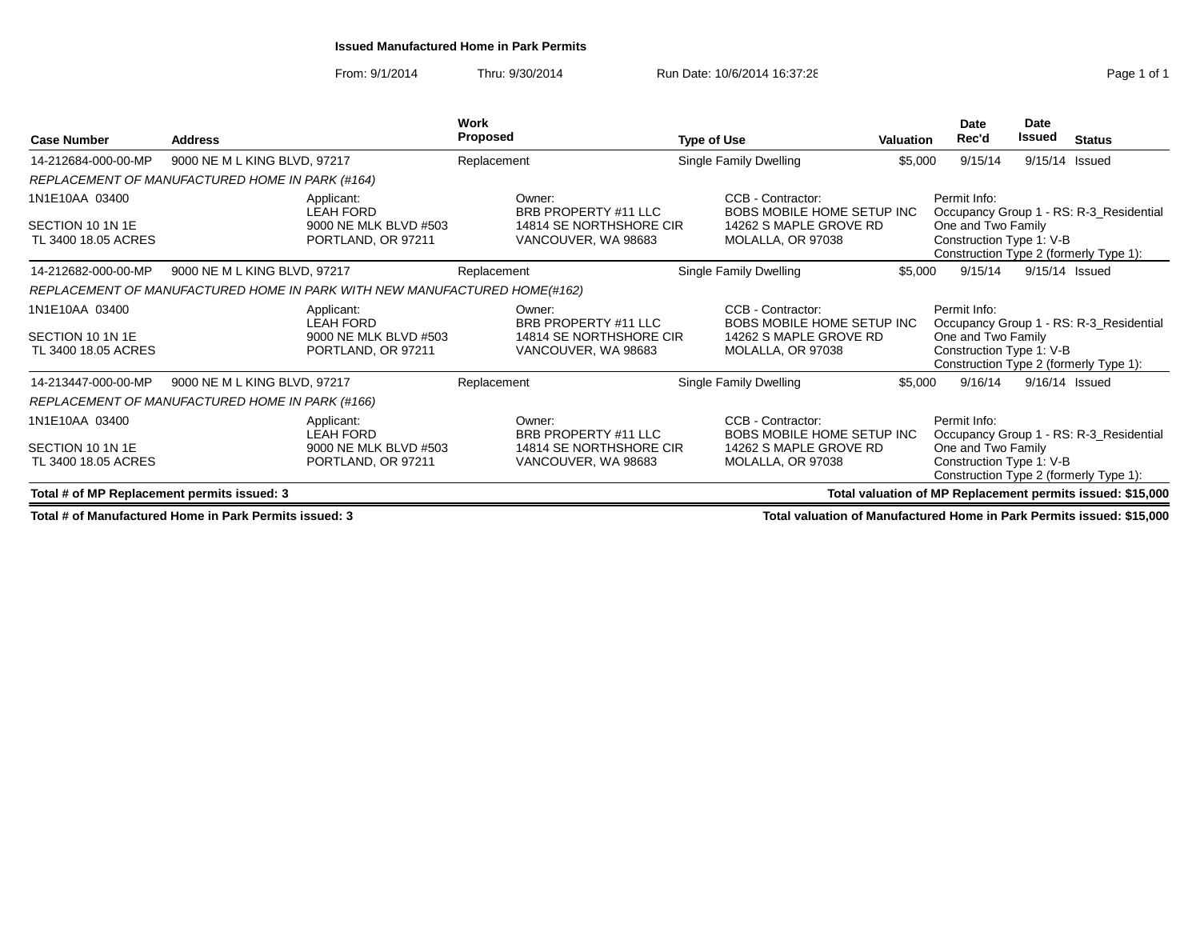#### **Issued Manufactured Home in Park Permits**

From: 9/1/2014Thru: 9/30/2014 Run Date: 10/6/2014 16:37:28 Run Date: 10/6/2014 16:37:28

| <b>Case Number</b>                          | <b>Address</b>                                                            | Work<br><b>Proposed</b>                        | <b>Type of Use</b>                              | Valuation | Date<br>Rec'd                                                                            | <b>Date</b><br><b>Issued</b> | <b>Status</b>                                              |
|---------------------------------------------|---------------------------------------------------------------------------|------------------------------------------------|-------------------------------------------------|-----------|------------------------------------------------------------------------------------------|------------------------------|------------------------------------------------------------|
| 14-212684-000-00-MP                         | 9000 NE M L KING BLVD, 97217                                              | Replacement                                    | Single Family Dwelling                          | \$5,000   | 9/15/14                                                                                  | 9/15/14 Issued               |                                                            |
|                                             | REPLACEMENT OF MANUFACTURED HOME IN PARK (#164)                           |                                                |                                                 |           |                                                                                          |                              |                                                            |
| 1N1E10AA 03400                              | Applicant:<br><b>LEAH FORD</b>                                            | Owner:<br>BRB PROPERTY #11 LLC                 | CCB - Contractor:<br>BOBS MOBILE HOME SETUP INC |           | Permit Info:                                                                             |                              | Occupancy Group 1 - RS: R-3 Residential                    |
| SECTION 10 1N 1E<br>TL 3400 18.05 ACRES     | 9000 NE MLK BLVD #503<br>PORTLAND, OR 97211                               | 14814 SE NORTHSHORE CIR<br>VANCOUVER, WA 98683 | 14262 S MAPLE GROVE RD<br>MOLALLA, OR 97038     |           | One and Two Family<br>Construction Type 1: V-B<br>Construction Type 2 (formerly Type 1): |                              |                                                            |
| 14-212682-000-00-MP                         | 9000 NE M L KING BLVD, 97217                                              | Replacement                                    | Single Family Dwelling                          | \$5,000   | 9/15/14                                                                                  | 9/15/14 Issued               |                                                            |
|                                             | REPLACEMENT OF MANUFACTURED HOME IN PARK WITH NEW MANUFACTURED HOME(#162) |                                                |                                                 |           |                                                                                          |                              |                                                            |
| 1N1E10AA 03400                              | Applicant:<br><b>LEAH FORD</b>                                            | Owner:<br>BRB PROPERTY #11 LLC                 | CCB - Contractor:<br>BOBS MOBILE HOME SETUP INC |           | Permit Info:                                                                             |                              | Occupancy Group 1 - RS: R-3_Residential                    |
| SECTION 10 1N 1E<br>TL 3400 18.05 ACRES     | 9000 NE MLK BLVD #503<br>PORTLAND, OR 97211                               | 14814 SE NORTHSHORE CIR<br>VANCOUVER, WA 98683 | 14262 S MAPLE GROVE RD<br>MOLALLA, OR 97038     |           | One and Two Family<br>Construction Type 1: V-B<br>Construction Type 2 (formerly Type 1): |                              |                                                            |
| 14-213447-000-00-MP                         | 9000 NE M L KING BLVD, 97217                                              | Replacement                                    | Single Family Dwelling                          | \$5,000   | 9/16/14                                                                                  | 9/16/14 Issued               |                                                            |
|                                             | REPLACEMENT OF MANUFACTURED HOME IN PARK (#166)                           |                                                |                                                 |           |                                                                                          |                              |                                                            |
| 1N1E10AA 03400                              | Applicant:<br><b>LEAH FORD</b>                                            | Owner:<br>BRB PROPERTY #11 LLC                 | CCB - Contractor:<br>BOBS MOBILE HOME SETUP INC |           | Permit Info:                                                                             |                              | Occupancy Group 1 - RS: R-3 Residential                    |
| SECTION 10 1N 1E<br>TL 3400 18.05 ACRES     | 9000 NE MLK BLVD #503<br>PORTLAND, OR 97211                               | 14814 SE NORTHSHORE CIR<br>VANCOUVER, WA 98683 | 14262 S MAPLE GROVE RD<br>MOLALLA, OR 97038     |           | One and Two Family<br>Construction Type 1: V-B<br>Construction Type 2 (formerly Type 1): |                              |                                                            |
| Total # of MP Replacement permits issued: 3 |                                                                           |                                                |                                                 |           |                                                                                          |                              | Total valuation of MP Replacement permits issued: \$15,000 |

**Total # of Manufactured Home in Park Permits issued: 3**

**Total valuation of Manufactured Home in Park Permits issued: \$15,000**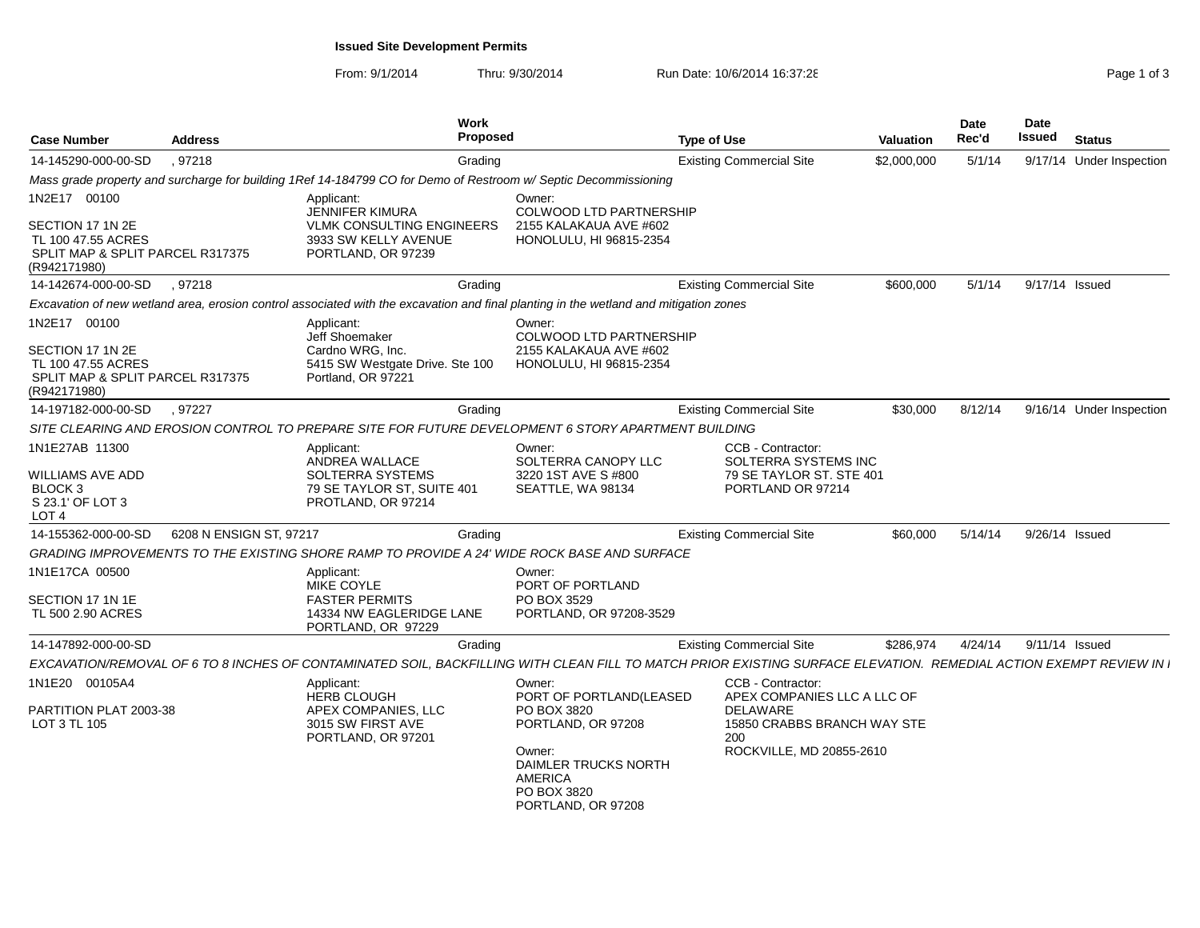**Issued Site Development Permits**

| <b>Case Number</b>                                                                                         | <b>Address</b>          | Work<br>Proposed<br><b>Type of Use</b>                                                                                                                            |                                                                                                                                                                 |                                                                                                                                       | <b>Valuation</b> | <b>Date</b><br>Rec'd | Date<br><b>Issued</b> | <b>Status</b>            |
|------------------------------------------------------------------------------------------------------------|-------------------------|-------------------------------------------------------------------------------------------------------------------------------------------------------------------|-----------------------------------------------------------------------------------------------------------------------------------------------------------------|---------------------------------------------------------------------------------------------------------------------------------------|------------------|----------------------|-----------------------|--------------------------|
| 14-145290-000-00-SD                                                                                        | , 97218                 | Grading                                                                                                                                                           |                                                                                                                                                                 | <b>Existing Commercial Site</b>                                                                                                       | \$2,000,000      | 5/1/14               |                       | 9/17/14 Under Inspection |
|                                                                                                            |                         | Mass grade property and surcharge for building 1Ref 14-184799 CO for Demo of Restroom w/ Septic Decommissioning                                                   |                                                                                                                                                                 |                                                                                                                                       |                  |                      |                       |                          |
| 1N2E17 00100<br>SECTION 17 1N 2E<br>TL 100 47.55 ACRES<br>SPLIT MAP & SPLIT PARCEL R317375<br>(R942171980) |                         | Applicant:<br><b>JENNIFER KIMURA</b><br><b>VLMK CONSULTING ENGINEERS</b><br>3933 SW KELLY AVENUE<br>PORTLAND, OR 97239                                            | Owner:<br><b>COLWOOD LTD PARTNERSHIP</b><br>2155 KALAKAUA AVE #602<br>HONOLULU, HI 96815-2354                                                                   |                                                                                                                                       |                  |                      |                       |                          |
| 14-142674-000-00-SD                                                                                        | .97218                  | Grading                                                                                                                                                           |                                                                                                                                                                 | <b>Existing Commercial Site</b>                                                                                                       | \$600,000        | 5/1/14               |                       | 9/17/14 Issued           |
|                                                                                                            |                         | Excavation of new wetland area, erosion control associated with the excavation and final planting in the wetland and mitigation zones                             |                                                                                                                                                                 |                                                                                                                                       |                  |                      |                       |                          |
| 1N2E17 00100<br>SECTION 17 1N 2E<br>TL 100 47.55 ACRES<br>SPLIT MAP & SPLIT PARCEL R317375<br>(R942171980) |                         | Applicant:<br><b>Jeff Shoemaker</b><br>Cardno WRG, Inc.<br>5415 SW Westgate Drive. Ste 100<br>Portland, OR 97221                                                  | Owner:<br><b>COLWOOD LTD PARTNERSHIP</b><br>2155 KALAKAUA AVE #602<br>HONOLULU, HI 96815-2354                                                                   |                                                                                                                                       |                  |                      |                       |                          |
| 14-197182-000-00-SD                                                                                        | , 97227                 | Grading                                                                                                                                                           |                                                                                                                                                                 | <b>Existing Commercial Site</b>                                                                                                       | \$30,000         | 8/12/14              |                       | 9/16/14 Under Inspection |
|                                                                                                            |                         | SITE CLEARING AND EROSION CONTROL TO PREPARE SITE FOR FUTURE DEVELOPMENT 6 STORY APARTMENT BUILDING                                                               |                                                                                                                                                                 |                                                                                                                                       |                  |                      |                       |                          |
| 1N1E27AB 11300<br>WILLIAMS AVE ADD<br>BLOCK <sub>3</sub><br>S 23.1' OF LOT 3<br>LOT <sub>4</sub>           |                         | Applicant:<br>ANDREA WALLACE<br>SOLTERRA SYSTEMS<br>79 SE TAYLOR ST, SUITE 401<br>PROTLAND, OR 97214                                                              | Owner:<br>SOLTERRA CANOPY LLC<br>3220 1ST AVE S #800<br>SEATTLE, WA 98134                                                                                       | CCB - Contractor:<br><b>SOLTERRA SYSTEMS INC</b><br>79 SE TAYLOR ST. STE 401<br>PORTLAND OR 97214                                     |                  |                      |                       |                          |
| 14-155362-000-00-SD                                                                                        | 6208 N ENSIGN ST, 97217 | Grading                                                                                                                                                           |                                                                                                                                                                 | <b>Existing Commercial Site</b>                                                                                                       | \$60,000         | 5/14/14              |                       | 9/26/14 Issued           |
|                                                                                                            |                         | GRADING IMPROVEMENTS TO THE EXISTING SHORE RAMP TO PROVIDE A 24' WIDE ROCK BASE AND SURFACE                                                                       |                                                                                                                                                                 |                                                                                                                                       |                  |                      |                       |                          |
| 1N1E17CA 00500<br>SECTION 17 1N 1E<br>TL 500 2.90 ACRES                                                    |                         | Applicant:<br><b>MIKE COYLE</b><br><b>FASTER PERMITS</b><br>14334 NW EAGLERIDGE LANE<br>PORTLAND, OR 97229                                                        | Owner:<br>PORT OF PORTLAND<br>PO BOX 3529<br>PORTLAND, OR 97208-3529                                                                                            |                                                                                                                                       |                  |                      |                       |                          |
| 14-147892-000-00-SD                                                                                        |                         | Grading                                                                                                                                                           |                                                                                                                                                                 | <b>Existing Commercial Site</b>                                                                                                       | \$286,974        | 4/24/14              |                       | 9/11/14 Issued           |
|                                                                                                            |                         | EXCAVATION/REMOVAL OF 6 TO 8 INCHES OF CONTAMINATED SOIL, BACKFILLING WITH CLEAN FILL TO MATCH PRIOR EXISTING SURFACE ELEVATION. REMEDIAL ACTION EXEMPT REVIEW IN |                                                                                                                                                                 |                                                                                                                                       |                  |                      |                       |                          |
| 1N1E20 00105A4<br>PARTITION PLAT 2003-38<br>LOT 3 TL 105                                                   |                         | Applicant:<br><b>HERB CLOUGH</b><br>APEX COMPANIES, LLC<br>3015 SW FIRST AVE<br>PORTLAND, OR 97201                                                                | Owner:<br>PORT OF PORTLAND(LEASED<br>PO BOX 3820<br>PORTLAND, OR 97208<br>Owner:<br>DAIMLER TRUCKS NORTH<br><b>AMERICA</b><br>PO BOX 3820<br>PORTLAND, OR 97208 | CCB - Contractor:<br>APEX COMPANIES LLC A LLC OF<br><b>DELAWARE</b><br>15850 CRABBS BRANCH WAY STE<br>200<br>ROCKVILLE, MD 20855-2610 |                  |                      |                       |                          |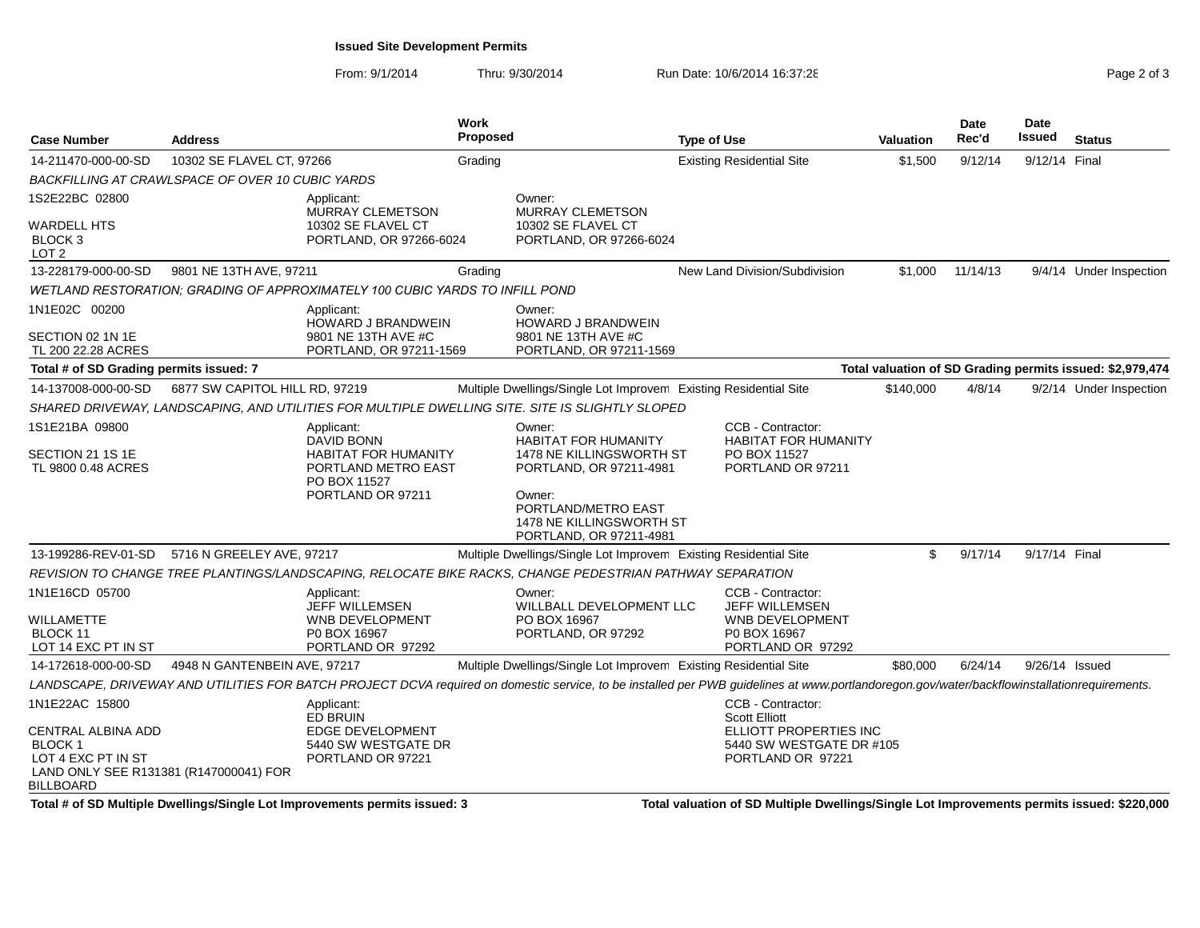### **Issued Site Development Permits**

From: 9/1/2014Thru: 9/30/2014 Run Date: 10/6/2014 16:37:28 Research 2010 2013

| <b>Case Number</b>                                                          | <b>Address</b>                                                               |                                                                                                                            | Work<br><b>Proposed</b> |                                                                                                                                                                                             | <b>Type of Use</b> |                                                                                                                      | <b>Valuation</b> | <b>Date</b><br>Rec'd | <b>Date</b><br>Issued | <b>Status</b>                                             |
|-----------------------------------------------------------------------------|------------------------------------------------------------------------------|----------------------------------------------------------------------------------------------------------------------------|-------------------------|---------------------------------------------------------------------------------------------------------------------------------------------------------------------------------------------|--------------------|----------------------------------------------------------------------------------------------------------------------|------------------|----------------------|-----------------------|-----------------------------------------------------------|
| 14-211470-000-00-SD                                                         | 10302 SE FLAVEL CT, 97266                                                    |                                                                                                                            | Grading                 |                                                                                                                                                                                             |                    | <b>Existing Residential Site</b>                                                                                     | \$1,500          | 9/12/14              | 9/12/14 Final         |                                                           |
|                                                                             | BACKFILLING AT CRAWLSPACE OF OVER 10 CUBIC YARDS                             |                                                                                                                            |                         |                                                                                                                                                                                             |                    |                                                                                                                      |                  |                      |                       |                                                           |
| 1S2E22BC 02800<br><b>WARDELL HTS</b><br>BLOCK <sub>3</sub>                  |                                                                              | Applicant:<br>MURRAY CLEMETSON<br>10302 SE FLAVEL CT<br>PORTLAND, OR 97266-6024                                            |                         | Owner:<br>MURRAY CLEMETSON<br>10302 SE FLAVEL CT<br>PORTLAND, OR 97266-6024                                                                                                                 |                    |                                                                                                                      |                  |                      |                       |                                                           |
| LOT <sub>2</sub>                                                            |                                                                              |                                                                                                                            |                         |                                                                                                                                                                                             |                    |                                                                                                                      |                  |                      |                       |                                                           |
| 13-228179-000-00-SD                                                         | 9801 NE 13TH AVE, 97211                                                      |                                                                                                                            | Grading                 |                                                                                                                                                                                             |                    | New Land Division/Subdivision                                                                                        | \$1,000          | 11/14/13             |                       | 9/4/14 Under Inspection                                   |
|                                                                             | WETLAND RESTORATION: GRADING OF APPROXIMATELY 100 CUBIC YARDS TO INFILL POND |                                                                                                                            |                         |                                                                                                                                                                                             |                    |                                                                                                                      |                  |                      |                       |                                                           |
| 1N1E02C 00200                                                               |                                                                              | Applicant:<br><b>HOWARD J BRANDWEIN</b>                                                                                    |                         | Owner:<br><b>HOWARD J BRANDWEIN</b>                                                                                                                                                         |                    |                                                                                                                      |                  |                      |                       |                                                           |
| SECTION 02 1N 1E<br>TL 200 22.28 ACRES                                      |                                                                              | 9801 NE 13TH AVE #C<br>PORTLAND, OR 97211-1569                                                                             |                         | 9801 NE 13TH AVE #C<br>PORTLAND, OR 97211-1569                                                                                                                                              |                    |                                                                                                                      |                  |                      |                       |                                                           |
| Total # of SD Grading permits issued: 7                                     |                                                                              |                                                                                                                            |                         |                                                                                                                                                                                             |                    |                                                                                                                      |                  |                      |                       | Total valuation of SD Grading permits issued: \$2,979,474 |
| 14-137008-000-00-SD                                                         | 6877 SW CAPITOL HILL RD, 97219                                               |                                                                                                                            |                         | Multiple Dwellings/Single Lot Improvem Existing Residential Site                                                                                                                            |                    |                                                                                                                      | \$140,000        | 4/8/14               |                       | 9/2/14 Under Inspection                                   |
|                                                                             |                                                                              |                                                                                                                            |                         | SHARED DRIVEWAY, LANDSCAPING, AND UTILITIES FOR MULTIPLE DWELLING SITE. SITE IS SLIGHTLY SLOPED                                                                                             |                    |                                                                                                                      |                  |                      |                       |                                                           |
| 1S1E21BA 09800<br>SECTION 21 1S 1E<br>TL 9800 0.48 ACRES                    |                                                                              | Applicant:<br><b>DAVID BONN</b><br><b>HABITAT FOR HUMANITY</b><br>PORTLAND METRO EAST<br>PO BOX 11527<br>PORTLAND OR 97211 |                         | Owner:<br><b>HABITAT FOR HUMANITY</b><br>1478 NE KILLINGSWORTH ST<br>PORTLAND, OR 97211-4981<br>Owner:<br>PORTLAND/METRO EAST<br>1478 NE KILLINGSWORTH ST<br>PORTLAND, OR 97211-4981        |                    | CCB - Contractor:<br><b>HABITAT FOR HUMANITY</b><br>PO BOX 11527<br>PORTLAND OR 97211                                |                  |                      |                       |                                                           |
| 13-199286-REV-01-SD                                                         | 5716 N GREELEY AVE, 97217                                                    |                                                                                                                            |                         | Multiple Dwellings/Single Lot Improvem Existing Residential Site                                                                                                                            |                    |                                                                                                                      | \$               | 9/17/14              | 9/17/14 Final         |                                                           |
|                                                                             |                                                                              |                                                                                                                            |                         | REVISION TO CHANGE TREE PLANTINGS/LANDSCAPING, RELOCATE BIKE RACKS, CHANGE PEDESTRIAN PATHWAY SEPARATION                                                                                    |                    |                                                                                                                      |                  |                      |                       |                                                           |
| 1N1E16CD 05700<br>WILLAMETTE<br>BLOCK 11<br>LOT 14 EXC PT IN ST             |                                                                              | Applicant:<br>JEFF WILLEMSEN<br>WNB DEVELOPMENT<br>P0 BOX 16967<br>PORTLAND OR 97292                                       |                         | Owner:<br>WILLBALL DEVELOPMENT LLC<br>PO BOX 16967<br>PORTLAND, OR 97292                                                                                                                    |                    | <b>CCB - Contractor:</b><br><b>JEFF WILLEMSEN</b><br><b>WNB DEVELOPMENT</b><br>P0 BOX 16967<br>PORTLAND OR 97292     |                  |                      |                       |                                                           |
| 14-172618-000-00-SD                                                         | 4948 N GANTENBEIN AVE, 97217                                                 |                                                                                                                            |                         | Multiple Dwellings/Single Lot Improvem Existing Residential Site                                                                                                                            |                    |                                                                                                                      | \$80,000         | 6/24/14              | 9/26/14 Issued        |                                                           |
|                                                                             |                                                                              |                                                                                                                            |                         | LANDSCAPE, DRIVEWAY AND UTILITIES FOR BATCH PROJECT DCVA required on domestic service, to be installed per PWB guidelines at www.portlandoregon.gov/water/backflowinstallationrequirements. |                    |                                                                                                                      |                  |                      |                       |                                                           |
| 1N1E22AC 15800<br>CENTRAL ALBINA ADD<br><b>BLOCK1</b><br>LOT 4 EXC PT IN ST |                                                                              | Applicant:<br>ED BRUIN<br><b>EDGE DEVELOPMENT</b><br>5440 SW WESTGATE DR<br>PORTLAND OR 97221                              |                         |                                                                                                                                                                                             |                    | CCB - Contractor:<br><b>Scott Elliott</b><br>ELLIOTT PROPERTIES INC<br>5440 SW WESTGATE DR #105<br>PORTLAND OR 97221 |                  |                      |                       |                                                           |
| LAND ONLY SEE R131381 (R147000041) FOR<br><b>BILLBOARD</b>                  |                                                                              |                                                                                                                            |                         |                                                                                                                                                                                             |                    |                                                                                                                      |                  |                      |                       |                                                           |

**Total # of SD Multiple Dwellings/Single Lot Improvements permits issued: 3**

**Total valuation of SD Multiple Dwellings/Single Lot Improvements permits issued: \$220,000**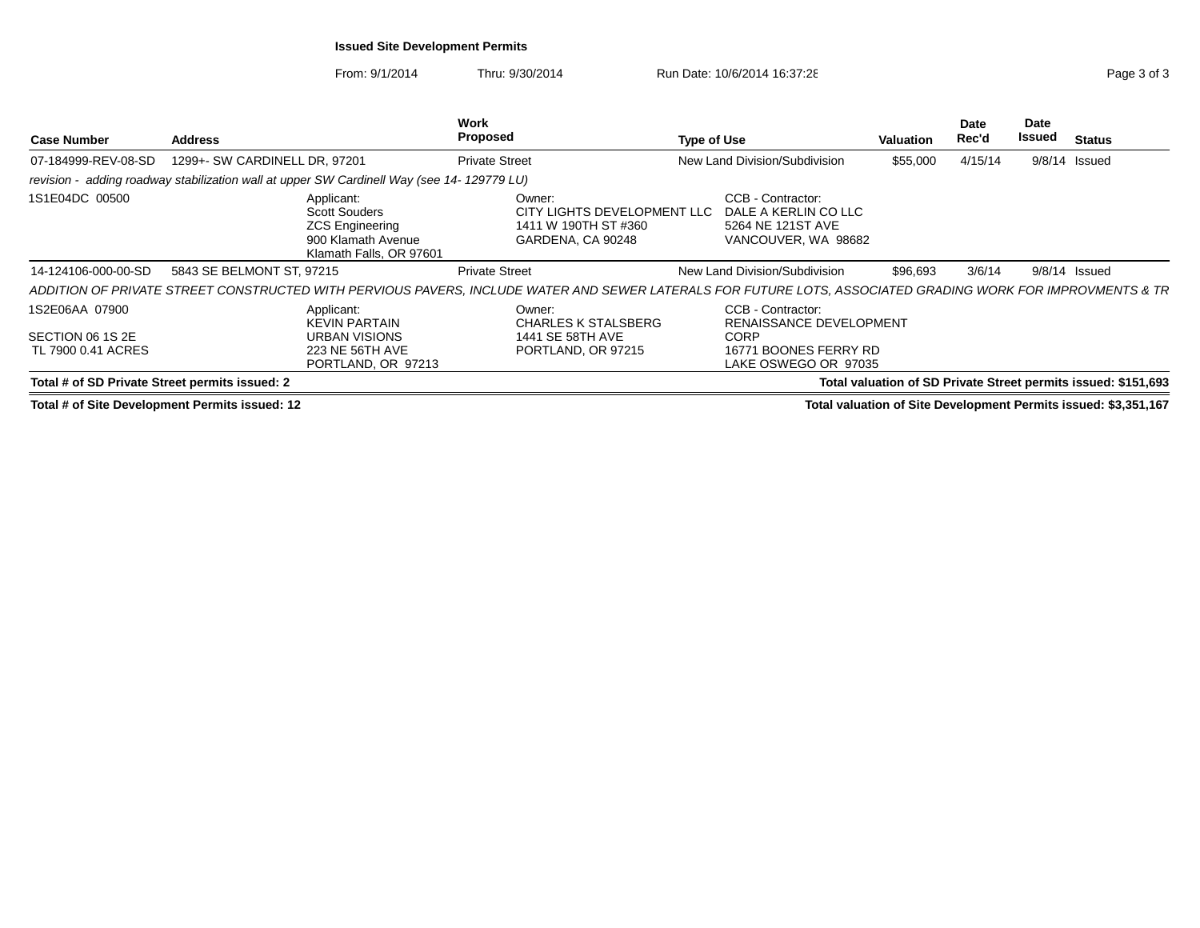### **Issued Site Development Permits**

From: 9/1/2014Thru: 9/30/2014 Run Date: 10/6/2014 16:37:28 Run Date: 10/6/2014 16:37:28

| <b>Case Number</b>                                       | <b>Address</b>                                                                                                | Work<br>Proposed                                                                                                                                            | Type of Use                                                                                           | Valuation | Date<br>Rec'd | Date<br>Issued | <b>Status</b>                                                  |
|----------------------------------------------------------|---------------------------------------------------------------------------------------------------------------|-------------------------------------------------------------------------------------------------------------------------------------------------------------|-------------------------------------------------------------------------------------------------------|-----------|---------------|----------------|----------------------------------------------------------------|
| 07-184999-REV-08-SD                                      | 1299+- SW CARDINELL DR, 97201                                                                                 | <b>Private Street</b>                                                                                                                                       | New Land Division/Subdivision                                                                         | \$55,000  | 4/15/14       | 9/8/14         | Issued                                                         |
|                                                          | revision - adding roadway stabilization wall at upper SW Cardinell Way (see 14-129779 LU)                     |                                                                                                                                                             |                                                                                                       |           |               |                |                                                                |
| 1S1E04DC 00500                                           | Applicant:<br><b>Scott Souders</b><br><b>ZCS Engineering</b><br>900 Klamath Avenue<br>Klamath Falls, OR 97601 | Owner:<br>CITY LIGHTS DEVELOPMENT LLC<br>1411 W 190TH ST #360<br>GARDENA, CA 90248                                                                          | CCB - Contractor:<br>DALE A KERLIN CO LLC<br>5264 NE 121ST AVE<br>VANCOUVER, WA 98682                 |           |               |                |                                                                |
| 14-124106-000-00-SD                                      | 5843 SE BELMONT ST, 97215                                                                                     | <b>Private Street</b>                                                                                                                                       | New Land Division/Subdivision                                                                         | \$96.693  | 3/6/14        |                | $9/8/14$ Issued                                                |
|                                                          |                                                                                                               | ADDITION OF PRIVATE STREET CONSTRUCTED WITH PERVIOUS PAVERS, INCLUDE WATER AND SEWER LATERALS FOR FUTURE LOTS, ASSOCIATED GRADING WORK FOR IMPROVMENTS & TR |                                                                                                       |           |               |                |                                                                |
| 1S2E06AA 07900<br>SECTION 06 1S 2E<br>TL 7900 0.41 ACRES | Applicant:<br><b>KEVIN PARTAIN</b><br>URBAN VISIONS<br>223 NE 56TH AVE<br>PORTLAND, OR 97213                  | Owner:<br><b>CHARLES K STALSBERG</b><br>1441 SE 58TH AVE<br>PORTLAND, OR 97215                                                                              | CCB - Contractor:<br>RENAISSANCE DEVELOPMENT<br>CORP<br>16771 BOONES FERRY RD<br>LAKE OSWEGO OR 97035 |           |               |                |                                                                |
| Total # of SD Private Street permits issued: 2           |                                                                                                               |                                                                                                                                                             |                                                                                                       |           |               |                | Total valuation of SD Private Street permits issued: \$151,693 |

**Total # of Site Development Permits issued: 12**

**Total valuation of Site Development Permits issued: \$3,351,167**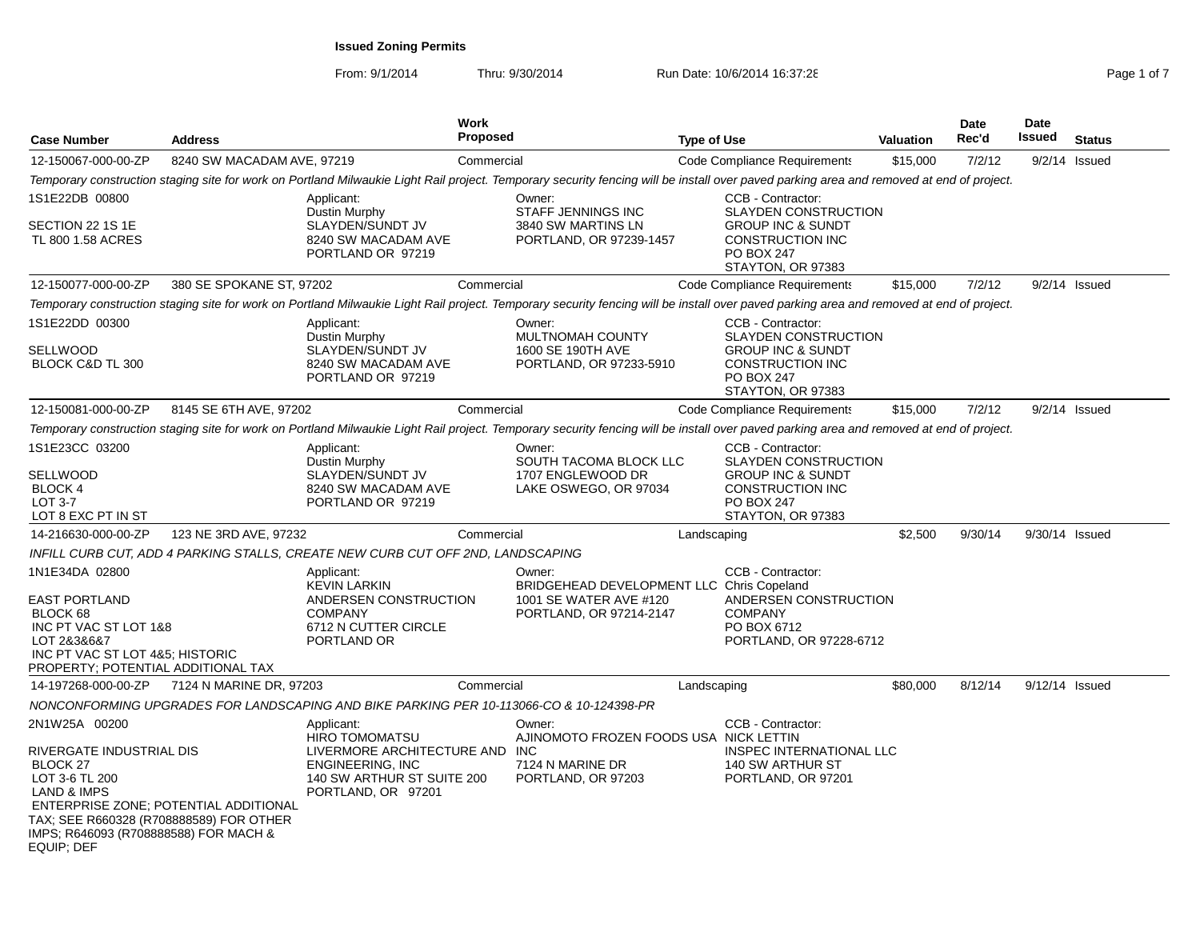| Page 1 of |  |
|-----------|--|

| <b>Address</b>                                                                                                                                        |                                                                                             |                                                                                                                                                       |                                                             |                                                                                                                                                                                                                                                                                                                                                 |                                                                                                                        |                                                                                                                                                                                                                                         | Date<br>Rec'd                                                                                                                                                                                 | Date<br><b>Issued</b>                                                                                                                                                                                                                                                                                                                                                                | <b>Status</b>                                                                                                                                                                                                                |
|-------------------------------------------------------------------------------------------------------------------------------------------------------|---------------------------------------------------------------------------------------------|-------------------------------------------------------------------------------------------------------------------------------------------------------|-------------------------------------------------------------|-------------------------------------------------------------------------------------------------------------------------------------------------------------------------------------------------------------------------------------------------------------------------------------------------------------------------------------------------|------------------------------------------------------------------------------------------------------------------------|-----------------------------------------------------------------------------------------------------------------------------------------------------------------------------------------------------------------------------------------|-----------------------------------------------------------------------------------------------------------------------------------------------------------------------------------------------|--------------------------------------------------------------------------------------------------------------------------------------------------------------------------------------------------------------------------------------------------------------------------------------------------------------------------------------------------------------------------------------|------------------------------------------------------------------------------------------------------------------------------------------------------------------------------------------------------------------------------|
|                                                                                                                                                       |                                                                                             |                                                                                                                                                       |                                                             |                                                                                                                                                                                                                                                                                                                                                 |                                                                                                                        | \$15,000                                                                                                                                                                                                                                | 7/2/12                                                                                                                                                                                        |                                                                                                                                                                                                                                                                                                                                                                                      | $9/2/14$ Issued                                                                                                                                                                                                              |
|                                                                                                                                                       |                                                                                             |                                                                                                                                                       |                                                             |                                                                                                                                                                                                                                                                                                                                                 |                                                                                                                        |                                                                                                                                                                                                                                         |                                                                                                                                                                                               |                                                                                                                                                                                                                                                                                                                                                                                      |                                                                                                                                                                                                                              |
|                                                                                                                                                       | Applicant:                                                                                  |                                                                                                                                                       | Owner:                                                      |                                                                                                                                                                                                                                                                                                                                                 | CCB - Contractor:                                                                                                      |                                                                                                                                                                                                                                         |                                                                                                                                                                                               |                                                                                                                                                                                                                                                                                                                                                                                      |                                                                                                                                                                                                                              |
|                                                                                                                                                       | Dustin Murphy<br>SLAYDEN/SUNDT JV<br>8240 SW MACADAM AVE<br>PORTLAND OR 97219               |                                                                                                                                                       | 3840 SW MARTINS LN                                          |                                                                                                                                                                                                                                                                                                                                                 | <b>GROUP INC &amp; SUNDT</b><br><b>CONSTRUCTION INC</b><br><b>PO BOX 247</b><br>STAYTON, OR 97383                      |                                                                                                                                                                                                                                         |                                                                                                                                                                                               |                                                                                                                                                                                                                                                                                                                                                                                      |                                                                                                                                                                                                                              |
|                                                                                                                                                       |                                                                                             |                                                                                                                                                       |                                                             |                                                                                                                                                                                                                                                                                                                                                 |                                                                                                                        | \$15,000                                                                                                                                                                                                                                | 7/2/12                                                                                                                                                                                        |                                                                                                                                                                                                                                                                                                                                                                                      | $9/2/14$ Issued                                                                                                                                                                                                              |
|                                                                                                                                                       |                                                                                             |                                                                                                                                                       |                                                             |                                                                                                                                                                                                                                                                                                                                                 |                                                                                                                        |                                                                                                                                                                                                                                         |                                                                                                                                                                                               |                                                                                                                                                                                                                                                                                                                                                                                      |                                                                                                                                                                                                                              |
|                                                                                                                                                       | Applicant:                                                                                  |                                                                                                                                                       | Owner:                                                      |                                                                                                                                                                                                                                                                                                                                                 | CCB - Contractor:                                                                                                      |                                                                                                                                                                                                                                         |                                                                                                                                                                                               |                                                                                                                                                                                                                                                                                                                                                                                      |                                                                                                                                                                                                                              |
|                                                                                                                                                       | SLAYDEN/SUNDT JV<br>8240 SW MACADAM AVE<br>PORTLAND OR 97219                                |                                                                                                                                                       | 1600 SE 190TH AVE                                           |                                                                                                                                                                                                                                                                                                                                                 | <b>GROUP INC &amp; SUNDT</b><br><b>CONSTRUCTION INC</b><br>PO BOX 247<br>STAYTON, OR 97383                             |                                                                                                                                                                                                                                         |                                                                                                                                                                                               |                                                                                                                                                                                                                                                                                                                                                                                      |                                                                                                                                                                                                                              |
|                                                                                                                                                       |                                                                                             |                                                                                                                                                       |                                                             |                                                                                                                                                                                                                                                                                                                                                 |                                                                                                                        | \$15,000                                                                                                                                                                                                                                | 7/2/12                                                                                                                                                                                        |                                                                                                                                                                                                                                                                                                                                                                                      | $9/2/14$ Issued                                                                                                                                                                                                              |
|                                                                                                                                                       |                                                                                             |                                                                                                                                                       |                                                             |                                                                                                                                                                                                                                                                                                                                                 |                                                                                                                        |                                                                                                                                                                                                                                         |                                                                                                                                                                                               |                                                                                                                                                                                                                                                                                                                                                                                      |                                                                                                                                                                                                                              |
|                                                                                                                                                       | Applicant:<br>Dustin Murphy<br>SLAYDEN/SUNDT JV<br>8240 SW MACADAM AVE<br>PORTLAND OR 97219 |                                                                                                                                                       | Owner:<br>1707 ENGLEWOOD DR<br>LAKE OSWEGO, OR 97034        |                                                                                                                                                                                                                                                                                                                                                 | CCB - Contractor:<br><b>GROUP INC &amp; SUNDT</b><br><b>CONSTRUCTION INC</b><br><b>PO BOX 247</b><br>STAYTON, OR 97383 |                                                                                                                                                                                                                                         |                                                                                                                                                                                               |                                                                                                                                                                                                                                                                                                                                                                                      |                                                                                                                                                                                                                              |
|                                                                                                                                                       |                                                                                             |                                                                                                                                                       |                                                             |                                                                                                                                                                                                                                                                                                                                                 |                                                                                                                        | \$2,500                                                                                                                                                                                                                                 | 9/30/14                                                                                                                                                                                       |                                                                                                                                                                                                                                                                                                                                                                                      |                                                                                                                                                                                                                              |
|                                                                                                                                                       |                                                                                             |                                                                                                                                                       |                                                             |                                                                                                                                                                                                                                                                                                                                                 |                                                                                                                        |                                                                                                                                                                                                                                         |                                                                                                                                                                                               |                                                                                                                                                                                                                                                                                                                                                                                      |                                                                                                                                                                                                                              |
| INC PT VAC ST LOT 1&8<br>INC PT VAC ST LOT 4&5; HISTORIC<br>PROPERTY; POTENTIAL ADDITIONAL TAX                                                        | Applicant:<br><b>KEVIN LARKIN</b><br><b>COMPANY</b><br>6712 N CUTTER CIRCLE<br>PORTLAND OR  |                                                                                                                                                       | Owner:<br>1001 SE WATER AVE #120                            |                                                                                                                                                                                                                                                                                                                                                 | CCB - Contractor:<br><b>COMPANY</b><br>PO BOX 6712                                                                     |                                                                                                                                                                                                                                         |                                                                                                                                                                                               |                                                                                                                                                                                                                                                                                                                                                                                      |                                                                                                                                                                                                                              |
|                                                                                                                                                       |                                                                                             |                                                                                                                                                       |                                                             |                                                                                                                                                                                                                                                                                                                                                 |                                                                                                                        | \$80,000                                                                                                                                                                                                                                | 8/12/14                                                                                                                                                                                       |                                                                                                                                                                                                                                                                                                                                                                                      |                                                                                                                                                                                                                              |
|                                                                                                                                                       |                                                                                             |                                                                                                                                                       |                                                             |                                                                                                                                                                                                                                                                                                                                                 |                                                                                                                        |                                                                                                                                                                                                                                         |                                                                                                                                                                                               |                                                                                                                                                                                                                                                                                                                                                                                      |                                                                                                                                                                                                                              |
| RIVERGATE INDUSTRIAL DIS<br>ENTERPRISE ZONE; POTENTIAL ADDITIONAL<br>TAX: SEE R660328 (R708888589) FOR OTHER<br>IMPS; R646093 (R708888588) FOR MACH & | Applicant:<br><b>HIRO TOMOMATSU</b><br>ENGINEERING, INC<br>PORTLAND, OR 97201               |                                                                                                                                                       | Owner:<br>7124 N MARINE DR<br>PORTLAND, OR 97203            |                                                                                                                                                                                                                                                                                                                                                 | CCB - Contractor:<br>140 SW ARTHUR ST<br>PORTLAND, OR 97201                                                            |                                                                                                                                                                                                                                         |                                                                                                                                                                                               |                                                                                                                                                                                                                                                                                                                                                                                      |                                                                                                                                                                                                                              |
|                                                                                                                                                       |                                                                                             | 8240 SW MACADAM AVE, 97219<br>380 SE SPOKANE ST, 97202<br>Dustin Murphy<br>8145 SE 6TH AVE, 97202<br>123 NE 3RD AVE, 97232<br>7124 N MARINE DR, 97203 | Work<br>ANDERSEN CONSTRUCTION<br>140 SW ARTHUR ST SUITE 200 | Proposed<br>Commercial<br><b>STAFF JENNINGS INC</b><br>Commercial<br>MULTNOMAH COUNTY<br>Commercial<br>Commercial<br>INFILL CURB CUT, ADD 4 PARKING STALLS, CREATE NEW CURB CUT OFF 2ND, LANDSCAPING<br>Commercial<br>NONCONFORMING UPGRADES FOR LANDSCAPING AND BIKE PARKING PER 10-113066-CO & 10-124398-PR<br>LIVERMORE ARCHITECTURE AND INC | PORTLAND, OR 97239-1457<br>PORTLAND, OR 97233-5910<br>SOUTH TACOMA BLOCK LLC<br>PORTLAND, OR 97214-2147                | <b>Type of Use</b><br>Code Compliance Requirements<br>Code Compliance Requirements<br>Code Compliance Requirements<br>Landscaping<br>BRIDGEHEAD DEVELOPMENT LLC Chris Copeland<br>Landscaping<br>AJINOMOTO FROZEN FOODS USA NICK LETTIN | <b>Valuation</b><br><b>SLAYDEN CONSTRUCTION</b><br><b>SLAYDEN CONSTRUCTION</b><br><b>SLAYDEN CONSTRUCTION</b><br>ANDERSEN CONSTRUCTION<br>PORTLAND, OR 97228-6712<br>INSPEC INTERNATIONAL LLC | Temporary construction staging site for work on Portland Milwaukie Light Rail project. Temporary security fencing will be install over paved parking area and removed at end of project.<br>Temporary construction staging site for work on Portland Milwaukie Light Rail project. Temporary security fencing will be install over paved parking area and removed at end of project. | Temporary construction staging site for work on Portland Milwaukie Light Rail project. Temporary security fencing will be install over paved parking area and removed at end of project.<br>9/30/14 Issued<br>9/12/14 Issued |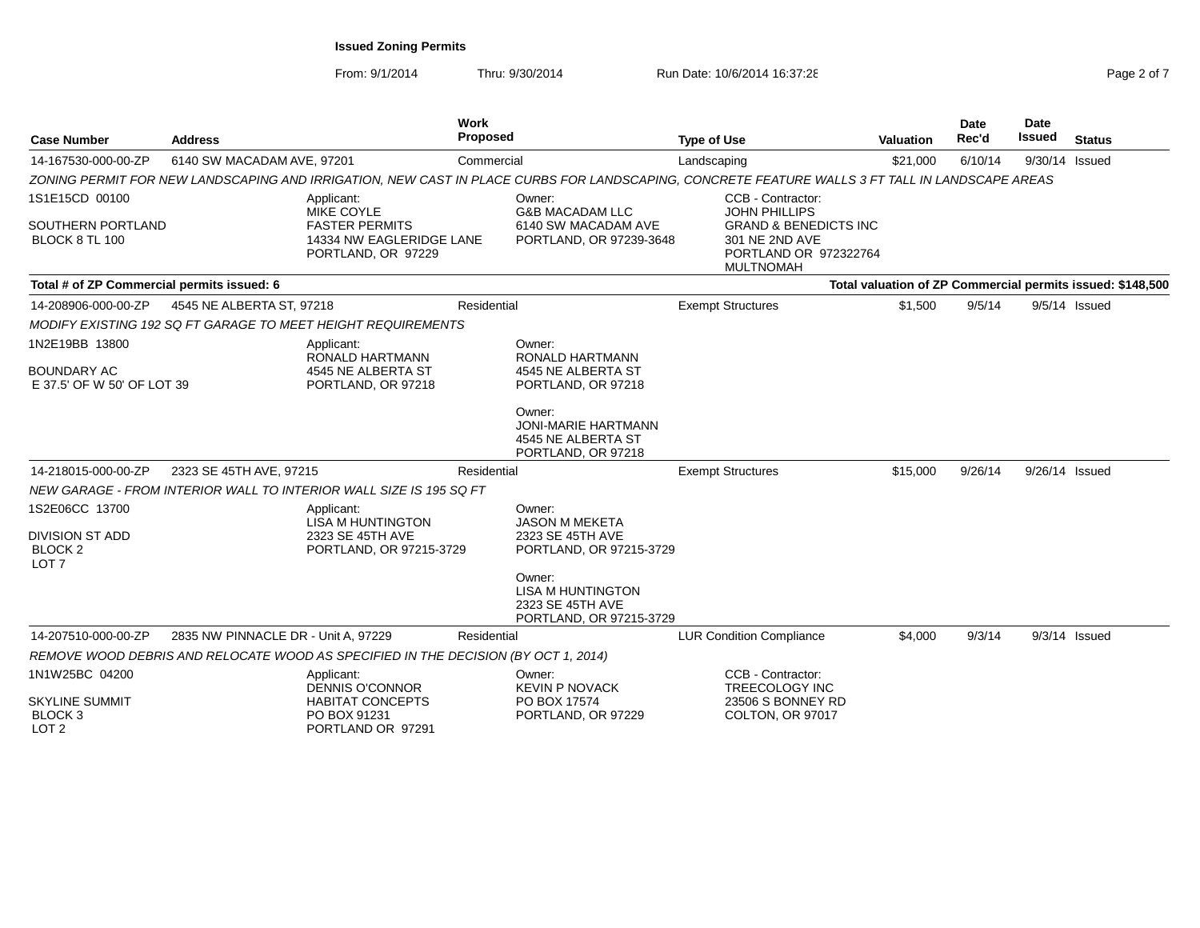**Work** 

From: 9/1/2014

Thru: 9/30/2014 Run Date: 10/6/2014 16:37:28 Run Date: 10/6/2014 16:37:28

| <b>Case Number</b>                                              | <b>Address</b>                      |                                                                                    | Proposed    |                                                                                   | <b>Type of Use</b>                                                                                                                             | Valuation | Rec'd   | Issued         | <b>Status</b>                                              |
|-----------------------------------------------------------------|-------------------------------------|------------------------------------------------------------------------------------|-------------|-----------------------------------------------------------------------------------|------------------------------------------------------------------------------------------------------------------------------------------------|-----------|---------|----------------|------------------------------------------------------------|
| 14-167530-000-00-ZP                                             | 6140 SW MACADAM AVE, 97201          |                                                                                    | Commercial  |                                                                                   | Landscaping                                                                                                                                    | \$21,000  | 6/10/14 | 9/30/14 Issued |                                                            |
|                                                                 |                                     |                                                                                    |             |                                                                                   | ZONING PERMIT FOR NEW LANDSCAPING AND IRRIGATION, NEW CAST IN PLACE CURBS FOR LANDSCAPING, CONCRETE FEATURE WALLS 3 FT TALL IN LANDSCAPE AREAS |           |         |                |                                                            |
| 1S1E15CD 00100                                                  |                                     | Applicant:<br><b>MIKE COYLE</b>                                                    |             | Owner:<br><b>G&amp;B MACADAM LLC</b>                                              | CCB - Contractor:<br><b>JOHN PHILLIPS</b>                                                                                                      |           |         |                |                                                            |
| SOUTHERN PORTLAND<br>BLOCK 8 TL 100                             |                                     | <b>FASTER PERMITS</b><br>14334 NW EAGLERIDGE LANE<br>PORTLAND, OR 97229            |             | 6140 SW MACADAM AVE<br>PORTLAND, OR 97239-3648                                    | <b>GRAND &amp; BENEDICTS INC</b><br>301 NE 2ND AVE<br>PORTLAND OR 972322764<br><b>MULTNOMAH</b>                                                |           |         |                |                                                            |
| Total # of ZP Commercial permits issued: 6                      |                                     |                                                                                    |             |                                                                                   |                                                                                                                                                |           |         |                | Total valuation of ZP Commercial permits issued: \$148,500 |
| 14-208906-000-00-ZP                                             | 4545 NE ALBERTA ST, 97218           |                                                                                    | Residential |                                                                                   | <b>Exempt Structures</b>                                                                                                                       | \$1,500   | 9/5/14  |                | 9/5/14 Issued                                              |
|                                                                 |                                     | MODIFY EXISTING 192 SQ FT GARAGE TO MEET HEIGHT REQUIREMENTS                       |             |                                                                                   |                                                                                                                                                |           |         |                |                                                            |
| 1N2E19BB 13800                                                  |                                     | Applicant:<br>RONALD HARTMANN                                                      |             | Owner:<br>RONALD HARTMANN                                                         |                                                                                                                                                |           |         |                |                                                            |
| <b>BOUNDARY AC</b><br>E 37.5' OF W 50' OF LOT 39                |                                     | 4545 NE ALBERTA ST<br>PORTLAND, OR 97218                                           |             | 4545 NE ALBERTA ST<br>PORTLAND, OR 97218                                          |                                                                                                                                                |           |         |                |                                                            |
|                                                                 |                                     |                                                                                    |             | Owner:<br><b>JONI-MARIE HARTMANN</b><br>4545 NE ALBERTA ST<br>PORTLAND, OR 97218  |                                                                                                                                                |           |         |                |                                                            |
| 14-218015-000-00-ZP                                             | 2323 SE 45TH AVE, 97215             |                                                                                    | Residential |                                                                                   | <b>Exempt Structures</b>                                                                                                                       | \$15,000  | 9/26/14 |                | 9/26/14 Issued                                             |
|                                                                 |                                     | NEW GARAGE - FROM INTERIOR WALL TO INTERIOR WALL SIZE IS 195 SQ FT                 |             |                                                                                   |                                                                                                                                                |           |         |                |                                                            |
| 1S2E06CC 13700                                                  |                                     | Applicant:<br><b>LISA M HUNTINGTON</b>                                             |             | Owner:<br><b>JASON M MEKETA</b>                                                   |                                                                                                                                                |           |         |                |                                                            |
| <b>DIVISION ST ADD</b><br><b>BLOCK 2</b><br>LOT <sub>7</sub>    |                                     | 2323 SE 45TH AVE<br>PORTLAND, OR 97215-3729                                        |             | 2323 SE 45TH AVE<br>PORTLAND, OR 97215-3729                                       |                                                                                                                                                |           |         |                |                                                            |
|                                                                 |                                     |                                                                                    |             | Owner:<br><b>LISA M HUNTINGTON</b><br>2323 SE 45TH AVE<br>PORTLAND, OR 97215-3729 |                                                                                                                                                |           |         |                |                                                            |
| 14-207510-000-00-ZP                                             | 2835 NW PINNACLE DR - Unit A, 97229 |                                                                                    | Residential |                                                                                   | <b>LUR Condition Compliance</b>                                                                                                                | \$4,000   | 9/3/14  |                | $9/3/14$ Issued                                            |
|                                                                 |                                     | REMOVE WOOD DEBRIS AND RELOCATE WOOD AS SPECIFIED IN THE DECISION (BY OCT 1, 2014) |             |                                                                                   |                                                                                                                                                |           |         |                |                                                            |
| 1N1W25BC 04200                                                  |                                     | Applicant:<br><b>DENNIS O'CONNOR</b>                                               |             | Owner:<br><b>KEVIN P NOVACK</b>                                                   | CCB - Contractor:<br>TREECOLOGY INC                                                                                                            |           |         |                |                                                            |
| <b>SKYLINE SUMMIT</b><br>BLOCK <sub>3</sub><br>LOT <sub>2</sub> |                                     | <b>HABITAT CONCEPTS</b><br>PO BOX 91231<br>PORTLAND OR 97291                       |             | PO BOX 17574<br>PORTLAND, OR 97229                                                | 23506 S BONNEY RD<br>COLTON, OR 97017                                                                                                          |           |         |                |                                                            |

**Date**

**Date**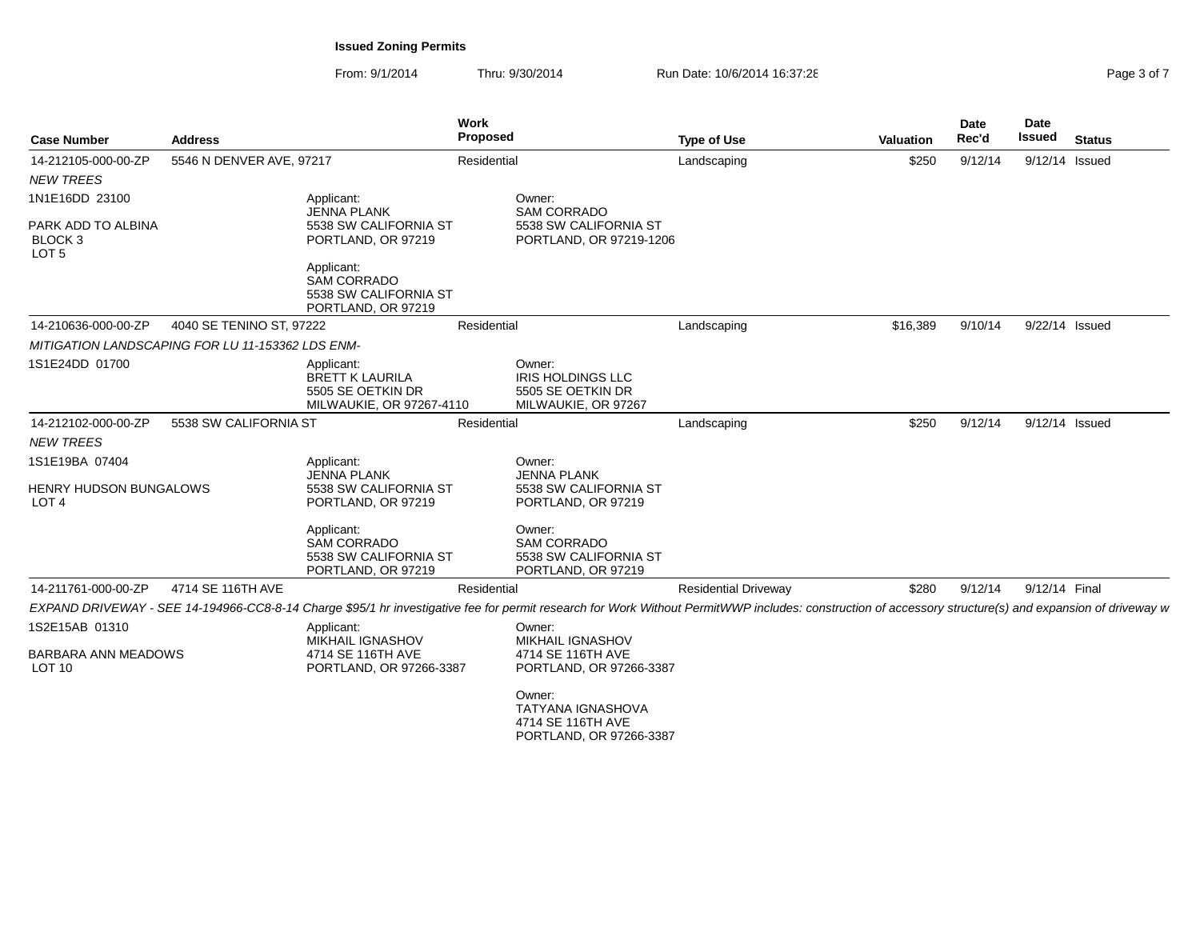| <b>Case Number</b>                                           | <b>Address</b>           |                                                                                       | <b>Work</b><br><b>Proposed</b> |                                                                                                                                                                                                         | <b>Type of Use</b>          | <b>Valuation</b> | Date<br>Rec'd | <b>Date</b><br>Issued | <b>Status</b> |
|--------------------------------------------------------------|--------------------------|---------------------------------------------------------------------------------------|--------------------------------|---------------------------------------------------------------------------------------------------------------------------------------------------------------------------------------------------------|-----------------------------|------------------|---------------|-----------------------|---------------|
| 14-212105-000-00-ZP                                          | 5546 N DENVER AVE, 97217 |                                                                                       | Residential                    |                                                                                                                                                                                                         | Landscaping                 | \$250            | 9/12/14       | 9/12/14 Issued        |               |
| <b>NEW TREES</b>                                             |                          |                                                                                       |                                |                                                                                                                                                                                                         |                             |                  |               |                       |               |
| 1N1E16DD 23100                                               |                          | Applicant:<br>JENNA PLANK                                                             |                                | Owner:<br><b>SAM CORRADO</b>                                                                                                                                                                            |                             |                  |               |                       |               |
| PARK ADD TO ALBINA<br>BLOCK <sub>3</sub><br>LOT <sub>5</sub> |                          | 5538 SW CALIFORNIA ST<br>PORTLAND, OR 97219                                           |                                | 5538 SW CALIFORNIA ST<br>PORTLAND, OR 97219-1206                                                                                                                                                        |                             |                  |               |                       |               |
|                                                              |                          | Applicant:<br><b>SAM CORRADO</b><br>5538 SW CALIFORNIA ST<br>PORTLAND, OR 97219       |                                |                                                                                                                                                                                                         |                             |                  |               |                       |               |
| 14-210636-000-00-ZP                                          | 4040 SE TENINO ST, 97222 |                                                                                       | Residential                    |                                                                                                                                                                                                         | Landscaping                 | \$16,389         | 9/10/14       | 9/22/14 Issued        |               |
| MITIGATION LANDSCAPING FOR LU 11-153362 LDS ENM-             |                          |                                                                                       |                                |                                                                                                                                                                                                         |                             |                  |               |                       |               |
| 1S1E24DD 01700                                               |                          | Applicant:<br><b>BRETT K LAURILA</b><br>5505 SE OETKIN DR<br>MILWAUKIE, OR 97267-4110 |                                | Owner:<br><b>IRIS HOLDINGS LLC</b><br>5505 SE OETKIN DR<br>MILWAUKIE, OR 97267                                                                                                                          |                             |                  |               |                       |               |
| 14-212102-000-00-ZP                                          | 5538 SW CALIFORNIA ST    |                                                                                       | Residential                    |                                                                                                                                                                                                         | Landscaping                 | \$250            | 9/12/14       | 9/12/14 Issued        |               |
| <b>NEW TREES</b>                                             |                          |                                                                                       |                                |                                                                                                                                                                                                         |                             |                  |               |                       |               |
| 1S1E19BA 07404                                               |                          | Applicant:<br><b>JENNA PLANK</b>                                                      |                                | Owner:<br><b>JENNA PLANK</b>                                                                                                                                                                            |                             |                  |               |                       |               |
| <b>HENRY HUDSON BUNGALOWS</b><br>LOT <sub>4</sub>            |                          | 5538 SW CALIFORNIA ST<br>PORTLAND, OR 97219                                           |                                | 5538 SW CALIFORNIA ST<br>PORTLAND, OR 97219                                                                                                                                                             |                             |                  |               |                       |               |
|                                                              |                          | Applicant:<br><b>SAM CORRADO</b><br>5538 SW CALIFORNIA ST<br>PORTLAND, OR 97219       |                                | Owner:<br><b>SAM CORRADO</b><br>5538 SW CALIFORNIA ST<br>PORTLAND, OR 97219                                                                                                                             |                             |                  |               |                       |               |
| 14-211761-000-00-ZP                                          | 4714 SE 116TH AVE        |                                                                                       | Residential                    |                                                                                                                                                                                                         | <b>Residential Driveway</b> | \$280            | 9/12/14       | 9/12/14 Final         |               |
|                                                              |                          |                                                                                       |                                | EXPAND DRIVEWAY - SEE 14-194966-CC8-8-14 Charge \$95/1 hr investigative fee for permit research for Work Without PermitWWP includes: construction of accessory structure(s) and expansion of driveway w |                             |                  |               |                       |               |
| 1S2E15AB 01310                                               |                          | Applicant:<br><b>MIKHAIL IGNASHOV</b>                                                 |                                | Owner:<br><b>MIKHAIL IGNASHOV</b>                                                                                                                                                                       |                             |                  |               |                       |               |
| BARBARA ANN MEADOWS<br>LOT <sub>10</sub>                     |                          | 4714 SE 116TH AVE<br>PORTLAND, OR 97266-3387                                          |                                | 4714 SE 116TH AVE<br>PORTLAND, OR 97266-3387                                                                                                                                                            |                             |                  |               |                       |               |
|                                                              |                          |                                                                                       |                                | Owner:<br><b>TATYANA IGNASHOVA</b><br>4714 SE 116TH AVE<br>PORTLAND, OR 97266-3387                                                                                                                      |                             |                  |               |                       |               |
|                                                              |                          |                                                                                       |                                |                                                                                                                                                                                                         |                             |                  |               |                       |               |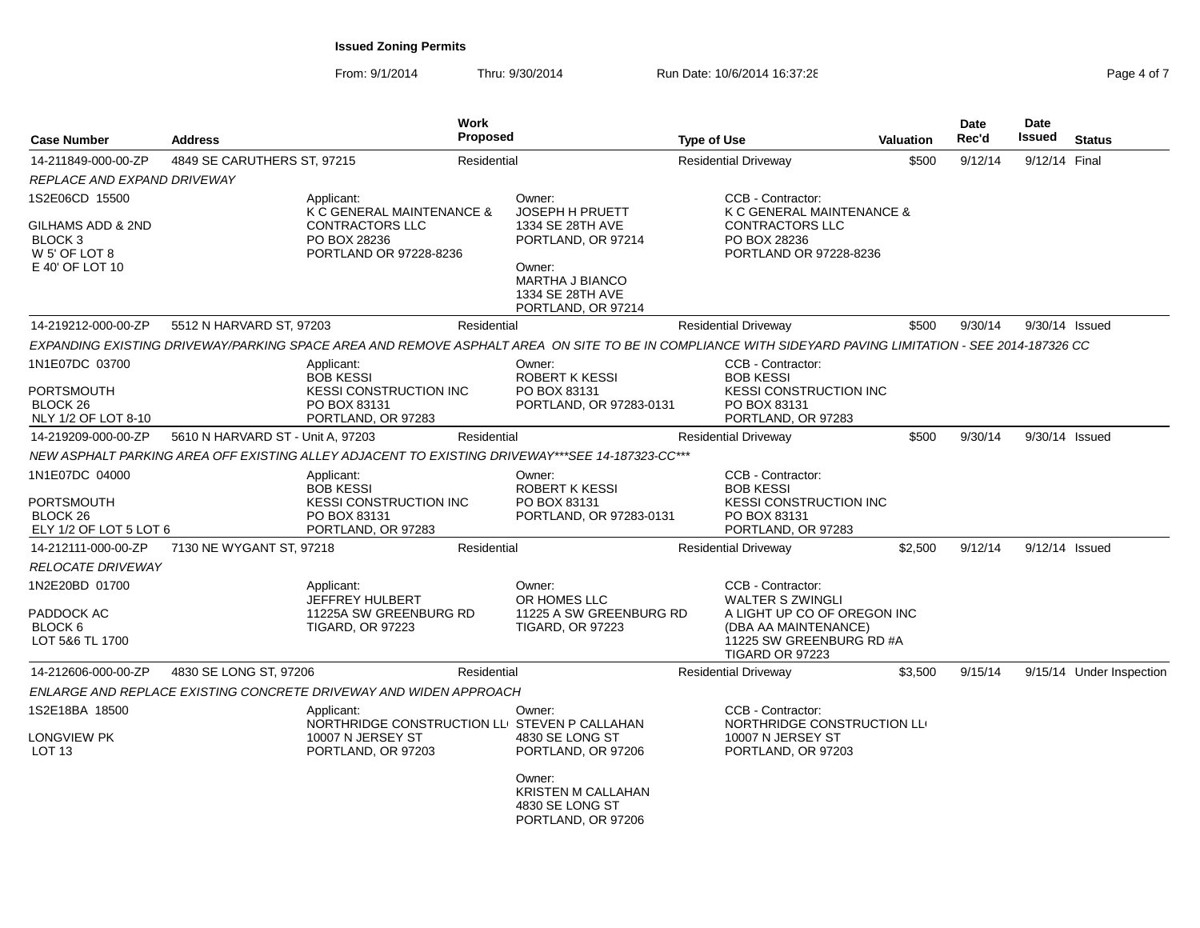| <b>Case Number</b>                                                            | <b>Address</b>                    |                                                                                                        | <b>Work</b><br><b>Proposed</b> |                                                                                                                                                         | <b>Type of Use</b>          |                                                                                                                                                    | <b>Valuation</b> | Date<br>Rec'd | Date<br><b>Issued</b> | <b>Status</b>            |
|-------------------------------------------------------------------------------|-----------------------------------|--------------------------------------------------------------------------------------------------------|--------------------------------|---------------------------------------------------------------------------------------------------------------------------------------------------------|-----------------------------|----------------------------------------------------------------------------------------------------------------------------------------------------|------------------|---------------|-----------------------|--------------------------|
| 14-211849-000-00-ZP                                                           | 4849 SE CARUTHERS ST, 97215       |                                                                                                        | Residential                    |                                                                                                                                                         | <b>Residential Driveway</b> |                                                                                                                                                    | \$500            | 9/12/14       | 9/12/14 Final         |                          |
| REPLACE AND EXPAND DRIVEWAY                                                   |                                   |                                                                                                        |                                |                                                                                                                                                         |                             |                                                                                                                                                    |                  |               |                       |                          |
| 1S2E06CD 15500                                                                |                                   | Applicant:<br>K C GENERAL MAINTENANCE &                                                                |                                | Owner:<br>JOSEPH H PRUETT                                                                                                                               |                             | CCB - Contractor:<br>K C GENERAL MAINTENANCE &                                                                                                     |                  |               |                       |                          |
| GILHAMS ADD & 2ND<br>BLOCK 3<br>W 5' OF LOT 8<br>E 40' OF LOT 10              |                                   | <b>CONTRACTORS LLC</b><br>PO BOX 28236<br>PORTLAND OR 97228-8236                                       |                                | 1334 SE 28TH AVE<br>PORTLAND, OR 97214<br>Owner:<br><b>MARTHA J BIANCO</b><br>1334 SE 28TH AVE                                                          |                             | <b>CONTRACTORS LLC</b><br>PO BOX 28236<br>PORTLAND OR 97228-8236                                                                                   |                  |               |                       |                          |
|                                                                               |                                   |                                                                                                        |                                | PORTLAND, OR 97214                                                                                                                                      |                             |                                                                                                                                                    |                  |               |                       |                          |
| 14-219212-000-00-ZP                                                           | 5512 N HARVARD ST, 97203          |                                                                                                        | Residential                    |                                                                                                                                                         | <b>Residential Driveway</b> |                                                                                                                                                    | \$500            | 9/30/14       | 9/30/14 Issued        |                          |
|                                                                               |                                   |                                                                                                        |                                | EXPANDING EXISTING DRIVEWAY/PARKING SPACE AREA AND REMOVE ASPHALT AREA ON SITE TO BE IN COMPLIANCE WITH SIDEYARD PAVING LIMITATION - SEE 2014-187326 CC |                             |                                                                                                                                                    |                  |               |                       |                          |
| 1N1E07DC 03700<br><b>PORTSMOUTH</b><br>BLOCK 26<br>NLY 1/2 OF LOT 8-10        |                                   | Applicant:<br><b>BOB KESSI</b><br><b>KESSI CONSTRUCTION INC</b><br>PO BOX 83131<br>PORTLAND, OR 97283  |                                | Owner:<br><b>ROBERT K KESSI</b><br>PO BOX 83131<br>PORTLAND, OR 97283-0131                                                                              |                             | CCB - Contractor:<br><b>BOB KESSI</b><br>KESSI CONSTRUCTION INC<br>PO BOX 83131<br>PORTLAND, OR 97283                                              |                  |               |                       |                          |
| 14-219209-000-00-ZP                                                           | 5610 N HARVARD ST - Unit A, 97203 |                                                                                                        | Residential                    |                                                                                                                                                         | <b>Residential Driveway</b> |                                                                                                                                                    | \$500            | 9/30/14       | 9/30/14 Issued        |                          |
|                                                                               |                                   |                                                                                                        |                                | NEW ASPHALT PARKING AREA OFF EXISTING ALLEY ADJACENT TO EXISTING DRIVEWAY***SEE 14-187323-CC***                                                         |                             |                                                                                                                                                    |                  |               |                       |                          |
| 1N1E07DC 04000<br>PORTSMOUTH<br>BLOCK <sub>26</sub><br>ELY 1/2 OF LOT 5 LOT 6 |                                   | Applicant:<br><b>BOB KESSI</b><br><b>KESSI CONSTRUCTION INC</b><br>PO BOX 83131<br>PORTLAND, OR 97283  |                                | Owner:<br><b>ROBERT K KESSI</b><br>PO BOX 83131<br>PORTLAND, OR 97283-0131                                                                              |                             | CCB - Contractor:<br><b>BOB KESSI</b><br><b>KESSI CONSTRUCTION INC</b><br>PO BOX 83131<br>PORTLAND, OR 97283                                       |                  |               |                       |                          |
| 14-212111-000-00-ZP                                                           | 7130 NE WYGANT ST, 97218          |                                                                                                        | Residential                    |                                                                                                                                                         | <b>Residential Driveway</b> |                                                                                                                                                    | \$2,500          | 9/12/14       | 9/12/14 Issued        |                          |
| <b>RELOCATE DRIVEWAY</b>                                                      |                                   |                                                                                                        |                                |                                                                                                                                                         |                             |                                                                                                                                                    |                  |               |                       |                          |
| 1N2E20BD 01700<br>PADDOCK AC<br>BLOCK 6<br>LOT 5&6 TL 1700                    |                                   | Applicant:<br>JEFFREY HULBERT<br>11225A SW GREENBURG RD<br><b>TIGARD, OR 97223</b>                     |                                | Owner:<br>OR HOMES LLC<br>11225 A SW GREENBURG RD<br><b>TIGARD, OR 97223</b>                                                                            |                             | CCB - Contractor:<br><b>WALTER S ZWINGLI</b><br>A LIGHT UP CO OF OREGON INC<br>(DBA AA MAINTENANCE)<br>11225 SW GREENBURG RD #A<br>TIGARD OR 97223 |                  |               |                       |                          |
| 14-212606-000-00-ZP                                                           | 4830 SE LONG ST, 97206            |                                                                                                        | Residential                    |                                                                                                                                                         | <b>Residential Driveway</b> |                                                                                                                                                    | \$3,500          | 9/15/14       |                       | 9/15/14 Under Inspection |
|                                                                               |                                   | ENLARGE AND REPLACE EXISTING CONCRETE DRIVEWAY AND WIDEN APPROACH                                      |                                |                                                                                                                                                         |                             |                                                                                                                                                    |                  |               |                       |                          |
| 1S2E18BA 18500<br>ONGVIEW PK<br><b>LOT 13</b>                                 |                                   | Applicant:<br>NORTHRIDGE CONSTRUCTION LLI STEVEN P CALLAHAN<br>10007 N JERSEY ST<br>PORTLAND, OR 97203 |                                | Owner:<br>4830 SE LONG ST<br>PORTLAND, OR 97206                                                                                                         |                             | CCB - Contractor:<br>NORTHRIDGE CONSTRUCTION LL<br>10007 N JERSEY ST<br>PORTLAND, OR 97203                                                         |                  |               |                       |                          |
|                                                                               |                                   |                                                                                                        |                                | Owner:<br><b>KRISTEN M CALLAHAN</b><br>4830 SE LONG ST<br>PORTLAND, OR 97206                                                                            |                             |                                                                                                                                                    |                  |               |                       |                          |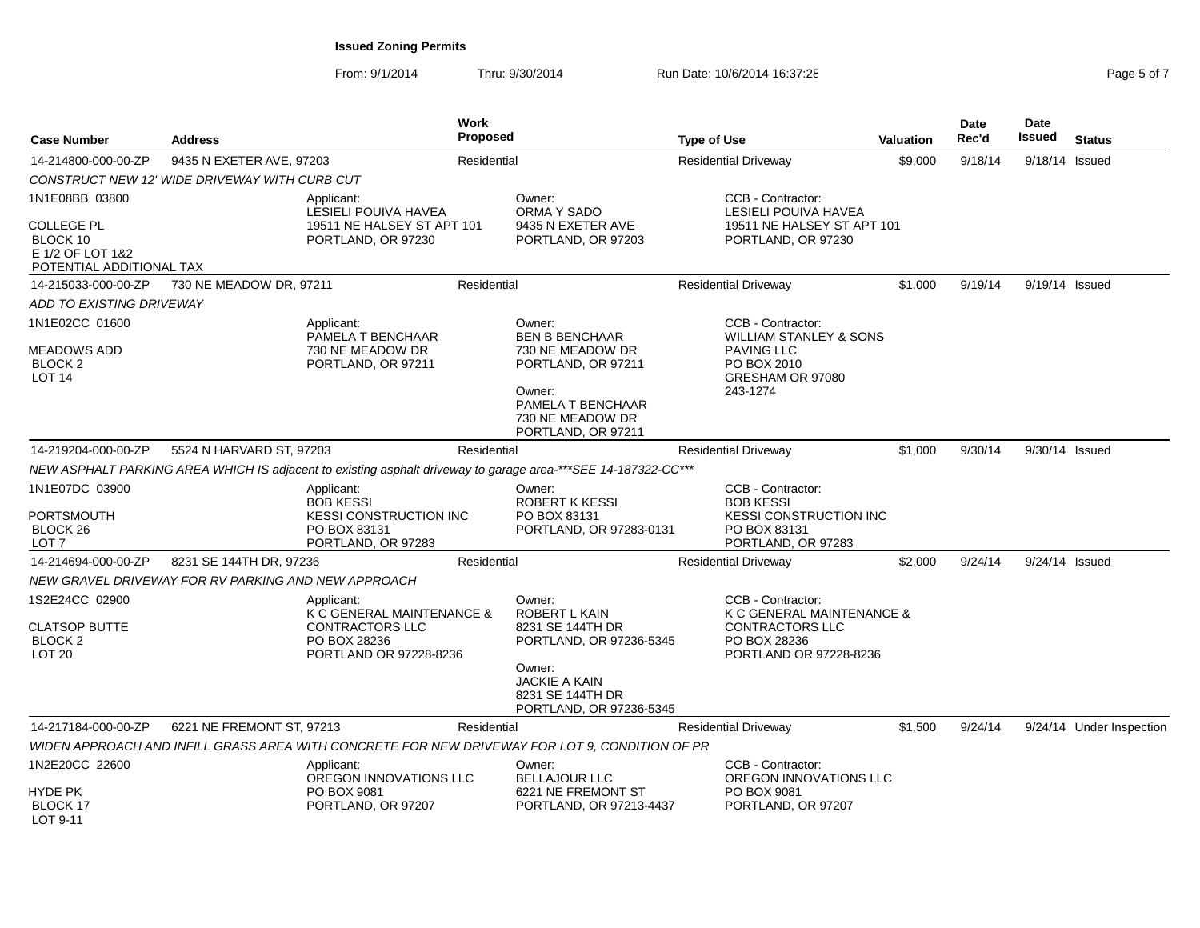| <b>Case Number</b>                                                              | <b>Address</b>                                      |                                                                                                      | <b>Work</b><br><b>Proposed</b> |                                                                                                                                                         | <b>Type of Use</b> |                                                                                                                            | <b>Valuation</b> | <b>Date</b><br>Rec'd | <b>Date</b><br>Issued | <b>Status</b>            |
|---------------------------------------------------------------------------------|-----------------------------------------------------|------------------------------------------------------------------------------------------------------|--------------------------------|---------------------------------------------------------------------------------------------------------------------------------------------------------|--------------------|----------------------------------------------------------------------------------------------------------------------------|------------------|----------------------|-----------------------|--------------------------|
| 14-214800-000-00-ZP                                                             | 9435 N EXETER AVE, 97203                            |                                                                                                      | Residential                    |                                                                                                                                                         |                    | <b>Residential Driveway</b>                                                                                                | \$9,000          | 9/18/14              | 9/18/14 Issued        |                          |
|                                                                                 | CONSTRUCT NEW 12' WIDE DRIVEWAY WITH CURB CUT       |                                                                                                      |                                |                                                                                                                                                         |                    |                                                                                                                            |                  |                      |                       |                          |
| 1N1E08BB 03800                                                                  |                                                     | Applicant:<br>LESIELI POUIVA HAVEA                                                                   |                                | Owner:<br>ORMA Y SADO                                                                                                                                   |                    | CCB - Contractor:<br>LESIELI POUIVA HAVEA                                                                                  |                  |                      |                       |                          |
| <b>COLLEGE PL</b><br>BLOCK 10<br>E 1/2 OF LOT 1&2<br>POTENTIAL ADDITIONAL TAX   |                                                     | 19511 NE HALSEY ST APT 101<br>PORTLAND, OR 97230                                                     |                                | 9435 N EXETER AVE<br>PORTLAND, OR 97203                                                                                                                 |                    | 19511 NE HALSEY ST APT 101<br>PORTLAND, OR 97230                                                                           |                  |                      |                       |                          |
| 14-215033-000-00-ZP                                                             | 730 NE MEADOW DR, 97211                             |                                                                                                      | Residential                    |                                                                                                                                                         |                    | <b>Residential Driveway</b>                                                                                                | \$1,000          | 9/19/14              | 9/19/14 Issued        |                          |
| ADD TO EXISTING DRIVEWAY                                                        |                                                     |                                                                                                      |                                |                                                                                                                                                         |                    |                                                                                                                            |                  |                      |                       |                          |
| 1N1E02CC 01600<br><b>MEADOWS ADD</b><br>BLOCK <sub>2</sub><br>LOT <sub>14</sub> |                                                     | Applicant:<br>PAMELA T BENCHAAR<br>730 NE MEADOW DR<br>PORTLAND, OR 97211                            |                                | Owner:<br><b>BEN B BENCHAAR</b><br>730 NE MEADOW DR<br>PORTLAND, OR 97211<br>Owner:                                                                     |                    | CCB - Contractor:<br><b>WILLIAM STANLEY &amp; SONS</b><br><b>PAVING LLC</b><br>PO BOX 2010<br>GRESHAM OR 97080<br>243-1274 |                  |                      |                       |                          |
|                                                                                 |                                                     |                                                                                                      |                                | PAMELA T BENCHAAR<br>730 NE MEADOW DR<br>PORTLAND, OR 97211                                                                                             |                    |                                                                                                                            |                  |                      |                       |                          |
| 14-219204-000-00-ZP                                                             | 5524 N HARVARD ST, 97203                            |                                                                                                      | Residential                    |                                                                                                                                                         |                    | <b>Residential Driveway</b>                                                                                                | \$1,000          | 9/30/14              | 9/30/14 Issued        |                          |
|                                                                                 |                                                     |                                                                                                      |                                | NEW ASPHALT PARKING AREA WHICH IS adjacent to existing asphalt driveway to garage area-***SEE 14-187322-CC***                                           |                    |                                                                                                                            |                  |                      |                       |                          |
| 1N1E07DC 03900                                                                  |                                                     | Applicant:<br><b>BOB KESSI</b>                                                                       |                                | Owner:<br><b>ROBERT K KESSI</b>                                                                                                                         |                    | CCB - Contractor:<br><b>BOB KESSI</b>                                                                                      |                  |                      |                       |                          |
| <b>PORTSMOUTH</b><br>BLOCK <sub>26</sub><br>LOT <sub>7</sub>                    |                                                     | <b>KESSI CONSTRUCTION INC</b><br>PO BOX 83131<br>PORTLAND, OR 97283                                  |                                | PO BOX 83131<br>PORTLAND, OR 97283-0131                                                                                                                 |                    | <b>KESSI CONSTRUCTION INC</b><br>PO BOX 83131<br>PORTLAND, OR 97283                                                        |                  |                      |                       |                          |
| 14-214694-000-00-ZP                                                             | 8231 SE 144TH DR, 97236                             |                                                                                                      | Residential                    |                                                                                                                                                         |                    | <b>Residential Driveway</b>                                                                                                | \$2,000          | 9/24/14              | 9/24/14 Issued        |                          |
|                                                                                 | NEW GRAVEL DRIVEWAY FOR RV PARKING AND NEW APPROACH |                                                                                                      |                                |                                                                                                                                                         |                    |                                                                                                                            |                  |                      |                       |                          |
| 1S2E24CC 02900<br><b>CLATSOP BUTTE</b><br><b>BLOCK 2</b><br>LOT <sub>20</sub>   |                                                     | Applicant:<br>K C GENERAL MAINTENANCE &<br>CONTRACTORS LLC<br>PO BOX 28236<br>PORTLAND OR 97228-8236 |                                | Owner:<br>ROBERT L KAIN<br>8231 SE 144TH DR<br>PORTLAND, OR 97236-5345<br>Owner:<br><b>JACKIE A KAIN</b><br>8231 SE 144TH DR<br>PORTLAND, OR 97236-5345 |                    | CCB - Contractor:<br>K C GENERAL MAINTENANCE &<br><b>CONTRACTORS LLC</b><br>PO BOX 28236<br>PORTLAND OR 97228-8236         |                  |                      |                       |                          |
| 14-217184-000-00-ZP                                                             | 6221 NE FREMONT ST, 97213                           |                                                                                                      | Residential                    |                                                                                                                                                         |                    | <b>Residential Driveway</b>                                                                                                | \$1.500          | 9/24/14              |                       | 9/24/14 Under Inspection |
|                                                                                 |                                                     |                                                                                                      |                                | WIDEN APPROACH AND INFILL GRASS AREA WITH CONCRETE FOR NEW DRIVEWAY FOR LOT 9, CONDITION OF PR                                                          |                    |                                                                                                                            |                  |                      |                       |                          |
| 1N2E20CC 22600                                                                  |                                                     | Applicant:                                                                                           |                                | Owner:                                                                                                                                                  |                    | CCB - Contractor:                                                                                                          |                  |                      |                       |                          |
| HYDE PK<br><b>BLOCK 17</b><br>LOT 9-11                                          |                                                     | OREGON INNOVATIONS LLC<br>PO BOX 9081<br>PORTLAND, OR 97207                                          |                                | <b>BELLAJOUR LLC</b><br>6221 NE FREMONT ST<br>PORTLAND, OR 97213-4437                                                                                   |                    | OREGON INNOVATIONS LLC<br>PO BOX 9081<br>PORTLAND, OR 97207                                                                |                  |                      |                       |                          |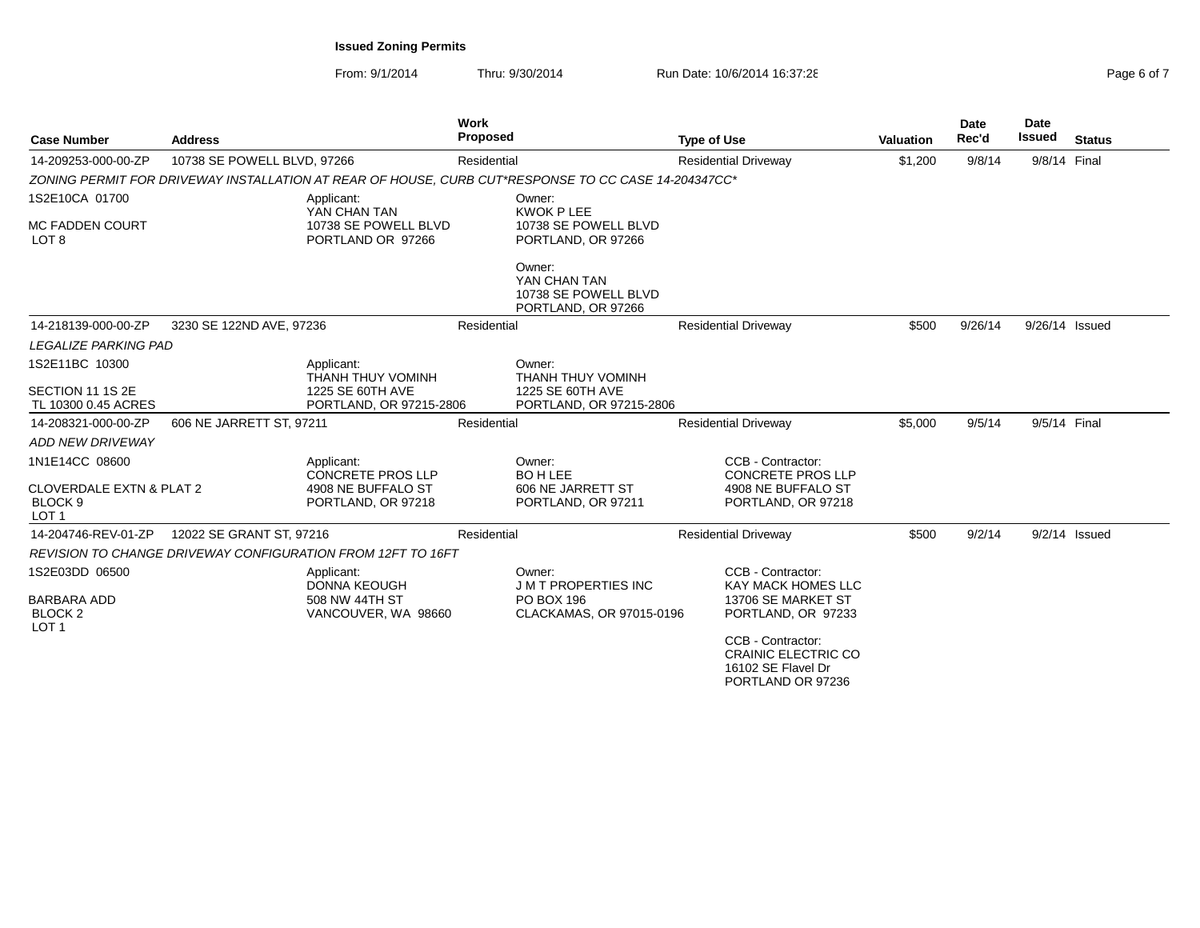From: 9/1/2014Thru: 9/30/2014 Run Date: 10/6/2014 16:37:28

| Page 6 of 7 |  |  |
|-------------|--|--|
|             |  |  |

| <b>Case Number</b>                                                 | <b>Address</b>              |                                                             | Work<br><b>Proposed</b> |                                                                                                     | <b>Type of Use</b> |                                                                                            | <b>Valuation</b> | Date<br>Rec'd | <b>Date</b><br><b>Issued</b> | <b>Status</b>   |
|--------------------------------------------------------------------|-----------------------------|-------------------------------------------------------------|-------------------------|-----------------------------------------------------------------------------------------------------|--------------------|--------------------------------------------------------------------------------------------|------------------|---------------|------------------------------|-----------------|
| 14-209253-000-00-ZP                                                | 10738 SE POWELL BLVD, 97266 |                                                             | Residential             |                                                                                                     |                    | <b>Residential Driveway</b>                                                                | \$1,200          | 9/8/14        | 9/8/14 Final                 |                 |
|                                                                    |                             |                                                             |                         | ZONING PERMIT FOR DRIVEWAY INSTALLATION AT REAR OF HOUSE, CURB CUT*RESPONSE TO CC CASE 14-204347CC* |                    |                                                                                            |                  |               |                              |                 |
| 1S2E10CA 01700                                                     |                             | Applicant:<br>YAN CHAN TAN                                  |                         | Owner:<br><b>KWOK P LEE</b>                                                                         |                    |                                                                                            |                  |               |                              |                 |
| <b>MC FADDEN COURT</b><br>LOT <sub>8</sub>                         |                             | 10738 SE POWELL BLVD<br>PORTLAND OR 97266                   |                         | 10738 SE POWELL BLVD<br>PORTLAND, OR 97266                                                          |                    |                                                                                            |                  |               |                              |                 |
|                                                                    |                             |                                                             |                         | Owner:<br>YAN CHAN TAN<br>10738 SE POWELL BLVD<br>PORTLAND, OR 97266                                |                    |                                                                                            |                  |               |                              |                 |
| 14-218139-000-00-ZP                                                | 3230 SE 122ND AVE, 97236    |                                                             | Residential             |                                                                                                     |                    | <b>Residential Driveway</b>                                                                | \$500            | 9/26/14       | 9/26/14 Issued               |                 |
| <b>LEGALIZE PARKING PAD</b>                                        |                             |                                                             |                         |                                                                                                     |                    |                                                                                            |                  |               |                              |                 |
| 1S2E11BC 10300                                                     |                             | Applicant:<br>THANH THUY VOMINH                             |                         | Owner:<br>THANH THUY VOMINH                                                                         |                    |                                                                                            |                  |               |                              |                 |
| SECTION 11 1S 2E<br>TL 10300 0.45 ACRES                            |                             | 1225 SE 60TH AVE<br>PORTLAND, OR 97215-2806                 |                         | 1225 SE 60TH AVE<br>PORTLAND, OR 97215-2806                                                         |                    |                                                                                            |                  |               |                              |                 |
| 14-208321-000-00-ZP                                                | 606 NE JARRETT ST, 97211    |                                                             | Residential             |                                                                                                     |                    | <b>Residential Driveway</b>                                                                | \$5.000          | 9/5/14        | 9/5/14 Final                 |                 |
| <b>ADD NEW DRIVEWAY</b>                                            |                             |                                                             |                         |                                                                                                     |                    |                                                                                            |                  |               |                              |                 |
| 1N1E14CC 08600                                                     |                             | Applicant:<br><b>CONCRETE PROS LLP</b>                      |                         | Owner:<br><b>BOH LEE</b>                                                                            |                    | CCB - Contractor:<br><b>CONCRETE PROS LLP</b>                                              |                  |               |                              |                 |
| <b>CLOVERDALE EXTN &amp; PLAT 2</b><br>BLOCK 9<br>LOT <sub>1</sub> |                             | 4908 NE BUFFALO ST<br>PORTLAND, OR 97218                    |                         | 606 NE JARRETT ST<br>PORTLAND, OR 97211                                                             |                    | 4908 NE BUFFALO ST<br>PORTLAND, OR 97218                                                   |                  |               |                              |                 |
| 14-204746-REV-01-ZP                                                | 12022 SE GRANT ST, 97216    |                                                             | Residential             |                                                                                                     |                    | <b>Residential Driveway</b>                                                                | \$500            | 9/2/14        |                              | $9/2/14$ Issued |
|                                                                    |                             | REVISION TO CHANGE DRIVEWAY CONFIGURATION FROM 12FT TO 16FT |                         |                                                                                                     |                    |                                                                                            |                  |               |                              |                 |
| 1S2E03DD 06500                                                     |                             | Applicant:<br><b>DONNA KEOUGH</b>                           |                         | Owner:<br><b>JMT PROPERTIES INC</b>                                                                 |                    | CCB - Contractor:<br><b>KAY MACK HOMES LLC</b>                                             |                  |               |                              |                 |
| <b>BARBARA ADD</b><br>BLOCK <sub>2</sub><br>LOT <sub>1</sub>       |                             | 508 NW 44TH ST<br>VANCOUVER, WA 98660                       |                         | PO BOX 196<br>CLACKAMAS, OR 97015-0196                                                              |                    | 13706 SE MARKET ST<br>PORTLAND, OR 97233                                                   |                  |               |                              |                 |
|                                                                    |                             |                                                             |                         |                                                                                                     |                    | CCB - Contractor:<br><b>CRAINIC ELECTRIC CO</b><br>16102 SE Flavel Dr<br>PORTLAND OR 97236 |                  |               |                              |                 |